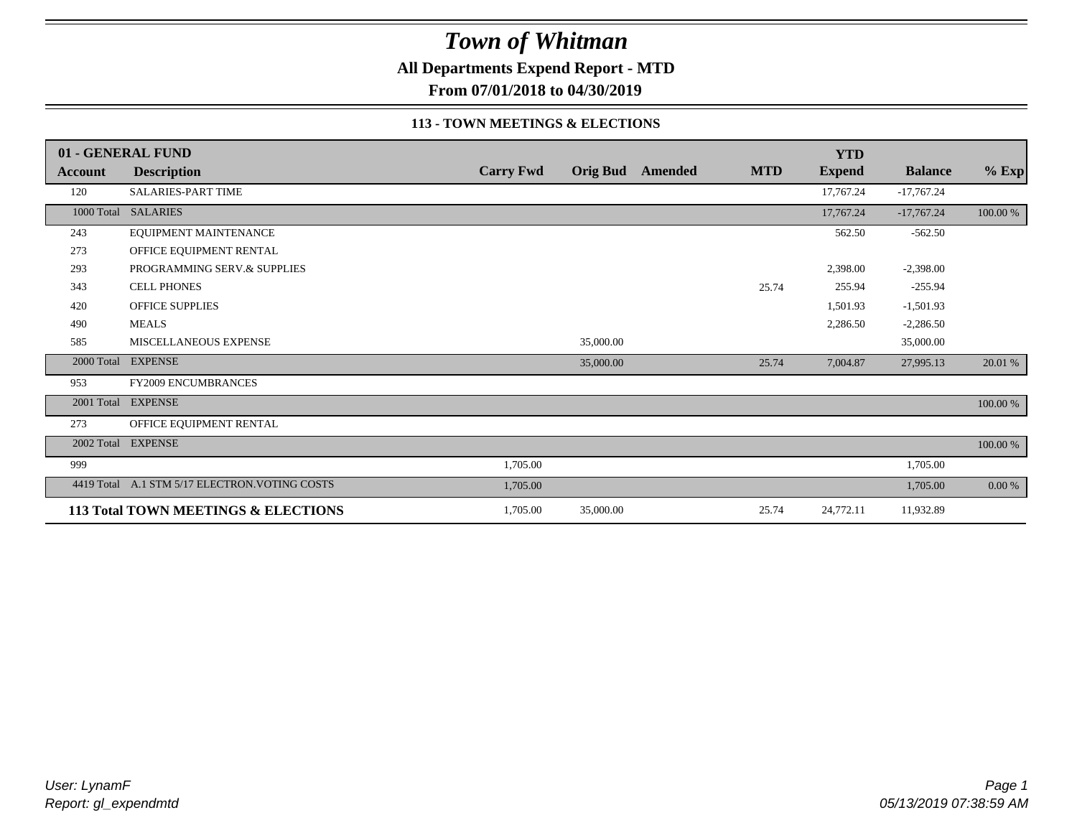**All Departments Expend Report - MTD**

**From 07/01/2018 to 04/30/2019**

#### **113 - TOWN MEETINGS & ELECTIONS**

|                | 01 - GENERAL FUND                              |                  |           |                  |            | <b>YTD</b>    |                |             |
|----------------|------------------------------------------------|------------------|-----------|------------------|------------|---------------|----------------|-------------|
| <b>Account</b> | <b>Description</b>                             | <b>Carry Fwd</b> |           | Orig Bud Amended | <b>MTD</b> | <b>Expend</b> | <b>Balance</b> | $%$ Exp     |
| 120            | <b>SALARIES-PART TIME</b>                      |                  |           |                  |            | 17,767.24     | $-17,767.24$   |             |
|                | 1000 Total SALARIES                            |                  |           |                  |            | 17,767.24     | $-17,767.24$   | 100.00 %    |
| 243            | EQUIPMENT MAINTENANCE                          |                  |           |                  |            | 562.50        | $-562.50$      |             |
| 273            | OFFICE EQUIPMENT RENTAL                        |                  |           |                  |            |               |                |             |
| 293            | PROGRAMMING SERV.& SUPPLIES                    |                  |           |                  |            | 2,398.00      | $-2,398.00$    |             |
| 343            | <b>CELL PHONES</b>                             |                  |           |                  | 25.74      | 255.94        | $-255.94$      |             |
| 420            | <b>OFFICE SUPPLIES</b>                         |                  |           |                  |            | 1,501.93      | $-1,501.93$    |             |
| 490            | <b>MEALS</b>                                   |                  |           |                  |            | 2,286.50      | $-2,286.50$    |             |
| 585            | MISCELLANEOUS EXPENSE                          |                  | 35,000.00 |                  |            |               | 35,000.00      |             |
| 2000 Total     | <b>EXPENSE</b>                                 |                  | 35,000.00 |                  | 25.74      | 7,004.87      | 27,995.13      | 20.01 %     |
| 953            | <b>FY2009 ENCUMBRANCES</b>                     |                  |           |                  |            |               |                |             |
| 2001 Total     | <b>EXPENSE</b>                                 |                  |           |                  |            |               |                | 100.00 %    |
| 273            | OFFICE EQUIPMENT RENTAL                        |                  |           |                  |            |               |                |             |
|                | 2002 Total EXPENSE                             |                  |           |                  |            |               |                | $100.00~\%$ |
| 999            |                                                | 1,705.00         |           |                  |            |               | 1,705.00       |             |
|                | 4419 Total A.1 STM 5/17 ELECTRON. VOTING COSTS | 1,705.00         |           |                  |            |               | 1,705.00       | 0.00 %      |
|                | 113 Total TOWN MEETINGS & ELECTIONS            | 1,705.00         | 35,000.00 |                  | 25.74      | 24,772.11     | 11,932.89      |             |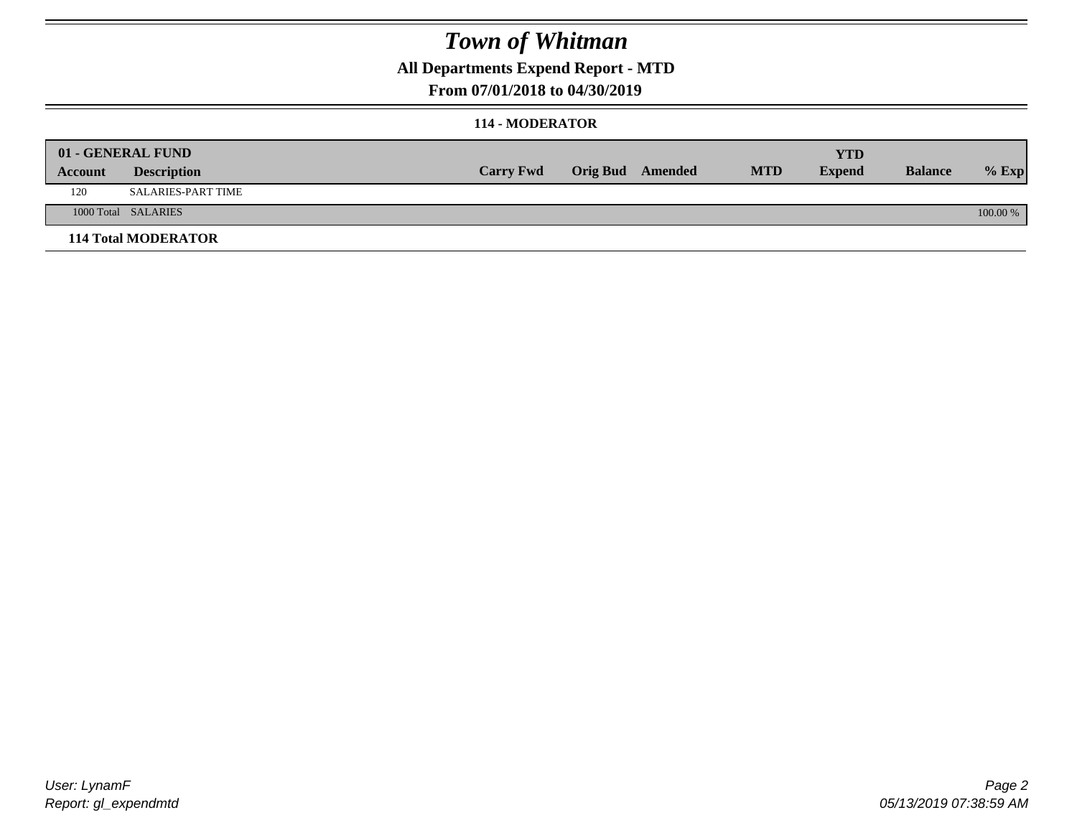### **All Departments Expend Report - MTD**

### **From 07/01/2018 to 04/30/2019**

### **114 - MODERATOR**

|         | 01 - GENERAL FUND          |                  |                  |            | <b>YTD</b>    |                |          |
|---------|----------------------------|------------------|------------------|------------|---------------|----------------|----------|
| Account | <b>Description</b>         | <b>Carry Fwd</b> | Orig Bud Amended | <b>MTD</b> | <b>Expend</b> | <b>Balance</b> | $%$ Exp  |
| 120     | <b>SALARIES-PART TIME</b>  |                  |                  |            |               |                |          |
|         | 1000 Total SALARIES        |                  |                  |            |               |                | 100.00 % |
|         | <b>114 Total MODERATOR</b> |                  |                  |            |               |                |          |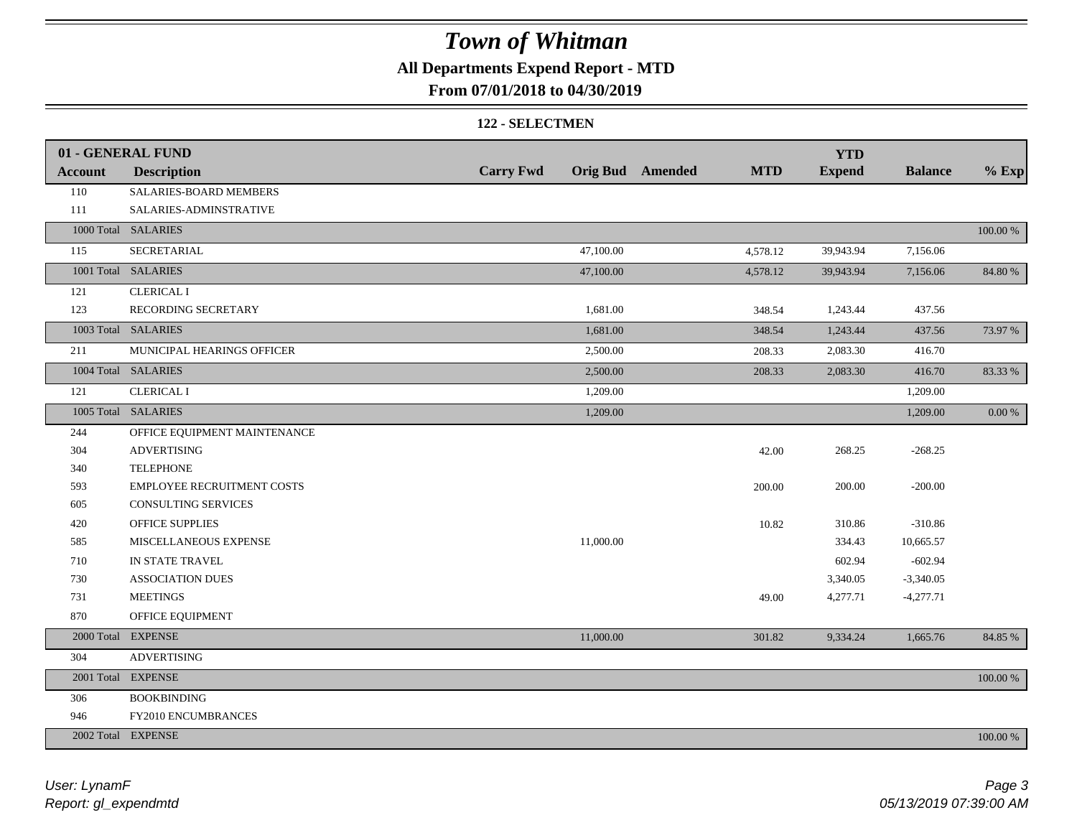## **All Departments Expend Report - MTD**

### **From 07/01/2018 to 04/30/2019**

#### **122 - SELECTMEN**

|                | 01 - GENERAL FUND                 |                  |           |                         |            | <b>YTD</b>    |                |          |
|----------------|-----------------------------------|------------------|-----------|-------------------------|------------|---------------|----------------|----------|
| <b>Account</b> | <b>Description</b>                | <b>Carry Fwd</b> |           | <b>Orig Bud</b> Amended | <b>MTD</b> | <b>Expend</b> | <b>Balance</b> | $%$ Exp  |
| 110            | SALARIES-BOARD MEMBERS            |                  |           |                         |            |               |                |          |
| 111            | SALARIES-ADMINSTRATIVE            |                  |           |                         |            |               |                |          |
|                | 1000 Total SALARIES               |                  |           |                         |            |               |                | 100.00 % |
| 115            | SECRETARIAL                       |                  | 47,100.00 |                         | 4,578.12   | 39,943.94     | 7,156.06       |          |
| 1001 Total     | <b>SALARIES</b>                   |                  | 47,100.00 |                         | 4,578.12   | 39,943.94     | 7,156.06       | 84.80 %  |
| 121            | <b>CLERICAL I</b>                 |                  |           |                         |            |               |                |          |
| 123            | RECORDING SECRETARY               |                  | 1,681.00  |                         | 348.54     | 1,243.44      | 437.56         |          |
|                | 1003 Total SALARIES               |                  | 1,681.00  |                         | 348.54     | 1,243.44      | 437.56         | 73.97 %  |
| 211            | MUNICIPAL HEARINGS OFFICER        |                  | 2,500.00  |                         | 208.33     | 2,083.30      | 416.70         |          |
|                | 1004 Total SALARIES               |                  | 2,500.00  |                         | 208.33     | 2,083.30      | 416.70         | 83.33%   |
| 121            | <b>CLERICAL I</b>                 |                  | 1,209.00  |                         |            |               | 1,209.00       |          |
|                | 1005 Total SALARIES               |                  | 1,209.00  |                         |            |               | 1,209.00       | $0.00\%$ |
| 244            | OFFICE EQUIPMENT MAINTENANCE      |                  |           |                         |            |               |                |          |
| 304            | <b>ADVERTISING</b>                |                  |           |                         | 42.00      | 268.25        | $-268.25$      |          |
| 340            | <b>TELEPHONE</b>                  |                  |           |                         |            |               |                |          |
| 593            | <b>EMPLOYEE RECRUITMENT COSTS</b> |                  |           |                         | 200.00     | 200.00        | $-200.00$      |          |
| 605            | <b>CONSULTING SERVICES</b>        |                  |           |                         |            |               |                |          |
| 420            | <b>OFFICE SUPPLIES</b>            |                  |           |                         | 10.82      | 310.86        | $-310.86$      |          |
| 585            | MISCELLANEOUS EXPENSE             |                  | 11,000.00 |                         |            | 334.43        | 10,665.57      |          |
| 710            | IN STATE TRAVEL                   |                  |           |                         |            | 602.94        | $-602.94$      |          |
| 730            | <b>ASSOCIATION DUES</b>           |                  |           |                         |            | 3,340.05      | $-3,340.05$    |          |
| 731            | <b>MEETINGS</b>                   |                  |           |                         | 49.00      | 4,277.71      | $-4,277.71$    |          |
| 870            | OFFICE EQUIPMENT                  |                  |           |                         |            |               |                |          |
| 2000 Total     | <b>EXPENSE</b>                    |                  | 11,000.00 |                         | 301.82     | 9,334.24      | 1,665.76       | 84.85 %  |
| 304            | <b>ADVERTISING</b>                |                  |           |                         |            |               |                |          |
| 2001 Total     | <b>EXPENSE</b>                    |                  |           |                         |            |               |                | 100.00 % |
| 306            | <b>BOOKBINDING</b>                |                  |           |                         |            |               |                |          |
| 946            | FY2010 ENCUMBRANCES               |                  |           |                         |            |               |                |          |
|                | 2002 Total EXPENSE                |                  |           |                         |            |               |                | 100.00 % |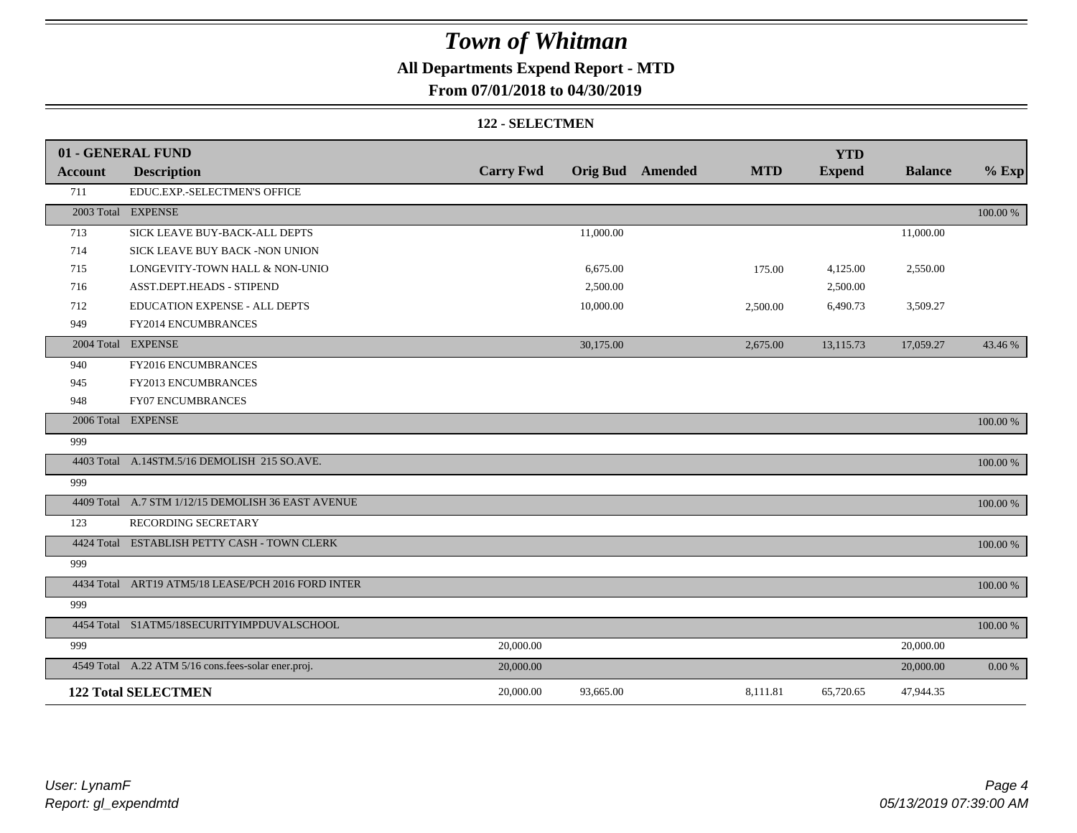## **All Departments Expend Report - MTD**

### **From 07/01/2018 to 04/30/2019**

#### **122 - SELECTMEN**

|         | 01 - GENERAL FUND                                   |                  |                         |            | <b>YTD</b>    |                |             |
|---------|-----------------------------------------------------|------------------|-------------------------|------------|---------------|----------------|-------------|
| Account | <b>Description</b>                                  | <b>Carry Fwd</b> | <b>Orig Bud</b> Amended | <b>MTD</b> | <b>Expend</b> | <b>Balance</b> | $%$ Exp     |
| 711     | EDUC.EXP.-SELECTMEN'S OFFICE                        |                  |                         |            |               |                |             |
|         | 2003 Total EXPENSE                                  |                  |                         |            |               |                | 100.00 %    |
| 713     | SICK LEAVE BUY-BACK-ALL DEPTS                       |                  | 11,000.00               |            |               | 11,000.00      |             |
| 714     | SICK LEAVE BUY BACK -NON UNION                      |                  |                         |            |               |                |             |
| 715     | LONGEVITY-TOWN HALL & NON-UNIO                      |                  | 6,675.00                | 175.00     | 4,125.00      | 2,550.00       |             |
| 716     | ASST.DEPT.HEADS - STIPEND                           |                  | 2,500.00                |            | 2,500.00      |                |             |
| 712     | EDUCATION EXPENSE - ALL DEPTS                       |                  | 10,000.00               | 2,500.00   | 6,490.73      | 3,509.27       |             |
| 949     | FY2014 ENCUMBRANCES                                 |                  |                         |            |               |                |             |
|         | 2004 Total EXPENSE                                  |                  | 30,175.00               | 2,675.00   | 13,115.73     | 17,059.27      | 43.46 %     |
| 940     | FY2016 ENCUMBRANCES                                 |                  |                         |            |               |                |             |
| 945     | FY2013 ENCUMBRANCES                                 |                  |                         |            |               |                |             |
| 948     | <b>FY07 ENCUMBRANCES</b>                            |                  |                         |            |               |                |             |
|         | 2006 Total EXPENSE                                  |                  |                         |            |               |                | 100.00 %    |
| 999     |                                                     |                  |                         |            |               |                |             |
|         | 4403 Total A.14STM.5/16 DEMOLISH 215 SO.AVE.        |                  |                         |            |               |                | 100.00 %    |
| 999     |                                                     |                  |                         |            |               |                |             |
|         | 4409 Total A.7 STM 1/12/15 DEMOLISH 36 EAST AVENUE  |                  |                         |            |               |                | 100.00 %    |
| 123     | RECORDING SECRETARY                                 |                  |                         |            |               |                |             |
|         | 4424 Total ESTABLISH PETTY CASH - TOWN CLERK        |                  |                         |            |               |                | 100.00 %    |
| 999     |                                                     |                  |                         |            |               |                |             |
|         | 4434 Total ART19 ATM5/18 LEASE/PCH 2016 FORD INTER  |                  |                         |            |               |                | 100.00 %    |
| 999     |                                                     |                  |                         |            |               |                |             |
|         | 4454 Total S1ATM5/18SECURITYIMPDUVALSCHOOL          |                  |                         |            |               |                | $100.00~\%$ |
| 999     |                                                     | 20,000.00        |                         |            |               | 20,000.00      |             |
|         | 4549 Total A.22 ATM 5/16 cons.fees-solar ener.proj. | 20,000.00        |                         |            |               | 20,000.00      | 0.00 %      |
|         | <b>122 Total SELECTMEN</b>                          | 20,000.00        | 93,665.00               | 8,111.81   | 65,720.65     | 47,944.35      |             |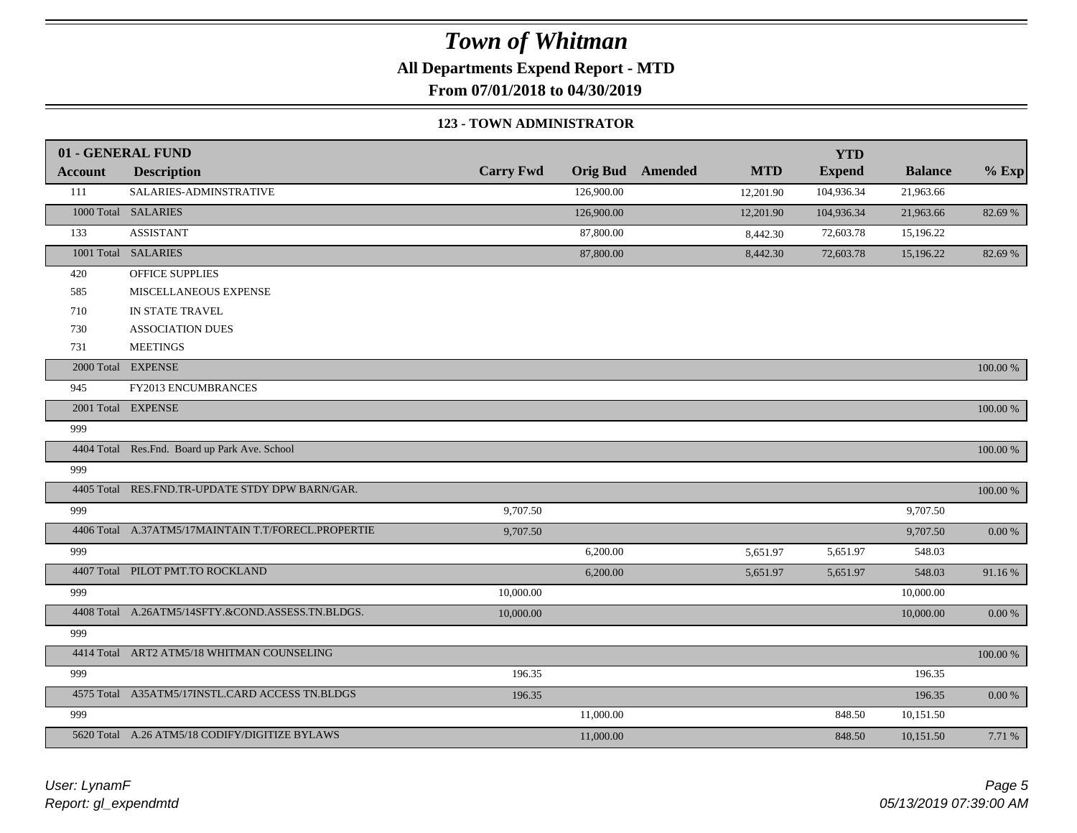**All Departments Expend Report - MTD**

**From 07/01/2018 to 04/30/2019**

#### **123 - TOWN ADMINISTRATOR**

|                | 01 - GENERAL FUND                                   |                  |            |                         |            | <b>YTD</b>    |                |             |
|----------------|-----------------------------------------------------|------------------|------------|-------------------------|------------|---------------|----------------|-------------|
| <b>Account</b> | <b>Description</b>                                  | <b>Carry Fwd</b> |            | <b>Orig Bud</b> Amended | <b>MTD</b> | <b>Expend</b> | <b>Balance</b> | $%$ Exp     |
| 111            | SALARIES-ADMINSTRATIVE                              |                  | 126,900.00 |                         | 12,201.90  | 104,936.34    | 21,963.66      |             |
|                | 1000 Total SALARIES                                 |                  | 126,900.00 |                         | 12,201.90  | 104,936.34    | 21,963.66      | 82.69 %     |
| 133            | <b>ASSISTANT</b>                                    |                  | 87,800.00  |                         | 8,442.30   | 72,603.78     | 15,196.22      |             |
|                | 1001 Total SALARIES                                 |                  | 87,800.00  |                         | 8,442.30   | 72,603.78     | 15,196.22      | 82.69 %     |
| 420            | OFFICE SUPPLIES                                     |                  |            |                         |            |               |                |             |
| 585            | MISCELLANEOUS EXPENSE                               |                  |            |                         |            |               |                |             |
| 710            | IN STATE TRAVEL                                     |                  |            |                         |            |               |                |             |
| 730            | <b>ASSOCIATION DUES</b>                             |                  |            |                         |            |               |                |             |
| 731            | <b>MEETINGS</b>                                     |                  |            |                         |            |               |                |             |
|                | 2000 Total EXPENSE                                  |                  |            |                         |            |               |                | 100.00 %    |
| 945            | FY2013 ENCUMBRANCES                                 |                  |            |                         |            |               |                |             |
|                | 2001 Total EXPENSE                                  |                  |            |                         |            |               |                | 100.00 %    |
| 999            |                                                     |                  |            |                         |            |               |                |             |
|                | 4404 Total Res.Fnd. Board up Park Ave. School       |                  |            |                         |            |               |                | 100.00 %    |
| 999            |                                                     |                  |            |                         |            |               |                |             |
|                | 4405 Total RES.FND.TR-UPDATE STDY DPW BARN/GAR.     |                  |            |                         |            |               |                | 100.00 %    |
| 999            |                                                     | 9,707.50         |            |                         |            |               | 9,707.50       |             |
|                | 4406 Total A.37ATM5/17MAINTAIN T.T/FORECL.PROPERTIE | 9,707.50         |            |                         |            |               | 9,707.50       | $0.00\ \%$  |
| 999            |                                                     |                  | 6,200.00   |                         | 5,651.97   | 5,651.97      | 548.03         |             |
|                | 4407 Total PILOT PMT.TO ROCKLAND                    |                  | 6,200.00   |                         | 5,651.97   | 5,651.97      | 548.03         | 91.16%      |
| 999            |                                                     | 10,000.00        |            |                         |            |               | 10,000.00      |             |
|                | 4408 Total A.26ATM5/14SFTY.&COND.ASSESS.TN.BLDGS.   | 10,000.00        |            |                         |            |               | 10,000.00      | $0.00\ \%$  |
| 999            |                                                     |                  |            |                         |            |               |                |             |
|                | 4414 Total ART2 ATM5/18 WHITMAN COUNSELING          |                  |            |                         |            |               |                | $100.00~\%$ |
| 999            |                                                     | 196.35           |            |                         |            |               | 196.35         |             |
|                | 4575 Total A35ATM5/17INSTL.CARD ACCESS TN.BLDGS     | 196.35           |            |                         |            |               | 196.35         | $0.00\ \%$  |
| 999            |                                                     |                  | 11,000.00  |                         |            | 848.50        | 10,151.50      |             |
|                | 5620 Total A.26 ATM5/18 CODIFY/DIGITIZE BYLAWS      |                  | 11,000.00  |                         |            | 848.50        | 10,151.50      | 7.71 %      |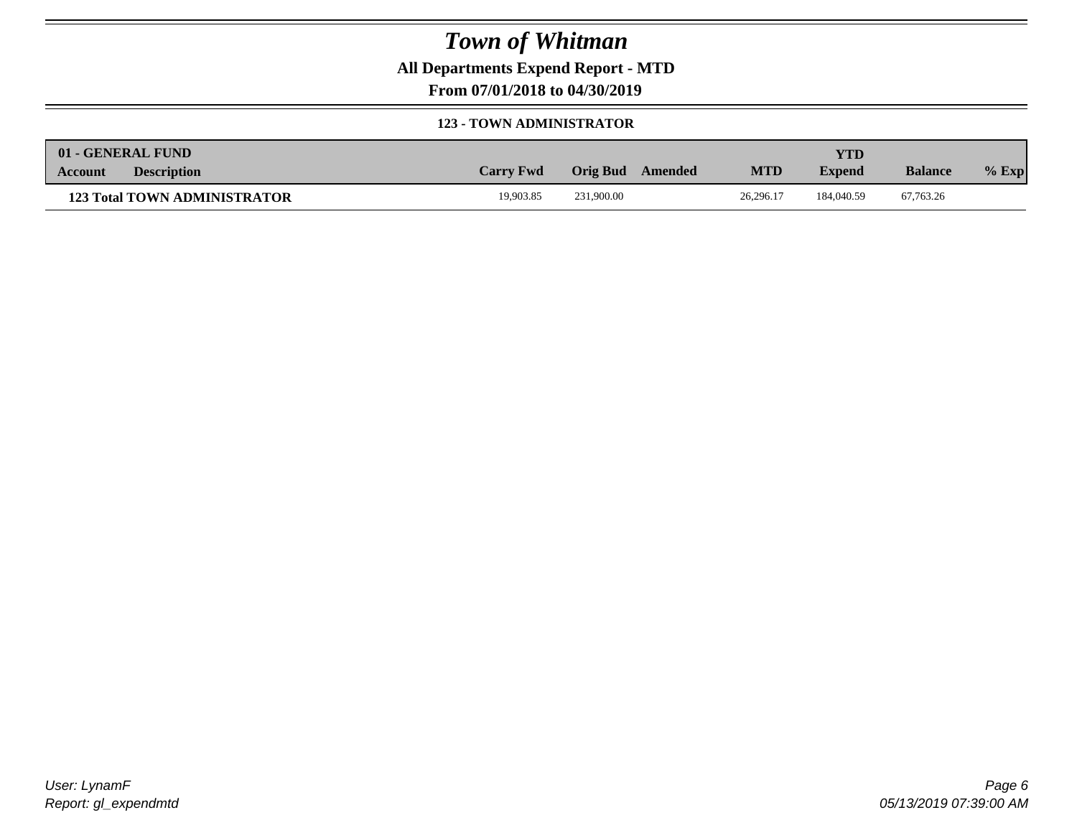**All Departments Expend Report - MTD**

**From 07/01/2018 to 04/30/2019**

#### **123 - TOWN ADMINISTRATOR**

|         | 01 - GENERAL FUND                   |                  |                  |            | <b>YTD</b>    |                |         |
|---------|-------------------------------------|------------------|------------------|------------|---------------|----------------|---------|
| Account | <b>Description</b>                  | <b>Carry Fwd</b> | Orig Bud Amended | <b>MTD</b> | <b>Expend</b> | <b>Balance</b> | $%$ Exp |
|         | <b>123 Total TOWN ADMINISTRATOR</b> | 19.903.85        | 231,900.00       | 26.296.17  | 184,040.59    | 67.763.26      |         |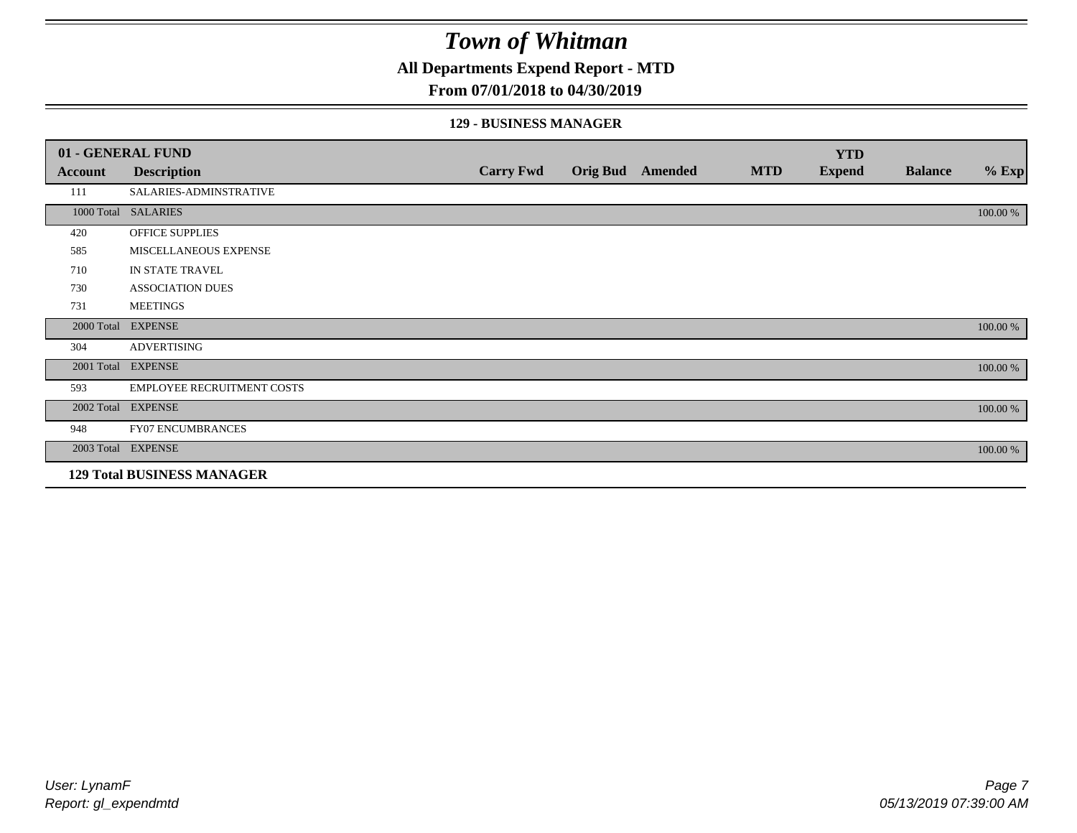**All Departments Expend Report - MTD**

### **From 07/01/2018 to 04/30/2019**

### **129 - BUSINESS MANAGER**

|            | 01 - GENERAL FUND                 |                  |                 |                |            | <b>YTD</b>    |                |          |
|------------|-----------------------------------|------------------|-----------------|----------------|------------|---------------|----------------|----------|
| Account    | <b>Description</b>                | <b>Carry Fwd</b> | <b>Orig Bud</b> | <b>Amended</b> | <b>MTD</b> | <b>Expend</b> | <b>Balance</b> | $%$ Exp  |
| 111        | SALARIES-ADMINSTRATIVE            |                  |                 |                |            |               |                |          |
|            | 1000 Total SALARIES               |                  |                 |                |            |               |                | 100.00 % |
| 420        | OFFICE SUPPLIES                   |                  |                 |                |            |               |                |          |
| 585        | MISCELLANEOUS EXPENSE             |                  |                 |                |            |               |                |          |
| 710        | IN STATE TRAVEL                   |                  |                 |                |            |               |                |          |
| 730        | <b>ASSOCIATION DUES</b>           |                  |                 |                |            |               |                |          |
| 731        | <b>MEETINGS</b>                   |                  |                 |                |            |               |                |          |
| 2000 Total | <b>EXPENSE</b>                    |                  |                 |                |            |               |                | 100.00 % |
| 304        | <b>ADVERTISING</b>                |                  |                 |                |            |               |                |          |
| 2001 Total | <b>EXPENSE</b>                    |                  |                 |                |            |               |                | 100.00 % |
| 593        | <b>EMPLOYEE RECRUITMENT COSTS</b> |                  |                 |                |            |               |                |          |
|            | 2002 Total EXPENSE                |                  |                 |                |            |               |                | 100.00 % |
| 948        | FY07 ENCUMBRANCES                 |                  |                 |                |            |               |                |          |
|            | 2003 Total EXPENSE                |                  |                 |                |            |               |                | 100.00 % |
|            | <b>129 Total BUSINESS MANAGER</b> |                  |                 |                |            |               |                |          |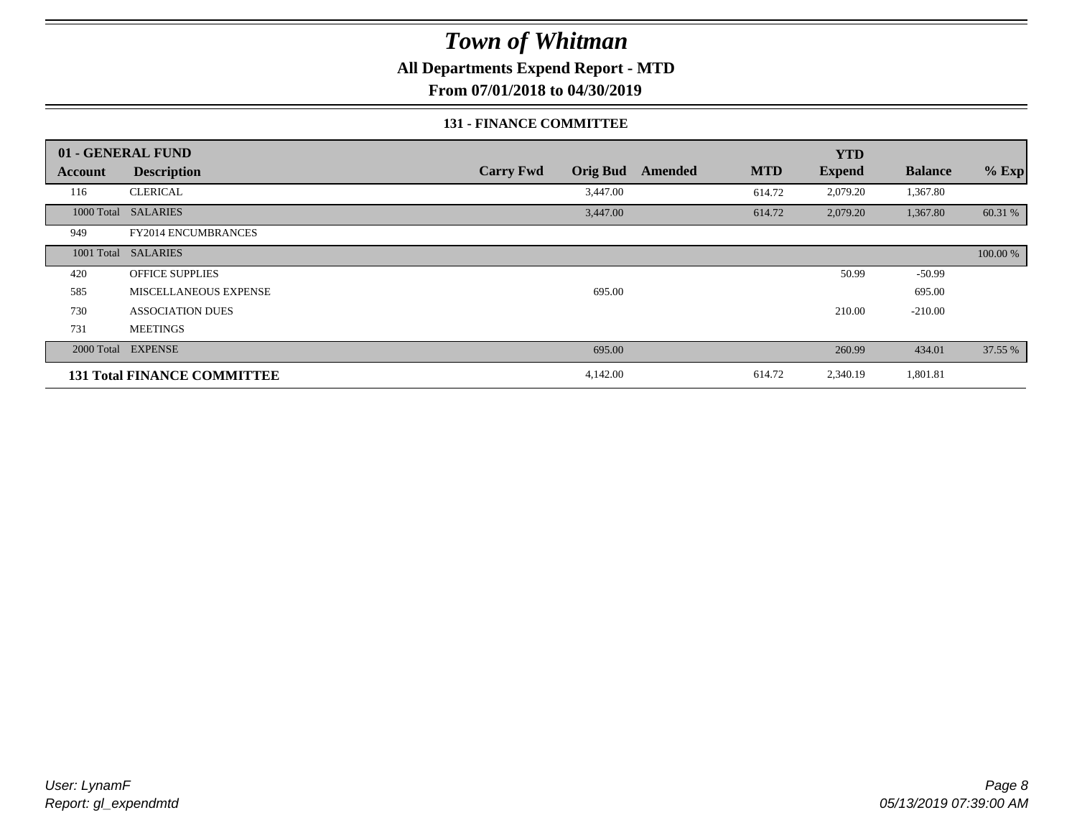**All Departments Expend Report - MTD**

**From 07/01/2018 to 04/30/2019**

### **131 - FINANCE COMMITTEE**

|         | 01 - GENERAL FUND                  |                  |                 |         |            | <b>YTD</b>    |                |          |
|---------|------------------------------------|------------------|-----------------|---------|------------|---------------|----------------|----------|
| Account | <b>Description</b>                 | <b>Carry Fwd</b> | <b>Orig Bud</b> | Amended | <b>MTD</b> | <b>Expend</b> | <b>Balance</b> | $%$ Exp  |
| 116     | <b>CLERICAL</b>                    |                  | 3,447.00        |         | 614.72     | 2,079.20      | 1,367.80       |          |
|         | 1000 Total SALARIES                |                  | 3,447.00        |         | 614.72     | 2,079.20      | 1,367.80       | 60.31 %  |
| 949     | FY2014 ENCUMBRANCES                |                  |                 |         |            |               |                |          |
|         | 1001 Total SALARIES                |                  |                 |         |            |               |                | 100.00 % |
| 420     | <b>OFFICE SUPPLIES</b>             |                  |                 |         |            | 50.99         | $-50.99$       |          |
| 585     | MISCELLANEOUS EXPENSE              |                  | 695.00          |         |            |               | 695.00         |          |
| 730     | <b>ASSOCIATION DUES</b>            |                  |                 |         |            | 210.00        | $-210.00$      |          |
| 731     | <b>MEETINGS</b>                    |                  |                 |         |            |               |                |          |
|         | 2000 Total EXPENSE                 |                  | 695.00          |         |            | 260.99        | 434.01         | 37.55 %  |
|         | <b>131 Total FINANCE COMMITTEE</b> |                  | 4,142.00        |         | 614.72     | 2,340.19      | 1,801.81       |          |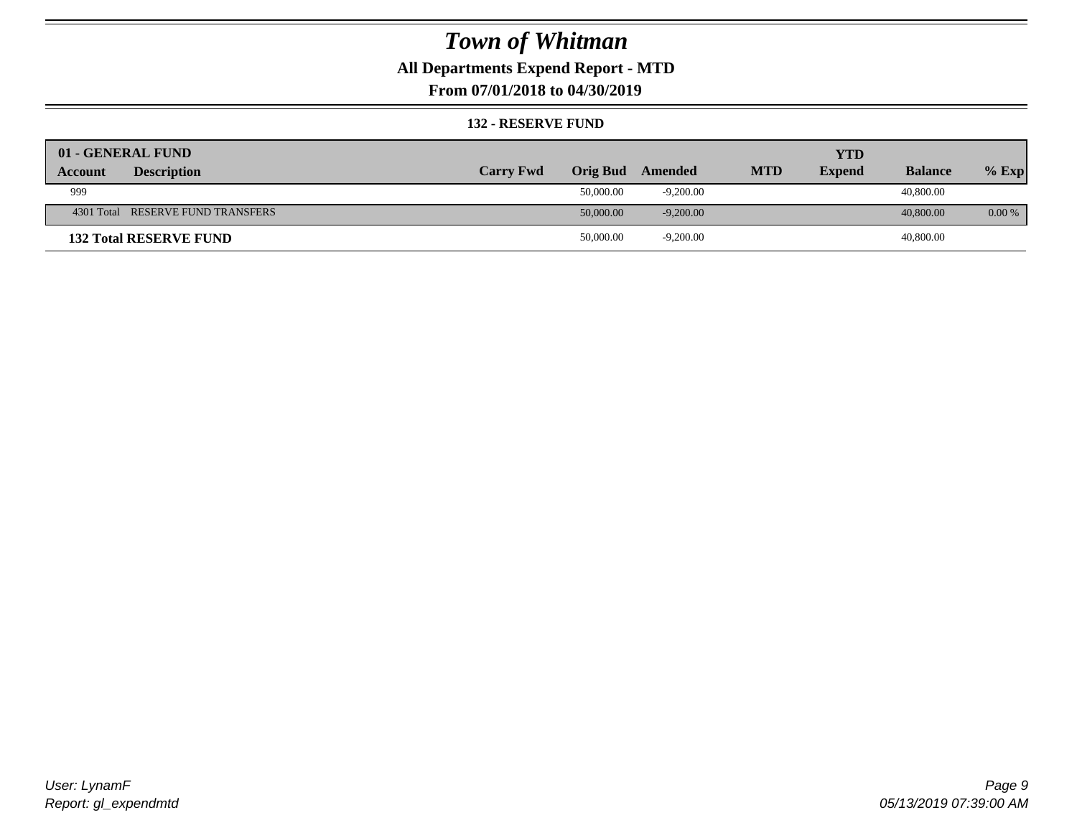### **All Departments Expend Report - MTD**

**From 07/01/2018 to 04/30/2019**

#### **132 - RESERVE FUND**

| 01 - GENERAL FUND                 |                  |                 |             |            | <b>YTD</b>    |                |         |
|-----------------------------------|------------------|-----------------|-------------|------------|---------------|----------------|---------|
| <b>Description</b><br>Account     | <b>Carry Fwd</b> | <b>Orig Bud</b> | Amended     | <b>MTD</b> | <b>Expend</b> | <b>Balance</b> | $%$ Exp |
| 999                               |                  | 50,000.00       | $-9,200.00$ |            |               | 40,800.00      |         |
| 4301 Total RESERVE FUND TRANSFERS |                  | 50,000.00       | $-9,200.00$ |            |               | 40,800.00      | 0.00 %  |
| <b>132 Total RESERVE FUND</b>     |                  | 50,000.00       | $-9,200.00$ |            |               | 40,800.00      |         |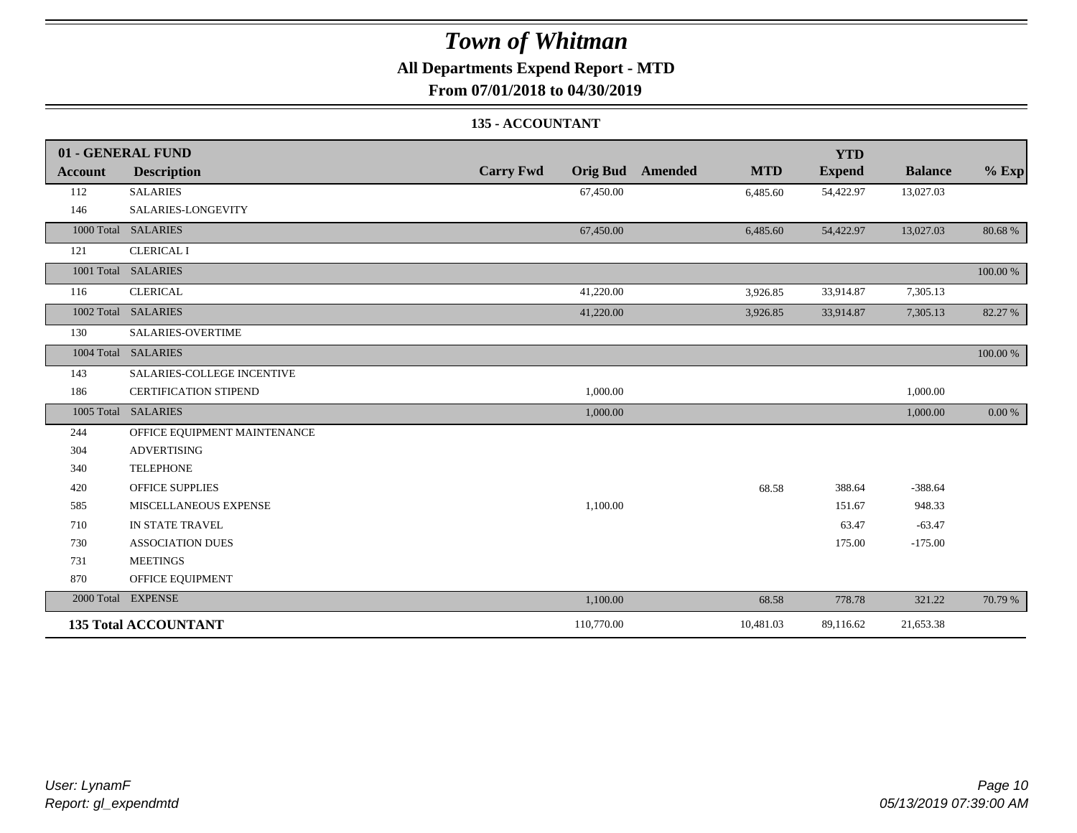## **All Departments Expend Report - MTD**

**From 07/01/2018 to 04/30/2019**

### **135 - ACCOUNTANT**

|                | 01 - GENERAL FUND            |                                     |                       | <b>YTD</b>    |                |          |
|----------------|------------------------------|-------------------------------------|-----------------------|---------------|----------------|----------|
| <b>Account</b> | <b>Description</b>           | <b>Carry Fwd</b><br><b>Orig Bud</b> | <b>MTD</b><br>Amended | <b>Expend</b> | <b>Balance</b> | $%$ Exp  |
| 112            | <b>SALARIES</b>              | 67,450.00                           | 6,485.60              | 54,422.97     | 13,027.03      |          |
| 146            | SALARIES-LONGEVITY           |                                     |                       |               |                |          |
|                | 1000 Total SALARIES          | 67,450.00                           | 6,485.60              | 54,422.97     | 13,027.03      | 80.68%   |
| 121            | <b>CLERICAL I</b>            |                                     |                       |               |                |          |
|                | 1001 Total SALARIES          |                                     |                       |               |                | 100.00 % |
| 116            | <b>CLERICAL</b>              | 41,220.00                           | 3,926.85              | 33,914.87     | 7,305.13       |          |
|                | 1002 Total SALARIES          | 41,220.00                           | 3,926.85              | 33,914.87     | 7,305.13       | 82.27 %  |
| 130            | SALARIES-OVERTIME            |                                     |                       |               |                |          |
|                | 1004 Total SALARIES          |                                     |                       |               |                | 100.00 % |
| 143            | SALARIES-COLLEGE INCENTIVE   |                                     |                       |               |                |          |
| 186            | <b>CERTIFICATION STIPEND</b> | 1,000.00                            |                       |               | 1,000.00       |          |
|                | 1005 Total SALARIES          | 1,000.00                            |                       |               | 1,000.00       | 0.00 %   |
| 244            | OFFICE EQUIPMENT MAINTENANCE |                                     |                       |               |                |          |
| 304            | <b>ADVERTISING</b>           |                                     |                       |               |                |          |
| 340            | <b>TELEPHONE</b>             |                                     |                       |               |                |          |
| 420            | <b>OFFICE SUPPLIES</b>       |                                     | 68.58                 | 388.64        | $-388.64$      |          |
| 585            | MISCELLANEOUS EXPENSE        | 1,100.00                            |                       | 151.67        | 948.33         |          |
| 710            | IN STATE TRAVEL              |                                     |                       | 63.47         | $-63.47$       |          |
| 730            | <b>ASSOCIATION DUES</b>      |                                     |                       | 175.00        | $-175.00$      |          |
| 731            | <b>MEETINGS</b>              |                                     |                       |               |                |          |
| 870            | OFFICE EQUIPMENT             |                                     |                       |               |                |          |
|                | 2000 Total EXPENSE           | 1,100.00                            | 68.58                 | 778.78        | 321.22         | 70.79 %  |
|                | <b>135 Total ACCOUNTANT</b>  | 110,770.00                          | 10,481.03             | 89,116.62     | 21,653.38      |          |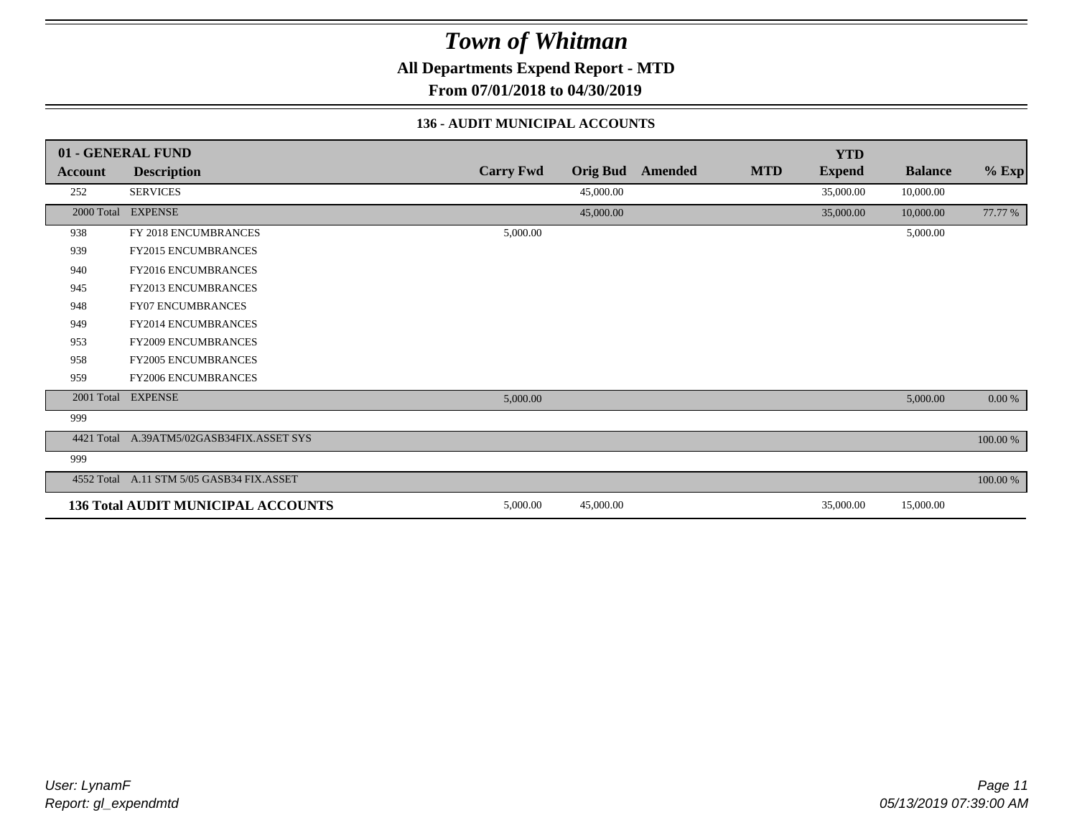**All Departments Expend Report - MTD**

**From 07/01/2018 to 04/30/2019**

### **136 - AUDIT MUNICIPAL ACCOUNTS**

|         | 01 - GENERAL FUND                         |                  |                 |         |            | <b>YTD</b>    |                |          |
|---------|-------------------------------------------|------------------|-----------------|---------|------------|---------------|----------------|----------|
| Account | <b>Description</b>                        | <b>Carry Fwd</b> | <b>Orig Bud</b> | Amended | <b>MTD</b> | <b>Expend</b> | <b>Balance</b> | $%$ Exp  |
| 252     | <b>SERVICES</b>                           |                  | 45,000.00       |         |            | 35,000.00     | 10,000.00      |          |
|         | 2000 Total EXPENSE                        |                  | 45,000.00       |         |            | 35,000.00     | 10,000.00      | 77.77 %  |
| 938     | FY 2018 ENCUMBRANCES                      | 5,000.00         |                 |         |            |               | 5,000.00       |          |
| 939     | FY2015 ENCUMBRANCES                       |                  |                 |         |            |               |                |          |
| 940     | <b>FY2016 ENCUMBRANCES</b>                |                  |                 |         |            |               |                |          |
| 945     | FY2013 ENCUMBRANCES                       |                  |                 |         |            |               |                |          |
| 948     | <b>FY07 ENCUMBRANCES</b>                  |                  |                 |         |            |               |                |          |
| 949     | <b>FY2014 ENCUMBRANCES</b>                |                  |                 |         |            |               |                |          |
| 953     | <b>FY2009 ENCUMBRANCES</b>                |                  |                 |         |            |               |                |          |
| 958     | <b>FY2005 ENCUMBRANCES</b>                |                  |                 |         |            |               |                |          |
| 959     | <b>FY2006 ENCUMBRANCES</b>                |                  |                 |         |            |               |                |          |
|         | 2001 Total EXPENSE                        | 5,000.00         |                 |         |            |               | 5,000.00       | 0.00 %   |
| 999     |                                           |                  |                 |         |            |               |                |          |
|         | 4421 Total A.39ATM5/02GASB34FIX.ASSET SYS |                  |                 |         |            |               |                | 100.00 % |
| 999     |                                           |                  |                 |         |            |               |                |          |
|         | 4552 Total A.11 STM 5/05 GASB34 FIX.ASSET |                  |                 |         |            |               |                | 100.00 % |
|         | <b>136 Total AUDIT MUNICIPAL ACCOUNTS</b> | 5,000.00         | 45,000.00       |         |            | 35,000.00     | 15,000.00      |          |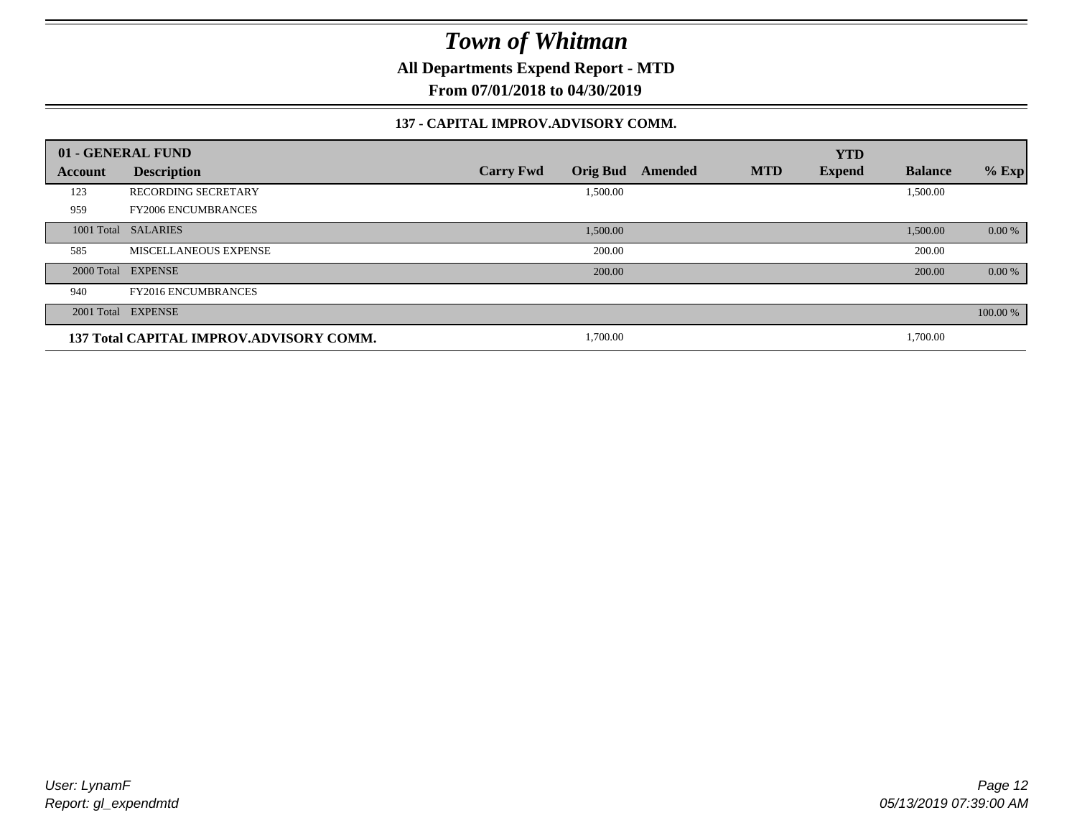**All Departments Expend Report - MTD**

**From 07/01/2018 to 04/30/2019**

### **137 - CAPITAL IMPROV.ADVISORY COMM.**

|         | 01 - GENERAL FUND                       |                                     |         |            | <b>YTD</b>    |                |          |
|---------|-----------------------------------------|-------------------------------------|---------|------------|---------------|----------------|----------|
| Account | <b>Description</b>                      | <b>Orig Bud</b><br><b>Carry Fwd</b> | Amended | <b>MTD</b> | <b>Expend</b> | <b>Balance</b> | $%$ Exp  |
| 123     | <b>RECORDING SECRETARY</b>              | 1,500.00                            |         |            |               | 1,500.00       |          |
| 959     | <b>FY2006 ENCUMBRANCES</b>              |                                     |         |            |               |                |          |
|         | 1001 Total SALARIES                     | 1,500.00                            |         |            |               | 1,500.00       | 0.00 %   |
| 585     | MISCELLANEOUS EXPENSE                   | 200.00                              |         |            |               | 200.00         |          |
|         | 2000 Total EXPENSE                      | 200.00                              |         |            |               | 200.00         | 0.00 %   |
| 940     | <b>FY2016 ENCUMBRANCES</b>              |                                     |         |            |               |                |          |
|         | 2001 Total EXPENSE                      |                                     |         |            |               |                | 100.00 % |
|         | 137 Total CAPITAL IMPROV.ADVISORY COMM. | 1,700.00                            |         |            |               | 1,700.00       |          |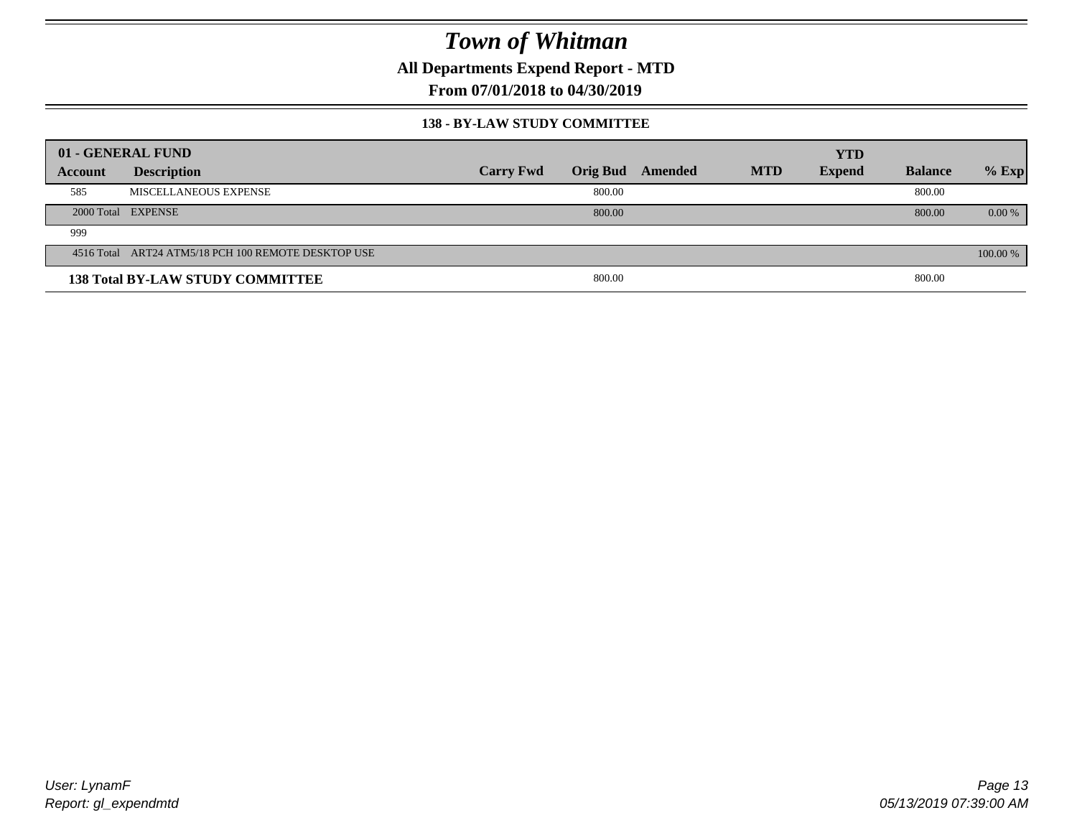**All Departments Expend Report - MTD**

**From 07/01/2018 to 04/30/2019**

#### **138 - BY-LAW STUDY COMMITTEE**

|         | 01 - GENERAL FUND                                   |                  |        |                  |            | <b>YTD</b>    |                |          |
|---------|-----------------------------------------------------|------------------|--------|------------------|------------|---------------|----------------|----------|
| Account | <b>Description</b>                                  | <b>Carry Fwd</b> |        | Orig Bud Amended | <b>MTD</b> | <b>Expend</b> | <b>Balance</b> | $%$ Exp  |
| 585     | MISCELLANEOUS EXPENSE                               |                  | 800.00 |                  |            |               | 800.00         |          |
|         | 2000 Total EXPENSE                                  |                  | 800.00 |                  |            |               | 800.00         | $0.00\%$ |
| 999     |                                                     |                  |        |                  |            |               |                |          |
|         | 4516 Total ART24 ATM5/18 PCH 100 REMOTE DESKTOP USE |                  |        |                  |            |               |                | 100.00 % |
|         | <b>138 Total BY-LAW STUDY COMMITTEE</b>             |                  | 800.00 |                  |            |               | 800.00         |          |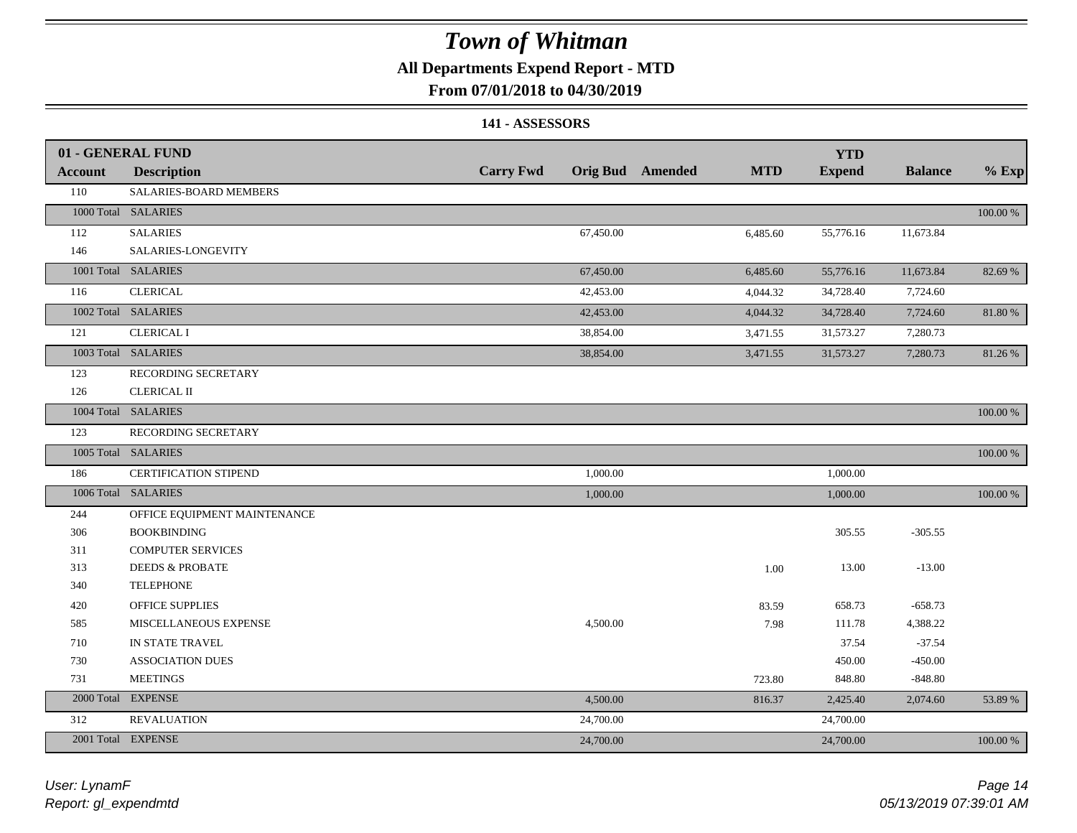### **All Departments Expend Report - MTD**

### **From 07/01/2018 to 04/30/2019**

### **141 - ASSESSORS**

|                | 01 - GENERAL FUND            |                  |           |                         |            | <b>YTD</b>    |                |             |
|----------------|------------------------------|------------------|-----------|-------------------------|------------|---------------|----------------|-------------|
| <b>Account</b> | <b>Description</b>           | <b>Carry Fwd</b> |           | <b>Orig Bud</b> Amended | <b>MTD</b> | <b>Expend</b> | <b>Balance</b> | $%$ Exp     |
| 110            | SALARIES-BOARD MEMBERS       |                  |           |                         |            |               |                |             |
|                | 1000 Total SALARIES          |                  |           |                         |            |               |                | 100.00 %    |
| 112            | <b>SALARIES</b>              |                  | 67,450.00 |                         | 6,485.60   | 55,776.16     | 11,673.84      |             |
| 146            | SALARIES-LONGEVITY           |                  |           |                         |            |               |                |             |
|                | 1001 Total SALARIES          |                  | 67,450.00 |                         | 6,485.60   | 55,776.16     | 11,673.84      | 82.69 %     |
| 116            | <b>CLERICAL</b>              |                  | 42,453.00 |                         | 4,044.32   | 34,728.40     | 7,724.60       |             |
|                | 1002 Total SALARIES          |                  | 42,453.00 |                         | 4,044.32   | 34,728.40     | 7,724.60       | 81.80%      |
| 121            | <b>CLERICAL I</b>            |                  | 38,854.00 |                         | 3,471.55   | 31,573.27     | 7,280.73       |             |
|                | 1003 Total SALARIES          |                  | 38,854.00 |                         | 3,471.55   | 31,573.27     | 7,280.73       | 81.26 %     |
| 123            | RECORDING SECRETARY          |                  |           |                         |            |               |                |             |
| 126            | <b>CLERICAL II</b>           |                  |           |                         |            |               |                |             |
|                | 1004 Total SALARIES          |                  |           |                         |            |               |                | 100.00 %    |
| 123            | RECORDING SECRETARY          |                  |           |                         |            |               |                |             |
|                | 1005 Total SALARIES          |                  |           |                         |            |               |                | $100.00~\%$ |
| 186            | <b>CERTIFICATION STIPEND</b> |                  | 1,000.00  |                         |            | 1,000.00      |                |             |
|                | 1006 Total SALARIES          |                  | 1,000.00  |                         |            | 1,000.00      |                | 100.00 %    |
| 244            | OFFICE EQUIPMENT MAINTENANCE |                  |           |                         |            |               |                |             |
| 306            | <b>BOOKBINDING</b>           |                  |           |                         |            | 305.55        | $-305.55$      |             |
| 311            | <b>COMPUTER SERVICES</b>     |                  |           |                         |            |               |                |             |
| 313            | <b>DEEDS &amp; PROBATE</b>   |                  |           |                         | 1.00       | 13.00         | $-13.00$       |             |
| 340            | <b>TELEPHONE</b>             |                  |           |                         |            |               |                |             |
| 420            | OFFICE SUPPLIES              |                  |           |                         | 83.59      | 658.73        | $-658.73$      |             |
| 585            | MISCELLANEOUS EXPENSE        |                  | 4,500.00  |                         | 7.98       | 111.78        | 4,388.22       |             |
| 710            | IN STATE TRAVEL              |                  |           |                         |            | 37.54         | $-37.54$       |             |
| 730            | <b>ASSOCIATION DUES</b>      |                  |           |                         |            | 450.00        | $-450.00$      |             |
| 731            | <b>MEETINGS</b>              |                  |           |                         | 723.80     | 848.80        | $-848.80$      |             |
| 2000 Total     | <b>EXPENSE</b>               |                  | 4,500.00  |                         | 816.37     | 2,425.40      | 2,074.60       | 53.89 %     |
| 312            | <b>REVALUATION</b>           |                  | 24,700.00 |                         |            | 24,700.00     |                |             |
|                | 2001 Total EXPENSE           |                  | 24,700.00 |                         |            | 24,700.00     |                | 100.00 %    |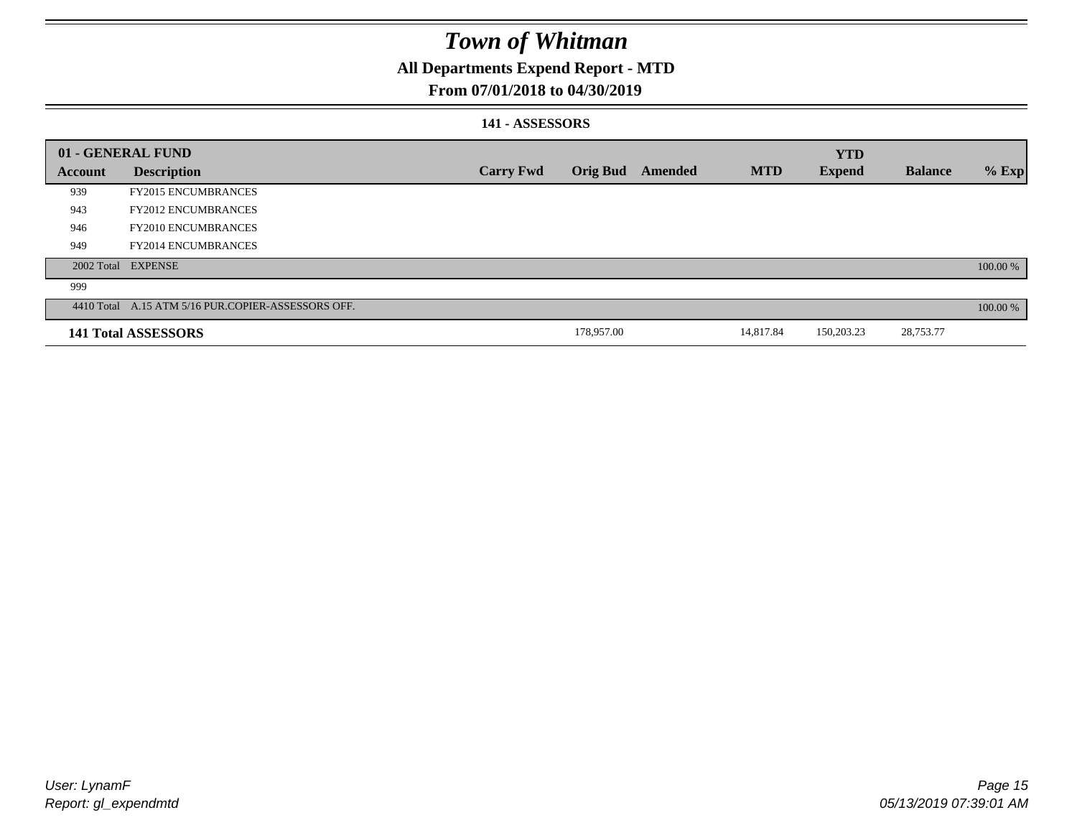### **All Departments Expend Report - MTD**

### **From 07/01/2018 to 04/30/2019**

### **141 - ASSESSORS**

|                | 01 - GENERAL FUND                                  |                  |                 |         |            | <b>YTD</b>    |                |          |
|----------------|----------------------------------------------------|------------------|-----------------|---------|------------|---------------|----------------|----------|
| <b>Account</b> | <b>Description</b>                                 | <b>Carry Fwd</b> | <b>Orig Bud</b> | Amended | <b>MTD</b> | <b>Expend</b> | <b>Balance</b> | $%$ Exp  |
| 939            | <b>FY2015 ENCUMBRANCES</b>                         |                  |                 |         |            |               |                |          |
| 943            | <b>FY2012 ENCUMBRANCES</b>                         |                  |                 |         |            |               |                |          |
| 946            | <b>FY2010 ENCUMBRANCES</b>                         |                  |                 |         |            |               |                |          |
| 949            | <b>FY2014 ENCUMBRANCES</b>                         |                  |                 |         |            |               |                |          |
|                | 2002 Total EXPENSE                                 |                  |                 |         |            |               |                | 100.00 % |
| 999            |                                                    |                  |                 |         |            |               |                |          |
|                | 4410 Total A.15 ATM 5/16 PUR.COPIER-ASSESSORS OFF. |                  |                 |         |            |               |                | 100.00 % |
|                | <b>141 Total ASSESSORS</b>                         |                  | 178,957.00      |         | 14,817.84  | 150,203.23    | 28,753.77      |          |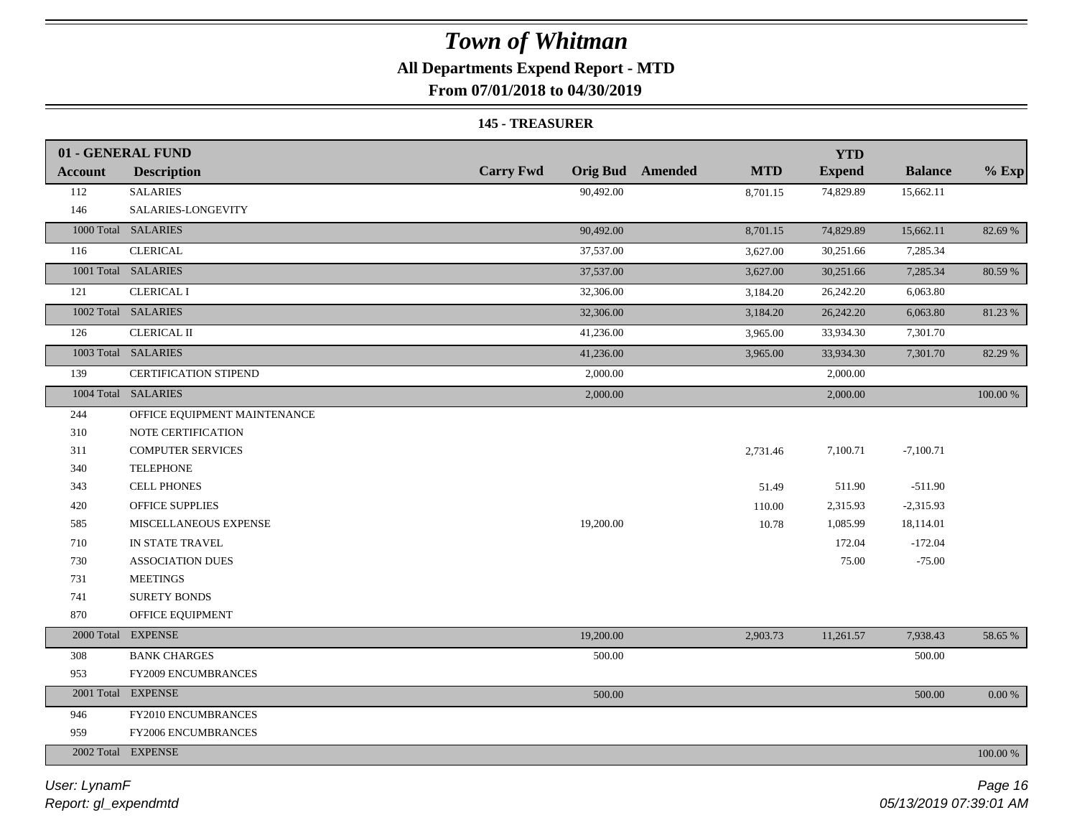### **All Departments Expend Report - MTD**

**From 07/01/2018 to 04/30/2019**

#### **145 - TREASURER**

|                | 01 - GENERAL FUND            |                  |                                       | <b>YTD</b>    |                |          |
|----------------|------------------------------|------------------|---------------------------------------|---------------|----------------|----------|
| <b>Account</b> | <b>Description</b>           | <b>Carry Fwd</b> | <b>Orig Bud</b> Amended<br><b>MTD</b> | <b>Expend</b> | <b>Balance</b> | $%$ Exp  |
| 112            | <b>SALARIES</b>              | 90,492.00        | 8,701.15                              | 74,829.89     | 15,662.11      |          |
| 146            | SALARIES-LONGEVITY           |                  |                                       |               |                |          |
|                | 1000 Total SALARIES          | 90,492.00        | 8,701.15                              | 74,829.89     | 15,662.11      | 82.69 %  |
| 116            | <b>CLERICAL</b>              | 37,537.00        | 3,627.00                              | 30,251.66     | 7,285.34       |          |
|                | 1001 Total SALARIES          | 37,537.00        | 3,627.00                              | 30,251.66     | 7,285.34       | 80.59 %  |
| 121            | <b>CLERICAL I</b>            | 32,306.00        | 3,184.20                              | 26,242.20     | 6,063.80       |          |
|                | 1002 Total SALARIES          | 32,306.00        | 3,184.20                              | 26,242.20     | 6,063.80       | 81.23 %  |
| 126            | <b>CLERICAL II</b>           | 41,236.00        | 3,965.00                              | 33,934.30     | 7,301.70       |          |
|                | 1003 Total SALARIES          | 41,236.00        | 3,965.00                              | 33,934.30     | 7,301.70       | 82.29 %  |
| 139            | <b>CERTIFICATION STIPEND</b> | 2,000.00         |                                       | 2,000.00      |                |          |
|                | 1004 Total SALARIES          | 2,000.00         |                                       | 2,000.00      |                | 100.00 % |
| 244            | OFFICE EQUIPMENT MAINTENANCE |                  |                                       |               |                |          |
| 310            | NOTE CERTIFICATION           |                  |                                       |               |                |          |
| 311            | <b>COMPUTER SERVICES</b>     |                  | 2,731.46                              | 7,100.71      | $-7,100.71$    |          |
| 340            | <b>TELEPHONE</b>             |                  |                                       |               |                |          |
| 343            | <b>CELL PHONES</b>           |                  | 51.49                                 | 511.90        | $-511.90$      |          |
| 420            | <b>OFFICE SUPPLIES</b>       |                  | 110.00                                | 2,315.93      | $-2,315.93$    |          |
| 585            | MISCELLANEOUS EXPENSE        | 19,200.00        | 10.78                                 | 1,085.99      | 18,114.01      |          |
| 710            | IN STATE TRAVEL              |                  |                                       | 172.04        | $-172.04$      |          |
| 730            | <b>ASSOCIATION DUES</b>      |                  |                                       | 75.00         | $-75.00$       |          |
| 731            | <b>MEETINGS</b>              |                  |                                       |               |                |          |
| 741            | SURETY BONDS                 |                  |                                       |               |                |          |
| 870            | OFFICE EQUIPMENT             |                  |                                       |               |                |          |
|                | 2000 Total EXPENSE           | 19,200.00        | 2,903.73                              | 11,261.57     | 7,938.43       | 58.65 %  |
| 308            | <b>BANK CHARGES</b>          | 500.00           |                                       |               | 500.00         |          |
| 953            | FY2009 ENCUMBRANCES          |                  |                                       |               |                |          |
|                | 2001 Total EXPENSE           | 500.00           |                                       |               | 500.00         | 0.00 %   |
| 946            | FY2010 ENCUMBRANCES          |                  |                                       |               |                |          |
| 959            | FY2006 ENCUMBRANCES          |                  |                                       |               |                |          |
|                | 2002 Total EXPENSE           |                  |                                       |               |                | 100.00 % |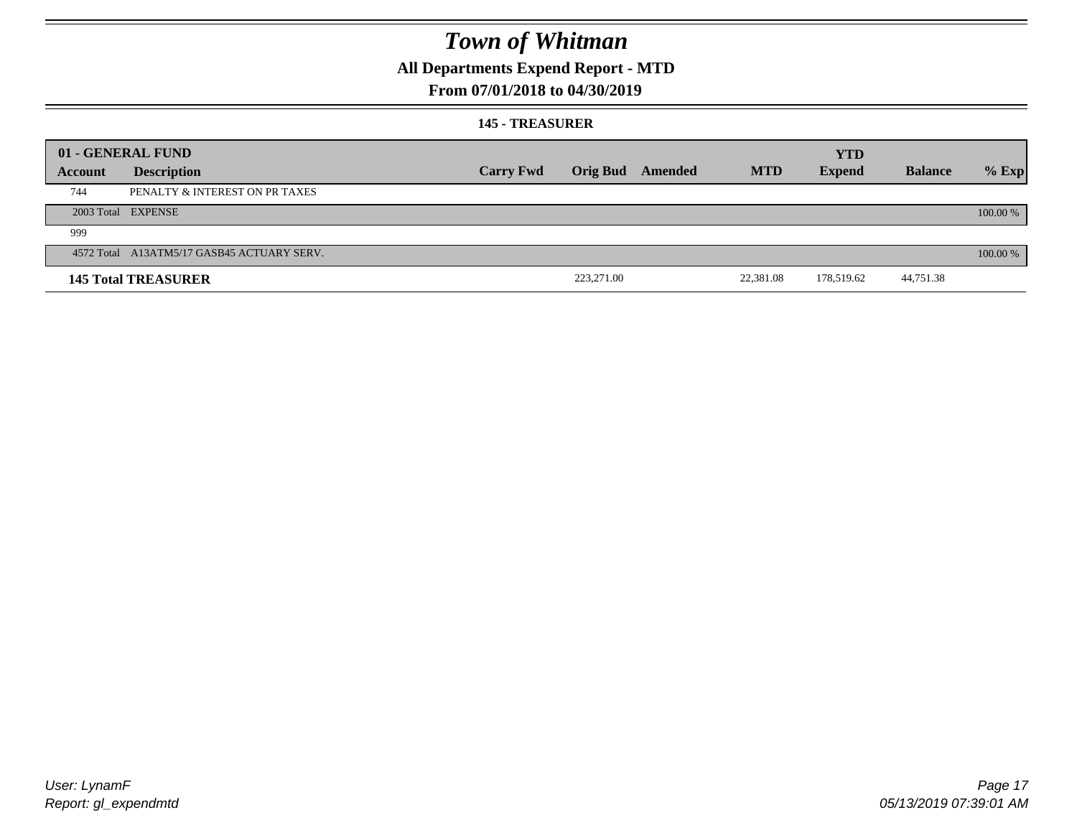## **All Departments Expend Report - MTD**

### **From 07/01/2018 to 04/30/2019**

#### **145 - TREASURER**

|         | 01 - GENERAL FUND                          |                  |            |                         |            | <b>YTD</b>    |                |            |
|---------|--------------------------------------------|------------------|------------|-------------------------|------------|---------------|----------------|------------|
| Account | <b>Description</b>                         | <b>Carry Fwd</b> |            | <b>Orig Bud</b> Amended | <b>MTD</b> | <b>Expend</b> | <b>Balance</b> | $%$ Exp    |
| 744     | PENALTY & INTEREST ON PR TAXES             |                  |            |                         |            |               |                |            |
|         | 2003 Total EXPENSE                         |                  |            |                         |            |               |                | 100.00 %   |
| 999     |                                            |                  |            |                         |            |               |                |            |
|         | 4572 Total A13ATM5/17 GASB45 ACTUARY SERV. |                  |            |                         |            |               |                | $100.00\%$ |
|         | <b>145 Total TREASURER</b>                 |                  | 223,271.00 |                         | 22,381.08  | 178,519.62    | 44,751.38      |            |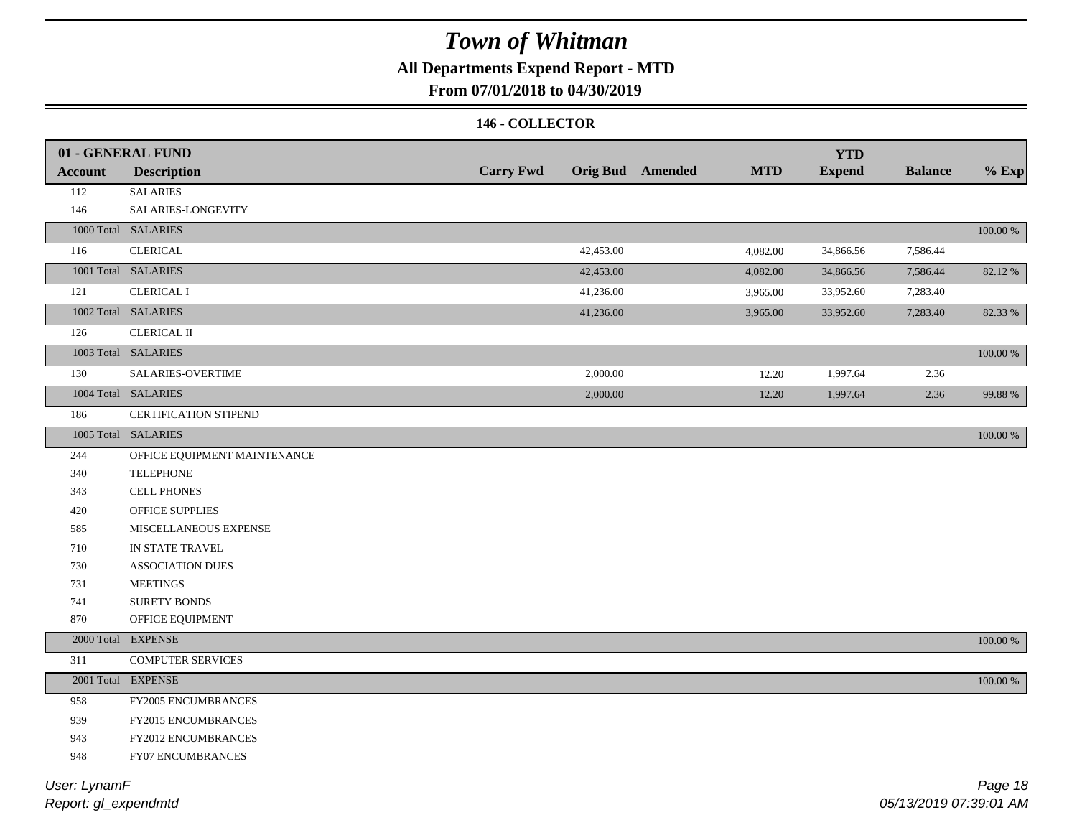## **All Departments Expend Report - MTD**

### **From 07/01/2018 to 04/30/2019**

### **146 - COLLECTOR**

|                | 01 - GENERAL FUND            |                  |           |                         |            | <b>YTD</b>    |                |             |
|----------------|------------------------------|------------------|-----------|-------------------------|------------|---------------|----------------|-------------|
| <b>Account</b> | <b>Description</b>           | <b>Carry Fwd</b> |           | <b>Orig Bud</b> Amended | <b>MTD</b> | <b>Expend</b> | <b>Balance</b> | $%$ Exp     |
| 112            | <b>SALARIES</b>              |                  |           |                         |            |               |                |             |
| 146            | SALARIES-LONGEVITY           |                  |           |                         |            |               |                |             |
|                | 1000 Total SALARIES          |                  |           |                         |            |               |                | $100.00~\%$ |
| 116            | <b>CLERICAL</b>              |                  | 42,453.00 |                         | 4,082.00   | 34,866.56     | 7,586.44       |             |
|                | 1001 Total SALARIES          |                  | 42,453.00 |                         | 4,082.00   | 34,866.56     | 7,586.44       | 82.12%      |
| 121            | <b>CLERICAL I</b>            |                  | 41,236.00 |                         | 3,965.00   | 33,952.60     | 7,283.40       |             |
|                | 1002 Total SALARIES          |                  | 41,236.00 |                         | 3,965.00   | 33,952.60     | 7,283.40       | 82.33 %     |
| 126            | CLERICAL II                  |                  |           |                         |            |               |                |             |
|                | 1003 Total SALARIES          |                  |           |                         |            |               |                | $100.00~\%$ |
| 130            | SALARIES-OVERTIME            |                  | 2,000.00  |                         | 12.20      | 1,997.64      | 2.36           |             |
|                | 1004 Total SALARIES          |                  | 2,000.00  |                         | 12.20      | 1,997.64      | 2.36           | 99.88%      |
| 186            | CERTIFICATION STIPEND        |                  |           |                         |            |               |                |             |
|                | 1005 Total SALARIES          |                  |           |                         |            |               |                | $100.00~\%$ |
| 244            | OFFICE EQUIPMENT MAINTENANCE |                  |           |                         |            |               |                |             |
| 340            | <b>TELEPHONE</b>             |                  |           |                         |            |               |                |             |
| 343            | <b>CELL PHONES</b>           |                  |           |                         |            |               |                |             |
| 420            | OFFICE SUPPLIES              |                  |           |                         |            |               |                |             |
| 585            | MISCELLANEOUS EXPENSE        |                  |           |                         |            |               |                |             |
| 710            | IN STATE TRAVEL              |                  |           |                         |            |               |                |             |
| 730            | ASSOCIATION DUES             |                  |           |                         |            |               |                |             |
| 731            | <b>MEETINGS</b>              |                  |           |                         |            |               |                |             |
| 741            | <b>SURETY BONDS</b>          |                  |           |                         |            |               |                |             |
| 870            | OFFICE EQUIPMENT             |                  |           |                         |            |               |                |             |
|                | 2000 Total EXPENSE           |                  |           |                         |            |               |                | 100.00 %    |
| 311            | <b>COMPUTER SERVICES</b>     |                  |           |                         |            |               |                |             |
|                | 2001 Total EXPENSE           |                  |           |                         |            |               |                | 100.00 %    |
| 958            | FY2005 ENCUMBRANCES          |                  |           |                         |            |               |                |             |
| 939            | FY2015 ENCUMBRANCES          |                  |           |                         |            |               |                |             |
| 943            | FY2012 ENCUMBRANCES          |                  |           |                         |            |               |                |             |
| 948            | FY07 ENCUMBRANCES            |                  |           |                         |            |               |                |             |
|                |                              |                  |           |                         |            |               |                |             |

*Report: gl\_expendmtd User: LynamF*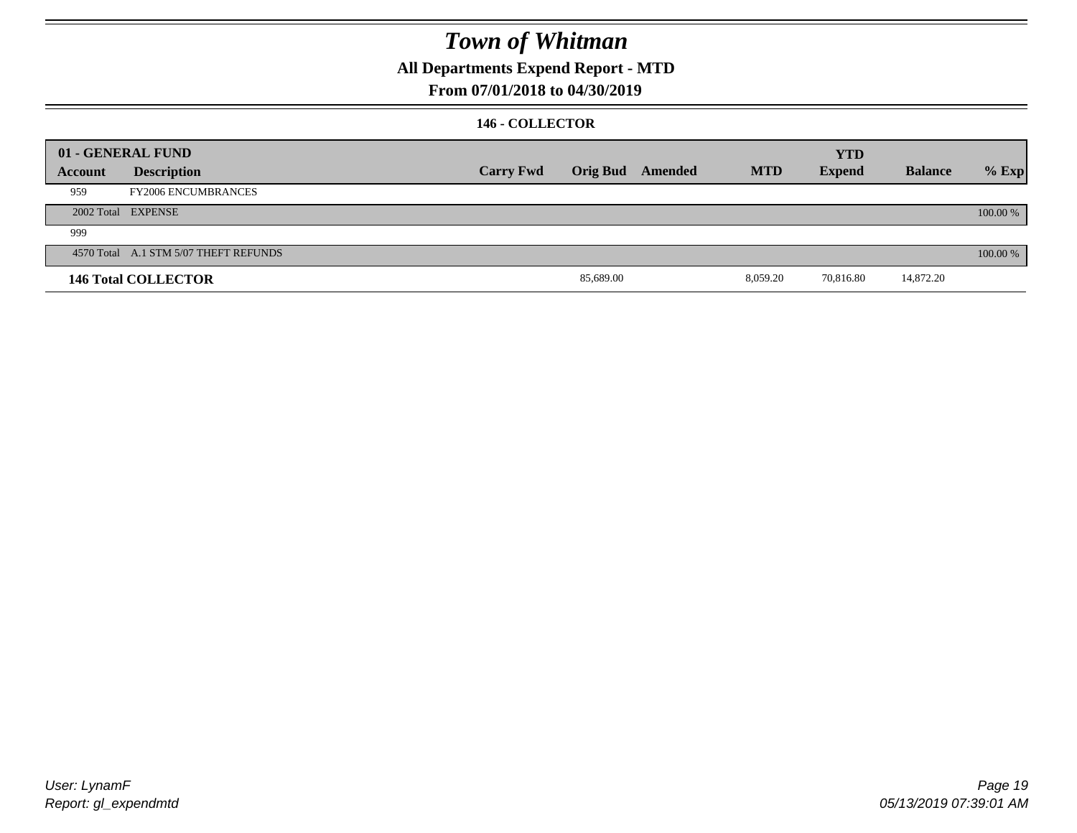**All Departments Expend Report - MTD**

### **From 07/01/2018 to 04/30/2019**

### **146 - COLLECTOR**

|         | 01 - GENERAL FUND                     |                  |           |                  |            | <b>YTD</b>    |                |          |
|---------|---------------------------------------|------------------|-----------|------------------|------------|---------------|----------------|----------|
| Account | <b>Description</b>                    | <b>Carry Fwd</b> |           | Orig Bud Amended | <b>MTD</b> | <b>Expend</b> | <b>Balance</b> | $%$ Exp  |
| 959     | <b>FY2006 ENCUMBRANCES</b>            |                  |           |                  |            |               |                |          |
|         | 2002 Total EXPENSE                    |                  |           |                  |            |               |                | 100.00 % |
| 999     |                                       |                  |           |                  |            |               |                |          |
|         | 4570 Total A.1 STM 5/07 THEFT REFUNDS |                  |           |                  |            |               |                | 100.00 % |
|         | <b>146 Total COLLECTOR</b>            |                  | 85,689.00 |                  | 8,059.20   | 70,816.80     | 14,872.20      |          |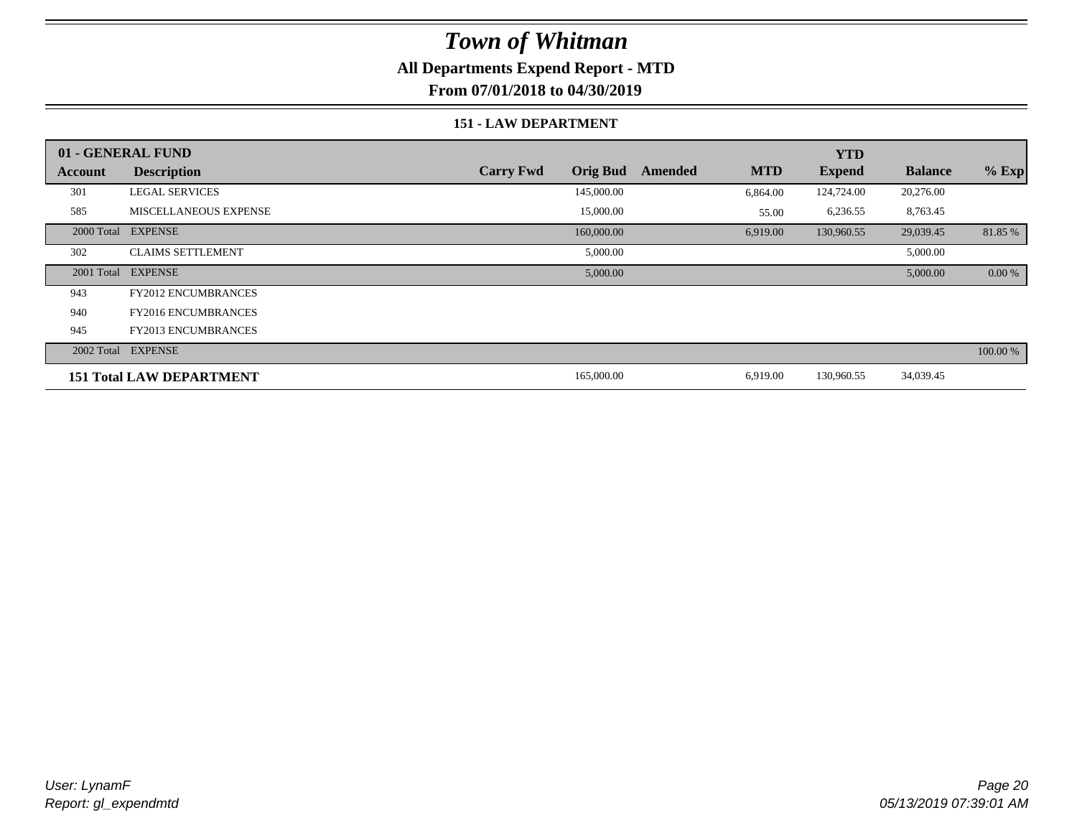### **All Departments Expend Report - MTD**

**From 07/01/2018 to 04/30/2019**

#### **151 - LAW DEPARTMENT**

|         | 01 - GENERAL FUND               |                                     |                       | <b>YTD</b>    |                |          |
|---------|---------------------------------|-------------------------------------|-----------------------|---------------|----------------|----------|
| Account | <b>Description</b>              | <b>Orig Bud</b><br><b>Carry Fwd</b> | <b>MTD</b><br>Amended | <b>Expend</b> | <b>Balance</b> | $%$ Exp  |
| 301     | <b>LEGAL SERVICES</b>           | 145,000.00                          | 6,864.00              | 124,724.00    | 20,276.00      |          |
| 585     | <b>MISCELLANEOUS EXPENSE</b>    | 15,000.00                           | 55.00                 | 6,236.55      | 8,763.45       |          |
|         | 2000 Total EXPENSE              | 160,000.00                          | 6,919.00              | 130,960.55    | 29,039.45      | 81.85 %  |
| 302     | <b>CLAIMS SETTLEMENT</b>        | 5,000.00                            |                       |               | 5,000.00       |          |
|         | 2001 Total EXPENSE              | 5,000.00                            |                       |               | 5,000.00       | 0.00 %   |
| 943     | <b>FY2012 ENCUMBRANCES</b>      |                                     |                       |               |                |          |
| 940     | <b>FY2016 ENCUMBRANCES</b>      |                                     |                       |               |                |          |
| 945     | <b>FY2013 ENCUMBRANCES</b>      |                                     |                       |               |                |          |
|         | 2002 Total EXPENSE              |                                     |                       |               |                | 100.00 % |
|         | <b>151 Total LAW DEPARTMENT</b> | 165,000.00                          | 6,919.00              | 130,960.55    | 34,039.45      |          |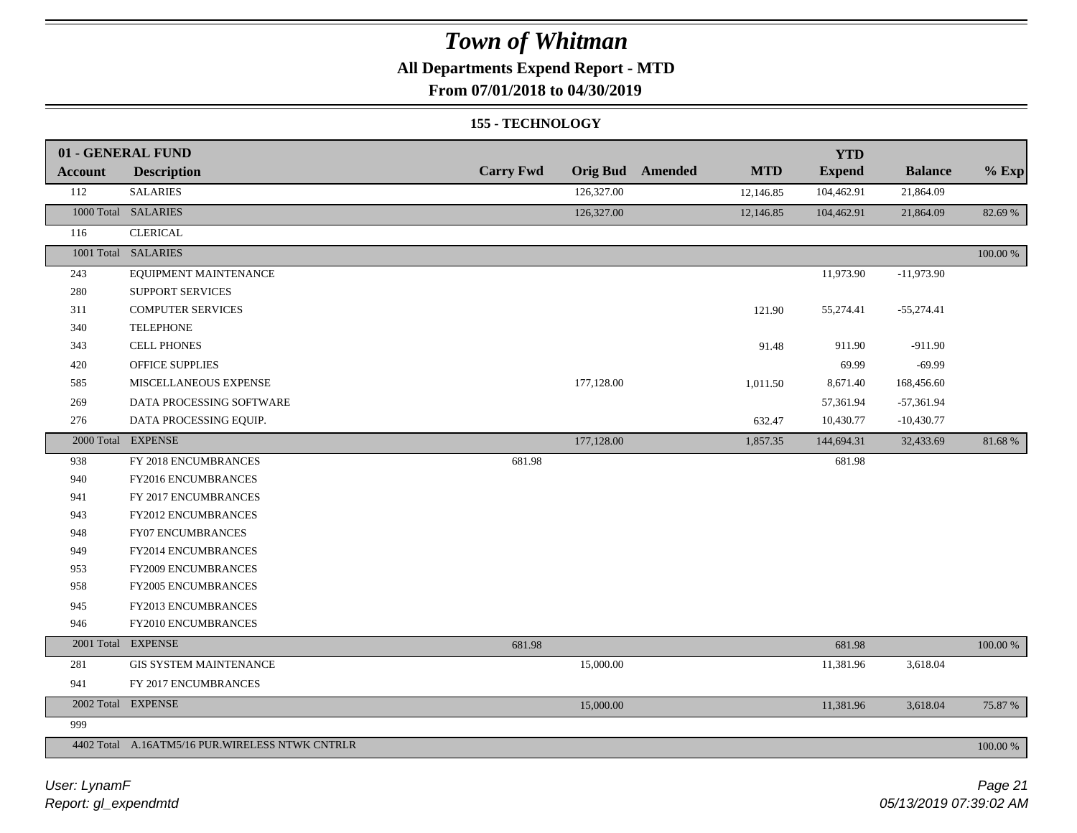## **All Departments Expend Report - MTD**

**From 07/01/2018 to 04/30/2019**

#### **155 - TECHNOLOGY**

|                | 01 - GENERAL FUND                               |                  |            |                         |            | <b>YTD</b>    |                |             |
|----------------|-------------------------------------------------|------------------|------------|-------------------------|------------|---------------|----------------|-------------|
| <b>Account</b> | <b>Description</b>                              | <b>Carry Fwd</b> |            | <b>Orig Bud</b> Amended | <b>MTD</b> | <b>Expend</b> | <b>Balance</b> | $%$ Exp     |
| 112            | <b>SALARIES</b>                                 |                  | 126,327.00 |                         | 12,146.85  | 104,462.91    | 21,864.09      |             |
|                | 1000 Total SALARIES                             |                  | 126,327.00 |                         | 12,146.85  | 104,462.91    | 21,864.09      | 82.69%      |
| 116            | <b>CLERICAL</b>                                 |                  |            |                         |            |               |                |             |
|                | 1001 Total SALARIES                             |                  |            |                         |            |               |                | 100.00 %    |
| 243            | EQUIPMENT MAINTENANCE                           |                  |            |                         |            | 11,973.90     | $-11,973.90$   |             |
| 280            | <b>SUPPORT SERVICES</b>                         |                  |            |                         |            |               |                |             |
| 311            | <b>COMPUTER SERVICES</b>                        |                  |            |                         | 121.90     | 55,274.41     | $-55,274.41$   |             |
| 340            | <b>TELEPHONE</b>                                |                  |            |                         |            |               |                |             |
| 343            | <b>CELL PHONES</b>                              |                  |            |                         | 91.48      | 911.90        | $-911.90$      |             |
| 420            | <b>OFFICE SUPPLIES</b>                          |                  |            |                         |            | 69.99         | $-69.99$       |             |
| 585            | MISCELLANEOUS EXPENSE                           |                  | 177,128.00 |                         | 1,011.50   | 8,671.40      | 168,456.60     |             |
| 269            | DATA PROCESSING SOFTWARE                        |                  |            |                         |            | 57,361.94     | $-57,361.94$   |             |
| 276            | DATA PROCESSING EQUIP.                          |                  |            |                         | 632.47     | 10,430.77     | $-10,430.77$   |             |
|                | 2000 Total EXPENSE                              |                  | 177,128.00 |                         | 1,857.35   | 144,694.31    | 32,433.69      | 81.68%      |
| 938            | FY 2018 ENCUMBRANCES                            | 681.98           |            |                         |            | 681.98        |                |             |
| 940            | FY2016 ENCUMBRANCES                             |                  |            |                         |            |               |                |             |
| 941            | FY 2017 ENCUMBRANCES                            |                  |            |                         |            |               |                |             |
| 943            | FY2012 ENCUMBRANCES                             |                  |            |                         |            |               |                |             |
| 948            | <b>FY07 ENCUMBRANCES</b>                        |                  |            |                         |            |               |                |             |
| 949            | FY2014 ENCUMBRANCES                             |                  |            |                         |            |               |                |             |
| 953            | FY2009 ENCUMBRANCES                             |                  |            |                         |            |               |                |             |
| 958            | FY2005 ENCUMBRANCES                             |                  |            |                         |            |               |                |             |
| 945            | FY2013 ENCUMBRANCES                             |                  |            |                         |            |               |                |             |
| 946            | FY2010 ENCUMBRANCES                             |                  |            |                         |            |               |                |             |
|                | 2001 Total EXPENSE                              | 681.98           |            |                         |            | 681.98        |                | 100.00 %    |
| 281            | <b>GIS SYSTEM MAINTENANCE</b>                   |                  | 15,000.00  |                         |            | 11,381.96     | 3,618.04       |             |
| 941            | FY 2017 ENCUMBRANCES                            |                  |            |                         |            |               |                |             |
|                | 2002 Total EXPENSE                              |                  | 15,000.00  |                         |            | 11,381.96     | 3,618.04       | 75.87 %     |
| 999            |                                                 |                  |            |                         |            |               |                |             |
|                | 4402 Total A.16ATM5/16 PUR.WIRELESS NTWK CNTRLR |                  |            |                         |            |               |                | $100.00~\%$ |

*Report: gl\_expendmtd User: LynamF*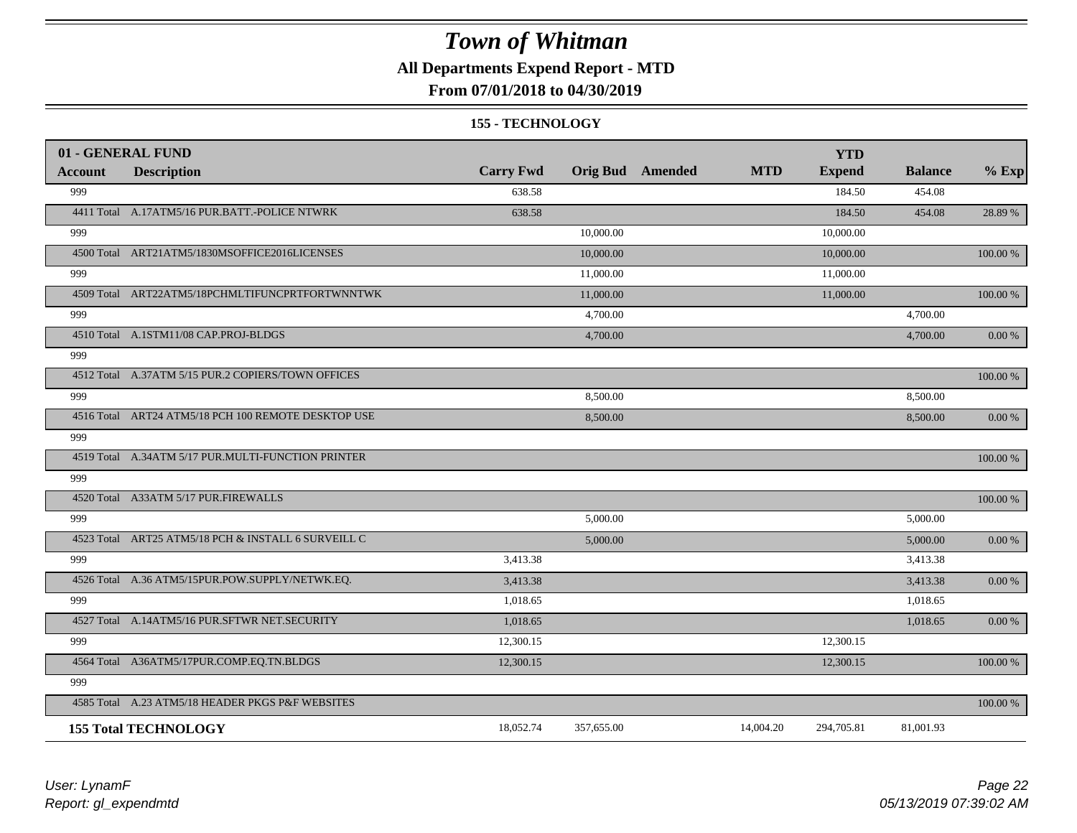### **All Departments Expend Report - MTD**

### **From 07/01/2018 to 04/30/2019**

#### **155 - TECHNOLOGY**

|                | 01 - GENERAL FUND                                   |                  |            |                         |            | <b>YTD</b>    |                |            |
|----------------|-----------------------------------------------------|------------------|------------|-------------------------|------------|---------------|----------------|------------|
| <b>Account</b> | <b>Description</b>                                  | <b>Carry Fwd</b> |            | <b>Orig Bud</b> Amended | <b>MTD</b> | <b>Expend</b> | <b>Balance</b> | $%$ Exp    |
| 999            |                                                     | 638.58           |            |                         |            | 184.50        | 454.08         |            |
|                | 4411 Total A.17ATM5/16 PUR.BATT.-POLICE NTWRK       | 638.58           |            |                         |            | 184.50        | 454.08         | 28.89 %    |
| 999            |                                                     |                  | 10,000.00  |                         |            | 10,000.00     |                |            |
|                | 4500 Total ART21ATM5/1830MSOFFICE2016LICENSES       |                  | 10,000.00  |                         |            | 10,000.00     |                | 100.00 %   |
| 999            |                                                     |                  | 11,000.00  |                         |            | 11,000.00     |                |            |
|                | 4509 Total ART22ATM5/18PCHMLTIFUNCPRTFORTWNNTWK     |                  | 11,000.00  |                         |            | 11,000.00     |                | 100.00 %   |
| 999            |                                                     |                  | 4,700.00   |                         |            |               | 4,700.00       |            |
|                | 4510 Total A.1STM11/08 CAP.PROJ-BLDGS               |                  | 4,700.00   |                         |            |               | 4,700.00       | $0.00\ \%$ |
| 999            |                                                     |                  |            |                         |            |               |                |            |
|                | 4512 Total A.37ATM 5/15 PUR.2 COPIERS/TOWN OFFICES  |                  |            |                         |            |               |                | 100.00 %   |
| 999            |                                                     |                  | 8,500.00   |                         |            |               | 8,500.00       |            |
|                | 4516 Total ART24 ATM5/18 PCH 100 REMOTE DESKTOP USE |                  | 8,500.00   |                         |            |               | 8,500.00       | 0.00 %     |
| 999            |                                                     |                  |            |                         |            |               |                |            |
|                | 4519 Total A.34ATM 5/17 PUR.MULTI-FUNCTION PRINTER  |                  |            |                         |            |               |                | 100.00 %   |
| 999            |                                                     |                  |            |                         |            |               |                |            |
|                | 4520 Total A33ATM 5/17 PUR.FIREWALLS                |                  |            |                         |            |               |                | 100.00 %   |
| 999            |                                                     |                  | 5,000.00   |                         |            |               | 5,000.00       |            |
|                | 4523 Total ART25 ATM5/18 PCH & INSTALL 6 SURVEILL C |                  | 5,000.00   |                         |            |               | 5,000.00       | $0.00\,\%$ |
| 999            |                                                     | 3,413.38         |            |                         |            |               | 3,413.38       |            |
|                | 4526 Total A.36 ATM5/15PUR.POW.SUPPLY/NETWK.EQ.     | 3,413.38         |            |                         |            |               | 3,413.38       | 0.00 %     |
| 999            |                                                     | 1,018.65         |            |                         |            |               | 1,018.65       |            |
|                | 4527 Total A.14ATM5/16 PUR.SFTWR NET.SECURITY       | 1,018.65         |            |                         |            |               | 1,018.65       | 0.00 %     |
| 999            |                                                     | 12,300.15        |            |                         |            | 12,300.15     |                |            |
|                | 4564 Total A36ATM5/17PUR.COMP.EQ.TN.BLDGS           | 12,300.15        |            |                         |            | 12,300.15     |                | 100.00 %   |
| 999            |                                                     |                  |            |                         |            |               |                |            |
|                | 4585 Total A.23 ATM5/18 HEADER PKGS P&F WEBSITES    |                  |            |                         |            |               |                | 100.00 %   |
|                | <b>155 Total TECHNOLOGY</b>                         | 18,052.74        | 357,655.00 |                         | 14,004.20  | 294,705.81    | 81,001.93      |            |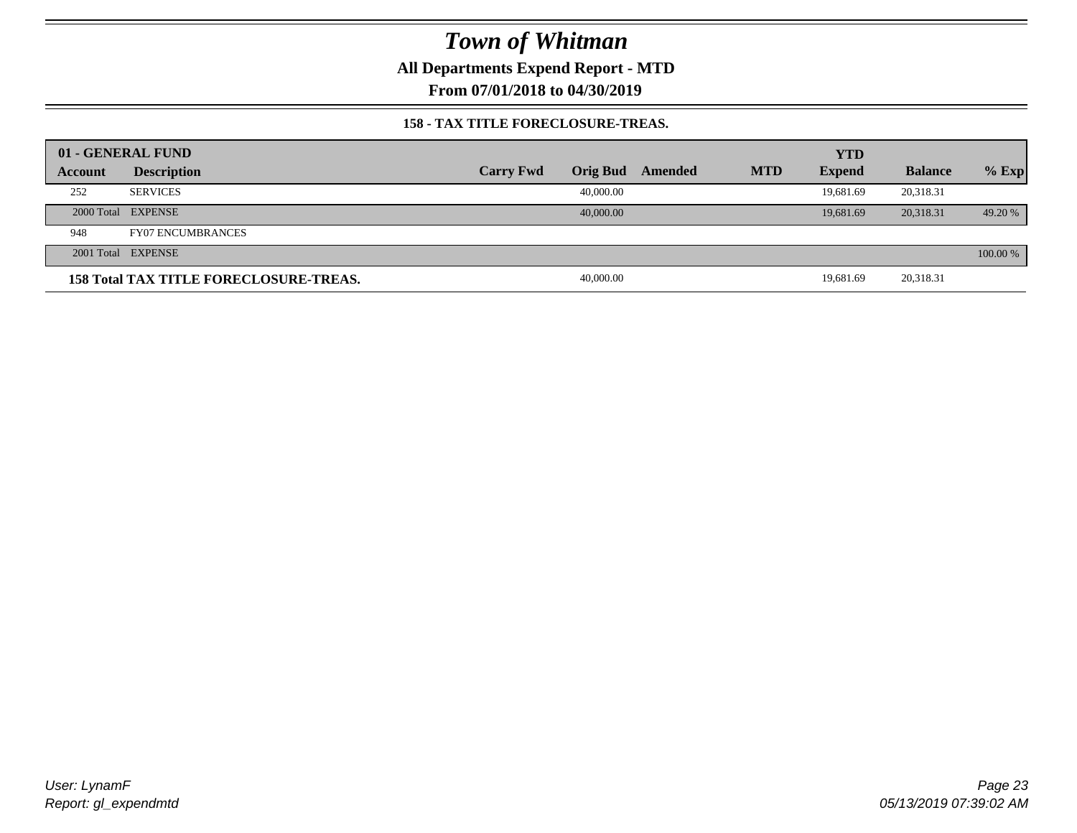**All Departments Expend Report - MTD**

**From 07/01/2018 to 04/30/2019**

### **158 - TAX TITLE FORECLOSURE-TREAS.**

|         | 01 - GENERAL FUND                             |                  |                 |         |            | <b>YTD</b>    |                |          |
|---------|-----------------------------------------------|------------------|-----------------|---------|------------|---------------|----------------|----------|
| Account | <b>Description</b>                            | <b>Carry Fwd</b> | <b>Orig Bud</b> | Amended | <b>MTD</b> | <b>Expend</b> | <b>Balance</b> | $%$ Exp  |
| 252     | <b>SERVICES</b>                               |                  | 40,000,00       |         |            | 19.681.69     | 20,318.31      |          |
|         | 2000 Total EXPENSE                            |                  | 40,000,00       |         |            | 19,681.69     | 20,318.31      | 49.20 %  |
| 948     | <b>FY07 ENCUMBRANCES</b>                      |                  |                 |         |            |               |                |          |
|         | 2001 Total EXPENSE                            |                  |                 |         |            |               |                | 100.00 % |
|         | <b>158 Total TAX TITLE FORECLOSURE-TREAS.</b> |                  | 40,000.00       |         |            | 19.681.69     | 20,318.31      |          |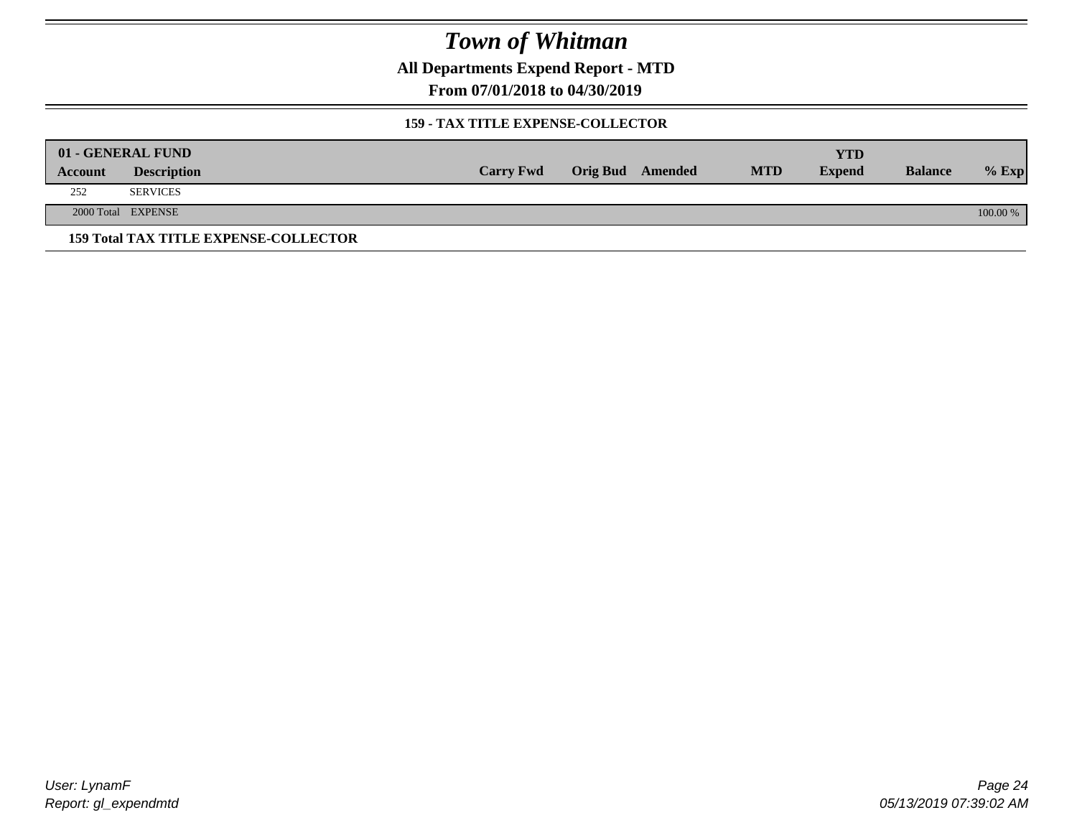**All Departments Expend Report - MTD**

**From 07/01/2018 to 04/30/2019**

### **159 - TAX TITLE EXPENSE-COLLECTOR**

|         | 01 - GENERAL FUND                            |                  |                         |            | YTD           |                |          |
|---------|----------------------------------------------|------------------|-------------------------|------------|---------------|----------------|----------|
| Account | <b>Description</b>                           | <b>Carry Fwd</b> | <b>Orig Bud</b> Amended | <b>MTD</b> | <b>Expend</b> | <b>Balance</b> | $%$ Exp  |
| 252     | <b>SERVICES</b>                              |                  |                         |            |               |                |          |
|         | 2000 Total EXPENSE                           |                  |                         |            |               |                | 100.00 % |
|         | <b>159 Total TAX TITLE EXPENSE-COLLECTOR</b> |                  |                         |            |               |                |          |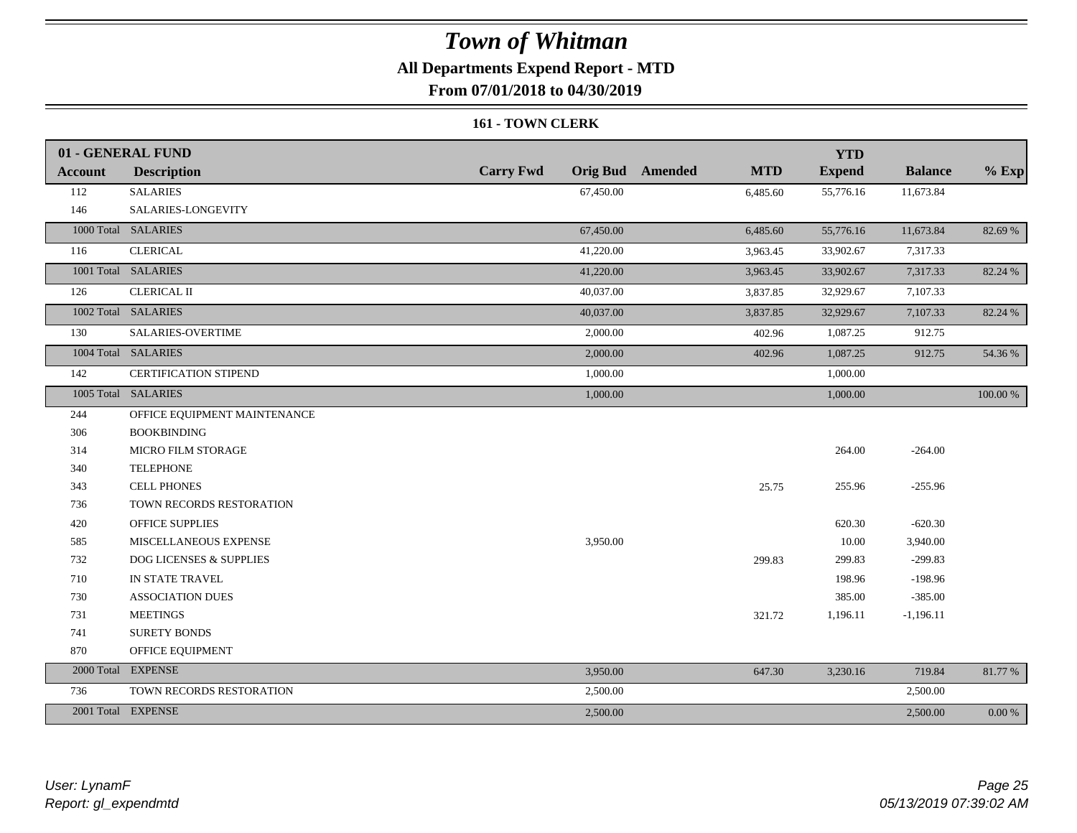## **All Departments Expend Report - MTD**

**From 07/01/2018 to 04/30/2019**

#### **161 - TOWN CLERK**

|                | 01 - GENERAL FUND            |                  |                                       | <b>YTD</b>    |                |           |
|----------------|------------------------------|------------------|---------------------------------------|---------------|----------------|-----------|
| <b>Account</b> | <b>Description</b>           | <b>Carry Fwd</b> | <b>Orig Bud</b> Amended<br><b>MTD</b> | <b>Expend</b> | <b>Balance</b> | $%$ Exp   |
| 112            | <b>SALARIES</b>              | 67,450.00        | 6,485.60                              | 55,776.16     | 11,673.84      |           |
| 146            | SALARIES-LONGEVITY           |                  |                                       |               |                |           |
|                | 1000 Total SALARIES          | 67,450.00        | 6,485.60                              | 55,776.16     | 11,673.84      | 82.69 %   |
| 116            | <b>CLERICAL</b>              | 41,220.00        | 3,963.45                              | 33,902.67     | 7,317.33       |           |
|                | 1001 Total SALARIES          | 41,220.00        | 3,963.45                              | 33,902.67     | 7,317.33       | 82.24 %   |
| 126            | <b>CLERICAL II</b>           | 40,037.00        | 3,837.85                              | 32,929.67     | 7,107.33       |           |
|                | 1002 Total SALARIES          | 40,037.00        | 3,837.85                              | 32,929.67     | 7,107.33       | 82.24 %   |
| 130            | SALARIES-OVERTIME            | 2,000.00         | 402.96                                | 1,087.25      | 912.75         |           |
|                | 1004 Total SALARIES          | 2,000.00         | 402.96                                | 1,087.25      | 912.75         | 54.36 %   |
| 142            | <b>CERTIFICATION STIPEND</b> | 1,000.00         |                                       | 1,000.00      |                |           |
|                | 1005 Total SALARIES          | 1,000.00         |                                       | 1,000.00      |                | 100.00 %  |
| 244            | OFFICE EQUIPMENT MAINTENANCE |                  |                                       |               |                |           |
| 306            | <b>BOOKBINDING</b>           |                  |                                       |               |                |           |
| 314            | <b>MICRO FILM STORAGE</b>    |                  |                                       | 264.00        | $-264.00$      |           |
| 340            | <b>TELEPHONE</b>             |                  |                                       |               |                |           |
| 343            | <b>CELL PHONES</b>           |                  | 25.75                                 | 255.96        | $-255.96$      |           |
| 736            | TOWN RECORDS RESTORATION     |                  |                                       |               |                |           |
| 420            | OFFICE SUPPLIES              |                  |                                       | 620.30        | $-620.30$      |           |
| 585            | MISCELLANEOUS EXPENSE        | 3,950.00         |                                       | 10.00         | 3,940.00       |           |
| 732            | DOG LICENSES & SUPPLIES      |                  | 299.83                                | 299.83        | $-299.83$      |           |
| 710            | IN STATE TRAVEL              |                  |                                       | 198.96        | $-198.96$      |           |
| 730            | <b>ASSOCIATION DUES</b>      |                  |                                       | 385.00        | $-385.00$      |           |
| 731            | <b>MEETINGS</b>              |                  | 321.72                                | 1,196.11      | $-1,196.11$    |           |
| 741            | <b>SURETY BONDS</b>          |                  |                                       |               |                |           |
| 870            | OFFICE EQUIPMENT             |                  |                                       |               |                |           |
|                | 2000 Total EXPENSE           | 3,950.00         | 647.30                                | 3,230.16      | 719.84         | 81.77 %   |
| 736            | TOWN RECORDS RESTORATION     | 2,500.00         |                                       |               | 2,500.00       |           |
|                | 2001 Total EXPENSE           | 2,500.00         |                                       |               | 2,500.00       | $0.00 \%$ |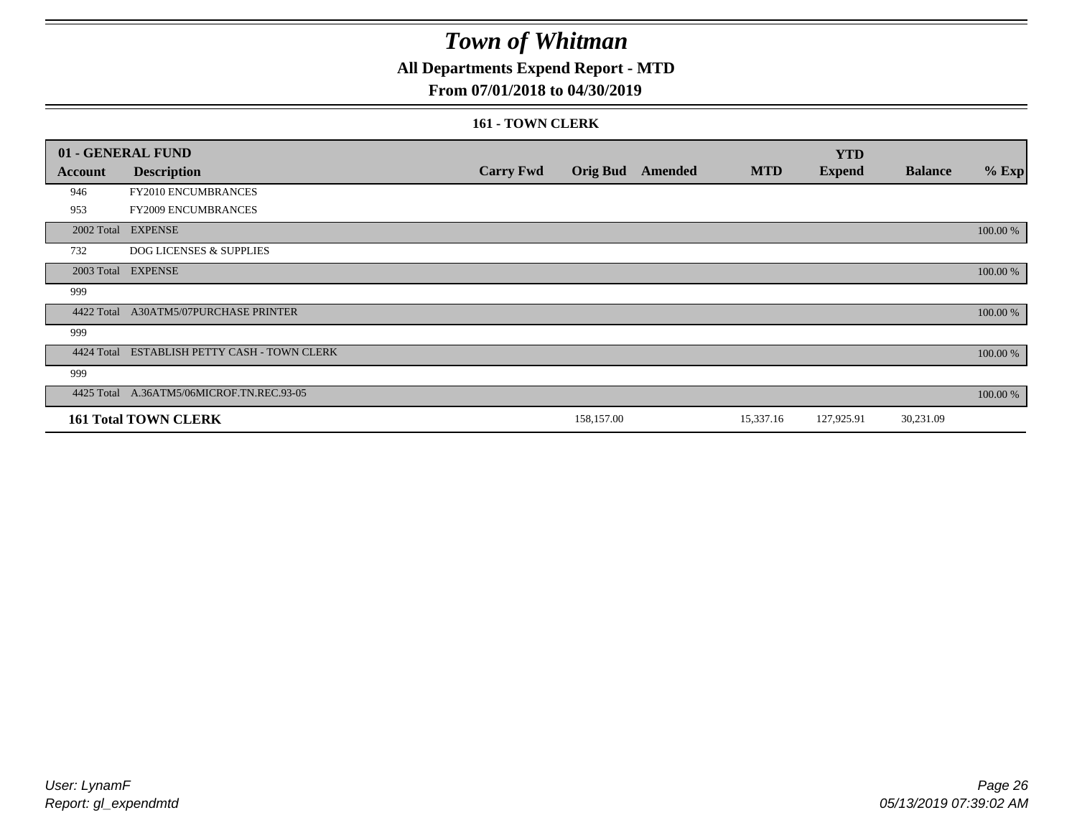## **All Departments Expend Report - MTD**

### **From 07/01/2018 to 04/30/2019**

#### **161 - TOWN CLERK**

|            | 01 - GENERAL FUND                         |                  |            |                         |            | <b>YTD</b>    |                |          |
|------------|-------------------------------------------|------------------|------------|-------------------------|------------|---------------|----------------|----------|
| Account    | <b>Description</b>                        | <b>Carry Fwd</b> |            | <b>Orig Bud</b> Amended | <b>MTD</b> | <b>Expend</b> | <b>Balance</b> | $%$ Exp  |
| 946        | FY2010 ENCUMBRANCES                       |                  |            |                         |            |               |                |          |
| 953        | FY2009 ENCUMBRANCES                       |                  |            |                         |            |               |                |          |
|            | 2002 Total EXPENSE                        |                  |            |                         |            |               |                | 100.00 % |
| 732        | DOG LICENSES & SUPPLIES                   |                  |            |                         |            |               |                |          |
|            | 2003 Total EXPENSE                        |                  |            |                         |            |               |                | 100.00 % |
| 999        |                                           |                  |            |                         |            |               |                |          |
| 4422 Total | <b>A30ATM5/07PURCHASE PRINTER</b>         |                  |            |                         |            |               |                | 100.00 % |
| 999        |                                           |                  |            |                         |            |               |                |          |
| 4424 Total | ESTABLISH PETTY CASH - TOWN CLERK         |                  |            |                         |            |               |                | 100.00 % |
| 999        |                                           |                  |            |                         |            |               |                |          |
|            | 4425 Total A.36ATM5/06MICROF.TN.REC.93-05 |                  |            |                         |            |               |                | 100.00 % |
|            | <b>161 Total TOWN CLERK</b>               |                  | 158,157.00 |                         | 15,337.16  | 127,925.91    | 30,231.09      |          |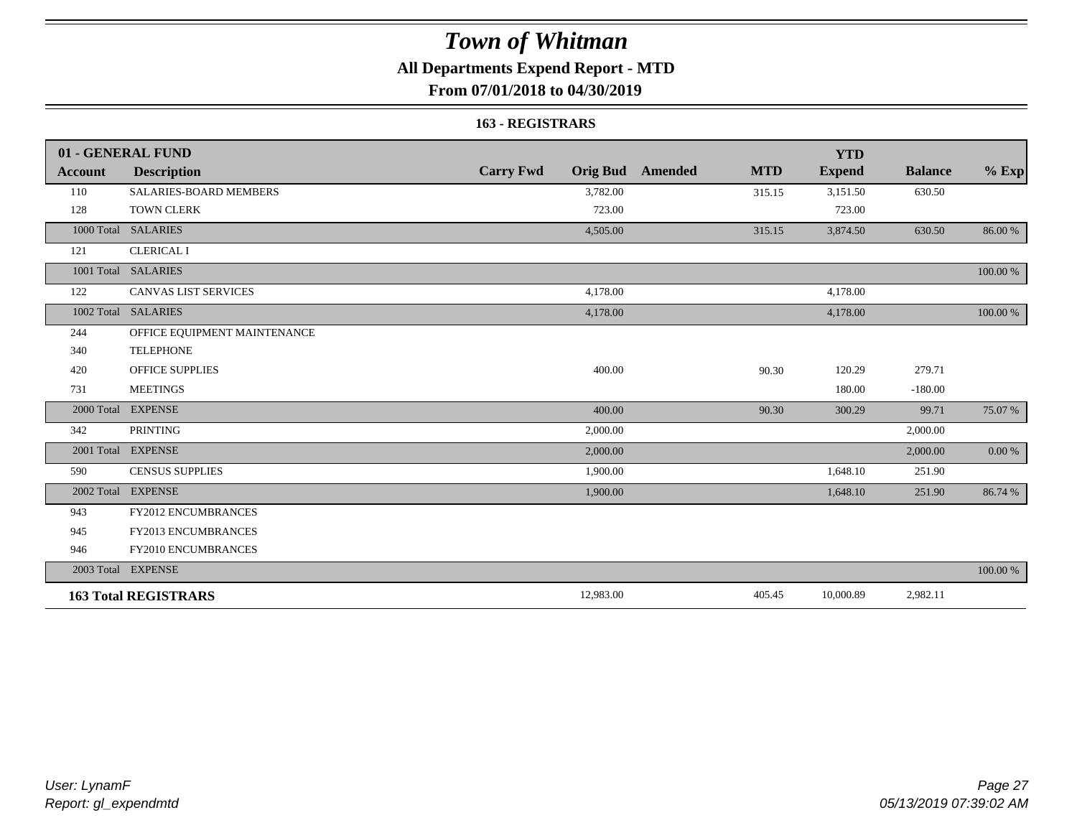## **All Departments Expend Report - MTD**

**From 07/01/2018 to 04/30/2019**

#### **163 - REGISTRARS**

|                | 01 - GENERAL FUND             |                                     |                       | <b>YTD</b>    |                |            |
|----------------|-------------------------------|-------------------------------------|-----------------------|---------------|----------------|------------|
| <b>Account</b> | <b>Description</b>            | <b>Carry Fwd</b><br><b>Orig Bud</b> | <b>MTD</b><br>Amended | <b>Expend</b> | <b>Balance</b> | $%$ Exp    |
| 110            | <b>SALARIES-BOARD MEMBERS</b> | 3,782.00                            | 315.15                | 3,151.50      | 630.50         |            |
| 128            | <b>TOWN CLERK</b>             | 723.00                              |                       | 723.00        |                |            |
|                | 1000 Total SALARIES           | 4,505.00                            | 315.15                | 3,874.50      | 630.50         | 86.00 %    |
| 121            | <b>CLERICAL I</b>             |                                     |                       |               |                |            |
|                | 1001 Total SALARIES           |                                     |                       |               |                | 100.00 %   |
| 122            | CANVAS LIST SERVICES          | 4,178.00                            |                       | 4,178.00      |                |            |
| 1002 Total     | <b>SALARIES</b>               | 4,178.00                            |                       | 4,178.00      |                | 100.00 %   |
| 244            | OFFICE EQUIPMENT MAINTENANCE  |                                     |                       |               |                |            |
| 340            | <b>TELEPHONE</b>              |                                     |                       |               |                |            |
| 420            | <b>OFFICE SUPPLIES</b>        | 400.00                              | 90.30                 | 120.29        | 279.71         |            |
| 731            | <b>MEETINGS</b>               |                                     |                       | 180.00        | $-180.00$      |            |
| 2000 Total     | <b>EXPENSE</b>                | 400.00                              | 90.30                 | 300.29        | 99.71          | 75.07 %    |
| 342            | <b>PRINTING</b>               | 2,000.00                            |                       |               | 2,000.00       |            |
|                | 2001 Total EXPENSE            | 2,000.00                            |                       |               | 2,000.00       | $0.00\ \%$ |
| 590            | <b>CENSUS SUPPLIES</b>        | 1,900.00                            |                       | 1,648.10      | 251.90         |            |
| 2002 Total     | <b>EXPENSE</b>                | 1,900.00                            |                       | 1,648.10      | 251.90         | 86.74 %    |
| 943            | <b>FY2012 ENCUMBRANCES</b>    |                                     |                       |               |                |            |
| 945            | FY2013 ENCUMBRANCES           |                                     |                       |               |                |            |
| 946            | FY2010 ENCUMBRANCES           |                                     |                       |               |                |            |
|                | 2003 Total EXPENSE            |                                     |                       |               |                | 100.00 %   |
|                | <b>163 Total REGISTRARS</b>   | 12,983.00                           | 405.45                | 10,000.89     | 2,982.11       |            |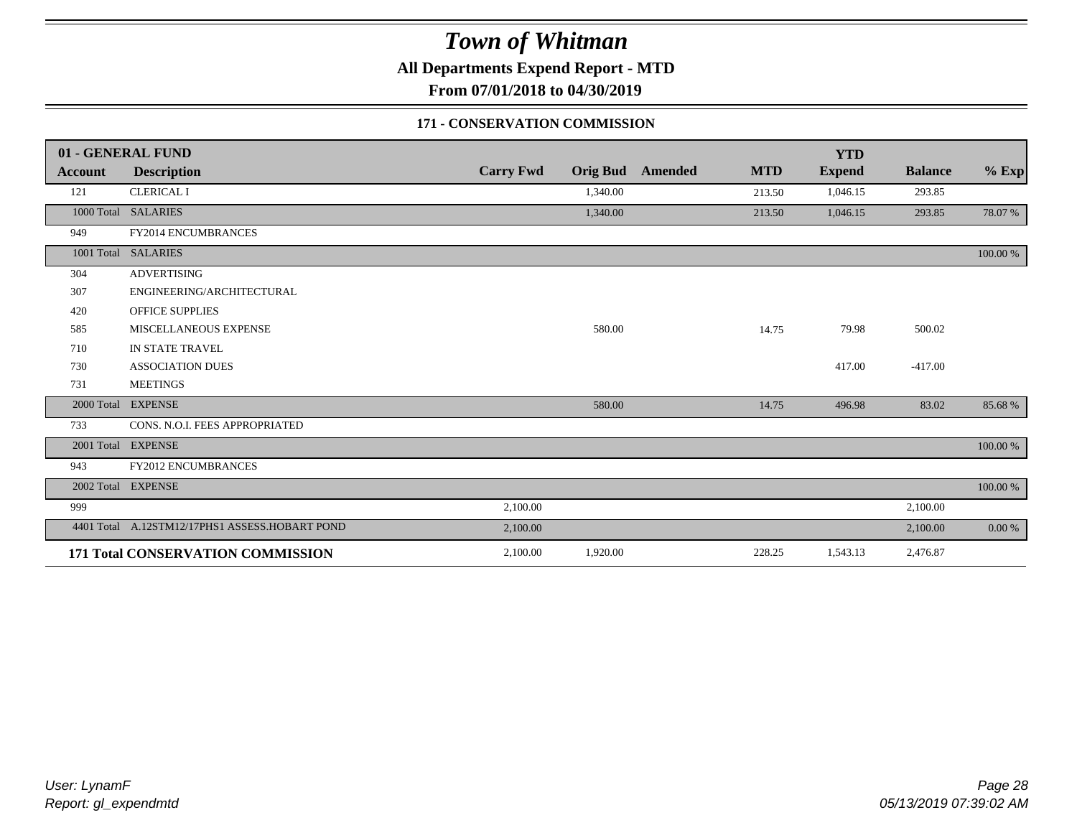**All Departments Expend Report - MTD**

**From 07/01/2018 to 04/30/2019**

### **171 - CONSERVATION COMMISSION**

|                | 01 - GENERAL FUND                              |                  |          |                         |            | <b>YTD</b>    |                |          |
|----------------|------------------------------------------------|------------------|----------|-------------------------|------------|---------------|----------------|----------|
| <b>Account</b> | <b>Description</b>                             | <b>Carry Fwd</b> |          | <b>Orig Bud</b> Amended | <b>MTD</b> | <b>Expend</b> | <b>Balance</b> | $%$ Exp  |
| 121            | <b>CLERICAL I</b>                              |                  | 1,340.00 |                         | 213.50     | 1,046.15      | 293.85         |          |
| 1000 Total     | <b>SALARIES</b>                                |                  | 1,340.00 |                         | 213.50     | 1,046.15      | 293.85         | 78.07 %  |
| 949            | FY2014 ENCUMBRANCES                            |                  |          |                         |            |               |                |          |
| 1001 Total     | <b>SALARIES</b>                                |                  |          |                         |            |               |                | 100.00 % |
| 304            | <b>ADVERTISING</b>                             |                  |          |                         |            |               |                |          |
| 307            | ENGINEERING/ARCHITECTURAL                      |                  |          |                         |            |               |                |          |
| 420            | <b>OFFICE SUPPLIES</b>                         |                  |          |                         |            |               |                |          |
| 585            | <b>MISCELLANEOUS EXPENSE</b>                   |                  | 580.00   |                         | 14.75      | 79.98         | 500.02         |          |
| 710            | IN STATE TRAVEL                                |                  |          |                         |            |               |                |          |
| 730            | <b>ASSOCIATION DUES</b>                        |                  |          |                         |            | 417.00        | $-417.00$      |          |
| 731            | <b>MEETINGS</b>                                |                  |          |                         |            |               |                |          |
| 2000 Total     | <b>EXPENSE</b>                                 |                  | 580.00   |                         | 14.75      | 496.98        | 83.02          | 85.68%   |
| 733            | CONS. N.O.I. FEES APPROPRIATED                 |                  |          |                         |            |               |                |          |
|                | 2001 Total EXPENSE                             |                  |          |                         |            |               |                | 100.00 % |
| 943            | <b>FY2012 ENCUMBRANCES</b>                     |                  |          |                         |            |               |                |          |
|                | 2002 Total EXPENSE                             |                  |          |                         |            |               |                | 100.00 % |
| 999            |                                                | 2,100.00         |          |                         |            |               | 2,100.00       |          |
|                | 4401 Total A.12STM12/17PHS1 ASSESS.HOBART POND | 2,100.00         |          |                         |            |               | 2,100.00       | 0.00 %   |
|                | 171 Total CONSERVATION COMMISSION              | 2,100.00         | 1,920.00 |                         | 228.25     | 1,543.13      | 2,476.87       |          |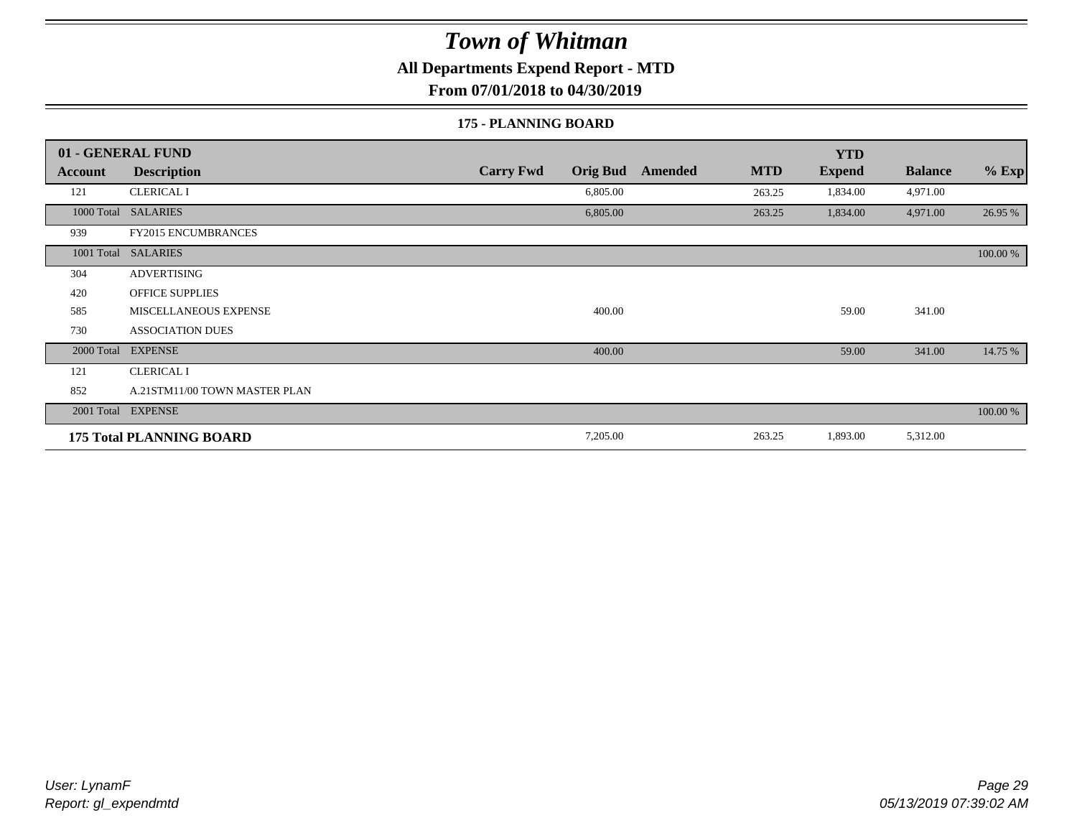**All Departments Expend Report - MTD**

**From 07/01/2018 to 04/30/2019**

#### **175 - PLANNING BOARD**

|                | 01 - GENERAL FUND               |                                     |                       | <b>YTD</b>    |                |          |
|----------------|---------------------------------|-------------------------------------|-----------------------|---------------|----------------|----------|
| <b>Account</b> | <b>Description</b>              | <b>Carry Fwd</b><br><b>Orig Bud</b> | <b>MTD</b><br>Amended | <b>Expend</b> | <b>Balance</b> | $%$ Exp  |
| 121            | <b>CLERICAL I</b>               | 6,805.00                            | 263.25                | 1,834.00      | 4,971.00       |          |
|                | 1000 Total SALARIES             | 6,805.00                            | 263.25                | 1,834.00      | 4,971.00       | 26.95 %  |
| 939            | <b>FY2015 ENCUMBRANCES</b>      |                                     |                       |               |                |          |
| 1001 Total     | <b>SALARIES</b>                 |                                     |                       |               |                | 100.00 % |
| 304            | <b>ADVERTISING</b>              |                                     |                       |               |                |          |
| 420            | <b>OFFICE SUPPLIES</b>          |                                     |                       |               |                |          |
| 585            | MISCELLANEOUS EXPENSE           | 400.00                              |                       | 59.00         | 341.00         |          |
| 730            | <b>ASSOCIATION DUES</b>         |                                     |                       |               |                |          |
| 2000 Total     | <b>EXPENSE</b>                  | 400.00                              |                       | 59.00         | 341.00         | 14.75 %  |
| 121            | <b>CLERICAL I</b>               |                                     |                       |               |                |          |
| 852            | A.21STM11/00 TOWN MASTER PLAN   |                                     |                       |               |                |          |
|                | 2001 Total EXPENSE              |                                     |                       |               |                | 100.00 % |
|                | <b>175 Total PLANNING BOARD</b> | 7,205.00                            | 263.25                | 1,893.00      | 5,312.00       |          |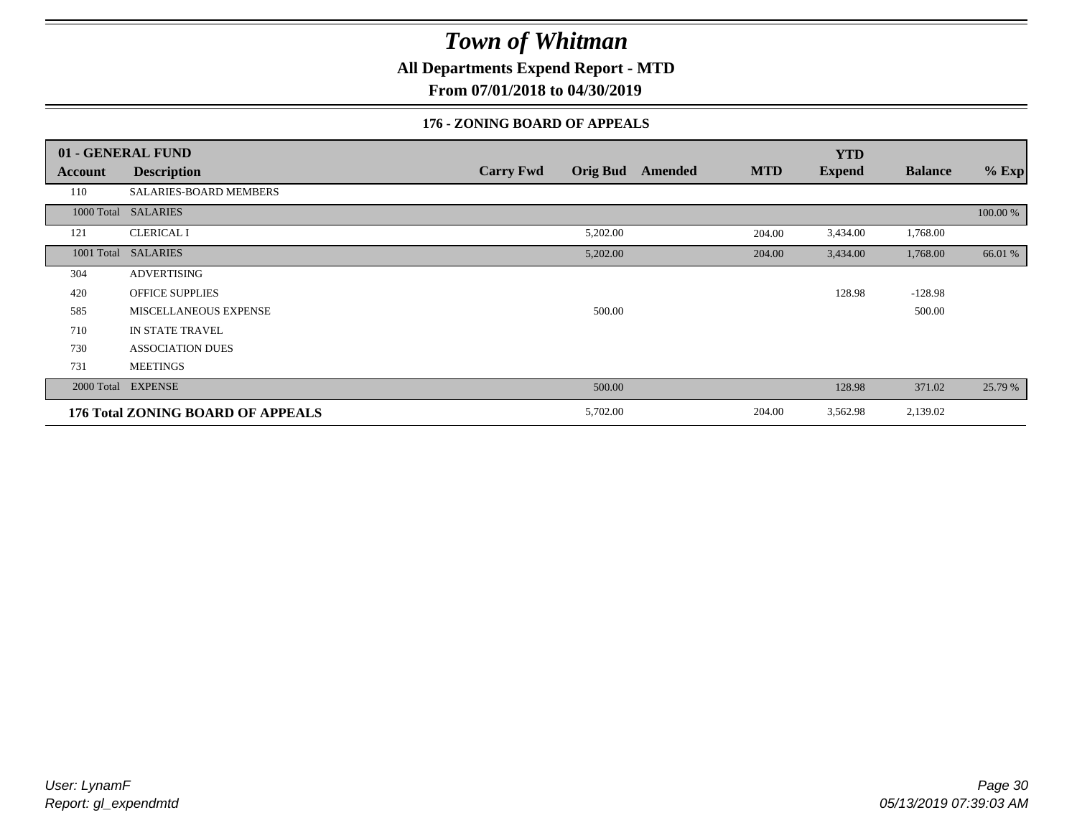**All Departments Expend Report - MTD**

**From 07/01/2018 to 04/30/2019**

### **176 - ZONING BOARD OF APPEALS**

|            | 01 - GENERAL FUND                 |                  |                 |         |            | <b>YTD</b>    |                |          |
|------------|-----------------------------------|------------------|-----------------|---------|------------|---------------|----------------|----------|
| Account    | <b>Description</b>                | <b>Carry Fwd</b> | <b>Orig Bud</b> | Amended | <b>MTD</b> | <b>Expend</b> | <b>Balance</b> | $%$ Exp  |
| 110        | SALARIES-BOARD MEMBERS            |                  |                 |         |            |               |                |          |
| 1000 Total | <b>SALARIES</b>                   |                  |                 |         |            |               |                | 100.00 % |
| 121        | <b>CLERICAL I</b>                 |                  | 5,202.00        |         | 204.00     | 3,434.00      | 1,768.00       |          |
| 1001 Total | <b>SALARIES</b>                   |                  | 5,202.00        |         | 204.00     | 3,434.00      | 1,768.00       | 66.01 %  |
| 304        | <b>ADVERTISING</b>                |                  |                 |         |            |               |                |          |
| 420        | <b>OFFICE SUPPLIES</b>            |                  |                 |         |            | 128.98        | $-128.98$      |          |
| 585        | MISCELLANEOUS EXPENSE             |                  | 500.00          |         |            |               | 500.00         |          |
| 710        | IN STATE TRAVEL                   |                  |                 |         |            |               |                |          |
| 730        | <b>ASSOCIATION DUES</b>           |                  |                 |         |            |               |                |          |
| 731        | <b>MEETINGS</b>                   |                  |                 |         |            |               |                |          |
| 2000 Total | <b>EXPENSE</b>                    |                  | 500.00          |         |            | 128.98        | 371.02         | 25.79 %  |
|            | 176 Total ZONING BOARD OF APPEALS |                  | 5,702.00        |         | 204.00     | 3,562.98      | 2,139.02       |          |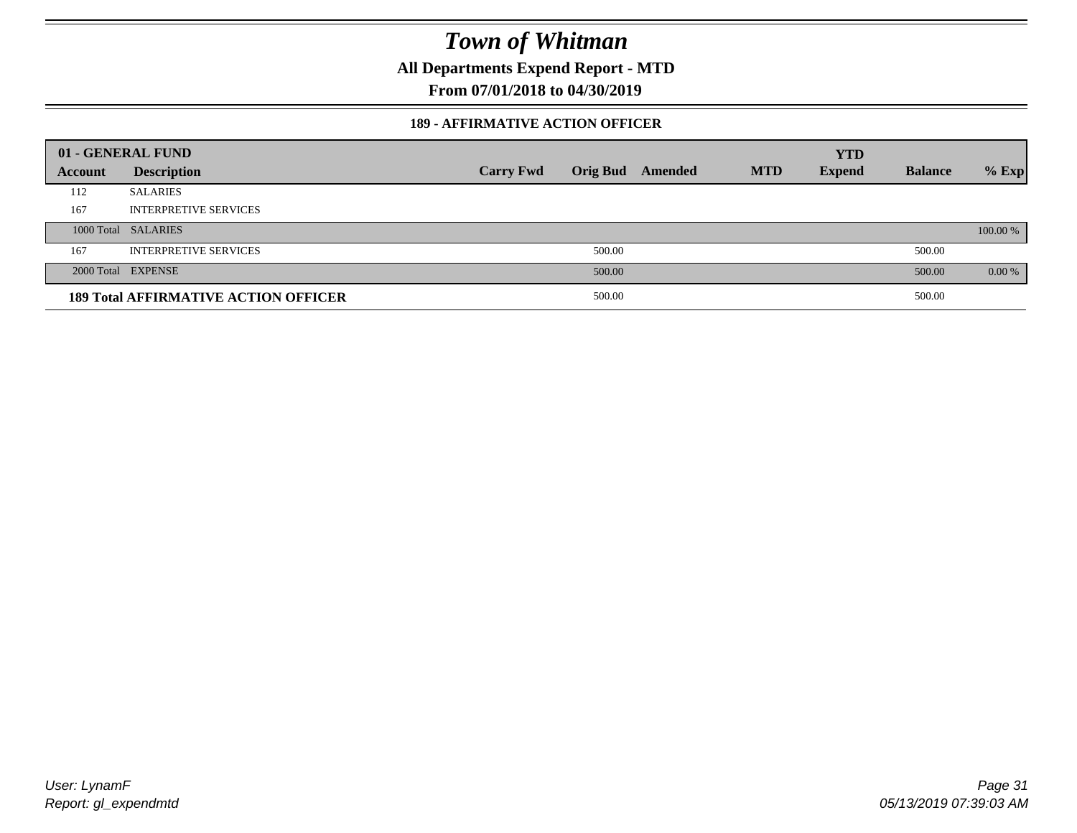**All Departments Expend Report - MTD**

**From 07/01/2018 to 04/30/2019**

#### **189 - AFFIRMATIVE ACTION OFFICER**

|         | 01 - GENERAL FUND                           |                  |                 |         |            | <b>YTD</b>    |                |          |
|---------|---------------------------------------------|------------------|-----------------|---------|------------|---------------|----------------|----------|
| Account | <b>Description</b>                          | <b>Carry Fwd</b> | <b>Orig Bud</b> | Amended | <b>MTD</b> | <b>Expend</b> | <b>Balance</b> | $%$ Exp  |
| 112     | <b>SALARIES</b>                             |                  |                 |         |            |               |                |          |
| 167     | <b>INTERPRETIVE SERVICES</b>                |                  |                 |         |            |               |                |          |
|         | 1000 Total SALARIES                         |                  |                 |         |            |               |                | 100.00 % |
| 167     | <b>INTERPRETIVE SERVICES</b>                |                  | 500.00          |         |            |               | 500.00         |          |
|         | 2000 Total EXPENSE                          |                  | 500.00          |         |            |               | 500.00         | 0.00 %   |
|         | <b>189 Total AFFIRMATIVE ACTION OFFICER</b> |                  | 500.00          |         |            |               | 500.00         |          |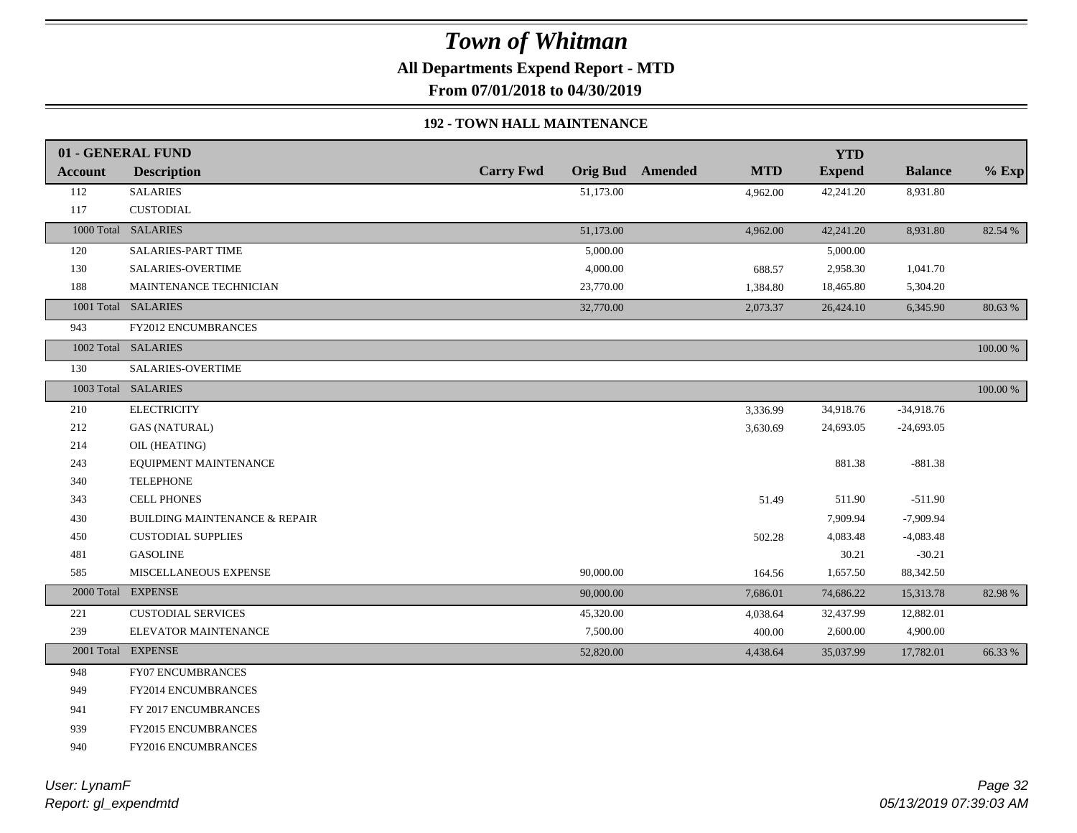**All Departments Expend Report - MTD**

**From 07/01/2018 to 04/30/2019**

### **192 - TOWN HALL MAINTENANCE**

|                | 01 - GENERAL FUND                        |                  |           |                         |            | <b>YTD</b>    |                |             |
|----------------|------------------------------------------|------------------|-----------|-------------------------|------------|---------------|----------------|-------------|
| <b>Account</b> | <b>Description</b>                       | <b>Carry Fwd</b> |           | <b>Orig Bud</b> Amended | <b>MTD</b> | <b>Expend</b> | <b>Balance</b> | $%$ Exp     |
| 112            | <b>SALARIES</b>                          |                  | 51,173.00 |                         | 4,962.00   | 42,241.20     | 8,931.80       |             |
| 117            | <b>CUSTODIAL</b>                         |                  |           |                         |            |               |                |             |
|                | 1000 Total SALARIES                      |                  | 51,173.00 |                         | 4,962.00   | 42,241.20     | 8,931.80       | 82.54 %     |
| 120            | SALARIES-PART TIME                       |                  | 5,000.00  |                         |            | 5,000.00      |                |             |
| 130            | SALARIES-OVERTIME                        |                  | 4,000.00  |                         | 688.57     | 2,958.30      | 1,041.70       |             |
| 188            | MAINTENANCE TECHNICIAN                   |                  | 23,770.00 |                         | 1,384.80   | 18,465.80     | 5,304.20       |             |
|                | 1001 Total SALARIES                      |                  | 32,770.00 |                         | 2,073.37   | 26,424.10     | 6,345.90       | 80.63%      |
| 943            | FY2012 ENCUMBRANCES                      |                  |           |                         |            |               |                |             |
|                | 1002 Total SALARIES                      |                  |           |                         |            |               |                | $100.00~\%$ |
| 130            | SALARIES-OVERTIME                        |                  |           |                         |            |               |                |             |
|                | 1003 Total SALARIES                      |                  |           |                         |            |               |                | $100.00~\%$ |
| 210            | <b>ELECTRICITY</b>                       |                  |           |                         | 3,336.99   | 34,918.76     | $-34,918.76$   |             |
| 212            | <b>GAS (NATURAL)</b>                     |                  |           |                         | 3,630.69   | 24,693.05     | $-24,693.05$   |             |
| 214            | OIL (HEATING)                            |                  |           |                         |            |               |                |             |
| 243            | EQUIPMENT MAINTENANCE                    |                  |           |                         |            | 881.38        | $-881.38$      |             |
| 340            | <b>TELEPHONE</b>                         |                  |           |                         |            |               |                |             |
| 343            | <b>CELL PHONES</b>                       |                  |           |                         | 51.49      | 511.90        | $-511.90$      |             |
| 430            | <b>BUILDING MAINTENANCE &amp; REPAIR</b> |                  |           |                         |            | 7,909.94      | $-7,909.94$    |             |
| 450            | <b>CUSTODIAL SUPPLIES</b>                |                  |           |                         | 502.28     | 4,083.48      | $-4,083.48$    |             |
| 481            | <b>GASOLINE</b>                          |                  |           |                         |            | 30.21         | $-30.21$       |             |
| 585            | MISCELLANEOUS EXPENSE                    |                  | 90,000.00 |                         | 164.56     | 1,657.50      | 88,342.50      |             |
|                | 2000 Total EXPENSE                       |                  | 90,000.00 |                         | 7,686.01   | 74,686.22     | 15,313.78      | 82.98%      |
| 221            | <b>CUSTODIAL SERVICES</b>                |                  | 45,320.00 |                         | 4,038.64   | 32,437.99     | 12,882.01      |             |
| 239            | ELEVATOR MAINTENANCE                     |                  | 7,500.00  |                         | 400.00     | 2,600.00      | 4,900.00       |             |
|                | 2001 Total EXPENSE                       |                  | 52,820.00 |                         | 4,438.64   | 35,037.99     | 17,782.01      | 66.33%      |
| 948            | FY07 ENCUMBRANCES                        |                  |           |                         |            |               |                |             |
| 949            | FY2014 ENCUMBRANCES                      |                  |           |                         |            |               |                |             |
| 941            | FY 2017 ENCUMBRANCES                     |                  |           |                         |            |               |                |             |
| 939            | FY2015 ENCUMBRANCES                      |                  |           |                         |            |               |                |             |
| 940            | FY2016 ENCUMBRANCES                      |                  |           |                         |            |               |                |             |
|                |                                          |                  |           |                         |            |               |                |             |

*Report: gl\_expendmtd User: LynamF*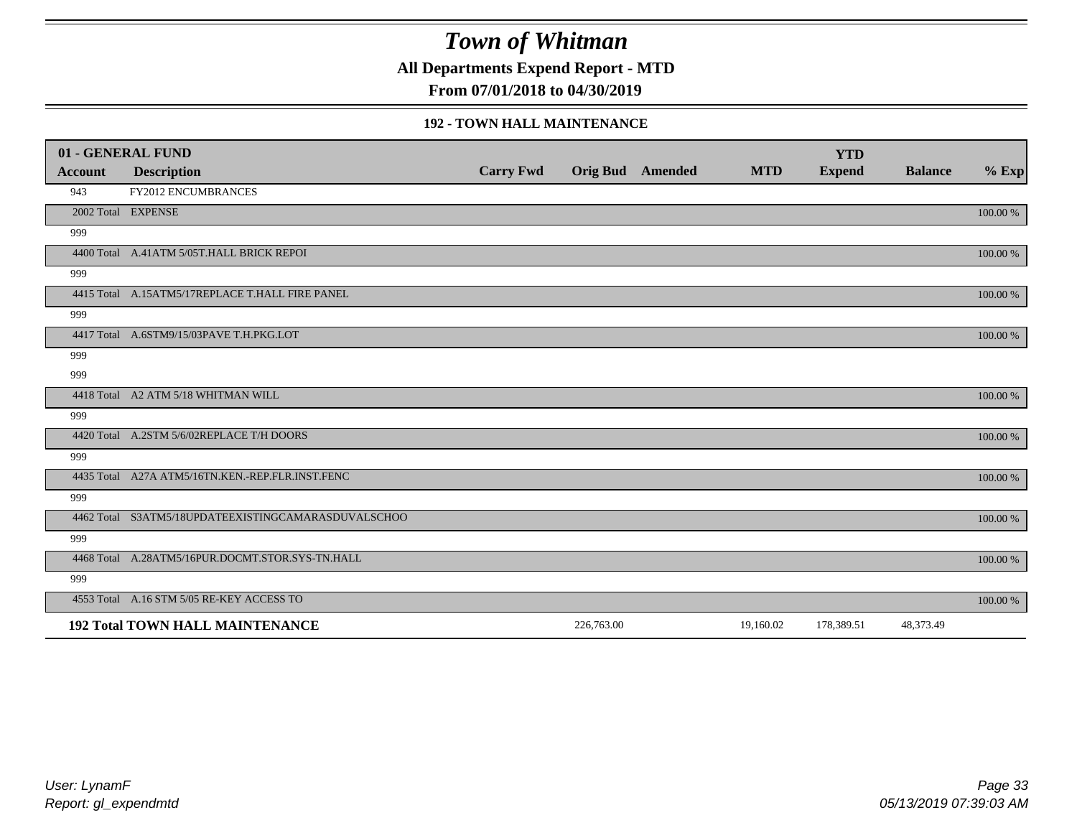**All Departments Expend Report - MTD**

**From 07/01/2018 to 04/30/2019**

#### **192 - TOWN HALL MAINTENANCE**

|         | 01 - GENERAL FUND                                   |                  |                         |            | <b>YTD</b>    |                |          |
|---------|-----------------------------------------------------|------------------|-------------------------|------------|---------------|----------------|----------|
| Account | <b>Description</b>                                  | <b>Carry Fwd</b> | <b>Orig Bud</b> Amended | <b>MTD</b> | <b>Expend</b> | <b>Balance</b> | $%$ Exp  |
| 943     | <b>FY2012 ENCUMBRANCES</b>                          |                  |                         |            |               |                |          |
|         | 2002 Total EXPENSE                                  |                  |                         |            |               |                | 100.00 % |
| 999     |                                                     |                  |                         |            |               |                |          |
|         | 4400 Total A.41ATM 5/05T.HALL BRICK REPOI           |                  |                         |            |               |                | 100.00 % |
| 999     |                                                     |                  |                         |            |               |                |          |
|         | 4415 Total A.15ATM5/17REPLACE T.HALL FIRE PANEL     |                  |                         |            |               |                | 100.00 % |
| 999     |                                                     |                  |                         |            |               |                |          |
|         | 4417 Total A.6STM9/15/03PAVE T.H.PKG.LOT            |                  |                         |            |               |                | 100.00 % |
| 999     |                                                     |                  |                         |            |               |                |          |
| 999     |                                                     |                  |                         |            |               |                |          |
|         | 4418 Total A2 ATM 5/18 WHITMAN WILL                 |                  |                         |            |               |                | 100.00 % |
| 999     |                                                     |                  |                         |            |               |                |          |
|         | 4420 Total A.2STM 5/6/02REPLACE T/H DOORS           |                  |                         |            |               |                | 100.00 % |
| 999     |                                                     |                  |                         |            |               |                |          |
|         | 4435 Total A27A ATM5/16TN.KEN.-REP.FLR.INST.FENC    |                  |                         |            |               |                | 100.00 % |
| 999     |                                                     |                  |                         |            |               |                |          |
|         | 4462 Total S3ATM5/18UPDATEEXISTINGCAMARASDUVALSCHOO |                  |                         |            |               |                | 100.00 % |
| 999     |                                                     |                  |                         |            |               |                |          |
|         | 4468 Total A.28ATM5/16PUR.DOCMT.STOR.SYS-TN.HALL    |                  |                         |            |               |                | 100.00 % |
| 999     |                                                     |                  |                         |            |               |                |          |
|         | 4553 Total A.16 STM 5/05 RE-KEY ACCESS TO           |                  |                         |            |               |                | 100.00 % |
|         | <b>192 Total TOWN HALL MAINTENANCE</b>              |                  | 226,763.00              | 19,160.02  | 178,389.51    | 48,373.49      |          |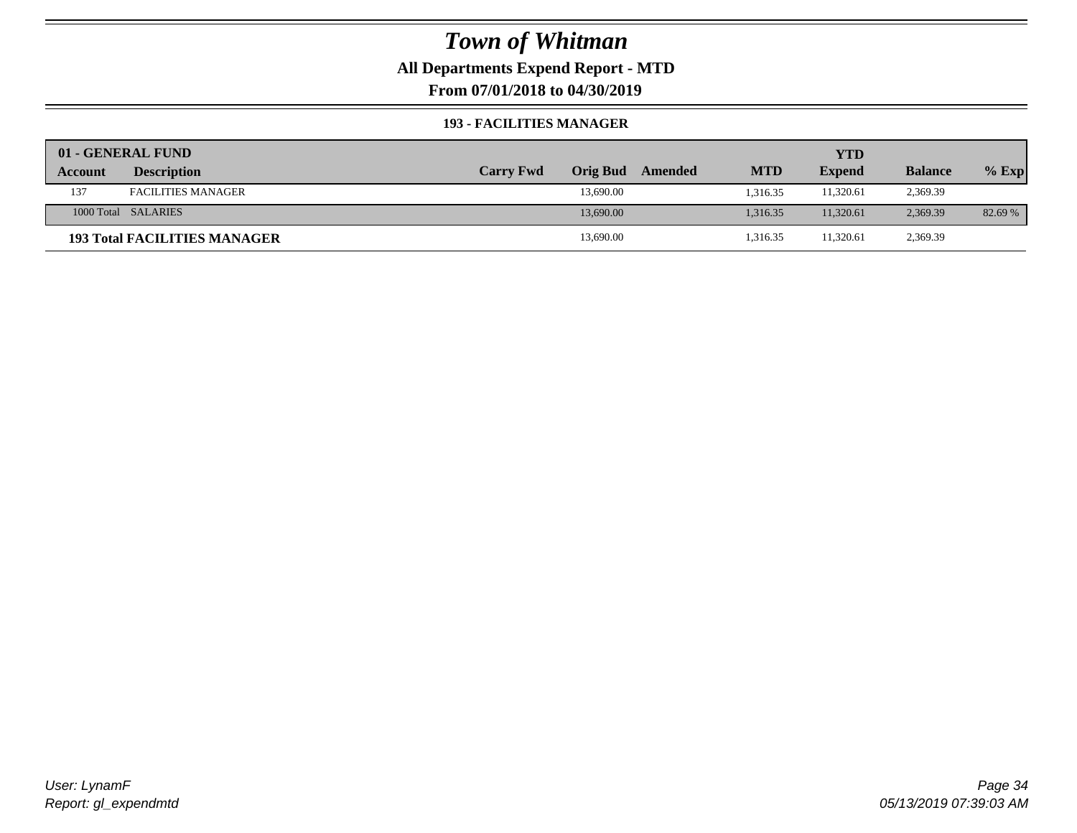**All Departments Expend Report - MTD**

**From 07/01/2018 to 04/30/2019**

#### **193 - FACILITIES MANAGER**

|         | 01 - GENERAL FUND                   |                  |                 |         |            | YTD           |                |         |
|---------|-------------------------------------|------------------|-----------------|---------|------------|---------------|----------------|---------|
| Account | <b>Description</b>                  | <b>Carry Fwd</b> | <b>Orig Bud</b> | Amended | <b>MTD</b> | <b>Expend</b> | <b>Balance</b> | $%$ Exp |
| 137     | <b>FACILITIES MANAGER</b>           |                  | 13,690.00       |         | 1.316.35   | 11,320.61     | 2,369.39       |         |
|         | 1000 Total SALARIES                 |                  | 13,690.00       |         | 1.316.35   | 11.320.61     | 2,369.39       | 82.69 % |
|         | <b>193 Total FACILITIES MANAGER</b> |                  | 13,690.00       |         | 1,316.35   | 11,320.61     | 2,369.39       |         |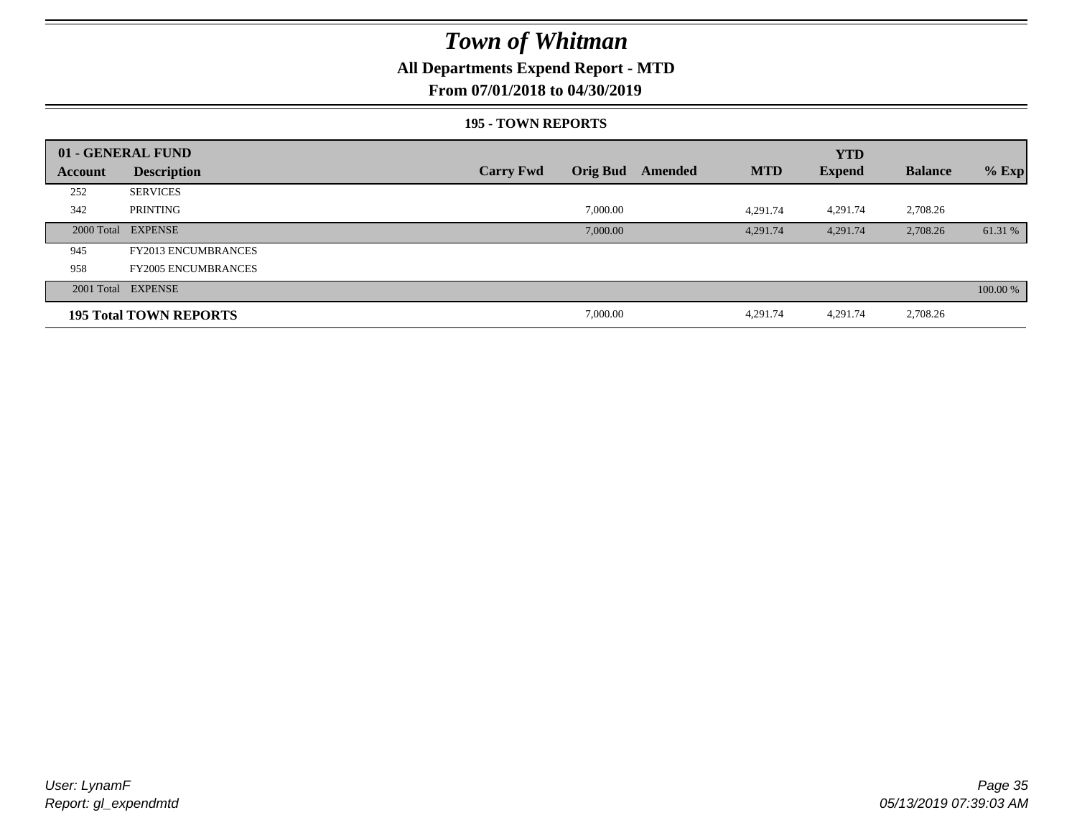### **All Departments Expend Report - MTD**

### **From 07/01/2018 to 04/30/2019**

#### **195 - TOWN REPORTS**

|         | 01 - GENERAL FUND             |                  |                 |         |            | <b>YTD</b>    |                |          |
|---------|-------------------------------|------------------|-----------------|---------|------------|---------------|----------------|----------|
| Account | <b>Description</b>            | <b>Carry Fwd</b> | <b>Orig Bud</b> | Amended | <b>MTD</b> | <b>Expend</b> | <b>Balance</b> | $%$ Exp  |
| 252     | <b>SERVICES</b>               |                  |                 |         |            |               |                |          |
| 342     | PRINTING                      |                  | 7,000.00        |         | 4.291.74   | 4,291.74      | 2,708.26       |          |
|         | 2000 Total EXPENSE            |                  | 7,000.00        |         | 4,291.74   | 4,291.74      | 2,708.26       | 61.31 %  |
| 945     | <b>FY2013 ENCUMBRANCES</b>    |                  |                 |         |            |               |                |          |
| 958     | <b>FY2005 ENCUMBRANCES</b>    |                  |                 |         |            |               |                |          |
|         | 2001 Total EXPENSE            |                  |                 |         |            |               |                | 100.00 % |
|         | <b>195 Total TOWN REPORTS</b> |                  | 7,000.00        |         | 4,291.74   | 4,291.74      | 2,708.26       |          |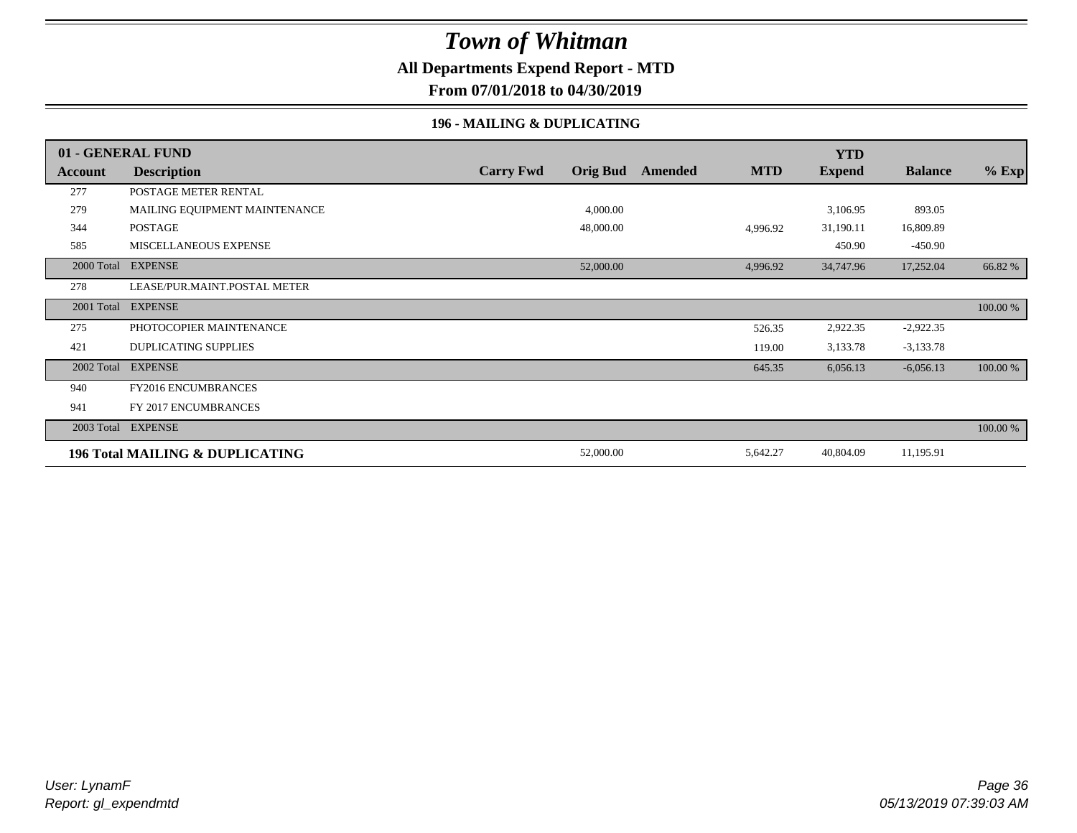### **All Departments Expend Report - MTD**

**From 07/01/2018 to 04/30/2019**

### **196 - MAILING & DUPLICATING**

|            | 01 - GENERAL FUND               |                  |                 |         |            | <b>YTD</b>    |                |          |
|------------|---------------------------------|------------------|-----------------|---------|------------|---------------|----------------|----------|
| Account    | <b>Description</b>              | <b>Carry Fwd</b> | <b>Orig Bud</b> | Amended | <b>MTD</b> | <b>Expend</b> | <b>Balance</b> | $%$ Exp  |
| 277        | POSTAGE METER RENTAL            |                  |                 |         |            |               |                |          |
| 279        | MAILING EQUIPMENT MAINTENANCE   |                  | 4,000.00        |         |            | 3,106.95      | 893.05         |          |
| 344        | <b>POSTAGE</b>                  |                  | 48,000.00       |         | 4,996.92   | 31,190.11     | 16,809.89      |          |
| 585        | MISCELLANEOUS EXPENSE           |                  |                 |         |            | 450.90        | $-450.90$      |          |
|            | 2000 Total EXPENSE              |                  | 52,000.00       |         | 4,996.92   | 34,747.96     | 17,252.04      | 66.82 %  |
| 278        | LEASE/PUR.MAINT.POSTAL METER    |                  |                 |         |            |               |                |          |
| 2001 Total | <b>EXPENSE</b>                  |                  |                 |         |            |               |                | 100.00 % |
| 275        | PHOTOCOPIER MAINTENANCE         |                  |                 |         | 526.35     | 2,922.35      | $-2,922.35$    |          |
| 421        | <b>DUPLICATING SUPPLIES</b>     |                  |                 |         | 119.00     | 3,133.78      | $-3,133.78$    |          |
| 2002 Total | <b>EXPENSE</b>                  |                  |                 |         | 645.35     | 6,056.13      | $-6,056.13$    | 100.00 % |
| 940        | <b>FY2016 ENCUMBRANCES</b>      |                  |                 |         |            |               |                |          |
| 941        | FY 2017 ENCUMBRANCES            |                  |                 |         |            |               |                |          |
| 2003 Total | <b>EXPENSE</b>                  |                  |                 |         |            |               |                | 100.00 % |
|            | 196 Total MAILING & DUPLICATING |                  | 52,000.00       |         | 5,642.27   | 40,804.09     | 11,195.91      |          |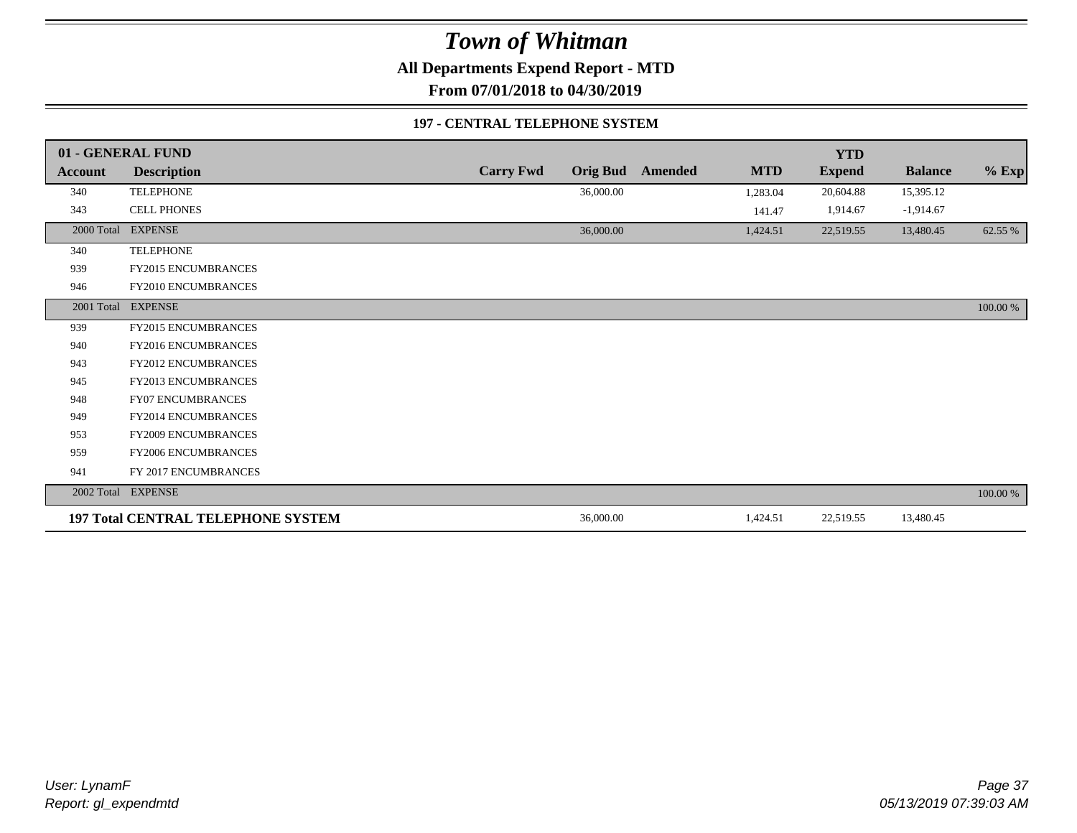**All Departments Expend Report - MTD**

**From 07/01/2018 to 04/30/2019**

#### **197 - CENTRAL TELEPHONE SYSTEM**

|            | 01 - GENERAL FUND                         |                  |                 |         |            | <b>YTD</b>    |                |          |
|------------|-------------------------------------------|------------------|-----------------|---------|------------|---------------|----------------|----------|
| Account    | <b>Description</b>                        | <b>Carry Fwd</b> | <b>Orig Bud</b> | Amended | <b>MTD</b> | <b>Expend</b> | <b>Balance</b> | $%$ Exp  |
| 340        | <b>TELEPHONE</b>                          |                  | 36,000.00       |         | 1,283.04   | 20,604.88     | 15,395.12      |          |
| 343        | <b>CELL PHONES</b>                        |                  |                 |         | 141.47     | 1,914.67      | $-1,914.67$    |          |
| 2000 Total | <b>EXPENSE</b>                            |                  | 36,000.00       |         | 1,424.51   | 22,519.55     | 13,480.45      | 62.55 %  |
| 340        | <b>TELEPHONE</b>                          |                  |                 |         |            |               |                |          |
| 939        | FY2015 ENCUMBRANCES                       |                  |                 |         |            |               |                |          |
| 946        | FY2010 ENCUMBRANCES                       |                  |                 |         |            |               |                |          |
|            | 2001 Total EXPENSE                        |                  |                 |         |            |               |                | 100.00 % |
| 939        | FY2015 ENCUMBRANCES                       |                  |                 |         |            |               |                |          |
| 940        | <b>FY2016 ENCUMBRANCES</b>                |                  |                 |         |            |               |                |          |
| 943        | <b>FY2012 ENCUMBRANCES</b>                |                  |                 |         |            |               |                |          |
| 945        | <b>FY2013 ENCUMBRANCES</b>                |                  |                 |         |            |               |                |          |
| 948        | FY07 ENCUMBRANCES                         |                  |                 |         |            |               |                |          |
| 949        | FY2014 ENCUMBRANCES                       |                  |                 |         |            |               |                |          |
| 953        | <b>FY2009 ENCUMBRANCES</b>                |                  |                 |         |            |               |                |          |
| 959        | FY2006 ENCUMBRANCES                       |                  |                 |         |            |               |                |          |
| 941        | FY 2017 ENCUMBRANCES                      |                  |                 |         |            |               |                |          |
|            | 2002 Total EXPENSE                        |                  |                 |         |            |               |                | 100.00 % |
|            | <b>197 Total CENTRAL TELEPHONE SYSTEM</b> |                  | 36,000.00       |         | 1,424.51   | 22,519.55     | 13,480.45      |          |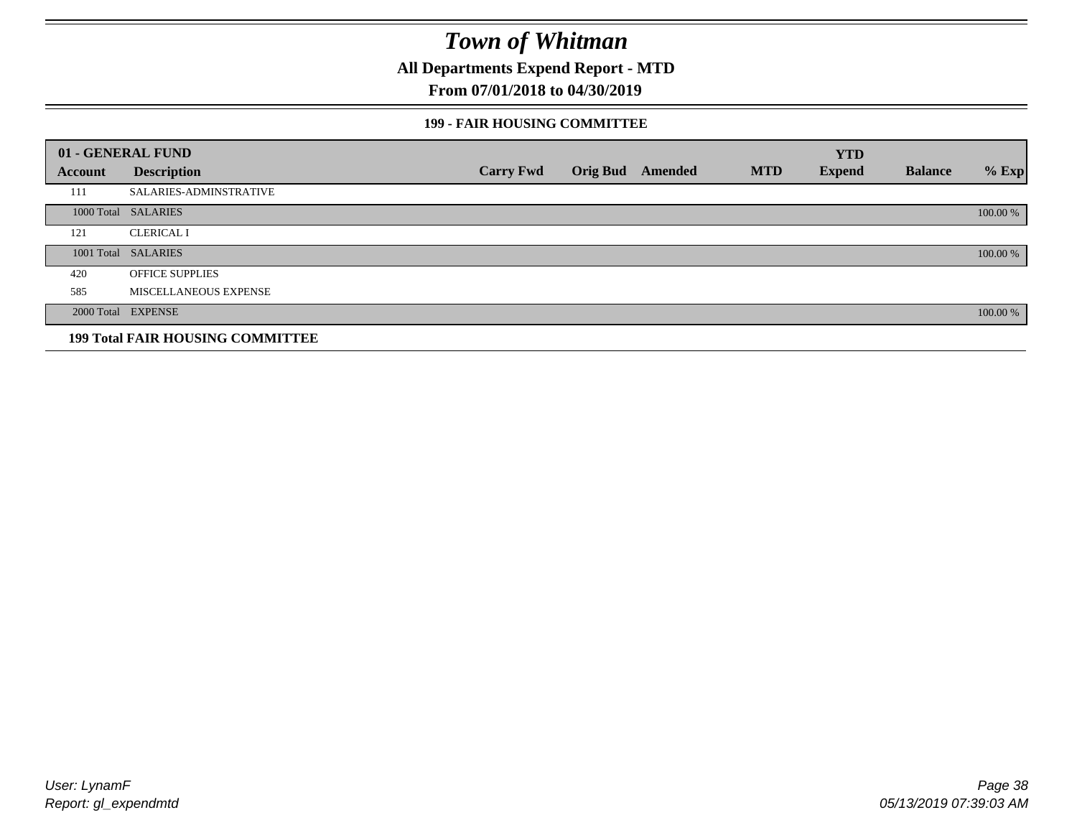**All Departments Expend Report - MTD**

### **From 07/01/2018 to 04/30/2019**

#### **199 - FAIR HOUSING COMMITTEE**

|         | 01 - GENERAL FUND                       |                  |                         |            | <b>YTD</b>    |                |          |
|---------|-----------------------------------------|------------------|-------------------------|------------|---------------|----------------|----------|
| Account | <b>Description</b>                      | <b>Carry Fwd</b> | <b>Orig Bud</b> Amended | <b>MTD</b> | <b>Expend</b> | <b>Balance</b> | $%$ Exp  |
| 111     | SALARIES-ADMINSTRATIVE                  |                  |                         |            |               |                |          |
|         | 1000 Total SALARIES                     |                  |                         |            |               |                | 100.00 % |
| 121     | <b>CLERICAL I</b>                       |                  |                         |            |               |                |          |
|         | 1001 Total SALARIES                     |                  |                         |            |               |                | 100.00 % |
| 420     | <b>OFFICE SUPPLIES</b>                  |                  |                         |            |               |                |          |
| 585     | MISCELLANEOUS EXPENSE                   |                  |                         |            |               |                |          |
|         | 2000 Total EXPENSE                      |                  |                         |            |               |                | 100.00 % |
|         | <b>199 Total FAIR HOUSING COMMITTEE</b> |                  |                         |            |               |                |          |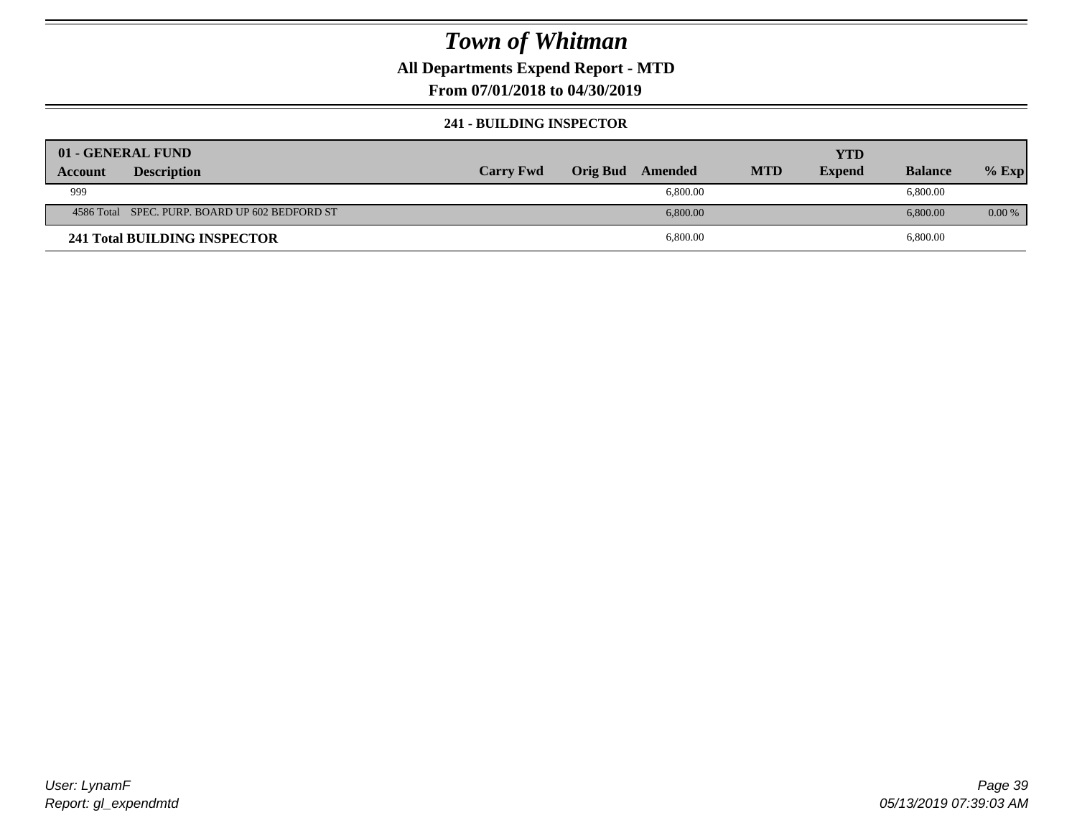### **All Departments Expend Report - MTD**

**From 07/01/2018 to 04/30/2019**

#### **241 - BUILDING INSPECTOR**

|         | 01 - GENERAL FUND                              |                  |          |          |            | <b>YTD</b>    |                |          |
|---------|------------------------------------------------|------------------|----------|----------|------------|---------------|----------------|----------|
| Account | <b>Description</b>                             | <b>Carry Fwd</b> | Orig Bud | Amended  | <b>MTD</b> | <b>Expend</b> | <b>Balance</b> | $%$ Exp  |
| 999     |                                                |                  |          | 6,800.00 |            |               | 6,800.00       |          |
|         | 4586 Total SPEC. PURP. BOARD UP 602 BEDFORD ST |                  |          | 6,800.00 |            |               | 6,800.00       | $0.00\%$ |
|         | 241 Total BUILDING INSPECTOR                   |                  |          | 6,800.00 |            |               | 6,800.00       |          |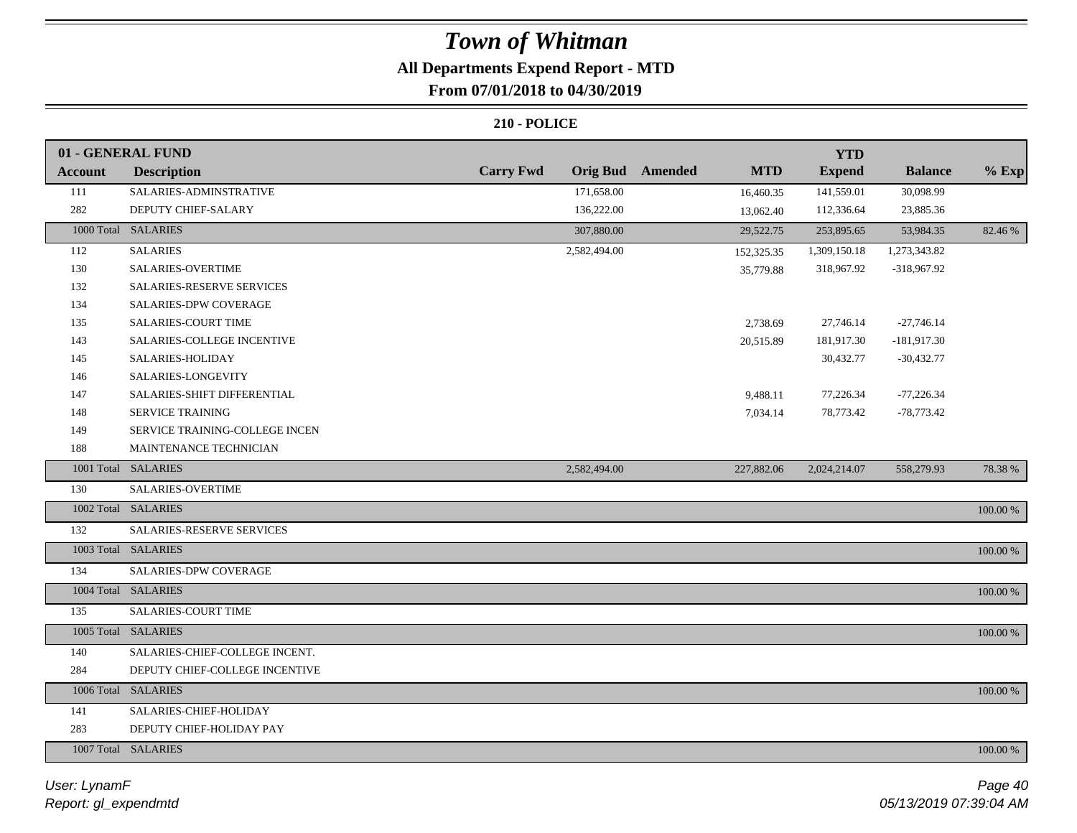## **All Departments Expend Report - MTD**

### **From 07/01/2018 to 04/30/2019**

|                | 01 - GENERAL FUND              |                                      |            | <b>YTD</b>    |                |          |
|----------------|--------------------------------|--------------------------------------|------------|---------------|----------------|----------|
| <b>Account</b> | <b>Description</b>             | <b>Carry Fwd</b><br>Orig Bud Amended | <b>MTD</b> | <b>Expend</b> | <b>Balance</b> | $%$ Exp  |
| 111            | SALARIES-ADMINSTRATIVE         | 171,658.00                           | 16,460.35  | 141,559.01    | 30,098.99      |          |
| 282            | DEPUTY CHIEF-SALARY            | 136,222.00                           | 13,062.40  | 112,336.64    | 23,885.36      |          |
|                | 1000 Total SALARIES            | 307,880.00                           | 29,522.75  | 253,895.65    | 53,984.35      | 82.46 %  |
| 112            | <b>SALARIES</b>                | 2,582,494.00                         | 152,325.35 | 1,309,150.18  | 1,273,343.82   |          |
| 130            | SALARIES-OVERTIME              |                                      | 35,779.88  | 318,967.92    | -318,967.92    |          |
| 132            | SALARIES-RESERVE SERVICES      |                                      |            |               |                |          |
| 134            | SALARIES-DPW COVERAGE          |                                      |            |               |                |          |
| 135            | SALARIES-COURT TIME            |                                      | 2,738.69   | 27,746.14     | $-27,746.14$   |          |
| 143            | SALARIES-COLLEGE INCENTIVE     |                                      | 20,515.89  | 181,917.30    | $-181,917.30$  |          |
| 145            | SALARIES-HOLIDAY               |                                      |            | 30,432.77     | $-30,432.77$   |          |
| 146            | SALARIES-LONGEVITY             |                                      |            |               |                |          |
| 147            | SALARIES-SHIFT DIFFERENTIAL    |                                      | 9,488.11   | 77,226.34     | $-77,226.34$   |          |
| 148            | <b>SERVICE TRAINING</b>        |                                      | 7,034.14   | 78,773.42     | $-78,773.42$   |          |
| 149            | SERVICE TRAINING-COLLEGE INCEN |                                      |            |               |                |          |
| 188            | MAINTENANCE TECHNICIAN         |                                      |            |               |                |          |
|                | 1001 Total SALARIES            | 2,582,494.00                         | 227,882.06 | 2,024,214.07  | 558,279.93     | 78.38%   |
| 130            | <b>SALARIES-OVERTIME</b>       |                                      |            |               |                |          |
|                | 1002 Total SALARIES            |                                      |            |               |                | 100.00 % |
| 132            | SALARIES-RESERVE SERVICES      |                                      |            |               |                |          |
|                | 1003 Total SALARIES            |                                      |            |               |                | 100.00 % |
| 134            | SALARIES-DPW COVERAGE          |                                      |            |               |                |          |
|                | 1004 Total SALARIES            |                                      |            |               |                | 100.00 % |
| 135            | SALARIES-COURT TIME            |                                      |            |               |                |          |
|                | 1005 Total SALARIES            |                                      |            |               |                | 100.00 % |
| 140            | SALARIES-CHIEF-COLLEGE INCENT. |                                      |            |               |                |          |
| 284            | DEPUTY CHIEF-COLLEGE INCENTIVE |                                      |            |               |                |          |
|                | 1006 Total SALARIES            |                                      |            |               |                | 100.00 % |
| 141            | SALARIES-CHIEF-HOLIDAY         |                                      |            |               |                |          |
| 283            | DEPUTY CHIEF-HOLIDAY PAY       |                                      |            |               |                |          |
|                |                                |                                      |            |               |                |          |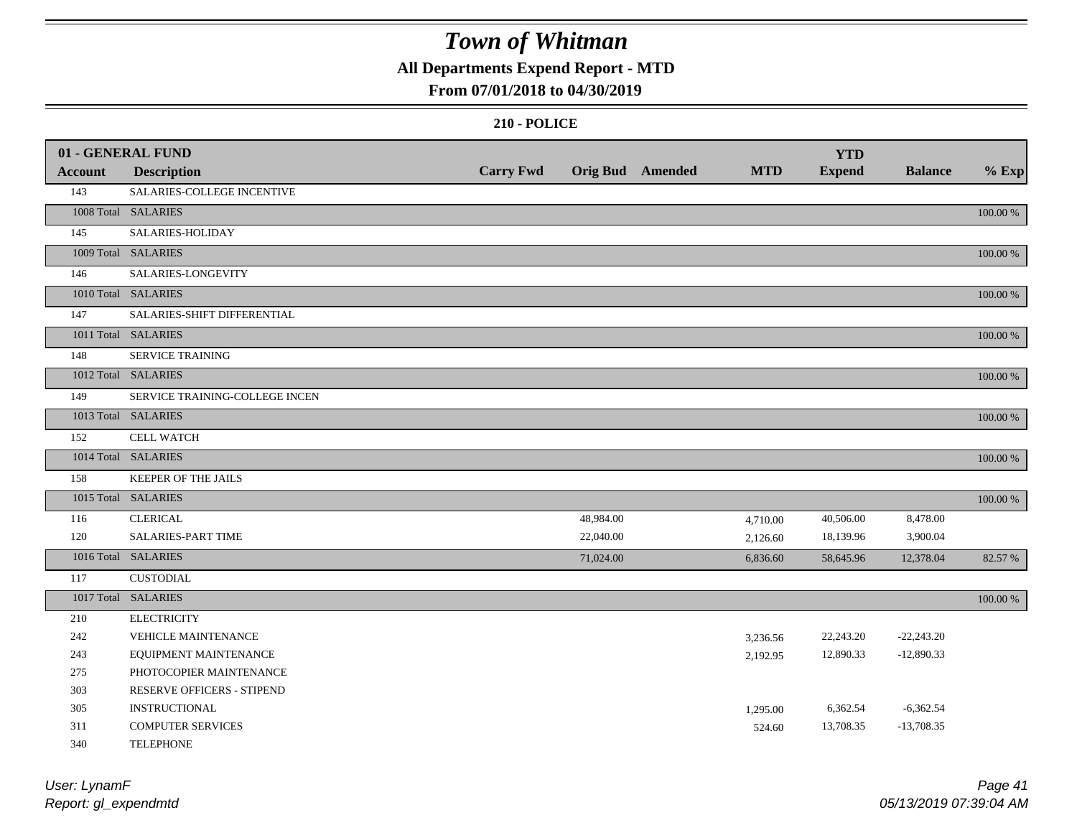### **All Departments Expend Report - MTD**

### **From 07/01/2018 to 04/30/2019**

|                | 01 - GENERAL FUND              |                  |           |                         |            | <b>YTD</b>    |                |          |
|----------------|--------------------------------|------------------|-----------|-------------------------|------------|---------------|----------------|----------|
| <b>Account</b> | <b>Description</b>             | <b>Carry Fwd</b> |           | <b>Orig Bud</b> Amended | <b>MTD</b> | <b>Expend</b> | <b>Balance</b> | $%$ Exp  |
| 143            | SALARIES-COLLEGE INCENTIVE     |                  |           |                         |            |               |                |          |
|                | 1008 Total SALARIES            |                  |           |                         |            |               |                | 100.00 % |
| 145            | SALARIES-HOLIDAY               |                  |           |                         |            |               |                |          |
|                | 1009 Total SALARIES            |                  |           |                         |            |               |                | 100.00 % |
| 146            | SALARIES-LONGEVITY             |                  |           |                         |            |               |                |          |
|                | 1010 Total SALARIES            |                  |           |                         |            |               |                | 100.00 % |
| 147            | SALARIES-SHIFT DIFFERENTIAL    |                  |           |                         |            |               |                |          |
|                | 1011 Total SALARIES            |                  |           |                         |            |               |                | 100.00 % |
| 148            | <b>SERVICE TRAINING</b>        |                  |           |                         |            |               |                |          |
|                | 1012 Total SALARIES            |                  |           |                         |            |               |                | 100.00 % |
| 149            | SERVICE TRAINING-COLLEGE INCEN |                  |           |                         |            |               |                |          |
|                | 1013 Total SALARIES            |                  |           |                         |            |               |                | 100.00 % |
| 152            | <b>CELL WATCH</b>              |                  |           |                         |            |               |                |          |
|                | 1014 Total SALARIES            |                  |           |                         |            |               |                | 100.00 % |
| 158            | KEEPER OF THE JAILS            |                  |           |                         |            |               |                |          |
|                | 1015 Total SALARIES            |                  |           |                         |            |               |                | 100.00 % |
| 116            | <b>CLERICAL</b>                |                  | 48,984.00 |                         | 4,710.00   | 40,506.00     | 8,478.00       |          |
| 120            | SALARIES-PART TIME             |                  | 22,040.00 |                         | 2,126.60   | 18,139.96     | 3,900.04       |          |
|                | 1016 Total SALARIES            |                  | 71,024.00 |                         | 6,836.60   | 58,645.96     | 12,378.04      | 82.57 %  |
| 117            | <b>CUSTODIAL</b>               |                  |           |                         |            |               |                |          |
|                | 1017 Total SALARIES            |                  |           |                         |            |               |                | 100.00 % |
| 210            | <b>ELECTRICITY</b>             |                  |           |                         |            |               |                |          |
| 242            | VEHICLE MAINTENANCE            |                  |           |                         | 3,236.56   | 22,243.20     | $-22,243.20$   |          |
| 243            | EQUIPMENT MAINTENANCE          |                  |           |                         | 2,192.95   | 12,890.33     | $-12,890.33$   |          |
| 275            | PHOTOCOPIER MAINTENANCE        |                  |           |                         |            |               |                |          |
| 303            | RESERVE OFFICERS - STIPEND     |                  |           |                         |            |               |                |          |
| 305            | <b>INSTRUCTIONAL</b>           |                  |           |                         | 1,295.00   | 6,362.54      | $-6,362.54$    |          |
| 311            | <b>COMPUTER SERVICES</b>       |                  |           |                         | 524.60     | 13,708.35     | $-13,708.35$   |          |
| 340            | <b>TELEPHONE</b>               |                  |           |                         |            |               |                |          |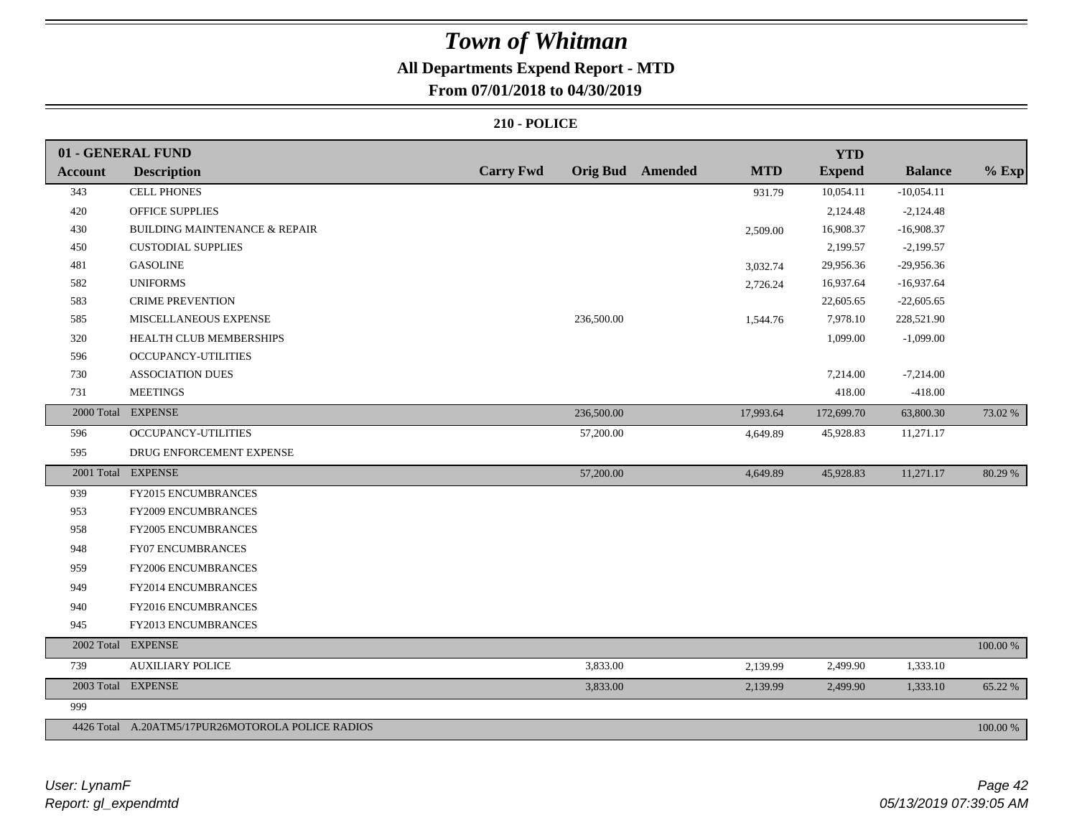### **All Departments Expend Report - MTD**

### **From 07/01/2018 to 04/30/2019**

|                | 01 - GENERAL FUND                                 |                  |            |                         |            | <b>YTD</b>    |                |          |
|----------------|---------------------------------------------------|------------------|------------|-------------------------|------------|---------------|----------------|----------|
| <b>Account</b> | <b>Description</b>                                | <b>Carry Fwd</b> |            | <b>Orig Bud</b> Amended | <b>MTD</b> | <b>Expend</b> | <b>Balance</b> | $%$ Exp  |
| 343            | <b>CELL PHONES</b>                                |                  |            |                         | 931.79     | 10,054.11     | $-10,054.11$   |          |
| 420            | <b>OFFICE SUPPLIES</b>                            |                  |            |                         |            | 2,124.48      | $-2,124.48$    |          |
| 430            | <b>BUILDING MAINTENANCE &amp; REPAIR</b>          |                  |            |                         | 2,509.00   | 16,908.37     | $-16,908.37$   |          |
| 450            | <b>CUSTODIAL SUPPLIES</b>                         |                  |            |                         |            | 2,199.57      | $-2,199.57$    |          |
| 481            | <b>GASOLINE</b>                                   |                  |            |                         | 3,032.74   | 29,956.36     | $-29,956.36$   |          |
| 582            | <b>UNIFORMS</b>                                   |                  |            |                         | 2,726.24   | 16,937.64     | $-16,937.64$   |          |
| 583            | <b>CRIME PREVENTION</b>                           |                  |            |                         |            | 22,605.65     | $-22,605.65$   |          |
| 585            | MISCELLANEOUS EXPENSE                             |                  | 236,500.00 |                         | 1,544.76   | 7,978.10      | 228,521.90     |          |
| 320            | HEALTH CLUB MEMBERSHIPS                           |                  |            |                         |            | 1,099.00      | $-1,099.00$    |          |
| 596            | OCCUPANCY-UTILITIES                               |                  |            |                         |            |               |                |          |
| 730            | <b>ASSOCIATION DUES</b>                           |                  |            |                         |            | 7,214.00      | $-7,214.00$    |          |
| 731            | <b>MEETINGS</b>                                   |                  |            |                         |            | 418.00        | $-418.00$      |          |
|                | 2000 Total EXPENSE                                |                  | 236,500.00 |                         | 17,993.64  | 172,699.70    | 63,800.30      | 73.02 %  |
| 596            | OCCUPANCY-UTILITIES                               |                  | 57,200.00  |                         | 4,649.89   | 45,928.83     | 11,271.17      |          |
| 595            | DRUG ENFORCEMENT EXPENSE                          |                  |            |                         |            |               |                |          |
|                | 2001 Total EXPENSE                                |                  | 57,200.00  |                         | 4,649.89   | 45,928.83     | 11,271.17      | 80.29 %  |
| 939            | FY2015 ENCUMBRANCES                               |                  |            |                         |            |               |                |          |
| 953            | FY2009 ENCUMBRANCES                               |                  |            |                         |            |               |                |          |
| 958            | FY2005 ENCUMBRANCES                               |                  |            |                         |            |               |                |          |
| 948            | FY07 ENCUMBRANCES                                 |                  |            |                         |            |               |                |          |
| 959            | FY2006 ENCUMBRANCES                               |                  |            |                         |            |               |                |          |
| 949            | FY2014 ENCUMBRANCES                               |                  |            |                         |            |               |                |          |
| 940            | FY2016 ENCUMBRANCES                               |                  |            |                         |            |               |                |          |
| 945            | FY2013 ENCUMBRANCES                               |                  |            |                         |            |               |                |          |
| 2002 Total     | <b>EXPENSE</b>                                    |                  |            |                         |            |               |                | 100.00 % |
| 739            | <b>AUXILIARY POLICE</b>                           |                  | 3,833.00   |                         | 2,139.99   | 2,499.90      | 1,333.10       |          |
|                | 2003 Total EXPENSE                                |                  | 3,833.00   |                         | 2,139.99   | 2,499.90      | 1,333.10       | 65.22 %  |
| 999            |                                                   |                  |            |                         |            |               |                |          |
|                | 4426 Total A.20ATM5/17PUR26MOTOROLA POLICE RADIOS |                  |            |                         |            |               |                | 100.00 % |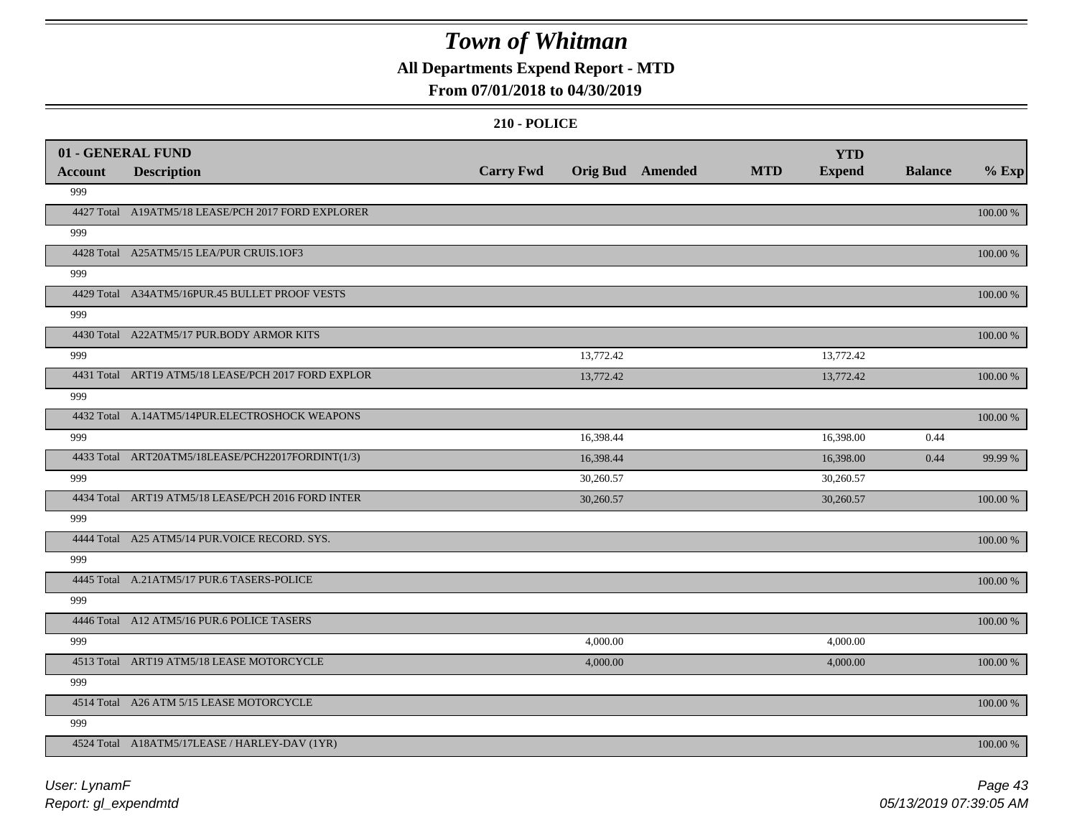### **All Departments Expend Report - MTD**

### **From 07/01/2018 to 04/30/2019**

|                | 01 - GENERAL FUND                                   |                  |                  |            | <b>YTD</b>    |                |             |
|----------------|-----------------------------------------------------|------------------|------------------|------------|---------------|----------------|-------------|
| <b>Account</b> | <b>Description</b>                                  | <b>Carry Fwd</b> | Orig Bud Amended | <b>MTD</b> | <b>Expend</b> | <b>Balance</b> | $%$ Exp     |
| 999            |                                                     |                  |                  |            |               |                |             |
|                | 4427 Total A19ATM5/18 LEASE/PCH 2017 FORD EXPLORER  |                  |                  |            |               |                | 100.00 %    |
| 999            |                                                     |                  |                  |            |               |                |             |
|                | 4428 Total A25ATM5/15 LEA/PUR CRUIS.1OF3            |                  |                  |            |               |                | $100.00~\%$ |
| 999            |                                                     |                  |                  |            |               |                |             |
|                | 4429 Total A34ATM5/16PUR.45 BULLET PROOF VESTS      |                  |                  |            |               |                | 100.00 %    |
| 999            |                                                     |                  |                  |            |               |                |             |
|                | 4430 Total A22ATM5/17 PUR.BODY ARMOR KITS           |                  |                  |            |               |                | 100.00 %    |
| 999            |                                                     |                  | 13,772.42        |            | 13,772.42     |                |             |
|                | 4431 Total ART19 ATM5/18 LEASE/PCH 2017 FORD EXPLOR |                  | 13,772.42        |            | 13,772.42     |                | 100.00 %    |
| 999            |                                                     |                  |                  |            |               |                |             |
|                | 4432 Total A.14ATM5/14PUR.ELECTROSHOCK WEAPONS      |                  |                  |            |               |                | 100.00 %    |
| 999            |                                                     |                  | 16,398.44        |            | 16,398.00     | 0.44           |             |
|                | 4433 Total ART20ATM5/18LEASE/PCH22017FORDINT(1/3)   |                  | 16,398.44        |            | 16,398.00     | 0.44           | 99.99 %     |
| 999            |                                                     |                  | 30,260.57        |            | 30,260.57     |                |             |
|                | 4434 Total ART19 ATM5/18 LEASE/PCH 2016 FORD INTER  |                  | 30,260.57        |            | 30,260.57     |                | 100.00 %    |
| 999            |                                                     |                  |                  |            |               |                |             |
|                | 4444 Total A25 ATM5/14 PUR. VOICE RECORD. SYS.      |                  |                  |            |               |                | 100.00 %    |
| 999            |                                                     |                  |                  |            |               |                |             |
|                | 4445 Total A.21ATM5/17 PUR.6 TASERS-POLICE          |                  |                  |            |               |                | 100.00 %    |
| 999            |                                                     |                  |                  |            |               |                |             |
|                | 4446 Total A12 ATM5/16 PUR.6 POLICE TASERS          |                  |                  |            |               |                | 100.00 %    |
| 999            |                                                     |                  | 4,000.00         |            | 4,000.00      |                |             |
|                | 4513 Total ART19 ATM5/18 LEASE MOTORCYCLE           |                  | 4,000.00         |            | 4,000.00      |                | 100.00 %    |
| 999            |                                                     |                  |                  |            |               |                |             |
|                | 4514 Total A26 ATM 5/15 LEASE MOTORCYCLE            |                  |                  |            |               |                | 100.00 %    |
| 999            |                                                     |                  |                  |            |               |                |             |
|                | 4524 Total A18ATM5/17LEASE / HARLEY-DAV (1YR)       |                  |                  |            |               |                | 100.00 %    |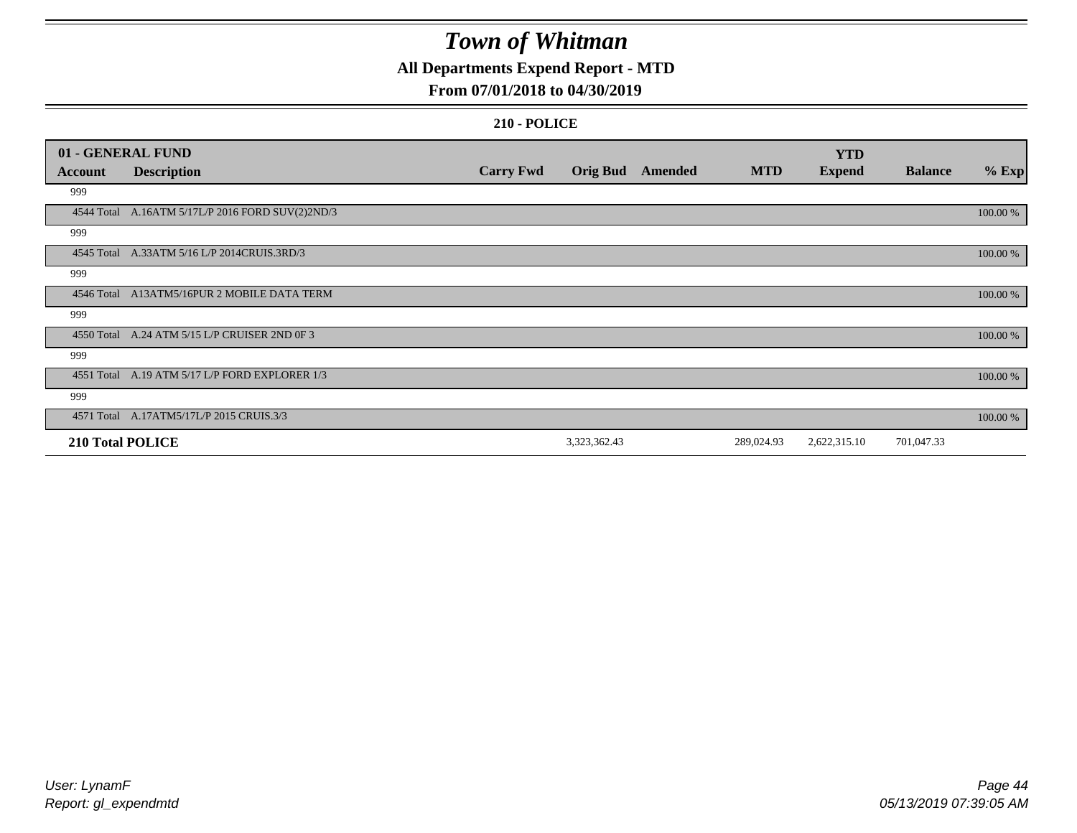### **All Departments Expend Report - MTD**

### **From 07/01/2018 to 04/30/2019**

|                         | 01 - GENERAL FUND                                |                  |                 |         |            | <b>YTD</b>    |                |          |
|-------------------------|--------------------------------------------------|------------------|-----------------|---------|------------|---------------|----------------|----------|
| <b>Account</b>          | <b>Description</b>                               | <b>Carry Fwd</b> | <b>Orig Bud</b> | Amended | <b>MTD</b> | <b>Expend</b> | <b>Balance</b> | $%$ Exp  |
| 999                     |                                                  |                  |                 |         |            |               |                |          |
|                         | 4544 Total A.16ATM 5/17L/P 2016 FORD SUV(2)2ND/3 |                  |                 |         |            |               |                | 100.00 % |
| 999                     |                                                  |                  |                 |         |            |               |                |          |
|                         | 4545 Total A.33ATM 5/16 L/P 2014CRUIS.3RD/3      |                  |                 |         |            |               |                | 100.00 % |
| 999                     |                                                  |                  |                 |         |            |               |                |          |
|                         | 4546 Total A13ATM5/16PUR 2 MOBILE DATA TERM      |                  |                 |         |            |               |                | 100.00 % |
| 999                     |                                                  |                  |                 |         |            |               |                |          |
|                         | 4550 Total A.24 ATM 5/15 L/P CRUISER 2ND OF 3    |                  |                 |         |            |               |                | 100.00 % |
| 999                     |                                                  |                  |                 |         |            |               |                |          |
|                         | 4551 Total A.19 ATM 5/17 L/P FORD EXPLORER 1/3   |                  |                 |         |            |               |                | 100.00 % |
| 999                     |                                                  |                  |                 |         |            |               |                |          |
|                         | 4571 Total A.17ATM5/17L/P 2015 CRUIS.3/3         |                  |                 |         |            |               |                | 100.00 % |
| <b>210 Total POLICE</b> |                                                  |                  | 3,323,362.43    |         | 289,024.93 | 2,622,315.10  | 701,047.33     |          |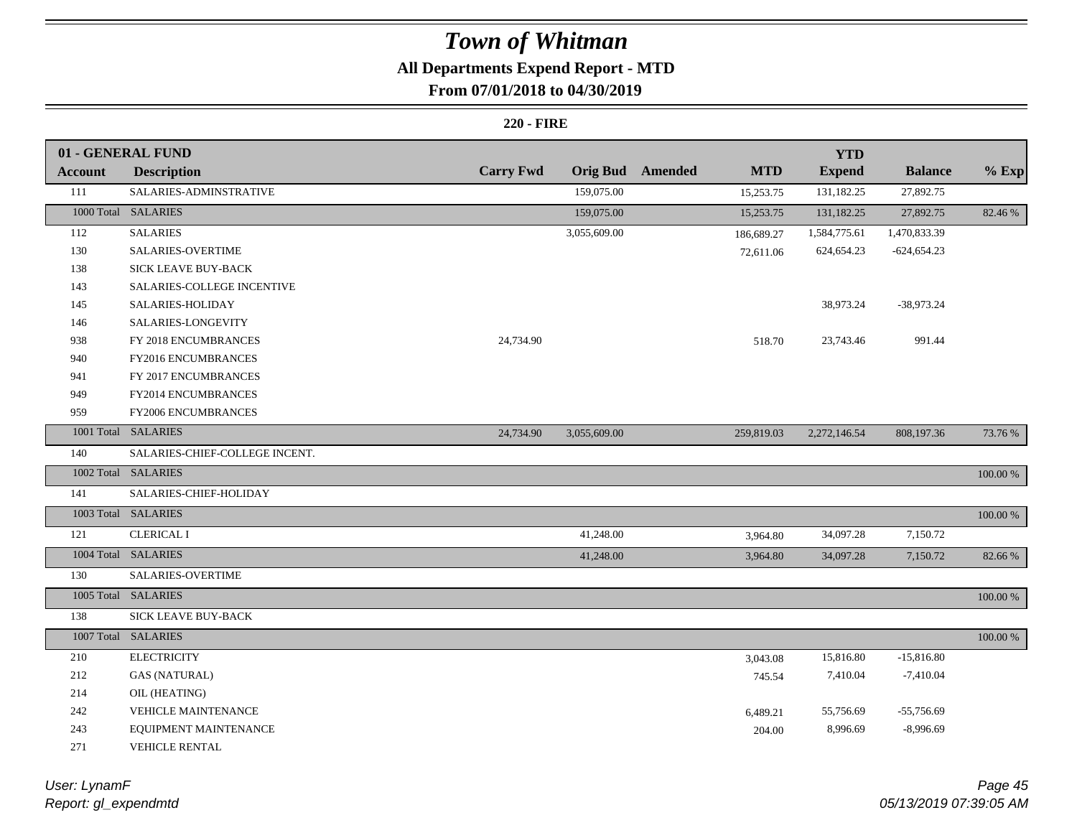## **All Departments Expend Report - MTD**

### **From 07/01/2018 to 04/30/2019**

#### **220 - FIRE**

|                | 01 - GENERAL FUND              |                  |              |                         |            | <b>YTD</b>    |                |            |
|----------------|--------------------------------|------------------|--------------|-------------------------|------------|---------------|----------------|------------|
| <b>Account</b> | <b>Description</b>             | <b>Carry Fwd</b> |              | <b>Orig Bud</b> Amended | <b>MTD</b> | <b>Expend</b> | <b>Balance</b> | $%$ Exp    |
| 111            | SALARIES-ADMINSTRATIVE         |                  | 159,075.00   |                         | 15,253.75  | 131,182.25    | 27,892.75      |            |
|                | 1000 Total SALARIES            |                  | 159,075.00   |                         | 15,253.75  | 131,182.25    | 27,892.75      | 82.46 %    |
| 112            | <b>SALARIES</b>                |                  | 3,055,609.00 |                         | 186,689.27 | 1,584,775.61  | 1,470,833.39   |            |
| 130            | <b>SALARIES-OVERTIME</b>       |                  |              |                         | 72,611.06  | 624, 654. 23  | $-624,654.23$  |            |
| 138            | SICK LEAVE BUY-BACK            |                  |              |                         |            |               |                |            |
| 143            | SALARIES-COLLEGE INCENTIVE     |                  |              |                         |            |               |                |            |
| 145            | SALARIES-HOLIDAY               |                  |              |                         |            | 38,973.24     | $-38,973.24$   |            |
| 146            | SALARIES-LONGEVITY             |                  |              |                         |            |               |                |            |
| 938            | FY 2018 ENCUMBRANCES           | 24,734.90        |              |                         | 518.70     | 23,743.46     | 991.44         |            |
| 940            | FY2016 ENCUMBRANCES            |                  |              |                         |            |               |                |            |
| 941            | FY 2017 ENCUMBRANCES           |                  |              |                         |            |               |                |            |
| 949            | FY2014 ENCUMBRANCES            |                  |              |                         |            |               |                |            |
| 959            | FY2006 ENCUMBRANCES            |                  |              |                         |            |               |                |            |
|                | 1001 Total SALARIES            | 24,734.90        | 3,055,609.00 |                         | 259,819.03 | 2,272,146.54  | 808,197.36     | 73.76 %    |
| 140            | SALARIES-CHIEF-COLLEGE INCENT. |                  |              |                         |            |               |                |            |
|                | 1002 Total SALARIES            |                  |              |                         |            |               |                | 100.00 %   |
| 141            | SALARIES-CHIEF-HOLIDAY         |                  |              |                         |            |               |                |            |
|                | 1003 Total SALARIES            |                  |              |                         |            |               |                | 100.00 %   |
| 121            | <b>CLERICAL I</b>              |                  | 41,248.00    |                         | 3,964.80   | 34,097.28     | 7,150.72       |            |
|                | 1004 Total SALARIES            |                  | 41,248.00    |                         | 3,964.80   | 34,097.28     | 7,150.72       | 82.66%     |
| 130            | SALARIES-OVERTIME              |                  |              |                         |            |               |                |            |
|                | 1005 Total SALARIES            |                  |              |                         |            |               |                | $100.00\%$ |
| 138            | <b>SICK LEAVE BUY-BACK</b>     |                  |              |                         |            |               |                |            |
|                | 1007 Total SALARIES            |                  |              |                         |            |               |                | 100.00 %   |
| 210            | <b>ELECTRICITY</b>             |                  |              |                         | 3,043.08   | 15,816.80     | $-15,816.80$   |            |
| 212            | <b>GAS (NATURAL)</b>           |                  |              |                         | 745.54     | 7,410.04      | $-7,410.04$    |            |
| 214            | OIL (HEATING)                  |                  |              |                         |            |               |                |            |
| 242            | <b>VEHICLE MAINTENANCE</b>     |                  |              |                         | 6,489.21   | 55,756.69     | $-55,756.69$   |            |
| 243            | EQUIPMENT MAINTENANCE          |                  |              |                         | 204.00     | 8,996.69      | $-8,996.69$    |            |
| 271            | VEHICLE RENTAL                 |                  |              |                         |            |               |                |            |

*Report: gl\_expendmtd User: LynamF*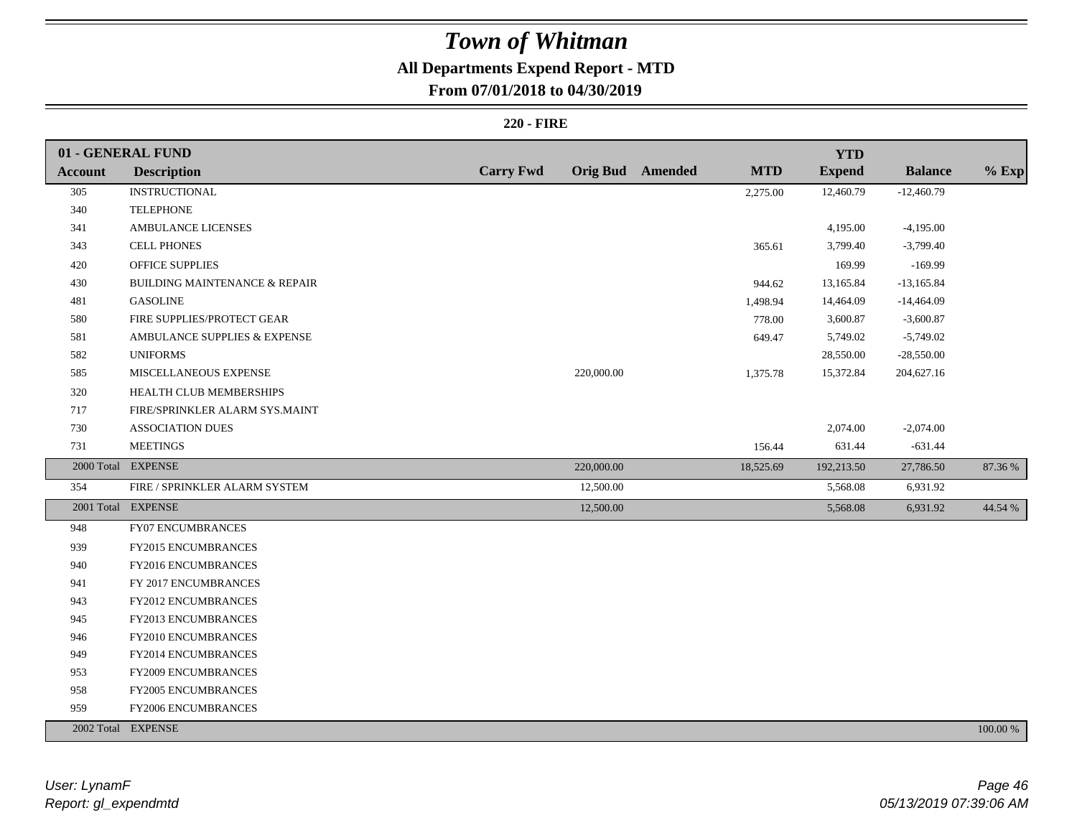### **All Departments Expend Report - MTD**

### **From 07/01/2018 to 04/30/2019**

#### **220 - FIRE**

|                | 01 - GENERAL FUND                        |                  |            |                         |            | <b>YTD</b>    |                |          |
|----------------|------------------------------------------|------------------|------------|-------------------------|------------|---------------|----------------|----------|
| <b>Account</b> | <b>Description</b>                       | <b>Carry Fwd</b> |            | <b>Orig Bud</b> Amended | <b>MTD</b> | <b>Expend</b> | <b>Balance</b> | $%$ Exp  |
| 305            | <b>INSTRUCTIONAL</b>                     |                  |            |                         | 2,275.00   | 12,460.79     | $-12,460.79$   |          |
| 340            | <b>TELEPHONE</b>                         |                  |            |                         |            |               |                |          |
| 341            | <b>AMBULANCE LICENSES</b>                |                  |            |                         |            | 4,195.00      | $-4,195.00$    |          |
| 343            | <b>CELL PHONES</b>                       |                  |            |                         | 365.61     | 3,799.40      | $-3,799.40$    |          |
| 420            | <b>OFFICE SUPPLIES</b>                   |                  |            |                         |            | 169.99        | $-169.99$      |          |
| 430            | <b>BUILDING MAINTENANCE &amp; REPAIR</b> |                  |            |                         | 944.62     | 13,165.84     | $-13,165.84$   |          |
| 481            | <b>GASOLINE</b>                          |                  |            |                         | 1,498.94   | 14,464.09     | $-14,464.09$   |          |
| 580            | FIRE SUPPLIES/PROTECT GEAR               |                  |            |                         | 778.00     | 3,600.87      | $-3,600.87$    |          |
| 581            | AMBULANCE SUPPLIES & EXPENSE             |                  |            |                         | 649.47     | 5,749.02      | $-5,749.02$    |          |
| 582            | <b>UNIFORMS</b>                          |                  |            |                         |            | 28,550.00     | $-28,550.00$   |          |
| 585            | MISCELLANEOUS EXPENSE                    |                  | 220,000.00 |                         | 1,375.78   | 15,372.84     | 204,627.16     |          |
| 320            | HEALTH CLUB MEMBERSHIPS                  |                  |            |                         |            |               |                |          |
| $717\,$        | FIRE/SPRINKLER ALARM SYS.MAINT           |                  |            |                         |            |               |                |          |
| 730            | <b>ASSOCIATION DUES</b>                  |                  |            |                         |            | 2,074.00      | $-2,074.00$    |          |
| 731            | <b>MEETINGS</b>                          |                  |            |                         | 156.44     | 631.44        | $-631.44$      |          |
|                | 2000 Total EXPENSE                       |                  | 220,000.00 |                         | 18,525.69  | 192,213.50    | 27,786.50      | 87.36 %  |
| 354            | FIRE / SPRINKLER ALARM SYSTEM            |                  | 12,500.00  |                         |            | 5,568.08      | 6,931.92       |          |
|                | 2001 Total EXPENSE                       |                  | 12,500.00  |                         |            | 5,568.08      | 6,931.92       | 44.54 %  |
| 948            | FY07 ENCUMBRANCES                        |                  |            |                         |            |               |                |          |
| 939            | FY2015 ENCUMBRANCES                      |                  |            |                         |            |               |                |          |
| 940            | FY2016 ENCUMBRANCES                      |                  |            |                         |            |               |                |          |
| 941            | FY 2017 ENCUMBRANCES                     |                  |            |                         |            |               |                |          |
| 943            | FY2012 ENCUMBRANCES                      |                  |            |                         |            |               |                |          |
| 945            | FY2013 ENCUMBRANCES                      |                  |            |                         |            |               |                |          |
| 946            | <b>FY2010 ENCUMBRANCES</b>               |                  |            |                         |            |               |                |          |
| 949            | FY2014 ENCUMBRANCES                      |                  |            |                         |            |               |                |          |
| 953            | FY2009 ENCUMBRANCES                      |                  |            |                         |            |               |                |          |
| 958            | FY2005 ENCUMBRANCES                      |                  |            |                         |            |               |                |          |
| 959            | FY2006 ENCUMBRANCES                      |                  |            |                         |            |               |                |          |
|                | 2002 Total EXPENSE                       |                  |            |                         |            |               |                | 100.00 % |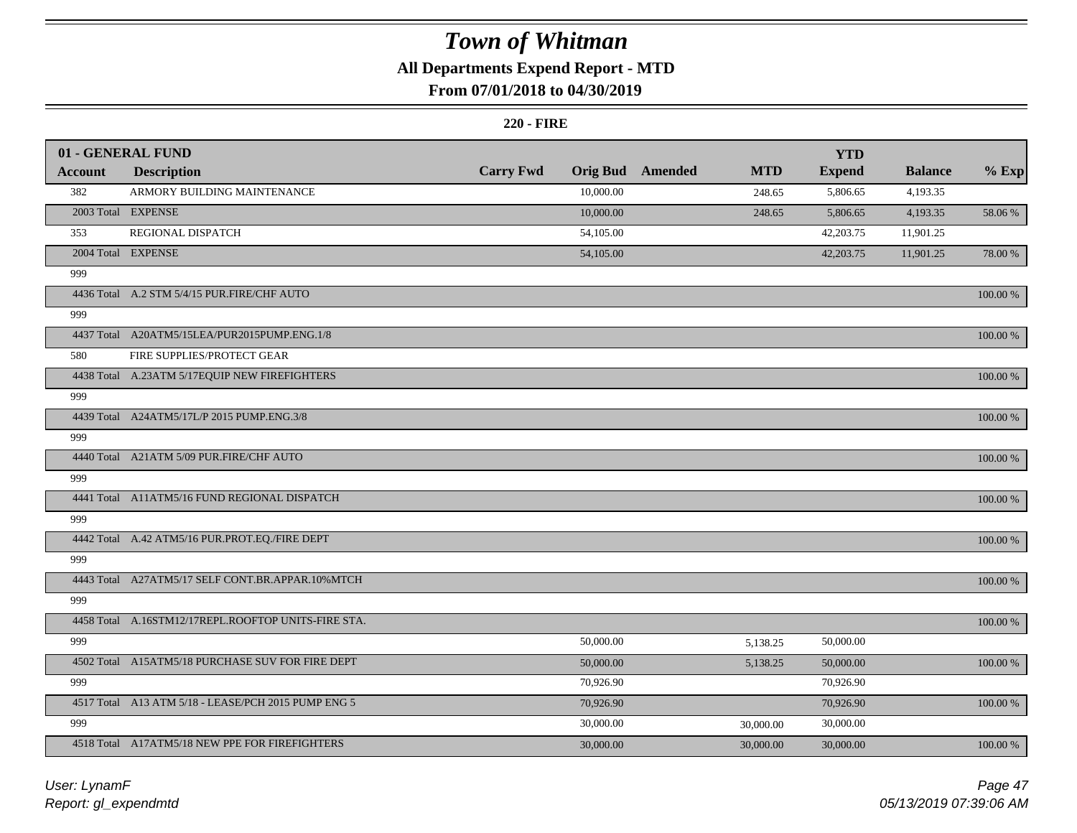### **All Departments Expend Report - MTD**

### **From 07/01/2018 to 04/30/2019**

#### **220 - FIRE**

|                | 01 - GENERAL FUND                                   |                  |                 |         |            | <b>YTD</b>    |                |             |
|----------------|-----------------------------------------------------|------------------|-----------------|---------|------------|---------------|----------------|-------------|
| <b>Account</b> | <b>Description</b>                                  | <b>Carry Fwd</b> | <b>Orig Bud</b> | Amended | <b>MTD</b> | <b>Expend</b> | <b>Balance</b> | $%$ Exp     |
| 382            | ARMORY BUILDING MAINTENANCE                         |                  | 10,000.00       |         | 248.65     | 5,806.65      | 4,193.35       |             |
|                | 2003 Total EXPENSE                                  |                  | 10,000.00       |         | 248.65     | 5,806.65      | 4,193.35       | 58.06 %     |
| 353            | REGIONAL DISPATCH                                   |                  | 54,105.00       |         |            | 42,203.75     | 11,901.25      |             |
|                | 2004 Total EXPENSE                                  |                  | 54,105.00       |         |            | 42,203.75     | 11,901.25      | 78.00 %     |
| 999            |                                                     |                  |                 |         |            |               |                |             |
|                | 4436 Total A.2 STM 5/4/15 PUR.FIRE/CHF AUTO         |                  |                 |         |            |               |                | 100.00 %    |
| 999            |                                                     |                  |                 |         |            |               |                |             |
|                | 4437 Total A20ATM5/15LEA/PUR2015PUMP.ENG.1/8        |                  |                 |         |            |               |                | 100.00 %    |
| 580            | FIRE SUPPLIES/PROTECT GEAR                          |                  |                 |         |            |               |                |             |
|                | 4438 Total A.23ATM 5/17EQUIP NEW FIREFIGHTERS       |                  |                 |         |            |               |                | 100.00 %    |
| 999            |                                                     |                  |                 |         |            |               |                |             |
|                | 4439 Total A24ATM5/17L/P 2015 PUMP.ENG.3/8          |                  |                 |         |            |               |                | 100.00 %    |
| 999            |                                                     |                  |                 |         |            |               |                |             |
|                | 4440 Total A21ATM 5/09 PUR.FIRE/CHF AUTO            |                  |                 |         |            |               |                | 100.00 %    |
| 999            |                                                     |                  |                 |         |            |               |                |             |
|                | 4441 Total A11ATM5/16 FUND REGIONAL DISPATCH        |                  |                 |         |            |               |                | 100.00 %    |
| 999            |                                                     |                  |                 |         |            |               |                |             |
|                | 4442 Total A.42 ATM5/16 PUR.PROT.EQ./FIRE DEPT      |                  |                 |         |            |               |                | 100.00 %    |
| 999            |                                                     |                  |                 |         |            |               |                |             |
|                | 4443 Total A27ATM5/17 SELF CONT.BR.APPAR.10%MTCH    |                  |                 |         |            |               |                | 100.00 %    |
| 999            |                                                     |                  |                 |         |            |               |                |             |
|                | 4458 Total A.16STM12/17REPL.ROOFTOP UNITS-FIRE STA. |                  |                 |         |            |               |                | 100.00 %    |
| 999            |                                                     |                  | 50,000.00       |         | 5,138.25   | 50,000.00     |                |             |
|                | 4502 Total A15ATM5/18 PURCHASE SUV FOR FIRE DEPT    |                  | 50,000.00       |         | 5,138.25   | 50,000.00     |                | 100.00 %    |
| 999            |                                                     |                  | 70,926.90       |         |            | 70,926.90     |                |             |
|                | 4517 Total A13 ATM 5/18 - LEASE/PCH 2015 PUMP ENG 5 |                  | 70,926.90       |         |            | 70,926.90     |                | 100.00 %    |
| 999            |                                                     |                  | 30,000.00       |         | 30,000.00  | 30,000.00     |                |             |
|                | 4518 Total A17ATM5/18 NEW PPE FOR FIREFIGHTERS      |                  | 30,000.00       |         | 30,000.00  | 30,000.00     |                | $100.00~\%$ |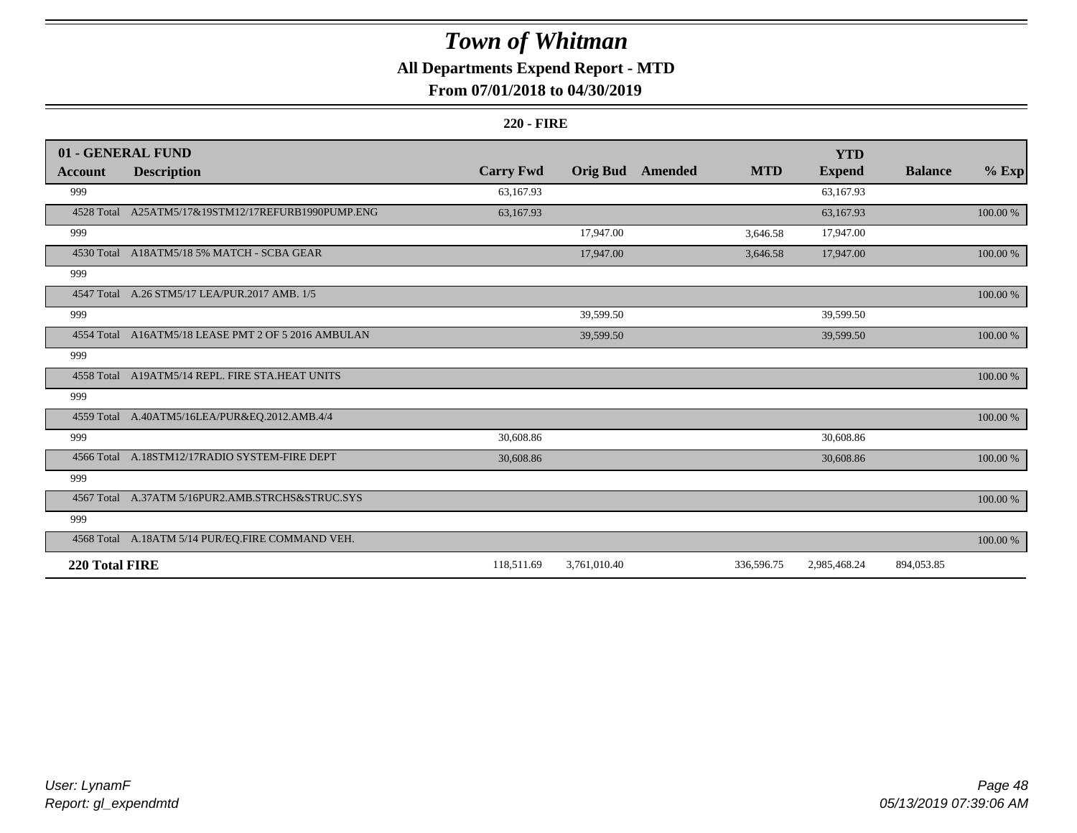### **All Departments Expend Report - MTD**

### **From 07/01/2018 to 04/30/2019**

#### **220 - FIRE**

|                | 01 - GENERAL FUND                                   |                  |                 |                |            | <b>YTD</b>    |                |             |
|----------------|-----------------------------------------------------|------------------|-----------------|----------------|------------|---------------|----------------|-------------|
| <b>Account</b> | <b>Description</b>                                  | <b>Carry Fwd</b> | <b>Orig Bud</b> | <b>Amended</b> | <b>MTD</b> | <b>Expend</b> | <b>Balance</b> | $%$ Exp     |
| 999            |                                                     | 63,167.93        |                 |                |            | 63,167.93     |                |             |
| 4528 Total     | A25ATM5/17&19STM12/17REFURB1990PUMP.ENG             | 63,167.93        |                 |                |            | 63,167.93     |                | 100.00 %    |
| 999            |                                                     |                  | 17,947.00       |                | 3,646.58   | 17,947.00     |                |             |
|                | 4530 Total A18ATM5/18 5% MATCH - SCBA GEAR          |                  | 17,947.00       |                | 3,646.58   | 17,947.00     |                | 100.00 %    |
| 999            |                                                     |                  |                 |                |            |               |                |             |
|                | 4547 Total A.26 STM5/17 LEA/PUR.2017 AMB. 1/5       |                  |                 |                |            |               |                | $100.00~\%$ |
| 999            |                                                     |                  | 39,599.50       |                |            | 39,599.50     |                |             |
|                | 4554 Total A16ATM5/18 LEASE PMT 2 OF 5 2016 AMBULAN |                  | 39,599.50       |                |            | 39,599.50     |                | 100.00 %    |
| 999            |                                                     |                  |                 |                |            |               |                |             |
|                | 4558 Total A19ATM5/14 REPL. FIRE STA.HEAT UNITS     |                  |                 |                |            |               |                | $100.00~\%$ |
| 999            |                                                     |                  |                 |                |            |               |                |             |
|                | 4559 Total A.40ATM5/16LEA/PUR&EQ.2012.AMB.4/4       |                  |                 |                |            |               |                | 100.00 %    |
| 999            |                                                     | 30,608.86        |                 |                |            | 30,608.86     |                |             |
|                | 4566 Total A.18STM12/17RADIO SYSTEM-FIRE DEPT       | 30,608.86        |                 |                |            | 30,608.86     |                | 100.00 %    |
| 999            |                                                     |                  |                 |                |            |               |                |             |
|                | 4567 Total A.37ATM 5/16PUR2.AMB.STRCHS&STRUC.SYS    |                  |                 |                |            |               |                | 100.00 %    |
| 999            |                                                     |                  |                 |                |            |               |                |             |
|                | 4568 Total A.18ATM 5/14 PUR/EQ.FIRE COMMAND VEH.    |                  |                 |                |            |               |                | 100.00 %    |
| 220 Total FIRE |                                                     | 118,511.69       | 3,761,010.40    |                | 336,596.75 | 2,985,468.24  | 894,053.85     |             |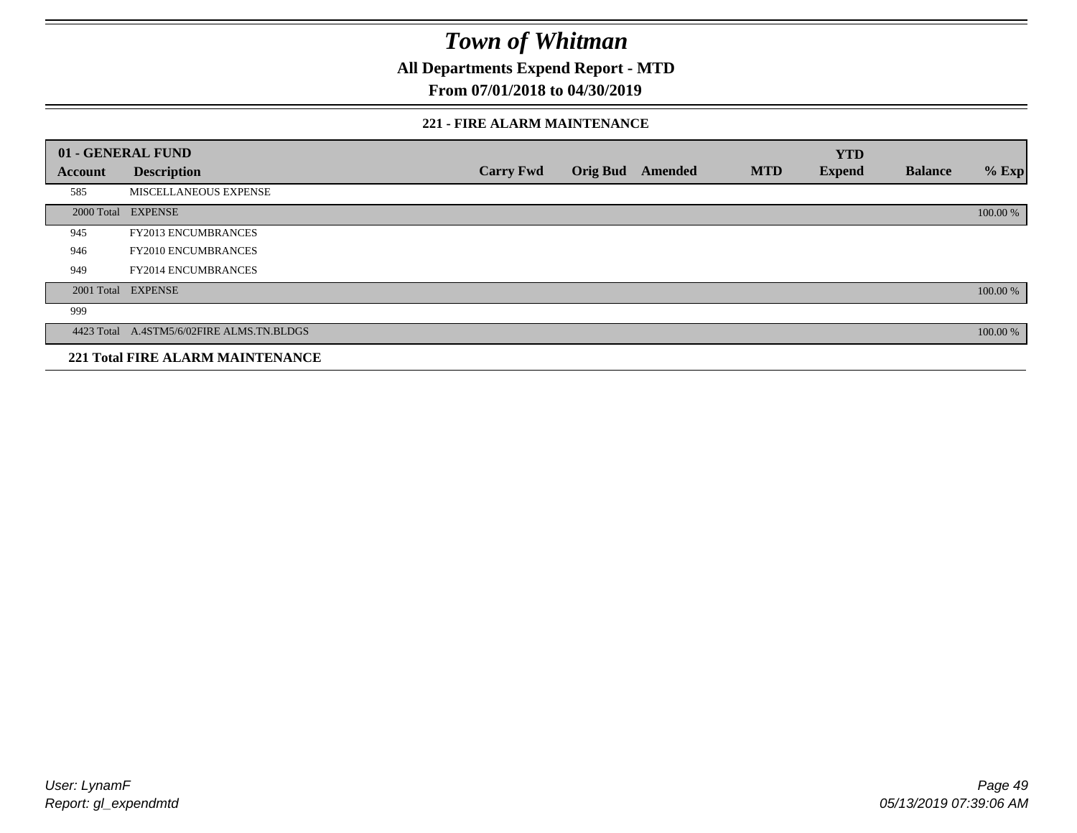**All Departments Expend Report - MTD**

### **From 07/01/2018 to 04/30/2019**

#### **221 - FIRE ALARM MAINTENANCE**

|         | 01 - GENERAL FUND                         |                  |                 |         |            | <b>YTD</b>    |                |          |
|---------|-------------------------------------------|------------------|-----------------|---------|------------|---------------|----------------|----------|
| Account | <b>Description</b>                        | <b>Carry Fwd</b> | <b>Orig Bud</b> | Amended | <b>MTD</b> | <b>Expend</b> | <b>Balance</b> | $%$ Exp  |
| 585     | MISCELLANEOUS EXPENSE                     |                  |                 |         |            |               |                |          |
|         | 2000 Total EXPENSE                        |                  |                 |         |            |               |                | 100.00 % |
| 945     | <b>FY2013 ENCUMBRANCES</b>                |                  |                 |         |            |               |                |          |
| 946     | <b>FY2010 ENCUMBRANCES</b>                |                  |                 |         |            |               |                |          |
| 949     | <b>FY2014 ENCUMBRANCES</b>                |                  |                 |         |            |               |                |          |
|         | 2001 Total EXPENSE                        |                  |                 |         |            |               |                | 100.00 % |
| 999     |                                           |                  |                 |         |            |               |                |          |
|         | 4423 Total A.4STM5/6/02FIRE ALMS.TN.BLDGS |                  |                 |         |            |               |                | 100.00 % |
|         | <b>221 Total FIRE ALARM MAINTENANCE</b>   |                  |                 |         |            |               |                |          |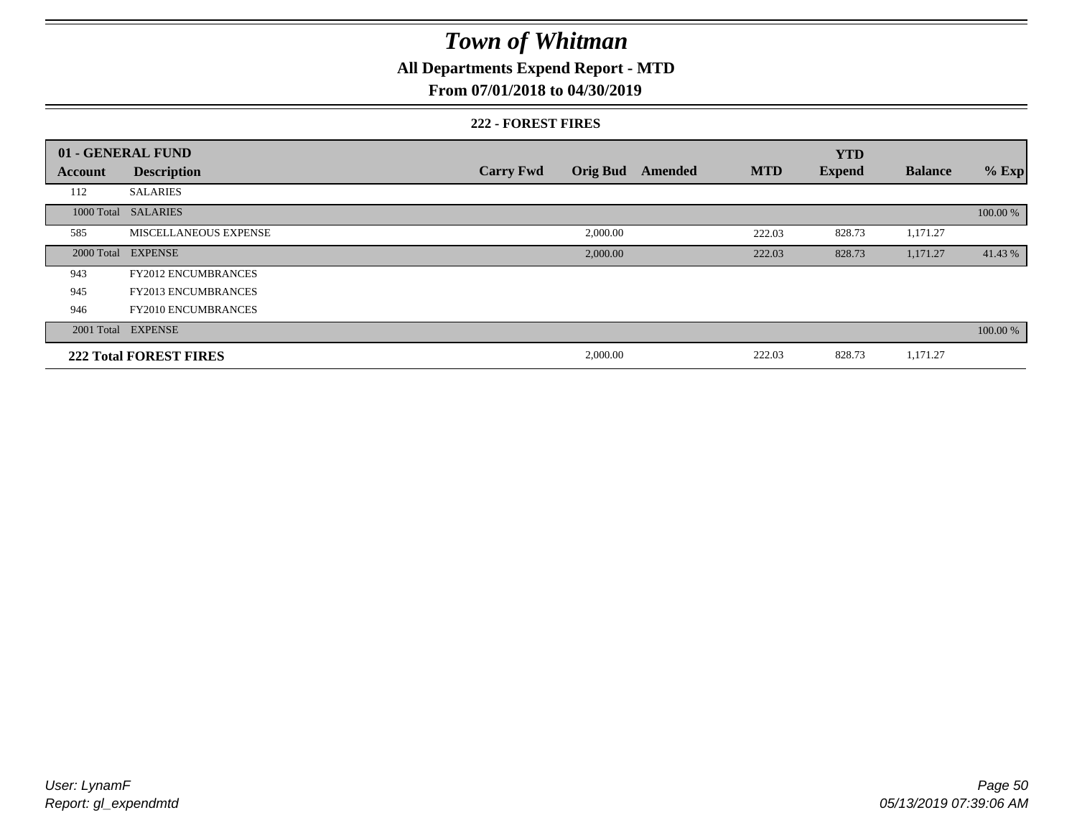### **All Departments Expend Report - MTD**

### **From 07/01/2018 to 04/30/2019**

#### **222 - FOREST FIRES**

|                | 01 - GENERAL FUND             |                  |                 |         |            | <b>YTD</b>    |                |          |
|----------------|-------------------------------|------------------|-----------------|---------|------------|---------------|----------------|----------|
| <b>Account</b> | <b>Description</b>            | <b>Carry Fwd</b> | <b>Orig Bud</b> | Amended | <b>MTD</b> | <b>Expend</b> | <b>Balance</b> | $%$ Exp  |
| 112            | <b>SALARIES</b>               |                  |                 |         |            |               |                |          |
|                | 1000 Total SALARIES           |                  |                 |         |            |               |                | 100.00 % |
| 585            | <b>MISCELLANEOUS EXPENSE</b>  |                  | 2,000.00        |         | 222.03     | 828.73        | 1,171.27       |          |
|                | 2000 Total EXPENSE            |                  | 2,000.00        |         | 222.03     | 828.73        | 1,171.27       | 41.43 %  |
| 943            | <b>FY2012 ENCUMBRANCES</b>    |                  |                 |         |            |               |                |          |
| 945            | <b>FY2013 ENCUMBRANCES</b>    |                  |                 |         |            |               |                |          |
| 946            | <b>FY2010 ENCUMBRANCES</b>    |                  |                 |         |            |               |                |          |
|                | 2001 Total EXPENSE            |                  |                 |         |            |               |                | 100.00 % |
|                | <b>222 Total FOREST FIRES</b> |                  | 2,000.00        |         | 222.03     | 828.73        | 1,171.27       |          |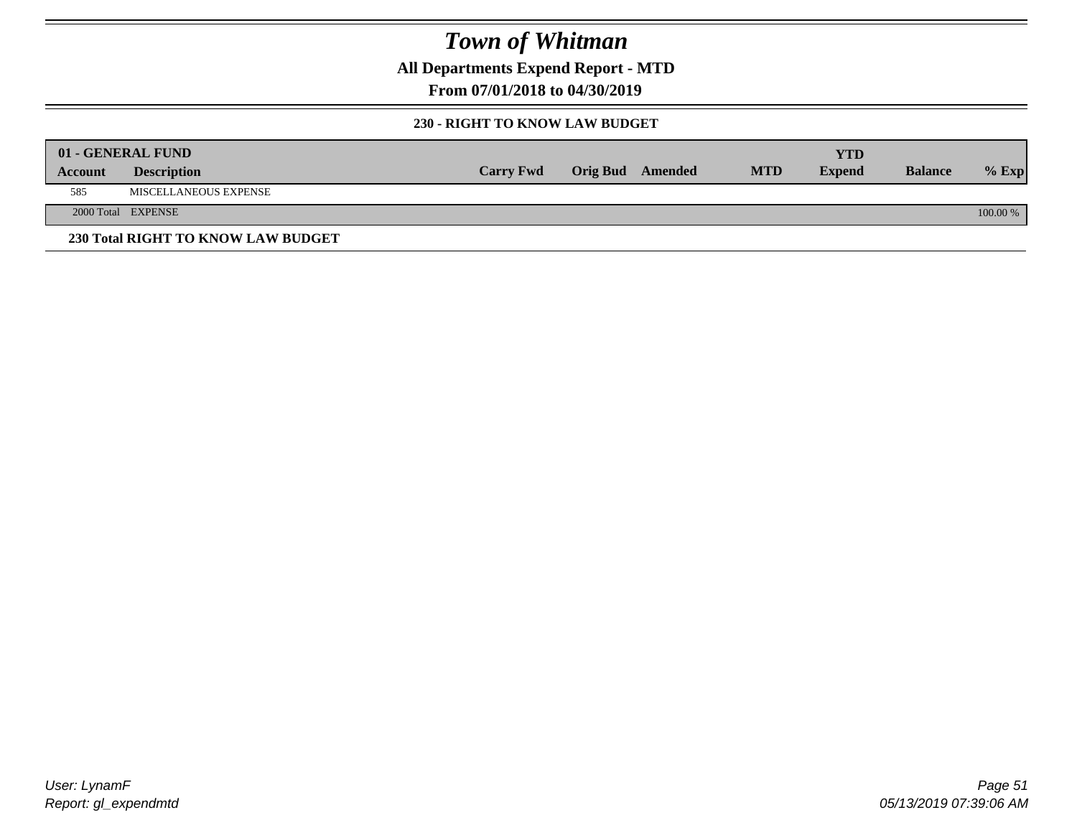**All Departments Expend Report - MTD**

**From 07/01/2018 to 04/30/2019**

### **230 - RIGHT TO KNOW LAW BUDGET**

|         | 01 - GENERAL FUND                  |                  |                         |            | YTD           |                |            |
|---------|------------------------------------|------------------|-------------------------|------------|---------------|----------------|------------|
| Account | <b>Description</b>                 | <b>Carry Fwd</b> | <b>Orig Bud</b> Amended | <b>MTD</b> | <b>Expend</b> | <b>Balance</b> | $%$ Exp    |
| 585     | MISCELLANEOUS EXPENSE              |                  |                         |            |               |                |            |
|         | 2000 Total EXPENSE                 |                  |                         |            |               |                | $100.00\%$ |
|         | 230 Total RIGHT TO KNOW LAW BUDGET |                  |                         |            |               |                |            |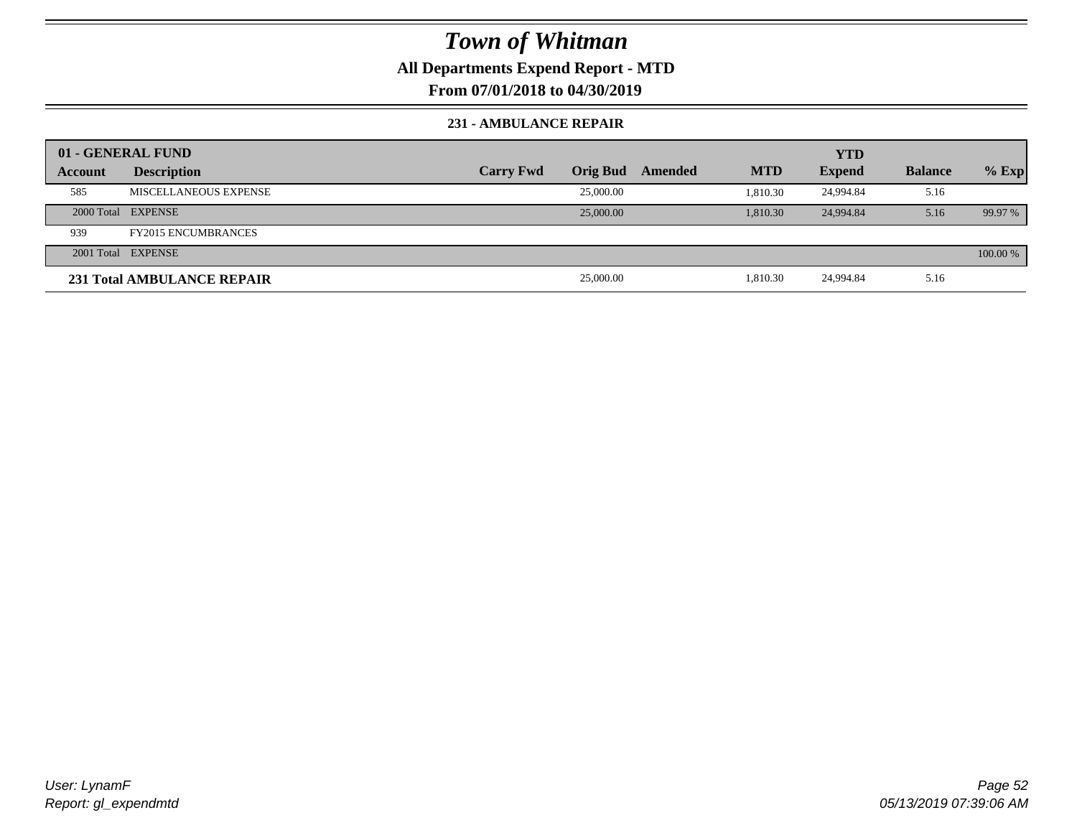### **All Departments Expend Report - MTD**

**From 07/01/2018 to 04/30/2019**

#### **231 - AMBULANCE REPAIR**

|         | 01 - GENERAL FUND          |                  |                 |         |            | <b>YTD</b>    |                |          |
|---------|----------------------------|------------------|-----------------|---------|------------|---------------|----------------|----------|
| Account | <b>Description</b>         | <b>Carry Fwd</b> | <b>Orig Bud</b> | Amended | <b>MTD</b> | <b>Expend</b> | <b>Balance</b> | $%$ Exp  |
| 585     | MISCELLANEOUS EXPENSE      |                  | 25,000.00       |         | 1.810.30   | 24.994.84     | 5.16           |          |
|         | 2000 Total EXPENSE         |                  | 25,000.00       |         | 1.810.30   | 24,994.84     | 5.16           | 99.97 %  |
| 939     | <b>FY2015 ENCUMBRANCES</b> |                  |                 |         |            |               |                |          |
|         | 2001 Total EXPENSE         |                  |                 |         |            |               |                | 100.00 % |
|         | 231 Total AMBULANCE REPAIR |                  | 25,000.00       |         | 1,810.30   | 24,994.84     | 5.16           |          |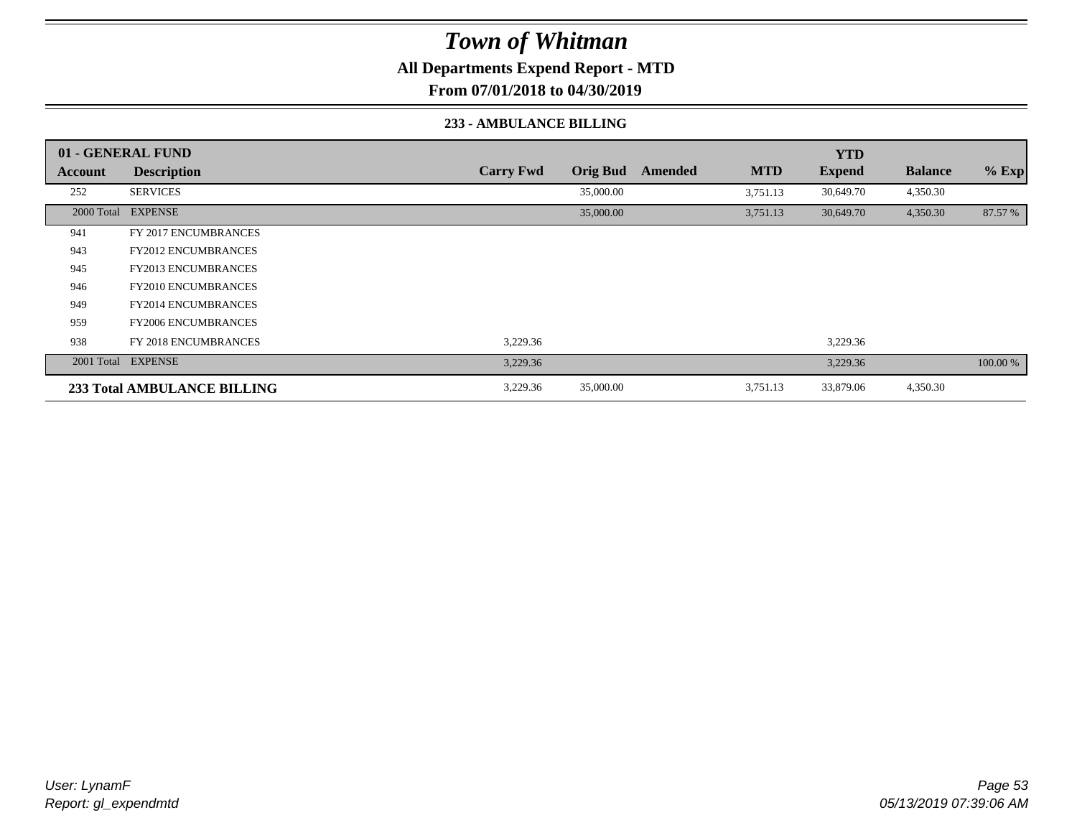**All Departments Expend Report - MTD**

**From 07/01/2018 to 04/30/2019**

#### **233 - AMBULANCE BILLING**

|         | 01 - GENERAL FUND           |                  |                 |         |            | <b>YTD</b>    |                |          |
|---------|-----------------------------|------------------|-----------------|---------|------------|---------------|----------------|----------|
| Account | <b>Description</b>          | <b>Carry Fwd</b> | <b>Orig Bud</b> | Amended | <b>MTD</b> | <b>Expend</b> | <b>Balance</b> | $%$ Exp  |
| 252     | <b>SERVICES</b>             |                  | 35,000.00       |         | 3,751.13   | 30,649.70     | 4,350.30       |          |
|         | 2000 Total EXPENSE          |                  | 35,000.00       |         | 3,751.13   | 30,649.70     | 4,350.30       | 87.57 %  |
| 941     | <b>FY 2017 ENCUMBRANCES</b> |                  |                 |         |            |               |                |          |
| 943     | <b>FY2012 ENCUMBRANCES</b>  |                  |                 |         |            |               |                |          |
| 945     | <b>FY2013 ENCUMBRANCES</b>  |                  |                 |         |            |               |                |          |
| 946     | <b>FY2010 ENCUMBRANCES</b>  |                  |                 |         |            |               |                |          |
| 949     | <b>FY2014 ENCUMBRANCES</b>  |                  |                 |         |            |               |                |          |
| 959     | <b>FY2006 ENCUMBRANCES</b>  |                  |                 |         |            |               |                |          |
| 938     | <b>FY 2018 ENCUMBRANCES</b> | 3,229.36         |                 |         |            | 3,229.36      |                |          |
|         | 2001 Total EXPENSE          | 3,229.36         |                 |         |            | 3,229.36      |                | 100.00 % |
|         | 233 Total AMBULANCE BILLING | 3,229.36         | 35,000.00       |         | 3,751.13   | 33,879.06     | 4,350.30       |          |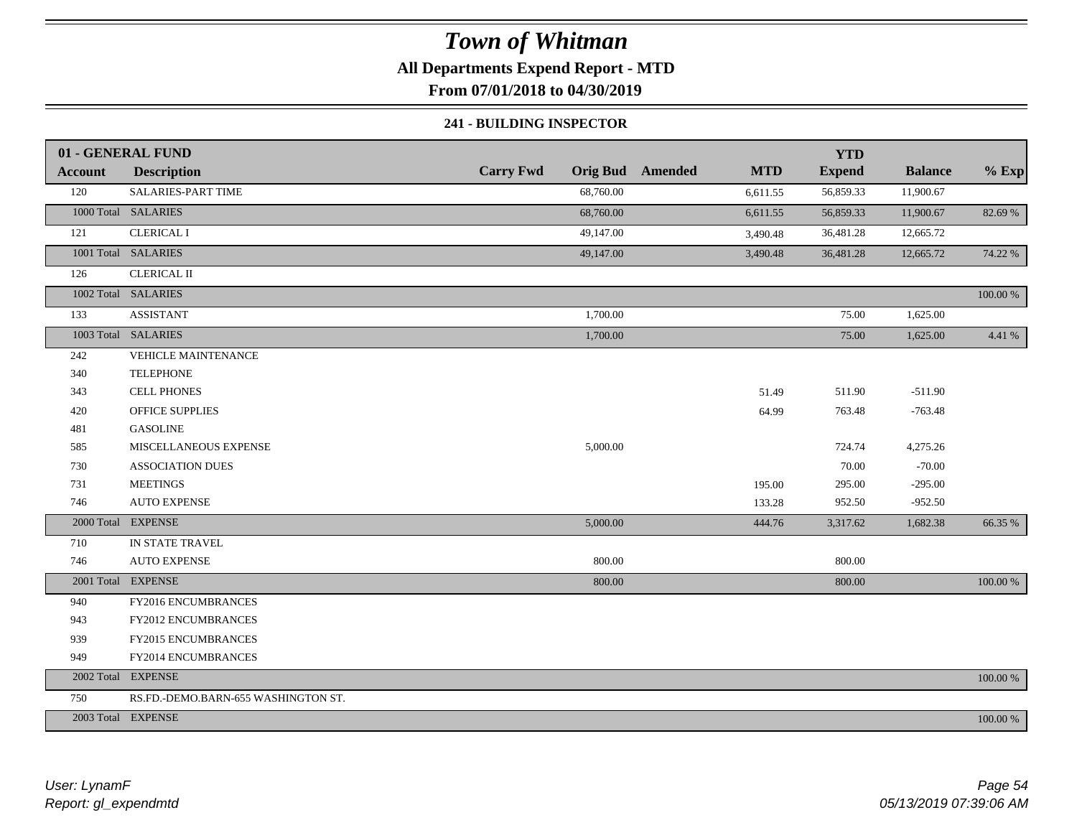### **All Departments Expend Report - MTD**

**From 07/01/2018 to 04/30/2019**

#### **241 - BUILDING INSPECTOR**

|                | 01 - GENERAL FUND                   |                  |                                       | <b>YTD</b>    |                |          |
|----------------|-------------------------------------|------------------|---------------------------------------|---------------|----------------|----------|
| <b>Account</b> | <b>Description</b>                  | <b>Carry Fwd</b> | <b>Orig Bud</b> Amended<br><b>MTD</b> | <b>Expend</b> | <b>Balance</b> | $%$ Exp  |
| 120            | SALARIES-PART TIME                  | 68,760.00        | 6,611.55                              | 56,859.33     | 11,900.67      |          |
|                | 1000 Total SALARIES                 | 68,760.00        | 6,611.55                              | 56,859.33     | 11,900.67      | 82.69 %  |
| 121            | <b>CLERICAL I</b>                   | 49,147.00        | 3,490.48                              | 36,481.28     | 12,665.72      |          |
|                | 1001 Total SALARIES                 | 49,147.00        | 3,490.48                              | 36,481.28     | 12,665.72      | 74.22 %  |
| 126            | <b>CLERICAL II</b>                  |                  |                                       |               |                |          |
|                | 1002 Total SALARIES                 |                  |                                       |               |                | 100.00 % |
| 133            | <b>ASSISTANT</b>                    | 1,700.00         |                                       | 75.00         | 1,625.00       |          |
|                | 1003 Total SALARIES                 | 1,700.00         |                                       | 75.00         | 1,625.00       | 4.41 %   |
| 242            | VEHICLE MAINTENANCE                 |                  |                                       |               |                |          |
| 340            | <b>TELEPHONE</b>                    |                  |                                       |               |                |          |
| 343            | <b>CELL PHONES</b>                  |                  | 51.49                                 | 511.90        | $-511.90$      |          |
| 420            | <b>OFFICE SUPPLIES</b>              |                  | 64.99                                 | 763.48        | $-763.48$      |          |
| 481            | <b>GASOLINE</b>                     |                  |                                       |               |                |          |
| 585            | MISCELLANEOUS EXPENSE               | 5,000.00         |                                       | 724.74        | 4,275.26       |          |
| 730            | <b>ASSOCIATION DUES</b>             |                  |                                       | 70.00         | $-70.00$       |          |
| 731            | <b>MEETINGS</b>                     |                  | 195.00                                | 295.00        | $-295.00$      |          |
| 746            | <b>AUTO EXPENSE</b>                 |                  | 133.28                                | 952.50        | $-952.50$      |          |
|                | 2000 Total EXPENSE                  | 5,000.00         | 444.76                                | 3,317.62      | 1,682.38       | 66.35 %  |
| 710            | IN STATE TRAVEL                     |                  |                                       |               |                |          |
| 746            | <b>AUTO EXPENSE</b>                 | 800.00           |                                       | 800.00        |                |          |
|                | 2001 Total EXPENSE                  | 800.00           |                                       | 800.00        |                | 100.00 % |
| 940            | FY2016 ENCUMBRANCES                 |                  |                                       |               |                |          |
| 943            | FY2012 ENCUMBRANCES                 |                  |                                       |               |                |          |
| 939            | FY2015 ENCUMBRANCES                 |                  |                                       |               |                |          |
| 949            | FY2014 ENCUMBRANCES                 |                  |                                       |               |                |          |
|                | 2002 Total EXPENSE                  |                  |                                       |               |                | 100.00 % |
| 750            | RS.FD.-DEMO.BARN-655 WASHINGTON ST. |                  |                                       |               |                |          |
|                | 2003 Total EXPENSE                  |                  |                                       |               |                | 100.00 % |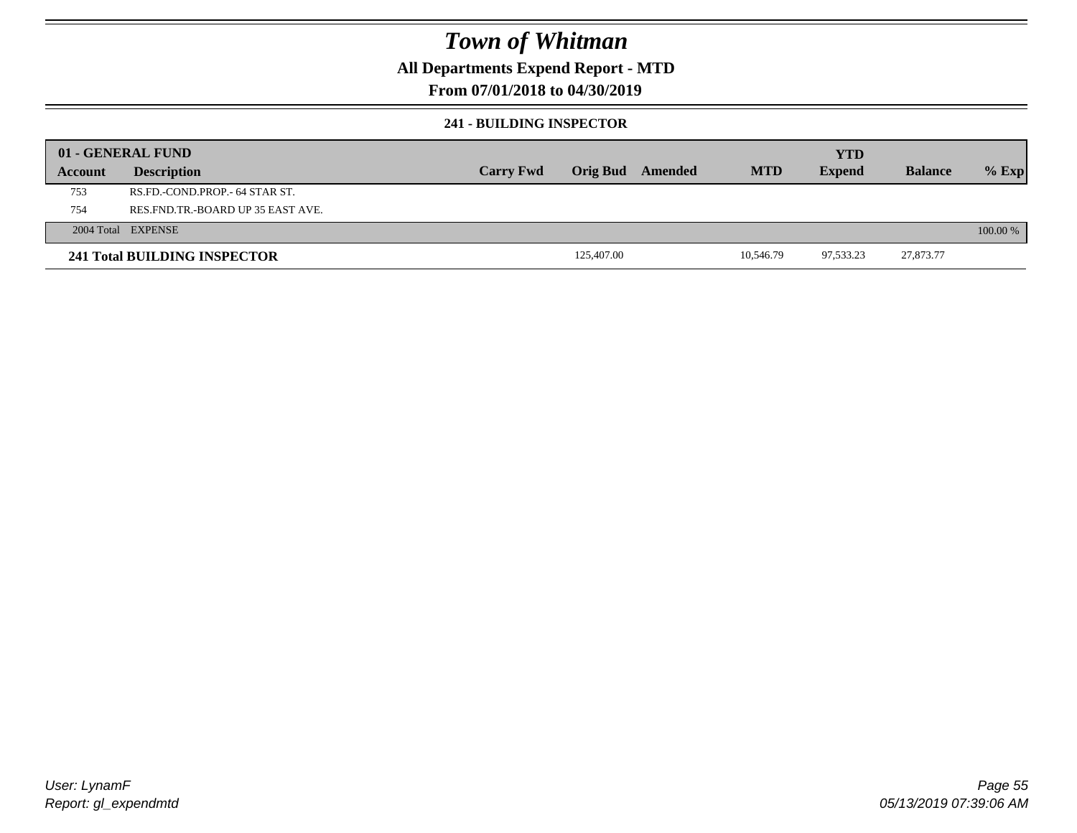### **All Departments Expend Report - MTD**

### **From 07/01/2018 to 04/30/2019**

#### **241 - BUILDING INSPECTOR**

|         | 01 - GENERAL FUND                     |                  |                 |         |            | <b>YTD</b>    |                |          |
|---------|---------------------------------------|------------------|-----------------|---------|------------|---------------|----------------|----------|
| Account | <b>Description</b>                    | <b>Carry Fwd</b> | <b>Orig Bud</b> | Amended | <b>MTD</b> | <b>Expend</b> | <b>Balance</b> | $%$ Exp  |
| 753     | RS.FD.-COND.PROP.- 64 STAR ST.        |                  |                 |         |            |               |                |          |
| 754     | RES. FND. TR. - BOARD UP 35 EAST AVE. |                  |                 |         |            |               |                |          |
|         | 2004 Total EXPENSE                    |                  |                 |         |            |               |                | 100.00 % |
|         | 241 Total BUILDING INSPECTOR          |                  | 125,407.00      |         | 10.546.79  | 97,533.23     | 27,873.77      |          |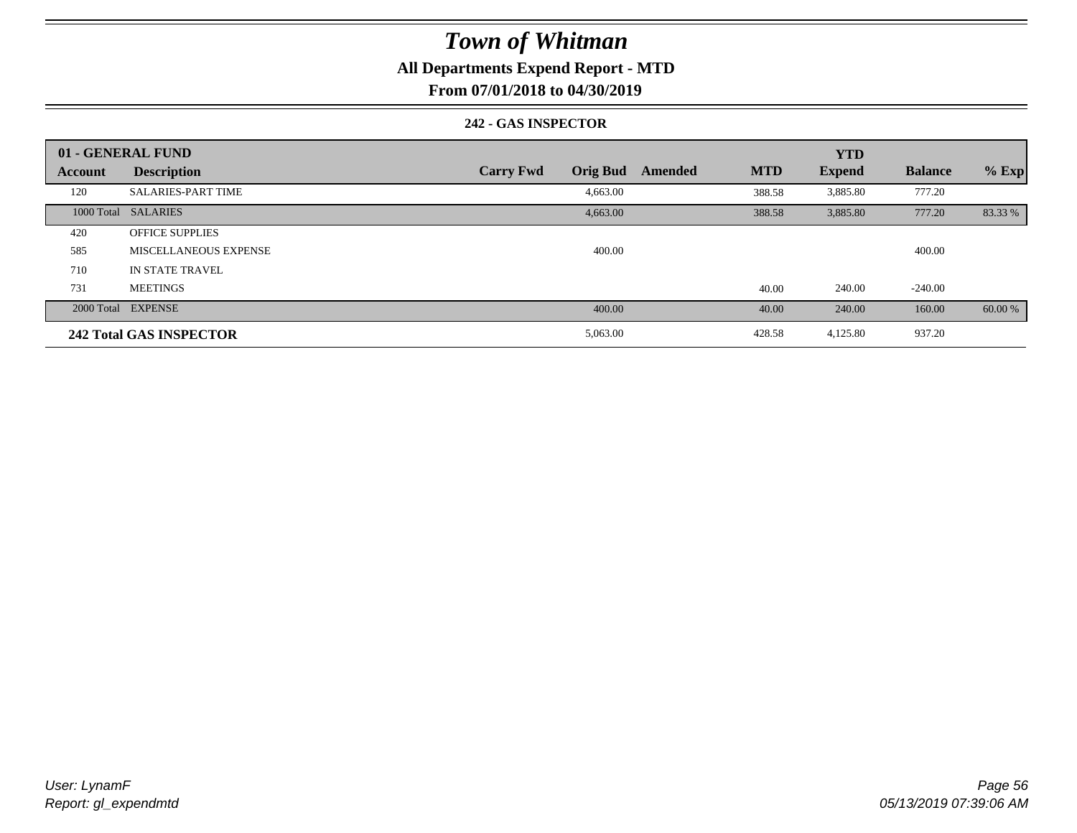### **All Departments Expend Report - MTD**

**From 07/01/2018 to 04/30/2019**

#### **242 - GAS INSPECTOR**

|                | 01 - GENERAL FUND              |                                     |                       | <b>YTD</b>    |                |         |
|----------------|--------------------------------|-------------------------------------|-----------------------|---------------|----------------|---------|
| <b>Account</b> | <b>Description</b>             | <b>Orig Bud</b><br><b>Carry Fwd</b> | <b>MTD</b><br>Amended | <b>Expend</b> | <b>Balance</b> | $%$ Exp |
| 120            | <b>SALARIES-PART TIME</b>      | 4,663.00                            | 388.58                | 3,885.80      | 777.20         |         |
|                | 1000 Total SALARIES            | 4,663.00                            | 388.58                | 3,885.80      | 777.20         | 83.33 % |
| 420            | <b>OFFICE SUPPLIES</b>         |                                     |                       |               |                |         |
| 585            | MISCELLANEOUS EXPENSE          | 400.00                              |                       |               | 400.00         |         |
| 710            | <b>IN STATE TRAVEL</b>         |                                     |                       |               |                |         |
| 731            | <b>MEETINGS</b>                |                                     | 40.00                 | 240.00        | $-240.00$      |         |
|                | 2000 Total EXPENSE             | 400.00                              | 40.00                 | 240.00        | 160.00         | 60.00 % |
|                | <b>242 Total GAS INSPECTOR</b> | 5,063.00                            | 428.58                | 4,125.80      | 937.20         |         |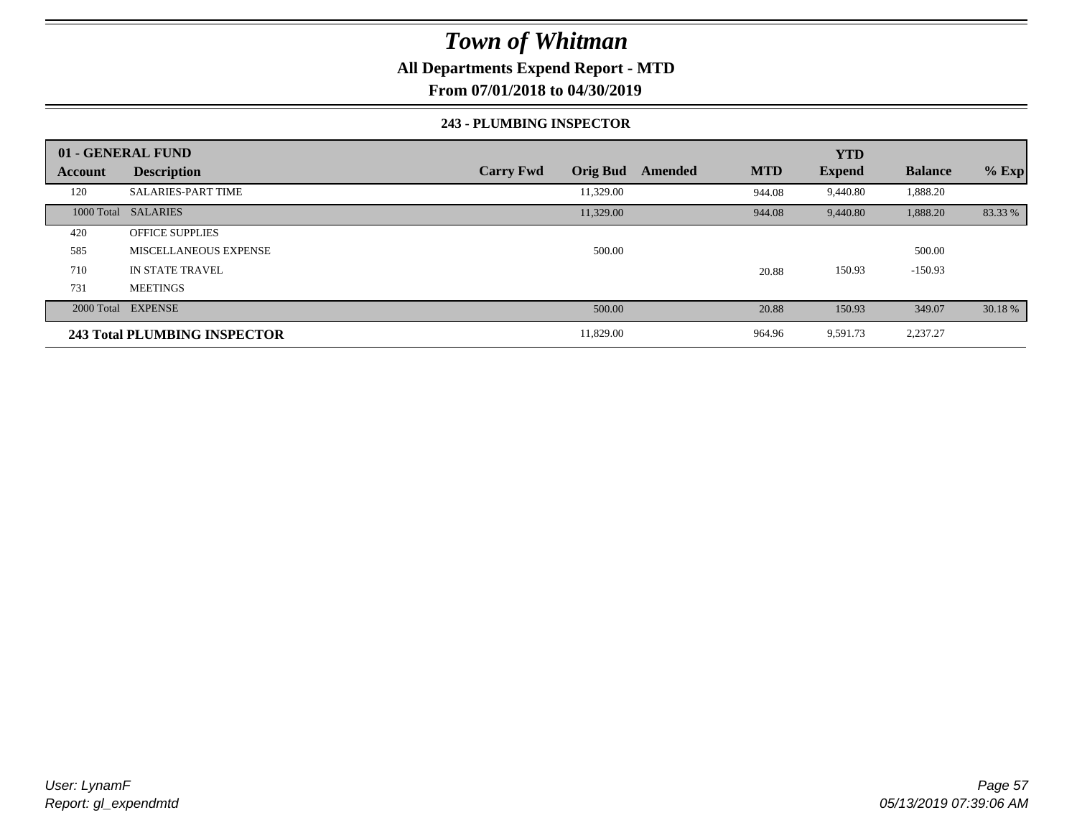### **All Departments Expend Report - MTD**

**From 07/01/2018 to 04/30/2019**

#### **243 - PLUMBING INSPECTOR**

|         | 01 - GENERAL FUND            |                                     |                       | <b>YTD</b>    |                |         |
|---------|------------------------------|-------------------------------------|-----------------------|---------------|----------------|---------|
| Account | <b>Description</b>           | <b>Orig Bud</b><br><b>Carry Fwd</b> | <b>MTD</b><br>Amended | <b>Expend</b> | <b>Balance</b> | $%$ Exp |
| 120     | <b>SALARIES-PART TIME</b>    | 11,329.00                           | 944.08                | 9,440.80      | 1,888.20       |         |
|         | 1000 Total SALARIES          | 11,329.00                           | 944.08                | 9,440.80      | 1,888.20       | 83.33 % |
| 420     | <b>OFFICE SUPPLIES</b>       |                                     |                       |               |                |         |
| 585     | MISCELLANEOUS EXPENSE        | 500.00                              |                       |               | 500.00         |         |
| 710     | IN STATE TRAVEL              |                                     | 20.88                 | 150.93        | $-150.93$      |         |
| 731     | <b>MEETINGS</b>              |                                     |                       |               |                |         |
|         | 2000 Total EXPENSE           | 500.00                              | 20.88                 | 150.93        | 349.07         | 30.18 % |
|         | 243 Total PLUMBING INSPECTOR | 11,829.00                           | 964.96                | 9,591.73      | 2,237.27       |         |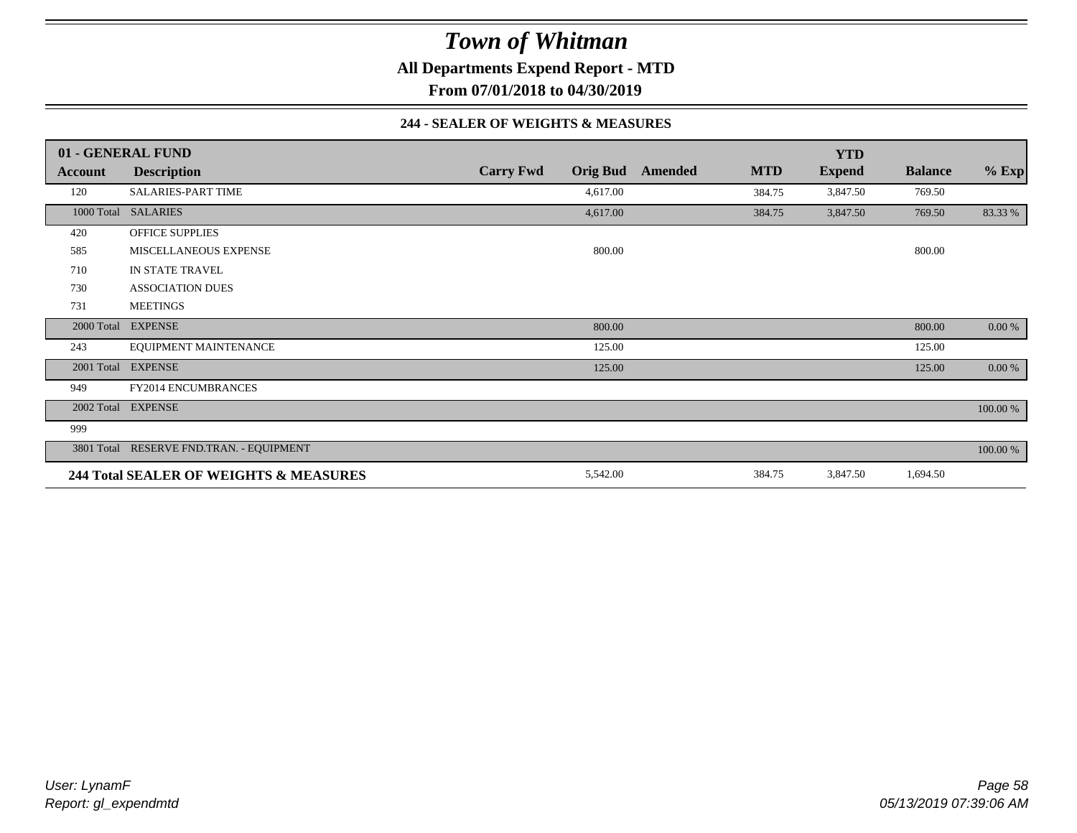**All Departments Expend Report - MTD**

**From 07/01/2018 to 04/30/2019**

#### **244 - SEALER OF WEIGHTS & MEASURES**

|         | 01 - GENERAL FUND                        |                  |                 |         |            | <b>YTD</b>    |                |          |
|---------|------------------------------------------|------------------|-----------------|---------|------------|---------------|----------------|----------|
| Account | <b>Description</b>                       | <b>Carry Fwd</b> | <b>Orig Bud</b> | Amended | <b>MTD</b> | <b>Expend</b> | <b>Balance</b> | $%$ Exp  |
| 120     | <b>SALARIES-PART TIME</b>                |                  | 4,617.00        |         | 384.75     | 3,847.50      | 769.50         |          |
|         | 1000 Total SALARIES                      |                  | 4,617.00        |         | 384.75     | 3,847.50      | 769.50         | 83.33 %  |
| 420     | <b>OFFICE SUPPLIES</b>                   |                  |                 |         |            |               |                |          |
| 585     | MISCELLANEOUS EXPENSE                    |                  | 800.00          |         |            |               | 800.00         |          |
| 710     | IN STATE TRAVEL                          |                  |                 |         |            |               |                |          |
| 730     | <b>ASSOCIATION DUES</b>                  |                  |                 |         |            |               |                |          |
| 731     | <b>MEETINGS</b>                          |                  |                 |         |            |               |                |          |
|         | 2000 Total EXPENSE                       |                  | 800.00          |         |            |               | 800.00         | 0.00 %   |
| 243     | EQUIPMENT MAINTENANCE                    |                  | 125.00          |         |            |               | 125.00         |          |
|         | 2001 Total EXPENSE                       |                  | 125.00          |         |            |               | 125.00         | 0.00 %   |
| 949     | FY2014 ENCUMBRANCES                      |                  |                 |         |            |               |                |          |
|         | 2002 Total EXPENSE                       |                  |                 |         |            |               |                | 100.00 % |
| 999     |                                          |                  |                 |         |            |               |                |          |
|         | 3801 Total RESERVE FND.TRAN. - EQUIPMENT |                  |                 |         |            |               |                | 100.00 % |
|         | 244 Total SEALER OF WEIGHTS & MEASURES   |                  | 5,542.00        |         | 384.75     | 3,847.50      | 1,694.50       |          |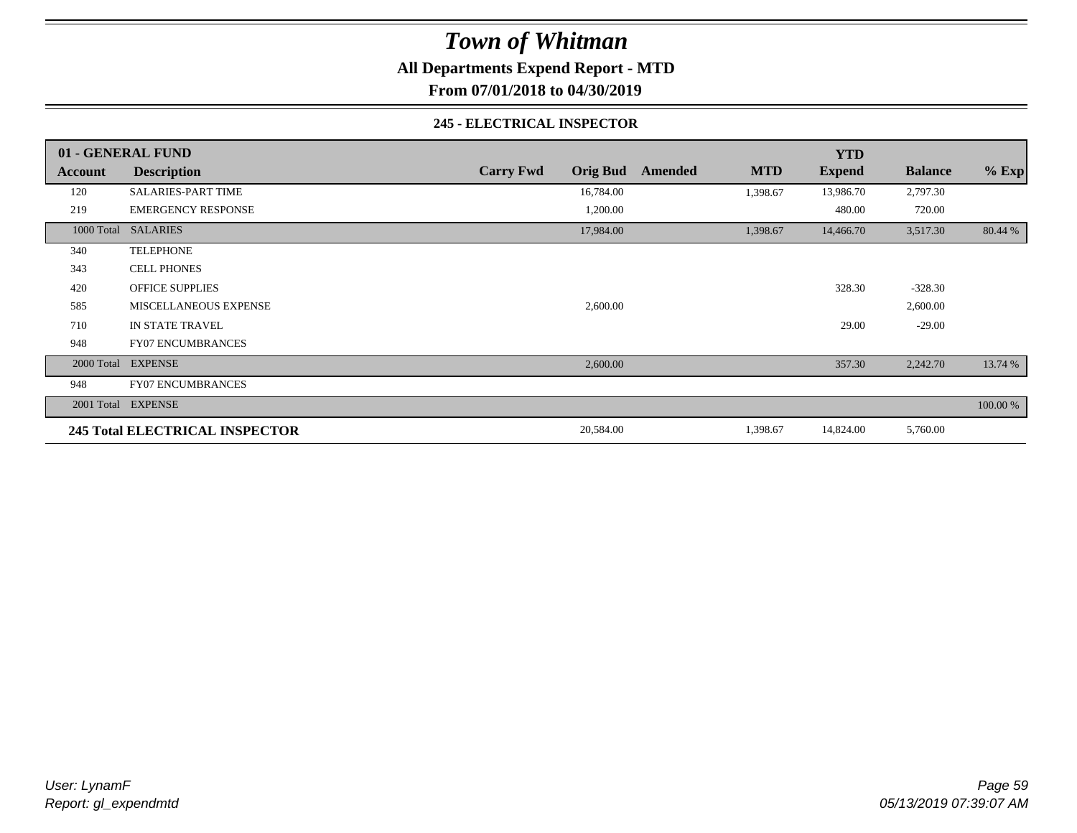**All Departments Expend Report - MTD**

**From 07/01/2018 to 04/30/2019**

#### **245 - ELECTRICAL INSPECTOR**

|         | 01 - GENERAL FUND                     |                                     |                       | <b>YTD</b>    |                |          |
|---------|---------------------------------------|-------------------------------------|-----------------------|---------------|----------------|----------|
| Account | <b>Description</b>                    | <b>Carry Fwd</b><br><b>Orig Bud</b> | <b>MTD</b><br>Amended | <b>Expend</b> | <b>Balance</b> | $%$ Exp  |
| 120     | <b>SALARIES-PART TIME</b>             | 16,784.00                           | 1,398.67              | 13,986.70     | 2,797.30       |          |
| 219     | <b>EMERGENCY RESPONSE</b>             | 1,200.00                            |                       | 480.00        | 720.00         |          |
|         | 1000 Total SALARIES                   | 17,984.00                           | 1,398.67              | 14,466.70     | 3,517.30       | 80.44 %  |
| 340     | <b>TELEPHONE</b>                      |                                     |                       |               |                |          |
| 343     | <b>CELL PHONES</b>                    |                                     |                       |               |                |          |
| 420     | <b>OFFICE SUPPLIES</b>                |                                     |                       | 328.30        | $-328.30$      |          |
| 585     | MISCELLANEOUS EXPENSE                 | 2,600.00                            |                       |               | 2,600.00       |          |
| 710     | IN STATE TRAVEL                       |                                     |                       | 29.00         | $-29.00$       |          |
| 948     | <b>FY07 ENCUMBRANCES</b>              |                                     |                       |               |                |          |
|         | 2000 Total EXPENSE                    | 2,600.00                            |                       | 357.30        | 2,242.70       | 13.74 %  |
| 948     | <b>FY07 ENCUMBRANCES</b>              |                                     |                       |               |                |          |
|         | 2001 Total EXPENSE                    |                                     |                       |               |                | 100.00 % |
|         | <b>245 Total ELECTRICAL INSPECTOR</b> | 20,584.00                           | 1,398.67              | 14,824.00     | 5,760.00       |          |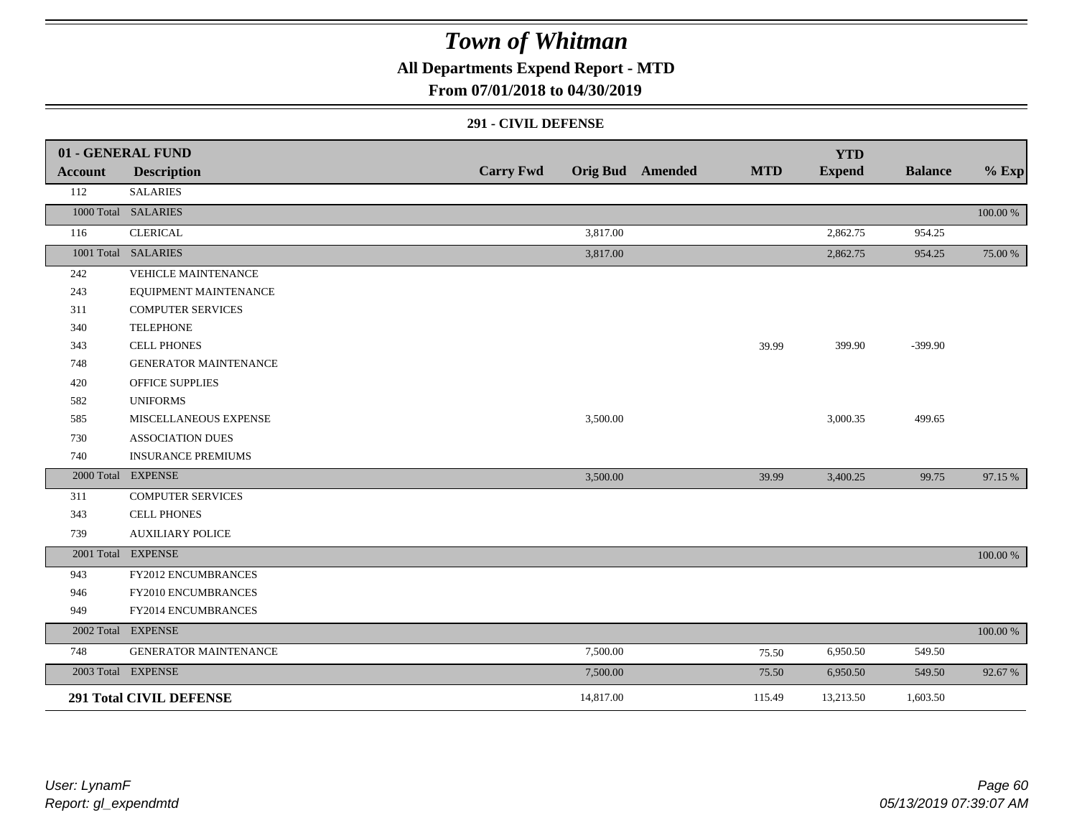**All Departments Expend Report - MTD**

### **From 07/01/2018 to 04/30/2019**

#### **291 - CIVIL DEFENSE**

|                | 01 - GENERAL FUND              |                  |           |                         |            | <b>YTD</b>    |                |          |
|----------------|--------------------------------|------------------|-----------|-------------------------|------------|---------------|----------------|----------|
| <b>Account</b> | <b>Description</b>             | <b>Carry Fwd</b> |           | <b>Orig Bud</b> Amended | <b>MTD</b> | <b>Expend</b> | <b>Balance</b> | $%$ Exp  |
| 112            | <b>SALARIES</b>                |                  |           |                         |            |               |                |          |
|                | 1000 Total SALARIES            |                  |           |                         |            |               |                | 100.00 % |
| 116            | <b>CLERICAL</b>                |                  | 3,817.00  |                         |            | 2,862.75      | 954.25         |          |
|                | 1001 Total SALARIES            |                  | 3,817.00  |                         |            | 2,862.75      | 954.25         | 75.00 %  |
| 242            | <b>VEHICLE MAINTENANCE</b>     |                  |           |                         |            |               |                |          |
| 243            | EQUIPMENT MAINTENANCE          |                  |           |                         |            |               |                |          |
| 311            | <b>COMPUTER SERVICES</b>       |                  |           |                         |            |               |                |          |
| 340            | <b>TELEPHONE</b>               |                  |           |                         |            |               |                |          |
| 343            | <b>CELL PHONES</b>             |                  |           |                         | 39.99      | 399.90        | $-399.90$      |          |
| 748            | <b>GENERATOR MAINTENANCE</b>   |                  |           |                         |            |               |                |          |
| 420            | <b>OFFICE SUPPLIES</b>         |                  |           |                         |            |               |                |          |
| 582            | <b>UNIFORMS</b>                |                  |           |                         |            |               |                |          |
| 585            | MISCELLANEOUS EXPENSE          |                  | 3,500.00  |                         |            | 3,000.35      | 499.65         |          |
| 730            | <b>ASSOCIATION DUES</b>        |                  |           |                         |            |               |                |          |
| 740            | <b>INSURANCE PREMIUMS</b>      |                  |           |                         |            |               |                |          |
|                | 2000 Total EXPENSE             |                  | 3,500.00  |                         | 39.99      | 3,400.25      | 99.75          | 97.15 %  |
| 311            | <b>COMPUTER SERVICES</b>       |                  |           |                         |            |               |                |          |
| 343            | <b>CELL PHONES</b>             |                  |           |                         |            |               |                |          |
| 739            | <b>AUXILIARY POLICE</b>        |                  |           |                         |            |               |                |          |
|                | 2001 Total EXPENSE             |                  |           |                         |            |               |                | 100.00 % |
| 943            | FY2012 ENCUMBRANCES            |                  |           |                         |            |               |                |          |
| 946            | FY2010 ENCUMBRANCES            |                  |           |                         |            |               |                |          |
| 949            | FY2014 ENCUMBRANCES            |                  |           |                         |            |               |                |          |
|                | 2002 Total EXPENSE             |                  |           |                         |            |               |                | 100.00 % |
| 748            | <b>GENERATOR MAINTENANCE</b>   |                  | 7,500.00  |                         | 75.50      | 6,950.50      | 549.50         |          |
|                | 2003 Total EXPENSE             |                  | 7,500.00  |                         | 75.50      | 6,950.50      | 549.50         | 92.67%   |
|                | <b>291 Total CIVIL DEFENSE</b> |                  | 14,817.00 |                         | 115.49     | 13,213.50     | 1,603.50       |          |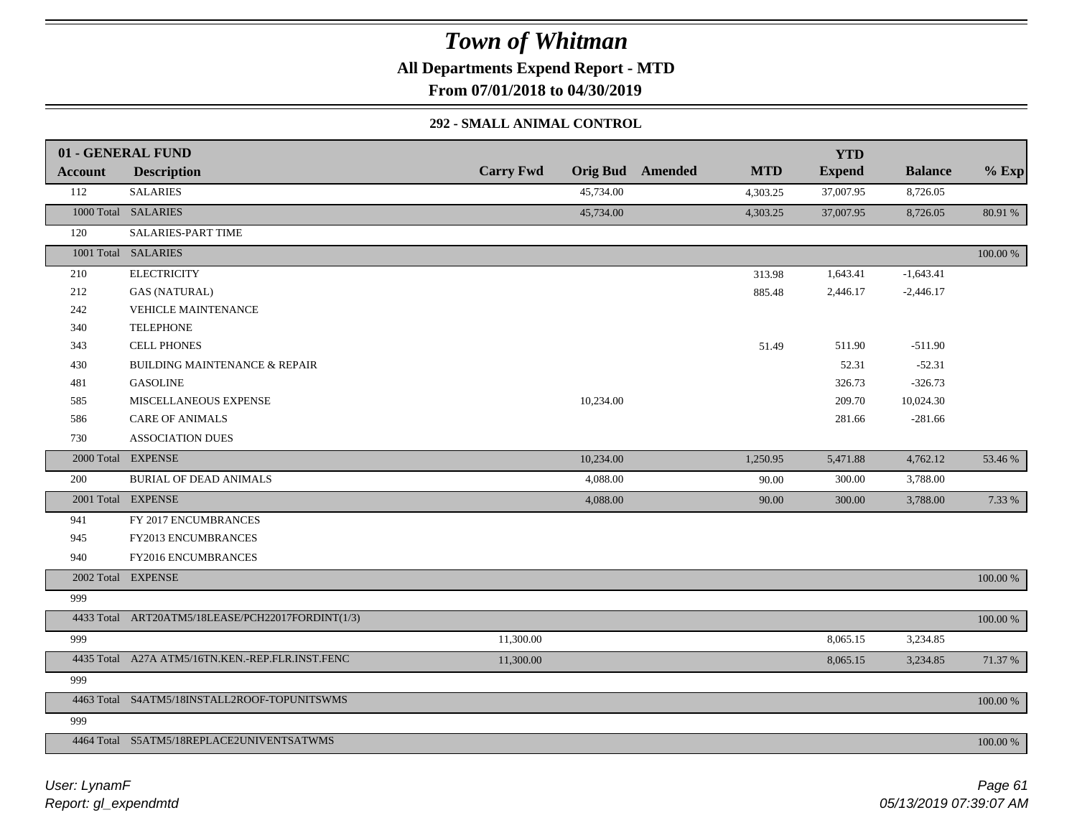**All Departments Expend Report - MTD**

**From 07/01/2018 to 04/30/2019**

### **292 - SMALL ANIMAL CONTROL**

|                | 01 - GENERAL FUND                                 |                  |                         | <b>YTD</b>                  |                   |          |
|----------------|---------------------------------------------------|------------------|-------------------------|-----------------------------|-------------------|----------|
| <b>Account</b> | <b>Description</b>                                | <b>Carry Fwd</b> | <b>Orig Bud</b> Amended | <b>MTD</b><br><b>Expend</b> | <b>Balance</b>    | $%$ Exp  |
| 112            | <b>SALARIES</b>                                   | 45,734.00        |                         | 37,007.95<br>4,303.25       | 8,726.05          |          |
|                | 1000 Total SALARIES                               | 45,734.00        |                         | 4,303.25<br>37,007.95       | 8,726.05          | 80.91 %  |
| 120            | <b>SALARIES-PART TIME</b>                         |                  |                         |                             |                   |          |
|                | 1001 Total SALARIES                               |                  |                         |                             |                   | 100.00 % |
| 210            | <b>ELECTRICITY</b>                                |                  |                         | 1,643.41<br>313.98          | $-1,643.41$       |          |
| 212            | <b>GAS (NATURAL)</b>                              |                  |                         | 2,446.17<br>885.48          | $-2,446.17$       |          |
| 242            | VEHICLE MAINTENANCE                               |                  |                         |                             |                   |          |
| 340            | <b>TELEPHONE</b>                                  |                  |                         |                             |                   |          |
| 343            | <b>CELL PHONES</b>                                |                  |                         | 511.90<br>51.49             | $-511.90$         |          |
| 430            | <b>BUILDING MAINTENANCE &amp; REPAIR</b>          |                  |                         |                             | $-52.31$<br>52.31 |          |
| 481            | <b>GASOLINE</b>                                   |                  |                         | 326.73                      | $-326.73$         |          |
| 585            | MISCELLANEOUS EXPENSE                             | 10,234.00        |                         | 209.70                      | 10,024.30         |          |
| 586            | <b>CARE OF ANIMALS</b>                            |                  |                         | 281.66                      | $-281.66$         |          |
| 730            | <b>ASSOCIATION DUES</b>                           |                  |                         |                             |                   |          |
|                | 2000 Total EXPENSE                                | 10,234.00        |                         | 1,250.95<br>5,471.88        | 4,762.12          | 53.46 %  |
| 200            | <b>BURIAL OF DEAD ANIMALS</b>                     | 4,088.00         |                         | 300.00<br>90.00             | 3,788.00          |          |
|                | 2001 Total EXPENSE                                | 4,088.00         |                         | 90.00<br>300.00             | 3,788.00          | 7.33 %   |
| 941            | FY 2017 ENCUMBRANCES                              |                  |                         |                             |                   |          |
| 945            | FY2013 ENCUMBRANCES                               |                  |                         |                             |                   |          |
| 940            | FY2016 ENCUMBRANCES                               |                  |                         |                             |                   |          |
|                | 2002 Total EXPENSE                                |                  |                         |                             |                   | 100.00 % |
| 999            |                                                   |                  |                         |                             |                   |          |
|                | 4433 Total ART20ATM5/18LEASE/PCH22017FORDINT(1/3) |                  |                         |                             |                   | 100.00 % |
| 999            |                                                   | 11,300.00        |                         | 8,065.15                    | 3,234.85          |          |
|                | 4435 Total A27A ATM5/16TN.KEN.-REP.FLR.INST.FENC  | 11,300.00        |                         | 8,065.15                    | 3,234.85          | 71.37 %  |
| 999            |                                                   |                  |                         |                             |                   |          |
|                | 4463 Total S4ATM5/18INSTALL2ROOF-TOPUNITSWMS      |                  |                         |                             |                   | 100.00 % |
|                |                                                   |                  |                         |                             |                   |          |
| 999            |                                                   |                  |                         |                             |                   |          |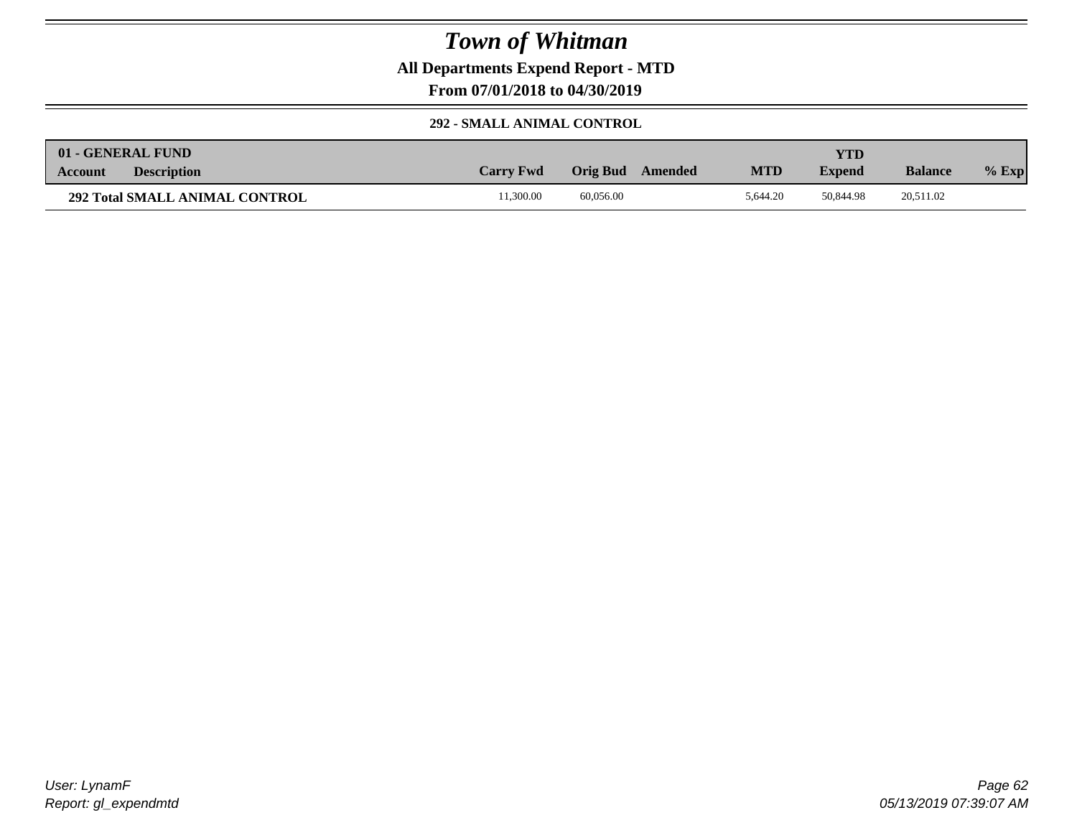**All Departments Expend Report - MTD**

**From 07/01/2018 to 04/30/2019**

### **292 - SMALL ANIMAL CONTROL**

|                | 01 - GENERAL FUND                     |                  |           |         |            | YTD           |                |         |
|----------------|---------------------------------------|------------------|-----------|---------|------------|---------------|----------------|---------|
| <b>Account</b> | <b>Description</b>                    | <b>Carry Fwd</b> | Orig Bud  | Amended | <b>MTD</b> | <b>Expend</b> | <b>Balance</b> | $%$ Exp |
|                | <b>292 Total SMALL ANIMAL CONTROL</b> | 1.300.00         | 60.056.00 |         | 5.644.20   | 50.844.98     | 20,511.02      |         |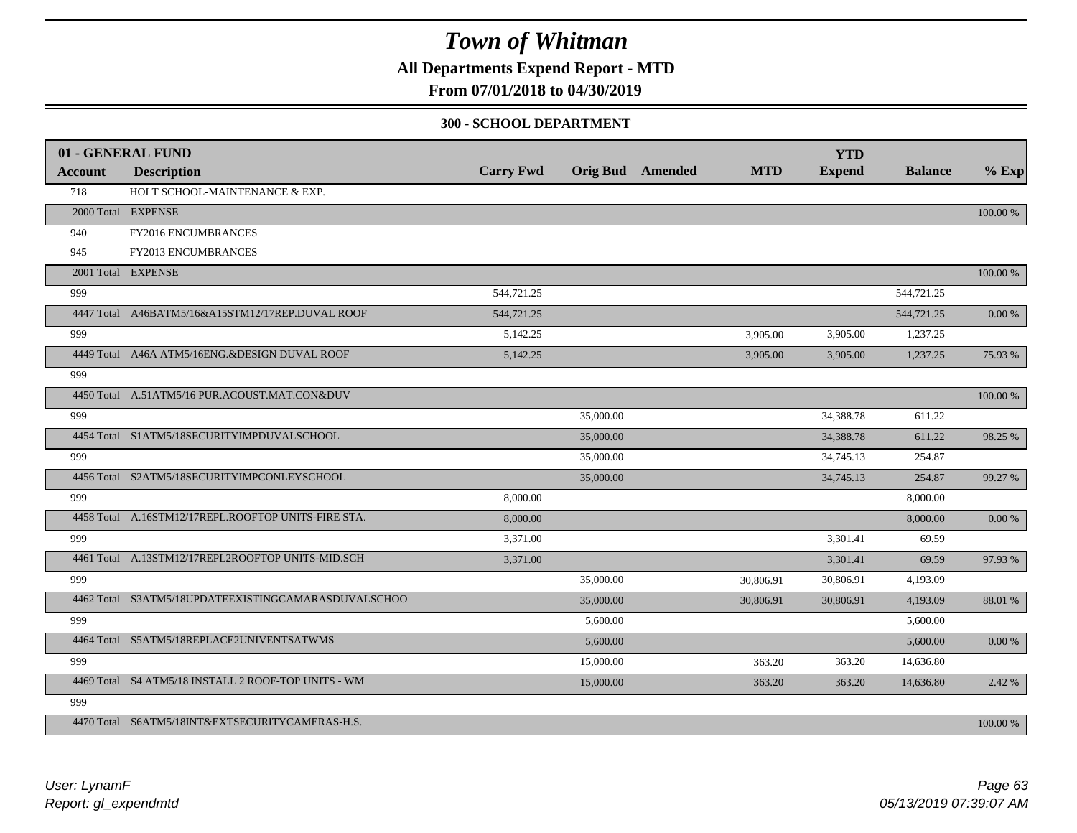**All Departments Expend Report - MTD**

### **From 07/01/2018 to 04/30/2019**

#### **300 - SCHOOL DEPARTMENT**

|                | 01 - GENERAL FUND                                   |                  |           |                  |            | <b>YTD</b>    |                |            |
|----------------|-----------------------------------------------------|------------------|-----------|------------------|------------|---------------|----------------|------------|
| <b>Account</b> | <b>Description</b>                                  | <b>Carry Fwd</b> |           | Orig Bud Amended | <b>MTD</b> | <b>Expend</b> | <b>Balance</b> | $%$ Exp    |
| 718            | HOLT SCHOOL-MAINTENANCE & EXP.                      |                  |           |                  |            |               |                |            |
|                | 2000 Total EXPENSE                                  |                  |           |                  |            |               |                | 100.00 %   |
| 940            | FY2016 ENCUMBRANCES                                 |                  |           |                  |            |               |                |            |
| 945            | FY2013 ENCUMBRANCES                                 |                  |           |                  |            |               |                |            |
|                | 2001 Total EXPENSE                                  |                  |           |                  |            |               |                | 100.00 %   |
| 999            |                                                     | 544,721.25       |           |                  |            |               | 544,721.25     |            |
|                | 4447 Total A46BATM5/16&A15STM12/17REP.DUVAL ROOF    | 544,721.25       |           |                  |            |               | 544,721.25     | $0.00\ \%$ |
| 999            |                                                     | 5,142.25         |           |                  | 3,905.00   | 3,905.00      | 1,237.25       |            |
|                | 4449 Total A46A ATM5/16ENG.&DESIGN DUVAL ROOF       | 5,142.25         |           |                  | 3,905.00   | 3,905.00      | 1,237.25       | 75.93 %    |
| 999            |                                                     |                  |           |                  |            |               |                |            |
|                | 4450 Total A.51ATM5/16 PUR.ACOUST.MAT.CON&DUV       |                  |           |                  |            |               |                | 100.00 %   |
| 999            |                                                     |                  | 35,000.00 |                  |            | 34,388.78     | 611.22         |            |
|                | 4454 Total S1ATM5/18SECURITYIMPDUVALSCHOOL          |                  | 35,000.00 |                  |            | 34,388.78     | 611.22         | 98.25 %    |
| 999            |                                                     |                  | 35,000.00 |                  |            | 34,745.13     | 254.87         |            |
|                | 4456 Total S2ATM5/18SECURITYIMPCONLEYSCHOOL         |                  | 35,000.00 |                  |            | 34,745.13     | 254.87         | 99.27 %    |
| 999            |                                                     | 8,000.00         |           |                  |            |               | 8,000.00       |            |
|                | 4458 Total A.16STM12/17REPL.ROOFTOP UNITS-FIRE STA. | 8,000.00         |           |                  |            |               | 8,000.00       | $0.00\ \%$ |
| 999            |                                                     | 3.371.00         |           |                  |            | 3,301.41      | 69.59          |            |
|                | 4461 Total A.13STM12/17REPL2ROOFTOP UNITS-MID.SCH   | 3,371.00         |           |                  |            | 3,301.41      | 69.59          | 97.93 %    |
| 999            |                                                     |                  | 35,000.00 |                  | 30,806.91  | 30,806.91     | 4,193.09       |            |
|                | 4462 Total S3ATM5/18UPDATEEXISTINGCAMARASDUVALSCHOO |                  | 35,000.00 |                  | 30,806.91  | 30,806.91     | 4,193.09       | 88.01 %    |
| 999            |                                                     |                  | 5,600.00  |                  |            |               | 5,600.00       |            |
|                | 4464 Total S5ATM5/18REPLACE2UNIVENTSATWMS           |                  | 5,600.00  |                  |            |               | 5,600.00       | $0.00\ \%$ |
| 999            |                                                     |                  | 15,000.00 |                  | 363.20     | 363.20        | 14,636.80      |            |
|                | 4469 Total S4 ATM5/18 INSTALL 2 ROOF-TOP UNITS - WM |                  | 15,000.00 |                  | 363.20     | 363.20        | 14,636.80      | 2.42 %     |
| 999            |                                                     |                  |           |                  |            |               |                |            |
|                | 4470 Total S6ATM5/18INT&EXTSECURITYCAMERAS-H.S.     |                  |           |                  |            |               |                | 100.00 %   |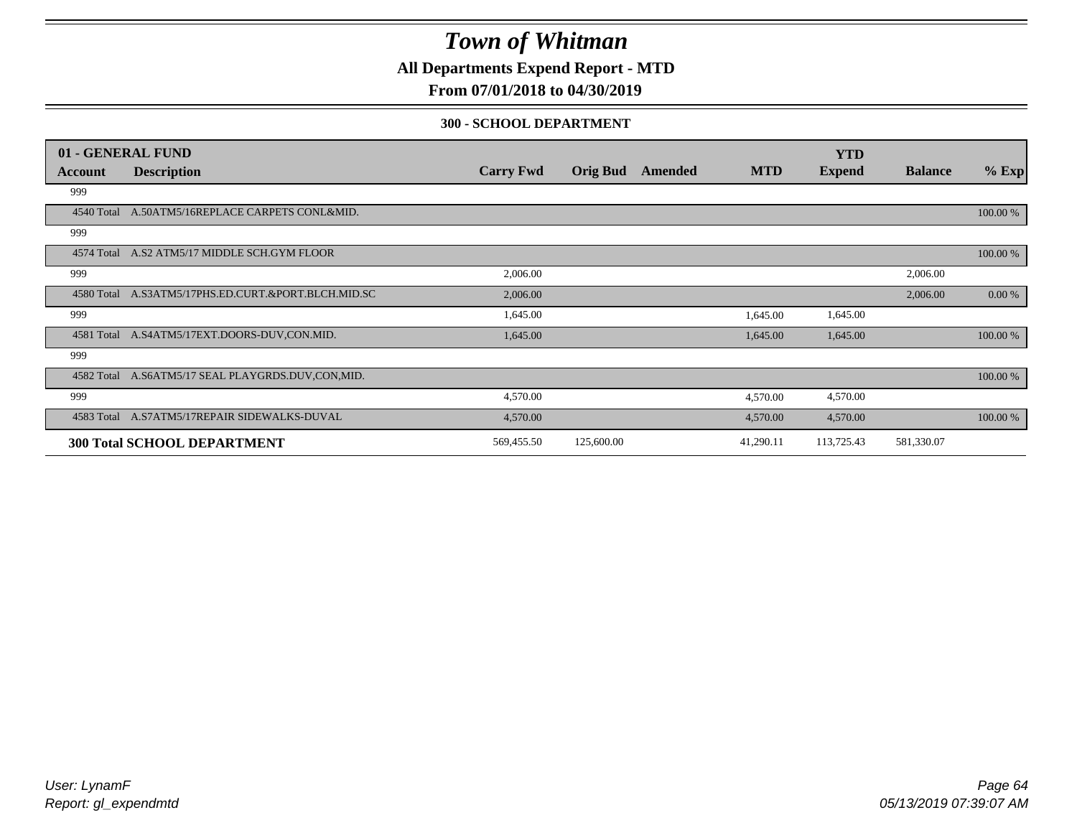**All Departments Expend Report - MTD**

### **From 07/01/2018 to 04/30/2019**

#### **300 - SCHOOL DEPARTMENT**

|            | 01 - GENERAL FUND                                 |                  |                 |         |            | <b>YTD</b>    |                |          |
|------------|---------------------------------------------------|------------------|-----------------|---------|------------|---------------|----------------|----------|
| Account    | <b>Description</b>                                | <b>Carry Fwd</b> | <b>Orig Bud</b> | Amended | <b>MTD</b> | <b>Expend</b> | <b>Balance</b> | $%$ Exp  |
| 999        |                                                   |                  |                 |         |            |               |                |          |
| 4540 Total | A.50ATM5/16REPLACE CARPETS CONL&MID.              |                  |                 |         |            |               |                | 100.00 % |
| 999        |                                                   |                  |                 |         |            |               |                |          |
|            | 4574 Total A.S2 ATM5/17 MIDDLE SCH.GYM FLOOR      |                  |                 |         |            |               |                | 100.00 % |
| 999        |                                                   | 2,006.00         |                 |         |            |               | 2,006.00       |          |
| 4580 Total | A.S3ATM5/17PHS.ED.CURT.&PORT.BLCH.MID.SC          | 2,006.00         |                 |         |            |               | 2,006.00       | 0.00 %   |
| 999        |                                                   | 1,645.00         |                 |         | 1,645.00   | 1,645.00      |                |          |
| 4581 Total | A.S4ATM5/17EXT.DOORS-DUV,CON.MID.                 | 1,645.00         |                 |         | 1,645.00   | 1,645.00      |                | 100.00 % |
| 999        |                                                   |                  |                 |         |            |               |                |          |
|            | 4582 Total A.S6ATM5/17 SEAL PLAYGRDS.DUV,CON,MID. |                  |                 |         |            |               |                | 100.00 % |
| 999        |                                                   | 4,570.00         |                 |         | 4,570.00   | 4,570.00      |                |          |
|            | 4583 Total A.S7ATM5/17REPAIR SIDEWALKS-DUVAL      | 4,570.00         |                 |         | 4,570.00   | 4,570.00      |                | 100.00 % |
|            | <b>300 Total SCHOOL DEPARTMENT</b>                | 569,455.50       | 125,600.00      |         | 41,290.11  | 113,725.43    | 581,330.07     |          |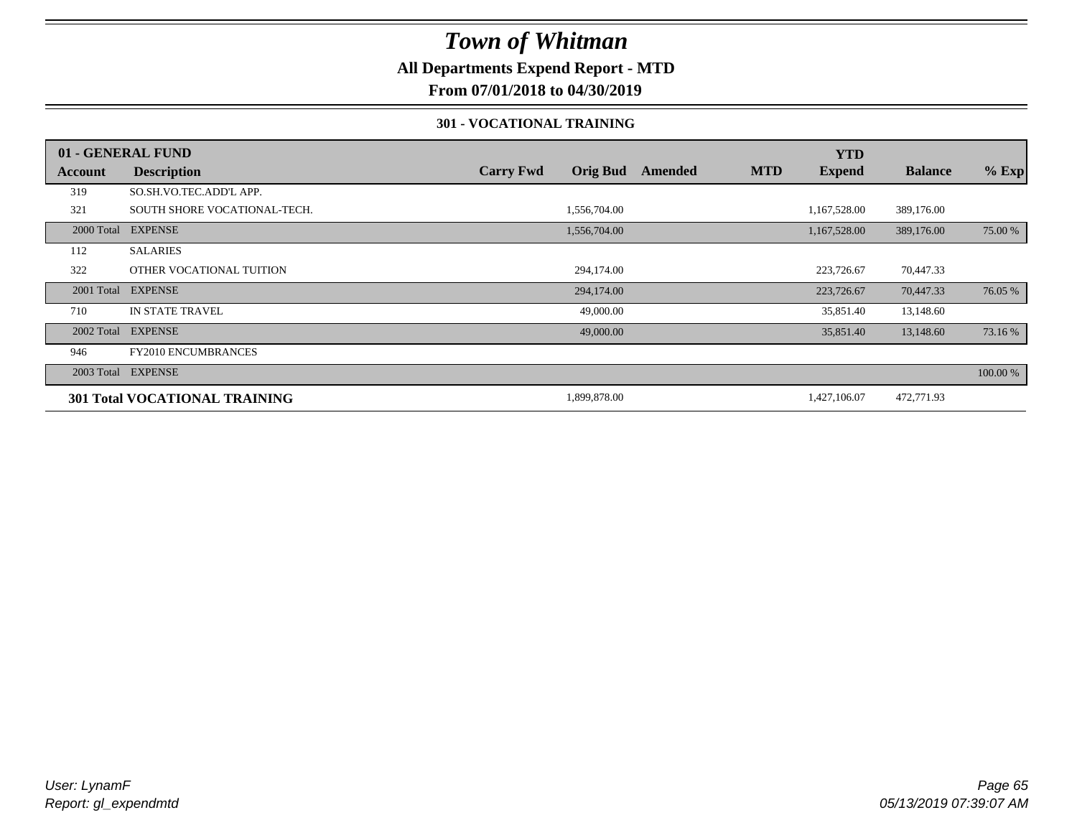### **All Departments Expend Report - MTD**

**From 07/01/2018 to 04/30/2019**

#### **301 - VOCATIONAL TRAINING**

|         | 01 - GENERAL FUND                    |                  |                 |         |            | <b>YTD</b>    |                |          |
|---------|--------------------------------------|------------------|-----------------|---------|------------|---------------|----------------|----------|
| Account | <b>Description</b>                   | <b>Carry Fwd</b> | <b>Orig Bud</b> | Amended | <b>MTD</b> | <b>Expend</b> | <b>Balance</b> | $%$ Exp  |
| 319     | SO.SH.VO.TEC.ADD'L APP.              |                  |                 |         |            |               |                |          |
| 321     | SOUTH SHORE VOCATIONAL-TECH.         |                  | 1,556,704.00    |         |            | 1,167,528.00  | 389,176.00     |          |
|         | 2000 Total EXPENSE                   |                  | 1,556,704.00    |         |            | 1,167,528.00  | 389,176.00     | 75.00 %  |
| 112     | <b>SALARIES</b>                      |                  |                 |         |            |               |                |          |
| 322     | OTHER VOCATIONAL TUITION             |                  | 294,174.00      |         |            | 223,726.67    | 70,447.33      |          |
|         | 2001 Total EXPENSE                   |                  | 294,174.00      |         |            | 223,726.67    | 70,447.33      | 76.05 %  |
| 710     | <b>IN STATE TRAVEL</b>               |                  | 49,000.00       |         |            | 35,851.40     | 13,148.60      |          |
|         | 2002 Total EXPENSE                   |                  | 49,000.00       |         |            | 35,851.40     | 13,148.60      | 73.16 %  |
| 946     | <b>FY2010 ENCUMBRANCES</b>           |                  |                 |         |            |               |                |          |
|         | 2003 Total EXPENSE                   |                  |                 |         |            |               |                | 100.00 % |
|         | <b>301 Total VOCATIONAL TRAINING</b> |                  | 1,899,878.00    |         |            | 1,427,106.07  | 472,771.93     |          |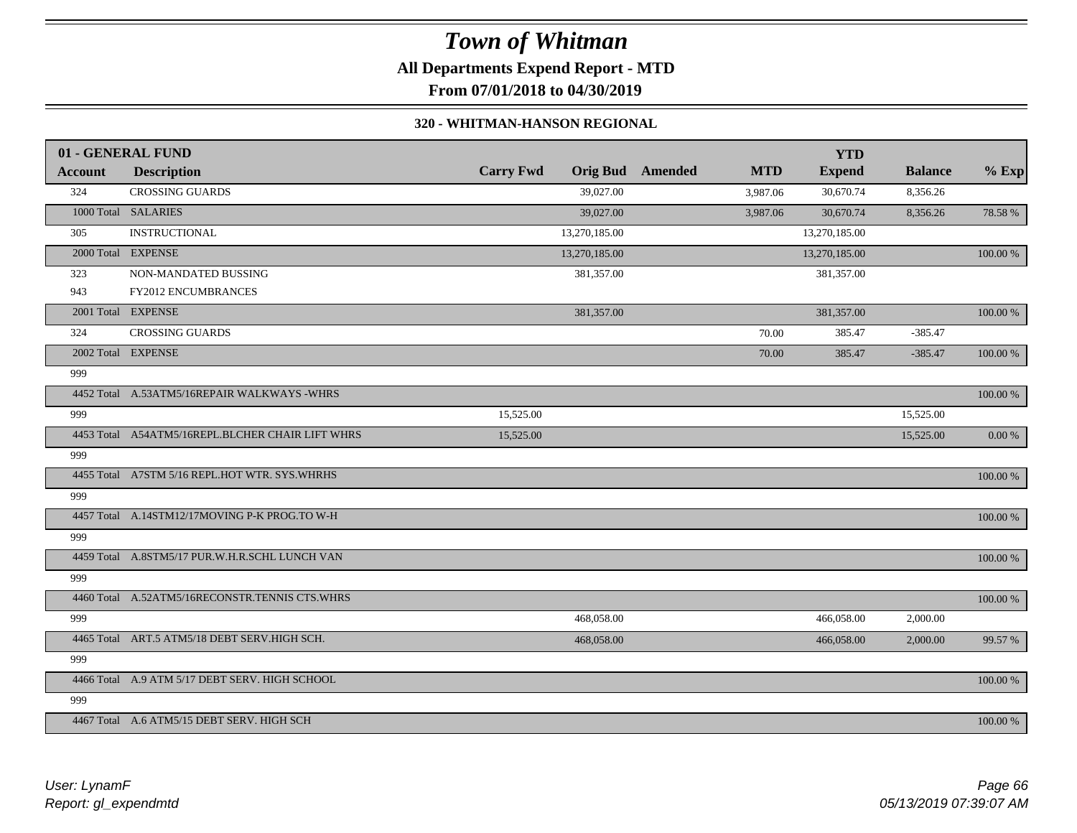## *Town of Whitman* **All Departments Expend Report - MTD**

**From 07/01/2018 to 04/30/2019**

#### **320 - WHITMAN-HANSON REGIONAL**

|         | 01 - GENERAL FUND                                |                  |                 |         |            | <b>YTD</b>    |                |             |
|---------|--------------------------------------------------|------------------|-----------------|---------|------------|---------------|----------------|-------------|
| Account | <b>Description</b>                               | <b>Carry Fwd</b> | <b>Orig Bud</b> | Amended | <b>MTD</b> | <b>Expend</b> | <b>Balance</b> | $%$ Exp     |
| 324     | <b>CROSSING GUARDS</b>                           |                  | 39,027.00       |         | 3,987.06   | 30,670.74     | 8,356.26       |             |
|         | 1000 Total SALARIES                              |                  | 39,027.00       |         | 3,987.06   | 30,670.74     | 8,356.26       | 78.58%      |
| 305     | <b>INSTRUCTIONAL</b>                             |                  | 13,270,185.00   |         |            | 13,270,185.00 |                |             |
|         | 2000 Total EXPENSE                               |                  | 13,270,185.00   |         |            | 13,270,185.00 |                | 100.00 %    |
| 323     | NON-MANDATED BUSSING                             |                  | 381,357.00      |         |            | 381,357.00    |                |             |
| 943     | <b>FY2012 ENCUMBRANCES</b>                       |                  |                 |         |            |               |                |             |
|         | 2001 Total EXPENSE                               |                  | 381,357.00      |         |            | 381,357.00    |                | $100.00~\%$ |
| 324     | <b>CROSSING GUARDS</b>                           |                  |                 |         | 70.00      | 385.47        | $-385.47$      |             |
|         | 2002 Total EXPENSE                               |                  |                 |         | 70.00      | 385.47        | $-385.47$      | 100.00 %    |
| 999     |                                                  |                  |                 |         |            |               |                |             |
|         | 4452 Total A.53ATM5/16REPAIR WALKWAYS -WHRS      |                  |                 |         |            |               |                | 100.00 %    |
| 999     |                                                  | 15,525.00        |                 |         |            |               | 15,525.00      |             |
|         | 4453 Total A54ATM5/16REPL.BLCHER CHAIR LIFT WHRS | 15,525.00        |                 |         |            |               | 15,525.00      | $0.00~\%$   |
| 999     |                                                  |                  |                 |         |            |               |                |             |
|         | 4455 Total A7STM 5/16 REPL.HOT WTR. SYS.WHRHS    |                  |                 |         |            |               |                | 100.00 %    |
| 999     |                                                  |                  |                 |         |            |               |                |             |
|         | 4457 Total A.14STM12/17MOVING P-K PROG.TO W-H    |                  |                 |         |            |               |                | 100.00 %    |
| 999     |                                                  |                  |                 |         |            |               |                |             |
|         | 4459 Total A.8STM5/17 PUR.W.H.R.SCHL LUNCH VAN   |                  |                 |         |            |               |                | 100.00 %    |
| 999     |                                                  |                  |                 |         |            |               |                |             |
|         | 4460 Total A.52ATM5/16RECONSTR.TENNIS CTS.WHRS   |                  |                 |         |            |               |                | $100.00~\%$ |
| 999     |                                                  |                  | 468,058.00      |         |            | 466,058.00    | 2,000.00       |             |
|         | 4465 Total ART.5 ATM5/18 DEBT SERV.HIGH SCH.     |                  | 468,058.00      |         |            | 466,058.00    | 2,000.00       | 99.57 %     |
| 999     |                                                  |                  |                 |         |            |               |                |             |
|         | 4466 Total A.9 ATM 5/17 DEBT SERV. HIGH SCHOOL   |                  |                 |         |            |               |                | 100.00 %    |
| 999     |                                                  |                  |                 |         |            |               |                |             |
|         | 4467 Total A.6 ATM5/15 DEBT SERV. HIGH SCH       |                  |                 |         |            |               |                | 100.00 %    |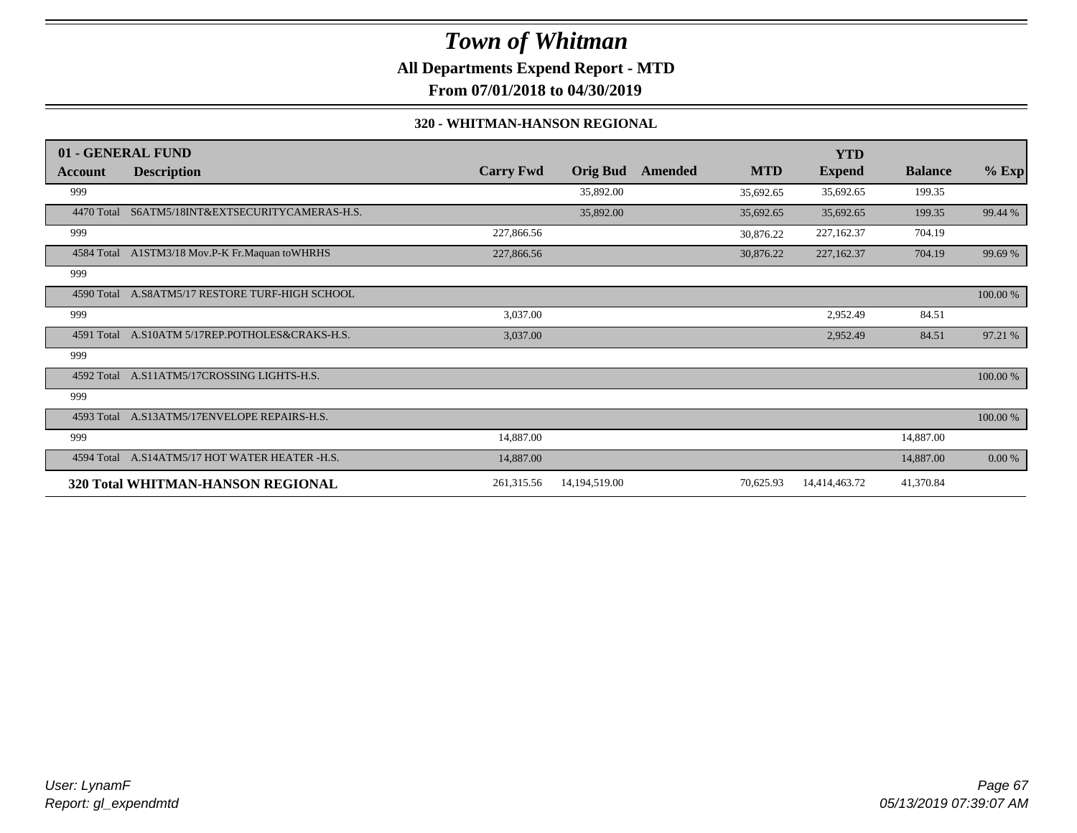**All Departments Expend Report - MTD**

**From 07/01/2018 to 04/30/2019**

#### **320 - WHITMAN-HANSON REGIONAL**

|            | 01 - GENERAL FUND                               |                  |                 |         |            | <b>YTD</b>    |                |          |
|------------|-------------------------------------------------|------------------|-----------------|---------|------------|---------------|----------------|----------|
| Account    | <b>Description</b>                              | <b>Carry Fwd</b> | <b>Orig Bud</b> | Amended | <b>MTD</b> | <b>Expend</b> | <b>Balance</b> | $%$ Exp  |
| 999        |                                                 |                  | 35,892.00       |         | 35,692.65  | 35,692.65     | 199.35         |          |
| 4470 Total | S6ATM5/18INT&EXTSECURITYCAMERAS-H.S.            |                  | 35,892.00       |         | 35,692.65  | 35,692.65     | 199.35         | 99.44 %  |
| 999        |                                                 | 227,866.56       |                 |         | 30,876.22  | 227,162.37    | 704.19         |          |
|            | 4584 Total A1STM3/18 Mov.P-K Fr.Maquan toWHRHS  | 227,866.56       |                 |         | 30,876.22  | 227,162.37    | 704.19         | 99.69 %  |
| 999        |                                                 |                  |                 |         |            |               |                |          |
| 4590 Total | A.S8ATM5/17 RESTORE TURF-HIGH SCHOOL            |                  |                 |         |            |               |                | 100.00 % |
| 999        |                                                 | 3,037.00         |                 |         |            | 2,952.49      | 84.51          |          |
|            | 4591 Total A.S10ATM 5/17REP.POTHOLES&CRAKS-H.S. | 3,037.00         |                 |         |            | 2,952.49      | 84.51          | 97.21 %  |
| 999        |                                                 |                  |                 |         |            |               |                |          |
| 4592 Total | A.S11ATM5/17CROSSING LIGHTS-H.S.                |                  |                 |         |            |               |                | 100.00 % |
| 999        |                                                 |                  |                 |         |            |               |                |          |
|            | 4593 Total A.S13ATM5/17ENVELOPE REPAIRS-H.S.    |                  |                 |         |            |               |                | 100.00 % |
| 999        |                                                 | 14,887.00        |                 |         |            |               | 14,887.00      |          |
| 4594 Total | A.S14ATM5/17 HOT WATER HEATER -H.S.             | 14,887.00        |                 |         |            |               | 14,887.00      | 0.00 %   |
|            | 320 Total WHITMAN-HANSON REGIONAL               | 261,315.56       | 14,194,519.00   |         | 70,625.93  | 14,414,463.72 | 41,370.84      |          |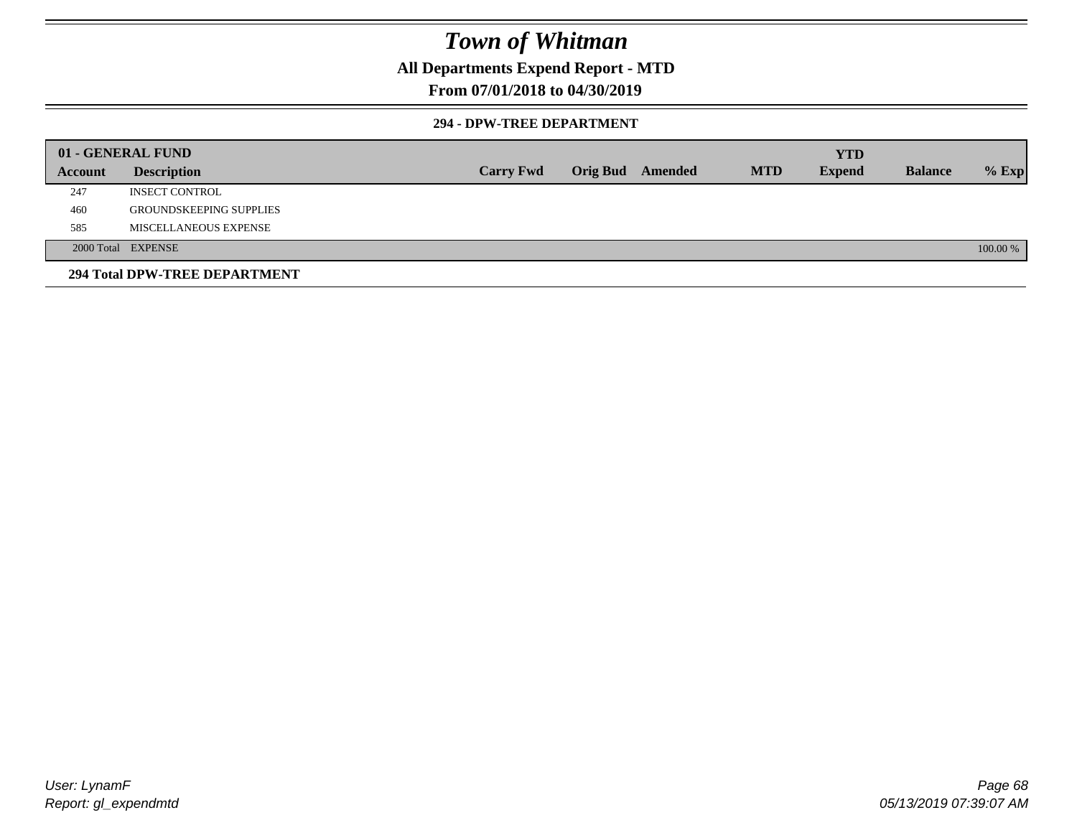### **All Departments Expend Report - MTD**

### **From 07/01/2018 to 04/30/2019**

#### **294 - DPW-TREE DEPARTMENT**

|         | 01 - GENERAL FUND              |                  |                  |            | <b>YTD</b>    |                |          |
|---------|--------------------------------|------------------|------------------|------------|---------------|----------------|----------|
| Account | <b>Description</b>             | <b>Carry Fwd</b> | Orig Bud Amended | <b>MTD</b> | <b>Expend</b> | <b>Balance</b> | $%$ Exp  |
| 247     | <b>INSECT CONTROL</b>          |                  |                  |            |               |                |          |
| 460     | <b>GROUNDSKEEPING SUPPLIES</b> |                  |                  |            |               |                |          |
| 585     | MISCELLANEOUS EXPENSE          |                  |                  |            |               |                |          |
|         | 2000 Total EXPENSE             |                  |                  |            |               |                | 100.00 % |
|         | 294 Total DPW-TREE DEPARTMENT  |                  |                  |            |               |                |          |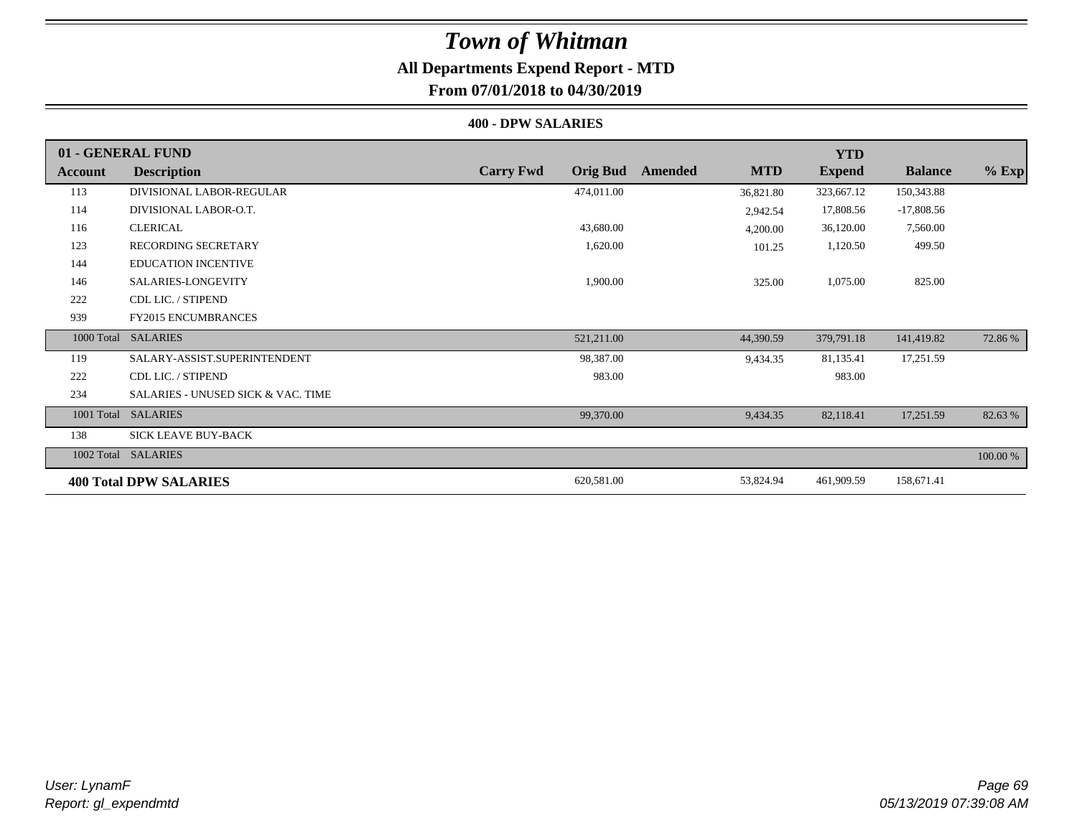# **All Departments Expend Report - MTD**

### **From 07/01/2018 to 04/30/2019**

#### **400 - DPW SALARIES**

|            | 01 - GENERAL FUND                             |                                     |                       | <b>YTD</b>    |                |          |
|------------|-----------------------------------------------|-------------------------------------|-----------------------|---------------|----------------|----------|
| Account    | <b>Description</b>                            | <b>Carry Fwd</b><br><b>Orig Bud</b> | <b>MTD</b><br>Amended | <b>Expend</b> | <b>Balance</b> | $%$ Exp  |
| 113        | DIVISIONAL LABOR-REGULAR                      | 474,011.00                          | 36,821.80             | 323,667.12    | 150,343.88     |          |
| 114        | DIVISIONAL LABOR-O.T.                         |                                     | 2,942.54              | 17,808.56     | $-17,808.56$   |          |
| 116        | <b>CLERICAL</b>                               | 43,680.00                           | 4,200.00              | 36,120.00     | 7,560.00       |          |
| 123        | <b>RECORDING SECRETARY</b>                    | 1,620.00                            | 101.25                | 1,120.50      | 499.50         |          |
| 144        | <b>EDUCATION INCENTIVE</b>                    |                                     |                       |               |                |          |
| 146        | SALARIES-LONGEVITY                            | 1,900.00                            | 325.00                | 1,075.00      | 825.00         |          |
| 222        | CDL LIC. / STIPEND                            |                                     |                       |               |                |          |
| 939        | <b>FY2015 ENCUMBRANCES</b>                    |                                     |                       |               |                |          |
| 1000 Total | <b>SALARIES</b>                               | 521,211.00                          | 44,390.59             | 379,791.18    | 141,419.82     | 72.86 %  |
| 119        | SALARY-ASSIST.SUPERINTENDENT                  | 98,387.00                           | 9.434.35              | 81,135.41     | 17,251.59      |          |
| 222        | CDL LIC. / STIPEND                            | 983.00                              |                       | 983.00        |                |          |
| 234        | <b>SALARIES - UNUSED SICK &amp; VAC. TIME</b> |                                     |                       |               |                |          |
| 1001 Total | <b>SALARIES</b>                               | 99,370.00                           | 9,434.35              | 82,118.41     | 17,251.59      | 82.63 %  |
| 138        | <b>SICK LEAVE BUY-BACK</b>                    |                                     |                       |               |                |          |
|            | 1002 Total SALARIES                           |                                     |                       |               |                | 100.00 % |
|            | <b>400 Total DPW SALARIES</b>                 | 620,581.00                          | 53,824.94             | 461,909.59    | 158,671.41     |          |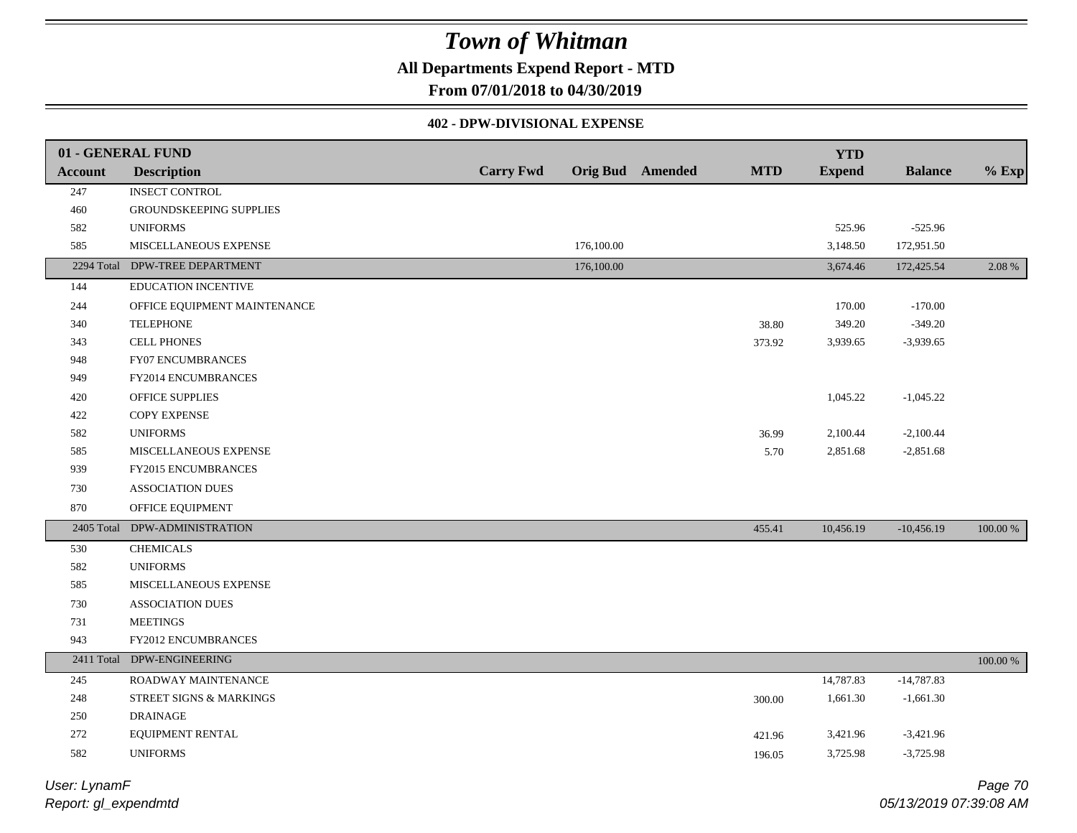### **All Departments Expend Report - MTD**

**From 07/01/2018 to 04/30/2019**

#### **402 - DPW-DIVISIONAL EXPENSE**

|                | 01 - GENERAL FUND              |                  |            |                         |            | <b>YTD</b>    |                |             |
|----------------|--------------------------------|------------------|------------|-------------------------|------------|---------------|----------------|-------------|
| <b>Account</b> | <b>Description</b>             | <b>Carry Fwd</b> |            | <b>Orig Bud</b> Amended | <b>MTD</b> | <b>Expend</b> | <b>Balance</b> | $%$ Exp     |
| 247            | <b>INSECT CONTROL</b>          |                  |            |                         |            |               |                |             |
| 460            | <b>GROUNDSKEEPING SUPPLIES</b> |                  |            |                         |            |               |                |             |
| 582            | <b>UNIFORMS</b>                |                  |            |                         |            | 525.96        | $-525.96$      |             |
| 585            | MISCELLANEOUS EXPENSE          |                  | 176,100.00 |                         |            | 3,148.50      | 172,951.50     |             |
|                | 2294 Total DPW-TREE DEPARTMENT |                  | 176,100.00 |                         |            | 3,674.46      | 172,425.54     | 2.08 %      |
| 144            | EDUCATION INCENTIVE            |                  |            |                         |            |               |                |             |
| 244            | OFFICE EQUIPMENT MAINTENANCE   |                  |            |                         |            | 170.00        | $-170.00$      |             |
| 340            | <b>TELEPHONE</b>               |                  |            |                         | 38.80      | 349.20        | $-349.20$      |             |
| 343            | <b>CELL PHONES</b>             |                  |            |                         | 373.92     | 3,939.65      | $-3,939.65$    |             |
| 948            | FY07 ENCUMBRANCES              |                  |            |                         |            |               |                |             |
| 949            | FY2014 ENCUMBRANCES            |                  |            |                         |            |               |                |             |
| 420            | OFFICE SUPPLIES                |                  |            |                         |            | 1,045.22      | $-1,045.22$    |             |
| 422            | <b>COPY EXPENSE</b>            |                  |            |                         |            |               |                |             |
| 582            | <b>UNIFORMS</b>                |                  |            |                         | 36.99      | 2,100.44      | $-2,100.44$    |             |
| 585            | MISCELLANEOUS EXPENSE          |                  |            |                         | 5.70       | 2,851.68      | $-2,851.68$    |             |
| 939            | FY2015 ENCUMBRANCES            |                  |            |                         |            |               |                |             |
| 730            | ASSOCIATION DUES               |                  |            |                         |            |               |                |             |
| 870            | OFFICE EQUIPMENT               |                  |            |                         |            |               |                |             |
| 2405 Total     | DPW-ADMINISTRATION             |                  |            |                         | 455.41     | 10,456.19     | $-10,456.19$   | 100.00 %    |
| 530            | <b>CHEMICALS</b>               |                  |            |                         |            |               |                |             |
| 582            | <b>UNIFORMS</b>                |                  |            |                         |            |               |                |             |
| 585            | MISCELLANEOUS EXPENSE          |                  |            |                         |            |               |                |             |
| 730            | <b>ASSOCIATION DUES</b>        |                  |            |                         |            |               |                |             |
| 731            | <b>MEETINGS</b>                |                  |            |                         |            |               |                |             |
| 943            | FY2012 ENCUMBRANCES            |                  |            |                         |            |               |                |             |
| 2411 Total     | DPW-ENGINEERING                |                  |            |                         |            |               |                | $100.00~\%$ |
| 245            | ROADWAY MAINTENANCE            |                  |            |                         |            | 14,787.83     | $-14,787.83$   |             |
| 248            | STREET SIGNS & MARKINGS        |                  |            |                         | 300.00     | 1,661.30      | $-1,661.30$    |             |
| $250\,$        | <b>DRAINAGE</b>                |                  |            |                         |            |               |                |             |
| 272            | EQUIPMENT RENTAL               |                  |            |                         | 421.96     | 3,421.96      | $-3,421.96$    |             |
| 582            | <b>UNIFORMS</b>                |                  |            |                         | 196.05     | 3,725.98      | $-3,725.98$    |             |
|                |                                |                  |            |                         |            |               |                |             |

*Report: gl\_expendmtd User: LynamF*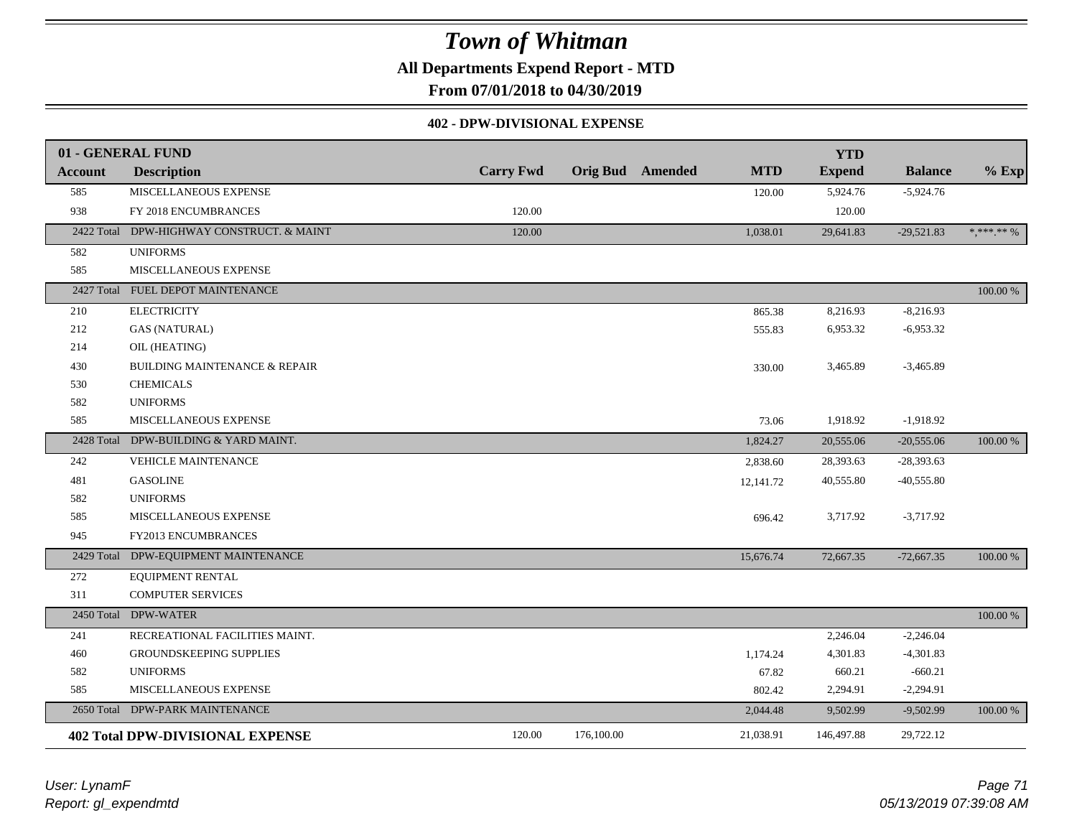**All Departments Expend Report - MTD**

**From 07/01/2018 to 04/30/2019**

#### **402 - DPW-DIVISIONAL EXPENSE**

|                | 01 - GENERAL FUND                         |                  |                         |            | <b>YTD</b>    |                |                                        |
|----------------|-------------------------------------------|------------------|-------------------------|------------|---------------|----------------|----------------------------------------|
| <b>Account</b> | <b>Description</b>                        | <b>Carry Fwd</b> | <b>Orig Bud</b> Amended | <b>MTD</b> | <b>Expend</b> | <b>Balance</b> | $%$ Exp                                |
| 585            | MISCELLANEOUS EXPENSE                     |                  |                         | 120.00     | 5,924.76      | $-5,924.76$    |                                        |
| 938            | FY 2018 ENCUMBRANCES                      | 120.00           |                         |            | 120.00        |                |                                        |
|                | 2422 Total DPW-HIGHWAY CONSTRUCT. & MAINT | 120.00           |                         | 1,038.01   | 29,641.83     | $-29,521.83$   | $\ast\, ,\ast\ast\ast\, \ast\ast\, \%$ |
| 582            | <b>UNIFORMS</b>                           |                  |                         |            |               |                |                                        |
| 585            | MISCELLANEOUS EXPENSE                     |                  |                         |            |               |                |                                        |
|                | 2427 Total FUEL DEPOT MAINTENANCE         |                  |                         |            |               |                | 100.00 %                               |
| 210            | <b>ELECTRICITY</b>                        |                  |                         | 865.38     | 8,216.93      | $-8,216.93$    |                                        |
| 212            | <b>GAS (NATURAL)</b>                      |                  |                         | 555.83     | 6,953.32      | $-6,953.32$    |                                        |
| 214            | OIL (HEATING)                             |                  |                         |            |               |                |                                        |
| 430            | <b>BUILDING MAINTENANCE &amp; REPAIR</b>  |                  |                         | 330.00     | 3,465.89      | $-3,465.89$    |                                        |
| 530            | <b>CHEMICALS</b>                          |                  |                         |            |               |                |                                        |
| 582            | <b>UNIFORMS</b>                           |                  |                         |            |               |                |                                        |
| 585            | MISCELLANEOUS EXPENSE                     |                  |                         | 73.06      | 1,918.92      | $-1,918.92$    |                                        |
|                | 2428 Total DPW-BUILDING & YARD MAINT.     |                  |                         | 1,824.27   | 20,555.06     | $-20,555.06$   | 100.00 %                               |
| 242            | <b>VEHICLE MAINTENANCE</b>                |                  |                         | 2,838.60   | 28,393.63     | $-28,393.63$   |                                        |
| 481            | <b>GASOLINE</b>                           |                  |                         | 12,141.72  | 40,555.80     | $-40,555.80$   |                                        |
| 582            | <b>UNIFORMS</b>                           |                  |                         |            |               |                |                                        |
| 585            | MISCELLANEOUS EXPENSE                     |                  |                         | 696.42     | 3,717.92      | $-3,717.92$    |                                        |
| 945            | FY2013 ENCUMBRANCES                       |                  |                         |            |               |                |                                        |
| 2429 Total     | DPW-EQUIPMENT MAINTENANCE                 |                  |                         | 15,676.74  | 72,667.35     | $-72,667.35$   | $100.00~\%$                            |
| 272            | EQUIPMENT RENTAL                          |                  |                         |            |               |                |                                        |
| 311            | <b>COMPUTER SERVICES</b>                  |                  |                         |            |               |                |                                        |
|                | 2450 Total DPW-WATER                      |                  |                         |            |               |                | $100.00~\%$                            |
| 241            | RECREATIONAL FACILITIES MAINT.            |                  |                         |            | 2,246.04      | $-2,246.04$    |                                        |
| 460            | GROUNDSKEEPING SUPPLIES                   |                  |                         | 1,174.24   | 4,301.83      | $-4,301.83$    |                                        |
| 582            | <b>UNIFORMS</b>                           |                  |                         | 67.82      | 660.21        | $-660.21$      |                                        |
| 585            | MISCELLANEOUS EXPENSE                     |                  |                         | 802.42     | 2,294.91      | $-2,294.91$    |                                        |
|                | 2650 Total DPW-PARK MAINTENANCE           |                  |                         | 2,044.48   | 9,502.99      | $-9,502.99$    | 100.00 %                               |
|                | <b>402 Total DPW-DIVISIONAL EXPENSE</b>   | 120.00           | 176,100.00              | 21,038.91  | 146,497.88    | 29,722.12      |                                        |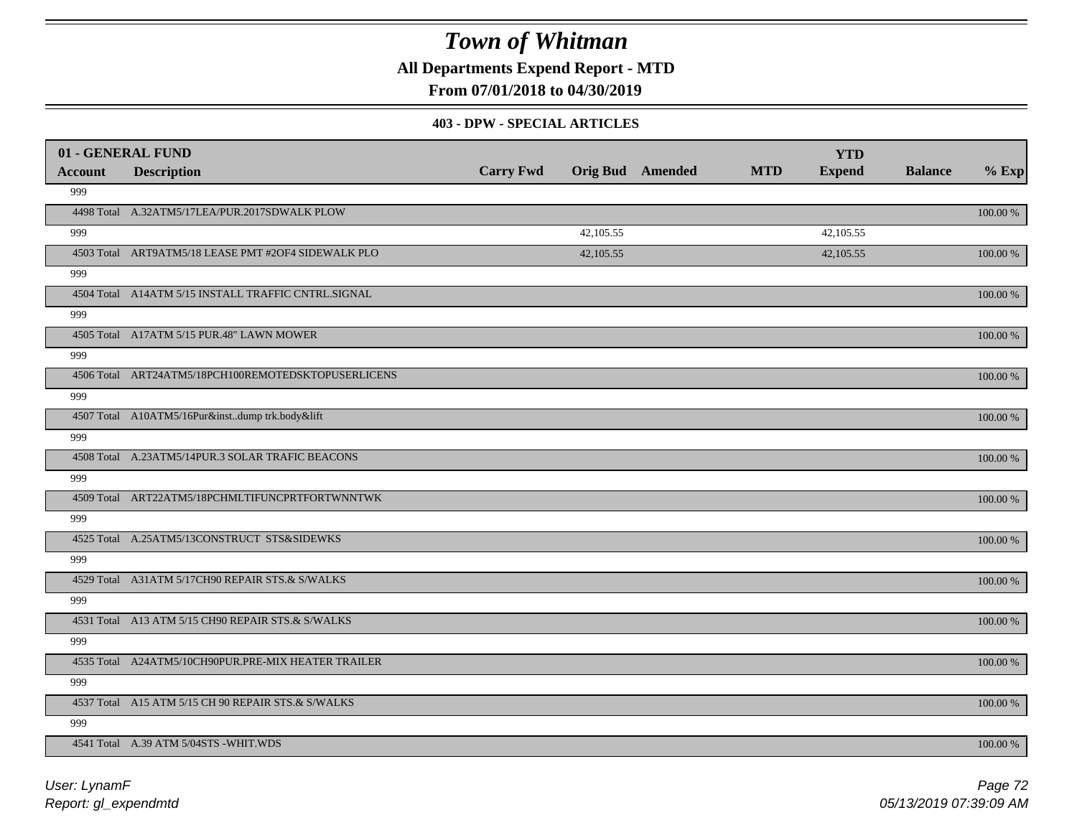**All Departments Expend Report - MTD**

**From 07/01/2018 to 04/30/2019**

#### **403 - DPW - SPECIAL ARTICLES**

| 01 - GENERAL FUND |                                                     |                  |           |                         |            | <b>YTD</b>    |                |          |
|-------------------|-----------------------------------------------------|------------------|-----------|-------------------------|------------|---------------|----------------|----------|
| <b>Account</b>    | <b>Description</b>                                  | <b>Carry Fwd</b> |           | <b>Orig Bud</b> Amended | <b>MTD</b> | <b>Expend</b> | <b>Balance</b> | $%$ Exp  |
| 999               |                                                     |                  |           |                         |            |               |                |          |
|                   | 4498 Total A.32ATM5/17LEA/PUR.2017SDWALK PLOW       |                  |           |                         |            |               |                | 100.00 % |
| 999               |                                                     |                  | 42,105.55 |                         |            | 42,105.55     |                |          |
|                   | 4503 Total ART9ATM5/18 LEASE PMT #2OF4 SIDEWALK PLO |                  | 42,105.55 |                         |            | 42,105.55     |                | 100.00 % |
| 999               |                                                     |                  |           |                         |            |               |                |          |
|                   | 4504 Total A14ATM 5/15 INSTALL TRAFFIC CNTRL.SIGNAL |                  |           |                         |            |               |                | 100.00 % |
| 999               |                                                     |                  |           |                         |            |               |                |          |
|                   | 4505 Total A17ATM 5/15 PUR.48" LAWN MOWER           |                  |           |                         |            |               |                | 100.00 % |
| 999               |                                                     |                  |           |                         |            |               |                |          |
|                   | 4506 Total ART24ATM5/18PCH100REMOTEDSKTOPUSERLICENS |                  |           |                         |            |               |                | 100.00 % |
| 999               |                                                     |                  |           |                         |            |               |                |          |
|                   | 4507 Total A10ATM5/16Pur&instdump trk.body&lift     |                  |           |                         |            |               |                | 100.00 % |
| 999               |                                                     |                  |           |                         |            |               |                |          |
|                   | 4508 Total A.23ATM5/14PUR.3 SOLAR TRAFIC BEACONS    |                  |           |                         |            |               |                | 100.00 % |
| 999               |                                                     |                  |           |                         |            |               |                |          |
|                   | 4509 Total ART22ATM5/18PCHMLTIFUNCPRTFORTWNNTWK     |                  |           |                         |            |               |                | 100.00 % |
| 999               |                                                     |                  |           |                         |            |               |                |          |
|                   | 4525 Total A.25ATM5/13CONSTRUCT STS&SIDEWKS         |                  |           |                         |            |               |                | 100.00 % |
| 999               |                                                     |                  |           |                         |            |               |                |          |
|                   | 4529 Total A31ATM 5/17CH90 REPAIR STS.& S/WALKS     |                  |           |                         |            |               |                | 100.00 % |
| 999               |                                                     |                  |           |                         |            |               |                |          |
|                   | 4531 Total A13 ATM 5/15 CH90 REPAIR STS.& S/WALKS   |                  |           |                         |            |               |                | 100.00 % |
| 999               |                                                     |                  |           |                         |            |               |                |          |
|                   | 4535 Total A24ATM5/10CH90PUR.PRE-MIX HEATER TRAILER |                  |           |                         |            |               |                | 100.00 % |
| 999               |                                                     |                  |           |                         |            |               |                |          |
|                   | 4537 Total A15 ATM 5/15 CH 90 REPAIR STS.& S/WALKS  |                  |           |                         |            |               |                | 100.00 % |
| 999               |                                                     |                  |           |                         |            |               |                |          |
|                   | 4541 Total A.39 ATM 5/04STS -WHIT.WDS               |                  |           |                         |            |               |                | 100.00 % |

*Report: gl\_expendmtd User: LynamF*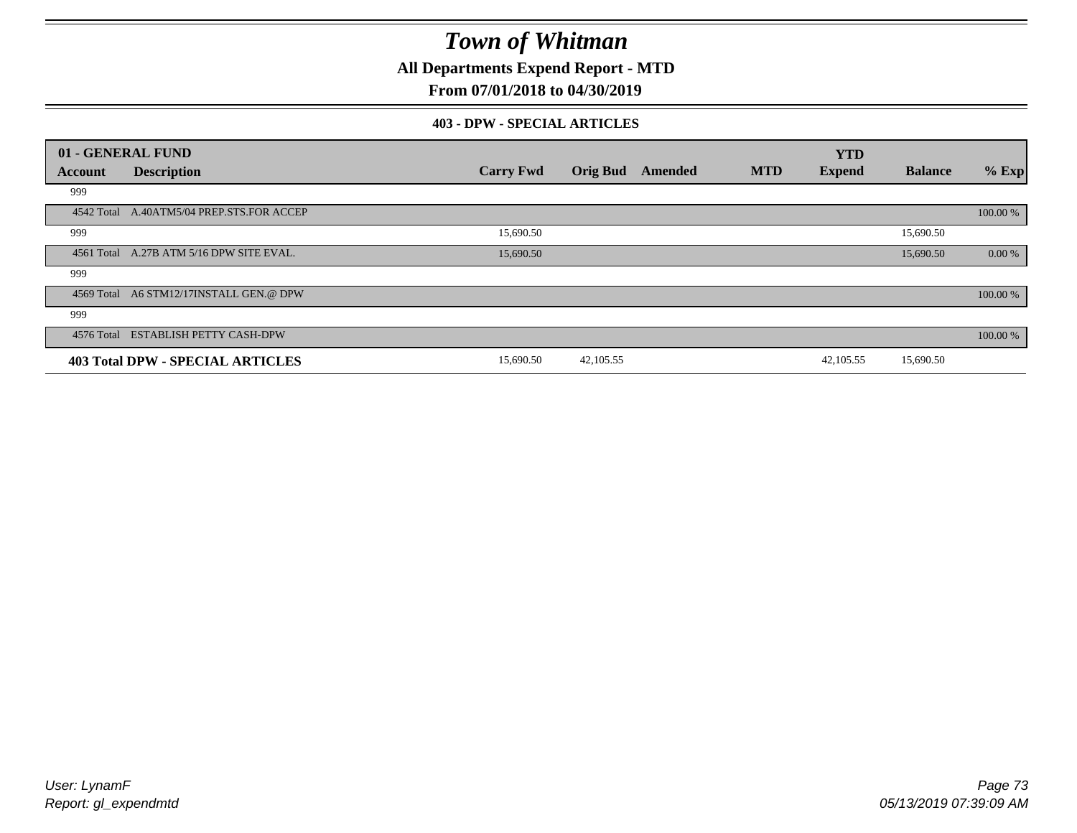**All Departments Expend Report - MTD**

### **From 07/01/2018 to 04/30/2019**

#### **403 - DPW - SPECIAL ARTICLES**

|         | 01 - GENERAL FUND                         |                  |                 |         |            | <b>YTD</b>    |                |          |
|---------|-------------------------------------------|------------------|-----------------|---------|------------|---------------|----------------|----------|
| Account | <b>Description</b>                        | <b>Carry Fwd</b> | <b>Orig Bud</b> | Amended | <b>MTD</b> | <b>Expend</b> | <b>Balance</b> | $%$ Exp  |
| 999     |                                           |                  |                 |         |            |               |                |          |
|         | 4542 Total A.40ATM5/04 PREP.STS.FOR ACCEP |                  |                 |         |            |               |                | 100.00 % |
| 999     |                                           | 15,690.50        |                 |         |            |               | 15,690.50      |          |
|         | 4561 Total A.27B ATM 5/16 DPW SITE EVAL.  | 15,690.50        |                 |         |            |               | 15,690.50      | 0.00 %   |
| 999     |                                           |                  |                 |         |            |               |                |          |
|         | 4569 Total A6 STM12/17INSTALL GEN.@ DPW   |                  |                 |         |            |               |                | 100.00 % |
| 999     |                                           |                  |                 |         |            |               |                |          |
|         | 4576 Total ESTABLISH PETTY CASH-DPW       |                  |                 |         |            |               |                | 100.00 % |
|         | 403 Total DPW - SPECIAL ARTICLES          | 15,690.50        | 42, 105.55      |         |            | 42,105.55     | 15,690.50      |          |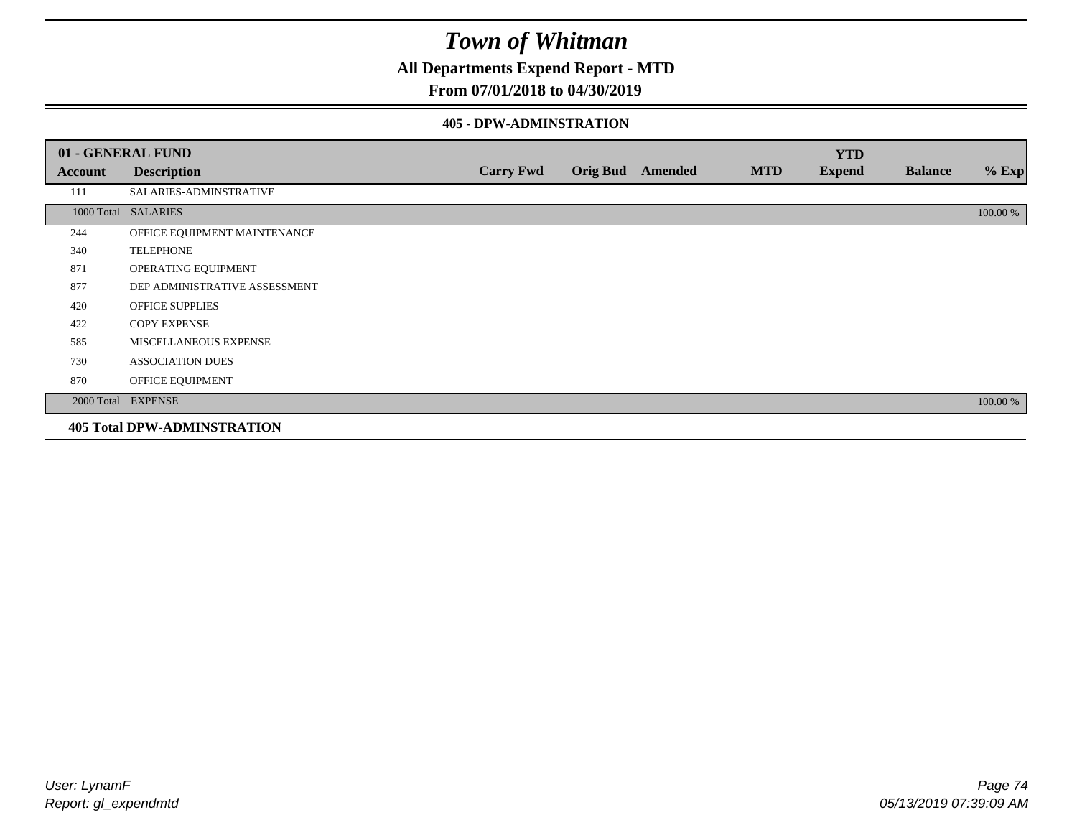**All Departments Expend Report - MTD**

### **From 07/01/2018 to 04/30/2019**

#### **405 - DPW-ADMINSTRATION**

|         | 01 - GENERAL FUND                  |                  |                  |            | <b>YTD</b>    |                |          |
|---------|------------------------------------|------------------|------------------|------------|---------------|----------------|----------|
| Account | <b>Description</b>                 | <b>Carry Fwd</b> | Orig Bud Amended | <b>MTD</b> | <b>Expend</b> | <b>Balance</b> | $%$ Exp  |
| 111     | SALARIES-ADMINSTRATIVE             |                  |                  |            |               |                |          |
|         | 1000 Total SALARIES                |                  |                  |            |               |                | 100.00 % |
| 244     | OFFICE EQUIPMENT MAINTENANCE       |                  |                  |            |               |                |          |
| 340     | <b>TELEPHONE</b>                   |                  |                  |            |               |                |          |
| 871     | OPERATING EQUIPMENT                |                  |                  |            |               |                |          |
| 877     | DEP ADMINISTRATIVE ASSESSMENT      |                  |                  |            |               |                |          |
| 420     | <b>OFFICE SUPPLIES</b>             |                  |                  |            |               |                |          |
| 422     | <b>COPY EXPENSE</b>                |                  |                  |            |               |                |          |
| 585     | MISCELLANEOUS EXPENSE              |                  |                  |            |               |                |          |
| 730     | <b>ASSOCIATION DUES</b>            |                  |                  |            |               |                |          |
| 870     | OFFICE EQUIPMENT                   |                  |                  |            |               |                |          |
|         | 2000 Total EXPENSE                 |                  |                  |            |               |                | 100.00 % |
|         | <b>405 Total DPW-ADMINSTRATION</b> |                  |                  |            |               |                |          |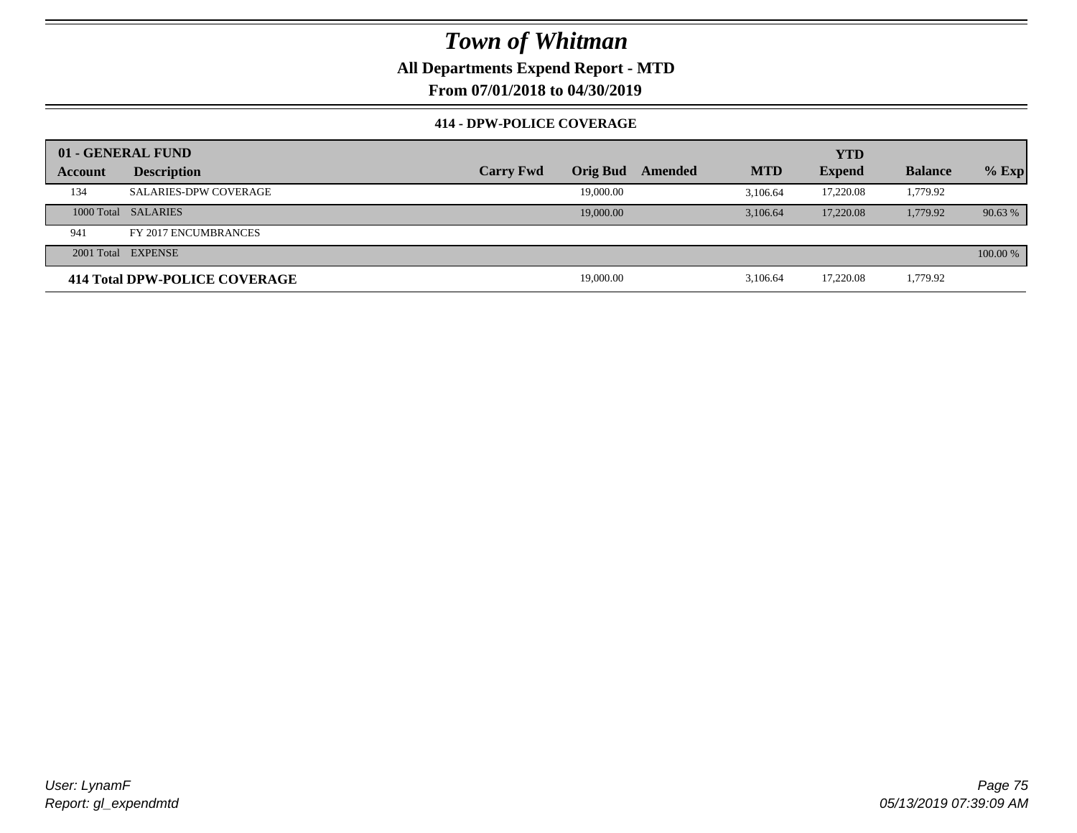### **All Departments Expend Report - MTD**

**From 07/01/2018 to 04/30/2019**

### **414 - DPW-POLICE COVERAGE**

|         | 01 - GENERAL FUND             |                  |                 |         |            | YTD           |                |          |
|---------|-------------------------------|------------------|-----------------|---------|------------|---------------|----------------|----------|
| Account | <b>Description</b>            | <b>Carry Fwd</b> | <b>Orig Bud</b> | Amended | <b>MTD</b> | <b>Expend</b> | <b>Balance</b> | $%$ Exp  |
| 134     | <b>SALARIES-DPW COVERAGE</b>  |                  | 19,000.00       |         | 3.106.64   | 17.220.08     | 1,779.92       |          |
|         | 1000 Total SALARIES           |                  | 19,000.00       |         | 3.106.64   | 17,220.08     | 1,779.92       | 90.63%   |
| 941     | FY 2017 ENCUMBRANCES          |                  |                 |         |            |               |                |          |
|         | 2001 Total EXPENSE            |                  |                 |         |            |               |                | 100.00 % |
|         | 414 Total DPW-POLICE COVERAGE |                  | 19,000.00       |         | 3.106.64   | 17,220.08     | 1,779.92       |          |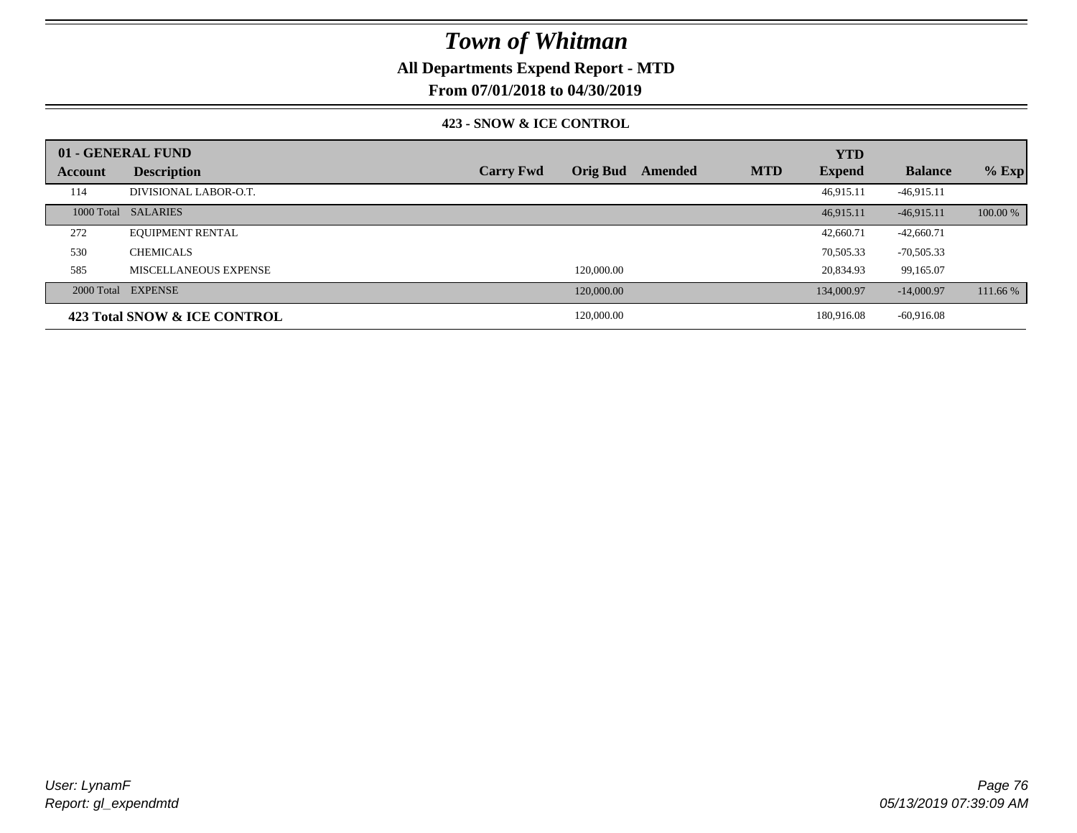### **All Departments Expend Report - MTD**

**From 07/01/2018 to 04/30/2019**

#### **423 - SNOW & ICE CONTROL**

|         | 01 - GENERAL FUND            |                  |                 |         |            | <b>YTD</b>    |                |          |
|---------|------------------------------|------------------|-----------------|---------|------------|---------------|----------------|----------|
| Account | <b>Description</b>           | <b>Carry Fwd</b> | <b>Orig Bud</b> | Amended | <b>MTD</b> | <b>Expend</b> | <b>Balance</b> | $%$ Exp  |
| 114     | DIVISIONAL LABOR-O.T.        |                  |                 |         |            | 46,915.11     | $-46,915.11$   |          |
|         | 1000 Total SALARIES          |                  |                 |         |            | 46.915.11     | $-46,915.11$   | 100.00 % |
| 272     | <b>EQUIPMENT RENTAL</b>      |                  |                 |         |            | 42,660.71     | $-42,660.71$   |          |
| 530     | <b>CHEMICALS</b>             |                  |                 |         |            | 70,505.33     | $-70,505.33$   |          |
| 585     | MISCELLANEOUS EXPENSE        |                  | 120,000.00      |         |            | 20,834.93     | 99,165.07      |          |
|         | 2000 Total EXPENSE           |                  | 120,000.00      |         |            | 134,000.97    | $-14,000.97$   | 111.66 % |
|         | 423 Total SNOW & ICE CONTROL |                  | 120,000.00      |         |            | 180,916.08    | $-60,916.08$   |          |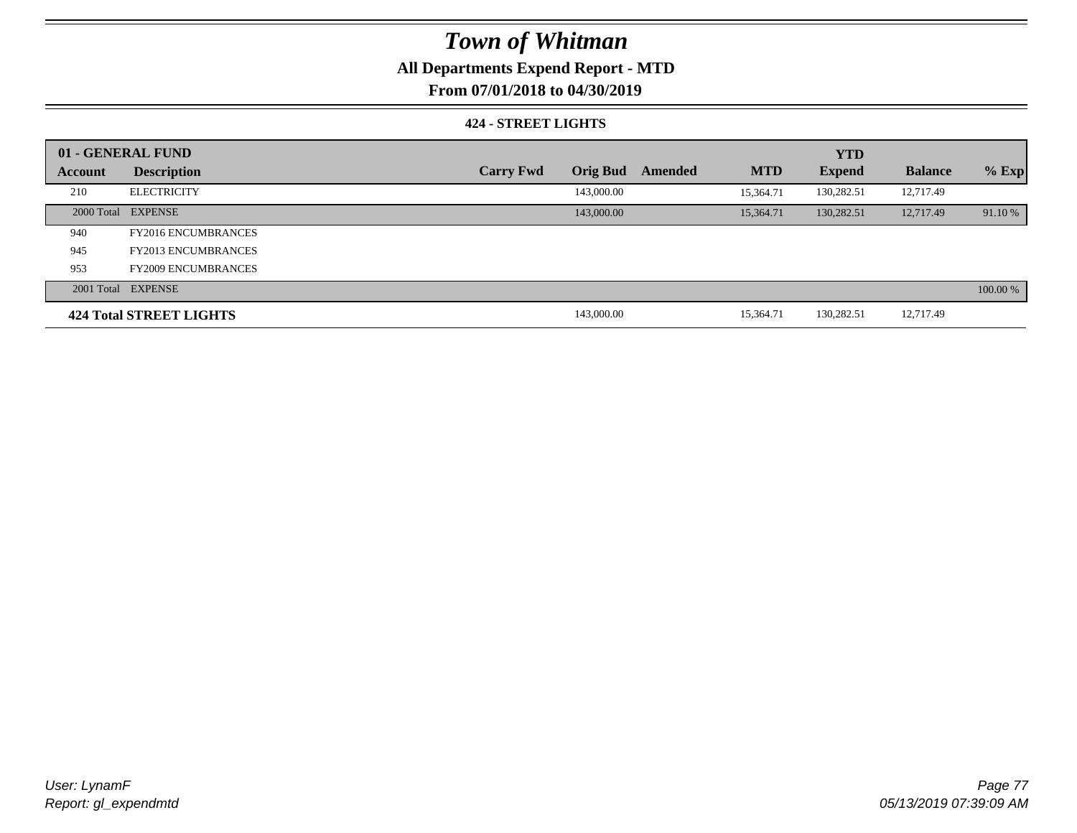### **All Departments Expend Report - MTD**

**From 07/01/2018 to 04/30/2019**

#### **424 - STREET LIGHTS**

|         | 01 - GENERAL FUND              |                  |                 |         |            | <b>YTD</b>    |                |          |
|---------|--------------------------------|------------------|-----------------|---------|------------|---------------|----------------|----------|
| Account | <b>Description</b>             | <b>Carry Fwd</b> | <b>Orig Bud</b> | Amended | <b>MTD</b> | <b>Expend</b> | <b>Balance</b> | $%$ Exp  |
| 210     | <b>ELECTRICITY</b>             |                  | 143,000.00      |         | 15,364.71  | 130,282.51    | 12,717.49      |          |
|         | 2000 Total EXPENSE             |                  | 143,000.00      |         | 15.364.71  | 130,282.51    | 12,717.49      | 91.10 %  |
| 940     | <b>FY2016 ENCUMBRANCES</b>     |                  |                 |         |            |               |                |          |
| 945     | <b>FY2013 ENCUMBRANCES</b>     |                  |                 |         |            |               |                |          |
| 953     | <b>FY2009 ENCUMBRANCES</b>     |                  |                 |         |            |               |                |          |
|         | 2001 Total EXPENSE             |                  |                 |         |            |               |                | 100.00 % |
|         | <b>424 Total STREET LIGHTS</b> |                  | 143,000.00      |         | 15.364.71  | 130,282.51    | 12,717.49      |          |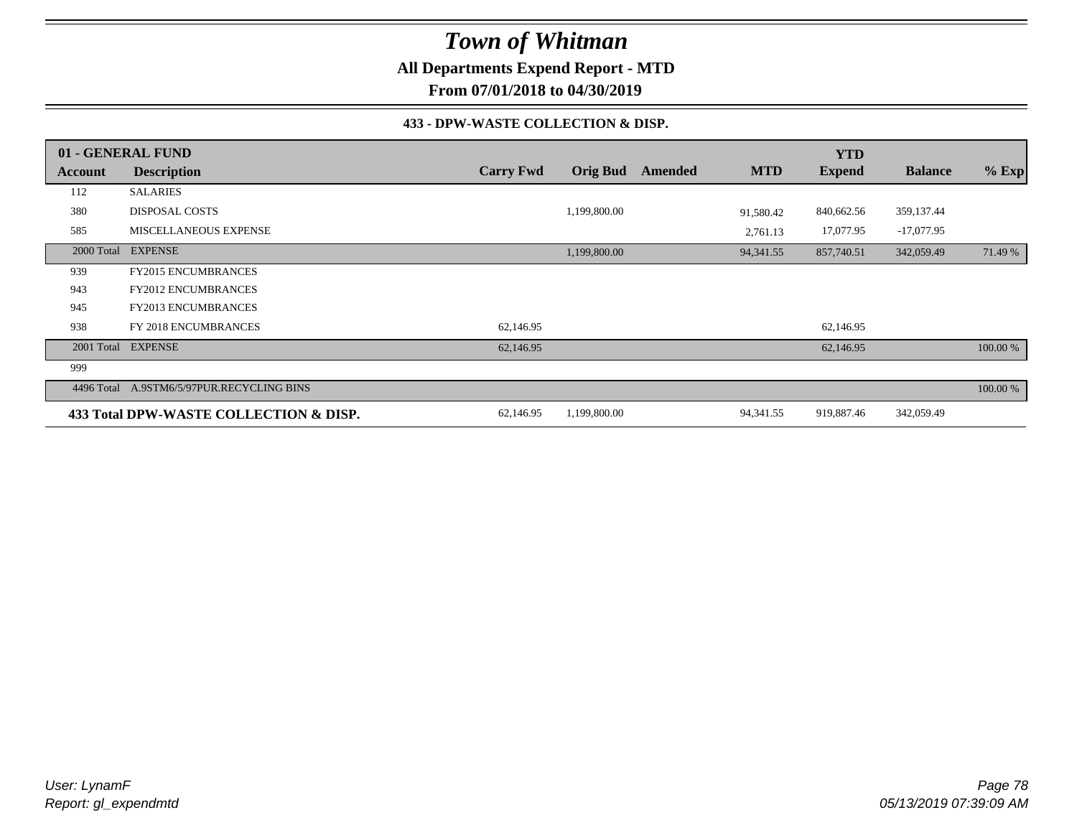**All Departments Expend Report - MTD**

**From 07/01/2018 to 04/30/2019**

#### **433 - DPW-WASTE COLLECTION & DISP.**

|            | 01 - GENERAL FUND                      |                  |                 |         |            | <b>YTD</b>    |                |          |
|------------|----------------------------------------|------------------|-----------------|---------|------------|---------------|----------------|----------|
| Account    | <b>Description</b>                     | <b>Carry Fwd</b> | <b>Orig Bud</b> | Amended | <b>MTD</b> | <b>Expend</b> | <b>Balance</b> | $%$ Exp  |
| 112        | <b>SALARIES</b>                        |                  |                 |         |            |               |                |          |
| 380        | <b>DISPOSAL COSTS</b>                  |                  | 1,199,800.00    |         | 91,580.42  | 840,662.56    | 359,137.44     |          |
| 585        | MISCELLANEOUS EXPENSE                  |                  |                 |         | 2,761.13   | 17,077.95     | $-17,077.95$   |          |
| 2000 Total | <b>EXPENSE</b>                         |                  | 1,199,800.00    |         | 94, 341.55 | 857,740.51    | 342,059.49     | 71.49 %  |
| 939        | <b>FY2015 ENCUMBRANCES</b>             |                  |                 |         |            |               |                |          |
| 943        | <b>FY2012 ENCUMBRANCES</b>             |                  |                 |         |            |               |                |          |
| 945        | FY2013 ENCUMBRANCES                    |                  |                 |         |            |               |                |          |
| 938        | FY 2018 ENCUMBRANCES                   | 62,146.95        |                 |         |            | 62,146.95     |                |          |
| 2001 Total | <b>EXPENSE</b>                         | 62,146.95        |                 |         |            | 62,146.95     |                | 100.00 % |
| 999        |                                        |                  |                 |         |            |               |                |          |
| 4496 Total | A.9STM6/5/97PUR.RECYCLING BINS         |                  |                 |         |            |               |                | 100.00 % |
|            | 433 Total DPW-WASTE COLLECTION & DISP. | 62,146.95        | 1,199,800.00    |         | 94, 341.55 | 919,887.46    | 342,059.49     |          |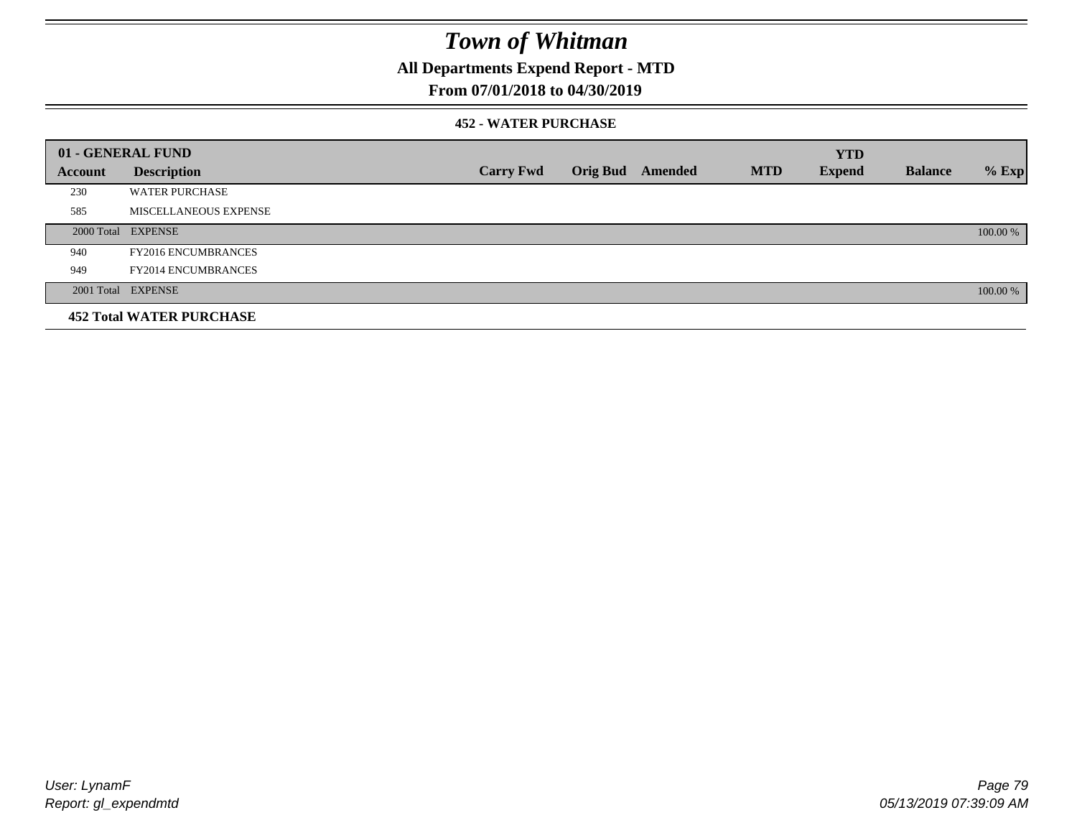**All Departments Expend Report - MTD**

### **From 07/01/2018 to 04/30/2019**

#### **452 - WATER PURCHASE**

|         | 01 - GENERAL FUND               |                  |                 |         |            | <b>YTD</b>    |                |          |
|---------|---------------------------------|------------------|-----------------|---------|------------|---------------|----------------|----------|
| Account | <b>Description</b>              | <b>Carry Fwd</b> | <b>Orig Bud</b> | Amended | <b>MTD</b> | <b>Expend</b> | <b>Balance</b> | $%$ Exp  |
| 230     | <b>WATER PURCHASE</b>           |                  |                 |         |            |               |                |          |
| 585     | MISCELLANEOUS EXPENSE           |                  |                 |         |            |               |                |          |
|         | 2000 Total EXPENSE              |                  |                 |         |            |               |                | 100.00 % |
| 940     | <b>FY2016 ENCUMBRANCES</b>      |                  |                 |         |            |               |                |          |
| 949     | <b>FY2014 ENCUMBRANCES</b>      |                  |                 |         |            |               |                |          |
|         | 2001 Total EXPENSE              |                  |                 |         |            |               |                | 100.00 % |
|         | <b>452 Total WATER PURCHASE</b> |                  |                 |         |            |               |                |          |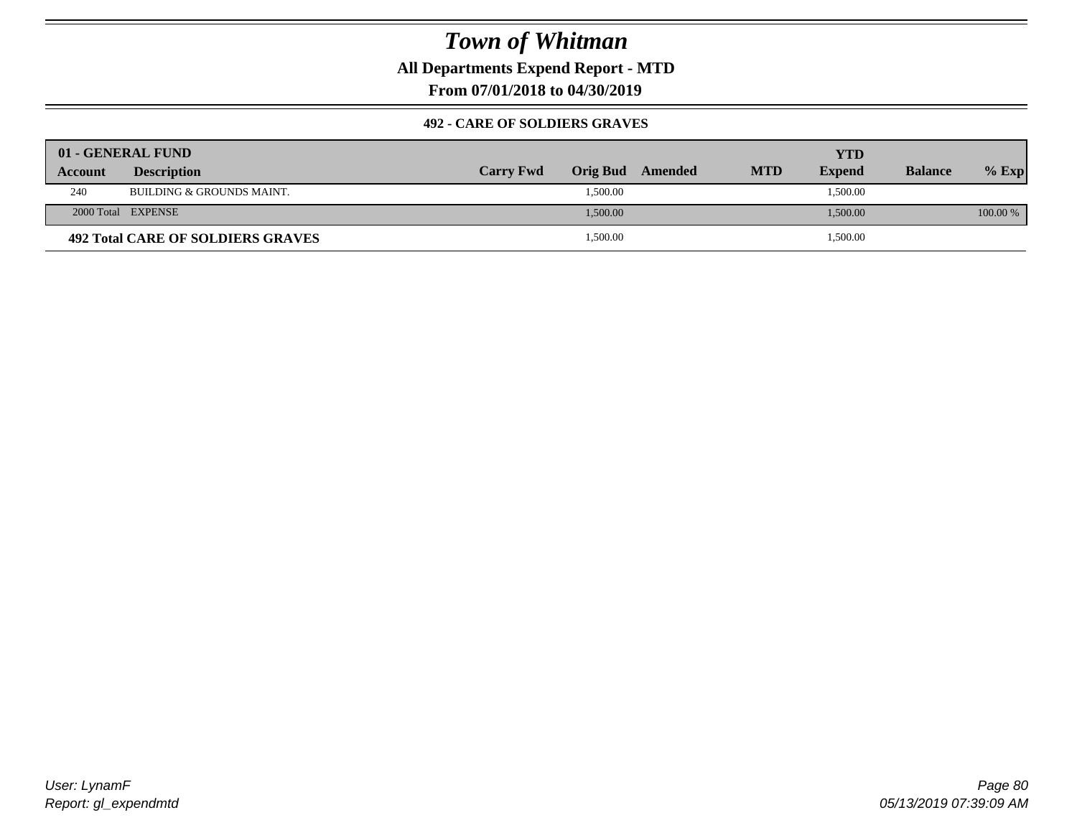**All Departments Expend Report - MTD**

**From 07/01/2018 to 04/30/2019**

### **492 - CARE OF SOLDIERS GRAVES**

|         | 01 - GENERAL FUND                        |                  |          |         |            | YTD           |                |          |
|---------|------------------------------------------|------------------|----------|---------|------------|---------------|----------------|----------|
| Account | <b>Description</b>                       | <b>Carry Fwd</b> | Orig Bud | Amended | <b>MTD</b> | <b>Expend</b> | <b>Balance</b> | $%$ Exp  |
| 240     | BUILDING & GROUNDS MAINT.                |                  | 1,500.00 |         |            | 1,500.00      |                |          |
|         | 2000 Total EXPENSE                       |                  | 1,500.00 |         |            | 1,500.00      |                | 100.00 % |
|         | <b>492 Total CARE OF SOLDIERS GRAVES</b> |                  | 1,500.00 |         |            | 1,500.00      |                |          |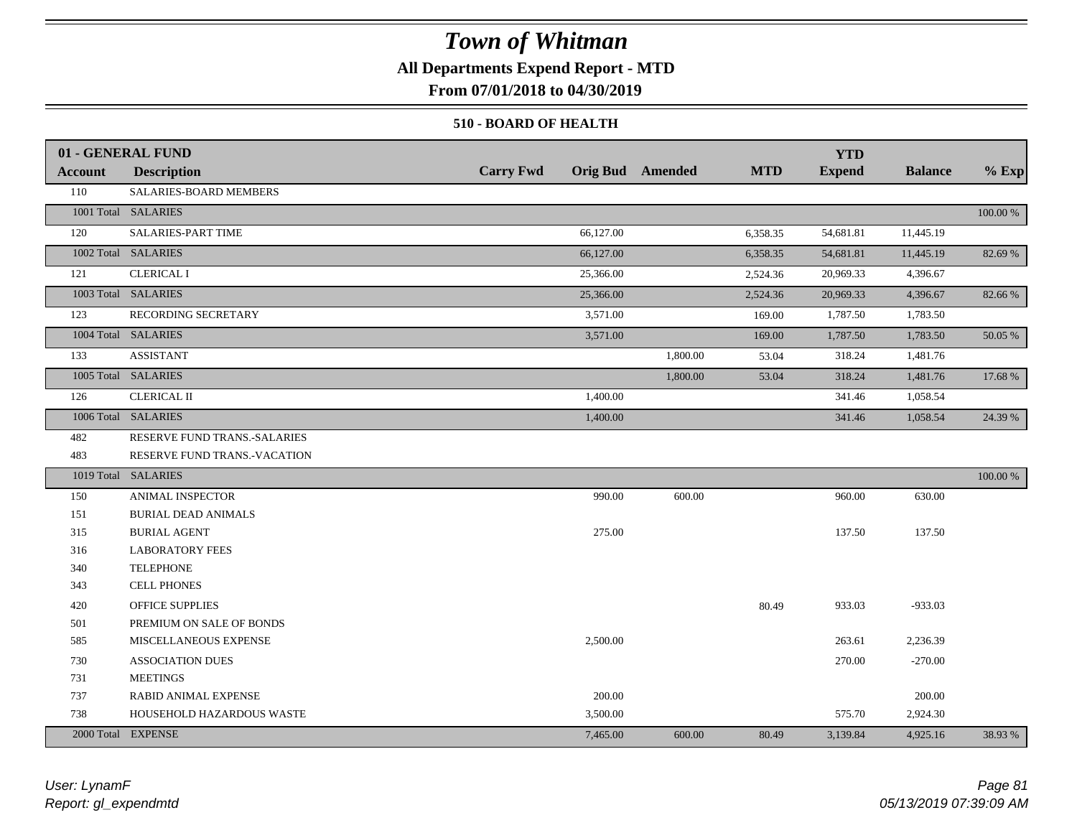### **All Departments Expend Report - MTD**

**From 07/01/2018 to 04/30/2019**

#### **510 - BOARD OF HEALTH**

|         | 01 - GENERAL FUND            |                  |           |                         |            | <b>YTD</b>    |                |          |
|---------|------------------------------|------------------|-----------|-------------------------|------------|---------------|----------------|----------|
| Account | <b>Description</b>           | <b>Carry Fwd</b> |           | <b>Orig Bud</b> Amended | <b>MTD</b> | <b>Expend</b> | <b>Balance</b> | $%$ Exp  |
| 110     | SALARIES-BOARD MEMBERS       |                  |           |                         |            |               |                |          |
|         | 1001 Total SALARIES          |                  |           |                         |            |               |                | 100.00 % |
| 120     | <b>SALARIES-PART TIME</b>    |                  | 66,127.00 |                         | 6,358.35   | 54,681.81     | 11,445.19      |          |
|         | 1002 Total SALARIES          |                  | 66,127.00 |                         | 6,358.35   | 54,681.81     | 11,445.19      | 82.69 %  |
| 121     | <b>CLERICAL I</b>            |                  | 25,366.00 |                         | 2,524.36   | 20,969.33     | 4,396.67       |          |
|         | 1003 Total SALARIES          |                  | 25,366.00 |                         | 2,524.36   | 20,969.33     | 4,396.67       | 82.66 %  |
| 123     | RECORDING SECRETARY          |                  | 3,571.00  |                         | 169.00     | 1,787.50      | 1,783.50       |          |
|         | 1004 Total SALARIES          |                  | 3,571.00  |                         | 169.00     | 1,787.50      | 1,783.50       | 50.05 %  |
| 133     | <b>ASSISTANT</b>             |                  |           | 1,800.00                | 53.04      | 318.24        | 1,481.76       |          |
|         | 1005 Total SALARIES          |                  |           | 1,800.00                | 53.04      | 318.24        | 1,481.76       | 17.68 %  |
| 126     | <b>CLERICAL II</b>           |                  | 1,400.00  |                         |            | 341.46        | 1,058.54       |          |
|         | 1006 Total SALARIES          |                  | 1,400.00  |                         |            | 341.46        | 1,058.54       | 24.39 %  |
| 482     | RESERVE FUND TRANS.-SALARIES |                  |           |                         |            |               |                |          |
| 483     | RESERVE FUND TRANS.-VACATION |                  |           |                         |            |               |                |          |
|         | 1019 Total SALARIES          |                  |           |                         |            |               |                | 100.00 % |
| 150     | ANIMAL INSPECTOR             |                  | 990.00    | 600.00                  |            | 960.00        | 630.00         |          |
| 151     | <b>BURIAL DEAD ANIMALS</b>   |                  |           |                         |            |               |                |          |
| 315     | <b>BURIAL AGENT</b>          |                  | 275.00    |                         |            | 137.50        | 137.50         |          |
| 316     | <b>LABORATORY FEES</b>       |                  |           |                         |            |               |                |          |
| 340     | <b>TELEPHONE</b>             |                  |           |                         |            |               |                |          |
| 343     | CELL PHONES                  |                  |           |                         |            |               |                |          |
| 420     | OFFICE SUPPLIES              |                  |           |                         | 80.49      | 933.03        | $-933.03$      |          |
| 501     | PREMIUM ON SALE OF BONDS     |                  |           |                         |            |               |                |          |
| 585     | MISCELLANEOUS EXPENSE        |                  | 2,500.00  |                         |            | 263.61        | 2,236.39       |          |
| 730     | <b>ASSOCIATION DUES</b>      |                  |           |                         |            | 270.00        | $-270.00$      |          |
| 731     | <b>MEETINGS</b>              |                  |           |                         |            |               |                |          |
| 737     | RABID ANIMAL EXPENSE         |                  | 200.00    |                         |            |               | 200.00         |          |
| 738     | HOUSEHOLD HAZARDOUS WASTE    |                  | 3,500.00  |                         |            | 575.70        | 2,924.30       |          |
|         | 2000 Total EXPENSE           |                  | 7,465.00  | 600.00                  | 80.49      | 3,139.84      | 4,925.16       | 38.93 %  |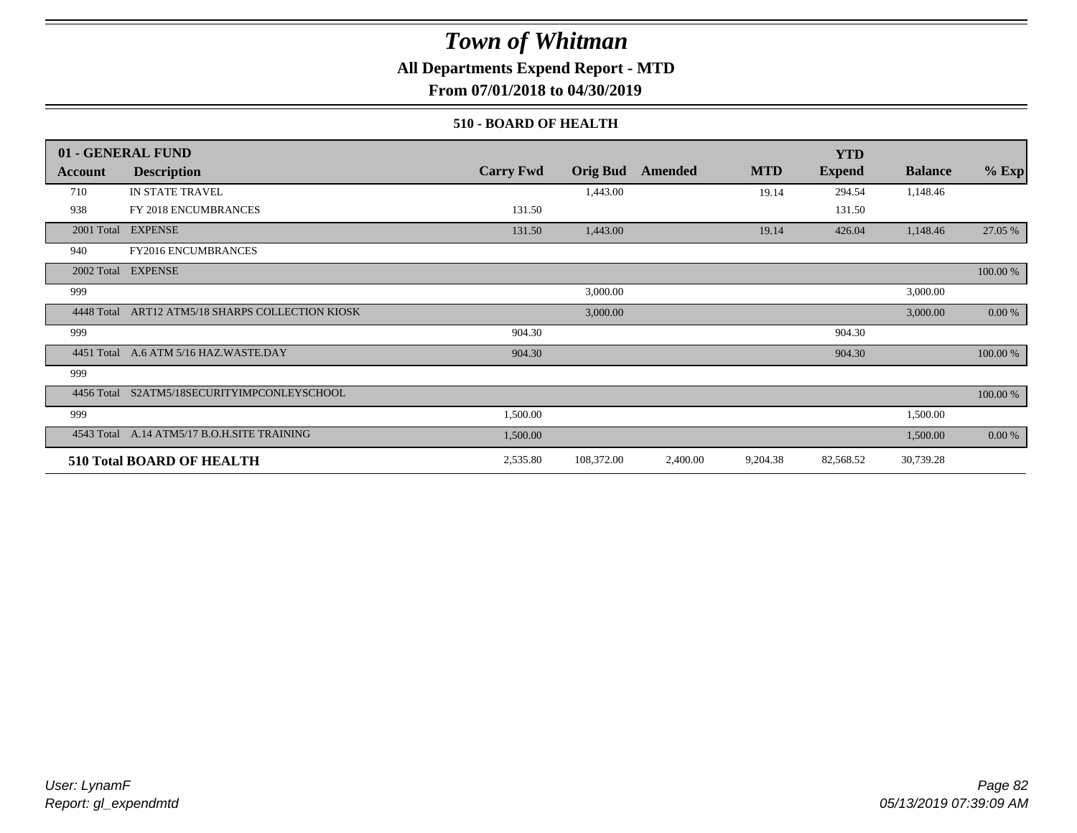### **All Departments Expend Report - MTD**

**From 07/01/2018 to 04/30/2019**

#### **510 - BOARD OF HEALTH**

|            | 01 - GENERAL FUND                           |                  |                 |          |            | <b>YTD</b>    |                |             |
|------------|---------------------------------------------|------------------|-----------------|----------|------------|---------------|----------------|-------------|
| Account    | <b>Description</b>                          | <b>Carry Fwd</b> | <b>Orig Bud</b> | Amended  | <b>MTD</b> | <b>Expend</b> | <b>Balance</b> | $%$ Exp     |
| 710        | IN STATE TRAVEL                             |                  | 1,443.00        |          | 19.14      | 294.54        | 1,148.46       |             |
| 938        | FY 2018 ENCUMBRANCES                        | 131.50           |                 |          |            | 131.50        |                |             |
| 2001 Total | <b>EXPENSE</b>                              | 131.50           | 1,443.00        |          | 19.14      | 426.04        | 1,148.46       | 27.05 %     |
| 940        | <b>FY2016 ENCUMBRANCES</b>                  |                  |                 |          |            |               |                |             |
| 2002 Total | <b>EXPENSE</b>                              |                  |                 |          |            |               |                | $100.00~\%$ |
| 999        |                                             |                  | 3,000.00        |          |            |               | 3,000.00       |             |
| 4448 Total | ART12 ATM5/18 SHARPS COLLECTION KIOSK       |                  | 3,000.00        |          |            |               | 3,000.00       | 0.00 %      |
| 999        |                                             | 904.30           |                 |          |            | 904.30        |                |             |
|            | 4451 Total A.6 ATM 5/16 HAZ.WASTE.DAY       | 904.30           |                 |          |            | 904.30        |                | 100.00 %    |
| 999        |                                             |                  |                 |          |            |               |                |             |
|            | 4456 Total S2ATM5/18SECURITYIMPCONLEYSCHOOL |                  |                 |          |            |               |                | 100.00 %    |
| 999        |                                             | 1,500.00         |                 |          |            |               | 1,500.00       |             |
|            | 4543 Total A.14 ATM5/17 B.O.H.SITE TRAINING | 1,500.00         |                 |          |            |               | 1,500.00       | 0.00 %      |
|            | 510 Total BOARD OF HEALTH                   | 2,535.80         | 108,372.00      | 2,400.00 | 9,204.38   | 82,568.52     | 30,739.28      |             |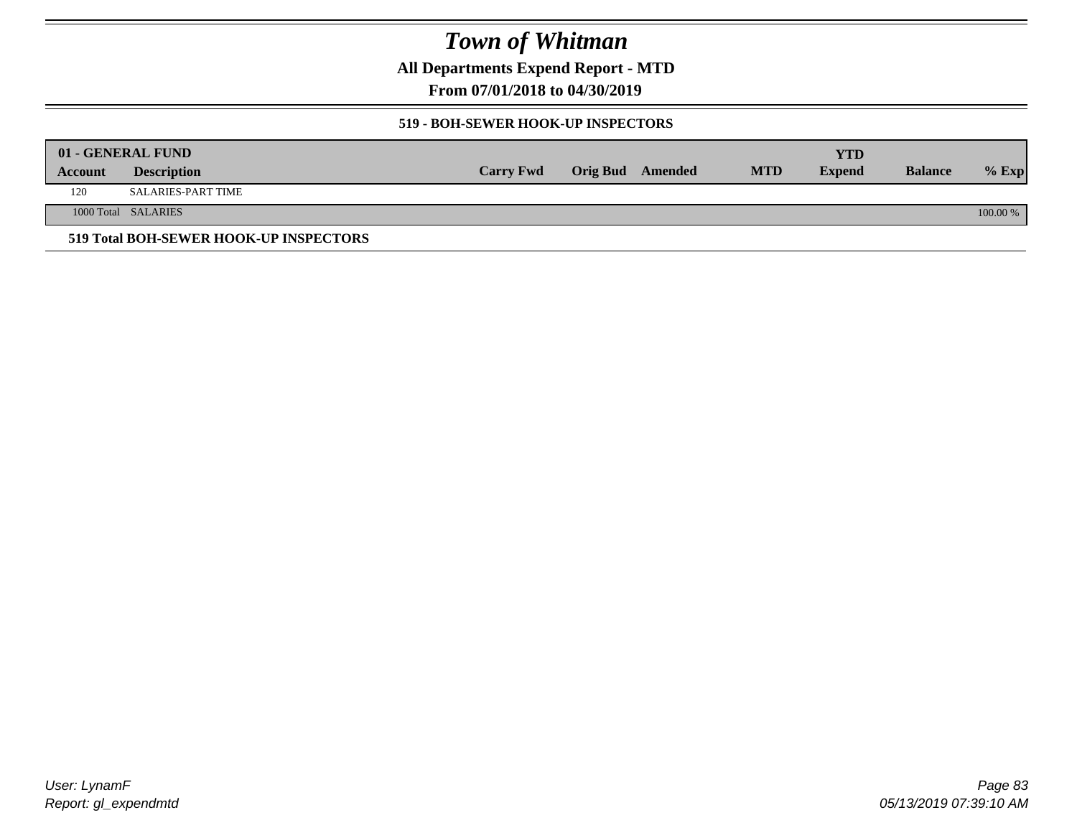**All Departments Expend Report - MTD**

**From 07/01/2018 to 04/30/2019**

#### **519 - BOH-SEWER HOOK-UP INSPECTORS**

|         | 01 - GENERAL FUND                      |                  |                         |            | YTD           |                |          |
|---------|----------------------------------------|------------------|-------------------------|------------|---------------|----------------|----------|
| Account | <b>Description</b>                     | <b>Carry Fwd</b> | <b>Orig Bud</b> Amended | <b>MTD</b> | <b>Expend</b> | <b>Balance</b> | $%$ Exp  |
| 120     | SALARIES-PART TIME                     |                  |                         |            |               |                |          |
|         | 1000 Total SALARIES                    |                  |                         |            |               |                | 100.00 % |
|         | 519 Total BOH-SEWER HOOK-UP INSPECTORS |                  |                         |            |               |                |          |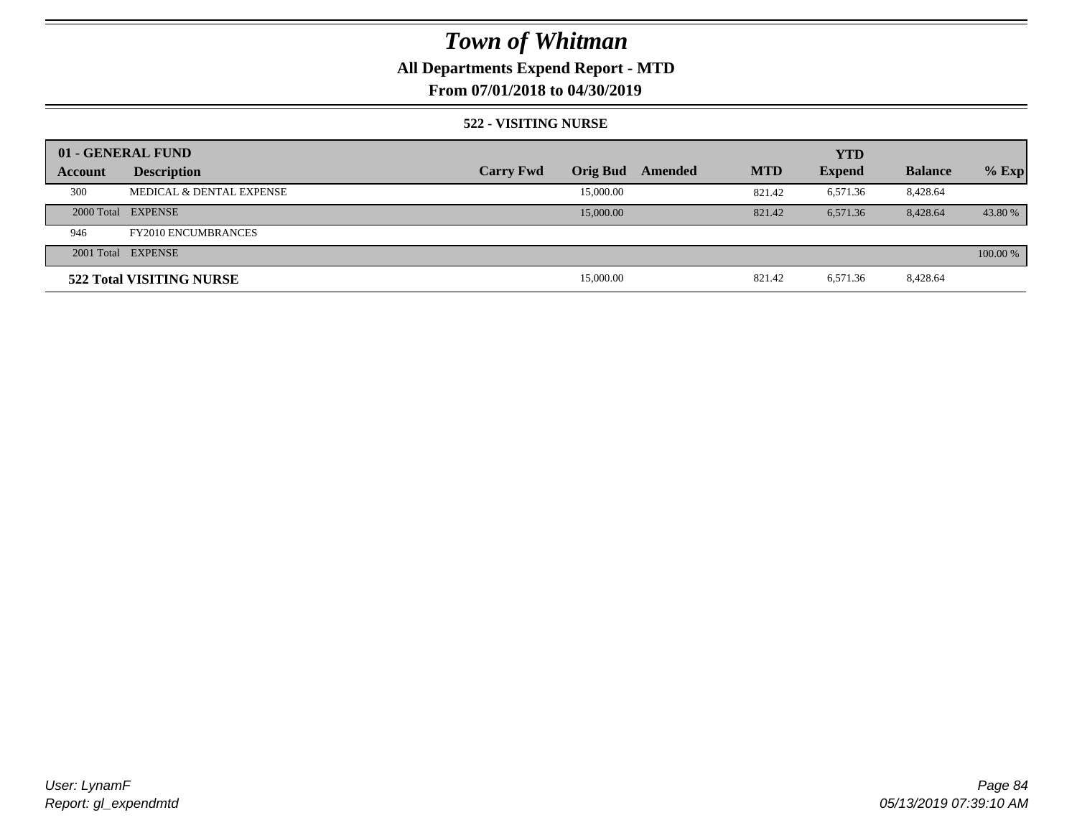## **All Departments Expend Report - MTD**

### **From 07/01/2018 to 04/30/2019**

#### **522 - VISITING NURSE**

|         | 01 - GENERAL FUND          |                  |                 |         |            | <b>YTD</b>    |                |          |
|---------|----------------------------|------------------|-----------------|---------|------------|---------------|----------------|----------|
| Account | <b>Description</b>         | <b>Carry Fwd</b> | <b>Orig Bud</b> | Amended | <b>MTD</b> | <b>Expend</b> | <b>Balance</b> | $%$ Exp  |
| 300     | MEDICAL & DENTAL EXPENSE   |                  | 15,000.00       |         | 821.42     | 6,571.36      | 8,428.64       |          |
|         | 2000 Total EXPENSE         |                  | 15,000.00       |         | 821.42     | 6.571.36      | 8.428.64       | 43.80 %  |
| 946     | <b>FY2010 ENCUMBRANCES</b> |                  |                 |         |            |               |                |          |
|         | 2001 Total EXPENSE         |                  |                 |         |            |               |                | 100.00 % |
|         | 522 Total VISITING NURSE   |                  | 15,000.00       |         | 821.42     | 6,571.36      | 8,428.64       |          |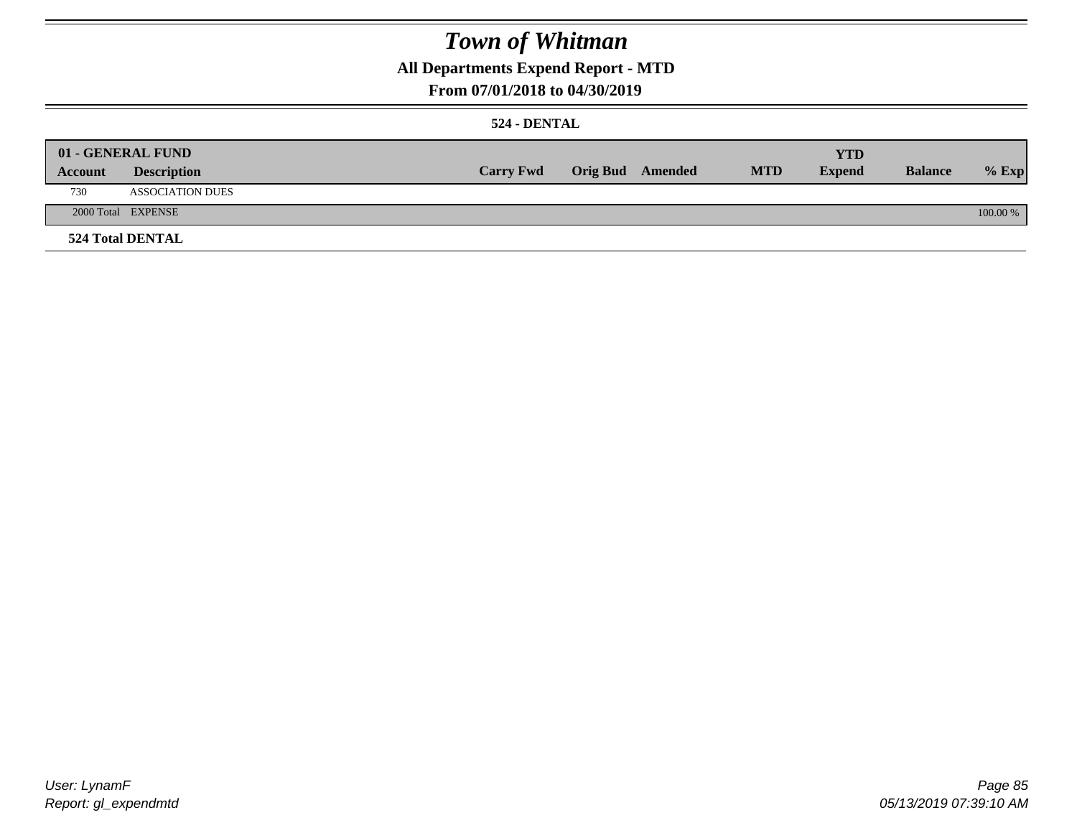## **All Departments Expend Report - MTD**

### **From 07/01/2018 to 04/30/2019**

### **524 - DENTAL**

|         | 01 - GENERAL FUND       |                  |                  |            | <b>YTD</b>    |                |          |
|---------|-------------------------|------------------|------------------|------------|---------------|----------------|----------|
| Account | <b>Description</b>      | <b>Carry Fwd</b> | Orig Bud Amended | <b>MTD</b> | <b>Expend</b> | <b>Balance</b> | $%$ Exp  |
| 730     | <b>ASSOCIATION DUES</b> |                  |                  |            |               |                |          |
|         | 2000 Total EXPENSE      |                  |                  |            |               |                | 100.00 % |
|         | <b>524 Total DENTAL</b> |                  |                  |            |               |                |          |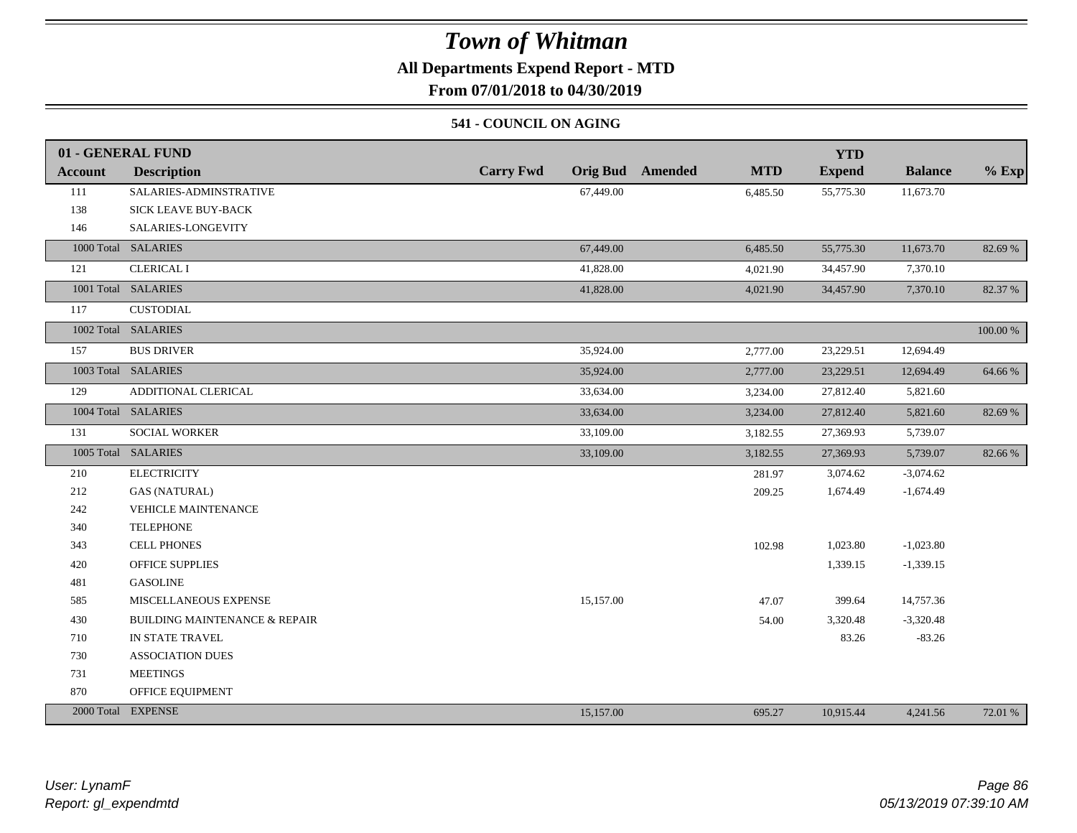## **All Departments Expend Report - MTD**

**From 07/01/2018 to 04/30/2019**

### **541 - COUNCIL ON AGING**

|                | 01 - GENERAL FUND                        |                  |           |                         |            | <b>YTD</b>    |                |          |
|----------------|------------------------------------------|------------------|-----------|-------------------------|------------|---------------|----------------|----------|
| <b>Account</b> | <b>Description</b>                       | <b>Carry Fwd</b> |           | <b>Orig Bud</b> Amended | <b>MTD</b> | <b>Expend</b> | <b>Balance</b> | $%$ Exp  |
| 111            | SALARIES-ADMINSTRATIVE                   |                  | 67,449.00 |                         | 6,485.50   | 55,775.30     | 11,673.70      |          |
| 138            | <b>SICK LEAVE BUY-BACK</b>               |                  |           |                         |            |               |                |          |
| 146            | SALARIES-LONGEVITY                       |                  |           |                         |            |               |                |          |
|                | 1000 Total SALARIES                      |                  | 67,449.00 |                         | 6,485.50   | 55,775.30     | 11,673.70      | 82.69 %  |
| 121            | <b>CLERICAL I</b>                        |                  | 41,828.00 |                         | 4,021.90   | 34,457.90     | 7,370.10       |          |
|                | 1001 Total SALARIES                      |                  | 41,828.00 |                         | 4,021.90   | 34,457.90     | 7,370.10       | 82.37 %  |
| 117            | CUSTODIAL                                |                  |           |                         |            |               |                |          |
|                | 1002 Total SALARIES                      |                  |           |                         |            |               |                | 100.00 % |
| 157            | <b>BUS DRIVER</b>                        |                  | 35,924.00 |                         | 2,777.00   | 23,229.51     | 12,694.49      |          |
|                | 1003 Total SALARIES                      |                  | 35,924.00 |                         | 2,777.00   | 23,229.51     | 12,694.49      | 64.66 %  |
| 129            | ADDITIONAL CLERICAL                      |                  | 33,634.00 |                         | 3,234.00   | 27,812.40     | 5,821.60       |          |
|                | 1004 Total SALARIES                      |                  | 33,634.00 |                         | 3,234.00   | 27,812.40     | 5,821.60       | 82.69 %  |
| 131            | <b>SOCIAL WORKER</b>                     |                  | 33,109.00 |                         | 3,182.55   | 27,369.93     | 5,739.07       |          |
|                | 1005 Total SALARIES                      |                  | 33,109.00 |                         | 3,182.55   | 27,369.93     | 5,739.07       | 82.66%   |
| 210            | <b>ELECTRICITY</b>                       |                  |           |                         | 281.97     | 3,074.62      | $-3,074.62$    |          |
| 212            | <b>GAS (NATURAL)</b>                     |                  |           |                         | 209.25     | 1,674.49      | $-1,674.49$    |          |
| 242            | <b>VEHICLE MAINTENANCE</b>               |                  |           |                         |            |               |                |          |
| 340            | <b>TELEPHONE</b>                         |                  |           |                         |            |               |                |          |
| 343            | <b>CELL PHONES</b>                       |                  |           |                         | 102.98     | 1,023.80      | $-1,023.80$    |          |
| 420            | <b>OFFICE SUPPLIES</b>                   |                  |           |                         |            | 1,339.15      | $-1,339.15$    |          |
| 481            | <b>GASOLINE</b>                          |                  |           |                         |            |               |                |          |
| 585            | MISCELLANEOUS EXPENSE                    |                  | 15,157.00 |                         | 47.07      | 399.64        | 14,757.36      |          |
| 430            | <b>BUILDING MAINTENANCE &amp; REPAIR</b> |                  |           |                         | 54.00      | 3,320.48      | $-3,320.48$    |          |
| 710            | IN STATE TRAVEL                          |                  |           |                         |            | 83.26         | $-83.26$       |          |
| 730            | <b>ASSOCIATION DUES</b>                  |                  |           |                         |            |               |                |          |
| 731            | <b>MEETINGS</b>                          |                  |           |                         |            |               |                |          |
| 870            | OFFICE EQUIPMENT                         |                  |           |                         |            |               |                |          |
|                | 2000 Total EXPENSE                       |                  | 15,157.00 |                         | 695.27     | 10,915.44     | 4,241.56       | 72.01 %  |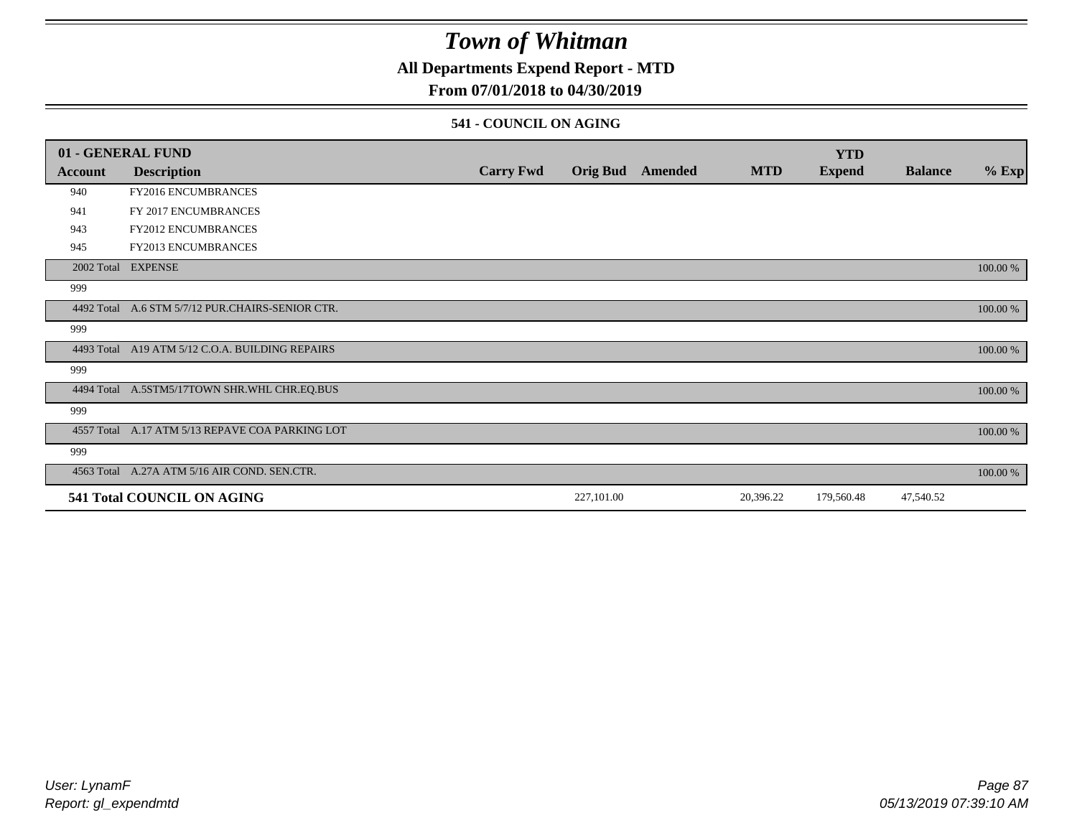### **All Departments Expend Report - MTD**

### **From 07/01/2018 to 04/30/2019**

#### **541 - COUNCIL ON AGING**

|         | 01 - GENERAL FUND                                |                  |                 |         |            | <b>YTD</b>    |                |          |
|---------|--------------------------------------------------|------------------|-----------------|---------|------------|---------------|----------------|----------|
| Account | <b>Description</b>                               | <b>Carry Fwd</b> | <b>Orig Bud</b> | Amended | <b>MTD</b> | <b>Expend</b> | <b>Balance</b> | $%$ Exp  |
| 940     | <b>FY2016 ENCUMBRANCES</b>                       |                  |                 |         |            |               |                |          |
| 941     | FY 2017 ENCUMBRANCES                             |                  |                 |         |            |               |                |          |
| 943     | FY2012 ENCUMBRANCES                              |                  |                 |         |            |               |                |          |
| 945     | <b>FY2013 ENCUMBRANCES</b>                       |                  |                 |         |            |               |                |          |
|         | 2002 Total EXPENSE                               |                  |                 |         |            |               |                | 100.00 % |
| 999     |                                                  |                  |                 |         |            |               |                |          |
|         | 4492 Total A.6 STM 5/7/12 PUR.CHAIRS-SENIOR CTR. |                  |                 |         |            |               |                | 100.00 % |
| 999     |                                                  |                  |                 |         |            |               |                |          |
|         | 4493 Total A19 ATM 5/12 C.O.A. BUILDING REPAIRS  |                  |                 |         |            |               |                | 100.00 % |
| 999     |                                                  |                  |                 |         |            |               |                |          |
|         | 4494 Total A.5STM5/17TOWN SHR.WHL CHR.EQ.BUS     |                  |                 |         |            |               |                | 100.00 % |
| 999     |                                                  |                  |                 |         |            |               |                |          |
|         | 4557 Total A.17 ATM 5/13 REPAVE COA PARKING LOT  |                  |                 |         |            |               |                | 100.00 % |
| 999     |                                                  |                  |                 |         |            |               |                |          |
|         | 4563 Total A.27A ATM 5/16 AIR COND. SEN.CTR.     |                  |                 |         |            |               |                | 100.00 % |
|         | 541 Total COUNCIL ON AGING                       |                  | 227,101.00      |         | 20,396.22  | 179,560.48    | 47,540.52      |          |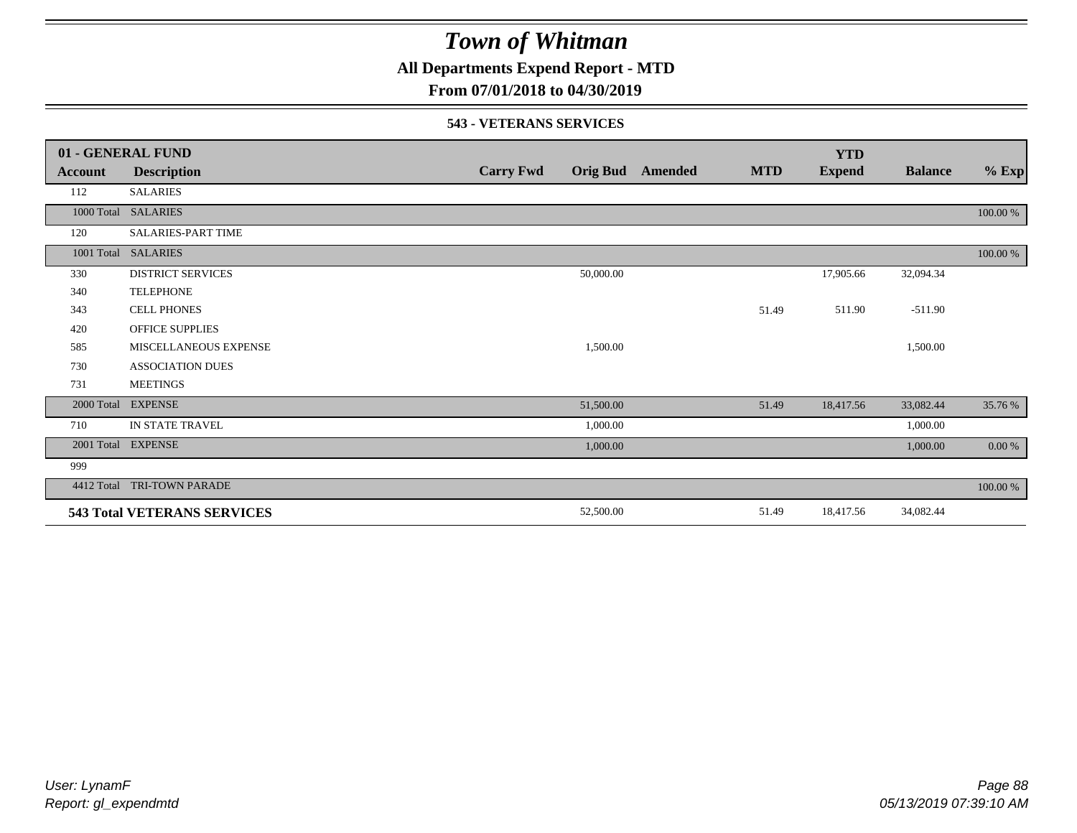**All Departments Expend Report - MTD**

### **From 07/01/2018 to 04/30/2019**

#### **543 - VETERANS SERVICES**

|            | 01 - GENERAL FUND                  |                  |           |                  |            | <b>YTD</b>    |                |           |
|------------|------------------------------------|------------------|-----------|------------------|------------|---------------|----------------|-----------|
| Account    | <b>Description</b>                 | <b>Carry Fwd</b> |           | Orig Bud Amended | <b>MTD</b> | <b>Expend</b> | <b>Balance</b> | $%$ Exp   |
| 112        | <b>SALARIES</b>                    |                  |           |                  |            |               |                |           |
| 1000 Total | <b>SALARIES</b>                    |                  |           |                  |            |               |                | 100.00 %  |
| 120        | <b>SALARIES-PART TIME</b>          |                  |           |                  |            |               |                |           |
| 1001 Total | <b>SALARIES</b>                    |                  |           |                  |            |               |                | 100.00 %  |
| 330        | <b>DISTRICT SERVICES</b>           |                  | 50,000.00 |                  |            | 17,905.66     | 32,094.34      |           |
| 340        | <b>TELEPHONE</b>                   |                  |           |                  |            |               |                |           |
| 343        | <b>CELL PHONES</b>                 |                  |           |                  | 51.49      | 511.90        | $-511.90$      |           |
| 420        | <b>OFFICE SUPPLIES</b>             |                  |           |                  |            |               |                |           |
| 585        | MISCELLANEOUS EXPENSE              |                  | 1,500.00  |                  |            |               | 1,500.00       |           |
| 730        | <b>ASSOCIATION DUES</b>            |                  |           |                  |            |               |                |           |
| 731        | <b>MEETINGS</b>                    |                  |           |                  |            |               |                |           |
| 2000 Total | <b>EXPENSE</b>                     |                  | 51,500.00 |                  | 51.49      | 18,417.56     | 33,082.44      | 35.76 %   |
| 710        | IN STATE TRAVEL                    |                  | 1,000.00  |                  |            |               | 1,000.00       |           |
| 2001 Total | <b>EXPENSE</b>                     |                  | 1,000.00  |                  |            |               | 1,000.00       | $0.00 \%$ |
| 999        |                                    |                  |           |                  |            |               |                |           |
| 4412 Total | TRI-TOWN PARADE                    |                  |           |                  |            |               |                | 100.00 %  |
|            | <b>543 Total VETERANS SERVICES</b> |                  | 52,500.00 |                  | 51.49      | 18,417.56     | 34,082.44      |           |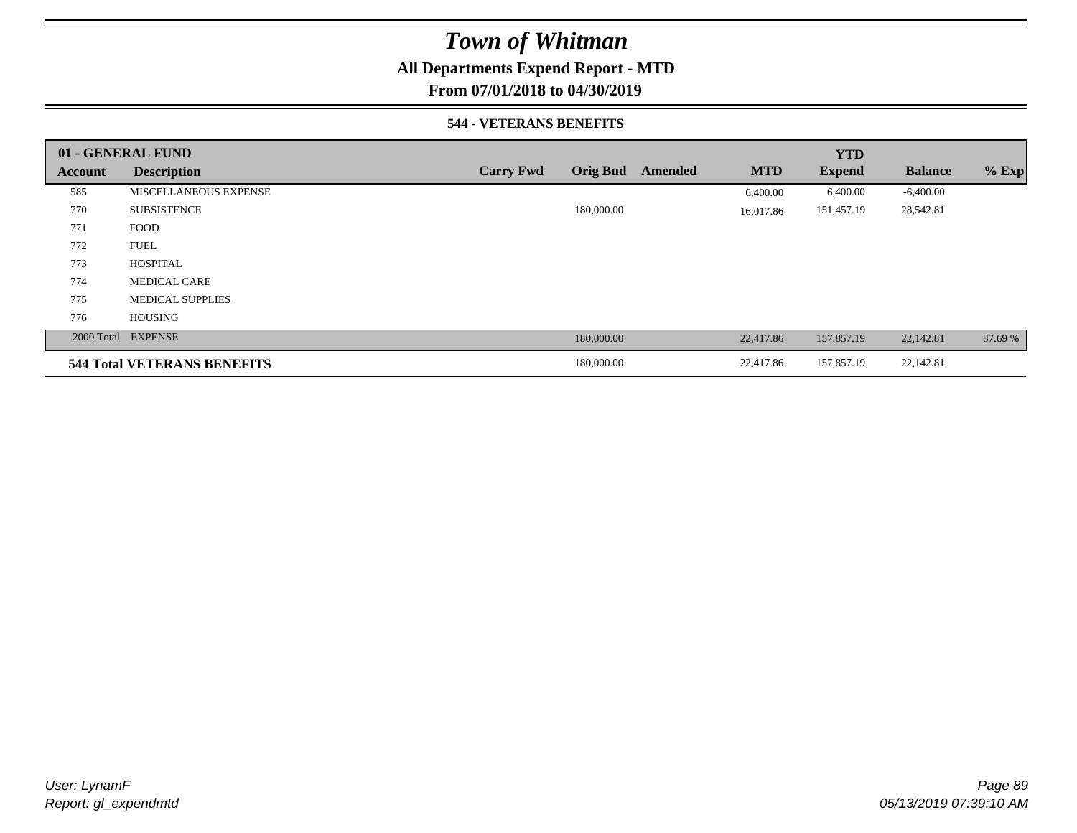## **All Departments Expend Report - MTD**

**From 07/01/2018 to 04/30/2019**

#### **544 - VETERANS BENEFITS**

|         | 01 - GENERAL FUND                  |                  |                 |         |            | <b>YTD</b>    |                |         |
|---------|------------------------------------|------------------|-----------------|---------|------------|---------------|----------------|---------|
| Account | <b>Description</b>                 | <b>Carry Fwd</b> | <b>Orig Bud</b> | Amended | <b>MTD</b> | <b>Expend</b> | <b>Balance</b> | $%$ Exp |
| 585     | MISCELLANEOUS EXPENSE              |                  |                 |         | 6,400.00   | 6,400.00      | $-6,400.00$    |         |
| 770     | <b>SUBSISTENCE</b>                 |                  | 180,000.00      |         | 16,017.86  | 151,457.19    | 28,542.81      |         |
| 771     | <b>FOOD</b>                        |                  |                 |         |            |               |                |         |
| 772     | <b>FUEL</b>                        |                  |                 |         |            |               |                |         |
| 773     | <b>HOSPITAL</b>                    |                  |                 |         |            |               |                |         |
| 774     | <b>MEDICAL CARE</b>                |                  |                 |         |            |               |                |         |
| 775     | <b>MEDICAL SUPPLIES</b>            |                  |                 |         |            |               |                |         |
| 776     | <b>HOUSING</b>                     |                  |                 |         |            |               |                |         |
|         | 2000 Total EXPENSE                 |                  | 180,000.00      |         | 22,417.86  | 157,857.19    | 22,142.81      | 87.69 % |
|         | <b>544 Total VETERANS BENEFITS</b> |                  | 180,000.00      |         | 22,417.86  | 157,857.19    | 22,142.81      |         |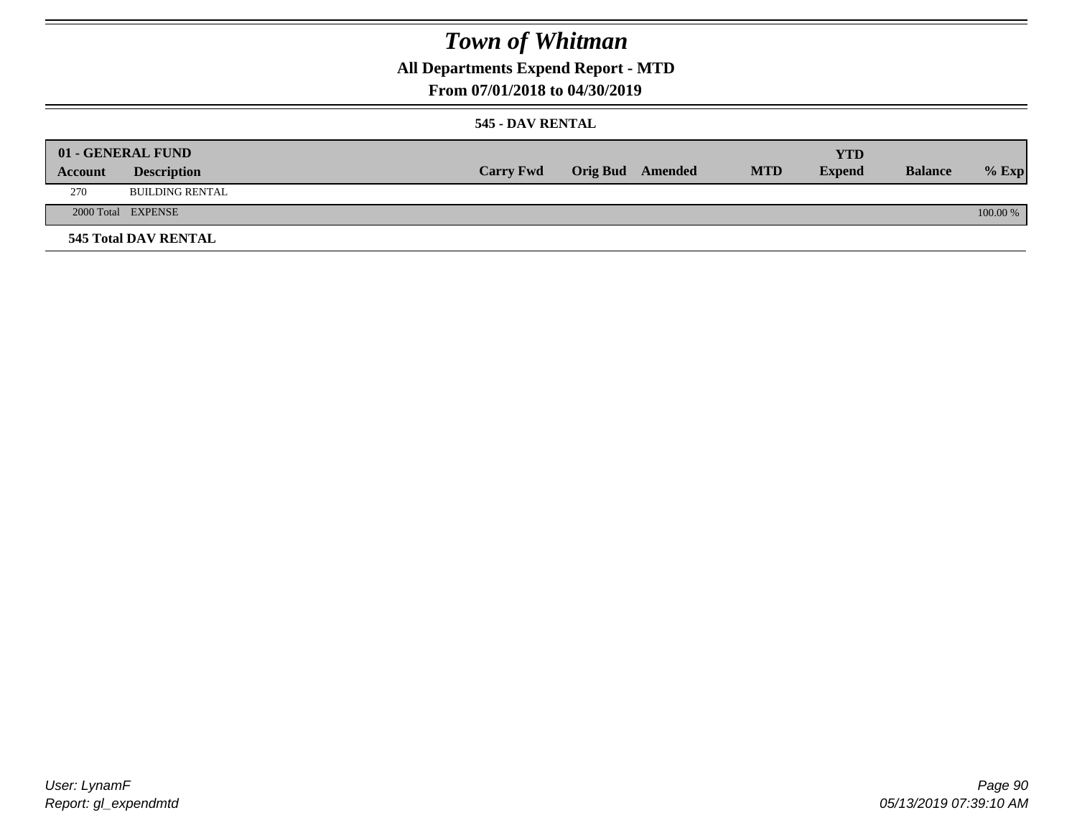**All Departments Expend Report - MTD**

## **From 07/01/2018 to 04/30/2019**

### **545 - DAV RENTAL**

|         | 01 - GENERAL FUND           |                  |                         |            | YTD           |                |            |
|---------|-----------------------------|------------------|-------------------------|------------|---------------|----------------|------------|
| Account | <b>Description</b>          | <b>Carry Fwd</b> | <b>Orig Bud</b> Amended | <b>MTD</b> | <b>Expend</b> | <b>Balance</b> | $%$ Exp    |
| 270     | <b>BUILDING RENTAL</b>      |                  |                         |            |               |                |            |
|         | 2000 Total EXPENSE          |                  |                         |            |               |                | $100.00\%$ |
|         | <b>545 Total DAV RENTAL</b> |                  |                         |            |               |                |            |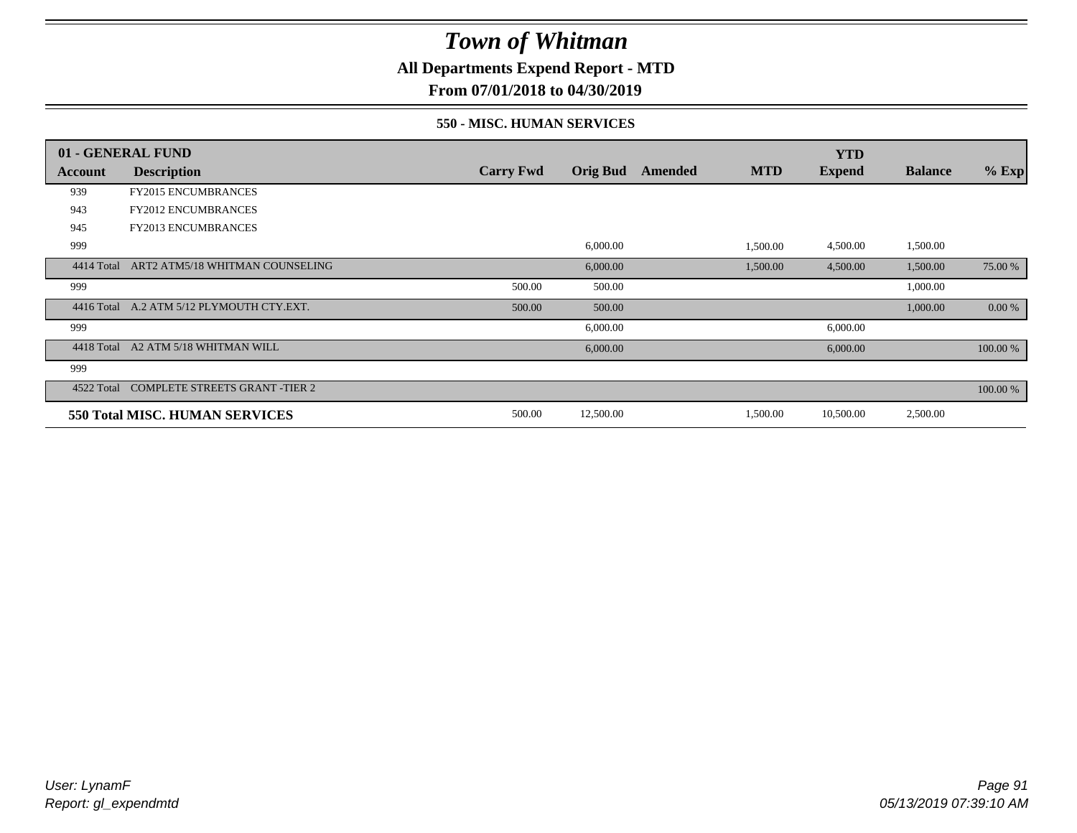**All Departments Expend Report - MTD**

**From 07/01/2018 to 04/30/2019**

#### **550 - MISC. HUMAN SERVICES**

|            | 01 - GENERAL FUND                         |                  |                 |         |            | <b>YTD</b>    |                |          |
|------------|-------------------------------------------|------------------|-----------------|---------|------------|---------------|----------------|----------|
| Account    | <b>Description</b>                        | <b>Carry Fwd</b> | <b>Orig Bud</b> | Amended | <b>MTD</b> | <b>Expend</b> | <b>Balance</b> | $%$ Exp  |
| 939        | <b>FY2015 ENCUMBRANCES</b>                |                  |                 |         |            |               |                |          |
| 943        | <b>FY2012 ENCUMBRANCES</b>                |                  |                 |         |            |               |                |          |
| 945        | FY2013 ENCUMBRANCES                       |                  |                 |         |            |               |                |          |
| 999        |                                           |                  | 6,000.00        |         | 1,500.00   | 4,500.00      | 1,500.00       |          |
| 4414 Total | ART2 ATM5/18 WHITMAN COUNSELING           |                  | 6,000.00        |         | 1,500.00   | 4,500.00      | 1,500.00       | 75.00 %  |
| 999        |                                           | 500.00           | 500.00          |         |            |               | 1,000.00       |          |
|            | 4416 Total A.2 ATM 5/12 PLYMOUTH CTY.EXT. | 500.00           | 500.00          |         |            |               | 1,000.00       | 0.00 %   |
| 999        |                                           |                  | 6,000.00        |         |            | 6,000.00      |                |          |
| 4418 Total | A2 ATM 5/18 WHITMAN WILL                  |                  | 6,000.00        |         |            | 6,000.00      |                | 100.00 % |
| 999        |                                           |                  |                 |         |            |               |                |          |
| 4522 Total | <b>COMPLETE STREETS GRANT -TIER 2</b>     |                  |                 |         |            |               |                | 100.00 % |
|            | 550 Total MISC. HUMAN SERVICES            | 500.00           | 12,500.00       |         | 1,500.00   | 10,500.00     | 2,500.00       |          |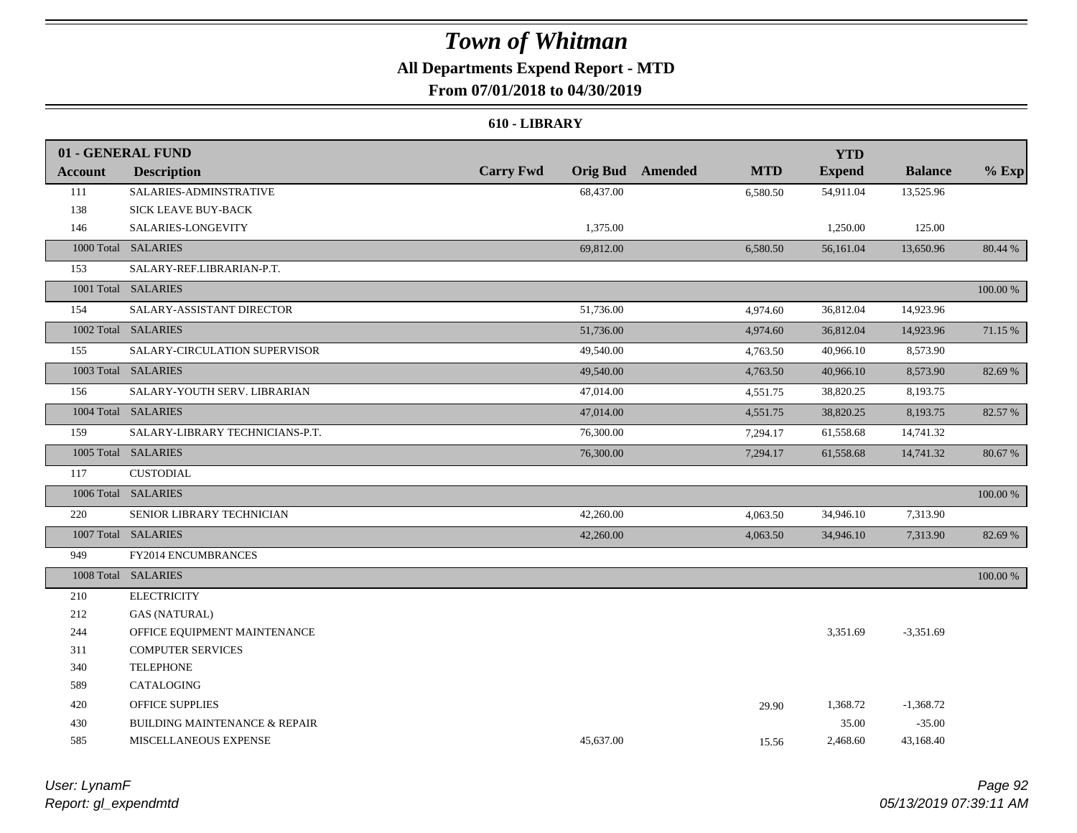## **All Departments Expend Report - MTD**

## **From 07/01/2018 to 04/30/2019**

#### **610 - LIBRARY**

|         | 01 - GENERAL FUND                        |                  |           |                         |            | <b>YTD</b>    |                |          |
|---------|------------------------------------------|------------------|-----------|-------------------------|------------|---------------|----------------|----------|
| Account | <b>Description</b>                       | <b>Carry Fwd</b> |           | <b>Orig Bud</b> Amended | <b>MTD</b> | <b>Expend</b> | <b>Balance</b> | $%$ Exp  |
| 111     | SALARIES-ADMINSTRATIVE                   |                  | 68,437.00 |                         | 6,580.50   | 54,911.04     | 13,525.96      |          |
| 138     | SICK LEAVE BUY-BACK                      |                  |           |                         |            |               |                |          |
| 146     | SALARIES-LONGEVITY                       |                  | 1,375.00  |                         |            | 1,250.00      | 125.00         |          |
|         | 1000 Total SALARIES                      |                  | 69,812.00 |                         | 6,580.50   | 56,161.04     | 13,650.96      | 80.44 %  |
| 153     | SALARY-REF.LIBRARIAN-P.T.                |                  |           |                         |            |               |                |          |
|         | 1001 Total SALARIES                      |                  |           |                         |            |               |                | 100.00 % |
| 154     | SALARY-ASSISTANT DIRECTOR                |                  | 51,736.00 |                         | 4,974.60   | 36,812.04     | 14,923.96      |          |
|         | 1002 Total SALARIES                      |                  | 51,736.00 |                         | 4,974.60   | 36,812.04     | 14,923.96      | 71.15 %  |
| 155     | SALARY-CIRCULATION SUPERVISOR            |                  | 49,540.00 |                         | 4,763.50   | 40,966.10     | 8,573.90       |          |
|         | 1003 Total SALARIES                      |                  | 49,540.00 |                         | 4,763.50   | 40,966.10     | 8,573.90       | 82.69 %  |
| 156     | SALARY-YOUTH SERV. LIBRARIAN             |                  | 47,014.00 |                         | 4,551.75   | 38,820.25     | 8,193.75       |          |
|         | 1004 Total SALARIES                      |                  | 47,014.00 |                         | 4,551.75   | 38,820.25     | 8,193.75       | 82.57 %  |
| 159     | SALARY-LIBRARY TECHNICIANS-P.T.          |                  | 76,300.00 |                         | 7,294.17   | 61,558.68     | 14,741.32      |          |
|         | 1005 Total SALARIES                      |                  | 76,300.00 |                         | 7,294.17   | 61,558.68     | 14,741.32      | 80.67%   |
| 117     | <b>CUSTODIAL</b>                         |                  |           |                         |            |               |                |          |
|         | 1006 Total SALARIES                      |                  |           |                         |            |               |                | 100.00 % |
| 220     | SENIOR LIBRARY TECHNICIAN                |                  | 42,260.00 |                         | 4,063.50   | 34,946.10     | 7,313.90       |          |
|         | 1007 Total SALARIES                      |                  | 42,260.00 |                         | 4,063.50   | 34,946.10     | 7,313.90       | 82.69 %  |
| 949     | FY2014 ENCUMBRANCES                      |                  |           |                         |            |               |                |          |
|         | 1008 Total SALARIES                      |                  |           |                         |            |               |                | 100.00 % |
| 210     | <b>ELECTRICITY</b>                       |                  |           |                         |            |               |                |          |
| 212     | <b>GAS (NATURAL)</b>                     |                  |           |                         |            |               |                |          |
| 244     | OFFICE EQUIPMENT MAINTENANCE             |                  |           |                         |            | 3,351.69      | $-3,351.69$    |          |
| 311     | <b>COMPUTER SERVICES</b>                 |                  |           |                         |            |               |                |          |
| 340     | <b>TELEPHONE</b>                         |                  |           |                         |            |               |                |          |
| 589     | CATALOGING                               |                  |           |                         |            |               |                |          |
| 420     | <b>OFFICE SUPPLIES</b>                   |                  |           |                         | 29.90      | 1,368.72      | $-1,368.72$    |          |
| 430     | <b>BUILDING MAINTENANCE &amp; REPAIR</b> |                  |           |                         |            | 35.00         | $-35.00$       |          |
| 585     | MISCELLANEOUS EXPENSE                    |                  | 45.637.00 |                         | 15.56      | 2,468.60      | 43,168.40      |          |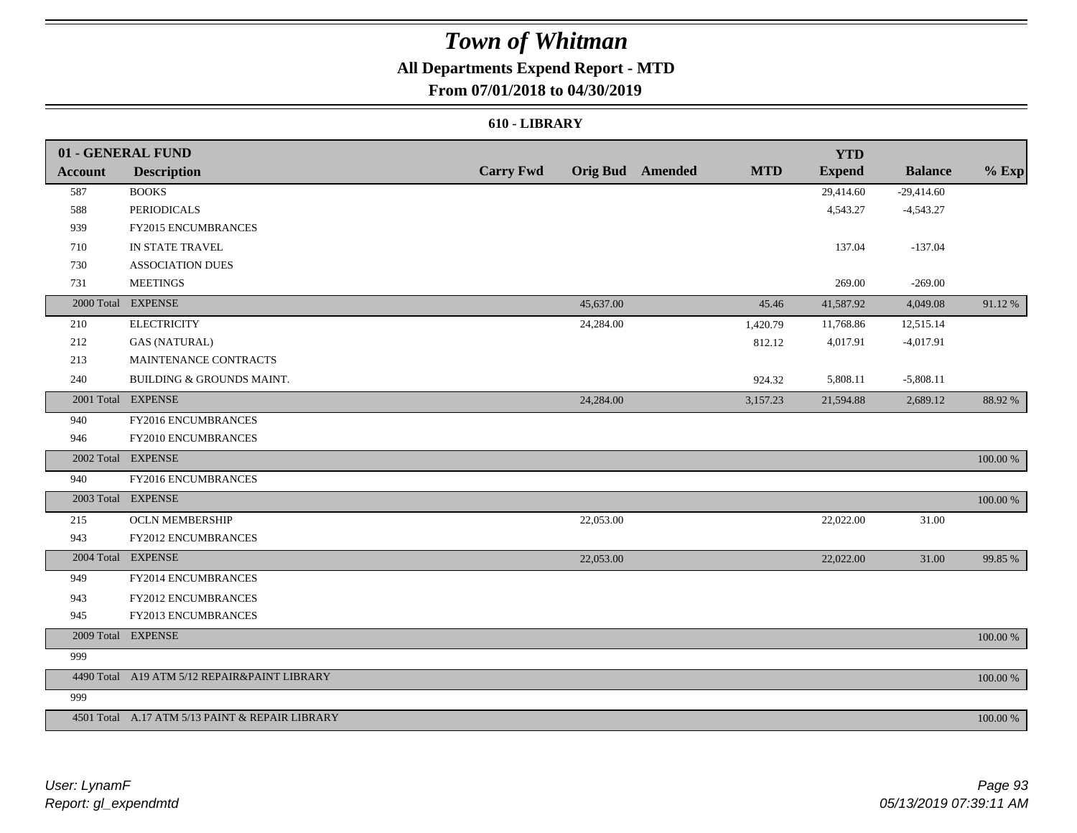## **All Departments Expend Report - MTD**

### **From 07/01/2018 to 04/30/2019**

#### **610 - LIBRARY**

|         | 01 - GENERAL FUND                               |                  |           |                         |            | <b>YTD</b>    |                |             |
|---------|-------------------------------------------------|------------------|-----------|-------------------------|------------|---------------|----------------|-------------|
| Account | <b>Description</b>                              | <b>Carry Fwd</b> |           | <b>Orig Bud</b> Amended | <b>MTD</b> | <b>Expend</b> | <b>Balance</b> | $%$ Exp     |
| 587     | <b>BOOKS</b>                                    |                  |           |                         |            | 29,414.60     | $-29,414.60$   |             |
| 588     | <b>PERIODICALS</b>                              |                  |           |                         |            | 4,543.27      | $-4,543.27$    |             |
| 939     | FY2015 ENCUMBRANCES                             |                  |           |                         |            |               |                |             |
| 710     | IN STATE TRAVEL                                 |                  |           |                         |            | 137.04        | $-137.04$      |             |
| 730     | <b>ASSOCIATION DUES</b>                         |                  |           |                         |            |               |                |             |
| 731     | <b>MEETINGS</b>                                 |                  |           |                         |            | 269.00        | $-269.00$      |             |
|         | 2000 Total EXPENSE                              |                  | 45,637.00 |                         | 45.46      | 41,587.92     | 4,049.08       | 91.12%      |
| 210     | <b>ELECTRICITY</b>                              |                  | 24,284.00 |                         | 1,420.79   | 11,768.86     | 12,515.14      |             |
| 212     | <b>GAS (NATURAL)</b>                            |                  |           |                         | 812.12     | 4,017.91      | $-4,017.91$    |             |
| 213     | MAINTENANCE CONTRACTS                           |                  |           |                         |            |               |                |             |
| 240     | BUILDING & GROUNDS MAINT.                       |                  |           |                         | 924.32     | 5,808.11      | $-5,808.11$    |             |
|         | 2001 Total EXPENSE                              |                  | 24,284.00 |                         | 3,157.23   | 21,594.88     | 2,689.12       | 88.92%      |
| 940     | FY2016 ENCUMBRANCES                             |                  |           |                         |            |               |                |             |
| 946     | FY2010 ENCUMBRANCES                             |                  |           |                         |            |               |                |             |
|         | 2002 Total EXPENSE                              |                  |           |                         |            |               |                | 100.00 %    |
| 940     | FY2016 ENCUMBRANCES                             |                  |           |                         |            |               |                |             |
|         | 2003 Total EXPENSE                              |                  |           |                         |            |               |                | 100.00 %    |
| 215     | <b>OCLN MEMBERSHIP</b>                          |                  | 22,053.00 |                         |            | 22,022.00     | 31.00          |             |
| 943     | FY2012 ENCUMBRANCES                             |                  |           |                         |            |               |                |             |
|         | 2004 Total EXPENSE                              |                  | 22,053.00 |                         |            | 22,022.00     | 31.00          | 99.85 %     |
| 949     | FY2014 ENCUMBRANCES                             |                  |           |                         |            |               |                |             |
| 943     | FY2012 ENCUMBRANCES                             |                  |           |                         |            |               |                |             |
| 945     | FY2013 ENCUMBRANCES                             |                  |           |                         |            |               |                |             |
|         | 2009 Total EXPENSE                              |                  |           |                         |            |               |                | $100.00~\%$ |
| 999     |                                                 |                  |           |                         |            |               |                |             |
|         | 4490 Total A19 ATM 5/12 REPAIR&PAINT LIBRARY    |                  |           |                         |            |               |                | 100.00 %    |
| 999     |                                                 |                  |           |                         |            |               |                |             |
|         | 4501 Total A.17 ATM 5/13 PAINT & REPAIR LIBRARY |                  |           |                         |            |               |                | 100.00 %    |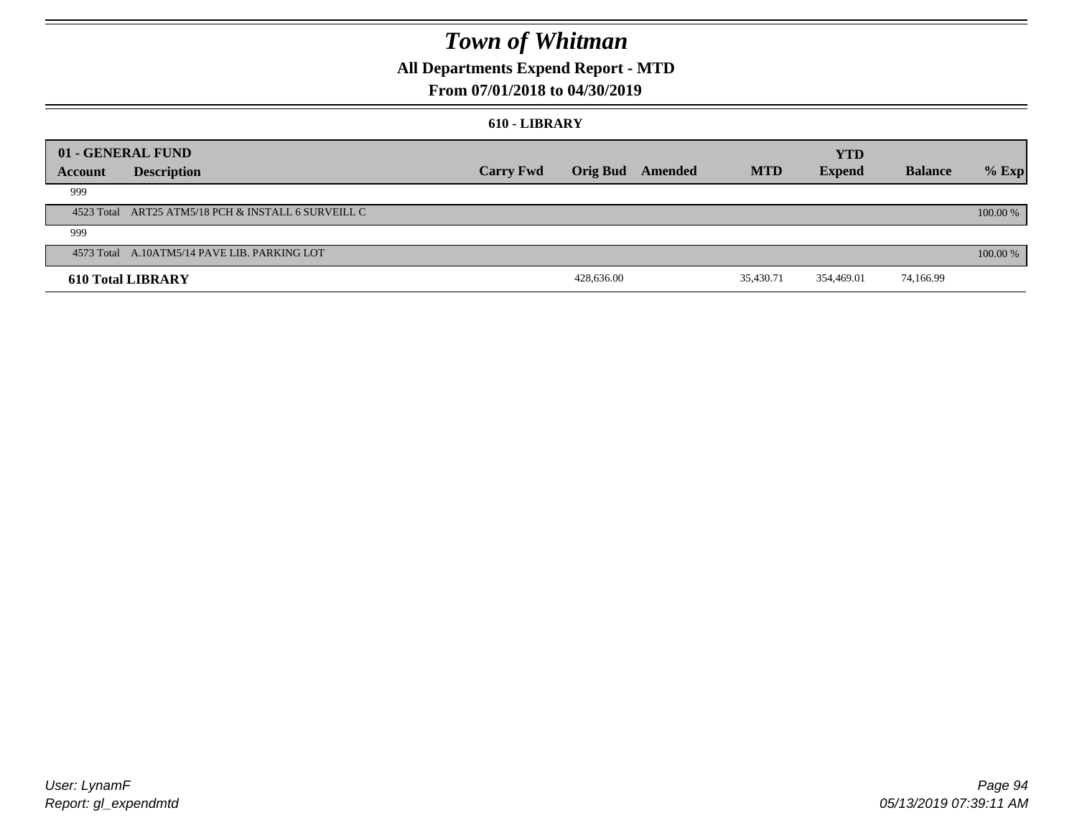## **All Departments Expend Report - MTD**

### **From 07/01/2018 to 04/30/2019**

#### **610 - LIBRARY**

|         |                                                     | 01 - GENERAL FUND<br><b>YTD</b> |                 |         |            |               |                |          |  |
|---------|-----------------------------------------------------|---------------------------------|-----------------|---------|------------|---------------|----------------|----------|--|
| Account | <b>Description</b>                                  | <b>Carry Fwd</b>                | <b>Orig Bud</b> | Amended | <b>MTD</b> | <b>Expend</b> | <b>Balance</b> | $%$ Exp  |  |
| 999     |                                                     |                                 |                 |         |            |               |                |          |  |
|         | 4523 Total ART25 ATM5/18 PCH & INSTALL 6 SURVEILL C |                                 |                 |         |            |               |                | 100.00 % |  |
| 999     |                                                     |                                 |                 |         |            |               |                |          |  |
|         | 4573 Total A.10ATM5/14 PAVE LIB. PARKING LOT        |                                 |                 |         |            |               |                | 100.00 % |  |
|         | <b>610 Total LIBRARY</b>                            |                                 | 428,636.00      |         | 35,430.71  | 354,469.01    | 74,166.99      |          |  |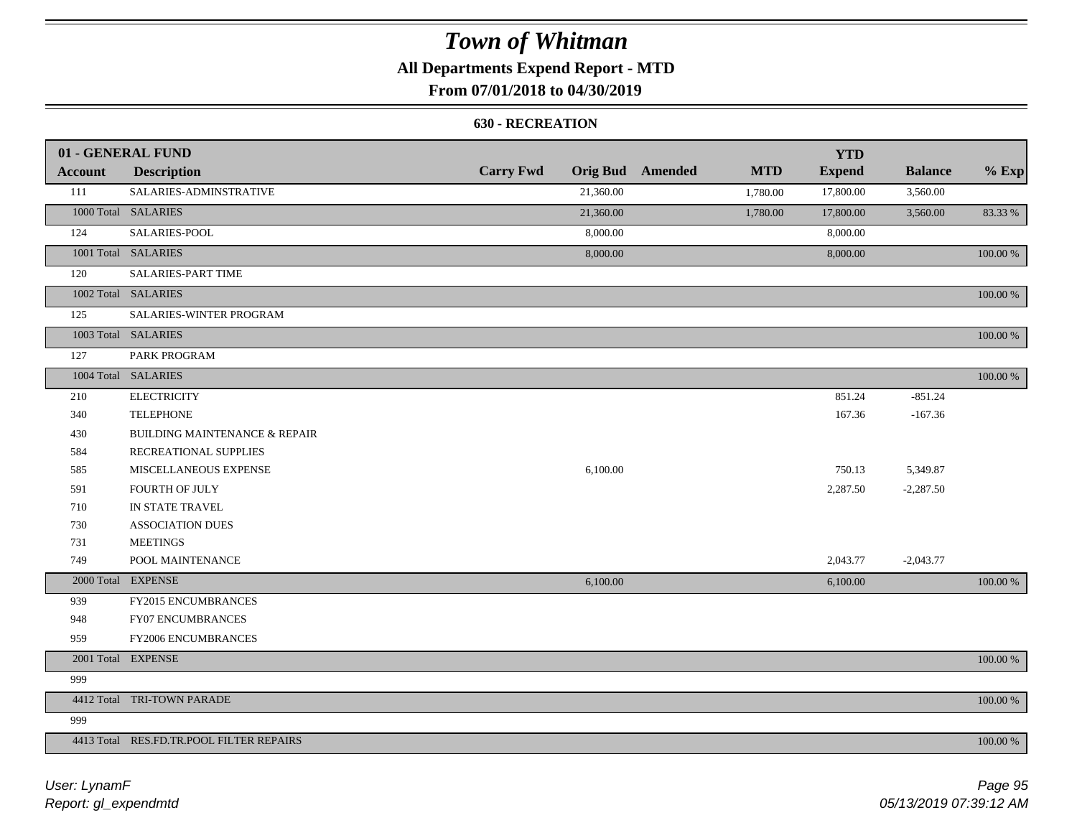## **All Departments Expend Report - MTD**

## **From 07/01/2018 to 04/30/2019**

#### **630 - RECREATION**

|                | 01 - GENERAL FUND                        |                  |           |                         |            | <b>YTD</b>    |                |          |
|----------------|------------------------------------------|------------------|-----------|-------------------------|------------|---------------|----------------|----------|
| <b>Account</b> | <b>Description</b>                       | <b>Carry Fwd</b> |           | <b>Orig Bud</b> Amended | <b>MTD</b> | <b>Expend</b> | <b>Balance</b> | $%$ Exp  |
| 111            | SALARIES-ADMINSTRATIVE                   |                  | 21,360.00 |                         | 1,780.00   | 17,800.00     | 3,560.00       |          |
|                | 1000 Total SALARIES                      |                  | 21,360.00 |                         | 1,780.00   | 17,800.00     | 3,560.00       | 83.33 %  |
| 124            | SALARIES-POOL                            |                  | 8,000.00  |                         |            | 8,000.00      |                |          |
|                | 1001 Total SALARIES                      |                  | 8,000.00  |                         |            | 8,000.00      |                | 100.00 % |
| 120            | <b>SALARIES-PART TIME</b>                |                  |           |                         |            |               |                |          |
|                | 1002 Total SALARIES                      |                  |           |                         |            |               |                | 100.00 % |
| 125            | SALARIES-WINTER PROGRAM                  |                  |           |                         |            |               |                |          |
|                | 1003 Total SALARIES                      |                  |           |                         |            |               |                | 100.00 % |
| 127            | PARK PROGRAM                             |                  |           |                         |            |               |                |          |
|                | 1004 Total SALARIES                      |                  |           |                         |            |               |                | 100.00 % |
| 210            | <b>ELECTRICITY</b>                       |                  |           |                         |            | 851.24        | $-851.24$      |          |
| 340            | <b>TELEPHONE</b>                         |                  |           |                         |            | 167.36        | $-167.36$      |          |
| 430            | <b>BUILDING MAINTENANCE &amp; REPAIR</b> |                  |           |                         |            |               |                |          |
| 584            | RECREATIONAL SUPPLIES                    |                  |           |                         |            |               |                |          |
| 585            | MISCELLANEOUS EXPENSE                    |                  | 6,100.00  |                         |            | 750.13        | 5,349.87       |          |
| 591            | FOURTH OF JULY                           |                  |           |                         |            | 2,287.50      | $-2,287.50$    |          |
| 710            | IN STATE TRAVEL                          |                  |           |                         |            |               |                |          |
| 730            | <b>ASSOCIATION DUES</b>                  |                  |           |                         |            |               |                |          |
| 731            | <b>MEETINGS</b>                          |                  |           |                         |            |               |                |          |
| 749            | POOL MAINTENANCE                         |                  |           |                         |            | 2,043.77      | $-2,043.77$    |          |
|                | 2000 Total EXPENSE                       |                  | 6,100.00  |                         |            | 6,100.00      |                | 100.00 % |
| 939            | FY2015 ENCUMBRANCES                      |                  |           |                         |            |               |                |          |
| 948            | FY07 ENCUMBRANCES                        |                  |           |                         |            |               |                |          |
| 959            | FY2006 ENCUMBRANCES                      |                  |           |                         |            |               |                |          |
|                | 2001 Total EXPENSE                       |                  |           |                         |            |               |                | 100.00 % |
| 999            |                                          |                  |           |                         |            |               |                |          |
|                | 4412 Total TRI-TOWN PARADE               |                  |           |                         |            |               |                | 100.00 % |
| 999            |                                          |                  |           |                         |            |               |                |          |
|                | 4413 Total RES.FD.TR.POOL FILTER REPAIRS |                  |           |                         |            |               |                | 100.00 % |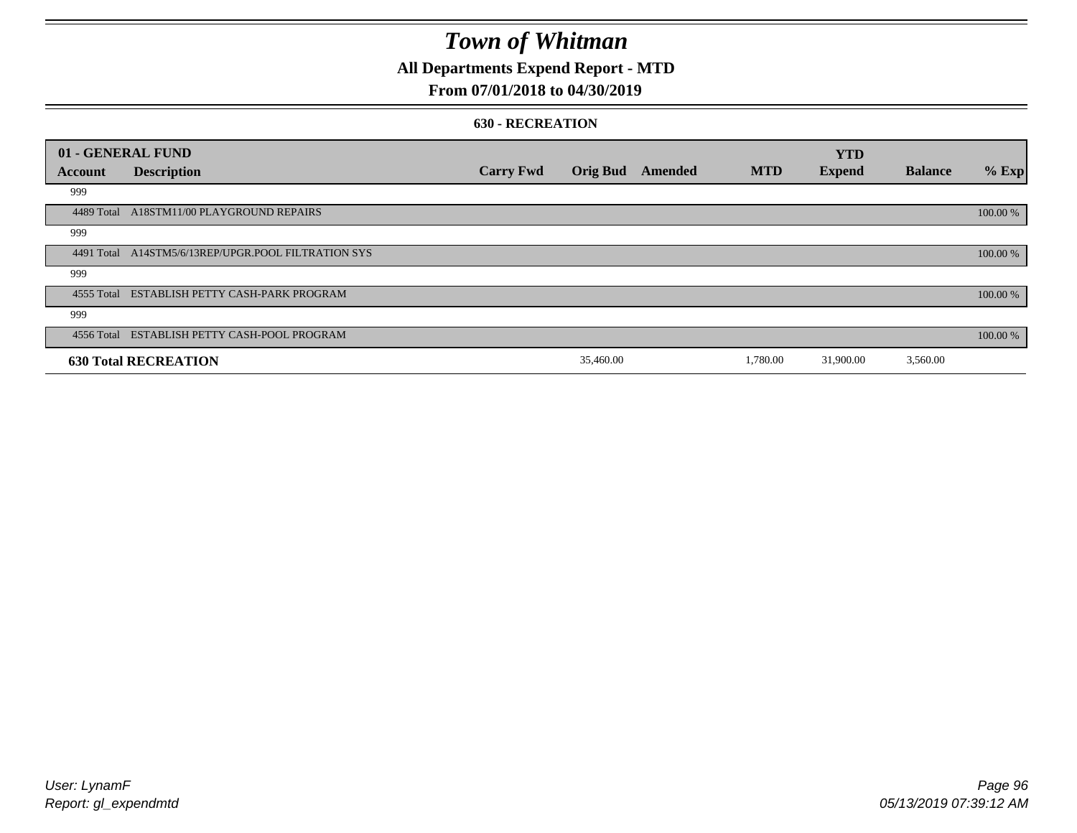### **All Departments Expend Report - MTD**

### **From 07/01/2018 to 04/30/2019**

#### **630 - RECREATION**

|            | 01 - GENERAL FUND                                   |                  |                 |         |            | <b>YTD</b>    |                |          |
|------------|-----------------------------------------------------|------------------|-----------------|---------|------------|---------------|----------------|----------|
| Account    | <b>Description</b>                                  | <b>Carry Fwd</b> | <b>Orig Bud</b> | Amended | <b>MTD</b> | <b>Expend</b> | <b>Balance</b> | $%$ Exp  |
| 999        |                                                     |                  |                 |         |            |               |                |          |
|            | 4489 Total A18STM11/00 PLAYGROUND REPAIRS           |                  |                 |         |            |               |                | 100.00 % |
| 999        |                                                     |                  |                 |         |            |               |                |          |
|            | 4491 Total A14STM5/6/13REP/UPGR.POOL FILTRATION SYS |                  |                 |         |            |               |                | 100.00 % |
| 999        |                                                     |                  |                 |         |            |               |                |          |
|            | 4555 Total ESTABLISH PETTY CASH-PARK PROGRAM        |                  |                 |         |            |               |                | 100.00 % |
| 999        |                                                     |                  |                 |         |            |               |                |          |
| 4556 Total | ESTABLISH PETTY CASH-POOL PROGRAM                   |                  |                 |         |            |               |                | 100.00 % |
|            | <b>630 Total RECREATION</b>                         |                  | 35,460.00       |         | 1,780.00   | 31,900.00     | 3,560.00       |          |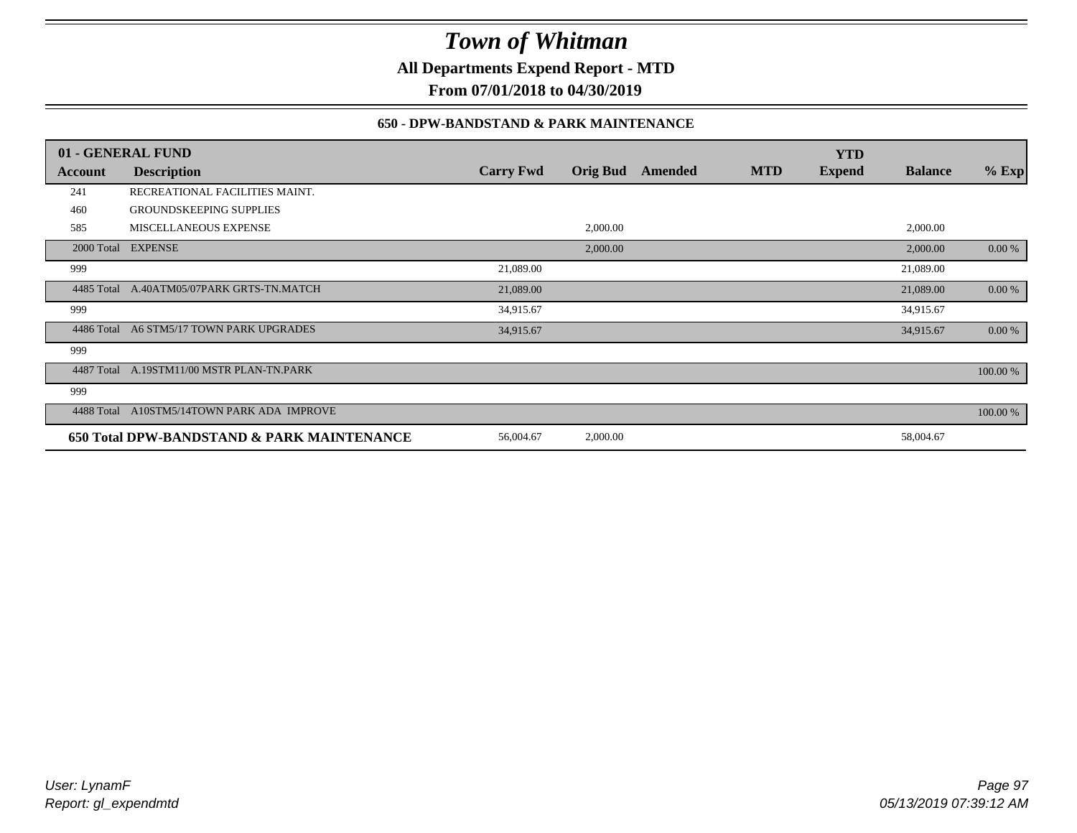**All Departments Expend Report - MTD**

**From 07/01/2018 to 04/30/2019**

### **650 - DPW-BANDSTAND & PARK MAINTENANCE**

|            | 01 - GENERAL FUND                          |                  |                 |         |            | <b>YTD</b>    |                |          |
|------------|--------------------------------------------|------------------|-----------------|---------|------------|---------------|----------------|----------|
| Account    | <b>Description</b>                         | <b>Carry Fwd</b> | <b>Orig Bud</b> | Amended | <b>MTD</b> | <b>Expend</b> | <b>Balance</b> | $%$ Exp  |
| 241        | RECREATIONAL FACILITIES MAINT.             |                  |                 |         |            |               |                |          |
| 460        | <b>GROUNDSKEEPING SUPPLIES</b>             |                  |                 |         |            |               |                |          |
| 585        | MISCELLANEOUS EXPENSE                      |                  | 2,000.00        |         |            |               | 2,000.00       |          |
|            | 2000 Total EXPENSE                         |                  | 2,000.00        |         |            |               | 2,000.00       | 0.00 %   |
| 999        |                                            | 21,089.00        |                 |         |            |               | 21,089.00      |          |
| 4485 Total | A.40ATM05/07PARK GRTS-TN.MATCH             | 21,089.00        |                 |         |            |               | 21,089.00      | 0.00 %   |
| 999        |                                            | 34,915.67        |                 |         |            |               | 34,915.67      |          |
| 4486 Total | A6 STM5/17 TOWN PARK UPGRADES              | 34,915.67        |                 |         |            |               | 34,915.67      | 0.00 %   |
| 999        |                                            |                  |                 |         |            |               |                |          |
| 4487 Total | A.19STM11/00 MSTR PLAN-TN.PARK             |                  |                 |         |            |               |                | 100.00 % |
| 999        |                                            |                  |                 |         |            |               |                |          |
| 4488 Total | A10STM5/14TOWN PARK ADA IMPROVE            |                  |                 |         |            |               |                | 100.00 % |
|            | 650 Total DPW-BANDSTAND & PARK MAINTENANCE | 56,004.67        | 2,000.00        |         |            |               | 58,004.67      |          |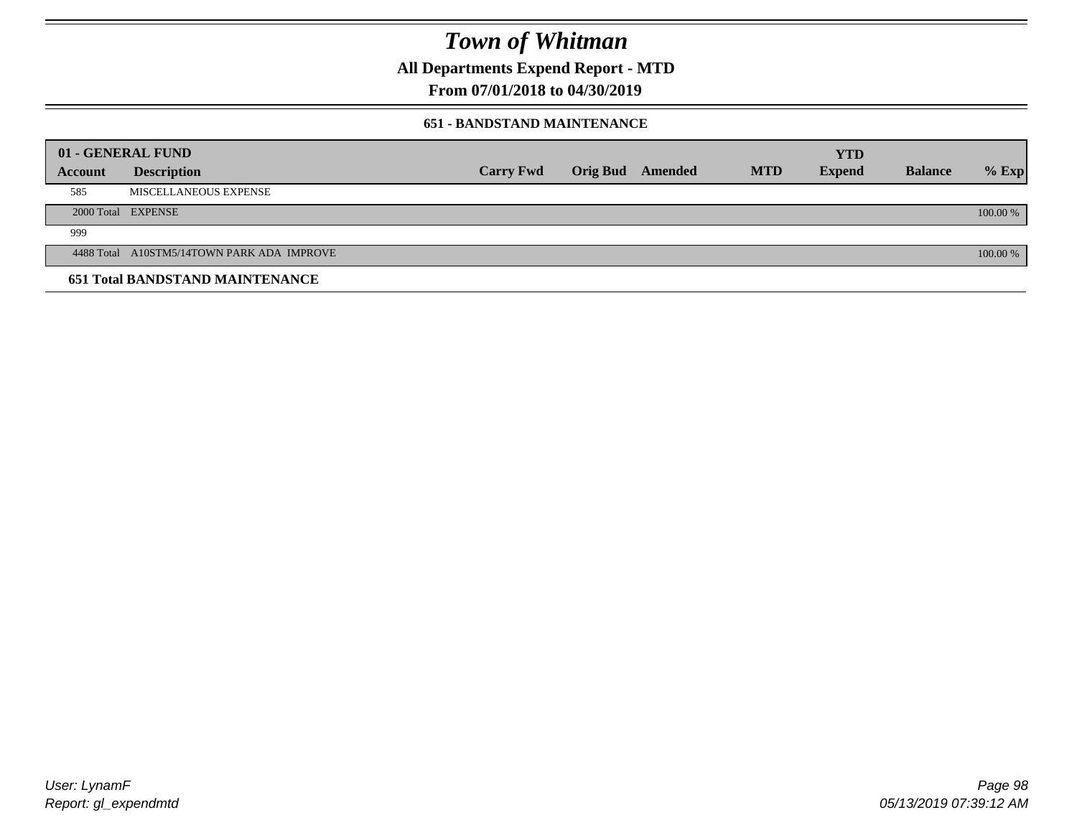**All Departments Expend Report - MTD**

**From 07/01/2018 to 04/30/2019**

#### **651 - BANDSTAND MAINTENANCE**

| 01 - GENERAL FUND |                                            |                  |                         |            | <b>YTD</b>    |                |          |
|-------------------|--------------------------------------------|------------------|-------------------------|------------|---------------|----------------|----------|
| <b>Account</b>    | <b>Description</b>                         | <b>Carry Fwd</b> | <b>Orig Bud</b> Amended | <b>MTD</b> | <b>Expend</b> | <b>Balance</b> | $%$ Exp  |
| 585               | MISCELLANEOUS EXPENSE                      |                  |                         |            |               |                |          |
|                   | 2000 Total EXPENSE                         |                  |                         |            |               |                | 100.00 % |
| 999               |                                            |                  |                         |            |               |                |          |
|                   | 4488 Total A10STM5/14TOWN PARK ADA IMPROVE |                  |                         |            |               |                | 100.00 % |
|                   | <b>651 Total BANDSTAND MAINTENANCE</b>     |                  |                         |            |               |                |          |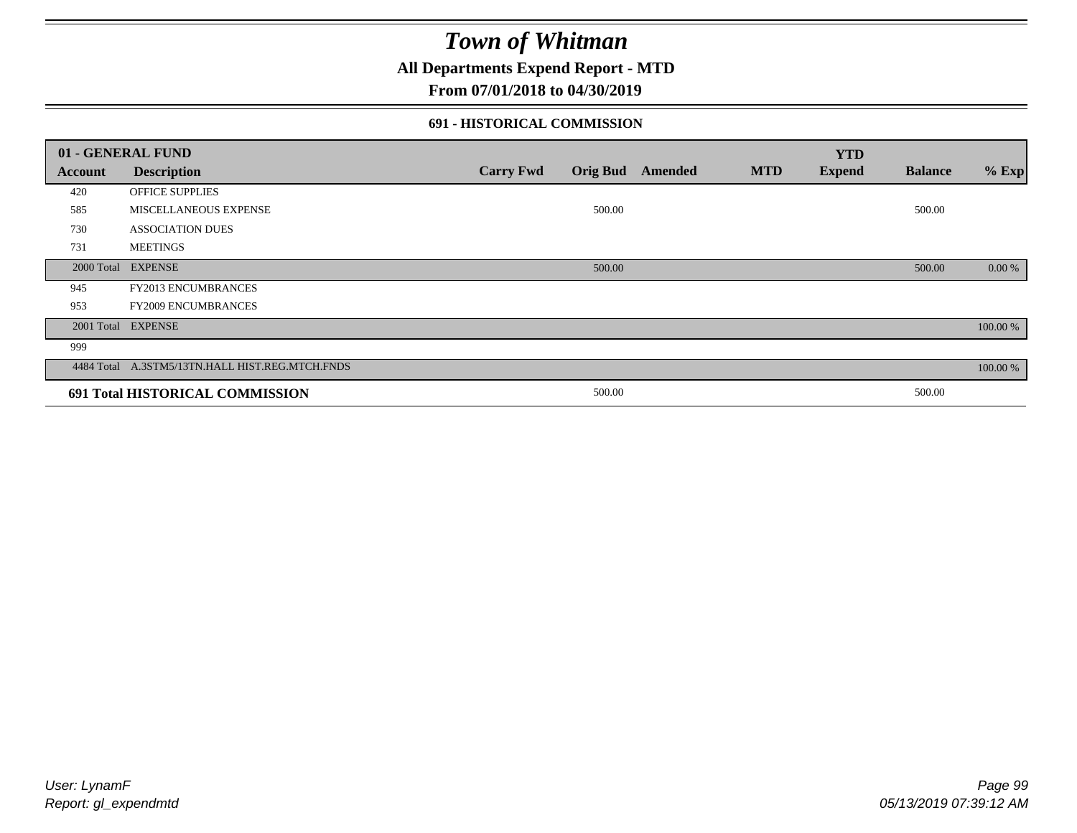### **All Departments Expend Report - MTD**

### **From 07/01/2018 to 04/30/2019**

### **691 - HISTORICAL COMMISSION**

| 01 - GENERAL FUND |                                                 |                  |                 |         |            | <b>YTD</b>    |                |          |
|-------------------|-------------------------------------------------|------------------|-----------------|---------|------------|---------------|----------------|----------|
| Account           | <b>Description</b>                              | <b>Carry Fwd</b> | <b>Orig Bud</b> | Amended | <b>MTD</b> | <b>Expend</b> | <b>Balance</b> | $%$ Exp  |
| 420               | OFFICE SUPPLIES                                 |                  |                 |         |            |               |                |          |
| 585               | MISCELLANEOUS EXPENSE                           |                  | 500.00          |         |            |               | 500.00         |          |
| 730               | <b>ASSOCIATION DUES</b>                         |                  |                 |         |            |               |                |          |
| 731               | <b>MEETINGS</b>                                 |                  |                 |         |            |               |                |          |
| 2000 Total        | <b>EXPENSE</b>                                  |                  | 500.00          |         |            |               | 500.00         | 0.00 %   |
| 945               | <b>FY2013 ENCUMBRANCES</b>                      |                  |                 |         |            |               |                |          |
| 953               | <b>FY2009 ENCUMBRANCES</b>                      |                  |                 |         |            |               |                |          |
|                   | 2001 Total EXPENSE                              |                  |                 |         |            |               |                | 100.00 % |
| 999               |                                                 |                  |                 |         |            |               |                |          |
|                   | 4484 Total A.3STM5/13TN.HALL HIST.REG.MTCH.FNDS |                  |                 |         |            |               |                | 100.00 % |
|                   | 691 Total HISTORICAL COMMISSION                 |                  | 500.00          |         |            |               | 500.00         |          |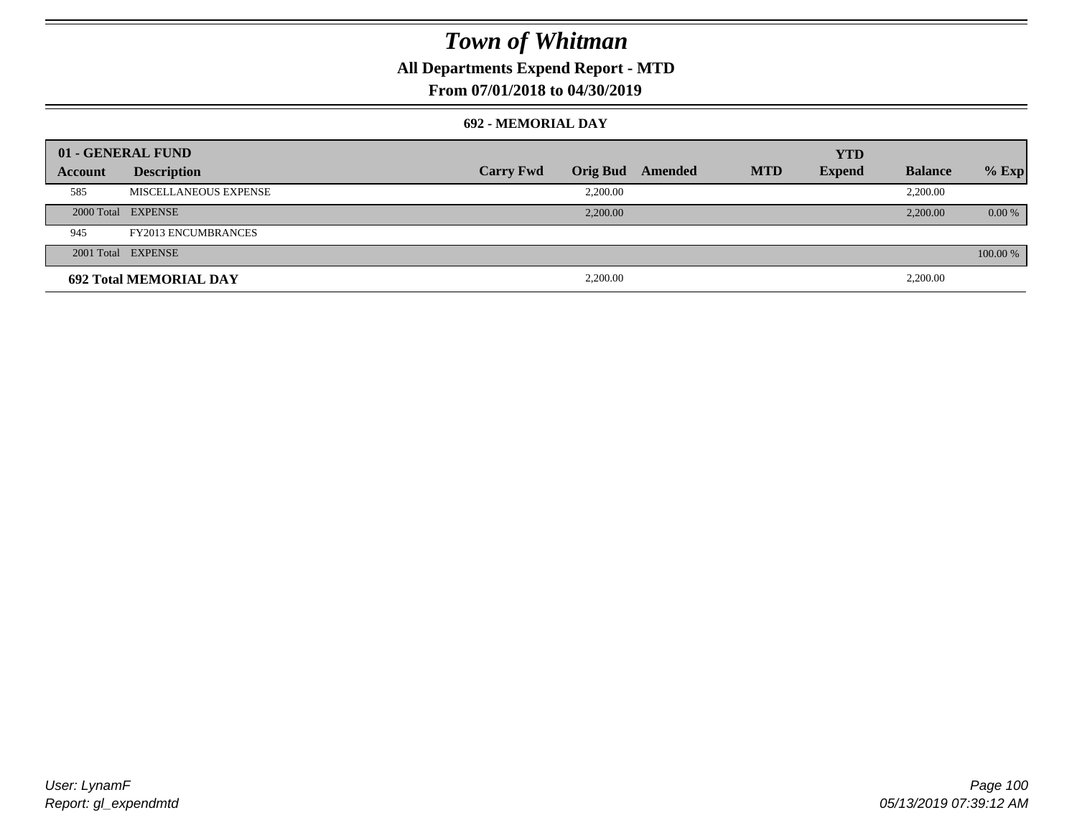### **All Departments Expend Report - MTD**

### **From 07/01/2018 to 04/30/2019**

#### **692 - MEMORIAL DAY**

| 01 - GENERAL FUND |                               |                  |                 |         |            | <b>YTD</b>    |                |          |
|-------------------|-------------------------------|------------------|-----------------|---------|------------|---------------|----------------|----------|
| Account           | <b>Description</b>            | <b>Carry Fwd</b> | <b>Orig Bud</b> | Amended | <b>MTD</b> | <b>Expend</b> | <b>Balance</b> | $%$ Exp  |
| 585               | MISCELLANEOUS EXPENSE         |                  | 2,200.00        |         |            |               | 2,200.00       |          |
|                   | 2000 Total EXPENSE            |                  | 2,200.00        |         |            |               | 2,200.00       | $0.00\%$ |
| 945               | <b>FY2013 ENCUMBRANCES</b>    |                  |                 |         |            |               |                |          |
|                   | 2001 Total EXPENSE            |                  |                 |         |            |               |                | 100.00 % |
|                   | <b>692 Total MEMORIAL DAY</b> |                  | 2,200.00        |         |            |               | 2,200.00       |          |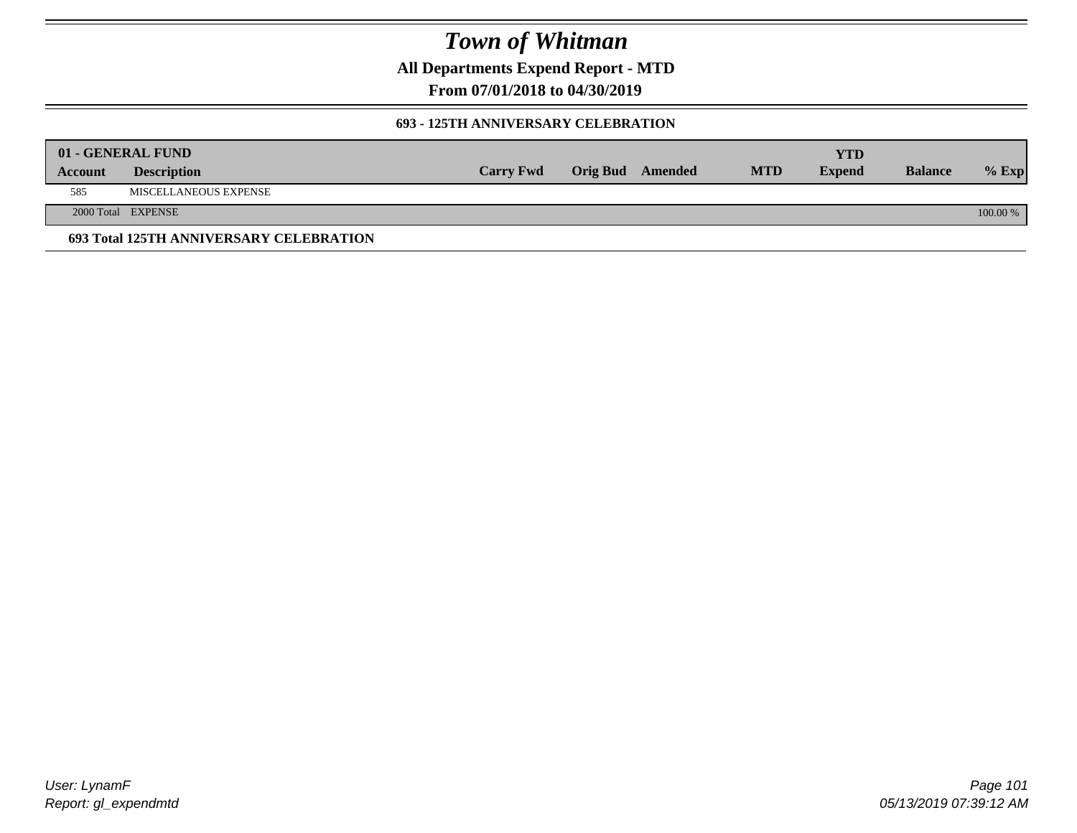**All Departments Expend Report - MTD**

**From 07/01/2018 to 04/30/2019**

#### **693 - 125TH ANNIVERSARY CELEBRATION**

|         | 01 - GENERAL FUND                       |                  |                         |            | YTD           |                |          |
|---------|-----------------------------------------|------------------|-------------------------|------------|---------------|----------------|----------|
| Account | <b>Description</b>                      | <b>Carry Fwd</b> | <b>Orig Bud</b> Amended | <b>MTD</b> | <b>Expend</b> | <b>Balance</b> | $%$ Exp  |
| 585     | MISCELLANEOUS EXPENSE                   |                  |                         |            |               |                |          |
|         | 2000 Total EXPENSE                      |                  |                         |            |               |                | 100.00 % |
|         | 693 Total 125TH ANNIVERSARY CELEBRATION |                  |                         |            |               |                |          |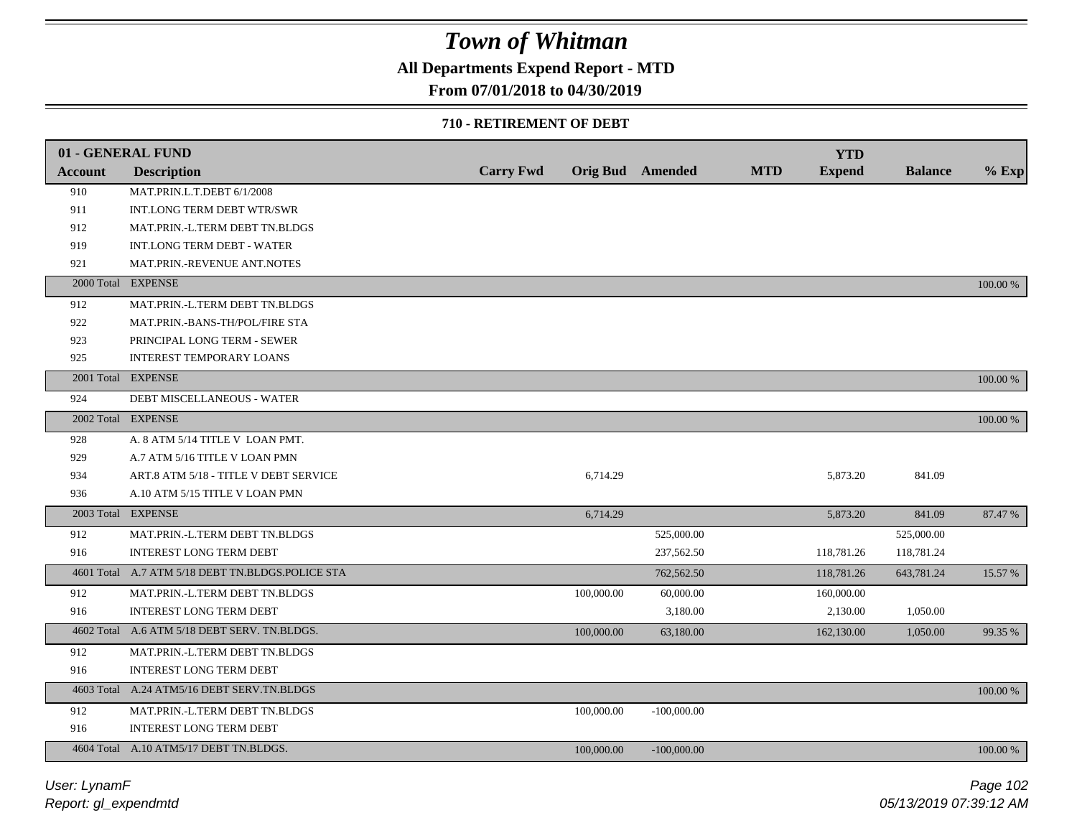## **All Departments Expend Report - MTD**

### **From 07/01/2018 to 04/30/2019**

#### **710 - RETIREMENT OF DEBT**

|                | 01 - GENERAL FUND                                |                  |            |                         |            | <b>YTD</b>    |                |          |
|----------------|--------------------------------------------------|------------------|------------|-------------------------|------------|---------------|----------------|----------|
| <b>Account</b> | <b>Description</b>                               | <b>Carry Fwd</b> |            | <b>Orig Bud</b> Amended | <b>MTD</b> | <b>Expend</b> | <b>Balance</b> | $%$ Exp  |
| 910            | MAT.PRIN.L.T.DEBT 6/1/2008                       |                  |            |                         |            |               |                |          |
| 911            | INT.LONG TERM DEBT WTR/SWR                       |                  |            |                         |            |               |                |          |
| 912            | MAT.PRIN.-L.TERM DEBT TN.BLDGS                   |                  |            |                         |            |               |                |          |
| 919            | <b>INT.LONG TERM DEBT - WATER</b>                |                  |            |                         |            |               |                |          |
| 921            | MAT.PRIN.-REVENUE ANT.NOTES                      |                  |            |                         |            |               |                |          |
| 2000 Total     | <b>EXPENSE</b>                                   |                  |            |                         |            |               |                | 100.00 % |
| 912            | MAT.PRIN.-L.TERM DEBT TN.BLDGS                   |                  |            |                         |            |               |                |          |
| 922            | MAT.PRIN.-BANS-TH/POL/FIRE STA                   |                  |            |                         |            |               |                |          |
| 923            | PRINCIPAL LONG TERM - SEWER                      |                  |            |                         |            |               |                |          |
| 925            | <b>INTEREST TEMPORARY LOANS</b>                  |                  |            |                         |            |               |                |          |
|                | 2001 Total EXPENSE                               |                  |            |                         |            |               |                | 100.00 % |
| 924            | <b>DEBT MISCELLANEOUS - WATER</b>                |                  |            |                         |            |               |                |          |
|                | 2002 Total EXPENSE                               |                  |            |                         |            |               |                | 100.00 % |
| 928            | A. 8 ATM 5/14 TITLE V LOAN PMT.                  |                  |            |                         |            |               |                |          |
| 929            | A.7 ATM 5/16 TITLE V LOAN PMN                    |                  |            |                         |            |               |                |          |
| 934            | ART.8 ATM 5/18 - TITLE V DEBT SERVICE            |                  | 6,714.29   |                         |            | 5,873.20      | 841.09         |          |
| 936            | A.10 ATM 5/15 TITLE V LOAN PMN                   |                  |            |                         |            |               |                |          |
|                | 2003 Total EXPENSE                               |                  | 6,714.29   |                         |            | 5,873.20      | 841.09         | 87.47 %  |
| 912            | MAT.PRIN.-L.TERM DEBT TN.BLDGS                   |                  |            | 525,000.00              |            |               | 525,000.00     |          |
| 916            | <b>INTEREST LONG TERM DEBT</b>                   |                  |            | 237,562.50              |            | 118,781.26    | 118,781.24     |          |
|                | 4601 Total A.7 ATM 5/18 DEBT TN.BLDGS.POLICE STA |                  |            | 762,562.50              |            | 118,781.26    | 643,781.24     | 15.57 %  |
| 912            | MAT.PRIN.-L.TERM DEBT TN.BLDGS                   |                  | 100,000.00 | 60,000.00               |            | 160,000.00    |                |          |
| 916            | <b>INTEREST LONG TERM DEBT</b>                   |                  |            | 3,180.00                |            | 2,130.00      | 1,050.00       |          |
|                | 4602 Total A.6 ATM 5/18 DEBT SERV. TN.BLDGS.     |                  | 100,000.00 | 63,180.00               |            | 162,130.00    | 1,050.00       | 99.35 %  |
| 912            | MAT.PRIN.-L.TERM DEBT TN.BLDGS                   |                  |            |                         |            |               |                |          |
| 916            | <b>INTEREST LONG TERM DEBT</b>                   |                  |            |                         |            |               |                |          |
|                | 4603 Total A.24 ATM5/16 DEBT SERV.TN.BLDGS       |                  |            |                         |            |               |                | 100.00 % |
| 912            | MAT.PRIN.-L.TERM DEBT TN.BLDGS                   |                  | 100,000.00 | $-100,000.00$           |            |               |                |          |
| 916            | INTEREST LONG TERM DEBT                          |                  |            |                         |            |               |                |          |
|                | 4604 Total A.10 ATM5/17 DEBT TN.BLDGS.           |                  | 100,000.00 | $-100,000.00$           |            |               |                | 100.00 % |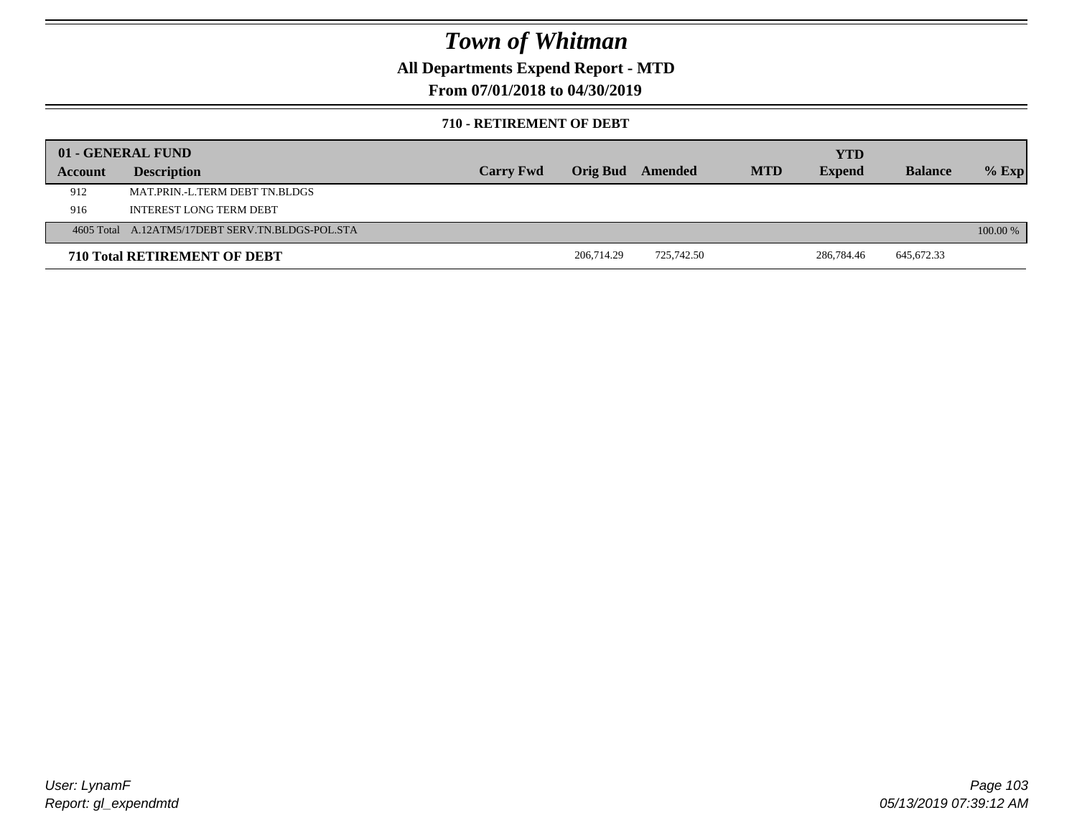### **All Departments Expend Report - MTD**

### **From 07/01/2018 to 04/30/2019**

#### **710 - RETIREMENT OF DEBT**

|         | 01 - GENERAL FUND                                |                  |                         |            |            | <b>YTD</b>    |                |            |
|---------|--------------------------------------------------|------------------|-------------------------|------------|------------|---------------|----------------|------------|
| Account | <b>Description</b>                               | <b>Carry Fwd</b> | <b>Orig Bud</b> Amended |            | <b>MTD</b> | <b>Expend</b> | <b>Balance</b> | $%$ Exp    |
| 912     | MAT PRIN -L TERM DEBT TN BLDGS                   |                  |                         |            |            |               |                |            |
| 916     | INTEREST LONG TERM DEBT                          |                  |                         |            |            |               |                |            |
|         | 4605 Total A.12ATM5/17DEBT SERV.TN.BLDGS-POL.STA |                  |                         |            |            |               |                | $100.00\%$ |
|         | <b>710 Total RETIREMENT OF DEBT</b>              |                  | 206,714.29              | 725,742.50 |            | 286,784.46    | 645,672.33     |            |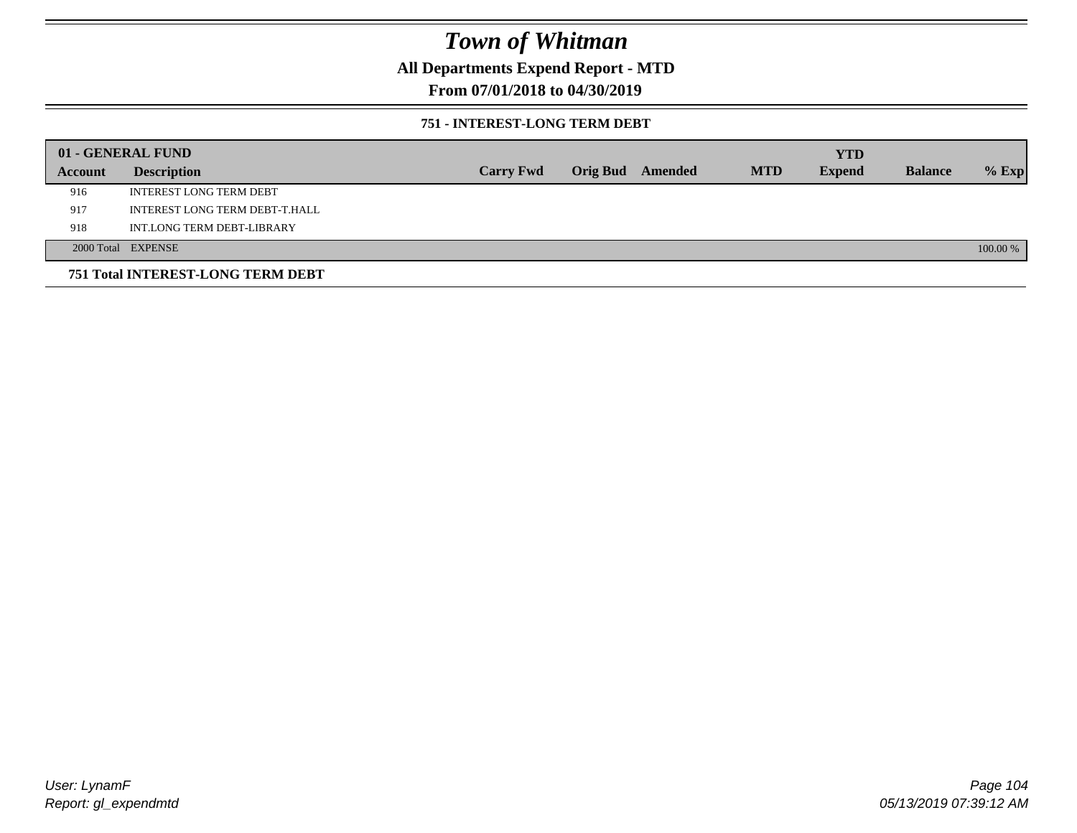### **All Departments Expend Report - MTD**

### **From 07/01/2018 to 04/30/2019**

#### **751 - INTEREST-LONG TERM DEBT**

|         | 01 - GENERAL FUND                 |                  |                  |            | <b>YTD</b>    |                |          |
|---------|-----------------------------------|------------------|------------------|------------|---------------|----------------|----------|
| Account | <b>Description</b>                | <b>Carry Fwd</b> | Orig Bud Amended | <b>MTD</b> | <b>Expend</b> | <b>Balance</b> | $%$ Exp  |
| 916     | <b>INTEREST LONG TERM DEBT</b>    |                  |                  |            |               |                |          |
| 917     | INTEREST LONG TERM DEBT-T.HALL    |                  |                  |            |               |                |          |
| 918     | INT.LONG TERM DEBT-LIBRARY        |                  |                  |            |               |                |          |
|         | 2000 Total EXPENSE                |                  |                  |            |               |                | 100.00 % |
|         | 751 Total INTEREST-LONG TERM DEBT |                  |                  |            |               |                |          |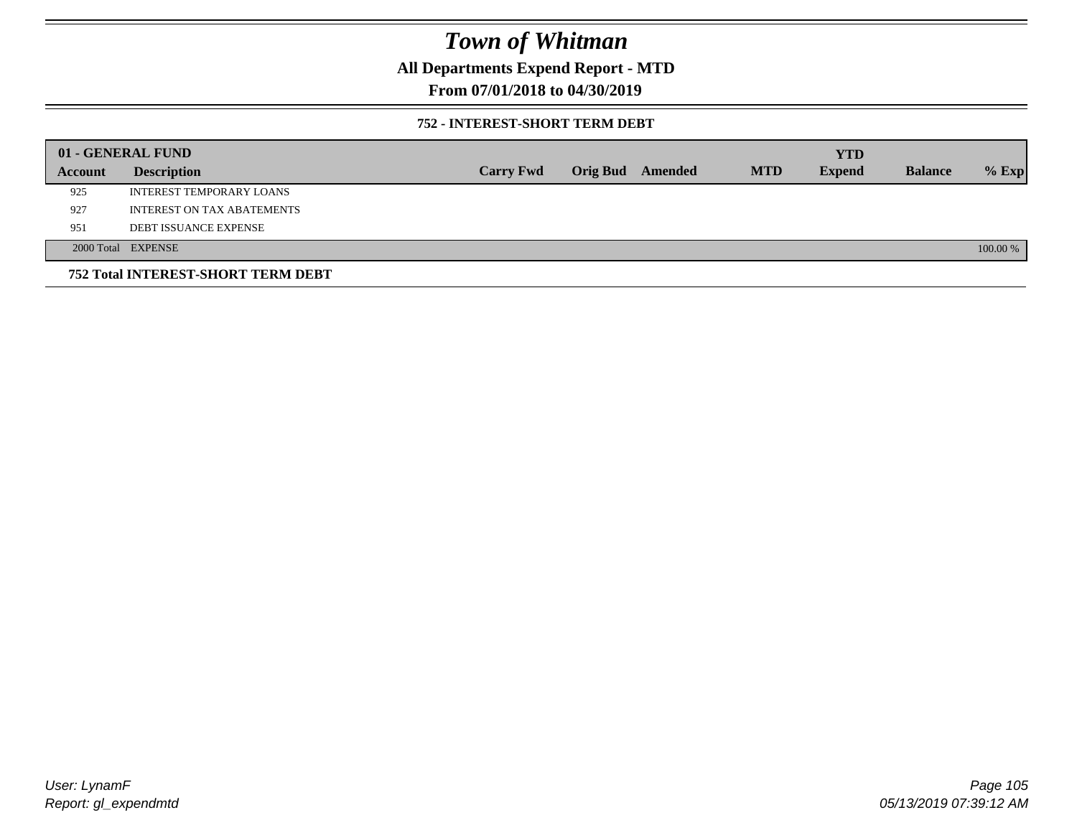### **All Departments Expend Report - MTD**

### **From 07/01/2018 to 04/30/2019**

#### **752 - INTEREST-SHORT TERM DEBT**

|         | 01 - GENERAL FUND                         |                  |                 |         |            | <b>YTD</b>    |                |          |
|---------|-------------------------------------------|------------------|-----------------|---------|------------|---------------|----------------|----------|
| Account | <b>Description</b>                        | <b>Carry Fwd</b> | <b>Orig Bud</b> | Amended | <b>MTD</b> | <b>Expend</b> | <b>Balance</b> | $%$ Exp  |
| 925     | INTEREST TEMPORARY LOANS                  |                  |                 |         |            |               |                |          |
| 927     | INTEREST ON TAX ABATEMENTS                |                  |                 |         |            |               |                |          |
| 951     | <b>DEBT ISSUANCE EXPENSE</b>              |                  |                 |         |            |               |                |          |
|         | 2000 Total EXPENSE                        |                  |                 |         |            |               |                | 100.00 % |
|         | <b>752 Total INTEREST-SHORT TERM DEBT</b> |                  |                 |         |            |               |                |          |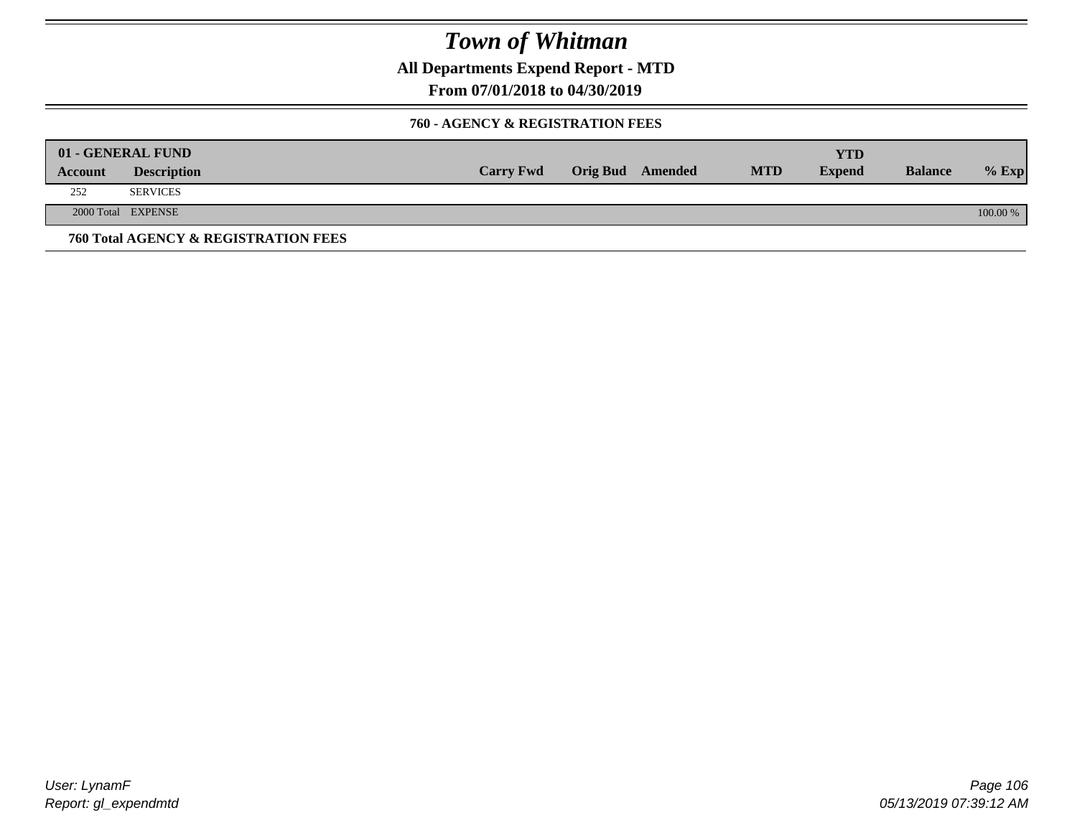**All Departments Expend Report - MTD**

**From 07/01/2018 to 04/30/2019**

#### **760 - AGENCY & REGISTRATION FEES**

|         | 01 - GENERAL FUND                    |                  |                         |            | YTD           |                |          |
|---------|--------------------------------------|------------------|-------------------------|------------|---------------|----------------|----------|
| Account | <b>Description</b>                   | <b>Carry Fwd</b> | <b>Orig Bud</b> Amended | <b>MTD</b> | <b>Expend</b> | <b>Balance</b> | $%$ Exp  |
| 252     | <b>SERVICES</b>                      |                  |                         |            |               |                |          |
|         | 2000 Total EXPENSE                   |                  |                         |            |               |                | 100.00 % |
|         | 760 Total AGENCY & REGISTRATION FEES |                  |                         |            |               |                |          |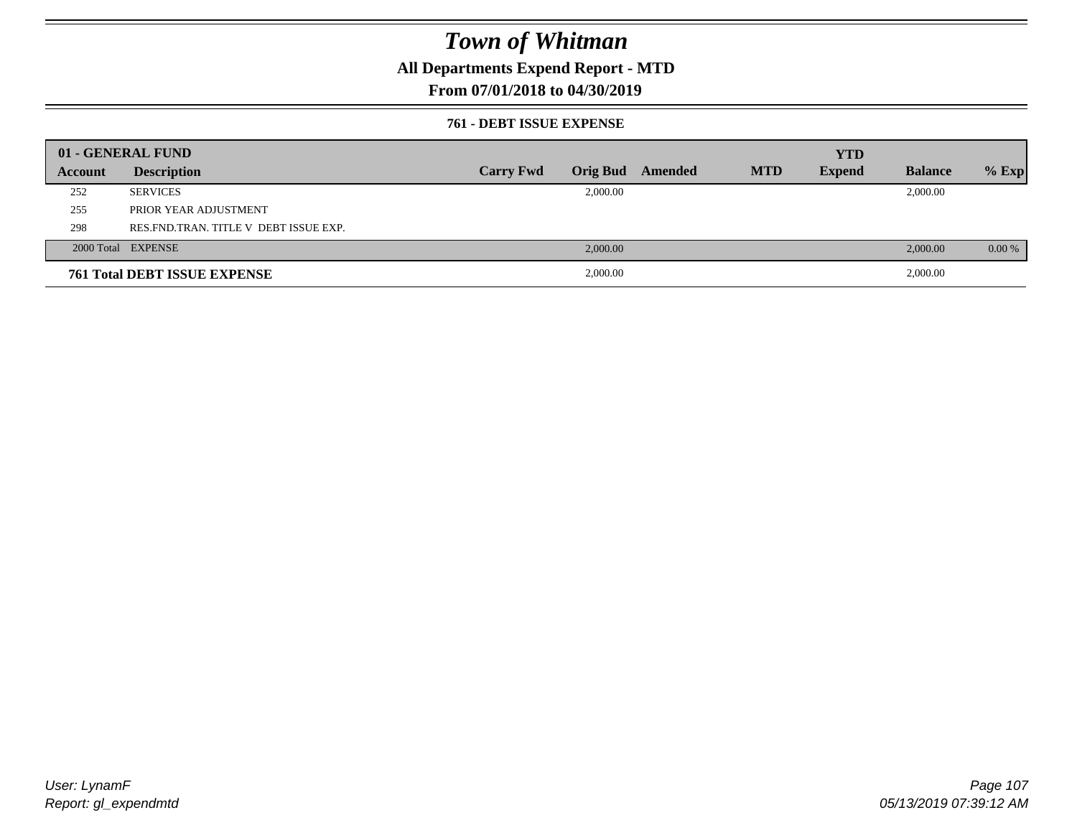### **All Departments Expend Report - MTD**

### **From 07/01/2018 to 04/30/2019**

#### **761 - DEBT ISSUE EXPENSE**

|         | 01 - GENERAL FUND                       |                  |          |                  |            | <b>YTD</b>    |                |          |
|---------|-----------------------------------------|------------------|----------|------------------|------------|---------------|----------------|----------|
| Account | <b>Description</b>                      | <b>Carry Fwd</b> |          | Orig Bud Amended | <b>MTD</b> | <b>Expend</b> | <b>Balance</b> | $%$ Exp  |
| 252     | <b>SERVICES</b>                         |                  | 2,000.00 |                  |            |               | 2,000.00       |          |
| 255     | PRIOR YEAR ADJUSTMENT                   |                  |          |                  |            |               |                |          |
| 298     | RES. FND. TRAN. TITLE V DEBT ISSUE EXP. |                  |          |                  |            |               |                |          |
|         | 2000 Total EXPENSE                      |                  | 2,000.00 |                  |            |               | 2,000.00       | $0.00\%$ |
|         | <b>761 Total DEBT ISSUE EXPENSE</b>     |                  | 2,000.00 |                  |            |               | 2,000.00       |          |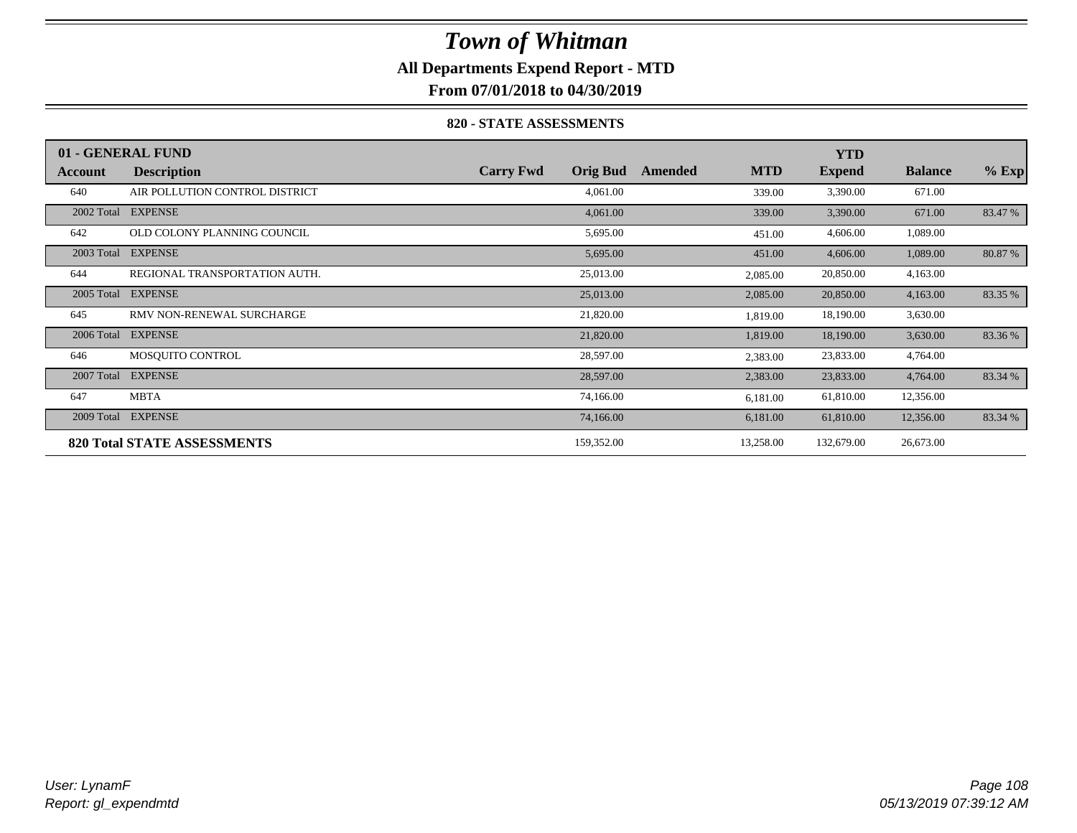## **All Departments Expend Report - MTD**

**From 07/01/2018 to 04/30/2019**

#### **820 - STATE ASSESSMENTS**

|            | 01 - GENERAL FUND                  |                                     |                       | <b>YTD</b>    |                |         |
|------------|------------------------------------|-------------------------------------|-----------------------|---------------|----------------|---------|
| Account    | <b>Description</b>                 | <b>Carry Fwd</b><br><b>Orig Bud</b> | <b>MTD</b><br>Amended | <b>Expend</b> | <b>Balance</b> | $%$ Exp |
| 640        | AIR POLLUTION CONTROL DISTRICT     | 4,061.00                            | 339.00                | 3,390.00      | 671.00         |         |
| 2002 Total | <b>EXPENSE</b>                     | 4,061.00                            | 339.00                | 3,390.00      | 671.00         | 83.47 % |
| 642        | OLD COLONY PLANNING COUNCIL        | 5,695.00                            | 451.00                | 4,606.00      | 1,089.00       |         |
| 2003 Total | <b>EXPENSE</b>                     | 5,695.00                            | 451.00                | 4,606.00      | 1,089.00       | 80.87 % |
| 644        | REGIONAL TRANSPORTATION AUTH.      | 25,013.00                           | 2,085.00              | 20,850.00     | 4,163.00       |         |
| 2005 Total | <b>EXPENSE</b>                     | 25,013.00                           | 2,085.00              | 20,850.00     | 4,163.00       | 83.35 % |
| 645        | RMV NON-RENEWAL SURCHARGE          | 21,820.00                           | 1,819.00              | 18,190.00     | 3,630.00       |         |
| 2006 Total | <b>EXPENSE</b>                     | 21,820.00                           | 1,819.00              | 18,190.00     | 3,630.00       | 83.36 % |
| 646        | MOSOUITO CONTROL                   | 28,597.00                           | 2,383.00              | 23,833.00     | 4,764.00       |         |
| 2007 Total | <b>EXPENSE</b>                     | 28,597.00                           | 2,383.00              | 23,833.00     | 4,764.00       | 83.34 % |
| 647        | <b>MBTA</b>                        | 74,166.00                           | 6,181.00              | 61,810.00     | 12,356.00      |         |
| 2009 Total | <b>EXPENSE</b>                     | 74,166.00                           | 6,181.00              | 61,810.00     | 12,356.00      | 83.34 % |
|            | <b>820 Total STATE ASSESSMENTS</b> | 159,352.00                          | 13,258.00             | 132,679.00    | 26,673.00      |         |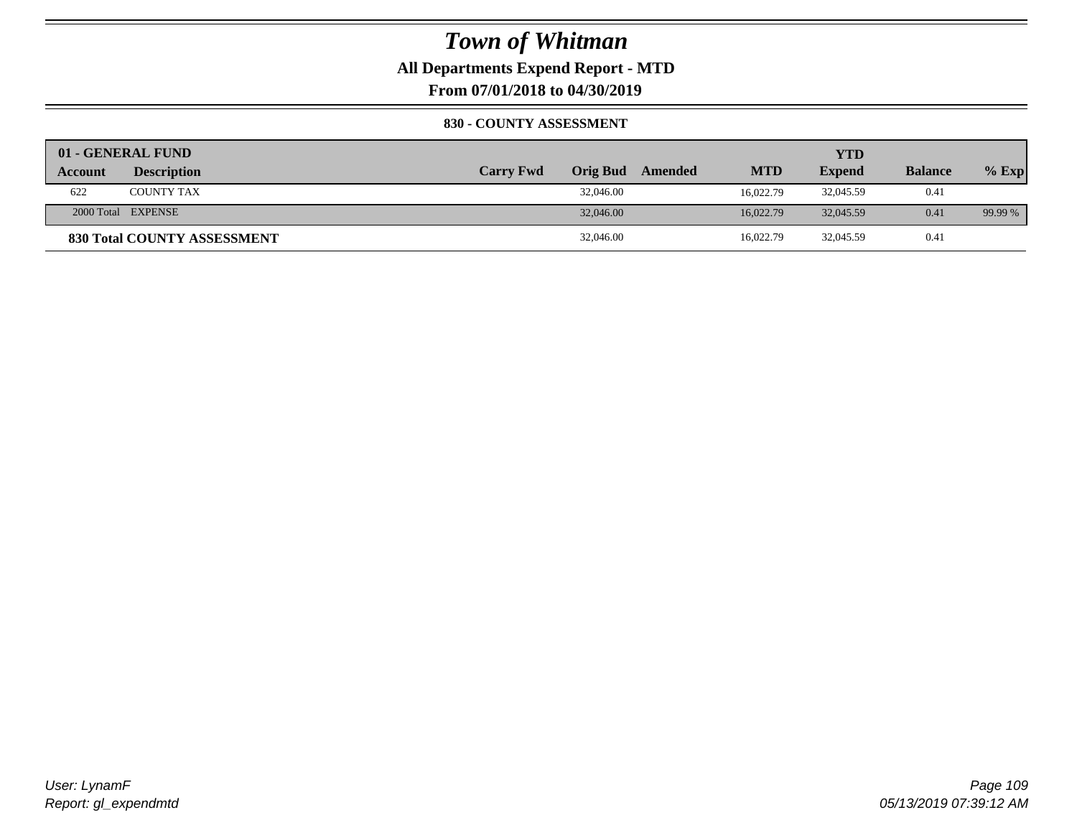**All Departments Expend Report - MTD**

**From 07/01/2018 to 04/30/2019**

#### **830 - COUNTY ASSESSMENT**

|                | 01 - GENERAL FUND                  |                  |           |         |            | YTD           |                |         |
|----------------|------------------------------------|------------------|-----------|---------|------------|---------------|----------------|---------|
| <b>Account</b> | <b>Description</b>                 | <b>Carry Fwd</b> | Orig Bud  | Amended | <b>MTD</b> | <b>Expend</b> | <b>Balance</b> | $%$ Exp |
| 622            | <b>COUNTY TAX</b>                  |                  | 32,046.00 |         | 16.022.79  | 32,045.59     | 0.41           |         |
|                | 2000 Total EXPENSE                 |                  | 32,046.00 |         | 16.022.79  | 32,045.59     | 0.41           | 99.99 % |
|                | <b>830 Total COUNTY ASSESSMENT</b> |                  | 32,046.00 |         | 16,022.79  | 32,045.59     | 0.41           |         |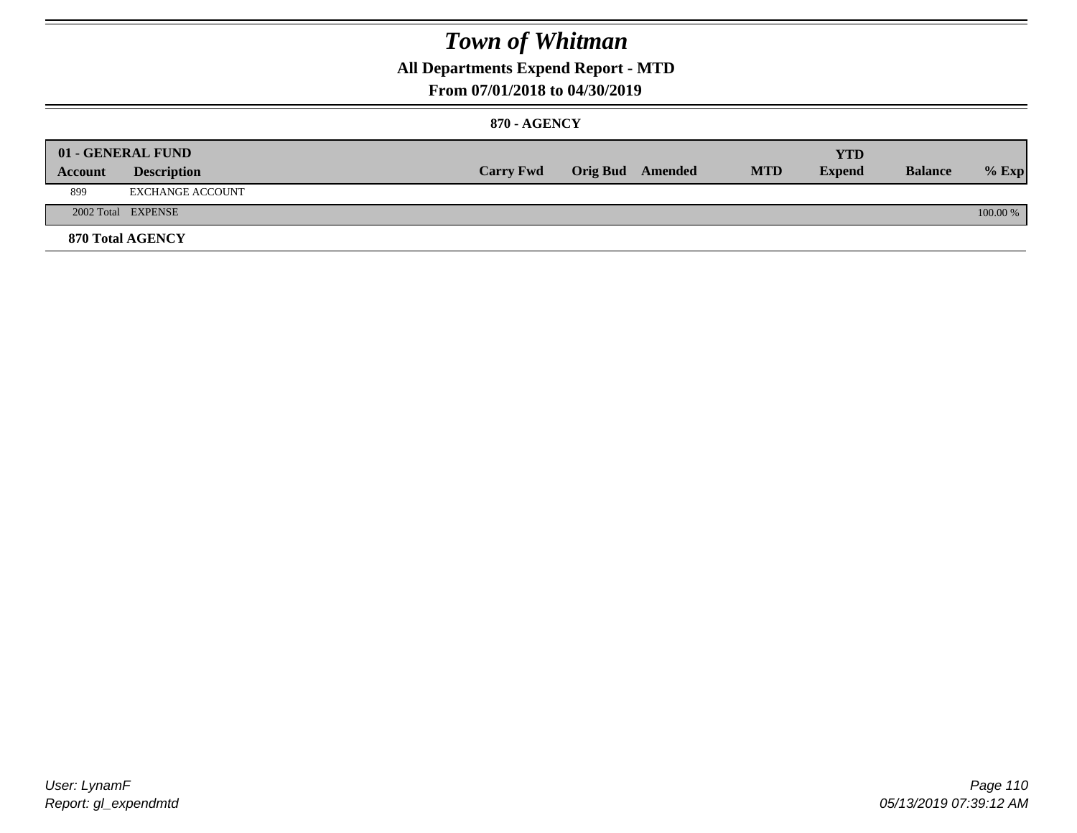### **All Departments Expend Report - MTD**

#### **From 07/01/2018 to 04/30/2019**

#### **870 - AGENCY**

|         | 01 - GENERAL FUND       |                  |                         |            | <b>YTD</b>    |                |          |
|---------|-------------------------|------------------|-------------------------|------------|---------------|----------------|----------|
| Account | <b>Description</b>      | <b>Carry Fwd</b> | <b>Orig Bud</b> Amended | <b>MTD</b> | <b>Expend</b> | <b>Balance</b> | $%$ Exp  |
| 899     | <b>EXCHANGE ACCOUNT</b> |                  |                         |            |               |                |          |
|         | 2002 Total EXPENSE      |                  |                         |            |               |                | 100.00 % |
|         | 870 Total AGENCY        |                  |                         |            |               |                |          |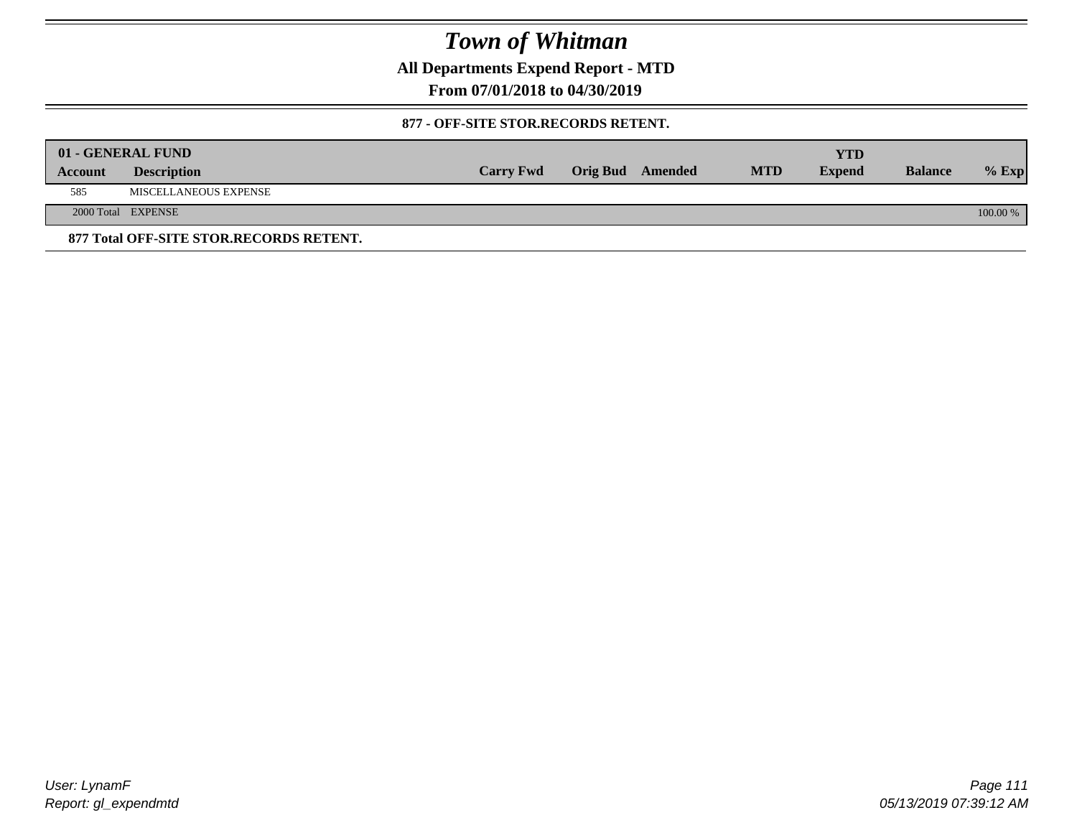**All Departments Expend Report - MTD**

**From 07/01/2018 to 04/30/2019**

#### **877 - OFF-SITE STOR.RECORDS RETENT.**

|         | 01 - GENERAL FUND                       |                  |                         |            | YTD           |                |          |
|---------|-----------------------------------------|------------------|-------------------------|------------|---------------|----------------|----------|
| Account | <b>Description</b>                      | <b>Carry Fwd</b> | <b>Orig Bud</b> Amended | <b>MTD</b> | <b>Expend</b> | <b>Balance</b> | $%$ Exp  |
| 585     | MISCELLANEOUS EXPENSE                   |                  |                         |            |               |                |          |
|         | 2000 Total EXPENSE                      |                  |                         |            |               |                | 100.00 % |
|         | 877 Total OFF-SITE STOR.RECORDS RETENT. |                  |                         |            |               |                |          |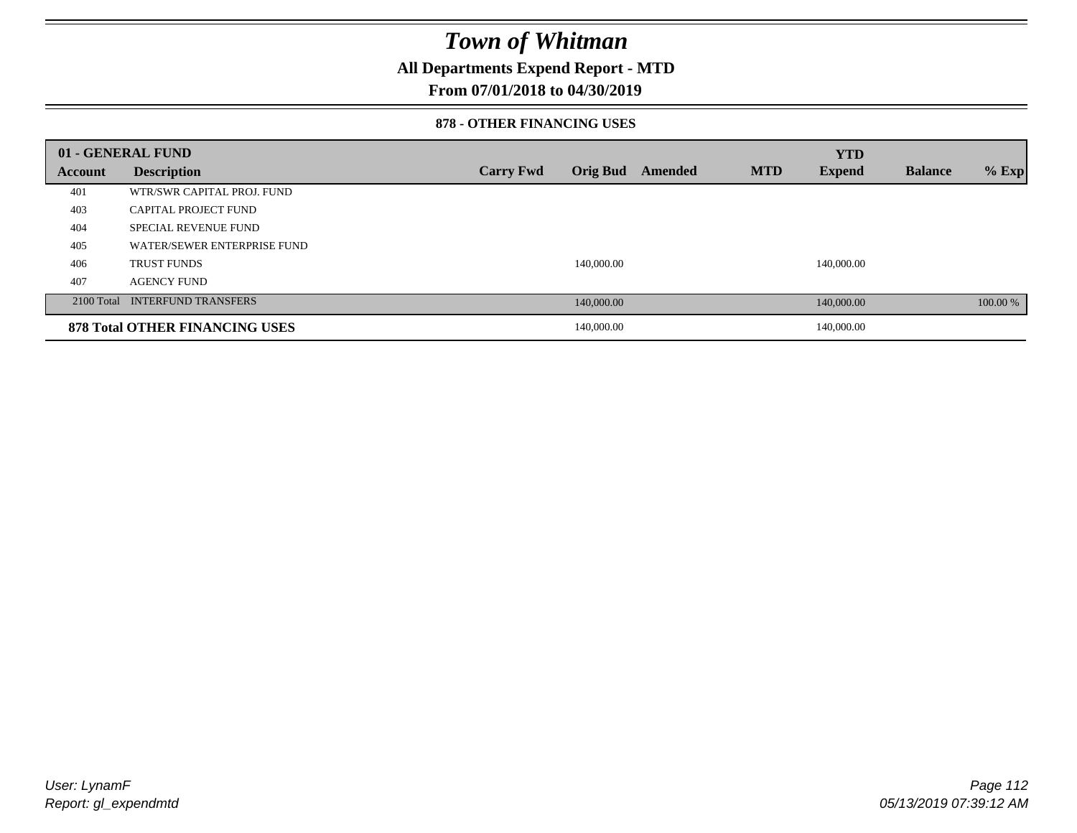### **All Departments Expend Report - MTD**

#### **From 07/01/2018 to 04/30/2019**

#### **878 - OTHER FINANCING USES**

|                | 01 - GENERAL FUND                     |                  |            |         |            | <b>YTD</b>    |                |          |
|----------------|---------------------------------------|------------------|------------|---------|------------|---------------|----------------|----------|
| <b>Account</b> | <b>Description</b>                    | <b>Carry Fwd</b> | Orig Bud   | Amended | <b>MTD</b> | <b>Expend</b> | <b>Balance</b> | $%$ Exp  |
| 401            | WTR/SWR CAPITAL PROJ. FUND            |                  |            |         |            |               |                |          |
| 403            | CAPITAL PROJECT FUND                  |                  |            |         |            |               |                |          |
| 404            | <b>SPECIAL REVENUE FUND</b>           |                  |            |         |            |               |                |          |
| 405            | WATER/SEWER ENTERPRISE FUND           |                  |            |         |            |               |                |          |
| 406            | <b>TRUST FUNDS</b>                    |                  | 140,000.00 |         |            | 140,000.00    |                |          |
| 407            | <b>AGENCY FUND</b>                    |                  |            |         |            |               |                |          |
|                | 2100 Total INTERFUND TRANSFERS        |                  | 140,000.00 |         |            | 140,000.00    |                | 100.00 % |
|                | <b>878 Total OTHER FINANCING USES</b> |                  | 140,000.00 |         |            | 140,000.00    |                |          |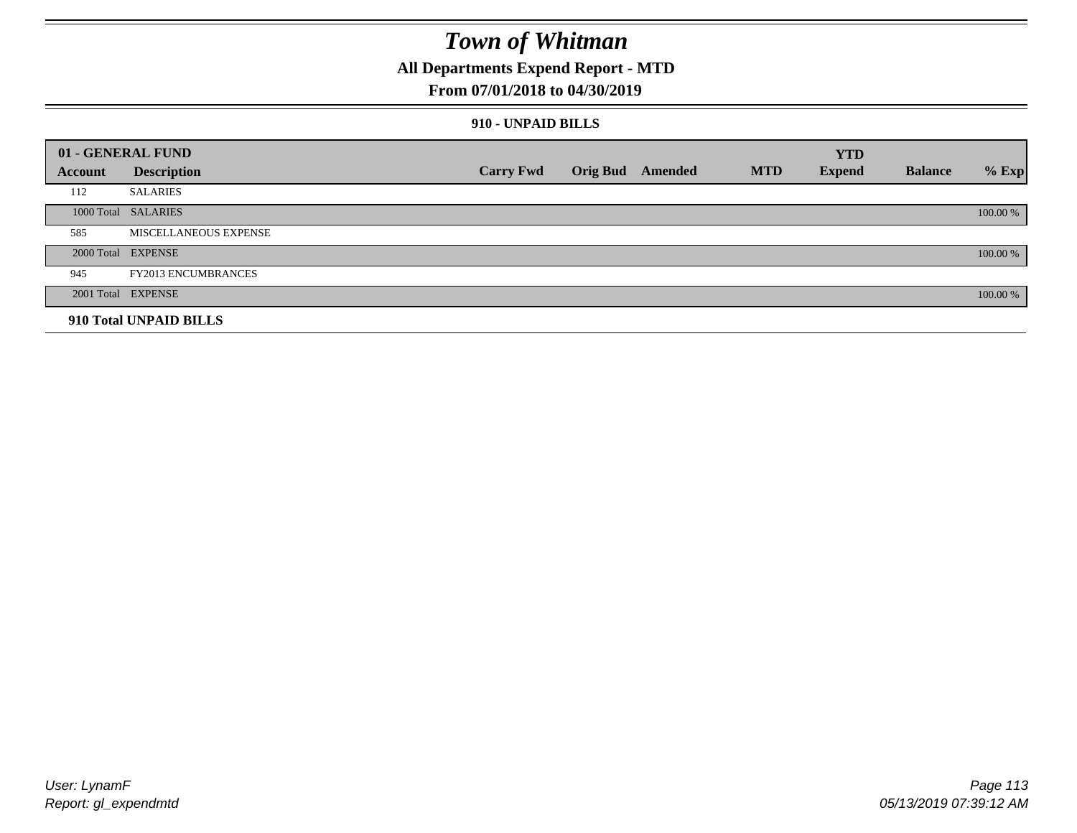### **All Departments Expend Report - MTD**

#### **From 07/01/2018 to 04/30/2019**

#### **910 - UNPAID BILLS**

|         | 01 - GENERAL FUND          |                  |                  |            | <b>YTD</b>    |                |          |
|---------|----------------------------|------------------|------------------|------------|---------------|----------------|----------|
| Account | <b>Description</b>         | <b>Carry Fwd</b> | Orig Bud Amended | <b>MTD</b> | <b>Expend</b> | <b>Balance</b> | $%$ Exp  |
| 112     | <b>SALARIES</b>            |                  |                  |            |               |                |          |
|         | 1000 Total SALARIES        |                  |                  |            |               |                | 100.00 % |
| 585     | MISCELLANEOUS EXPENSE      |                  |                  |            |               |                |          |
|         | 2000 Total EXPENSE         |                  |                  |            |               |                | 100.00 % |
| 945     | <b>FY2013 ENCUMBRANCES</b> |                  |                  |            |               |                |          |
|         | 2001 Total EXPENSE         |                  |                  |            |               |                | 100.00 % |
|         | 910 Total UNPAID BILLS     |                  |                  |            |               |                |          |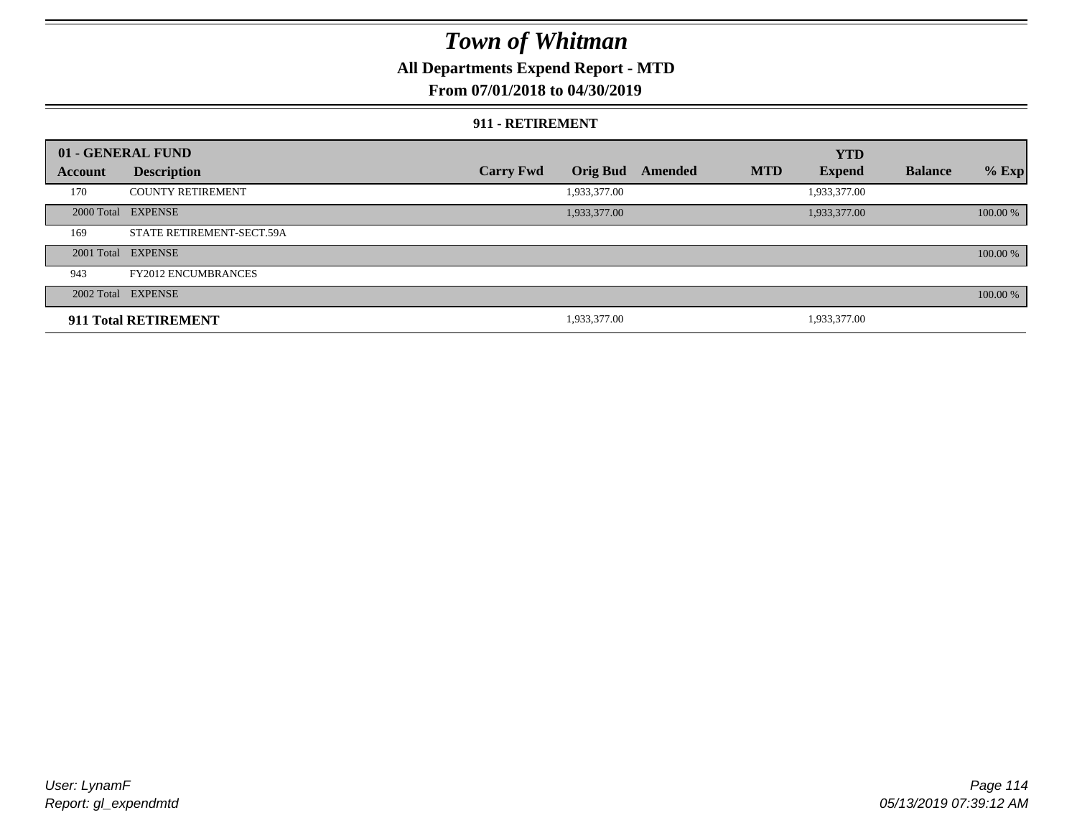### **All Departments Expend Report - MTD**

### **From 07/01/2018 to 04/30/2019**

#### **911 - RETIREMENT**

|         | 01 - GENERAL FUND          |                  |                 |         |            | <b>YTD</b>    |                |          |
|---------|----------------------------|------------------|-----------------|---------|------------|---------------|----------------|----------|
| Account | <b>Description</b>         | <b>Carry Fwd</b> | <b>Orig Bud</b> | Amended | <b>MTD</b> | <b>Expend</b> | <b>Balance</b> | $%$ Exp  |
| 170     | <b>COUNTY RETIREMENT</b>   |                  | 1,933,377.00    |         |            | 1,933,377.00  |                |          |
|         | 2000 Total EXPENSE         |                  | 1,933,377.00    |         |            | 1,933,377.00  |                | 100.00 % |
| 169     | STATE RETIREMENT-SECT.59A  |                  |                 |         |            |               |                |          |
|         | 2001 Total EXPENSE         |                  |                 |         |            |               |                | 100.00 % |
| 943     | <b>FY2012 ENCUMBRANCES</b> |                  |                 |         |            |               |                |          |
|         | 2002 Total EXPENSE         |                  |                 |         |            |               |                | 100.00 % |
|         | 911 Total RETIREMENT       |                  | 1,933,377.00    |         |            | 1,933,377.00  |                |          |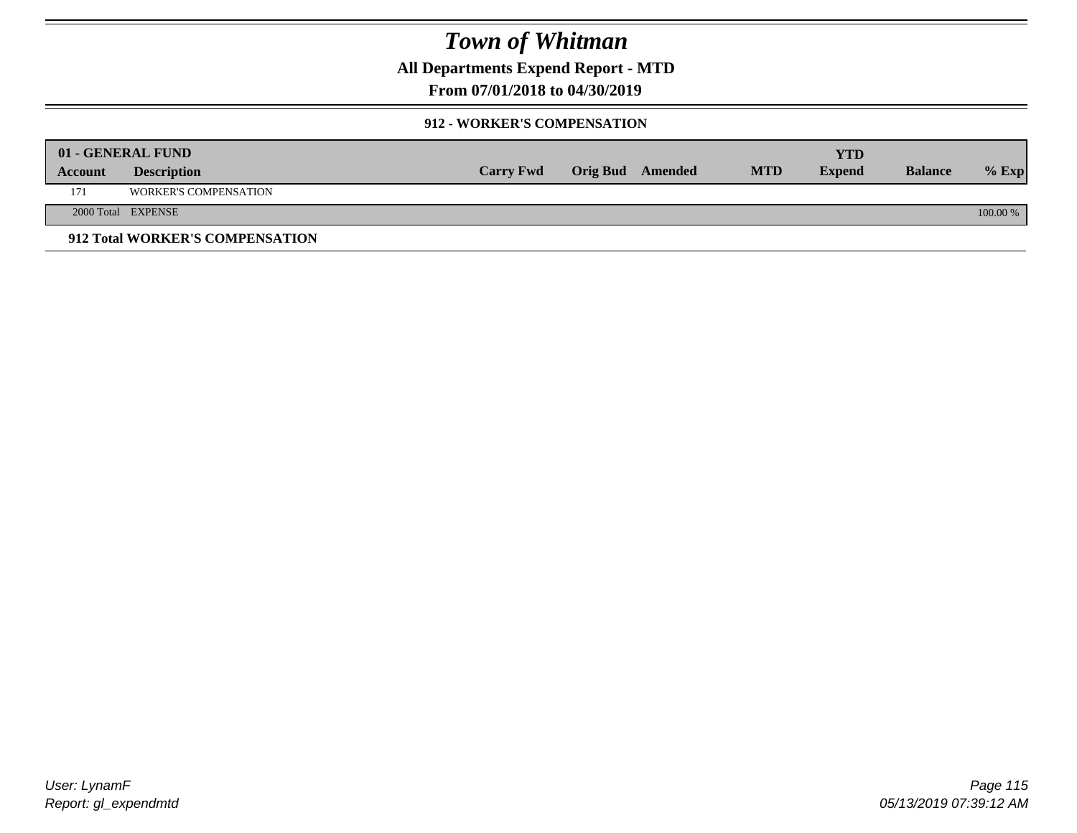**All Departments Expend Report - MTD**

### **From 07/01/2018 to 04/30/2019**

#### **912 - WORKER'S COMPENSATION**

|         | 01 - GENERAL FUND               |                  |                         |            | YTD           |                |            |
|---------|---------------------------------|------------------|-------------------------|------------|---------------|----------------|------------|
| Account | <b>Description</b>              | <b>Carry Fwd</b> | <b>Orig Bud</b> Amended | <b>MTD</b> | <b>Expend</b> | <b>Balance</b> | $%$ Exp    |
| 171     | <b>WORKER'S COMPENSATION</b>    |                  |                         |            |               |                |            |
|         | 2000 Total EXPENSE              |                  |                         |            |               |                | $100.00\%$ |
|         | 912 Total WORKER'S COMPENSATION |                  |                         |            |               |                |            |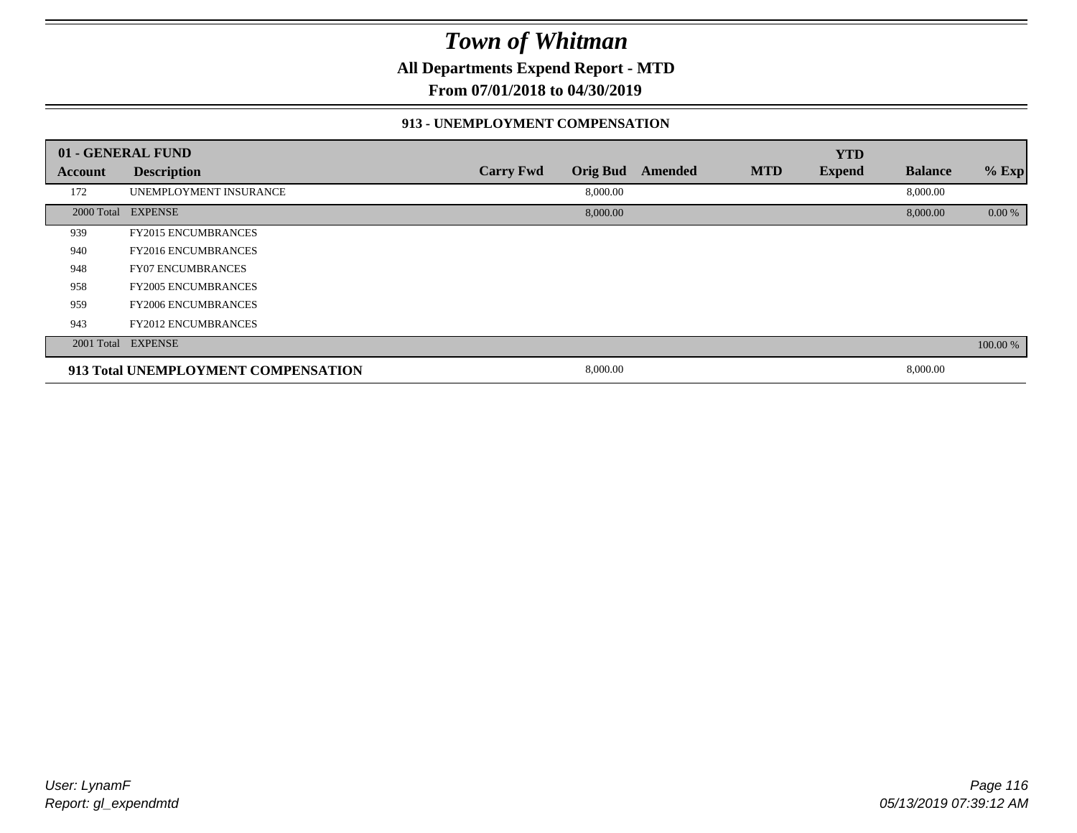**All Departments Expend Report - MTD**

**From 07/01/2018 to 04/30/2019**

#### **913 - UNEMPLOYMENT COMPENSATION**

|         | 01 - GENERAL FUND                   |                  |                 |         |            | <b>YTD</b>    |                |          |
|---------|-------------------------------------|------------------|-----------------|---------|------------|---------------|----------------|----------|
| Account | <b>Description</b>                  | <b>Carry Fwd</b> | <b>Orig Bud</b> | Amended | <b>MTD</b> | <b>Expend</b> | <b>Balance</b> | % Exp    |
| 172     | UNEMPLOYMENT INSURANCE              |                  | 8,000.00        |         |            |               | 8,000.00       |          |
|         | 2000 Total EXPENSE                  |                  | 8,000.00        |         |            |               | 8,000.00       | 0.00 %   |
| 939     | <b>FY2015 ENCUMBRANCES</b>          |                  |                 |         |            |               |                |          |
| 940     | <b>FY2016 ENCUMBRANCES</b>          |                  |                 |         |            |               |                |          |
| 948     | <b>FY07 ENCUMBRANCES</b>            |                  |                 |         |            |               |                |          |
| 958     | <b>FY2005 ENCUMBRANCES</b>          |                  |                 |         |            |               |                |          |
| 959     | <b>FY2006 ENCUMBRANCES</b>          |                  |                 |         |            |               |                |          |
| 943     | <b>FY2012 ENCUMBRANCES</b>          |                  |                 |         |            |               |                |          |
|         | 2001 Total EXPENSE                  |                  |                 |         |            |               |                | 100.00 % |
|         | 913 Total UNEMPLOYMENT COMPENSATION |                  | 8,000.00        |         |            |               | 8,000.00       |          |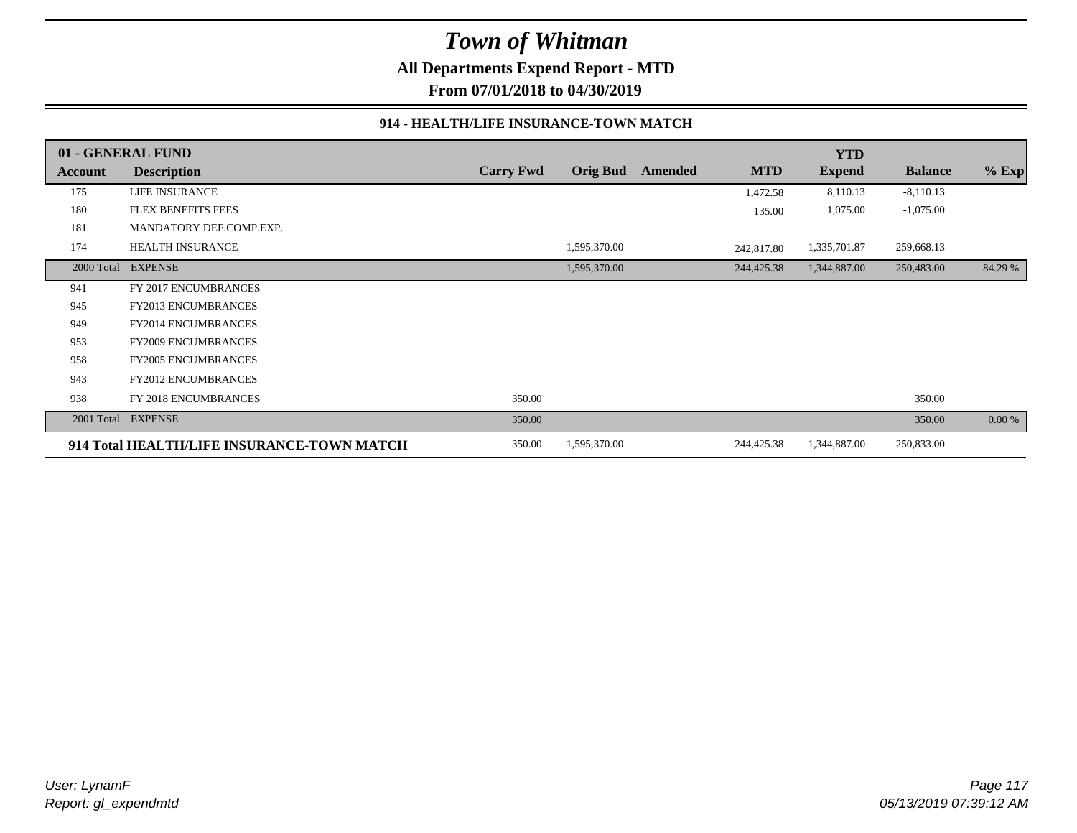**All Departments Expend Report - MTD**

**From 07/01/2018 to 04/30/2019**

#### **914 - HEALTH/LIFE INSURANCE-TOWN MATCH**

|            | 01 - GENERAL FUND                          |                  |                 |         |            | <b>YTD</b>    |                |         |
|------------|--------------------------------------------|------------------|-----------------|---------|------------|---------------|----------------|---------|
| Account    | <b>Description</b>                         | <b>Carry Fwd</b> | <b>Orig Bud</b> | Amended | <b>MTD</b> | <b>Expend</b> | <b>Balance</b> | $%$ Exp |
| 175        | <b>LIFE INSURANCE</b>                      |                  |                 |         | 1,472.58   | 8,110.13      | $-8,110.13$    |         |
| 180        | <b>FLEX BENEFITS FEES</b>                  |                  |                 |         | 135.00     | 1,075.00      | $-1,075.00$    |         |
| 181        | MANDATORY DEF.COMP.EXP.                    |                  |                 |         |            |               |                |         |
| 174        | <b>HEALTH INSURANCE</b>                    |                  | 1,595,370.00    |         | 242,817.80 | 1,335,701.87  | 259,668.13     |         |
| 2000 Total | <b>EXPENSE</b>                             |                  | 1,595,370.00    |         | 244,425.38 | 1,344,887.00  | 250,483.00     | 84.29 % |
| 941        | FY 2017 ENCUMBRANCES                       |                  |                 |         |            |               |                |         |
| 945        | <b>FY2013 ENCUMBRANCES</b>                 |                  |                 |         |            |               |                |         |
| 949        | FY2014 ENCUMBRANCES                        |                  |                 |         |            |               |                |         |
| 953        | FY2009 ENCUMBRANCES                        |                  |                 |         |            |               |                |         |
| 958        | <b>FY2005 ENCUMBRANCES</b>                 |                  |                 |         |            |               |                |         |
| 943        | FY2012 ENCUMBRANCES                        |                  |                 |         |            |               |                |         |
| 938        | FY 2018 ENCUMBRANCES                       | 350.00           |                 |         |            |               | 350.00         |         |
| 2001 Total | <b>EXPENSE</b>                             | 350.00           |                 |         |            |               | 350.00         | 0.00 %  |
|            | 914 Total HEALTH/LIFE INSURANCE-TOWN MATCH | 350.00           | 1,595,370.00    |         | 244,425.38 | 1,344,887.00  | 250,833.00     |         |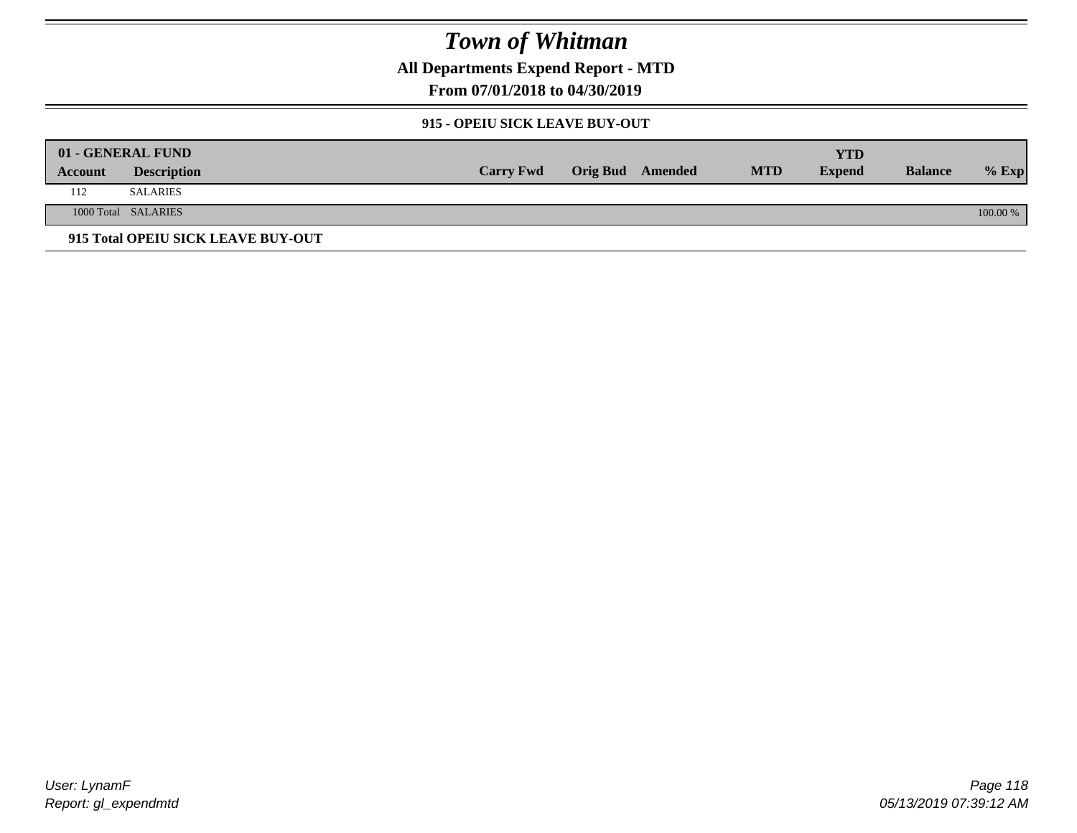**All Departments Expend Report - MTD**

**From 07/01/2018 to 04/30/2019**

#### **915 - OPEIU SICK LEAVE BUY-OUT**

|         | 01 - GENERAL FUND                  |                  |                         |            | YTD           |                |            |
|---------|------------------------------------|------------------|-------------------------|------------|---------------|----------------|------------|
| Account | <b>Description</b>                 | <b>Carry Fwd</b> | <b>Orig Bud</b> Amended | <b>MTD</b> | <b>Expend</b> | <b>Balance</b> | $%$ Exp    |
| 112     | <b>SALARIES</b>                    |                  |                         |            |               |                |            |
|         | 1000 Total SALARIES                |                  |                         |            |               |                | $100.00\%$ |
|         | 915 Total OPEIU SICK LEAVE BUY-OUT |                  |                         |            |               |                |            |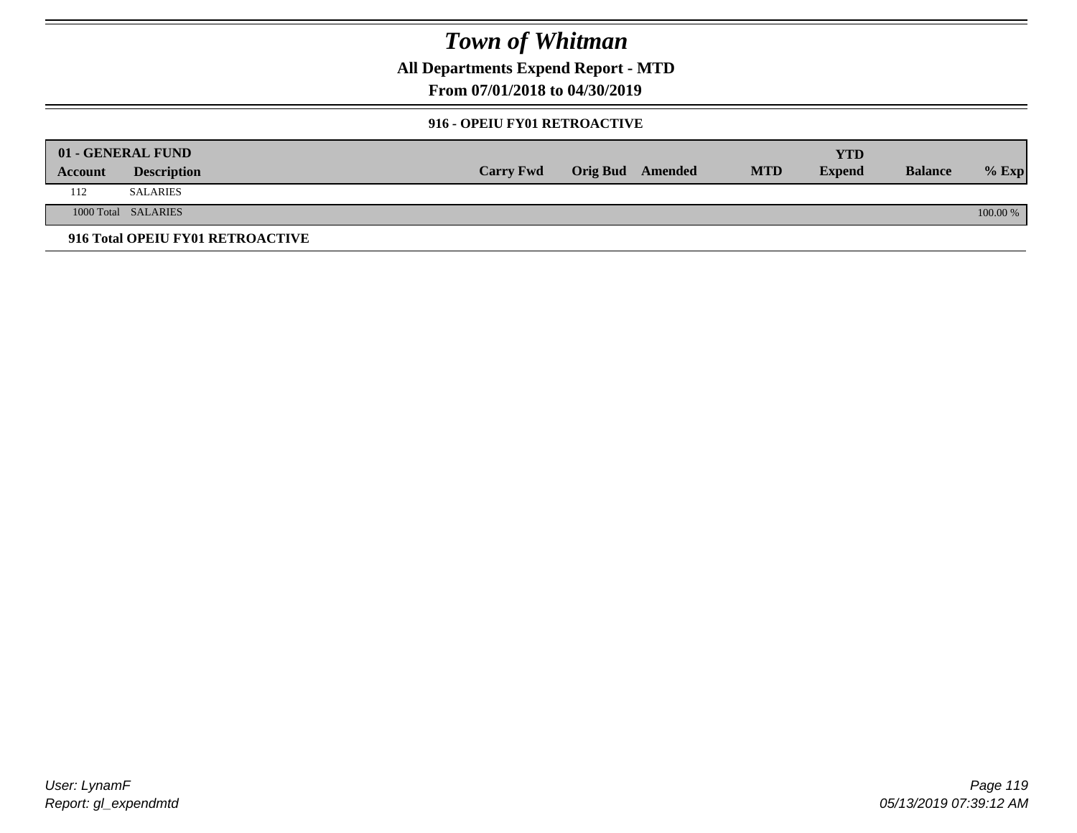**All Departments Expend Report - MTD**

**From 07/01/2018 to 04/30/2019**

#### **916 - OPEIU FY01 RETROACTIVE**

|         | 01 - GENERAL FUND                |                  |                         |            | YTD           |                |          |
|---------|----------------------------------|------------------|-------------------------|------------|---------------|----------------|----------|
| Account | <b>Description</b>               | <b>Carry Fwd</b> | <b>Orig Bud</b> Amended | <b>MTD</b> | <b>Expend</b> | <b>Balance</b> | $%$ Exp  |
| 112     | <b>SALARIES</b>                  |                  |                         |            |               |                |          |
|         | 1000 Total SALARIES              |                  |                         |            |               |                | 100.00 % |
|         | 916 Total OPEIU FY01 RETROACTIVE |                  |                         |            |               |                |          |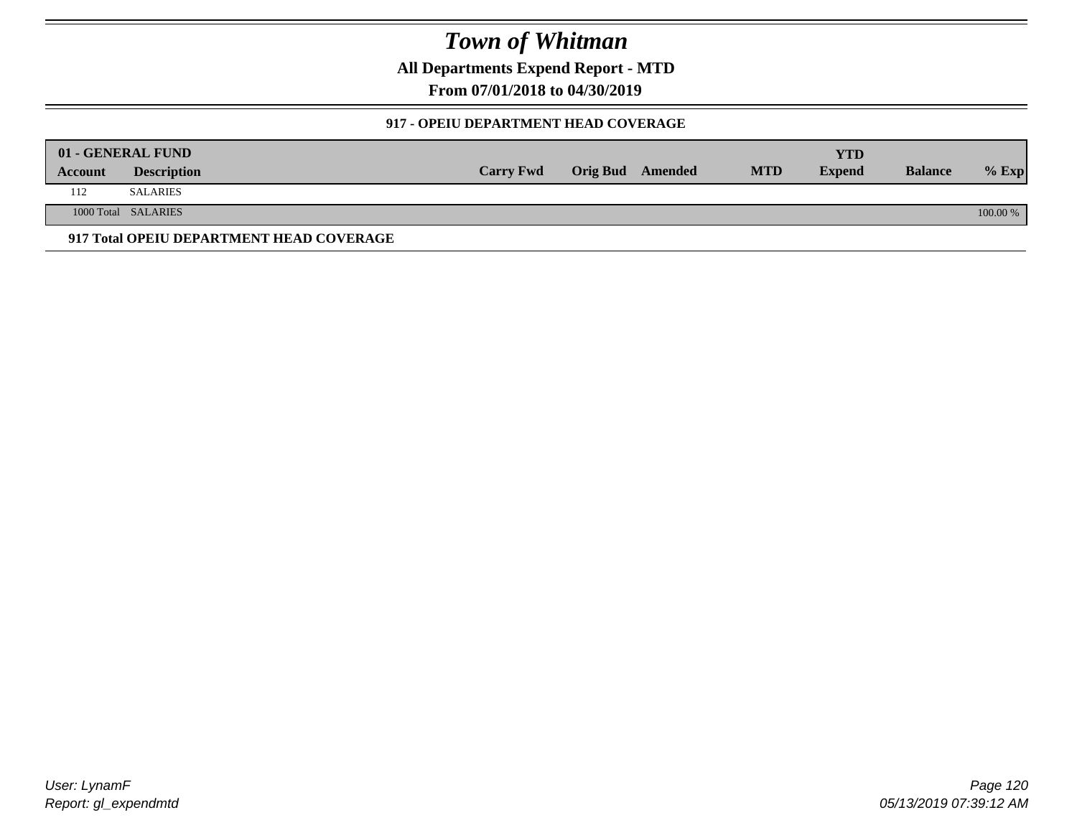**All Departments Expend Report - MTD**

**From 07/01/2018 to 04/30/2019**

#### **917 - OPEIU DEPARTMENT HEAD COVERAGE**

|         | 01 - GENERAL FUND                        |                  |                  |            | <b>YTD</b>    |                |          |
|---------|------------------------------------------|------------------|------------------|------------|---------------|----------------|----------|
| Account | <b>Description</b>                       | <b>Carry Fwd</b> | Orig Bud Amended | <b>MTD</b> | <b>Expend</b> | <b>Balance</b> | $%$ Exp  |
| 112     | SALARIES                                 |                  |                  |            |               |                |          |
|         | 1000 Total SALARIES                      |                  |                  |            |               |                | 100.00 % |
|         | 917 Total OPEIU DEPARTMENT HEAD COVERAGE |                  |                  |            |               |                |          |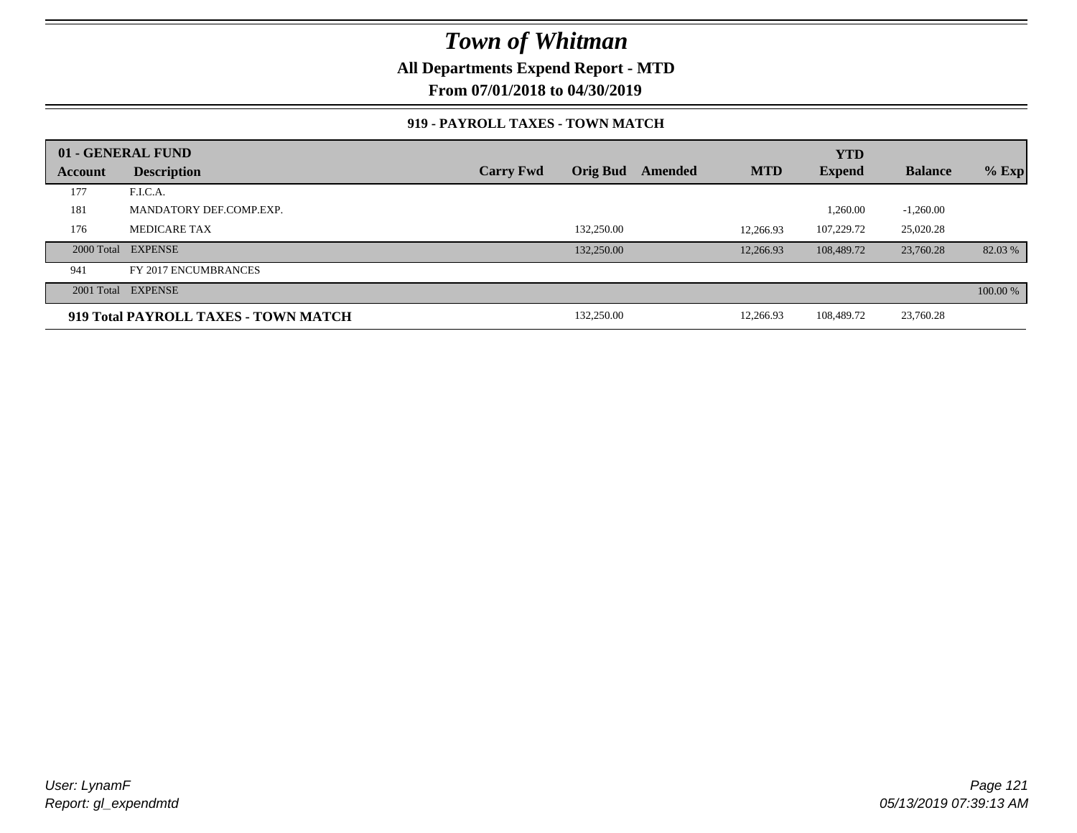### **All Departments Expend Report - MTD**

**From 07/01/2018 to 04/30/2019**

#### **919 - PAYROLL TAXES - TOWN MATCH**

|         | 01 - GENERAL FUND                    |                  |                 |         |            | <b>YTD</b>    |                |          |
|---------|--------------------------------------|------------------|-----------------|---------|------------|---------------|----------------|----------|
| Account | <b>Description</b>                   | <b>Carry Fwd</b> | <b>Orig Bud</b> | Amended | <b>MTD</b> | <b>Expend</b> | <b>Balance</b> | $%$ Exp  |
| 177     | F.I.C.A.                             |                  |                 |         |            |               |                |          |
| 181     | MANDATORY DEF.COMP.EXP.              |                  |                 |         |            | 1,260.00      | $-1,260.00$    |          |
| 176     | <b>MEDICARE TAX</b>                  |                  | 132,250.00      |         | 12.266.93  | 107.229.72    | 25,020.28      |          |
|         | 2000 Total EXPENSE                   |                  | 132,250.00      |         | 12.266.93  | 108,489.72    | 23,760.28      | 82.03 %  |
| 941     | FY 2017 ENCUMBRANCES                 |                  |                 |         |            |               |                |          |
|         | 2001 Total EXPENSE                   |                  |                 |         |            |               |                | 100.00 % |
|         | 919 Total PAYROLL TAXES - TOWN MATCH |                  | 132,250.00      |         | 12.266.93  | 108.489.72    | 23,760.28      |          |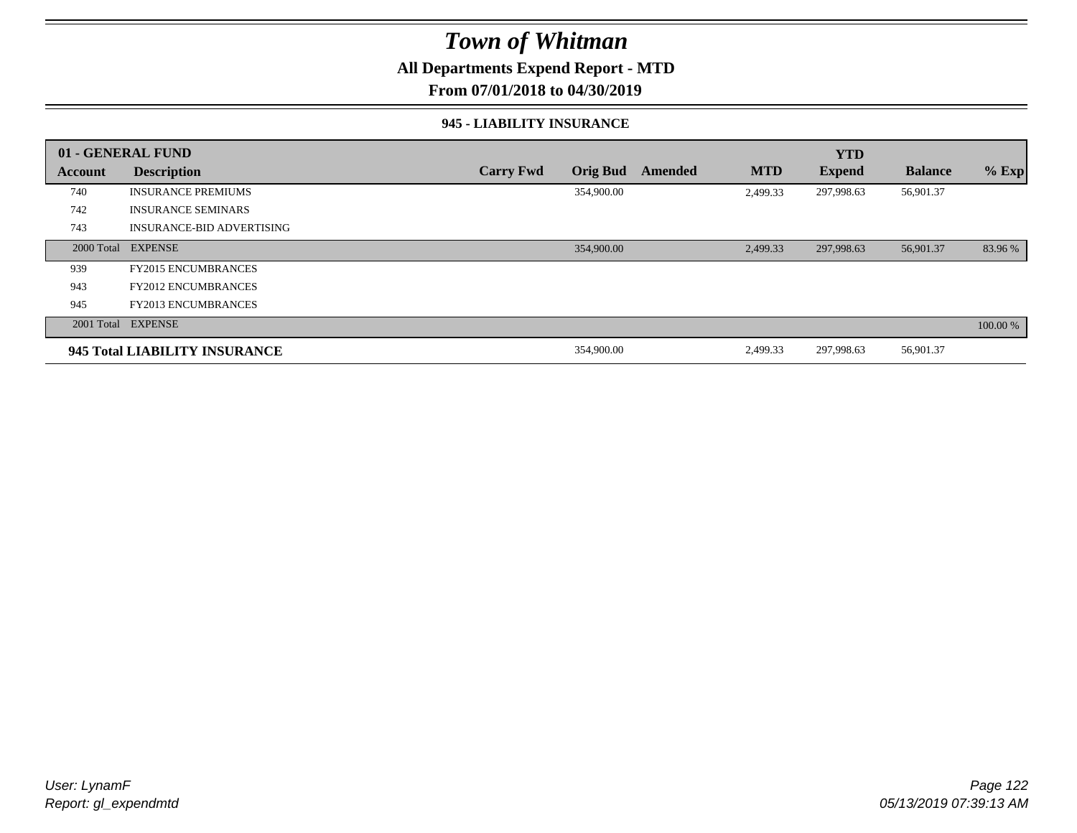### **All Departments Expend Report - MTD**

**From 07/01/2018 to 04/30/2019**

#### **945 - LIABILITY INSURANCE**

|         | 01 - GENERAL FUND                |                  |                 |         |            | <b>YTD</b>    |                |          |
|---------|----------------------------------|------------------|-----------------|---------|------------|---------------|----------------|----------|
| Account | <b>Description</b>               | <b>Carry Fwd</b> | <b>Orig Bud</b> | Amended | <b>MTD</b> | <b>Expend</b> | <b>Balance</b> | $%$ Exp  |
| 740     | <b>INSURANCE PREMIUMS</b>        |                  | 354,900.00      |         | 2,499.33   | 297,998.63    | 56,901.37      |          |
| 742     | <b>INSURANCE SEMINARS</b>        |                  |                 |         |            |               |                |          |
| 743     | <b>INSURANCE-BID ADVERTISING</b> |                  |                 |         |            |               |                |          |
|         | 2000 Total EXPENSE               |                  | 354,900.00      |         | 2,499.33   | 297,998.63    | 56,901.37      | 83.96 %  |
| 939     | <b>FY2015 ENCUMBRANCES</b>       |                  |                 |         |            |               |                |          |
| 943     | <b>FY2012 ENCUMBRANCES</b>       |                  |                 |         |            |               |                |          |
| 945     | <b>FY2013 ENCUMBRANCES</b>       |                  |                 |         |            |               |                |          |
|         | 2001 Total EXPENSE               |                  |                 |         |            |               |                | 100.00 % |
|         | 945 Total LIABILITY INSURANCE    |                  | 354,900.00      |         | 2,499.33   | 297,998.63    | 56,901.37      |          |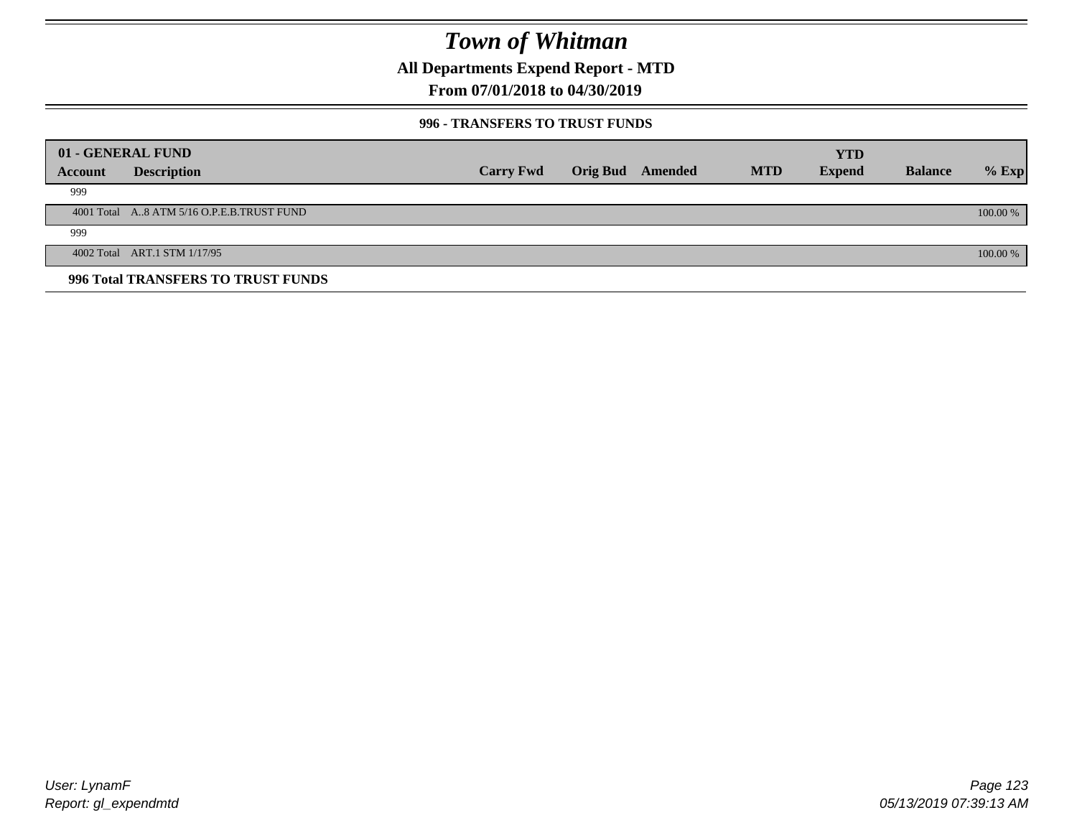**All Departments Expend Report - MTD**

### **From 07/01/2018 to 04/30/2019**

#### **996 - TRANSFERS TO TRUST FUNDS**

|         | 01 - GENERAL FUND                         |                  |                         |            | <b>YTD</b>    |                |          |
|---------|-------------------------------------------|------------------|-------------------------|------------|---------------|----------------|----------|
| Account | <b>Description</b>                        | <b>Carry Fwd</b> | <b>Orig Bud</b> Amended | <b>MTD</b> | <b>Expend</b> | <b>Balance</b> | $%$ Exp  |
| 999     |                                           |                  |                         |            |               |                |          |
|         | 4001 Total A8 ATM 5/16 O.P.E.B.TRUST FUND |                  |                         |            |               |                | 100.00 % |
| 999     |                                           |                  |                         |            |               |                |          |
|         | 4002 Total ART.1 STM 1/17/95              |                  |                         |            |               |                | 100.00 % |
|         | 996 Total TRANSFERS TO TRUST FUNDS        |                  |                         |            |               |                |          |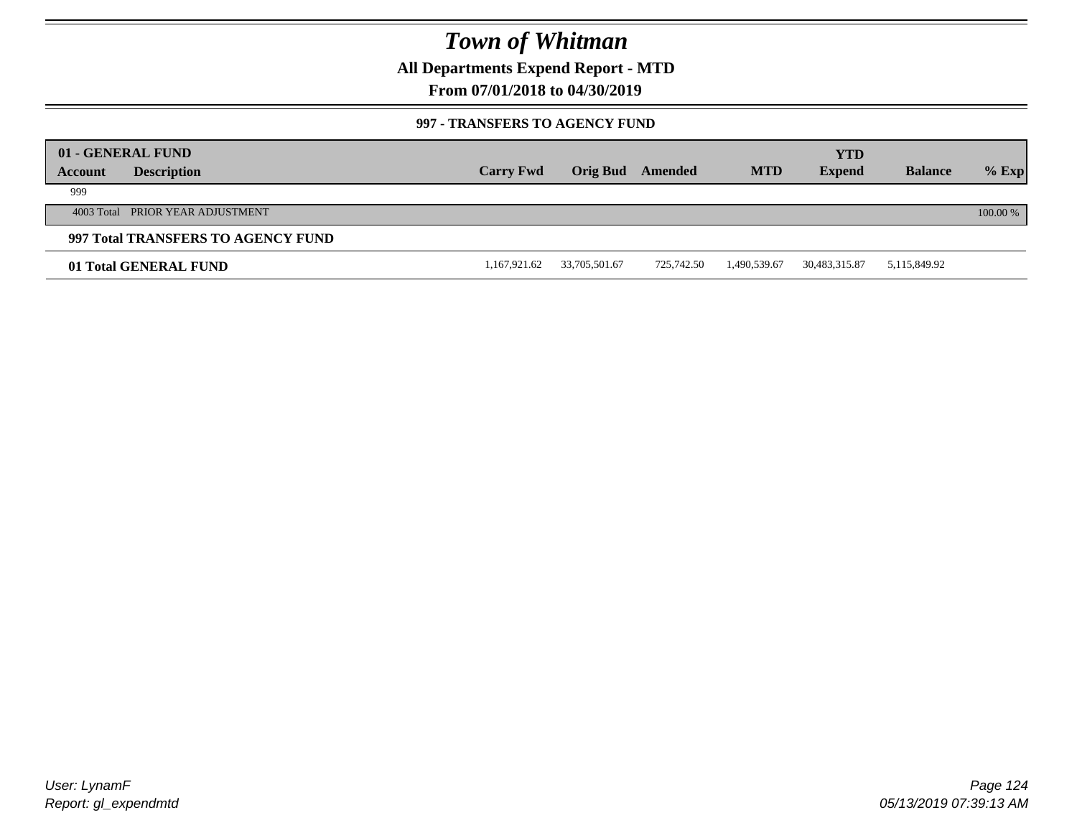**All Departments Expend Report - MTD**

**From 07/01/2018 to 04/30/2019**

#### **997 - TRANSFERS TO AGENCY FUND**

| Account | 01 - GENERAL FUND<br><b>Description</b> | <b>Carry Fwd</b> | <b>Orig Bud</b> | Amended    | <b>MTD</b>   | <b>YTD</b><br><b>Expend</b> | <b>Balance</b> | $%$ Exp  |
|---------|-----------------------------------------|------------------|-----------------|------------|--------------|-----------------------------|----------------|----------|
| 999     |                                         |                  |                 |            |              |                             |                |          |
|         | 4003 Total PRIOR YEAR ADJUSTMENT        |                  |                 |            |              |                             |                | 100.00 % |
|         | 997 Total TRANSFERS TO AGENCY FUND      |                  |                 |            |              |                             |                |          |
|         | 01 Total GENERAL FUND                   | 1,167,921.62     | 33,705,501.67   | 725.742.50 | 1,490,539.67 | 30,483,315.87               | 5,115,849.92   |          |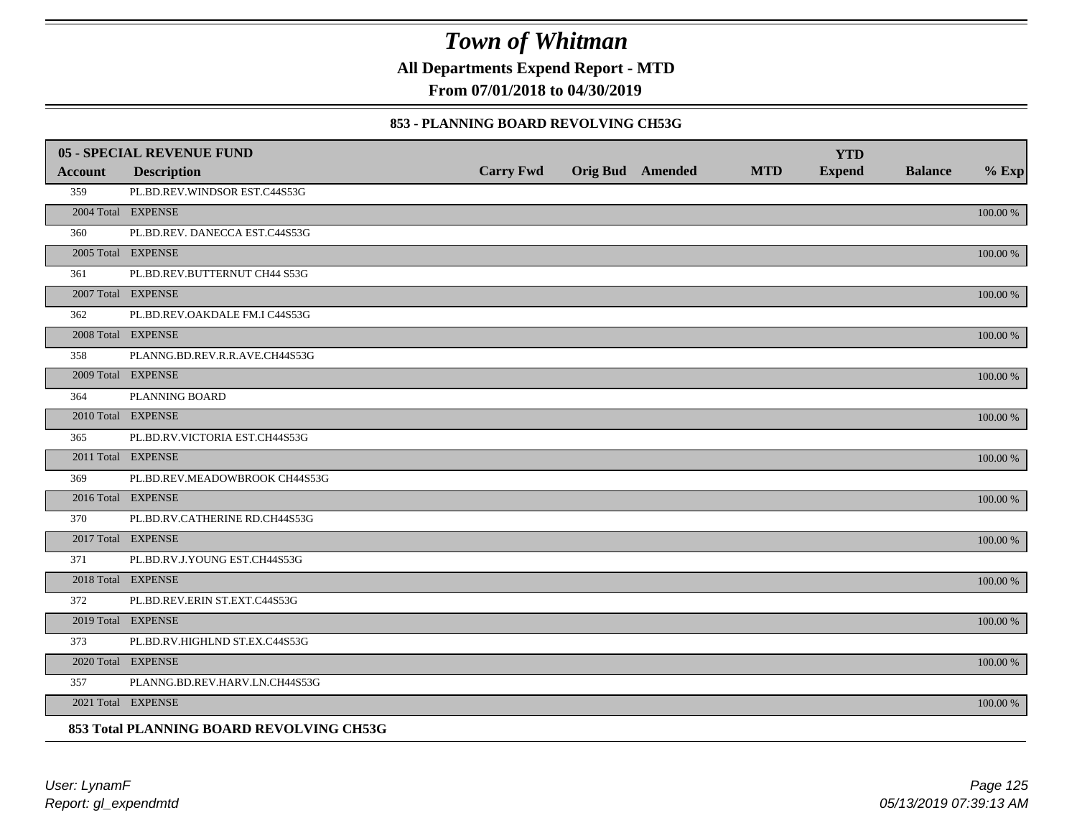**All Departments Expend Report - MTD**

**From 07/01/2018 to 04/30/2019**

#### **853 - PLANNING BOARD REVOLVING CH53G**

|         | <b>05 - SPECIAL REVENUE FUND</b>         |                  |                  |            | <b>YTD</b>    |                |             |
|---------|------------------------------------------|------------------|------------------|------------|---------------|----------------|-------------|
| Account | <b>Description</b>                       | <b>Carry Fwd</b> | Orig Bud Amended | <b>MTD</b> | <b>Expend</b> | <b>Balance</b> | $%$ Exp     |
| 359     | PL.BD.REV.WINDSOR EST.C44S53G            |                  |                  |            |               |                |             |
|         | 2004 Total EXPENSE                       |                  |                  |            |               |                | 100.00 %    |
| 360     | PL.BD.REV. DANECCA EST.C44S53G           |                  |                  |            |               |                |             |
|         | 2005 Total EXPENSE                       |                  |                  |            |               |                | 100.00 %    |
| 361     | PL.BD.REV.BUTTERNUT CH44 S53G            |                  |                  |            |               |                |             |
|         | 2007 Total EXPENSE                       |                  |                  |            |               |                | 100.00 %    |
| 362     | PL.BD.REV.OAKDALE FM.I C44S53G           |                  |                  |            |               |                |             |
|         | 2008 Total EXPENSE                       |                  |                  |            |               |                | $100.00~\%$ |
| 358     | PLANNG.BD.REV.R.R.AVE.CH44S53G           |                  |                  |            |               |                |             |
|         | 2009 Total EXPENSE                       |                  |                  |            |               |                | 100.00 %    |
| 364     | PLANNING BOARD                           |                  |                  |            |               |                |             |
|         | 2010 Total EXPENSE                       |                  |                  |            |               |                | $100.00~\%$ |
| 365     | PL.BD.RV.VICTORIA EST.CH44S53G           |                  |                  |            |               |                |             |
|         | 2011 Total EXPENSE                       |                  |                  |            |               |                | 100.00 %    |
| 369     | PL.BD.REV.MEADOWBROOK CH44S53G           |                  |                  |            |               |                |             |
|         | 2016 Total EXPENSE                       |                  |                  |            |               |                | 100.00 %    |
| 370     | PL.BD.RV.CATHERINE RD.CH44S53G           |                  |                  |            |               |                |             |
|         | 2017 Total EXPENSE                       |                  |                  |            |               |                | 100.00 %    |
| 371     | PL.BD.RV.J.YOUNG EST.CH44S53G            |                  |                  |            |               |                |             |
|         | 2018 Total EXPENSE                       |                  |                  |            |               |                | $100.00~\%$ |
| 372     | PL.BD.REV.ERIN ST.EXT.C44S53G            |                  |                  |            |               |                |             |
|         | 2019 Total EXPENSE                       |                  |                  |            |               |                | 100.00 %    |
| 373     | PL.BD.RV.HIGHLND ST.EX.C44S53G           |                  |                  |            |               |                |             |
|         | 2020 Total EXPENSE                       |                  |                  |            |               |                | 100.00 %    |
| 357     | PLANNG.BD.REV.HARV.LN.CH44S53G           |                  |                  |            |               |                |             |
|         | 2021 Total EXPENSE                       |                  |                  |            |               |                | 100.00 %    |
|         | 853 Total PLANNING BOARD REVOLVING CH53G |                  |                  |            |               |                |             |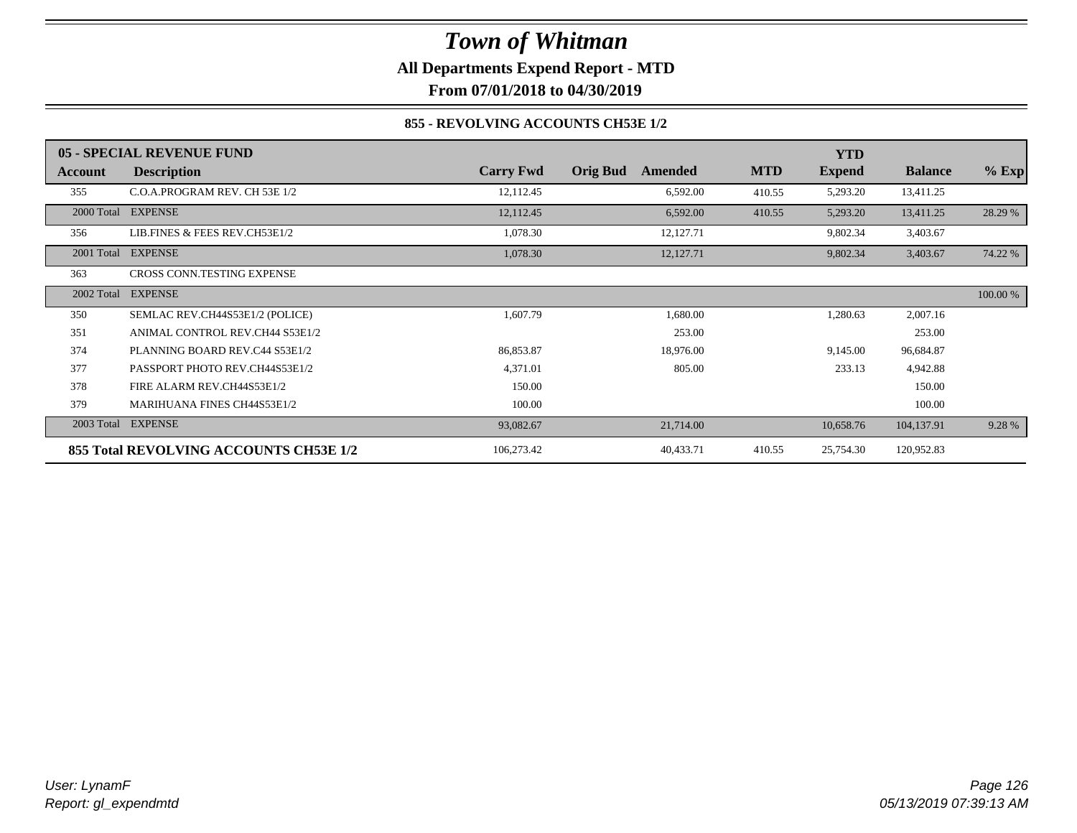### *Town of Whitman* **All Departments Expend Report - MTD**

**From 07/01/2018 to 04/30/2019**

#### **855 - REVOLVING ACCOUNTS CH53E 1/2**

|            | 05 - SPECIAL REVENUE FUND              |                  |                            |            | <b>YTD</b>    |                |          |
|------------|----------------------------------------|------------------|----------------------------|------------|---------------|----------------|----------|
| Account    | <b>Description</b>                     | <b>Carry Fwd</b> | <b>Orig Bud</b><br>Amended | <b>MTD</b> | <b>Expend</b> | <b>Balance</b> | $%$ Exp  |
| 355        | C.O.A.PROGRAM REV. CH 53E 1/2          | 12,112.45        | 6,592.00                   | 410.55     | 5,293.20      | 13,411.25      |          |
|            | 2000 Total EXPENSE                     | 12,112.45        | 6,592.00                   | 410.55     | 5,293.20      | 13,411.25      | 28.29 %  |
| 356        | LIB.FINES & FEES REV.CH53E1/2          | 1,078.30         | 12,127.71                  |            | 9,802.34      | 3,403.67       |          |
|            | 2001 Total EXPENSE                     | 1,078.30         | 12,127.71                  |            | 9,802.34      | 3,403.67       | 74.22 %  |
| 363        | CROSS CONN.TESTING EXPENSE             |                  |                            |            |               |                |          |
| 2002 Total | <b>EXPENSE</b>                         |                  |                            |            |               |                | 100.00 % |
| 350        | SEMLAC REV.CH44S53E1/2 (POLICE)        | 1,607.79         | 1,680.00                   |            | 1,280.63      | 2,007.16       |          |
| 351        | ANIMAL CONTROL REV.CH44 S53E1/2        |                  | 253.00                     |            |               | 253.00         |          |
| 374        | PLANNING BOARD REV.C44 S53E1/2         | 86,853.87        | 18,976.00                  |            | 9,145.00      | 96,684.87      |          |
| 377        | PASSPORT PHOTO REV.CH44S53E1/2         | 4,371.01         | 805.00                     |            | 233.13        | 4,942.88       |          |
| 378        | FIRE ALARM REV.CH44S53E1/2             | 150.00           |                            |            |               | 150.00         |          |
| 379        | <b>MARIHUANA FINES CH44S53E1/2</b>     | 100.00           |                            |            |               | 100.00         |          |
| 2003 Total | <b>EXPENSE</b>                         | 93,082.67        | 21,714.00                  |            | 10,658.76     | 104,137.91     | 9.28 %   |
|            | 855 Total REVOLVING ACCOUNTS CH53E 1/2 | 106,273.42       | 40,433.71                  | 410.55     | 25,754.30     | 120,952.83     |          |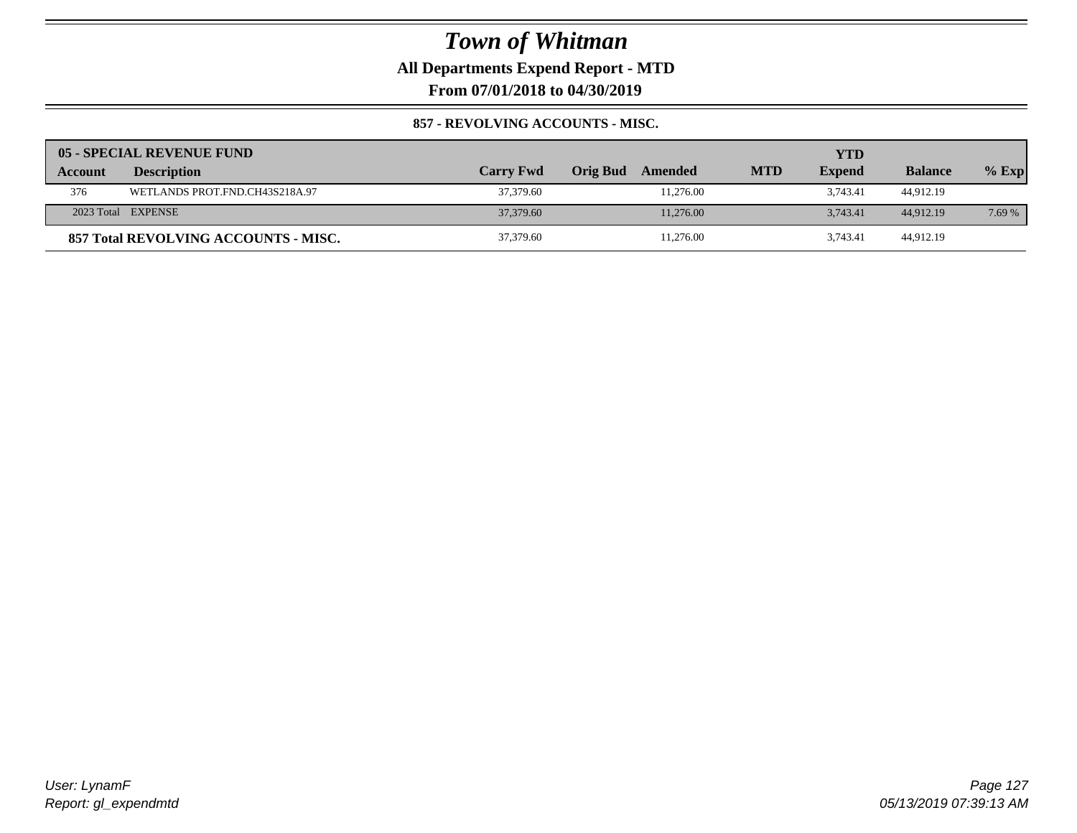**All Departments Expend Report - MTD**

**From 07/01/2018 to 04/30/2019**

#### **857 - REVOLVING ACCOUNTS - MISC.**

|         | 05 - SPECIAL REVENUE FUND            |                  |                     |            | YTD           |                |         |
|---------|--------------------------------------|------------------|---------------------|------------|---------------|----------------|---------|
| Account | <b>Description</b>                   | <b>Carry Fwd</b> | Orig Bud<br>Amended | <b>MTD</b> | <b>Expend</b> | <b>Balance</b> | $%$ Exp |
| 376     | WETLANDS PROT.FND.CH43S218A.97       | 37,379.60        | 11.276.00           |            | 3.743.41      | 44.912.19      |         |
|         | 2023 Total EXPENSE                   | 37,379.60        | 11,276.00           |            | 3.743.41      | 44,912.19      | 7.69 %  |
|         | 857 Total REVOLVING ACCOUNTS - MISC. | 37,379.60        | 11,276.00           |            | 3.743.41      | 44.912.19      |         |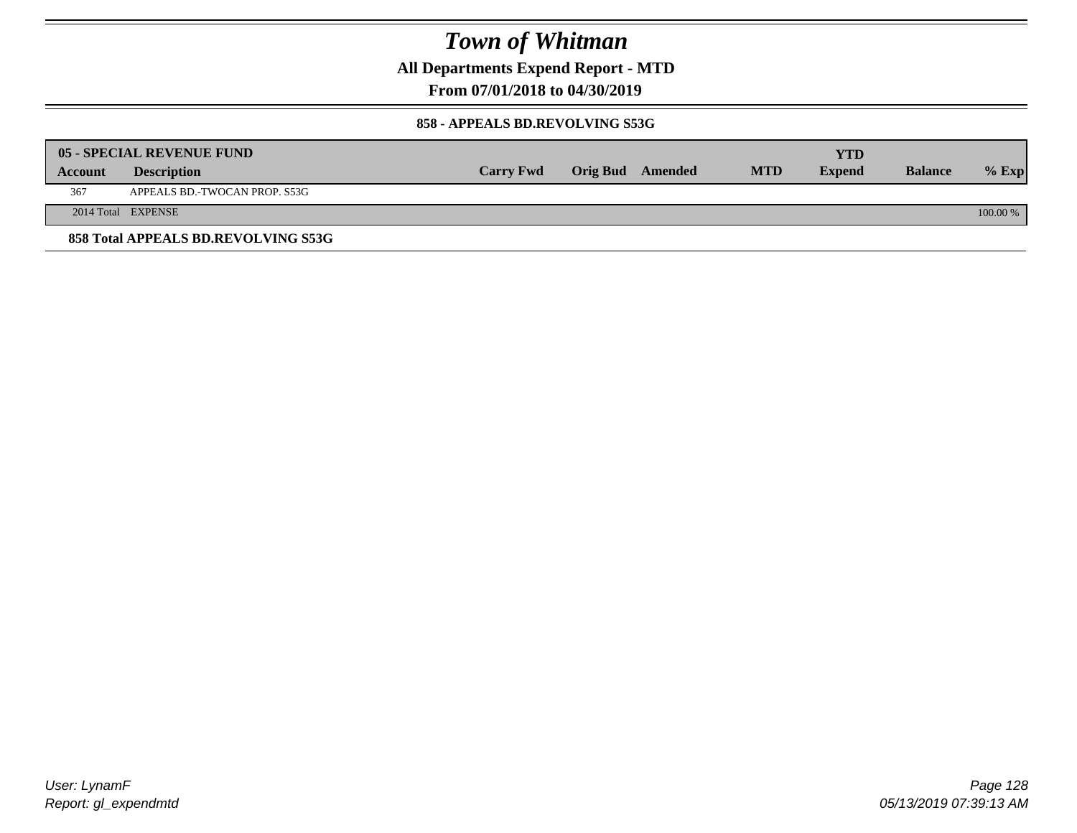**All Departments Expend Report - MTD**

**From 07/01/2018 to 04/30/2019**

#### **858 - APPEALS BD.REVOLVING S53G**

|         | 05 - SPECIAL REVENUE FUND           |                  |                  |            | YTD           |                |            |
|---------|-------------------------------------|------------------|------------------|------------|---------------|----------------|------------|
| Account | <b>Description</b>                  | <b>Carry Fwd</b> | Orig Bud Amended | <b>MTD</b> | <b>Expend</b> | <b>Balance</b> | $\%$ Exp   |
| 367     | APPEALS BD.-TWOCAN PROP. S53G       |                  |                  |            |               |                |            |
|         | 2014 Total EXPENSE                  |                  |                  |            |               |                | $100.00\%$ |
|         | 858 Total APPEALS BD.REVOLVING S53G |                  |                  |            |               |                |            |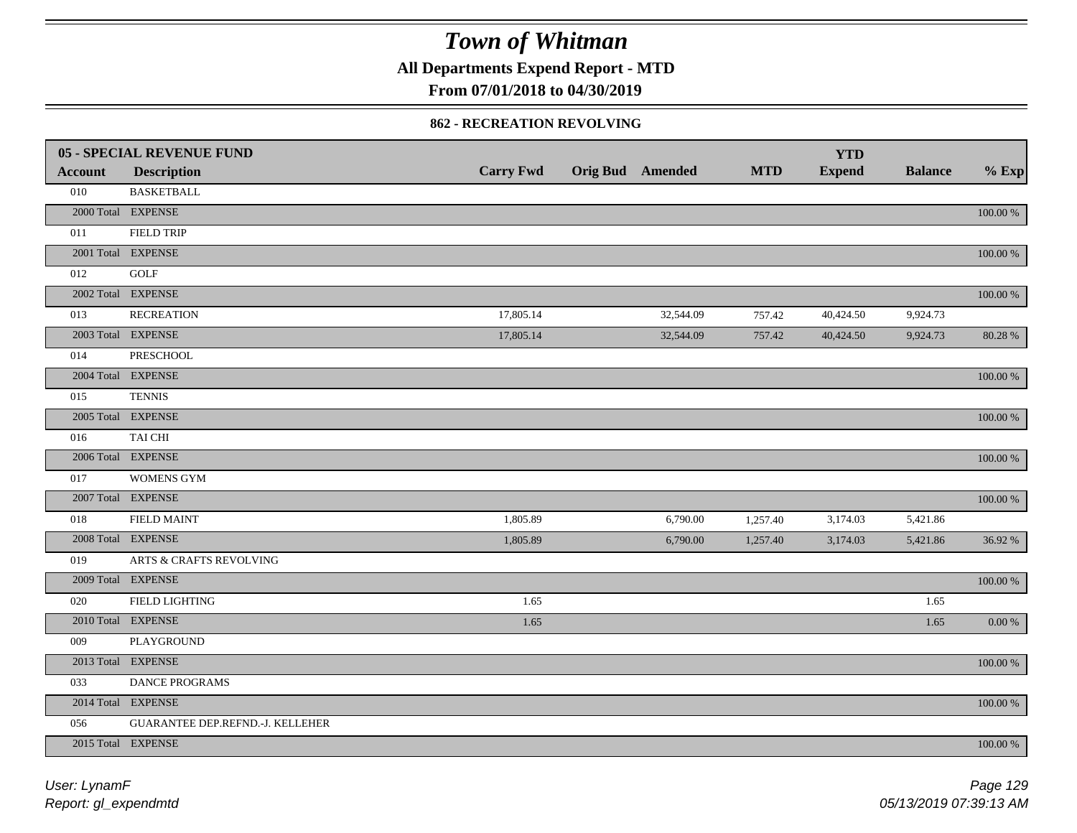**All Departments Expend Report - MTD**

### **From 07/01/2018 to 04/30/2019**

#### **862 - RECREATION REVOLVING**

|                | <b>05 - SPECIAL REVENUE FUND</b>   |                  |                  |            | <b>YTD</b>    |                |             |
|----------------|------------------------------------|------------------|------------------|------------|---------------|----------------|-------------|
| <b>Account</b> | <b>Description</b>                 | <b>Carry Fwd</b> | Orig Bud Amended | <b>MTD</b> | <b>Expend</b> | <b>Balance</b> | $%$ Exp     |
| 010            | <b>BASKETBALL</b>                  |                  |                  |            |               |                |             |
|                | 2000 Total EXPENSE                 |                  |                  |            |               |                | $100.00~\%$ |
| 011            | <b>FIELD TRIP</b>                  |                  |                  |            |               |                |             |
|                | 2001 Total EXPENSE                 |                  |                  |            |               |                | 100.00 %    |
| 012            | GOLF                               |                  |                  |            |               |                |             |
|                | 2002 Total EXPENSE                 |                  |                  |            |               |                | 100.00 %    |
| 013            | <b>RECREATION</b>                  | 17,805.14        | 32,544.09        | 757.42     | 40,424.50     | 9,924.73       |             |
|                | 2003 Total EXPENSE                 | 17,805.14        | 32,544.09        | 757.42     | 40,424.50     | 9,924.73       | 80.28 %     |
| 014            | PRESCHOOL                          |                  |                  |            |               |                |             |
|                | 2004 Total EXPENSE                 |                  |                  |            |               |                | 100.00 %    |
| 015            | <b>TENNIS</b>                      |                  |                  |            |               |                |             |
|                | 2005 Total EXPENSE                 |                  |                  |            |               |                | 100.00 %    |
| 016            | TAI CHI                            |                  |                  |            |               |                |             |
|                | 2006 Total EXPENSE                 |                  |                  |            |               |                | 100.00 %    |
| 017            | <b>WOMENS GYM</b>                  |                  |                  |            |               |                |             |
|                | 2007 Total EXPENSE                 |                  |                  |            |               |                | $100.00~\%$ |
| 018            | <b>FIELD MAINT</b>                 | 1,805.89         | 6,790.00         | 1,257.40   | 3,174.03      | 5,421.86       |             |
|                | 2008 Total EXPENSE                 | 1,805.89         | 6,790.00         | 1,257.40   | 3,174.03      | 5,421.86       | 36.92 %     |
| 019            | <b>ARTS &amp; CRAFTS REVOLVING</b> |                  |                  |            |               |                |             |
|                | 2009 Total EXPENSE                 |                  |                  |            |               |                | $100.00~\%$ |
| 020            | FIELD LIGHTING                     | 1.65             |                  |            |               | 1.65           |             |
|                | 2010 Total EXPENSE                 | 1.65             |                  |            |               | 1.65           | $0.00\,\%$  |
| 009            | PLAYGROUND                         |                  |                  |            |               |                |             |
|                | 2013 Total EXPENSE                 |                  |                  |            |               |                | $100.00~\%$ |
| 033            | DANCE PROGRAMS                     |                  |                  |            |               |                |             |
|                | 2014 Total EXPENSE                 |                  |                  |            |               |                | 100.00 %    |
| 056            | GUARANTEE DEP.REFND.-J. KELLEHER   |                  |                  |            |               |                |             |
|                | 2015 Total EXPENSE                 |                  |                  |            |               |                | 100.00 %    |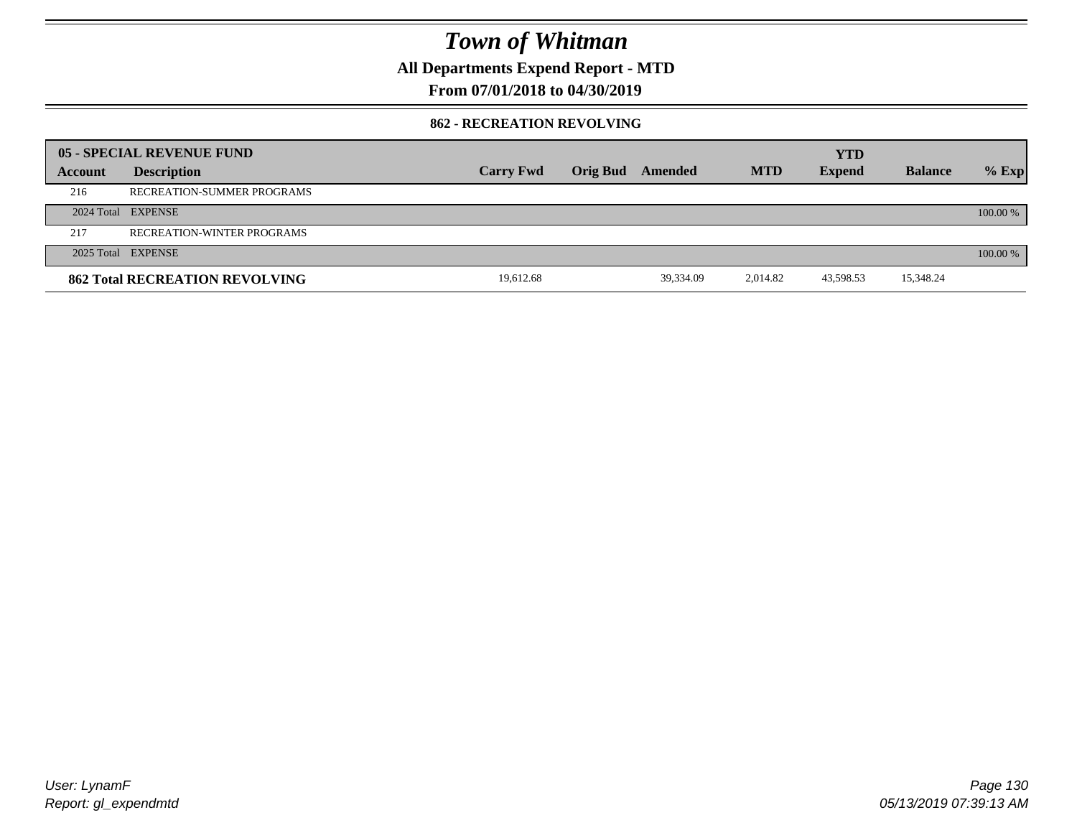**All Departments Expend Report - MTD**

### **From 07/01/2018 to 04/30/2019**

#### **862 - RECREATION REVOLVING**

|         | 05 - SPECIAL REVENUE FUND             |                  |                 |           |            | <b>YTD</b>    |                |            |
|---------|---------------------------------------|------------------|-----------------|-----------|------------|---------------|----------------|------------|
| Account | <b>Description</b>                    | <b>Carry Fwd</b> | <b>Orig Bud</b> | Amended   | <b>MTD</b> | <b>Expend</b> | <b>Balance</b> | $%$ Exp    |
| 216     | RECREATION-SUMMER PROGRAMS            |                  |                 |           |            |               |                |            |
|         | 2024 Total EXPENSE                    |                  |                 |           |            |               |                | $100.00\%$ |
| 217     | RECREATION-WINTER PROGRAMS            |                  |                 |           |            |               |                |            |
|         | 2025 Total EXPENSE                    |                  |                 |           |            |               |                | $100.00\%$ |
|         | <b>862 Total RECREATION REVOLVING</b> | 19.612.68        |                 | 39.334.09 | 2.014.82   | 43,598.53     | 15,348.24      |            |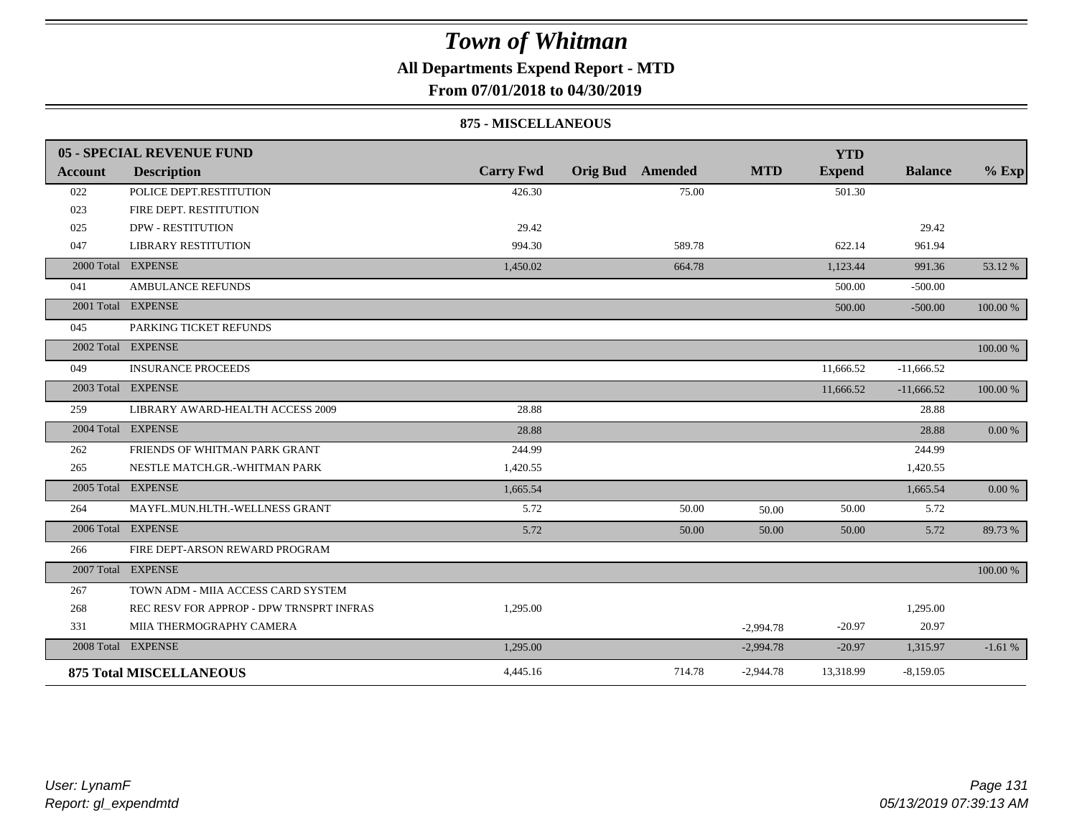### **All Departments Expend Report - MTD**

**From 07/01/2018 to 04/30/2019**

#### **875 - MISCELLANEOUS**

|                | 05 - SPECIAL REVENUE FUND                |                  |                         |        |             | <b>YTD</b>    |                |          |
|----------------|------------------------------------------|------------------|-------------------------|--------|-------------|---------------|----------------|----------|
| <b>Account</b> | <b>Description</b>                       | <b>Carry Fwd</b> | <b>Orig Bud</b> Amended |        | <b>MTD</b>  | <b>Expend</b> | <b>Balance</b> | $%$ Exp  |
| 022            | POLICE DEPT.RESTITUTION                  | 426.30           |                         | 75.00  |             | 501.30        |                |          |
| 023            | FIRE DEPT. RESTITUTION                   |                  |                         |        |             |               |                |          |
| 025            | <b>DPW - RESTITUTION</b>                 | 29.42            |                         |        |             |               | 29.42          |          |
| 047            | <b>LIBRARY RESTITUTION</b>               | 994.30           |                         | 589.78 |             | 622.14        | 961.94         |          |
|                | 2000 Total EXPENSE                       | 1,450.02         |                         | 664.78 |             | 1,123.44      | 991.36         | 53.12 %  |
| 041            | <b>AMBULANCE REFUNDS</b>                 |                  |                         |        |             | 500.00        | $-500.00$      |          |
|                | 2001 Total EXPENSE                       |                  |                         |        |             | 500.00        | $-500.00$      | 100.00 % |
| 045            | PARKING TICKET REFUNDS                   |                  |                         |        |             |               |                |          |
|                | 2002 Total EXPENSE                       |                  |                         |        |             |               |                | 100.00 % |
| 049            | <b>INSURANCE PROCEEDS</b>                |                  |                         |        |             | 11,666.52     | $-11,666.52$   |          |
| 2003 Total     | <b>EXPENSE</b>                           |                  |                         |        |             | 11,666.52     | $-11,666.52$   | 100.00 % |
| 259            | LIBRARY AWARD-HEALTH ACCESS 2009         | 28.88            |                         |        |             |               | 28.88          |          |
|                | 2004 Total EXPENSE                       | 28.88            |                         |        |             |               | 28.88          | 0.00 %   |
| 262            | FRIENDS OF WHITMAN PARK GRANT            | 244.99           |                         |        |             |               | 244.99         |          |
| 265            | NESTLE MATCH.GR.-WHITMAN PARK            | 1,420.55         |                         |        |             |               | 1,420.55       |          |
|                | 2005 Total EXPENSE                       | 1,665.54         |                         |        |             |               | 1,665.54       | 0.00 %   |
| 264            | MAYFL.MUN.HLTH.-WELLNESS GRANT           | 5.72             |                         | 50.00  | 50.00       | 50.00         | 5.72           |          |
|                | 2006 Total EXPENSE                       | 5.72             |                         | 50.00  | 50.00       | 50.00         | 5.72           | 89.73%   |
| 266            | FIRE DEPT-ARSON REWARD PROGRAM           |                  |                         |        |             |               |                |          |
|                | 2007 Total EXPENSE                       |                  |                         |        |             |               |                | 100.00 % |
| 267            | TOWN ADM - MIIA ACCESS CARD SYSTEM       |                  |                         |        |             |               |                |          |
| 268            | REC RESV FOR APPROP - DPW TRNSPRT INFRAS | 1,295.00         |                         |        |             |               | 1,295.00       |          |
| 331            | MIIA THERMOGRAPHY CAMERA                 |                  |                         |        | $-2,994.78$ | $-20.97$      | 20.97          |          |
|                | 2008 Total EXPENSE                       | 1,295.00         |                         |        | $-2,994.78$ | $-20.97$      | 1,315.97       | $-1.61%$ |
|                | <b>875 Total MISCELLANEOUS</b>           | 4,445.16         |                         | 714.78 | $-2,944.78$ | 13,318.99     | $-8,159.05$    |          |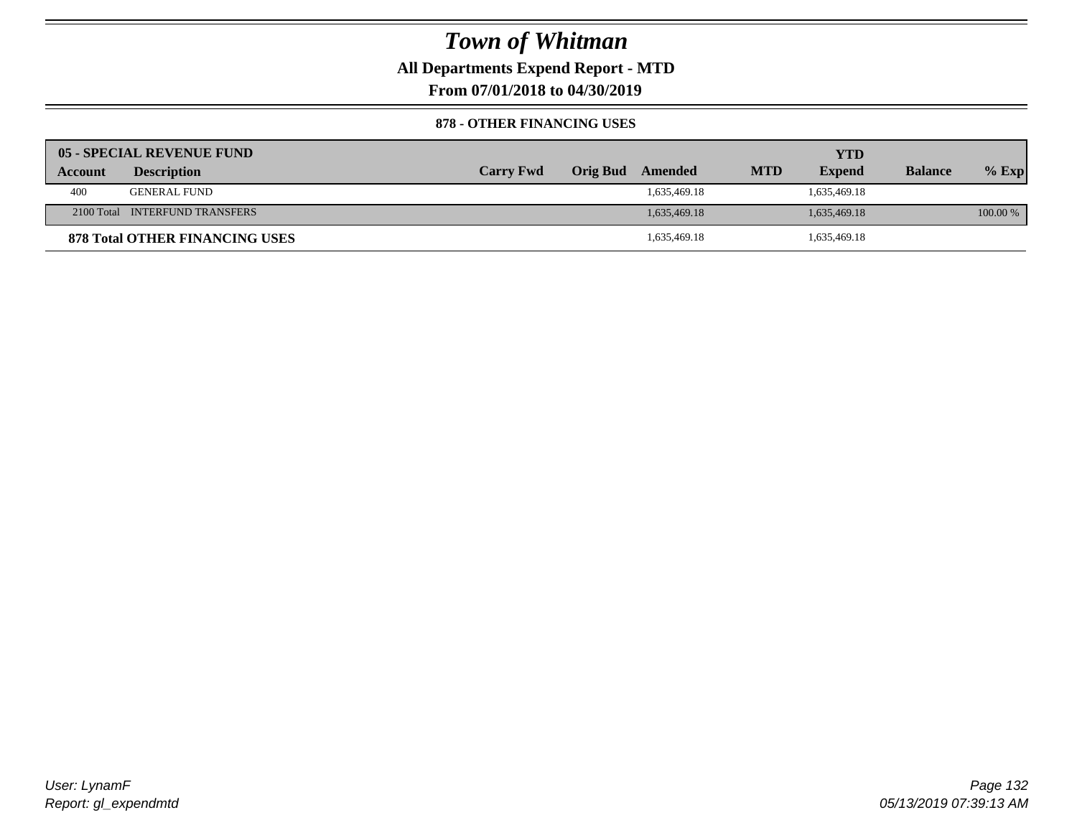**All Departments Expend Report - MTD**

**From 07/01/2018 to 04/30/2019**

#### **878 - OTHER FINANCING USES**

|         | 05 - SPECIAL REVENUE FUND             |                  |                 |              |            | YTD           |                |            |
|---------|---------------------------------------|------------------|-----------------|--------------|------------|---------------|----------------|------------|
| Account | <b>Description</b>                    | <b>Carry Fwd</b> | <b>Orig Bud</b> | Amended      | <b>MTD</b> | <b>Expend</b> | <b>Balance</b> | $%$ Exp    |
| 400     | <b>GENERAL FUND</b>                   |                  |                 | 1,635,469.18 |            | 1,635,469.18  |                |            |
|         | 2100 Total INTERFUND TRANSFERS        |                  |                 | 1,635,469.18 |            | 1,635,469.18  |                | $100.00\%$ |
|         | <b>878 Total OTHER FINANCING USES</b> |                  |                 | 1,635,469.18 |            | 1,635,469.18  |                |            |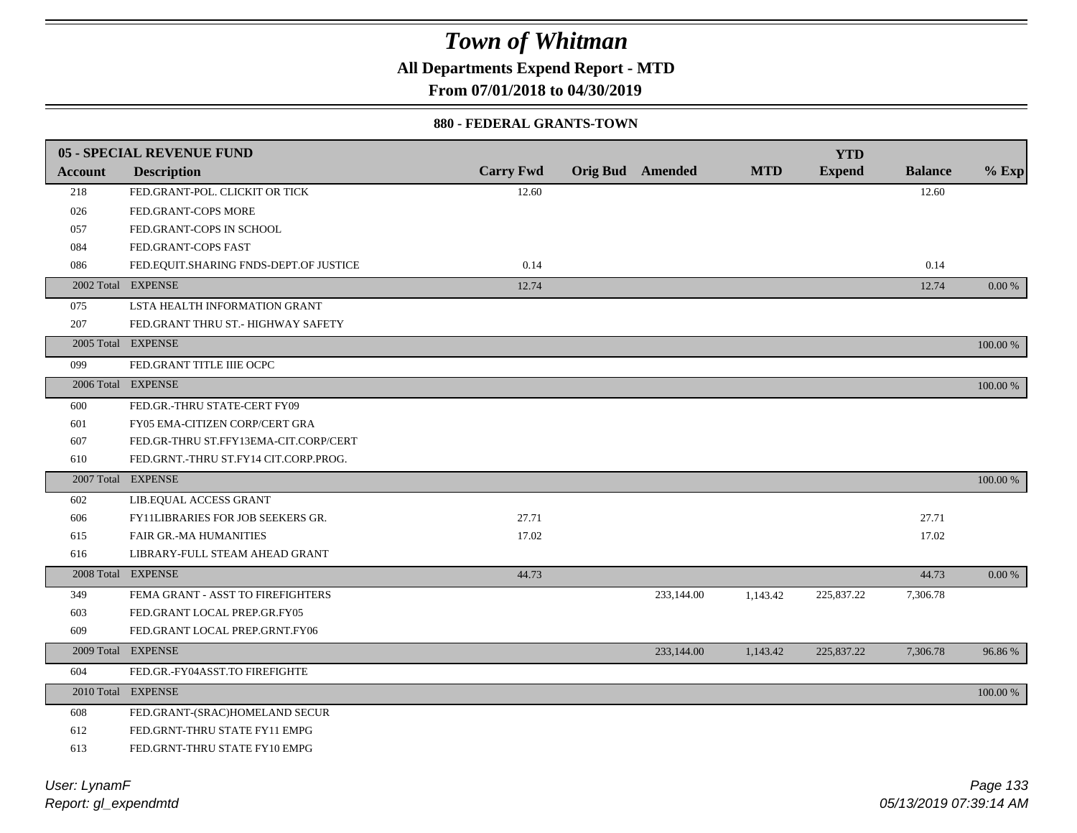**All Departments Expend Report - MTD**

**From 07/01/2018 to 04/30/2019**

#### **880 - FEDERAL GRANTS-TOWN**

|                | <b>05 - SPECIAL REVENUE FUND</b>       |                  |                  |            | <b>YTD</b>    |                |            |
|----------------|----------------------------------------|------------------|------------------|------------|---------------|----------------|------------|
| <b>Account</b> | <b>Description</b>                     | <b>Carry Fwd</b> | Orig Bud Amended | <b>MTD</b> | <b>Expend</b> | <b>Balance</b> | $%$ Exp    |
| 218            | FED.GRANT-POL. CLICKIT OR TICK         | 12.60            |                  |            |               | 12.60          |            |
| 026            | FED.GRANT-COPS MORE                    |                  |                  |            |               |                |            |
| 057            | FED.GRANT-COPS IN SCHOOL               |                  |                  |            |               |                |            |
| 084            | FED.GRANT-COPS FAST                    |                  |                  |            |               |                |            |
| 086            | FED.EQUIT.SHARING FNDS-DEPT.OF JUSTICE | 0.14             |                  |            |               | 0.14           |            |
|                | 2002 Total EXPENSE                     | 12.74            |                  |            |               | 12.74          | 0.00 %     |
| 075            | LSTA HEALTH INFORMATION GRANT          |                  |                  |            |               |                |            |
| 207            | FED.GRANT THRU ST.- HIGHWAY SAFETY     |                  |                  |            |               |                |            |
|                | 2005 Total EXPENSE                     |                  |                  |            |               |                | 100.00 %   |
| 099            | FED.GRANT TITLE IIIE OCPC              |                  |                  |            |               |                |            |
|                | 2006 Total EXPENSE                     |                  |                  |            |               |                | $100.00\%$ |
| 600            | FED.GR.-THRU STATE-CERT FY09           |                  |                  |            |               |                |            |
| 601            | FY05 EMA-CITIZEN CORP/CERT GRA         |                  |                  |            |               |                |            |
| 607            | FED.GR-THRU ST.FFY13EMA-CIT.CORP/CERT  |                  |                  |            |               |                |            |
| 610            | FED.GRNT.-THRU ST.FY14 CIT.CORP.PROG.  |                  |                  |            |               |                |            |
|                | 2007 Total EXPENSE                     |                  |                  |            |               |                | 100.00 %   |
| 602            | LIB.EQUAL ACCESS GRANT                 |                  |                  |            |               |                |            |
| 606            | FY11LIBRARIES FOR JOB SEEKERS GR.      | 27.71            |                  |            |               | 27.71          |            |
| 615            | <b>FAIR GR.-MA HUMANITIES</b>          | 17.02            |                  |            |               | 17.02          |            |
| 616            | LIBRARY-FULL STEAM AHEAD GRANT         |                  |                  |            |               |                |            |
|                | 2008 Total EXPENSE                     | 44.73            |                  |            |               | 44.73          | 0.00 %     |
| 349            | FEMA GRANT - ASST TO FIREFIGHTERS      |                  | 233,144.00       | 1,143.42   | 225,837.22    | 7,306.78       |            |
| 603            | FED.GRANT LOCAL PREP.GR.FY05           |                  |                  |            |               |                |            |
| 609            | FED.GRANT LOCAL PREP.GRNT.FY06         |                  |                  |            |               |                |            |
|                | 2009 Total EXPENSE                     |                  | 233,144.00       | 1,143.42   | 225,837.22    | 7,306.78       | 96.86%     |
| 604            | FED.GR.-FY04ASST.TO FIREFIGHTE         |                  |                  |            |               |                |            |
|                | 2010 Total EXPENSE                     |                  |                  |            |               |                | 100.00 %   |
| 608            | FED.GRANT-(SRAC)HOMELAND SECUR         |                  |                  |            |               |                |            |
| 612            | FED.GRNT-THRU STATE FY11 EMPG          |                  |                  |            |               |                |            |
| 613            | FED.GRNT-THRU STATE FY10 EMPG          |                  |                  |            |               |                |            |
|                |                                        |                  |                  |            |               |                |            |

*Report: gl\_expendmtd User: LynamF*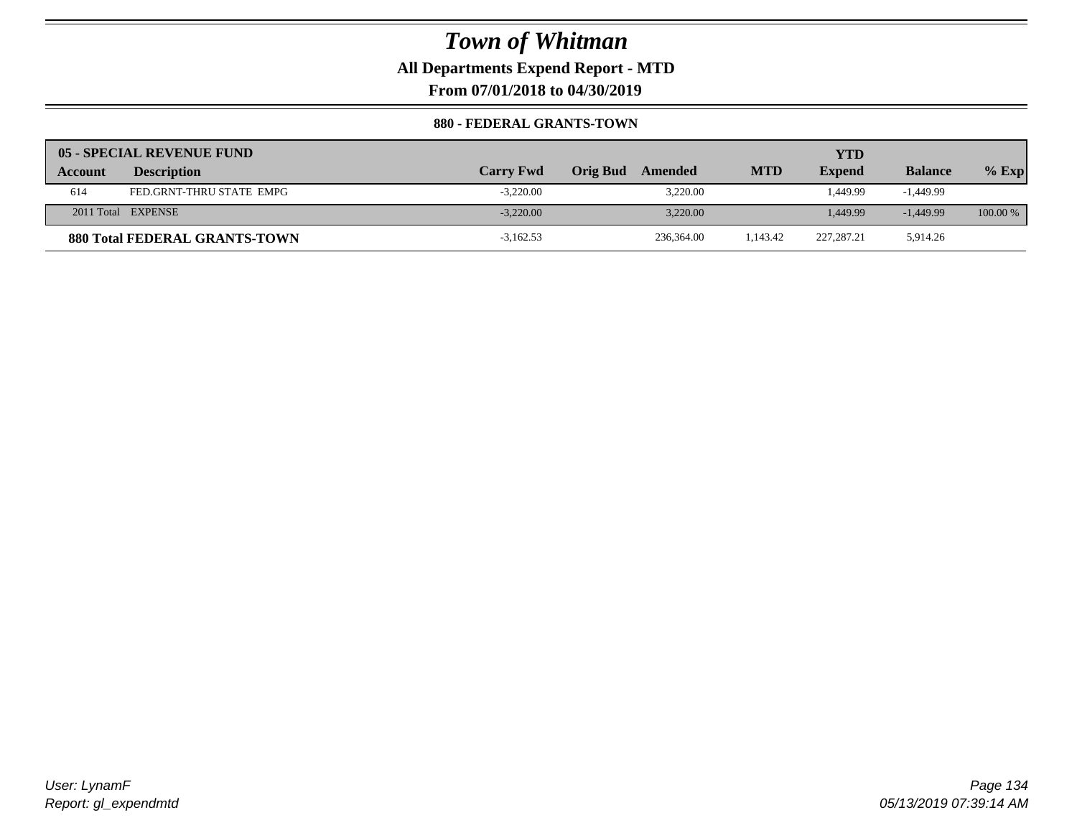**All Departments Expend Report - MTD**

**From 07/01/2018 to 04/30/2019**

#### **880 - FEDERAL GRANTS-TOWN**

|                | 05 - SPECIAL REVENUE FUND            |                  |                            |            | YTD           |                |          |
|----------------|--------------------------------------|------------------|----------------------------|------------|---------------|----------------|----------|
| <b>Account</b> | <b>Description</b>                   | <b>Carry Fwd</b> | <b>Orig Bud</b><br>Amended | <b>MTD</b> | <b>Expend</b> | <b>Balance</b> | $%$ Exp  |
| 614            | FED.GRNT-THRU STATE EMPG             | $-3.220.00$      | 3.220.00                   |            | 1.449.99      | $-1.449.99$    |          |
|                | 2011 Total EXPENSE                   | $-3,220,00$      | 3.220.00                   |            | 1.449.99      | $-1,449.99$    | 100.00 % |
|                | <b>880 Total FEDERAL GRANTS-TOWN</b> | $-3,162.53$      | 236,364.00                 | 1.143.42   | 227.287.21    | 5,914.26       |          |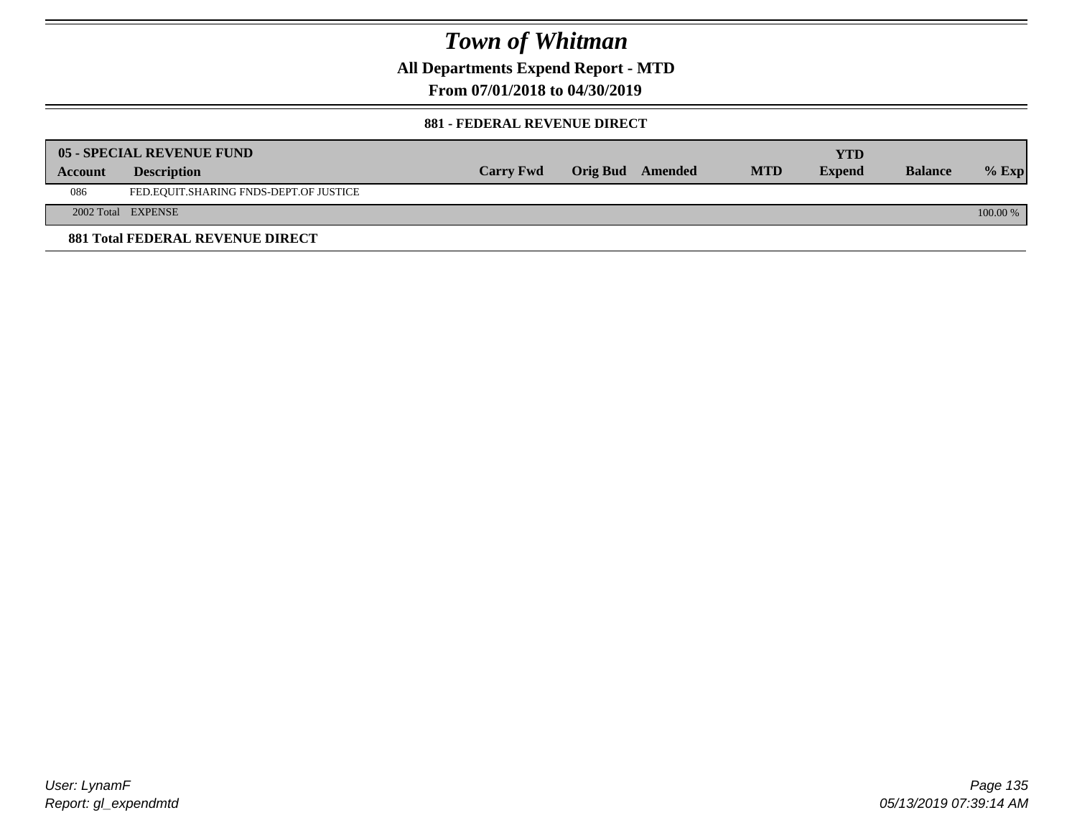**All Departments Expend Report - MTD**

**From 07/01/2018 to 04/30/2019**

#### **881 - FEDERAL REVENUE DIRECT**

|         | <b>05 - SPECIAL REVENUE FUND</b>        |                  |                  |            | YTD           |                |          |
|---------|-----------------------------------------|------------------|------------------|------------|---------------|----------------|----------|
| Account | <b>Description</b>                      | <b>Carry Fwd</b> | Orig Bud Amended | <b>MTD</b> | <b>Expend</b> | <b>Balance</b> | $%$ Exp  |
| 086     | FED.EQUIT.SHARING FNDS-DEPT.OF JUSTICE  |                  |                  |            |               |                |          |
|         | 2002 Total EXPENSE                      |                  |                  |            |               |                | 100.00 % |
|         | <b>881 Total FEDERAL REVENUE DIRECT</b> |                  |                  |            |               |                |          |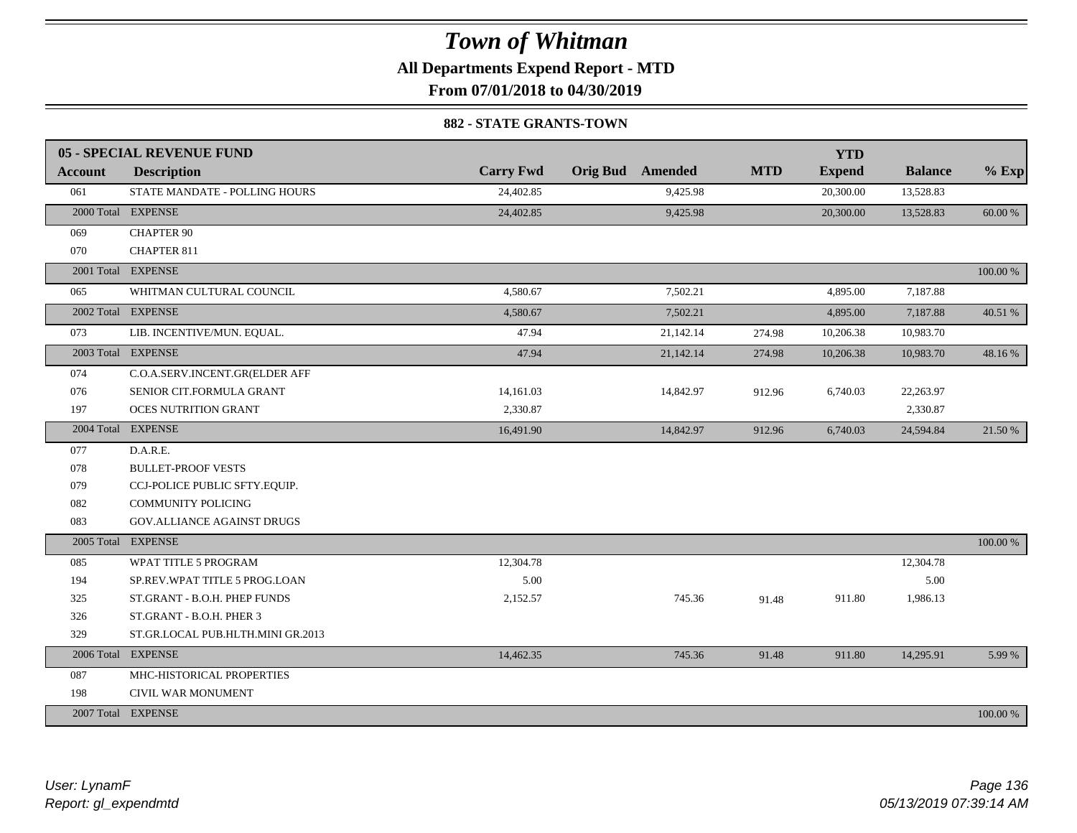**All Departments Expend Report - MTD**

**From 07/01/2018 to 04/30/2019**

#### **882 - STATE GRANTS-TOWN**

|                | <b>05 - SPECIAL REVENUE FUND</b>  |                  |                         |            | <b>YTD</b>    |                |          |
|----------------|-----------------------------------|------------------|-------------------------|------------|---------------|----------------|----------|
| <b>Account</b> | <b>Description</b>                | <b>Carry Fwd</b> | <b>Orig Bud</b> Amended | <b>MTD</b> | <b>Expend</b> | <b>Balance</b> | $%$ Exp  |
| 061            | STATE MANDATE - POLLING HOURS     | 24,402.85        | 9,425.98                |            | 20,300.00     | 13,528.83      |          |
|                | 2000 Total EXPENSE                | 24,402.85        | 9,425.98                |            | 20,300.00     | 13,528.83      | 60.00 %  |
| 069            | <b>CHAPTER 90</b>                 |                  |                         |            |               |                |          |
| 070            | CHAPTER 811                       |                  |                         |            |               |                |          |
|                | 2001 Total EXPENSE                |                  |                         |            |               |                | 100.00 % |
| 065            | WHITMAN CULTURAL COUNCIL          | 4,580.67         | 7,502.21                |            | 4,895.00      | 7,187.88       |          |
|                | 2002 Total EXPENSE                | 4,580.67         | 7,502.21                |            | 4,895.00      | 7,187.88       | 40.51 %  |
| 073            | LIB. INCENTIVE/MUN. EQUAL.        | 47.94            | 21,142.14               | 274.98     | 10,206.38     | 10,983.70      |          |
|                | 2003 Total EXPENSE                | 47.94            | 21,142.14               | 274.98     | 10,206.38     | 10,983.70      | 48.16%   |
| 074            | C.O.A.SERV.INCENT.GR(ELDER AFF    |                  |                         |            |               |                |          |
| 076            | SENIOR CIT.FORMULA GRANT          | 14,161.03        | 14,842.97               | 912.96     | 6,740.03      | 22,263.97      |          |
| 197            | <b>OCES NUTRITION GRANT</b>       | 2,330.87         |                         |            |               | 2,330.87       |          |
|                | 2004 Total EXPENSE                | 16,491.90        | 14,842.97               | 912.96     | 6,740.03      | 24,594.84      | 21.50 %  |
| 077            | D.A.R.E.                          |                  |                         |            |               |                |          |
| 078            | <b>BULLET-PROOF VESTS</b>         |                  |                         |            |               |                |          |
| 079            | CCJ-POLICE PUBLIC SFTY.EQUIP.     |                  |                         |            |               |                |          |
| 082            | <b>COMMUNITY POLICING</b>         |                  |                         |            |               |                |          |
| 083            | GOV. ALLIANCE AGAINST DRUGS       |                  |                         |            |               |                |          |
|                | 2005 Total EXPENSE                |                  |                         |            |               |                | 100.00 % |
| 085            | WPAT TITLE 5 PROGRAM              | 12,304.78        |                         |            |               | 12,304.78      |          |
| 194            | SP.REV.WPAT TITLE 5 PROG.LOAN     | 5.00             |                         |            |               | 5.00           |          |
| 325            | ST.GRANT - B.O.H. PHEP FUNDS      | 2,152.57         | 745.36                  | 91.48      | 911.80        | 1,986.13       |          |
| 326            | ST.GRANT - B.O.H. PHER 3          |                  |                         |            |               |                |          |
| 329            | ST.GR.LOCAL PUB.HLTH.MINI GR.2013 |                  |                         |            |               |                |          |
|                | 2006 Total EXPENSE                | 14,462.35        | 745.36                  | 91.48      | 911.80        | 14,295.91      | 5.99 %   |
| 087            | MHC-HISTORICAL PROPERTIES         |                  |                         |            |               |                |          |
| 198            | CIVIL WAR MONUMENT                |                  |                         |            |               |                |          |
|                | 2007 Total EXPENSE                |                  |                         |            |               |                | 100.00 % |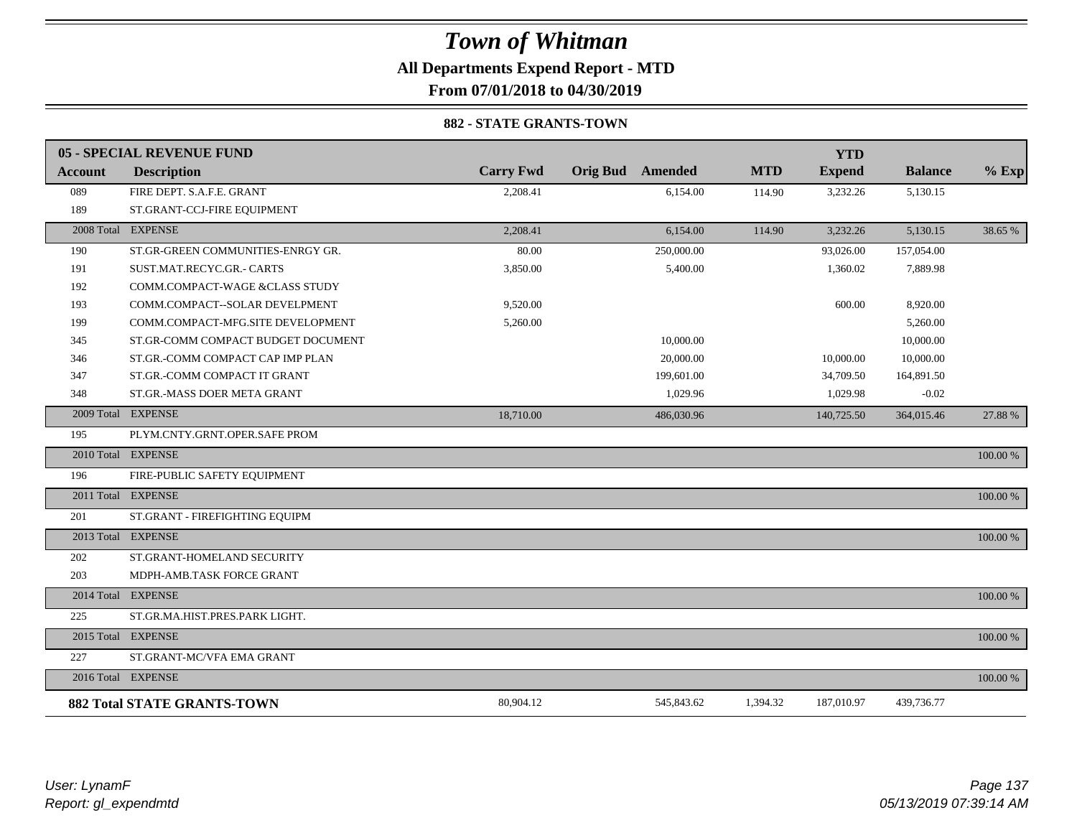### *Town of Whitman* **All Departments Expend Report - MTD**

**From 07/01/2018 to 04/30/2019**

#### **882 - STATE GRANTS-TOWN**

|         | <b>05 - SPECIAL REVENUE FUND</b>   |                  |                         |            | <b>YTD</b>    |                |             |
|---------|------------------------------------|------------------|-------------------------|------------|---------------|----------------|-------------|
| Account | <b>Description</b>                 | <b>Carry Fwd</b> | <b>Orig Bud</b> Amended | <b>MTD</b> | <b>Expend</b> | <b>Balance</b> | $%$ Exp     |
| 089     | FIRE DEPT. S.A.F.E. GRANT          | 2,208.41         | 6,154.00                | 114.90     | 3,232.26      | 5,130.15       |             |
| 189     | ST.GRANT-CCJ-FIRE EQUIPMENT        |                  |                         |            |               |                |             |
|         | 2008 Total EXPENSE                 | 2,208.41         | 6,154.00                | 114.90     | 3,232.26      | 5,130.15       | 38.65 %     |
| 190     | ST.GR-GREEN COMMUNITIES-ENRGY GR.  | 80.00            | 250,000.00              |            | 93,026.00     | 157,054.00     |             |
| 191     | SUST.MAT.RECYC.GR.- CARTS          | 3,850.00         | 5,400.00                |            | 1,360.02      | 7,889.98       |             |
| 192     | COMM.COMPACT-WAGE &CLASS STUDY     |                  |                         |            |               |                |             |
| 193     | COMM.COMPACT--SOLAR DEVELPMENT     | 9,520.00         |                         |            | 600.00        | 8,920.00       |             |
| 199     | COMM.COMPACT-MFG.SITE DEVELOPMENT  | 5,260.00         |                         |            |               | 5,260.00       |             |
| 345     | ST.GR-COMM COMPACT BUDGET DOCUMENT |                  | 10,000.00               |            |               | 10,000.00      |             |
| 346     | ST.GR.-COMM COMPACT CAP IMP PLAN   |                  | 20,000.00               |            | 10,000.00     | 10,000.00      |             |
| 347     | ST.GR.-COMM COMPACT IT GRANT       |                  | 199,601.00              |            | 34,709.50     | 164,891.50     |             |
| 348     | ST.GR.-MASS DOER META GRANT        |                  | 1,029.96                |            | 1,029.98      | $-0.02$        |             |
|         | 2009 Total EXPENSE                 | 18,710.00        | 486,030.96              |            | 140,725.50    | 364,015.46     | 27.88 %     |
| 195     | PLYM.CNTY.GRNT.OPER.SAFE PROM      |                  |                         |            |               |                |             |
|         | 2010 Total EXPENSE                 |                  |                         |            |               |                | $100.00~\%$ |
| 196     | FIRE-PUBLIC SAFETY EQUIPMENT       |                  |                         |            |               |                |             |
|         | 2011 Total EXPENSE                 |                  |                         |            |               |                | 100.00 %    |
| 201     | ST.GRANT - FIREFIGHTING EQUIPM     |                  |                         |            |               |                |             |
|         | 2013 Total EXPENSE                 |                  |                         |            |               |                | 100.00 %    |
| 202     | ST.GRANT-HOMELAND SECURITY         |                  |                         |            |               |                |             |
| 203     | MDPH-AMB.TASK FORCE GRANT          |                  |                         |            |               |                |             |
|         | 2014 Total EXPENSE                 |                  |                         |            |               |                | 100.00 %    |
| 225     | ST.GR.MA.HIST.PRES.PARK LIGHT.     |                  |                         |            |               |                |             |
|         | 2015 Total EXPENSE                 |                  |                         |            |               |                | 100.00 %    |
| 227     | ST.GRANT-MC/VFA EMA GRANT          |                  |                         |            |               |                |             |
|         | 2016 Total EXPENSE                 |                  |                         |            |               |                | 100.00 %    |
|         | <b>882 Total STATE GRANTS-TOWN</b> | 80,904.12        | 545,843.62              | 1,394.32   | 187,010.97    | 439,736.77     |             |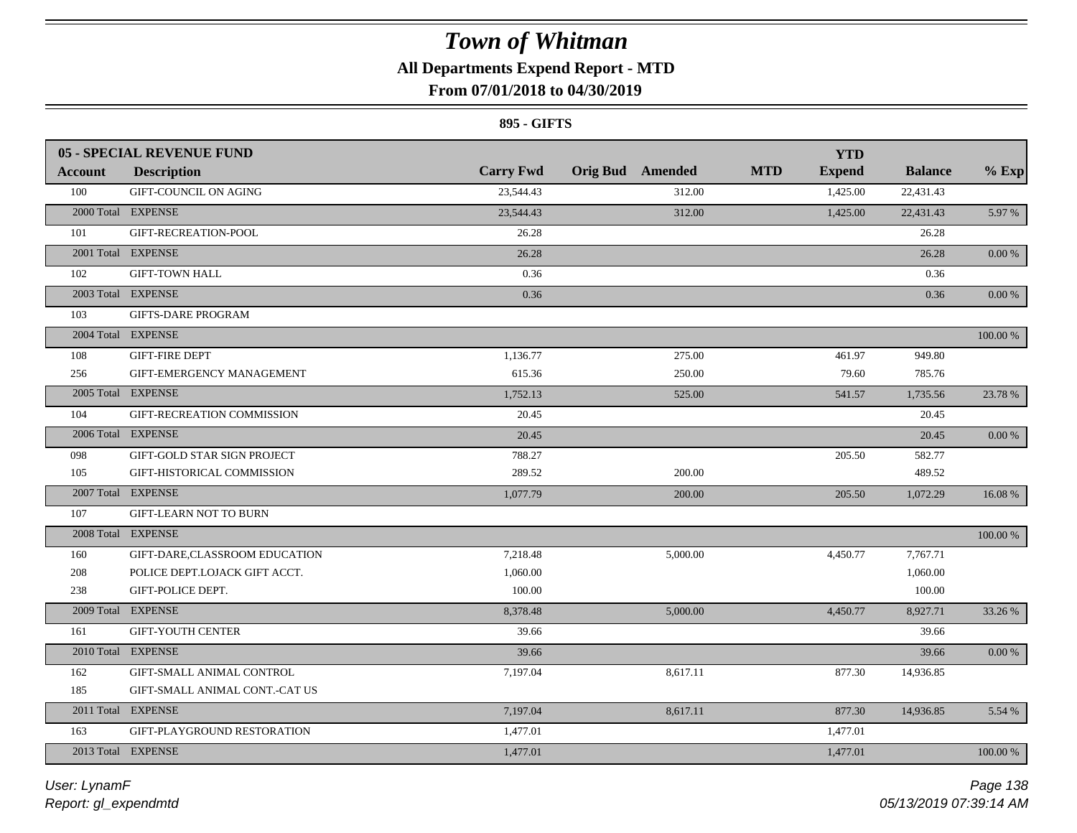### **All Departments Expend Report - MTD**

### **From 07/01/2018 to 04/30/2019**

#### **895 - GIFTS**

| <b>Expend</b><br><b>Account</b><br><b>Description</b><br>100<br><b>GIFT-COUNCIL ON AGING</b><br>23,544.43<br>312.00<br>1,425.00<br>22,431.43<br>2000 Total EXPENSE<br>23,544.43<br>312.00<br>1,425.00<br>22,431.43<br>5.97 %<br>101<br>GIFT-RECREATION-POOL<br>26.28<br>26.28<br>2001 Total EXPENSE<br>26.28<br>26.28<br>$0.00\,\%$<br>102<br><b>GIFT-TOWN HALL</b><br>0.36<br>0.36<br>2003 Total EXPENSE<br>0.36<br>0.36<br>0.00 %<br>103<br><b>GIFTS-DARE PROGRAM</b><br>2004 Total EXPENSE<br>100.00 %<br><b>GIFT-FIRE DEPT</b><br>108<br>1,136.77<br>275.00<br>461.97<br>949.80<br>256<br>615.36<br>250.00<br>79.60<br>785.76<br>GIFT-EMERGENCY MANAGEMENT<br>2005 Total EXPENSE<br>1,752.13<br>525.00<br>541.57<br>1,735.56<br>23.78 %<br>104<br>GIFT-RECREATION COMMISSION<br>20.45<br>20.45<br>2006 Total EXPENSE<br>20.45<br>20.45<br>$0.00\,\%$<br>GIFT-GOLD STAR SIGN PROJECT<br>788.27<br>205.50<br>098<br>582.77<br>105<br>GIFT-HISTORICAL COMMISSION<br>289.52<br>200.00<br>489.52<br>2007 Total EXPENSE<br>1,077.79<br>200.00<br>205.50<br>1,072.29<br>16.08 %<br>107<br><b>GIFT-LEARN NOT TO BURN</b><br>2008 Total EXPENSE<br>100.00 %<br>7,218.48<br>5,000.00<br>160<br>GIFT-DARE,CLASSROOM EDUCATION<br>4,450.77<br>7,767.71<br>1,060.00<br>208<br>POLICE DEPT.LOJACK GIFT ACCT.<br>1,060.00<br>GIFT-POLICE DEPT.<br>100.00<br>100.00<br>238<br>2009 Total EXPENSE<br>8,378.48<br>5,000.00<br>4,450.77<br>8,927.71<br>33.26 %<br>161<br><b>GIFT-YOUTH CENTER</b><br>39.66<br>39.66<br>2010 Total EXPENSE<br>39.66<br>39.66<br>$0.00\,\%$<br>162<br>GIFT-SMALL ANIMAL CONTROL<br>7,197.04<br>8,617.11<br>877.30<br>14,936.85<br>185<br>GIFT-SMALL ANIMAL CONT.-CAT US<br>2011 Total EXPENSE<br>7,197.04<br>8,617.11<br>877.30<br>5.54 %<br>14,936.85 |     | <b>05 - SPECIAL REVENUE FUND</b> |                  |                         | <b>YTD</b> |                |         |
|-----------------------------------------------------------------------------------------------------------------------------------------------------------------------------------------------------------------------------------------------------------------------------------------------------------------------------------------------------------------------------------------------------------------------------------------------------------------------------------------------------------------------------------------------------------------------------------------------------------------------------------------------------------------------------------------------------------------------------------------------------------------------------------------------------------------------------------------------------------------------------------------------------------------------------------------------------------------------------------------------------------------------------------------------------------------------------------------------------------------------------------------------------------------------------------------------------------------------------------------------------------------------------------------------------------------------------------------------------------------------------------------------------------------------------------------------------------------------------------------------------------------------------------------------------------------------------------------------------------------------------------------------------------------------------------------------------------------------------------------------------------------------|-----|----------------------------------|------------------|-------------------------|------------|----------------|---------|
|                                                                                                                                                                                                                                                                                                                                                                                                                                                                                                                                                                                                                                                                                                                                                                                                                                                                                                                                                                                                                                                                                                                                                                                                                                                                                                                                                                                                                                                                                                                                                                                                                                                                                                                                                                       |     |                                  | <b>Carry Fwd</b> | <b>Orig Bud</b> Amended | <b>MTD</b> | <b>Balance</b> | $%$ Exp |
|                                                                                                                                                                                                                                                                                                                                                                                                                                                                                                                                                                                                                                                                                                                                                                                                                                                                                                                                                                                                                                                                                                                                                                                                                                                                                                                                                                                                                                                                                                                                                                                                                                                                                                                                                                       |     |                                  |                  |                         |            |                |         |
|                                                                                                                                                                                                                                                                                                                                                                                                                                                                                                                                                                                                                                                                                                                                                                                                                                                                                                                                                                                                                                                                                                                                                                                                                                                                                                                                                                                                                                                                                                                                                                                                                                                                                                                                                                       |     |                                  |                  |                         |            |                |         |
|                                                                                                                                                                                                                                                                                                                                                                                                                                                                                                                                                                                                                                                                                                                                                                                                                                                                                                                                                                                                                                                                                                                                                                                                                                                                                                                                                                                                                                                                                                                                                                                                                                                                                                                                                                       |     |                                  |                  |                         |            |                |         |
|                                                                                                                                                                                                                                                                                                                                                                                                                                                                                                                                                                                                                                                                                                                                                                                                                                                                                                                                                                                                                                                                                                                                                                                                                                                                                                                                                                                                                                                                                                                                                                                                                                                                                                                                                                       |     |                                  |                  |                         |            |                |         |
|                                                                                                                                                                                                                                                                                                                                                                                                                                                                                                                                                                                                                                                                                                                                                                                                                                                                                                                                                                                                                                                                                                                                                                                                                                                                                                                                                                                                                                                                                                                                                                                                                                                                                                                                                                       |     |                                  |                  |                         |            |                |         |
|                                                                                                                                                                                                                                                                                                                                                                                                                                                                                                                                                                                                                                                                                                                                                                                                                                                                                                                                                                                                                                                                                                                                                                                                                                                                                                                                                                                                                                                                                                                                                                                                                                                                                                                                                                       |     |                                  |                  |                         |            |                |         |
|                                                                                                                                                                                                                                                                                                                                                                                                                                                                                                                                                                                                                                                                                                                                                                                                                                                                                                                                                                                                                                                                                                                                                                                                                                                                                                                                                                                                                                                                                                                                                                                                                                                                                                                                                                       |     |                                  |                  |                         |            |                |         |
|                                                                                                                                                                                                                                                                                                                                                                                                                                                                                                                                                                                                                                                                                                                                                                                                                                                                                                                                                                                                                                                                                                                                                                                                                                                                                                                                                                                                                                                                                                                                                                                                                                                                                                                                                                       |     |                                  |                  |                         |            |                |         |
|                                                                                                                                                                                                                                                                                                                                                                                                                                                                                                                                                                                                                                                                                                                                                                                                                                                                                                                                                                                                                                                                                                                                                                                                                                                                                                                                                                                                                                                                                                                                                                                                                                                                                                                                                                       |     |                                  |                  |                         |            |                |         |
|                                                                                                                                                                                                                                                                                                                                                                                                                                                                                                                                                                                                                                                                                                                                                                                                                                                                                                                                                                                                                                                                                                                                                                                                                                                                                                                                                                                                                                                                                                                                                                                                                                                                                                                                                                       |     |                                  |                  |                         |            |                |         |
|                                                                                                                                                                                                                                                                                                                                                                                                                                                                                                                                                                                                                                                                                                                                                                                                                                                                                                                                                                                                                                                                                                                                                                                                                                                                                                                                                                                                                                                                                                                                                                                                                                                                                                                                                                       |     |                                  |                  |                         |            |                |         |
|                                                                                                                                                                                                                                                                                                                                                                                                                                                                                                                                                                                                                                                                                                                                                                                                                                                                                                                                                                                                                                                                                                                                                                                                                                                                                                                                                                                                                                                                                                                                                                                                                                                                                                                                                                       |     |                                  |                  |                         |            |                |         |
|                                                                                                                                                                                                                                                                                                                                                                                                                                                                                                                                                                                                                                                                                                                                                                                                                                                                                                                                                                                                                                                                                                                                                                                                                                                                                                                                                                                                                                                                                                                                                                                                                                                                                                                                                                       |     |                                  |                  |                         |            |                |         |
|                                                                                                                                                                                                                                                                                                                                                                                                                                                                                                                                                                                                                                                                                                                                                                                                                                                                                                                                                                                                                                                                                                                                                                                                                                                                                                                                                                                                                                                                                                                                                                                                                                                                                                                                                                       |     |                                  |                  |                         |            |                |         |
|                                                                                                                                                                                                                                                                                                                                                                                                                                                                                                                                                                                                                                                                                                                                                                                                                                                                                                                                                                                                                                                                                                                                                                                                                                                                                                                                                                                                                                                                                                                                                                                                                                                                                                                                                                       |     |                                  |                  |                         |            |                |         |
|                                                                                                                                                                                                                                                                                                                                                                                                                                                                                                                                                                                                                                                                                                                                                                                                                                                                                                                                                                                                                                                                                                                                                                                                                                                                                                                                                                                                                                                                                                                                                                                                                                                                                                                                                                       |     |                                  |                  |                         |            |                |         |
|                                                                                                                                                                                                                                                                                                                                                                                                                                                                                                                                                                                                                                                                                                                                                                                                                                                                                                                                                                                                                                                                                                                                                                                                                                                                                                                                                                                                                                                                                                                                                                                                                                                                                                                                                                       |     |                                  |                  |                         |            |                |         |
|                                                                                                                                                                                                                                                                                                                                                                                                                                                                                                                                                                                                                                                                                                                                                                                                                                                                                                                                                                                                                                                                                                                                                                                                                                                                                                                                                                                                                                                                                                                                                                                                                                                                                                                                                                       |     |                                  |                  |                         |            |                |         |
|                                                                                                                                                                                                                                                                                                                                                                                                                                                                                                                                                                                                                                                                                                                                                                                                                                                                                                                                                                                                                                                                                                                                                                                                                                                                                                                                                                                                                                                                                                                                                                                                                                                                                                                                                                       |     |                                  |                  |                         |            |                |         |
|                                                                                                                                                                                                                                                                                                                                                                                                                                                                                                                                                                                                                                                                                                                                                                                                                                                                                                                                                                                                                                                                                                                                                                                                                                                                                                                                                                                                                                                                                                                                                                                                                                                                                                                                                                       |     |                                  |                  |                         |            |                |         |
|                                                                                                                                                                                                                                                                                                                                                                                                                                                                                                                                                                                                                                                                                                                                                                                                                                                                                                                                                                                                                                                                                                                                                                                                                                                                                                                                                                                                                                                                                                                                                                                                                                                                                                                                                                       |     |                                  |                  |                         |            |                |         |
|                                                                                                                                                                                                                                                                                                                                                                                                                                                                                                                                                                                                                                                                                                                                                                                                                                                                                                                                                                                                                                                                                                                                                                                                                                                                                                                                                                                                                                                                                                                                                                                                                                                                                                                                                                       |     |                                  |                  |                         |            |                |         |
|                                                                                                                                                                                                                                                                                                                                                                                                                                                                                                                                                                                                                                                                                                                                                                                                                                                                                                                                                                                                                                                                                                                                                                                                                                                                                                                                                                                                                                                                                                                                                                                                                                                                                                                                                                       |     |                                  |                  |                         |            |                |         |
|                                                                                                                                                                                                                                                                                                                                                                                                                                                                                                                                                                                                                                                                                                                                                                                                                                                                                                                                                                                                                                                                                                                                                                                                                                                                                                                                                                                                                                                                                                                                                                                                                                                                                                                                                                       |     |                                  |                  |                         |            |                |         |
|                                                                                                                                                                                                                                                                                                                                                                                                                                                                                                                                                                                                                                                                                                                                                                                                                                                                                                                                                                                                                                                                                                                                                                                                                                                                                                                                                                                                                                                                                                                                                                                                                                                                                                                                                                       |     |                                  |                  |                         |            |                |         |
|                                                                                                                                                                                                                                                                                                                                                                                                                                                                                                                                                                                                                                                                                                                                                                                                                                                                                                                                                                                                                                                                                                                                                                                                                                                                                                                                                                                                                                                                                                                                                                                                                                                                                                                                                                       |     |                                  |                  |                         |            |                |         |
|                                                                                                                                                                                                                                                                                                                                                                                                                                                                                                                                                                                                                                                                                                                                                                                                                                                                                                                                                                                                                                                                                                                                                                                                                                                                                                                                                                                                                                                                                                                                                                                                                                                                                                                                                                       |     |                                  |                  |                         |            |                |         |
|                                                                                                                                                                                                                                                                                                                                                                                                                                                                                                                                                                                                                                                                                                                                                                                                                                                                                                                                                                                                                                                                                                                                                                                                                                                                                                                                                                                                                                                                                                                                                                                                                                                                                                                                                                       | 163 | GIFT-PLAYGROUND RESTORATION      | 1,477.01         |                         | 1,477.01   |                |         |
| 2013 Total EXPENSE<br>100.00 %<br>1,477.01<br>1,477.01                                                                                                                                                                                                                                                                                                                                                                                                                                                                                                                                                                                                                                                                                                                                                                                                                                                                                                                                                                                                                                                                                                                                                                                                                                                                                                                                                                                                                                                                                                                                                                                                                                                                                                                |     |                                  |                  |                         |            |                |         |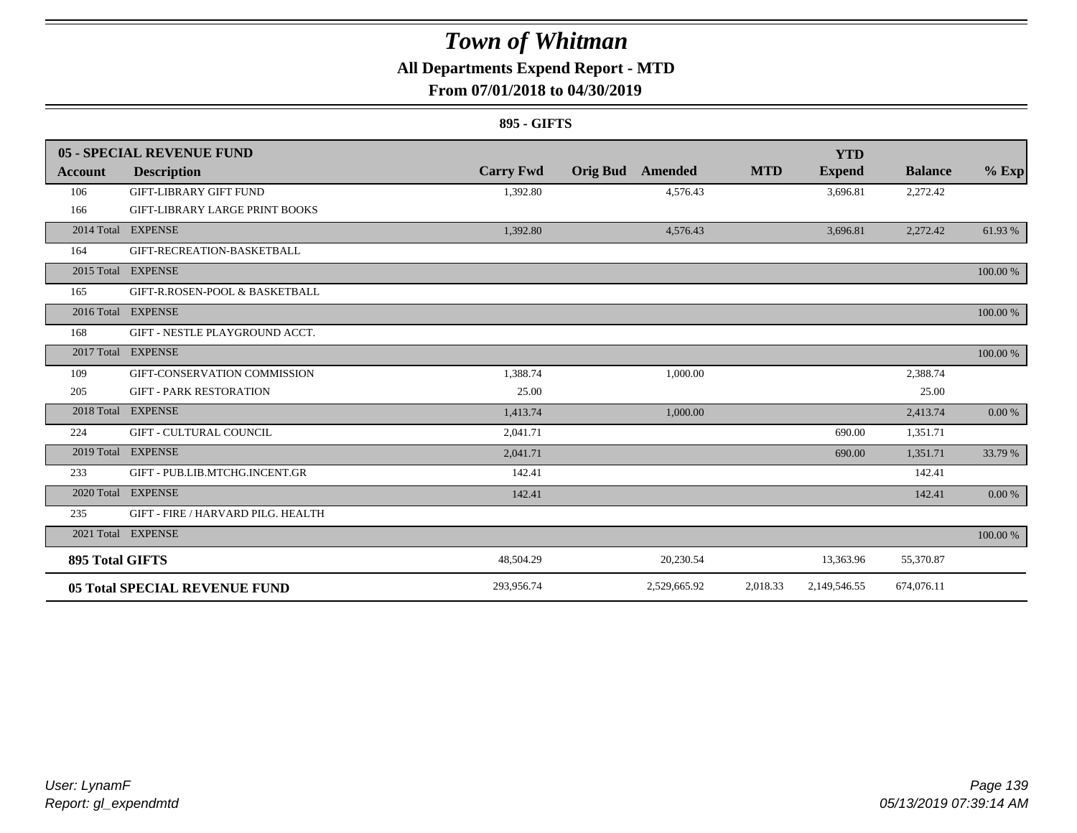### **All Departments Expend Report - MTD**

### **From 07/01/2018 to 04/30/2019**

#### **895 - GIFTS**

|                        | 05 - SPECIAL REVENUE FUND             |                  |                            |            | <b>YTD</b>    |                |          |
|------------------------|---------------------------------------|------------------|----------------------------|------------|---------------|----------------|----------|
| Account                | <b>Description</b>                    | <b>Carry Fwd</b> | <b>Orig Bud</b><br>Amended | <b>MTD</b> | <b>Expend</b> | <b>Balance</b> | $%$ Exp  |
| 106                    | <b>GIFT-LIBRARY GIFT FUND</b>         | 1,392.80         | 4,576.43                   |            | 3,696.81      | 2,272.42       |          |
| 166                    | <b>GIFT-LIBRARY LARGE PRINT BOOKS</b> |                  |                            |            |               |                |          |
|                        | 2014 Total EXPENSE                    | 1,392.80         | 4,576.43                   |            | 3,696.81      | 2,272.42       | 61.93%   |
| 164                    | GIFT-RECREATION-BASKETBALL            |                  |                            |            |               |                |          |
|                        | 2015 Total EXPENSE                    |                  |                            |            |               |                | 100.00 % |
| 165                    | GIFT-R.ROSEN-POOL & BASKETBALL        |                  |                            |            |               |                |          |
|                        | 2016 Total EXPENSE                    |                  |                            |            |               |                | 100.00 % |
| 168                    | GIFT - NESTLE PLAYGROUND ACCT.        |                  |                            |            |               |                |          |
|                        | 2017 Total EXPENSE                    |                  |                            |            |               |                | 100.00 % |
| 109                    | GIFT-CONSERVATION COMMISSION          | 1,388.74         | 1,000.00                   |            |               | 2,388.74       |          |
| 205                    | <b>GIFT - PARK RESTORATION</b>        | 25.00            |                            |            |               | 25.00          |          |
|                        | 2018 Total EXPENSE                    | 1,413.74         | 1,000.00                   |            |               | 2,413.74       | 0.00 %   |
| 224                    | <b>GIFT - CULTURAL COUNCIL</b>        | 2,041.71         |                            |            | 690.00        | 1,351.71       |          |
|                        | 2019 Total EXPENSE                    | 2,041.71         |                            |            | 690.00        | 1,351.71       | 33.79 %  |
| 233                    | GIFT - PUB.LIB.MTCHG.INCENT.GR        | 142.41           |                            |            |               | 142.41         |          |
|                        | 2020 Total EXPENSE                    | 142.41           |                            |            |               | 142.41         | 0.00 %   |
| 235                    | GIFT - FIRE / HARVARD PILG. HEALTH    |                  |                            |            |               |                |          |
|                        | 2021 Total EXPENSE                    |                  |                            |            |               |                | 100.00 % |
| <b>895 Total GIFTS</b> |                                       | 48,504.29        | 20,230.54                  |            | 13,363.96     | 55,370.87      |          |
|                        | <b>05 Total SPECIAL REVENUE FUND</b>  | 293,956.74       | 2,529,665.92               | 2,018.33   | 2,149,546.55  | 674,076.11     |          |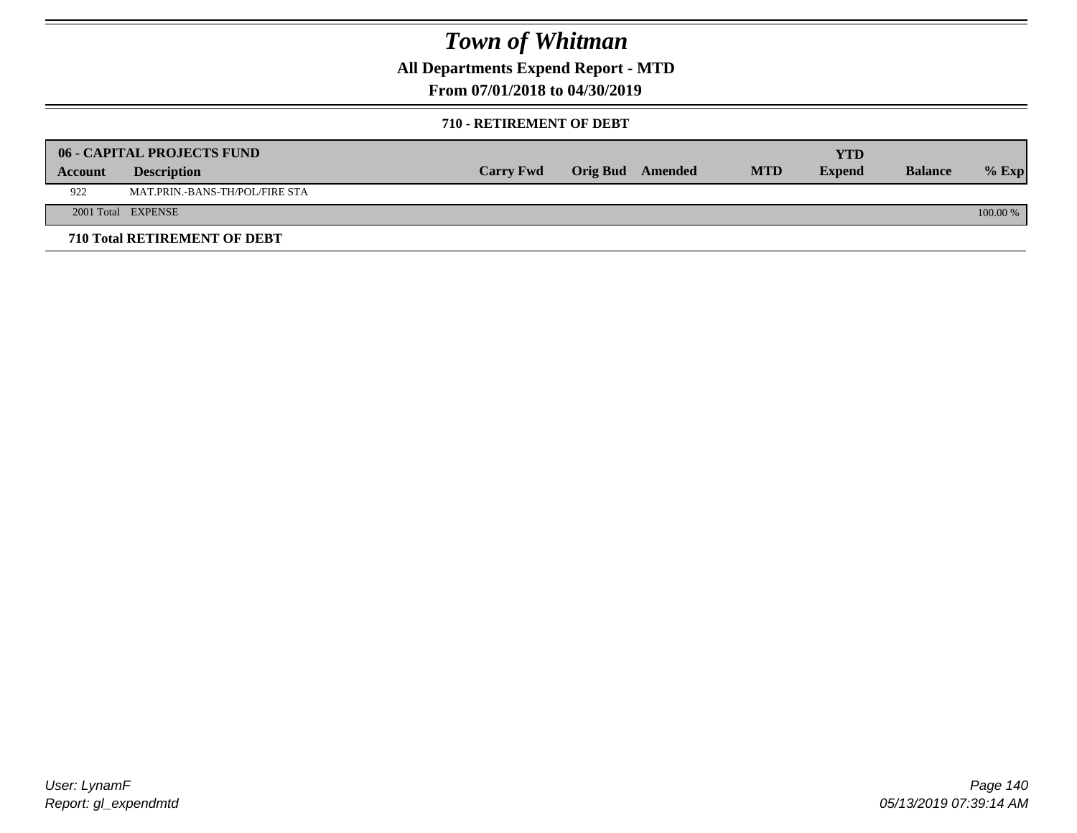**All Departments Expend Report - MTD**

**From 07/01/2018 to 04/30/2019**

#### **710 - RETIREMENT OF DEBT**

|         | <b>06 - CAPITAL PROJECTS FUND</b> |                  |                  |            | <b>YTD</b>    |                |            |
|---------|-----------------------------------|------------------|------------------|------------|---------------|----------------|------------|
| Account | <b>Description</b>                | <b>Carry Fwd</b> | Orig Bud Amended | <b>MTD</b> | <b>Expend</b> | <b>Balance</b> | $%$ Exp    |
| 922     | MAT.PRIN.-BANS-TH/POL/FIRE STA    |                  |                  |            |               |                |            |
|         | 2001 Total EXPENSE                |                  |                  |            |               |                | $100.00\%$ |
|         | 710 Total RETIREMENT OF DEBT      |                  |                  |            |               |                |            |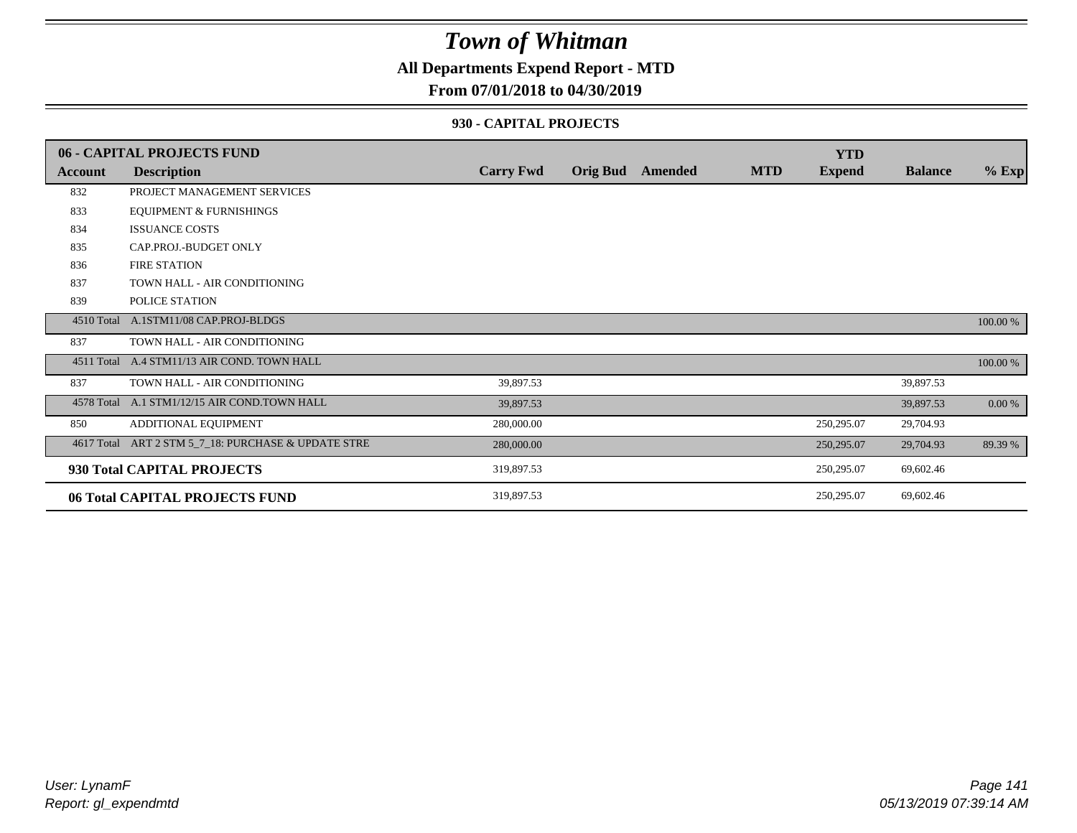### **All Departments Expend Report - MTD**

#### **From 07/01/2018 to 04/30/2019**

#### **930 - CAPITAL PROJECTS**

|            | <b>06 - CAPITAL PROJECTS FUND</b>            |                  |                 |         |            | <b>YTD</b>    |                |          |
|------------|----------------------------------------------|------------------|-----------------|---------|------------|---------------|----------------|----------|
| Account    | <b>Description</b>                           | <b>Carry Fwd</b> | <b>Orig Bud</b> | Amended | <b>MTD</b> | <b>Expend</b> | <b>Balance</b> | $%$ Exp  |
| 832        | PROJECT MANAGEMENT SERVICES                  |                  |                 |         |            |               |                |          |
| 833        | <b>EQUIPMENT &amp; FURNISHINGS</b>           |                  |                 |         |            |               |                |          |
| 834        | <b>ISSUANCE COSTS</b>                        |                  |                 |         |            |               |                |          |
| 835        | CAP.PROJ.-BUDGET ONLY                        |                  |                 |         |            |               |                |          |
| 836        | <b>FIRE STATION</b>                          |                  |                 |         |            |               |                |          |
| 837        | TOWN HALL - AIR CONDITIONING                 |                  |                 |         |            |               |                |          |
| 839        | POLICE STATION                               |                  |                 |         |            |               |                |          |
| 4510 Total | A.1STM11/08 CAP.PROJ-BLDGS                   |                  |                 |         |            |               |                | 100.00 % |
| 837        | TOWN HALL - AIR CONDITIONING                 |                  |                 |         |            |               |                |          |
|            | 4511 Total A.4 STM11/13 AIR COND. TOWN HALL  |                  |                 |         |            |               |                | 100.00 % |
| 837        | TOWN HALL - AIR CONDITIONING                 | 39,897.53        |                 |         |            |               | 39,897.53      |          |
|            | 4578 Total A.1 STM1/12/15 AIR COND.TOWN HALL | 39,897.53        |                 |         |            |               | 39,897.53      | 0.00 %   |
| 850        | ADDITIONAL EQUIPMENT                         | 280,000.00       |                 |         |            | 250,295.07    | 29,704.93      |          |
| 4617 Total | ART 2 STM 5_7_18: PURCHASE & UPDATE STRE     | 280,000.00       |                 |         |            | 250,295.07    | 29,704.93      | 89.39 %  |
|            | 930 Total CAPITAL PROJECTS                   | 319,897.53       |                 |         |            | 250,295.07    | 69,602.46      |          |
|            | 06 Total CAPITAL PROJECTS FUND               | 319,897.53       |                 |         |            | 250,295.07    | 69,602.46      |          |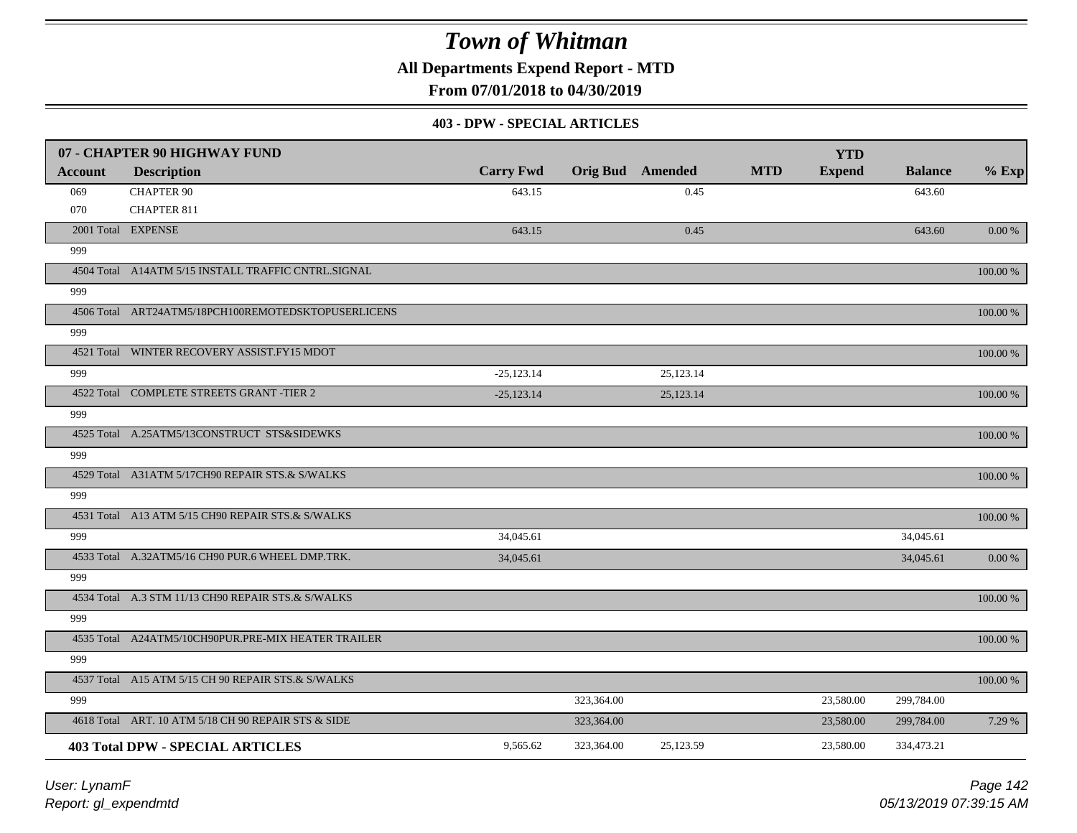**All Departments Expend Report - MTD**

**From 07/01/2018 to 04/30/2019**

#### **403 - DPW - SPECIAL ARTICLES**

|                | 07 - CHAPTER 90 HIGHWAY FUND                        |                  |            |                         |            | <b>YTD</b>    |                |             |
|----------------|-----------------------------------------------------|------------------|------------|-------------------------|------------|---------------|----------------|-------------|
| <b>Account</b> | <b>Description</b>                                  | <b>Carry Fwd</b> |            | <b>Orig Bud</b> Amended | <b>MTD</b> | <b>Expend</b> | <b>Balance</b> | $%$ Exp     |
| 069            | <b>CHAPTER 90</b>                                   | 643.15           |            | 0.45                    |            |               | 643.60         |             |
| 070            | CHAPTER 811                                         |                  |            |                         |            |               |                |             |
|                | 2001 Total EXPENSE                                  | 643.15           |            | 0.45                    |            |               | 643.60         | 0.00 %      |
| 999            |                                                     |                  |            |                         |            |               |                |             |
|                | 4504 Total A14ATM 5/15 INSTALL TRAFFIC CNTRL.SIGNAL |                  |            |                         |            |               |                | 100.00 %    |
| 999            |                                                     |                  |            |                         |            |               |                |             |
|                | 4506 Total ART24ATM5/18PCH100REMOTEDSKTOPUSERLICENS |                  |            |                         |            |               |                | 100.00 %    |
| 999            |                                                     |                  |            |                         |            |               |                |             |
|                | 4521 Total WINTER RECOVERY ASSIST.FY15 MDOT         |                  |            |                         |            |               |                | 100.00 %    |
| 999            |                                                     | $-25,123.14$     |            | 25,123.14               |            |               |                |             |
|                | 4522 Total COMPLETE STREETS GRANT -TIER 2           | $-25,123.14$     |            | 25,123.14               |            |               |                | 100.00 %    |
| 999            |                                                     |                  |            |                         |            |               |                |             |
|                | 4525 Total A.25ATM5/13CONSTRUCT STS&SIDEWKS         |                  |            |                         |            |               |                | 100.00 %    |
| 999            |                                                     |                  |            |                         |            |               |                |             |
|                | 4529 Total A31ATM 5/17CH90 REPAIR STS.& S/WALKS     |                  |            |                         |            |               |                | 100.00 %    |
| 999            |                                                     |                  |            |                         |            |               |                |             |
|                | 4531 Total A13 ATM 5/15 CH90 REPAIR STS.& S/WALKS   |                  |            |                         |            |               |                | 100.00 %    |
| 999            |                                                     | 34,045.61        |            |                         |            |               | 34,045.61      |             |
|                | 4533 Total A.32ATM5/16 CH90 PUR.6 WHEEL DMP.TRK.    | 34,045.61        |            |                         |            |               | 34,045.61      | 0.00 %      |
| 999            |                                                     |                  |            |                         |            |               |                |             |
|                | 4534 Total A.3 STM 11/13 CH90 REPAIR STS.& S/WALKS  |                  |            |                         |            |               |                | 100.00 %    |
| 999            |                                                     |                  |            |                         |            |               |                |             |
|                | 4535 Total A24ATM5/10CH90PUR.PRE-MIX HEATER TRAILER |                  |            |                         |            |               |                | 100.00 %    |
| 999            |                                                     |                  |            |                         |            |               |                |             |
|                | 4537 Total A15 ATM 5/15 CH 90 REPAIR STS.& S/WALKS  |                  |            |                         |            |               |                | $100.00~\%$ |
| 999            |                                                     |                  | 323,364.00 |                         |            | 23,580.00     | 299,784.00     |             |
|                | 4618 Total ART. 10 ATM 5/18 CH 90 REPAIR STS & SIDE |                  | 323,364.00 |                         |            | 23,580.00     | 299,784.00     | 7.29 %      |
|                | <b>403 Total DPW - SPECIAL ARTICLES</b>             | 9,565.62         | 323,364.00 | 25,123.59               |            | 23,580.00     | 334,473.21     |             |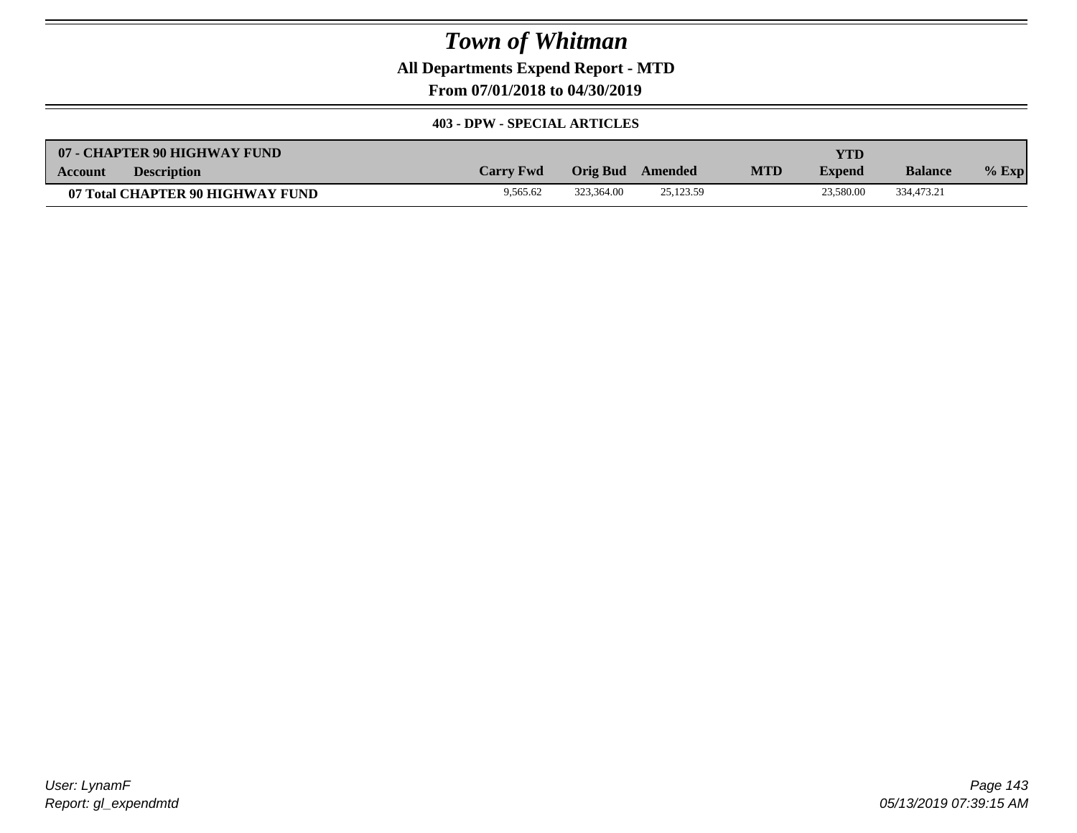**All Departments Expend Report - MTD**

**From 07/01/2018 to 04/30/2019**

#### **403 - DPW - SPECIAL ARTICLES**

| 07 - CHAPTER 90 HIGHWAY FUND         |                  |            |           |            | YTD           |                |         |
|--------------------------------------|------------------|------------|-----------|------------|---------------|----------------|---------|
| <b>Description</b><br><b>Account</b> | <b>Carry Fwd</b> | Orig Bud   | Amended   | <b>MTD</b> | <b>Expend</b> | <b>Balance</b> | $%$ Exp |
| 07 Total CHAPTER 90 HIGHWAY FUND     | 9.565.62         | 323.364.00 | 25,123.59 |            | 23,580.00     | 334,473.21     |         |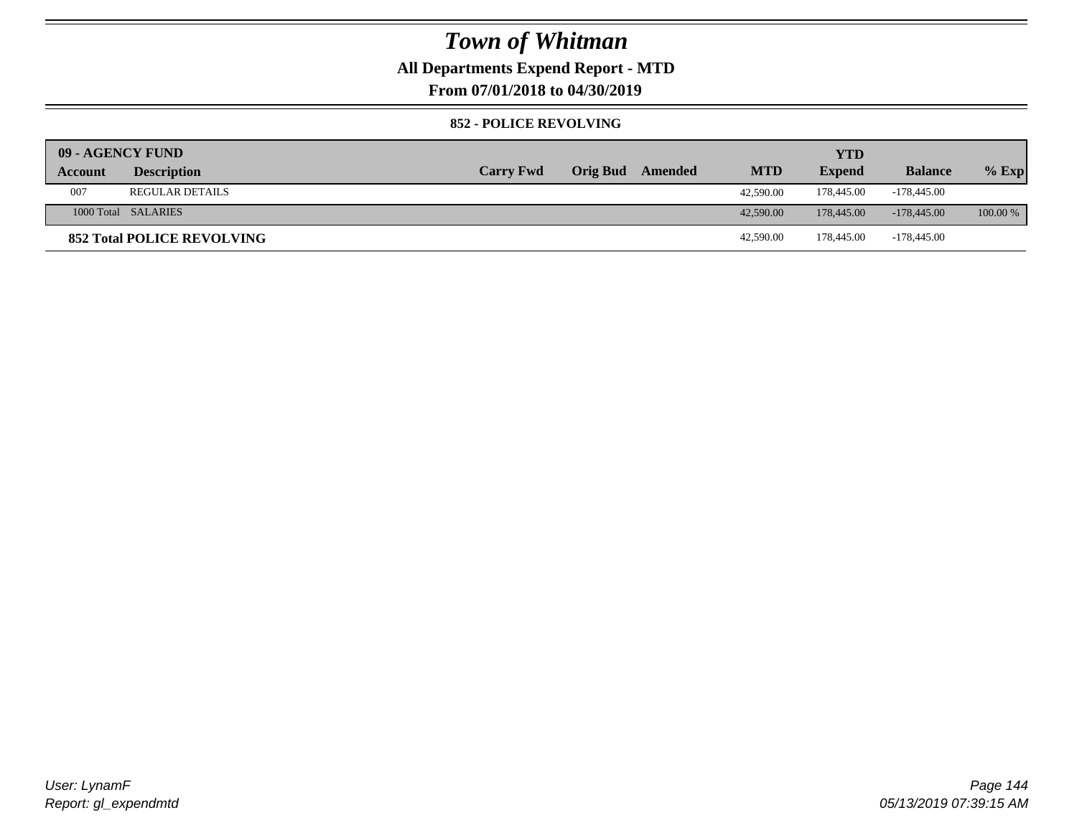### **All Departments Expend Report - MTD**

**From 07/01/2018 to 04/30/2019**

#### **852 - POLICE REVOLVING**

| 09 - AGENCY FUND |                                   |                  |                 |         |            | <b>YTD</b>    |                |            |
|------------------|-----------------------------------|------------------|-----------------|---------|------------|---------------|----------------|------------|
| Account          | <b>Description</b>                | <b>Carry Fwd</b> | <b>Orig Bud</b> | Amended | <b>MTD</b> | <b>Expend</b> | <b>Balance</b> | $%$ Exp    |
| 007              | <b>REGULAR DETAILS</b>            |                  |                 |         | 42,590.00  | 178,445.00    | $-178,445.00$  |            |
|                  | 1000 Total SALARIES               |                  |                 |         | 42,590.00  | 178,445,00    | $-178.445.00$  | $100.00\%$ |
|                  | <b>852 Total POLICE REVOLVING</b> |                  |                 |         | 42,590.00  | 178,445.00    | -178,445.00    |            |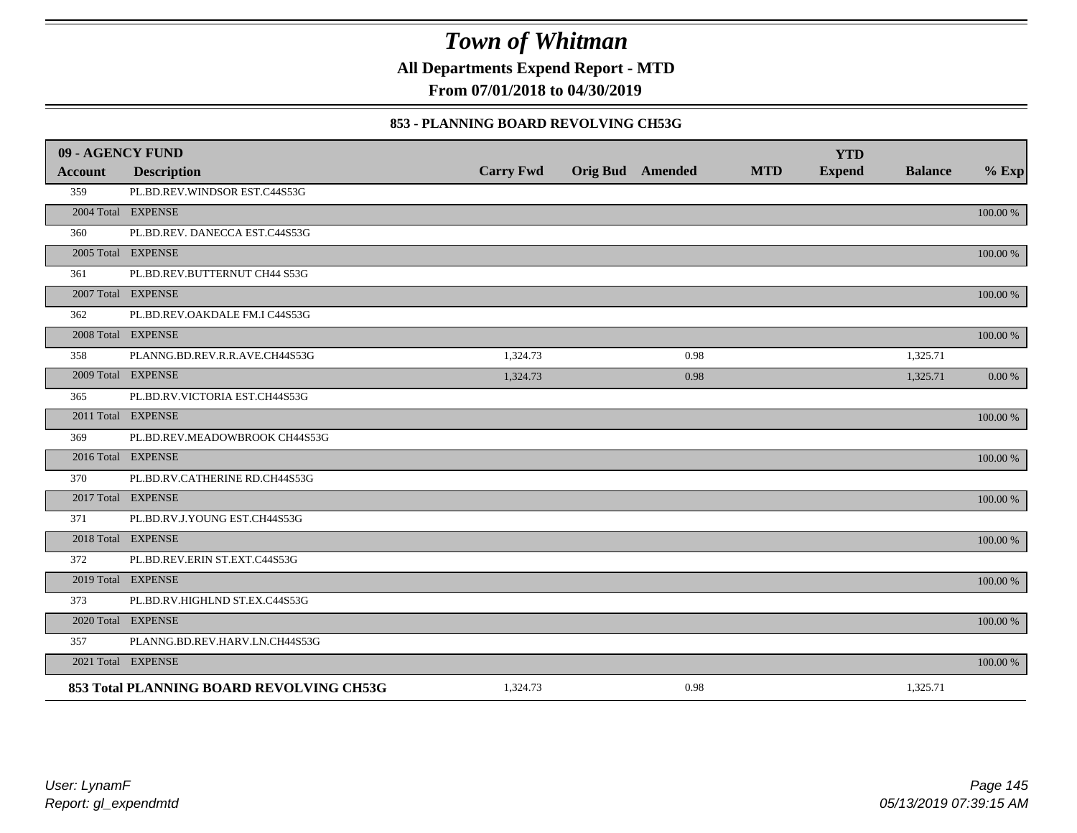**All Departments Expend Report - MTD**

**From 07/01/2018 to 04/30/2019**

#### **853 - PLANNING BOARD REVOLVING CH53G**

| 09 - AGENCY FUND |                                          |                  |                         |            | <b>YTD</b>    |                |             |
|------------------|------------------------------------------|------------------|-------------------------|------------|---------------|----------------|-------------|
| <b>Account</b>   | <b>Description</b>                       | <b>Carry Fwd</b> | <b>Orig Bud</b> Amended | <b>MTD</b> | <b>Expend</b> | <b>Balance</b> | $%$ Exp     |
| 359              | PL.BD.REV.WINDSOR EST.C44S53G            |                  |                         |            |               |                |             |
|                  | 2004 Total EXPENSE                       |                  |                         |            |               |                | 100.00 %    |
| 360              | PL.BD.REV. DANECCA EST.C44S53G           |                  |                         |            |               |                |             |
|                  | 2005 Total EXPENSE                       |                  |                         |            |               |                | 100.00 %    |
| 361              | PL.BD.REV.BUTTERNUT CH44 S53G            |                  |                         |            |               |                |             |
|                  | 2007 Total EXPENSE                       |                  |                         |            |               |                | 100.00 %    |
| 362              | PL.BD.REV.OAKDALE FM.I C44S53G           |                  |                         |            |               |                |             |
|                  | 2008 Total EXPENSE                       |                  |                         |            |               |                | 100.00 %    |
| 358              | PLANNG.BD.REV.R.R.AVE.CH44S53G           | 1,324.73         | 0.98                    |            |               | 1,325.71       |             |
|                  | 2009 Total EXPENSE                       | 1,324.73         | 0.98                    |            |               | 1,325.71       | 0.00 %      |
| 365              | PL.BD.RV.VICTORIA EST.CH44S53G           |                  |                         |            |               |                |             |
|                  | 2011 Total EXPENSE                       |                  |                         |            |               |                | 100.00 %    |
| 369              | PL.BD.REV.MEADOWBROOK CH44S53G           |                  |                         |            |               |                |             |
|                  | 2016 Total EXPENSE                       |                  |                         |            |               |                | $100.00~\%$ |
| 370              | PL.BD.RV.CATHERINE RD.CH44S53G           |                  |                         |            |               |                |             |
|                  | 2017 Total EXPENSE                       |                  |                         |            |               |                | 100.00 %    |
| 371              | PL.BD.RV.J.YOUNG EST.CH44S53G            |                  |                         |            |               |                |             |
|                  | 2018 Total EXPENSE                       |                  |                         |            |               |                | 100.00 %    |
| 372              | PL.BD.REV.ERIN ST.EXT.C44S53G            |                  |                         |            |               |                |             |
|                  | 2019 Total EXPENSE                       |                  |                         |            |               |                | 100.00 %    |
| 373              | PL.BD.RV.HIGHLND ST.EX.C44S53G           |                  |                         |            |               |                |             |
|                  | 2020 Total EXPENSE                       |                  |                         |            |               |                | 100.00 %    |
| 357              | PLANNG.BD.REV.HARV.LN.CH44S53G           |                  |                         |            |               |                |             |
|                  | 2021 Total EXPENSE                       |                  |                         |            |               |                | 100.00 %    |
|                  | 853 Total PLANNING BOARD REVOLVING CH53G | 1,324.73         | 0.98                    |            |               | 1,325.71       |             |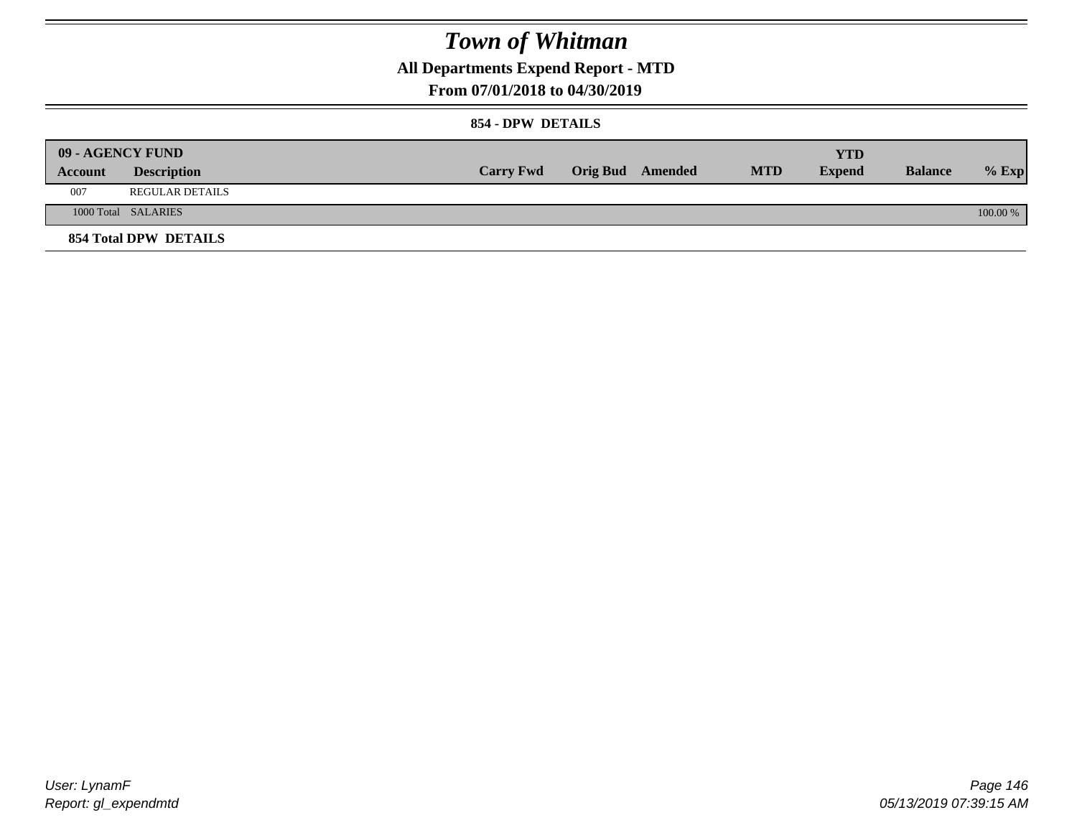**All Departments Expend Report - MTD**

### **From 07/01/2018 to 04/30/2019**

#### **854 - DPW DETAILS**

|         | <b>09 - AGENCY FUND</b> |                  |                         |            | <b>YTD</b> |                |            |
|---------|-------------------------|------------------|-------------------------|------------|------------|----------------|------------|
| Account | <b>Description</b>      | <b>Carry Fwd</b> | <b>Orig Bud</b> Amended | <b>MTD</b> | Expend     | <b>Balance</b> | $%$ Exp    |
| 007     | <b>REGULAR DETAILS</b>  |                  |                         |            |            |                |            |
|         | 1000 Total SALARIES     |                  |                         |            |            |                | $100.00\%$ |
|         | 854 Total DPW DETAILS   |                  |                         |            |            |                |            |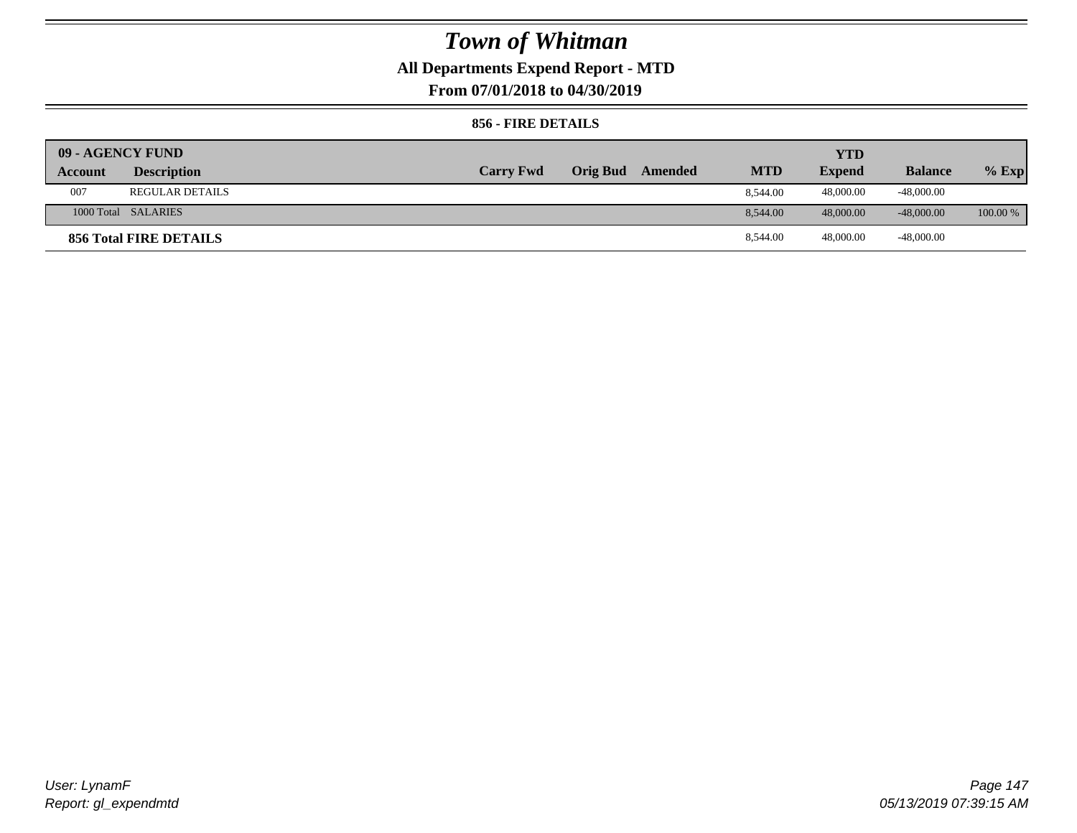### **All Departments Expend Report - MTD**

**From 07/01/2018 to 04/30/2019**

#### **856 - FIRE DETAILS**

| 09 - AGENCY FUND |                        |                  |                 |         |            | YTD           |                |            |
|------------------|------------------------|------------------|-----------------|---------|------------|---------------|----------------|------------|
| Account          | <b>Description</b>     | <b>Carry Fwd</b> | <b>Orig Bud</b> | Amended | <b>MTD</b> | <b>Expend</b> | <b>Balance</b> | $%$ Exp    |
| 007              | <b>REGULAR DETAILS</b> |                  |                 |         | 8.544.00   | 48,000.00     | $-48,000.00$   |            |
|                  | 1000 Total SALARIES    |                  |                 |         | 8.544.00   | 48,000.00     | $-48,000.00$   | $100.00\%$ |
|                  | 856 Total FIRE DETAILS |                  |                 |         | 8,544.00   | 48,000.00     | -48,000.00     |            |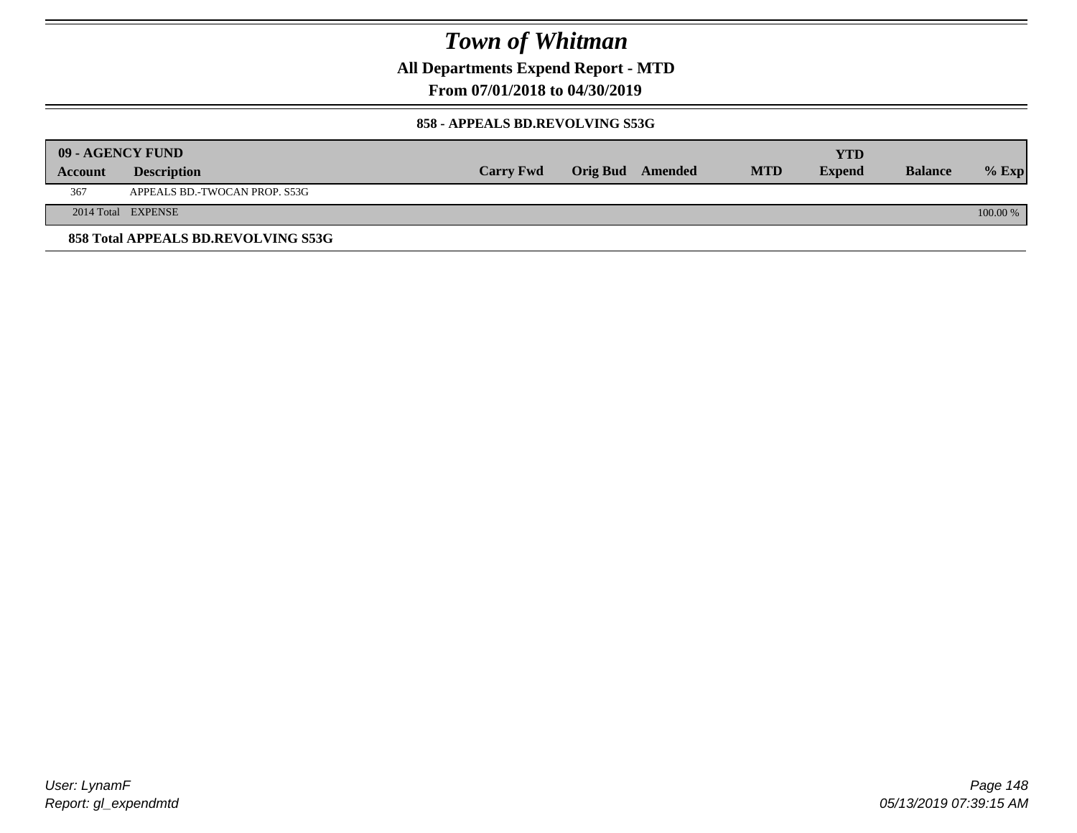**All Departments Expend Report - MTD**

**From 07/01/2018 to 04/30/2019**

#### **858 - APPEALS BD.REVOLVING S53G**

|         | 09 - AGENCY FUND                    |                  |                  |            | YTD           |                |            |
|---------|-------------------------------------|------------------|------------------|------------|---------------|----------------|------------|
| Account | <b>Description</b>                  | <b>Carry Fwd</b> | Orig Bud Amended | <b>MTD</b> | <b>Expend</b> | <b>Balance</b> | $%$ Exp    |
| 367     | APPEALS BD.-TWOCAN PROP. S53G       |                  |                  |            |               |                |            |
|         | 2014 Total EXPENSE                  |                  |                  |            |               |                | $100.00\%$ |
|         | 858 Total APPEALS BD.REVOLVING S53G |                  |                  |            |               |                |            |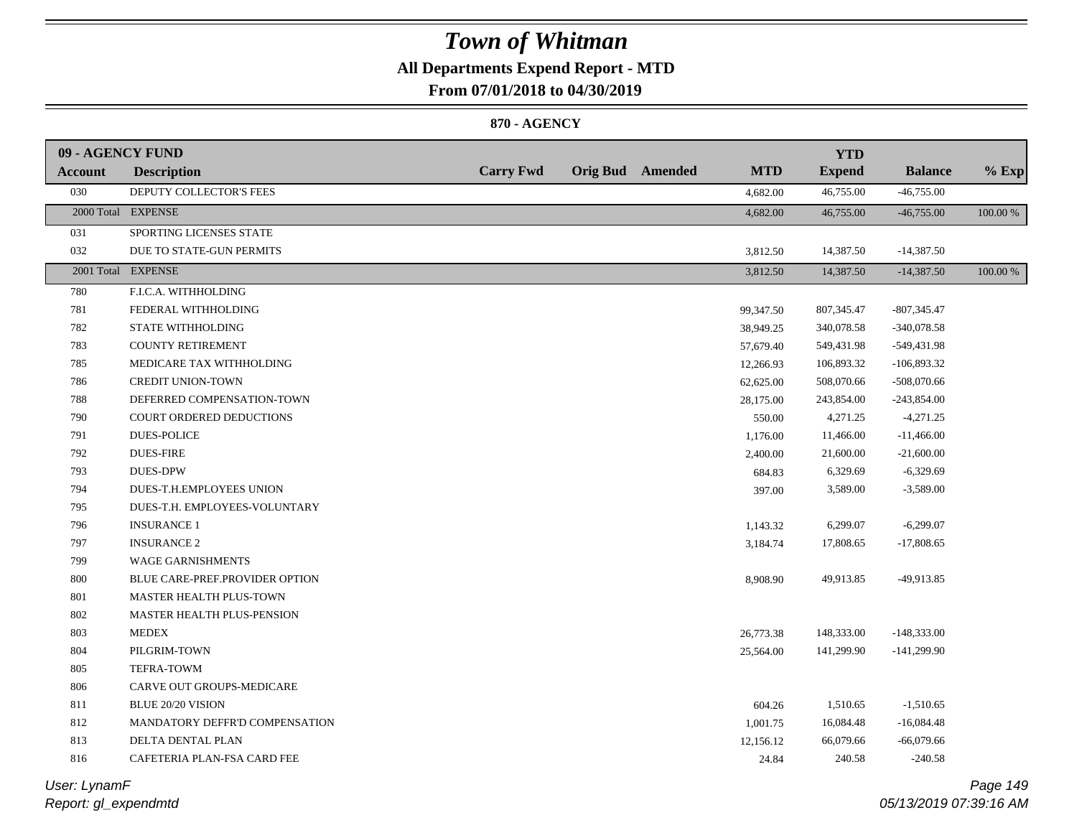### **All Departments Expend Report - MTD**

**From 07/01/2018 to 04/30/2019**

#### **870 - AGENCY**

| 09 - AGENCY FUND |                                   |                  |                         |            | <b>YTD</b>    |                |          |
|------------------|-----------------------------------|------------------|-------------------------|------------|---------------|----------------|----------|
| <b>Account</b>   | <b>Description</b>                | <b>Carry Fwd</b> | <b>Orig Bud</b> Amended | <b>MTD</b> | <b>Expend</b> | <b>Balance</b> | $%$ Exp  |
| 030              | DEPUTY COLLECTOR'S FEES           |                  |                         | 4,682.00   | 46,755.00     | $-46,755.00$   |          |
|                  | 2000 Total EXPENSE                |                  |                         | 4,682.00   | 46,755.00     | $-46,755.00$   | 100.00 % |
| 031              | SPORTING LICENSES STATE           |                  |                         |            |               |                |          |
| 032              | DUE TO STATE-GUN PERMITS          |                  |                         | 3,812.50   | 14,387.50     | $-14,387.50$   |          |
|                  | 2001 Total EXPENSE                |                  |                         | 3,812.50   | 14,387.50     | $-14,387.50$   | 100.00 % |
| 780              | F.I.C.A. WITHHOLDING              |                  |                         |            |               |                |          |
| 781              | FEDERAL WITHHOLDING               |                  |                         | 99,347.50  | 807,345.47    | $-807,345.47$  |          |
| 782              | STATE WITHHOLDING                 |                  |                         | 38,949.25  | 340,078.58    | $-340,078.58$  |          |
| 783              | <b>COUNTY RETIREMENT</b>          |                  |                         | 57,679.40  | 549,431.98    | -549,431.98    |          |
| 785              | MEDICARE TAX WITHHOLDING          |                  |                         | 12,266.93  | 106,893.32    | $-106,893.32$  |          |
| 786              | <b>CREDIT UNION-TOWN</b>          |                  |                         | 62,625.00  | 508,070.66    | $-508,070.66$  |          |
| 788              | DEFERRED COMPENSATION-TOWN        |                  |                         | 28,175.00  | 243,854.00    | $-243,854.00$  |          |
| 790              | COURT ORDERED DEDUCTIONS          |                  |                         | 550.00     | 4,271.25      | $-4,271.25$    |          |
| 791              | <b>DUES-POLICE</b>                |                  |                         | 1,176.00   | 11,466.00     | $-11,466.00$   |          |
| 792              | <b>DUES-FIRE</b>                  |                  |                         | 2,400.00   | 21,600.00     | $-21,600.00$   |          |
| 793              | <b>DUES-DPW</b>                   |                  |                         | 684.83     | 6,329.69      | $-6,329.69$    |          |
| 794              | DUES-T.H.EMPLOYEES UNION          |                  |                         | 397.00     | 3,589.00      | $-3,589.00$    |          |
| 795              | DUES-T.H. EMPLOYEES-VOLUNTARY     |                  |                         |            |               |                |          |
| 796              | <b>INSURANCE 1</b>                |                  |                         | 1,143.32   | 6,299.07      | $-6,299.07$    |          |
| 797              | <b>INSURANCE 2</b>                |                  |                         | 3,184.74   | 17,808.65     | $-17,808.65$   |          |
| 799              | <b>WAGE GARNISHMENTS</b>          |                  |                         |            |               |                |          |
| $800\,$          | BLUE CARE-PREF.PROVIDER OPTION    |                  |                         | 8,908.90   | 49,913.85     | -49,913.85     |          |
| 801              | MASTER HEALTH PLUS-TOWN           |                  |                         |            |               |                |          |
| 802              | <b>MASTER HEALTH PLUS-PENSION</b> |                  |                         |            |               |                |          |
| 803              | <b>MEDEX</b>                      |                  |                         | 26,773.38  | 148,333.00    | $-148,333.00$  |          |
| 804              | PILGRIM-TOWN                      |                  |                         | 25,564.00  | 141,299.90    | $-141,299.90$  |          |
| 805              | TEFRA-TOWM                        |                  |                         |            |               |                |          |
| 806              | CARVE OUT GROUPS-MEDICARE         |                  |                         |            |               |                |          |
| 811              | <b>BLUE 20/20 VISION</b>          |                  |                         | 604.26     | 1,510.65      | $-1,510.65$    |          |
| 812              | MANDATORY DEFFR'D COMPENSATION    |                  |                         | 1,001.75   | 16,084.48     | $-16,084.48$   |          |
| 813              | DELTA DENTAL PLAN                 |                  |                         | 12,156.12  | 66,079.66     | $-66,079.66$   |          |
| 816              | CAFETERIA PLAN-FSA CARD FEE       |                  |                         | 24.84      | 240.58        | $-240.58$      |          |
|                  |                                   |                  |                         |            |               |                |          |

*Report: gl\_expendmtd User: LynamF*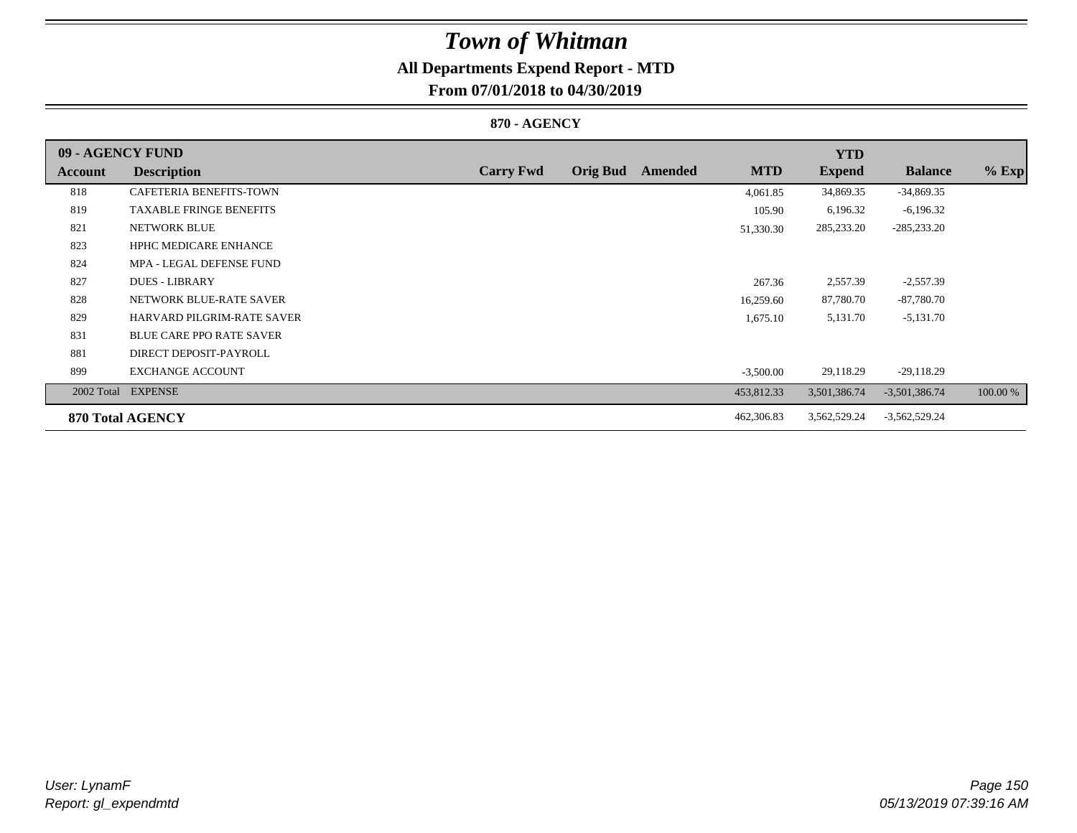### **All Departments Expend Report - MTD**

### **From 07/01/2018 to 04/30/2019**

#### **870 - AGENCY**

| 09 - AGENCY FUND |                                 |                  |                 |         |             | <b>YTD</b>    |                 |          |
|------------------|---------------------------------|------------------|-----------------|---------|-------------|---------------|-----------------|----------|
| Account          | <b>Description</b>              | <b>Carry Fwd</b> | <b>Orig Bud</b> | Amended | <b>MTD</b>  | <b>Expend</b> | <b>Balance</b>  | $%$ Exp  |
| 818              | <b>CAFETERIA BENEFITS-TOWN</b>  |                  |                 |         | 4,061.85    | 34,869.35     | $-34,869.35$    |          |
| 819              | <b>TAXABLE FRINGE BENEFITS</b>  |                  |                 |         | 105.90      | 6,196.32      | $-6,196.32$     |          |
| 821              | NETWORK BLUE                    |                  |                 |         | 51,330.30   | 285,233.20    | $-285,233.20$   |          |
| 823              | <b>HPHC MEDICARE ENHANCE</b>    |                  |                 |         |             |               |                 |          |
| 824              | MPA - LEGAL DEFENSE FUND        |                  |                 |         |             |               |                 |          |
| 827              | <b>DUES - LIBRARY</b>           |                  |                 |         | 267.36      | 2,557.39      | $-2,557.39$     |          |
| 828              | NETWORK BLUE-RATE SAVER         |                  |                 |         | 16,259.60   | 87,780.70     | $-87,780.70$    |          |
| 829              | HARVARD PILGRIM-RATE SAVER      |                  |                 |         | 1,675.10    | 5,131.70      | $-5,131.70$     |          |
| 831              | <b>BLUE CARE PPO RATE SAVER</b> |                  |                 |         |             |               |                 |          |
| 881              | DIRECT DEPOSIT-PAYROLL          |                  |                 |         |             |               |                 |          |
| 899              | <b>EXCHANGE ACCOUNT</b>         |                  |                 |         | $-3,500.00$ | 29,118.29     | $-29,118.29$    |          |
| 2002 Total       | <b>EXPENSE</b>                  |                  |                 |         | 453,812.33  | 3,501,386.74  | $-3,501,386.74$ | 100.00 % |
|                  | 870 Total AGENCY                |                  |                 |         | 462,306.83  | 3,562,529.24  | $-3,562,529.24$ |          |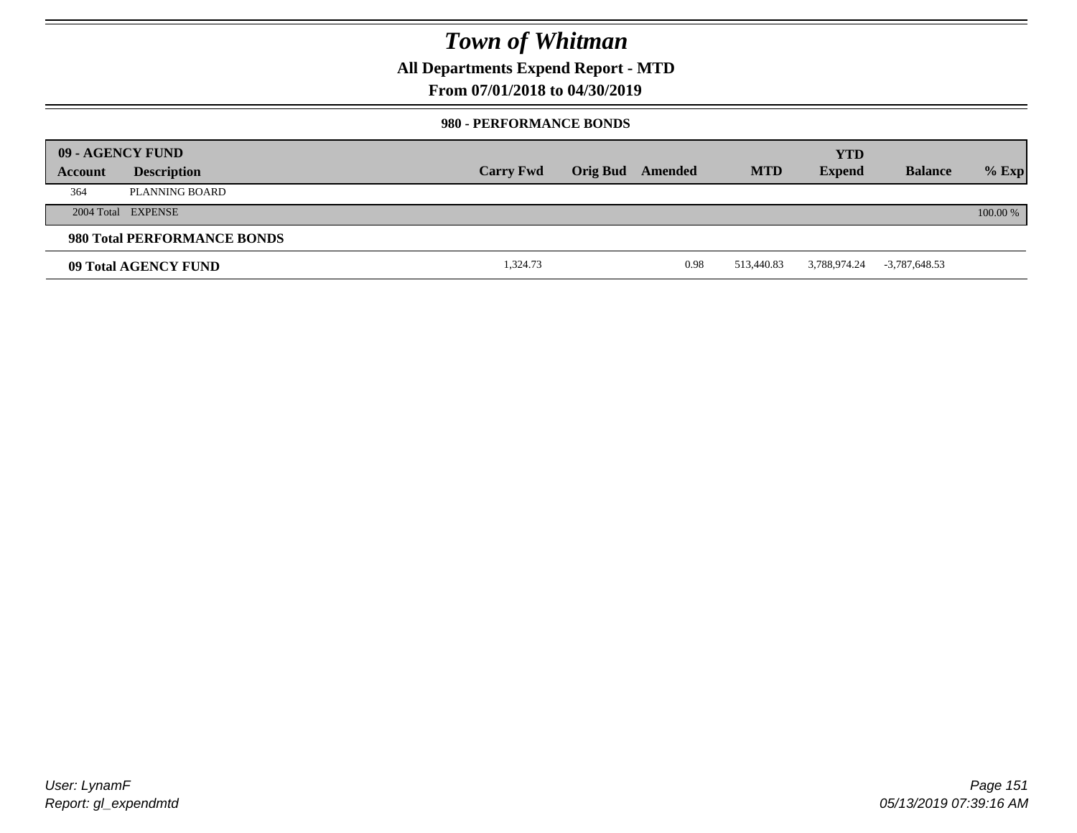**All Departments Expend Report - MTD**

### **From 07/01/2018 to 04/30/2019**

#### **980 - PERFORMANCE BONDS**

|         | 09 - AGENCY FUND            |                  |                 |         |            | <b>YTD</b>    |                 |          |
|---------|-----------------------------|------------------|-----------------|---------|------------|---------------|-----------------|----------|
| Account | <b>Description</b>          | <b>Carry Fwd</b> | <b>Orig Bud</b> | Amended | <b>MTD</b> | <b>Expend</b> | <b>Balance</b>  | $%$ Exp  |
| 364     | PLANNING BOARD              |                  |                 |         |            |               |                 |          |
|         | 2004 Total EXPENSE          |                  |                 |         |            |               |                 | 100.00 % |
|         | 980 Total PERFORMANCE BONDS |                  |                 |         |            |               |                 |          |
|         | 09 Total AGENCY FUND        | 1,324.73         |                 | 0.98    | 513,440.83 | 3,788,974.24  | $-3,787,648.53$ |          |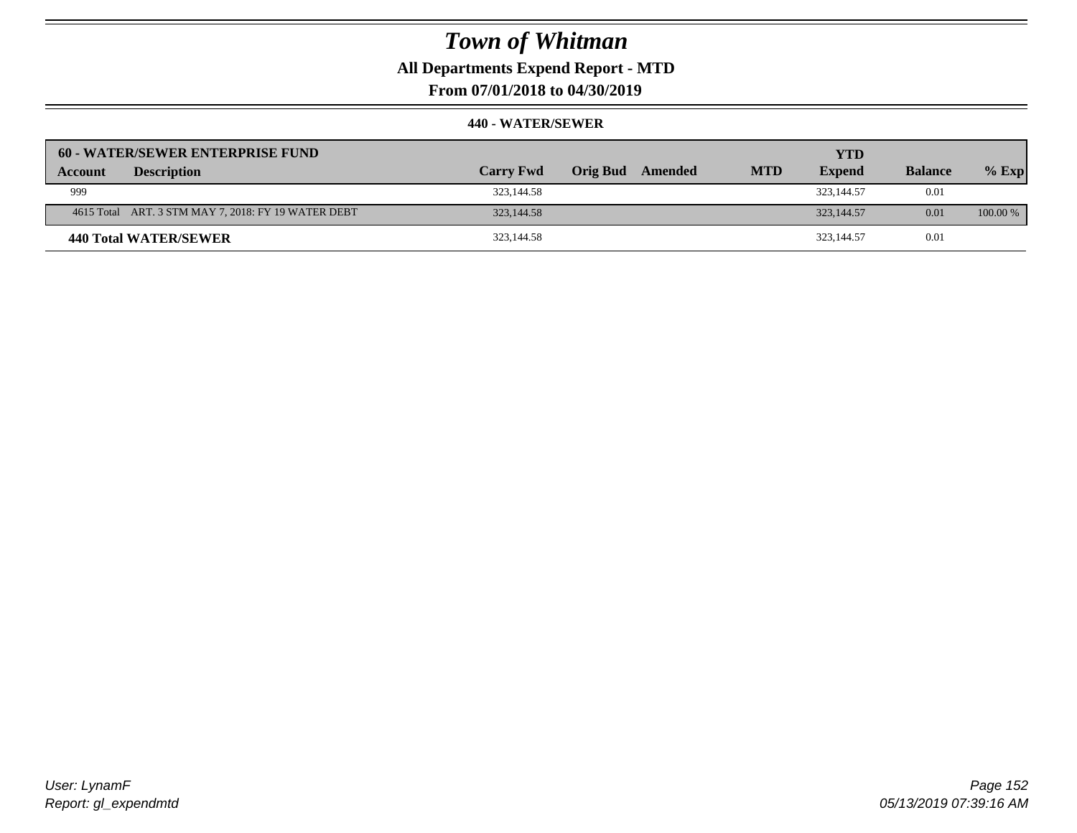**All Departments Expend Report - MTD**

**From 07/01/2018 to 04/30/2019**

| 60 - WATER/SEWER ENTERPRISE FUND                    |                  |                     |            | <b>YTD</b>    |                |            |
|-----------------------------------------------------|------------------|---------------------|------------|---------------|----------------|------------|
| <b>Description</b><br>Account                       | <b>Carry Fwd</b> | Orig Bud<br>Amended | <b>MTD</b> | <b>Expend</b> | <b>Balance</b> | $%$ Exp    |
| 999                                                 | 323,144.58       |                     |            | 323,144.57    | 0.01           |            |
| 4615 Total ART. 3 STM MAY 7, 2018: FY 19 WATER DEBT | 323,144.58       |                     |            | 323,144.57    | 0.01           | $100.00\%$ |
| 440 Total WATER/SEWER                               | 323,144.58       |                     |            | 323,144.57    | 0.01           |            |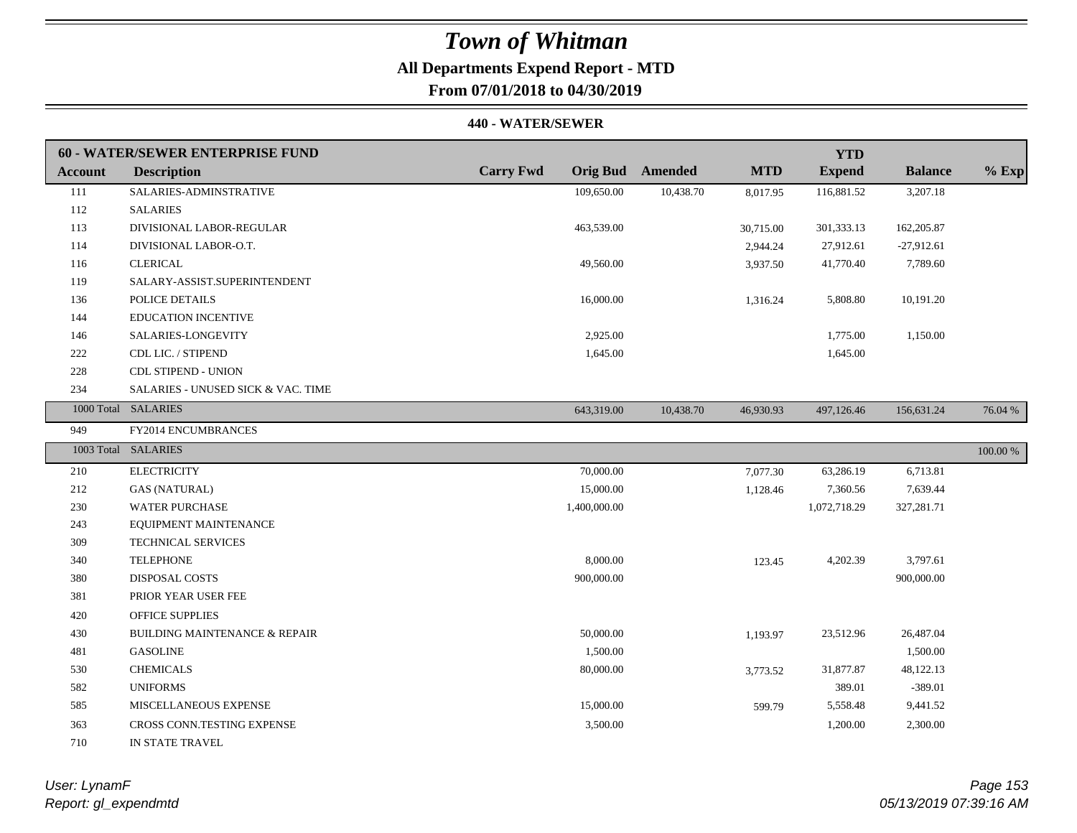# **All Departments Expend Report - MTD**

### **From 07/01/2018 to 04/30/2019**

#### **440 - WATER/SEWER**

|                | 60 - WATER/SEWER ENTERPRISE FUND         |                  |                         |            | <b>YTD</b>    |                |             |
|----------------|------------------------------------------|------------------|-------------------------|------------|---------------|----------------|-------------|
| <b>Account</b> | <b>Description</b>                       | <b>Carry Fwd</b> | <b>Orig Bud</b> Amended | <b>MTD</b> | <b>Expend</b> | <b>Balance</b> | $%$ Exp     |
| 111            | SALARIES-ADMINSTRATIVE                   | 109,650.00       | 10,438.70               | 8,017.95   | 116,881.52    | 3,207.18       |             |
| 112            | <b>SALARIES</b>                          |                  |                         |            |               |                |             |
| 113            | DIVISIONAL LABOR-REGULAR                 | 463,539.00       |                         | 30,715.00  | 301,333.13    | 162,205.87     |             |
| 114            | DIVISIONAL LABOR-O.T.                    |                  |                         | 2,944.24   | 27,912.61     | $-27,912.61$   |             |
| 116            | <b>CLERICAL</b>                          | 49,560.00        |                         | 3,937.50   | 41,770.40     | 7,789.60       |             |
| 119            | SALARY-ASSIST.SUPERINTENDENT             |                  |                         |            |               |                |             |
| 136            | POLICE DETAILS                           | 16,000.00        |                         | 1,316.24   | 5,808.80      | 10,191.20      |             |
| 144            | <b>EDUCATION INCENTIVE</b>               |                  |                         |            |               |                |             |
| 146            | SALARIES-LONGEVITY                       | 2,925.00         |                         |            | 1,775.00      | 1,150.00       |             |
| 222            | CDL LIC. / STIPEND                       | 1,645.00         |                         |            | 1,645.00      |                |             |
| 228            | <b>CDL STIPEND - UNION</b>               |                  |                         |            |               |                |             |
| 234            | SALARIES - UNUSED SICK & VAC. TIME       |                  |                         |            |               |                |             |
|                | 1000 Total SALARIES                      | 643,319.00       | 10,438.70               | 46,930.93  | 497,126.46    | 156,631.24     | 76.04 %     |
| 949            | FY2014 ENCUMBRANCES                      |                  |                         |            |               |                |             |
|                | 1003 Total SALARIES                      |                  |                         |            |               |                | $100.00~\%$ |
| 210            | <b>ELECTRICITY</b>                       | 70,000.00        |                         | 7,077.30   | 63,286.19     | 6,713.81       |             |
| 212            | <b>GAS (NATURAL)</b>                     | 15,000.00        |                         | 1,128.46   | 7,360.56      | 7,639.44       |             |
| 230            | <b>WATER PURCHASE</b>                    | 1,400,000.00     |                         |            | 1,072,718.29  | 327,281.71     |             |
| 243            | EQUIPMENT MAINTENANCE                    |                  |                         |            |               |                |             |
| 309            | TECHNICAL SERVICES                       |                  |                         |            |               |                |             |
| 340            | <b>TELEPHONE</b>                         | 8,000.00         |                         | 123.45     | 4,202.39      | 3,797.61       |             |
| 380            | DISPOSAL COSTS                           | 900,000.00       |                         |            |               | 900,000.00     |             |
| 381            | PRIOR YEAR USER FEE                      |                  |                         |            |               |                |             |
|                |                                          |                  |                         |            |               |                |             |
| 420            | <b>OFFICE SUPPLIES</b>                   |                  |                         |            |               |                |             |
| 430            | <b>BUILDING MAINTENANCE &amp; REPAIR</b> | 50,000.00        |                         | 1,193.97   | 23,512.96     | 26,487.04      |             |
| 481            | <b>GASOLINE</b>                          | 1,500.00         |                         |            |               | 1,500.00       |             |
| 530            | <b>CHEMICALS</b>                         | 80,000.00        |                         | 3,773.52   | 31,877.87     | 48,122.13      |             |
| 582            | <b>UNIFORMS</b>                          |                  |                         |            | 389.01        | $-389.01$      |             |
| 585            | MISCELLANEOUS EXPENSE                    | 15,000.00        |                         | 599.79     | 5,558.48      | 9,441.52       |             |
| 363            | CROSS CONN.TESTING EXPENSE               | 3,500.00         |                         |            | 1,200.00      | 2,300.00       |             |

*Report: gl\_expendmtd User: LynamF*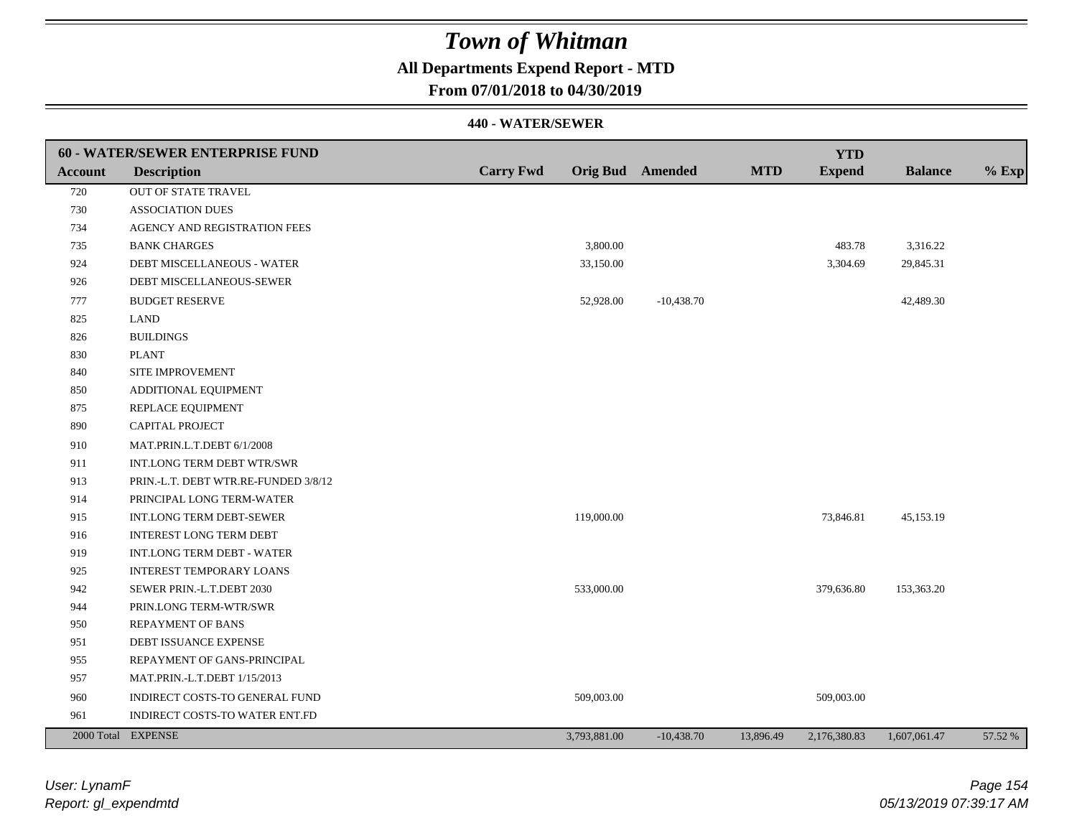### **All Departments Expend Report - MTD**

### **From 07/01/2018 to 04/30/2019**

|         | 60 - WATER/SEWER ENTERPRISE FUND     |                  |                         |              |            | <b>YTD</b>    |                |         |
|---------|--------------------------------------|------------------|-------------------------|--------------|------------|---------------|----------------|---------|
| Account | <b>Description</b>                   | <b>Carry Fwd</b> | <b>Orig Bud</b> Amended |              | <b>MTD</b> | <b>Expend</b> | <b>Balance</b> | $%$ Exp |
| 720     | <b>OUT OF STATE TRAVEL</b>           |                  |                         |              |            |               |                |         |
| 730     | <b>ASSOCIATION DUES</b>              |                  |                         |              |            |               |                |         |
| 734     | AGENCY AND REGISTRATION FEES         |                  |                         |              |            |               |                |         |
| 735     | <b>BANK CHARGES</b>                  |                  | 3,800.00                |              |            | 483.78        | 3,316.22       |         |
| 924     | DEBT MISCELLANEOUS - WATER           |                  | 33,150.00               |              |            | 3,304.69      | 29,845.31      |         |
| 926     | DEBT MISCELLANEOUS-SEWER             |                  |                         |              |            |               |                |         |
| 777     | <b>BUDGET RESERVE</b>                |                  | 52,928.00               | $-10,438.70$ |            |               | 42,489.30      |         |
| 825     | <b>LAND</b>                          |                  |                         |              |            |               |                |         |
| 826     | <b>BUILDINGS</b>                     |                  |                         |              |            |               |                |         |
| 830     | <b>PLANT</b>                         |                  |                         |              |            |               |                |         |
| 840     | SITE IMPROVEMENT                     |                  |                         |              |            |               |                |         |
| 850     | ADDITIONAL EQUIPMENT                 |                  |                         |              |            |               |                |         |
| 875     | REPLACE EQUIPMENT                    |                  |                         |              |            |               |                |         |
| 890     | CAPITAL PROJECT                      |                  |                         |              |            |               |                |         |
| 910     | MAT.PRIN.L.T.DEBT 6/1/2008           |                  |                         |              |            |               |                |         |
| 911     | INT.LONG TERM DEBT WTR/SWR           |                  |                         |              |            |               |                |         |
| 913     | PRIN.-L.T. DEBT WTR.RE-FUNDED 3/8/12 |                  |                         |              |            |               |                |         |
| 914     | PRINCIPAL LONG TERM-WATER            |                  |                         |              |            |               |                |         |
| 915     | INT.LONG TERM DEBT-SEWER             |                  | 119,000.00              |              |            | 73,846.81     | 45,153.19      |         |
| 916     | <b>INTEREST LONG TERM DEBT</b>       |                  |                         |              |            |               |                |         |
| 919     | INT.LONG TERM DEBT - WATER           |                  |                         |              |            |               |                |         |
| 925     | <b>INTEREST TEMPORARY LOANS</b>      |                  |                         |              |            |               |                |         |
| 942     | SEWER PRIN.-L.T.DEBT 2030            |                  | 533,000.00              |              |            | 379,636.80    | 153,363.20     |         |
| 944     | PRIN.LONG TERM-WTR/SWR               |                  |                         |              |            |               |                |         |
| 950     | REPAYMENT OF BANS                    |                  |                         |              |            |               |                |         |
| 951     | DEBT ISSUANCE EXPENSE                |                  |                         |              |            |               |                |         |
| 955     | REPAYMENT OF GANS-PRINCIPAL          |                  |                         |              |            |               |                |         |
| 957     | MAT.PRIN.-L.T.DEBT 1/15/2013         |                  |                         |              |            |               |                |         |
| 960     | INDIRECT COSTS-TO GENERAL FUND       |                  | 509,003.00              |              |            | 509,003.00    |                |         |
| 961     | INDIRECT COSTS-TO WATER ENT.FD       |                  |                         |              |            |               |                |         |
|         | 2000 Total EXPENSE                   |                  | 3,793,881.00            | $-10,438.70$ | 13,896.49  | 2,176,380.83  | 1,607,061.47   | 57.52 % |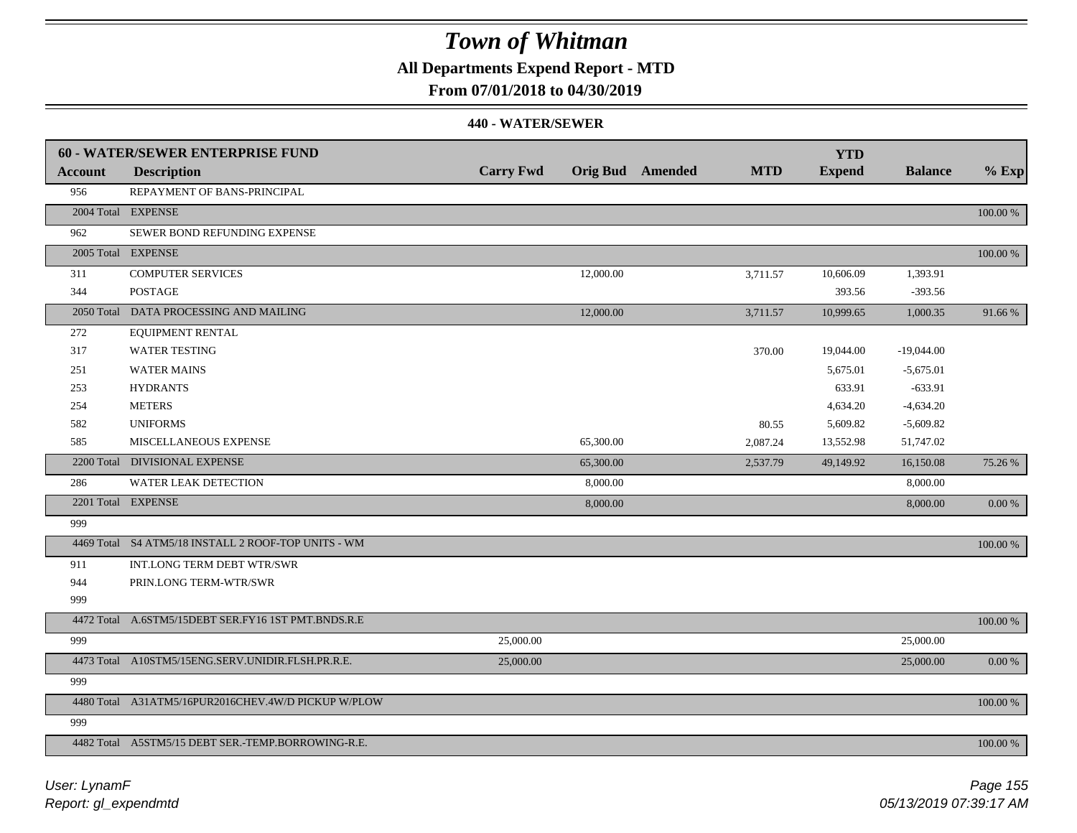**All Departments Expend Report - MTD**

### **From 07/01/2018 to 04/30/2019**

|         | <b>60 - WATER/SEWER ENTERPRISE FUND</b>             |                  |           |                         |            | <b>YTD</b>    |                |             |
|---------|-----------------------------------------------------|------------------|-----------|-------------------------|------------|---------------|----------------|-------------|
| Account | <b>Description</b>                                  | <b>Carry Fwd</b> |           | <b>Orig Bud</b> Amended | <b>MTD</b> | <b>Expend</b> | <b>Balance</b> | $%$ Exp     |
| 956     | REPAYMENT OF BANS-PRINCIPAL                         |                  |           |                         |            |               |                |             |
|         | 2004 Total EXPENSE                                  |                  |           |                         |            |               |                | $100.00~\%$ |
| 962     | SEWER BOND REFUNDING EXPENSE                        |                  |           |                         |            |               |                |             |
|         | 2005 Total EXPENSE                                  |                  |           |                         |            |               |                | $100.00~\%$ |
| 311     | <b>COMPUTER SERVICES</b>                            |                  | 12,000.00 |                         | 3,711.57   | 10,606.09     | 1,393.91       |             |
| 344     | <b>POSTAGE</b>                                      |                  |           |                         |            | 393.56        | $-393.56$      |             |
|         | 2050 Total DATA PROCESSING AND MAILING              |                  | 12,000.00 |                         | 3,711.57   | 10,999.65     | 1,000.35       | 91.66%      |
| 272     | EQUIPMENT RENTAL                                    |                  |           |                         |            |               |                |             |
| 317     | <b>WATER TESTING</b>                                |                  |           |                         | 370.00     | 19,044.00     | $-19,044.00$   |             |
| 251     | <b>WATER MAINS</b>                                  |                  |           |                         |            | 5,675.01      | $-5,675.01$    |             |
| 253     | <b>HYDRANTS</b>                                     |                  |           |                         |            | 633.91        | $-633.91$      |             |
| 254     | <b>METERS</b>                                       |                  |           |                         |            | 4,634.20      | $-4,634.20$    |             |
| 582     | <b>UNIFORMS</b>                                     |                  |           |                         | 80.55      | 5,609.82      | $-5,609.82$    |             |
| 585     | MISCELLANEOUS EXPENSE                               |                  | 65,300.00 |                         | 2,087.24   | 13,552.98     | 51,747.02      |             |
|         | 2200 Total DIVISIONAL EXPENSE                       |                  | 65,300.00 |                         | 2,537.79   | 49,149.92     | 16,150.08      | 75.26 %     |
| 286     | WATER LEAK DETECTION                                |                  | 8,000.00  |                         |            |               | 8,000.00       |             |
|         | 2201 Total EXPENSE                                  |                  | 8,000.00  |                         |            |               | 8,000.00       | 0.00 %      |
| 999     |                                                     |                  |           |                         |            |               |                |             |
|         | 4469 Total S4 ATM5/18 INSTALL 2 ROOF-TOP UNITS - WM |                  |           |                         |            |               |                | 100.00 %    |
| 911     | INT.LONG TERM DEBT WTR/SWR                          |                  |           |                         |            |               |                |             |
| 944     | PRIN.LONG TERM-WTR/SWR                              |                  |           |                         |            |               |                |             |
| 999     |                                                     |                  |           |                         |            |               |                |             |
|         | 4472 Total A.6STM5/15DEBT SER.FY16 1ST PMT.BNDS.R.E |                  |           |                         |            |               |                | 100.00 %    |
| 999     |                                                     | 25,000.00        |           |                         |            |               | 25,000.00      |             |
|         | 4473 Total A10STM5/15ENG.SERV.UNIDIR.FLSH.PR.R.E.   | 25,000.00        |           |                         |            |               | 25,000.00      | 0.00 %      |
| 999     |                                                     |                  |           |                         |            |               |                |             |
|         | 4480 Total A31ATM5/16PUR2016CHEV.4W/D PICKUP W/PLOW |                  |           |                         |            |               |                | 100.00 %    |
| 999     |                                                     |                  |           |                         |            |               |                |             |
|         | 4482 Total A5STM5/15 DEBT SER.-TEMP.BORROWING-R.E.  |                  |           |                         |            |               |                | 100.00 %    |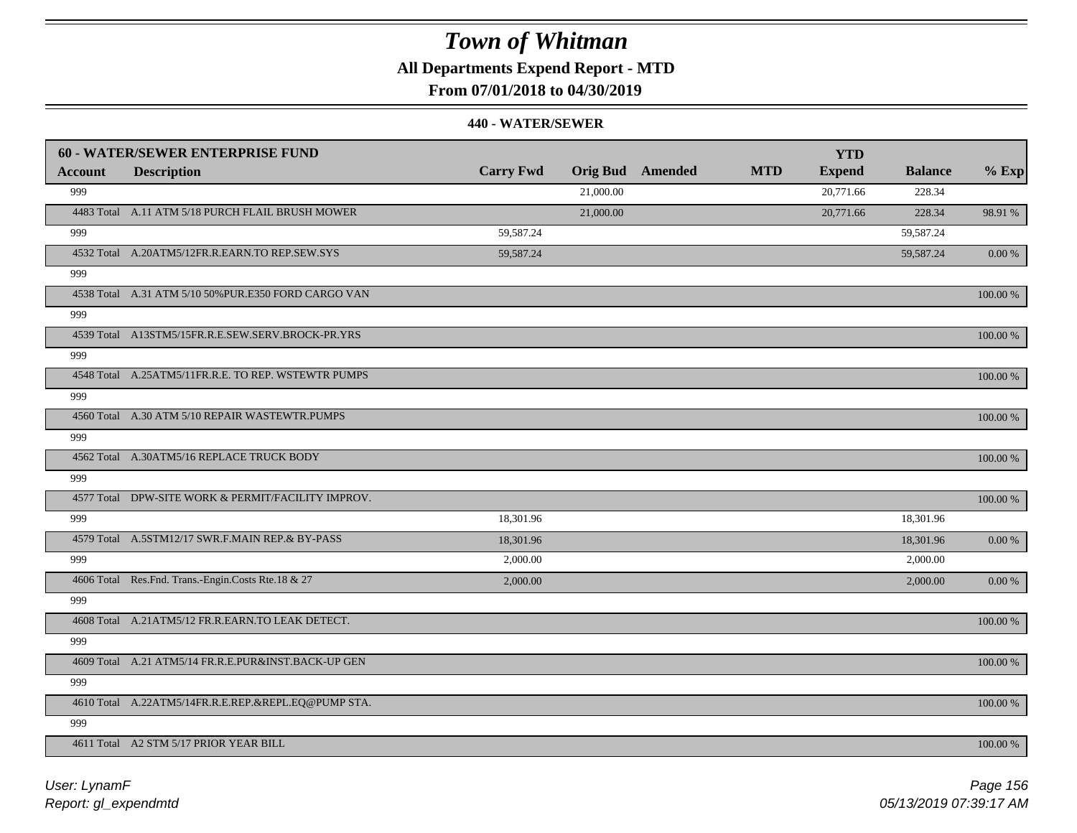**All Departments Expend Report - MTD**

**From 07/01/2018 to 04/30/2019**

|                | <b>60 - WATER/SEWER ENTERPRISE FUND</b>              |                  |           |                         |            | <b>YTD</b>    |                |             |
|----------------|------------------------------------------------------|------------------|-----------|-------------------------|------------|---------------|----------------|-------------|
| <b>Account</b> | <b>Description</b>                                   | <b>Carry Fwd</b> |           | <b>Orig Bud</b> Amended | <b>MTD</b> | <b>Expend</b> | <b>Balance</b> | $%$ Exp     |
| 999            |                                                      |                  | 21,000.00 |                         |            | 20,771.66     | 228.34         |             |
|                | 4483 Total A.11 ATM 5/18 PURCH FLAIL BRUSH MOWER     |                  | 21,000.00 |                         |            | 20,771.66     | 228.34         | 98.91 %     |
| 999            |                                                      | 59,587.24        |           |                         |            |               | 59,587.24      |             |
|                | 4532 Total A.20ATM5/12FR.R.EARN.TO REP.SEW.SYS       | 59,587.24        |           |                         |            |               | 59,587.24      | 0.00 %      |
| 999            |                                                      |                  |           |                         |            |               |                |             |
|                | 4538 Total A.31 ATM 5/10 50% PUR.E350 FORD CARGO VAN |                  |           |                         |            |               |                | 100.00 %    |
| 999            |                                                      |                  |           |                         |            |               |                |             |
|                | 4539 Total A13STM5/15FR.R.E.SEW.SERV.BROCK-PR.YRS    |                  |           |                         |            |               |                | 100.00 %    |
| 999            |                                                      |                  |           |                         |            |               |                |             |
|                | 4548 Total A.25ATM5/11FR.R.E. TO REP. WSTEWTR PUMPS  |                  |           |                         |            |               |                | 100.00 %    |
| 999            |                                                      |                  |           |                         |            |               |                |             |
|                | 4560 Total A.30 ATM 5/10 REPAIR WASTEWTR.PUMPS       |                  |           |                         |            |               |                | 100.00 %    |
| 999            |                                                      |                  |           |                         |            |               |                |             |
|                | 4562 Total A.30ATM5/16 REPLACE TRUCK BODY            |                  |           |                         |            |               |                | 100.00 %    |
| 999            |                                                      |                  |           |                         |            |               |                |             |
|                | 4577 Total DPW-SITE WORK & PERMIT/FACILITY IMPROV.   |                  |           |                         |            |               |                | $100.00~\%$ |
| 999            |                                                      | 18,301.96        |           |                         |            |               | 18,301.96      |             |
|                | 4579 Total A.5STM12/17 SWR.F.MAIN REP.& BY-PASS      | 18,301.96        |           |                         |            |               | 18,301.96      | $0.00\,\%$  |
| 999            |                                                      | 2,000.00         |           |                         |            |               | 2,000.00       |             |
|                | 4606 Total Res.Fnd. Trans.-Engin.Costs Rte.18 & 27   | 2,000.00         |           |                         |            |               | 2,000.00       | $0.00\,\%$  |
| 999            |                                                      |                  |           |                         |            |               |                |             |
|                | 4608 Total A.21ATM5/12 FR.R.EARN.TO LEAK DETECT.     |                  |           |                         |            |               |                | $100.00~\%$ |
| 999            |                                                      |                  |           |                         |            |               |                |             |
|                | 4609 Total A.21 ATM5/14 FR.R.E.PUR&INST.BACK-UP GEN  |                  |           |                         |            |               |                | 100.00 %    |
| 999            |                                                      |                  |           |                         |            |               |                |             |
|                | 4610 Total A.22ATM5/14FR.R.E.REP.&REPL.EQ@PUMP STA.  |                  |           |                         |            |               |                | 100.00 %    |
| 999            |                                                      |                  |           |                         |            |               |                |             |
|                | 4611 Total A2 STM 5/17 PRIOR YEAR BILL               |                  |           |                         |            |               |                | 100.00 %    |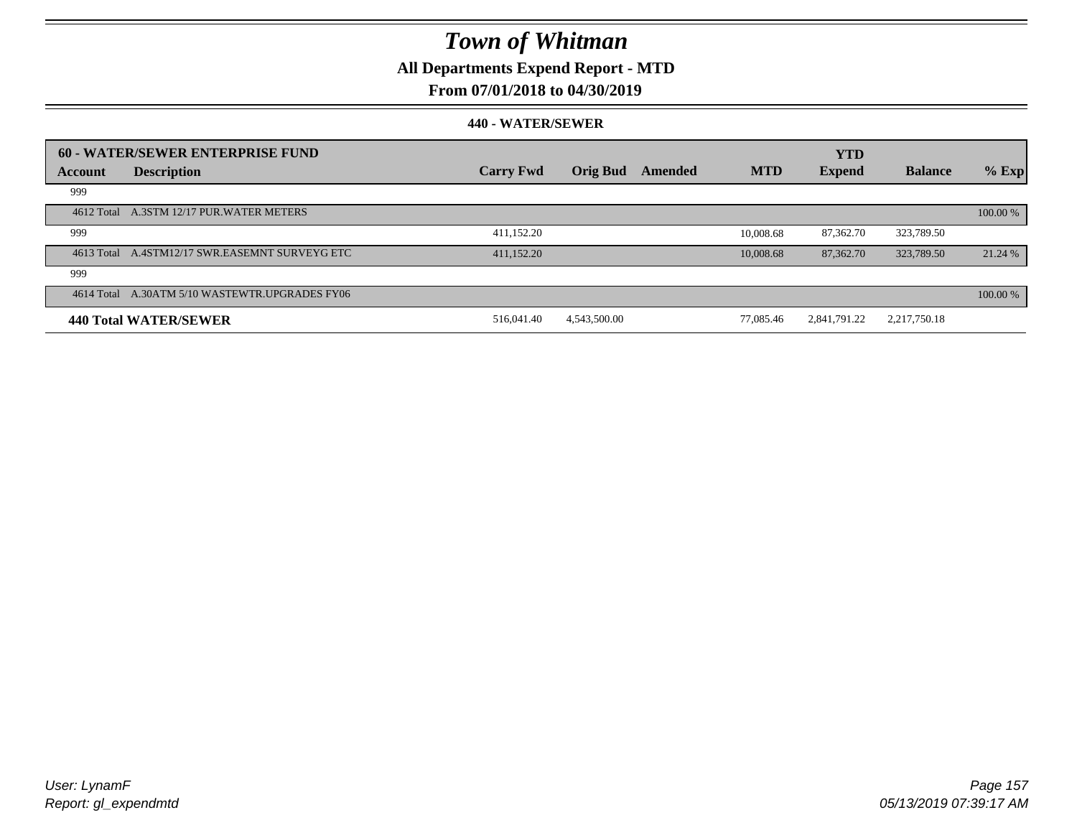**All Departments Expend Report - MTD**

### **From 07/01/2018 to 04/30/2019**

|         | 60 - WATER/SEWER ENTERPRISE FUND               |                  |                 |         |            | <b>YTD</b>    |                |          |
|---------|------------------------------------------------|------------------|-----------------|---------|------------|---------------|----------------|----------|
| Account | <b>Description</b>                             | <b>Carry Fwd</b> | <b>Orig Bud</b> | Amended | <b>MTD</b> | <b>Expend</b> | <b>Balance</b> | $%$ Exp  |
| 999     |                                                |                  |                 |         |            |               |                |          |
|         | 4612 Total A.3STM 12/17 PUR.WATER METERS       |                  |                 |         |            |               |                | 100.00 % |
| 999     |                                                | 411,152.20       |                 |         | 10,008.68  | 87,362.70     | 323,789.50     |          |
|         | 4613 Total A.4STM12/17 SWR.EASEMNT SURVEYG ETC | 411.152.20       |                 |         | 10,008.68  | 87,362.70     | 323,789.50     | 21.24 %  |
| 999     |                                                |                  |                 |         |            |               |                |          |
|         | 4614 Total A.30ATM 5/10 WASTEWTR.UPGRADES FY06 |                  |                 |         |            |               |                | 100.00 % |
|         | 440 Total WATER/SEWER                          | 516,041.40       | 4,543,500.00    |         | 77,085.46  | 2,841,791.22  | 2,217,750.18   |          |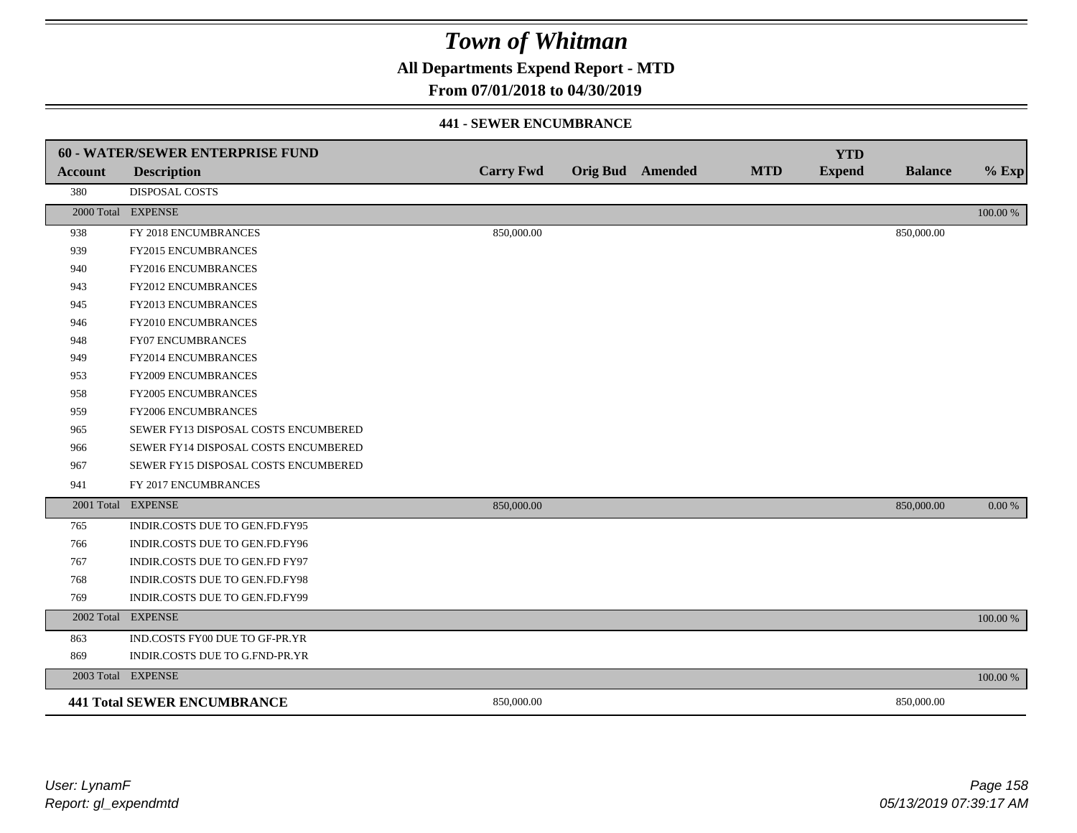**All Departments Expend Report - MTD**

### **From 07/01/2018 to 04/30/2019**

#### **441 - SEWER ENCUMBRANCE**

|                | <b>60 - WATER/SEWER ENTERPRISE FUND</b> |                  |                  |            | <b>YTD</b>    |                |           |
|----------------|-----------------------------------------|------------------|------------------|------------|---------------|----------------|-----------|
| <b>Account</b> | <b>Description</b>                      | <b>Carry Fwd</b> | Orig Bud Amended | <b>MTD</b> | <b>Expend</b> | <b>Balance</b> | $%$ Exp   |
| 380            | <b>DISPOSAL COSTS</b>                   |                  |                  |            |               |                |           |
|                | 2000 Total EXPENSE                      |                  |                  |            |               |                | 100.00 %  |
| 938            | FY 2018 ENCUMBRANCES                    | 850,000.00       |                  |            |               | 850,000.00     |           |
| 939            | FY2015 ENCUMBRANCES                     |                  |                  |            |               |                |           |
| 940            | FY2016 ENCUMBRANCES                     |                  |                  |            |               |                |           |
| 943            | <b>FY2012 ENCUMBRANCES</b>              |                  |                  |            |               |                |           |
| 945            | FY2013 ENCUMBRANCES                     |                  |                  |            |               |                |           |
| 946            | FY2010 ENCUMBRANCES                     |                  |                  |            |               |                |           |
| 948            | <b>FY07 ENCUMBRANCES</b>                |                  |                  |            |               |                |           |
| 949            | FY2014 ENCUMBRANCES                     |                  |                  |            |               |                |           |
| 953            | <b>FY2009 ENCUMBRANCES</b>              |                  |                  |            |               |                |           |
| 958            | <b>FY2005 ENCUMBRANCES</b>              |                  |                  |            |               |                |           |
| 959            | <b>FY2006 ENCUMBRANCES</b>              |                  |                  |            |               |                |           |
| 965            | SEWER FY13 DISPOSAL COSTS ENCUMBERED    |                  |                  |            |               |                |           |
| 966            | SEWER FY14 DISPOSAL COSTS ENCUMBERED    |                  |                  |            |               |                |           |
| 967            | SEWER FY15 DISPOSAL COSTS ENCUMBERED    |                  |                  |            |               |                |           |
| 941            | FY 2017 ENCUMBRANCES                    |                  |                  |            |               |                |           |
|                | 2001 Total EXPENSE                      | 850,000.00       |                  |            |               | 850,000.00     | $0.00 \%$ |
| 765            | INDIR.COSTS DUE TO GEN.FD.FY95          |                  |                  |            |               |                |           |
| 766            | INDIR.COSTS DUE TO GEN.FD.FY96          |                  |                  |            |               |                |           |
| 767            | INDIR.COSTS DUE TO GEN.FD FY97          |                  |                  |            |               |                |           |
| 768            | INDIR.COSTS DUE TO GEN.FD.FY98          |                  |                  |            |               |                |           |
| 769            | INDIR.COSTS DUE TO GEN.FD.FY99          |                  |                  |            |               |                |           |
| 2002 Total     | <b>EXPENSE</b>                          |                  |                  |            |               |                | 100.00 %  |
| 863            | IND.COSTS FY00 DUE TO GF-PR.YR          |                  |                  |            |               |                |           |
| 869            | INDIR.COSTS DUE TO G.FND-PR.YR          |                  |                  |            |               |                |           |
|                | 2003 Total EXPENSE                      |                  |                  |            |               |                | 100.00 %  |
|                | <b>441 Total SEWER ENCUMBRANCE</b>      | 850,000.00       |                  |            |               | 850,000.00     |           |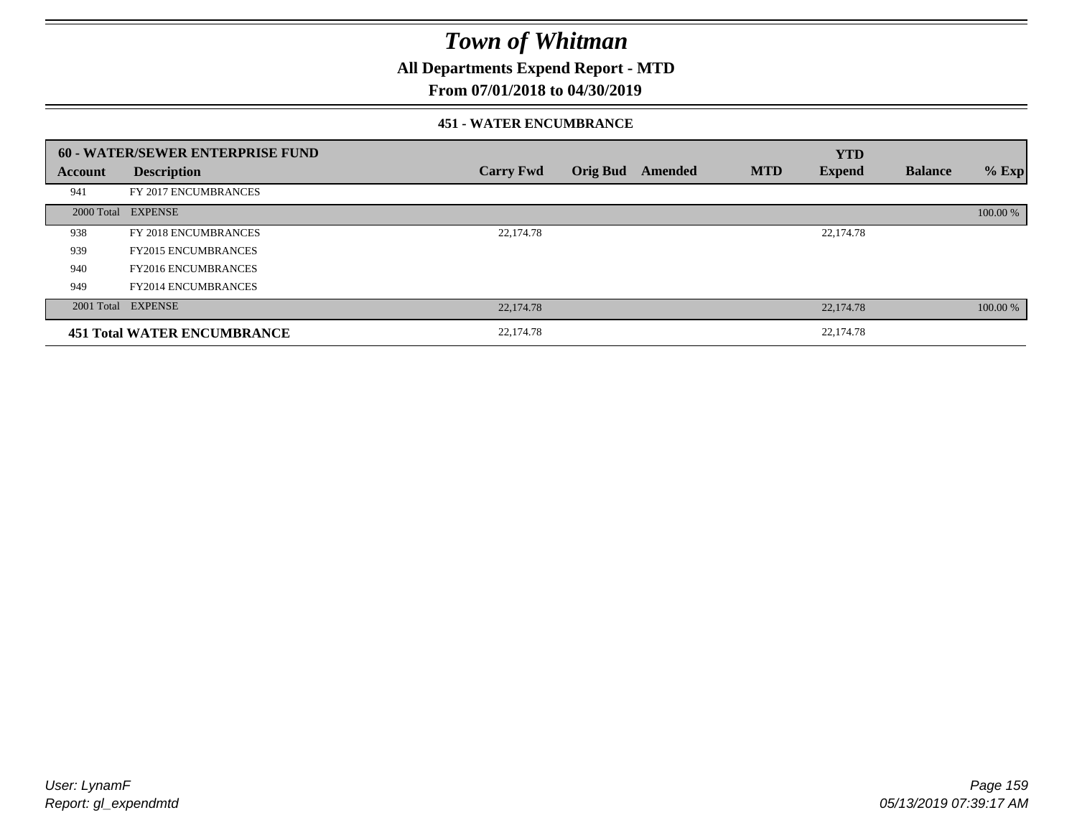**All Departments Expend Report - MTD**

### **From 07/01/2018 to 04/30/2019**

#### **451 - WATER ENCUMBRANCE**

|         | <b>60 - WATER/SEWER ENTERPRISE FUND</b> |                  |                 |         |            | <b>YTD</b>    |                |          |
|---------|-----------------------------------------|------------------|-----------------|---------|------------|---------------|----------------|----------|
| Account | <b>Description</b>                      | <b>Carry Fwd</b> | <b>Orig Bud</b> | Amended | <b>MTD</b> | <b>Expend</b> | <b>Balance</b> | $%$ Exp  |
| 941     | FY 2017 ENCUMBRANCES                    |                  |                 |         |            |               |                |          |
|         | 2000 Total EXPENSE                      |                  |                 |         |            |               |                | 100.00 % |
| 938     | FY 2018 ENCUMBRANCES                    | 22,174.78        |                 |         |            | 22,174.78     |                |          |
| 939     | <b>FY2015 ENCUMBRANCES</b>              |                  |                 |         |            |               |                |          |
| 940     | <b>FY2016 ENCUMBRANCES</b>              |                  |                 |         |            |               |                |          |
| 949     | <b>FY2014 ENCUMBRANCES</b>              |                  |                 |         |            |               |                |          |
|         | 2001 Total EXPENSE                      | 22,174.78        |                 |         |            | 22,174.78     |                | 100.00 % |
|         | <b>451 Total WATER ENCUMBRANCE</b>      | 22,174.78        |                 |         |            | 22,174.78     |                |          |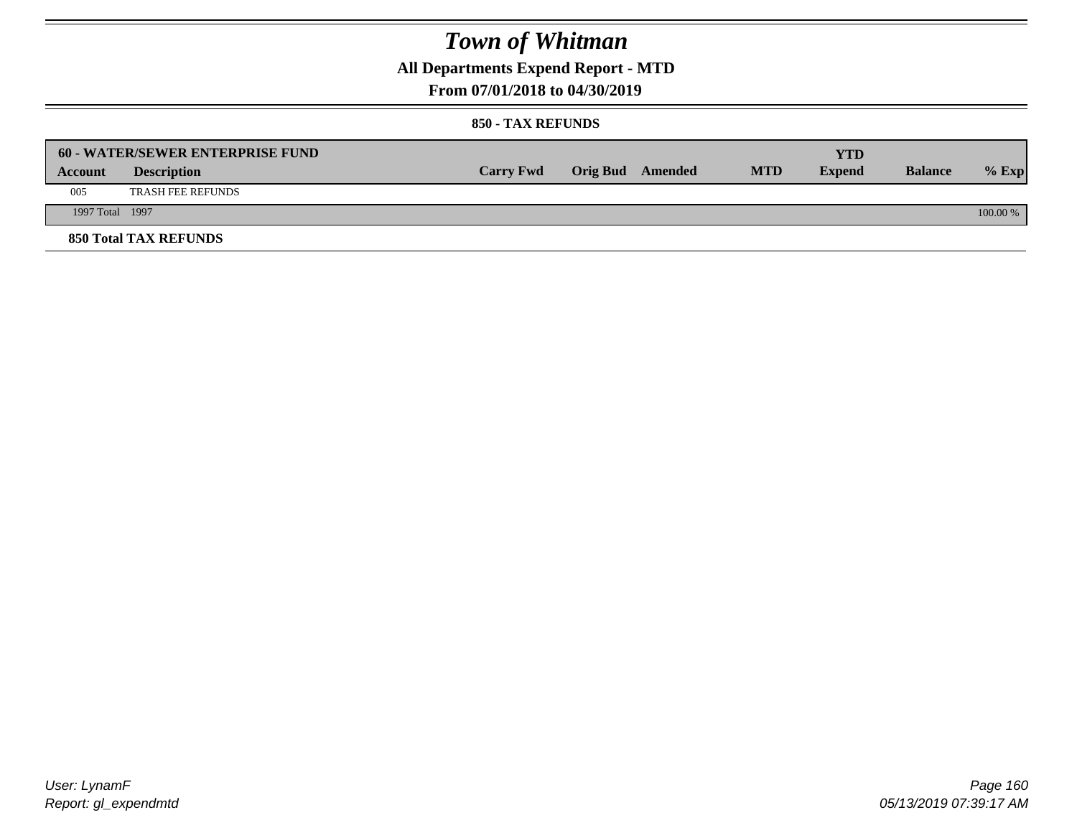**All Departments Expend Report - MTD**

### **From 07/01/2018 to 04/30/2019**

#### **850 - TAX REFUNDS**

|                 | <b>60 - WATER/SEWER ENTERPRISE FUND</b> |                  |                         |            | YTD           |                |            |
|-----------------|-----------------------------------------|------------------|-------------------------|------------|---------------|----------------|------------|
| Account         | <b>Description</b>                      | <b>Carry Fwd</b> | <b>Orig Bud</b> Amended | <b>MTD</b> | <b>Expend</b> | <b>Balance</b> | $%$ Exp    |
| 005             | <b>TRASH FEE REFUNDS</b>                |                  |                         |            |               |                |            |
| 1997 Total 1997 |                                         |                  |                         |            |               |                | $100.00\%$ |
|                 | <b>850 Total TAX REFUNDS</b>            |                  |                         |            |               |                |            |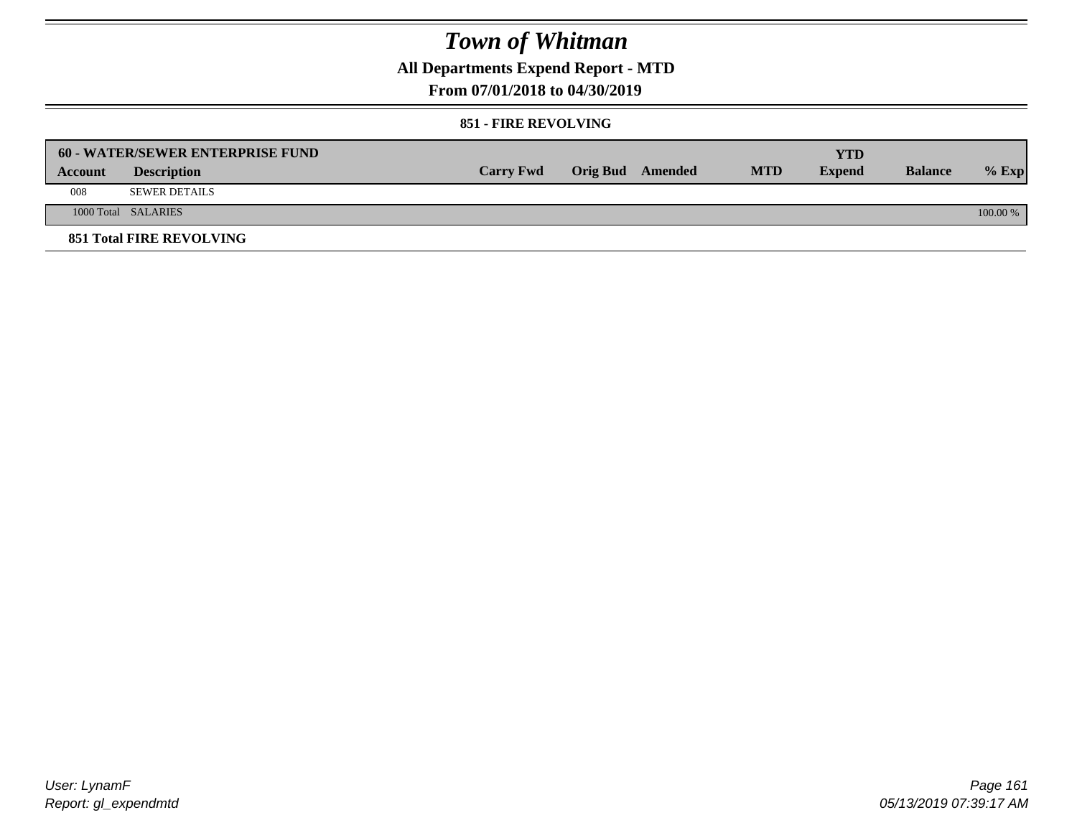**All Departments Expend Report - MTD**

### **From 07/01/2018 to 04/30/2019**

#### **851 - FIRE REVOLVING**

|         | 60 - WATER/SEWER ENTERPRISE FUND |                  |                  |            | YTD           |                |            |
|---------|----------------------------------|------------------|------------------|------------|---------------|----------------|------------|
| Account | <b>Description</b>               | <b>Carry Fwd</b> | Orig Bud Amended | <b>MTD</b> | <b>Expend</b> | <b>Balance</b> | $%$ Exp    |
| 008     | <b>SEWER DETAILS</b>             |                  |                  |            |               |                |            |
|         | 1000 Total SALARIES              |                  |                  |            |               |                | $100.00\%$ |
|         | <b>851 Total FIRE REVOLVING</b>  |                  |                  |            |               |                |            |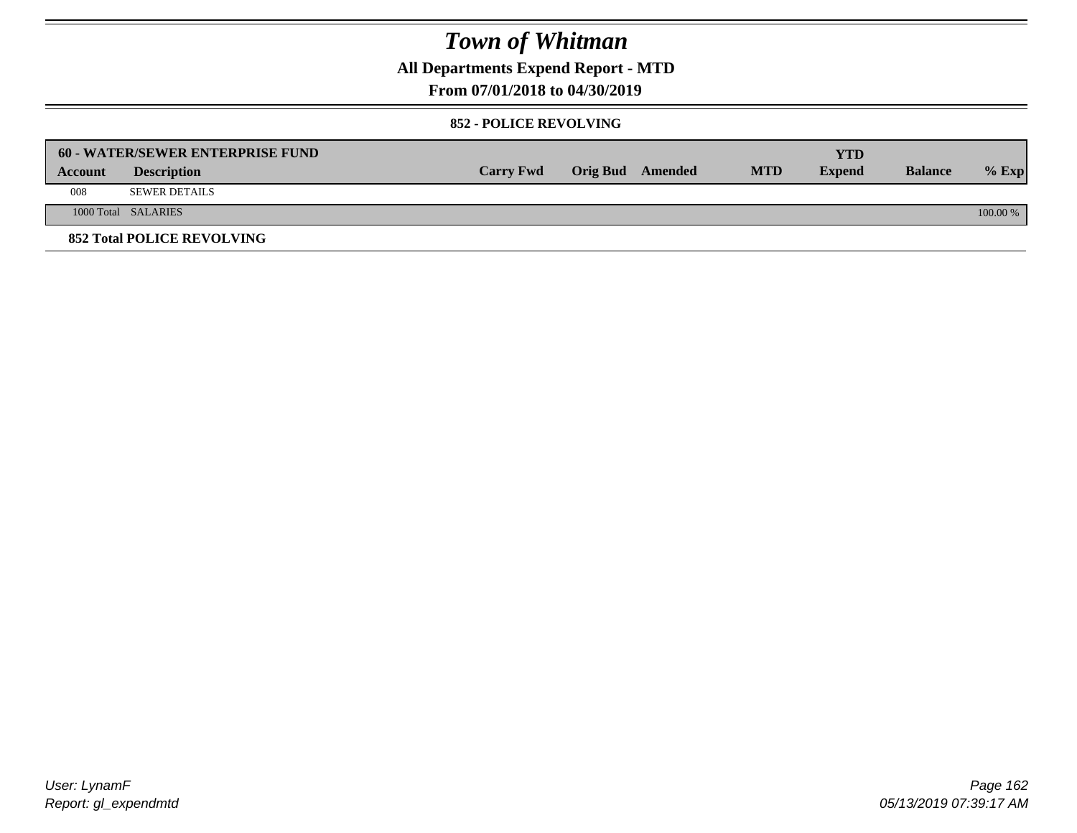**All Departments Expend Report - MTD**

### **From 07/01/2018 to 04/30/2019**

#### **852 - POLICE REVOLVING**

|         | <b>60 - WATER/SEWER ENTERPRISE FUND</b> |                  |                  |            | YTD           |                |            |
|---------|-----------------------------------------|------------------|------------------|------------|---------------|----------------|------------|
| Account | <b>Description</b>                      | <b>Carry Fwd</b> | Orig Bud Amended | <b>MTD</b> | <b>Expend</b> | <b>Balance</b> | $%$ Exp    |
| 008     | SEWER DETAILS                           |                  |                  |            |               |                |            |
|         | 1000 Total SALARIES                     |                  |                  |            |               |                | $100.00\%$ |
|         | <b>852 Total POLICE REVOLVING</b>       |                  |                  |            |               |                |            |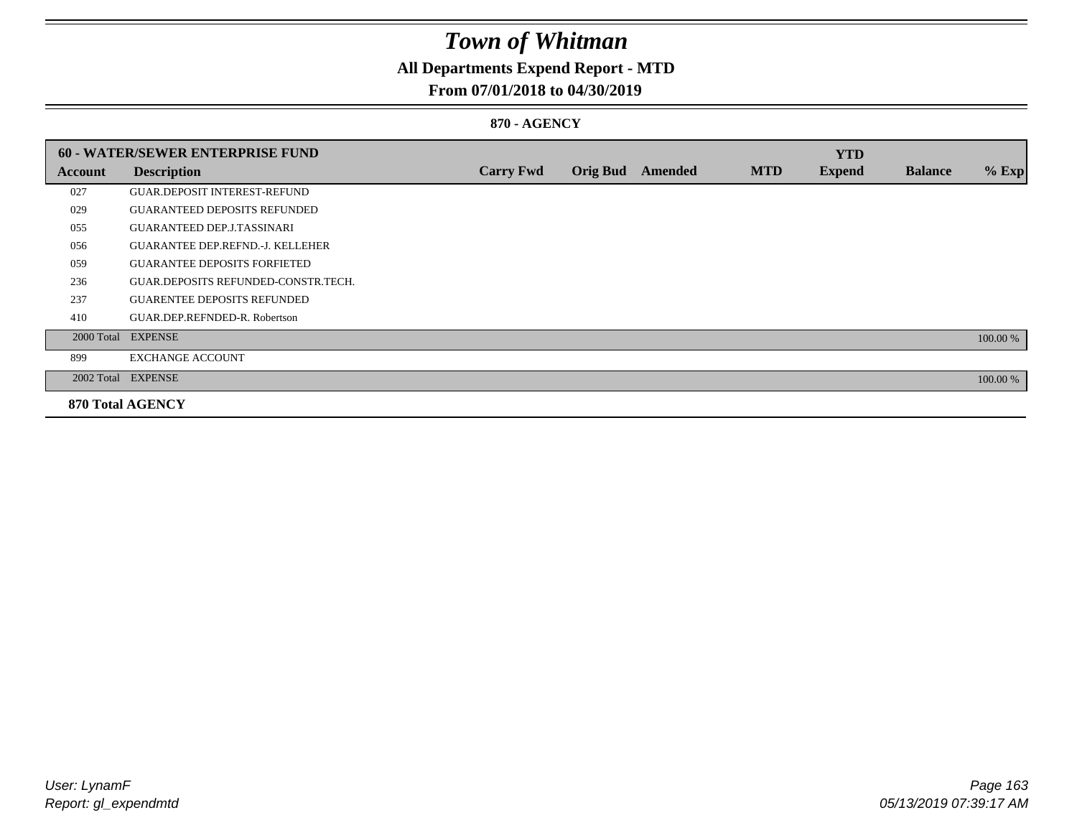### **All Departments Expend Report - MTD**

### **From 07/01/2018 to 04/30/2019**

#### **870 - AGENCY**

|         | <b>60 - WATER/SEWER ENTERPRISE FUND</b> |                  |                 |                |            | <b>YTD</b>    |                |          |
|---------|-----------------------------------------|------------------|-----------------|----------------|------------|---------------|----------------|----------|
| Account | <b>Description</b>                      | <b>Carry Fwd</b> | <b>Orig Bud</b> | <b>Amended</b> | <b>MTD</b> | <b>Expend</b> | <b>Balance</b> | $%$ Exp  |
| 027     | <b>GUAR.DEPOSIT INTEREST-REFUND</b>     |                  |                 |                |            |               |                |          |
| 029     | <b>GUARANTEED DEPOSITS REFUNDED</b>     |                  |                 |                |            |               |                |          |
| 055     | <b>GUARANTEED DEP.J.TASSINARI</b>       |                  |                 |                |            |               |                |          |
| 056     | <b>GUARANTEE DEP.REFND.-J. KELLEHER</b> |                  |                 |                |            |               |                |          |
| 059     | <b>GUARANTEE DEPOSITS FORFIETED</b>     |                  |                 |                |            |               |                |          |
| 236     | GUAR.DEPOSITS REFUNDED-CONSTR.TECH.     |                  |                 |                |            |               |                |          |
| 237     | <b>GUARENTEE DEPOSITS REFUNDED</b>      |                  |                 |                |            |               |                |          |
| 410     | GUAR.DEP.REFNDED-R. Robertson           |                  |                 |                |            |               |                |          |
|         | 2000 Total EXPENSE                      |                  |                 |                |            |               |                | 100.00 % |
| 899     | <b>EXCHANGE ACCOUNT</b>                 |                  |                 |                |            |               |                |          |
|         | 2002 Total EXPENSE                      |                  |                 |                |            |               |                | 100.00 % |
|         | <b>870 Total AGENCY</b>                 |                  |                 |                |            |               |                |          |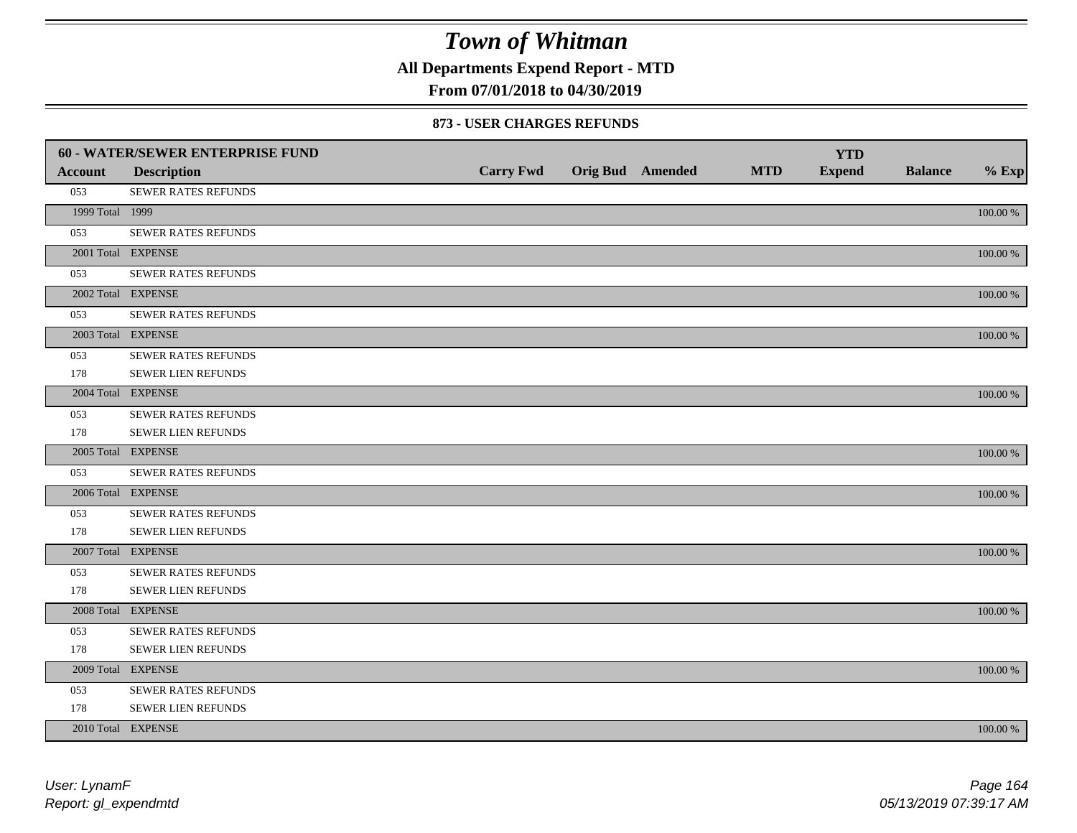**All Departments Expend Report - MTD**

### **From 07/01/2018 to 04/30/2019**

#### **873 - USER CHARGES REFUNDS**

|                 | 60 - WATER/SEWER ENTERPRISE FUND |                  |                  |            | <b>YTD</b>    |                |             |
|-----------------|----------------------------------|------------------|------------------|------------|---------------|----------------|-------------|
| <b>Account</b>  | <b>Description</b>               | <b>Carry Fwd</b> | Orig Bud Amended | <b>MTD</b> | <b>Expend</b> | <b>Balance</b> | $%$ Exp     |
| 053             | SEWER RATES REFUNDS              |                  |                  |            |               |                |             |
| 1999 Total 1999 |                                  |                  |                  |            |               |                | $100.00~\%$ |
| 053             | SEWER RATES REFUNDS              |                  |                  |            |               |                |             |
|                 | 2001 Total EXPENSE               |                  |                  |            |               |                | $100.00~\%$ |
| 053             | <b>SEWER RATES REFUNDS</b>       |                  |                  |            |               |                |             |
|                 | 2002 Total EXPENSE               |                  |                  |            |               |                | $100.00~\%$ |
| 053             | <b>SEWER RATES REFUNDS</b>       |                  |                  |            |               |                |             |
|                 | 2003 Total EXPENSE               |                  |                  |            |               |                | 100.00 %    |
| 053             | SEWER RATES REFUNDS              |                  |                  |            |               |                |             |
| 178             | SEWER LIEN REFUNDS               |                  |                  |            |               |                |             |
|                 | 2004 Total EXPENSE               |                  |                  |            |               |                | 100.00 %    |
| 053             | SEWER RATES REFUNDS              |                  |                  |            |               |                |             |
| 178             | SEWER LIEN REFUNDS               |                  |                  |            |               |                |             |
|                 | 2005 Total EXPENSE               |                  |                  |            |               |                | 100.00 %    |
| 053             | SEWER RATES REFUNDS              |                  |                  |            |               |                |             |
|                 | 2006 Total EXPENSE               |                  |                  |            |               |                | 100.00 %    |
| 053             | SEWER RATES REFUNDS              |                  |                  |            |               |                |             |
| 178             | <b>SEWER LIEN REFUNDS</b>        |                  |                  |            |               |                |             |
|                 | 2007 Total EXPENSE               |                  |                  |            |               |                | 100.00 %    |
| 053             | <b>SEWER RATES REFUNDS</b>       |                  |                  |            |               |                |             |
| 178             | SEWER LIEN REFUNDS               |                  |                  |            |               |                |             |
|                 | 2008 Total EXPENSE               |                  |                  |            |               |                | 100.00 %    |
| 053             | SEWER RATES REFUNDS              |                  |                  |            |               |                |             |
| 178             | <b>SEWER LIEN REFUNDS</b>        |                  |                  |            |               |                |             |
|                 | 2009 Total EXPENSE               |                  |                  |            |               |                | 100.00 %    |
| 053             | SEWER RATES REFUNDS              |                  |                  |            |               |                |             |
| 178             | SEWER LIEN REFUNDS               |                  |                  |            |               |                |             |
|                 | 2010 Total EXPENSE               |                  |                  |            |               |                | $100.00~\%$ |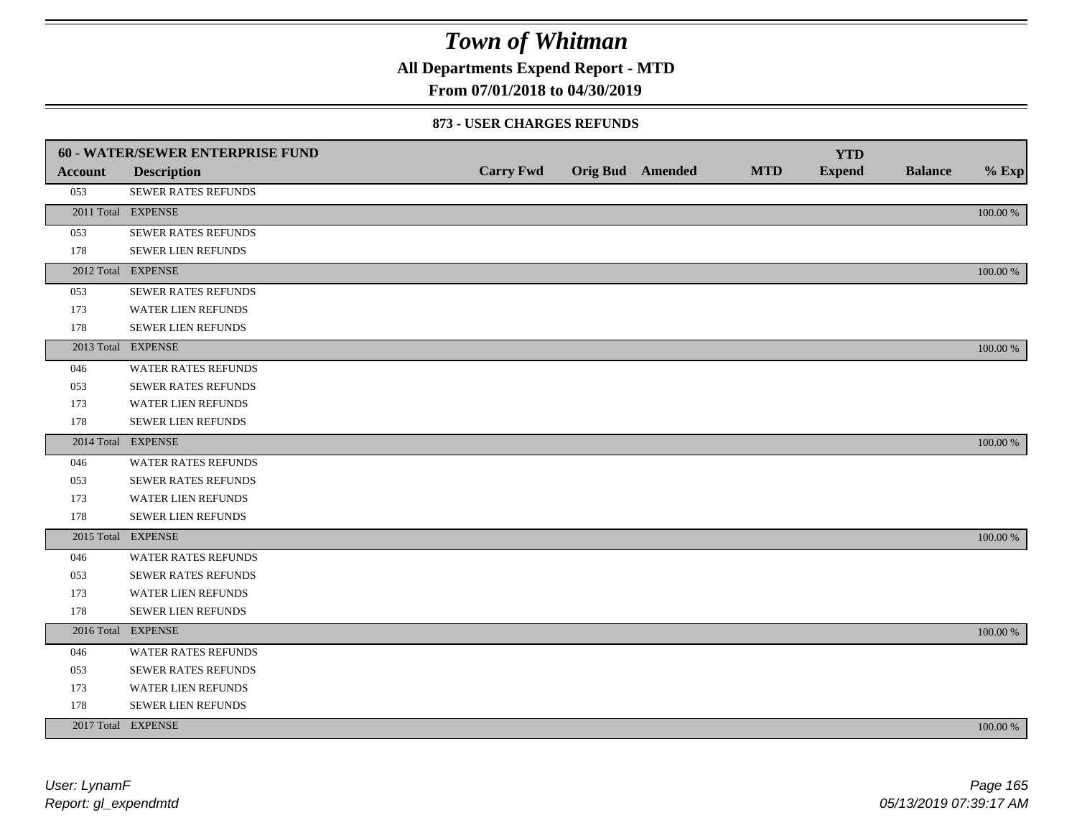**All Departments Expend Report - MTD**

### **From 07/01/2018 to 04/30/2019**

#### **873 - USER CHARGES REFUNDS**

|                | 60 - WATER/SEWER ENTERPRISE FUND |                  |                         |            | <b>YTD</b>    |                |             |
|----------------|----------------------------------|------------------|-------------------------|------------|---------------|----------------|-------------|
| <b>Account</b> | <b>Description</b>               | <b>Carry Fwd</b> | <b>Orig Bud</b> Amended | <b>MTD</b> | <b>Expend</b> | <b>Balance</b> | $%$ Exp     |
| 053            | SEWER RATES REFUNDS              |                  |                         |            |               |                |             |
|                | 2011 Total EXPENSE               |                  |                         |            |               |                | 100.00 %    |
| 053            | SEWER RATES REFUNDS              |                  |                         |            |               |                |             |
| 178            | SEWER LIEN REFUNDS               |                  |                         |            |               |                |             |
|                | 2012 Total EXPENSE               |                  |                         |            |               |                | 100.00 %    |
| 053            | <b>SEWER RATES REFUNDS</b>       |                  |                         |            |               |                |             |
| 173            | WATER LIEN REFUNDS               |                  |                         |            |               |                |             |
| 178            | <b>SEWER LIEN REFUNDS</b>        |                  |                         |            |               |                |             |
|                | 2013 Total EXPENSE               |                  |                         |            |               |                | 100.00 %    |
| 046            | <b>WATER RATES REFUNDS</b>       |                  |                         |            |               |                |             |
| 053            | <b>SEWER RATES REFUNDS</b>       |                  |                         |            |               |                |             |
| 173            | <b>WATER LIEN REFUNDS</b>        |                  |                         |            |               |                |             |
| 178            | SEWER LIEN REFUNDS               |                  |                         |            |               |                |             |
|                | 2014 Total EXPENSE               |                  |                         |            |               |                | 100.00 %    |
| 046            | <b>WATER RATES REFUNDS</b>       |                  |                         |            |               |                |             |
| 053            | <b>SEWER RATES REFUNDS</b>       |                  |                         |            |               |                |             |
| 173            | WATER LIEN REFUNDS               |                  |                         |            |               |                |             |
| 178            | SEWER LIEN REFUNDS               |                  |                         |            |               |                |             |
|                | 2015 Total EXPENSE               |                  |                         |            |               |                | 100.00 %    |
| 046            | <b>WATER RATES REFUNDS</b>       |                  |                         |            |               |                |             |
| 053            | SEWER RATES REFUNDS              |                  |                         |            |               |                |             |
| 173            | <b>WATER LIEN REFUNDS</b>        |                  |                         |            |               |                |             |
| 178            | SEWER LIEN REFUNDS               |                  |                         |            |               |                |             |
|                | 2016 Total EXPENSE               |                  |                         |            |               |                | $100.00~\%$ |
| 046            | <b>WATER RATES REFUNDS</b>       |                  |                         |            |               |                |             |
| 053            | SEWER RATES REFUNDS              |                  |                         |            |               |                |             |
| 173            | WATER LIEN REFUNDS               |                  |                         |            |               |                |             |
| 178            | SEWER LIEN REFUNDS               |                  |                         |            |               |                |             |
|                | 2017 Total EXPENSE               |                  |                         |            |               |                | 100.00 %    |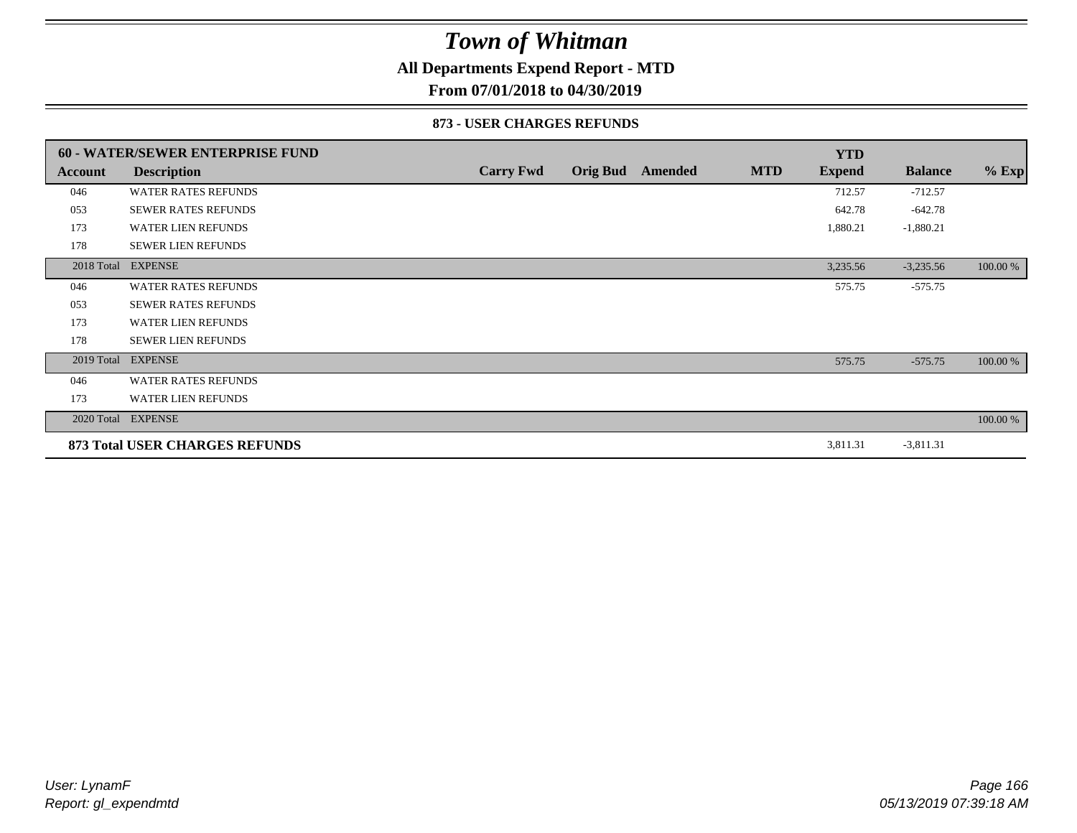### **All Departments Expend Report - MTD**

**From 07/01/2018 to 04/30/2019**

#### **873 - USER CHARGES REFUNDS**

|            | <b>60 - WATER/SEWER ENTERPRISE FUND</b> |                  |                 |         |            | <b>YTD</b>    |                |          |
|------------|-----------------------------------------|------------------|-----------------|---------|------------|---------------|----------------|----------|
| Account    | <b>Description</b>                      | <b>Carry Fwd</b> | <b>Orig Bud</b> | Amended | <b>MTD</b> | <b>Expend</b> | <b>Balance</b> | $%$ Exp  |
| 046        | <b>WATER RATES REFUNDS</b>              |                  |                 |         |            | 712.57        | $-712.57$      |          |
| 053        | <b>SEWER RATES REFUNDS</b>              |                  |                 |         |            | 642.78        | $-642.78$      |          |
| 173        | <b>WATER LIEN REFUNDS</b>               |                  |                 |         |            | 1,880.21      | $-1,880.21$    |          |
| 178        | <b>SEWER LIEN REFUNDS</b>               |                  |                 |         |            |               |                |          |
|            | 2018 Total EXPENSE                      |                  |                 |         |            | 3,235.56      | $-3,235.56$    | 100.00 % |
| 046        | <b>WATER RATES REFUNDS</b>              |                  |                 |         |            | 575.75        | $-575.75$      |          |
| 053        | <b>SEWER RATES REFUNDS</b>              |                  |                 |         |            |               |                |          |
| 173        | <b>WATER LIEN REFUNDS</b>               |                  |                 |         |            |               |                |          |
| 178        | <b>SEWER LIEN REFUNDS</b>               |                  |                 |         |            |               |                |          |
| 2019 Total | <b>EXPENSE</b>                          |                  |                 |         |            | 575.75        | $-575.75$      | 100.00 % |
| 046        | <b>WATER RATES REFUNDS</b>              |                  |                 |         |            |               |                |          |
| 173        | <b>WATER LIEN REFUNDS</b>               |                  |                 |         |            |               |                |          |
|            | 2020 Total EXPENSE                      |                  |                 |         |            |               |                | 100.00 % |
|            | 873 Total USER CHARGES REFUNDS          |                  |                 |         |            | 3,811.31      | $-3,811.31$    |          |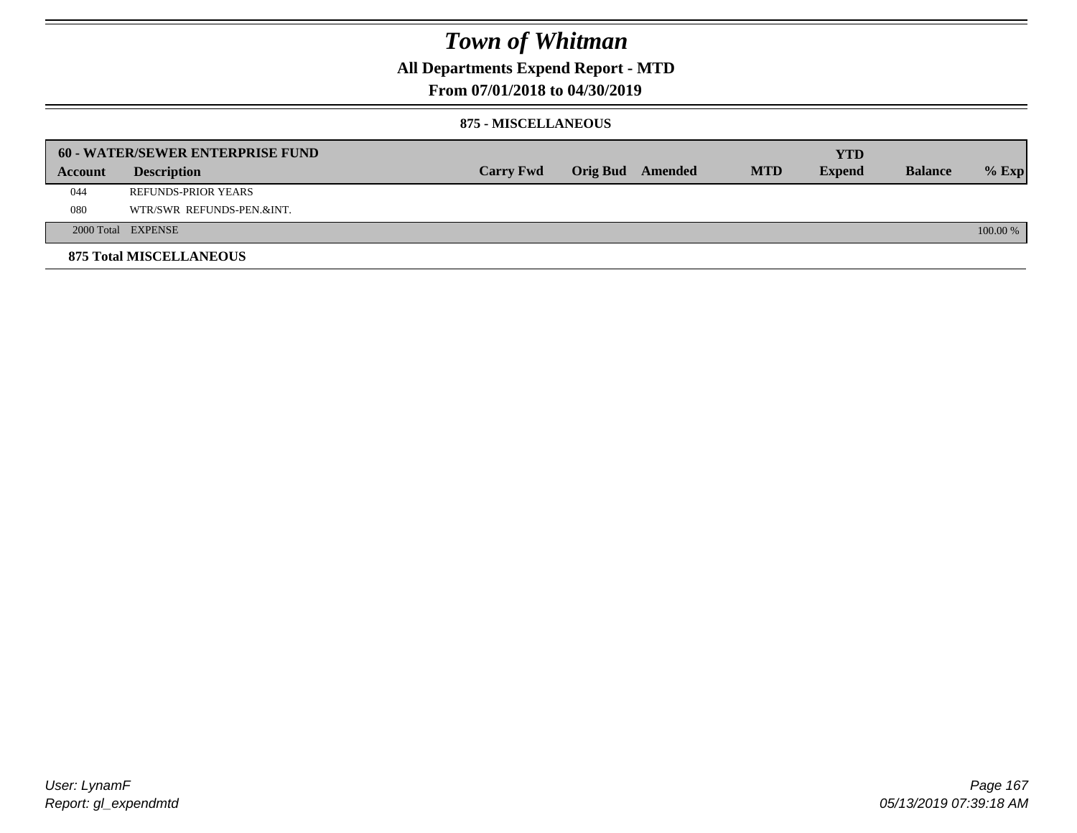**All Departments Expend Report - MTD**

### **From 07/01/2018 to 04/30/2019**

#### **875 - MISCELLANEOUS**

|         | <b>60 - WATER/SEWER ENTERPRISE FUND</b> |                  |  |                  |            | YTD           |                |          |
|---------|-----------------------------------------|------------------|--|------------------|------------|---------------|----------------|----------|
| Account | <b>Description</b>                      | <b>Carry Fwd</b> |  | Orig Bud Amended | <b>MTD</b> | <b>Expend</b> | <b>Balance</b> | $%$ Exp  |
| 044     | REFUNDS-PRIOR YEARS                     |                  |  |                  |            |               |                |          |
| 080     | WTR/SWR REFUNDS-PEN.&INT.               |                  |  |                  |            |               |                |          |
|         | 2000 Total EXPENSE                      |                  |  |                  |            |               |                | 100.00 % |
|         | <b>875 Total MISCELLANEOUS</b>          |                  |  |                  |            |               |                |          |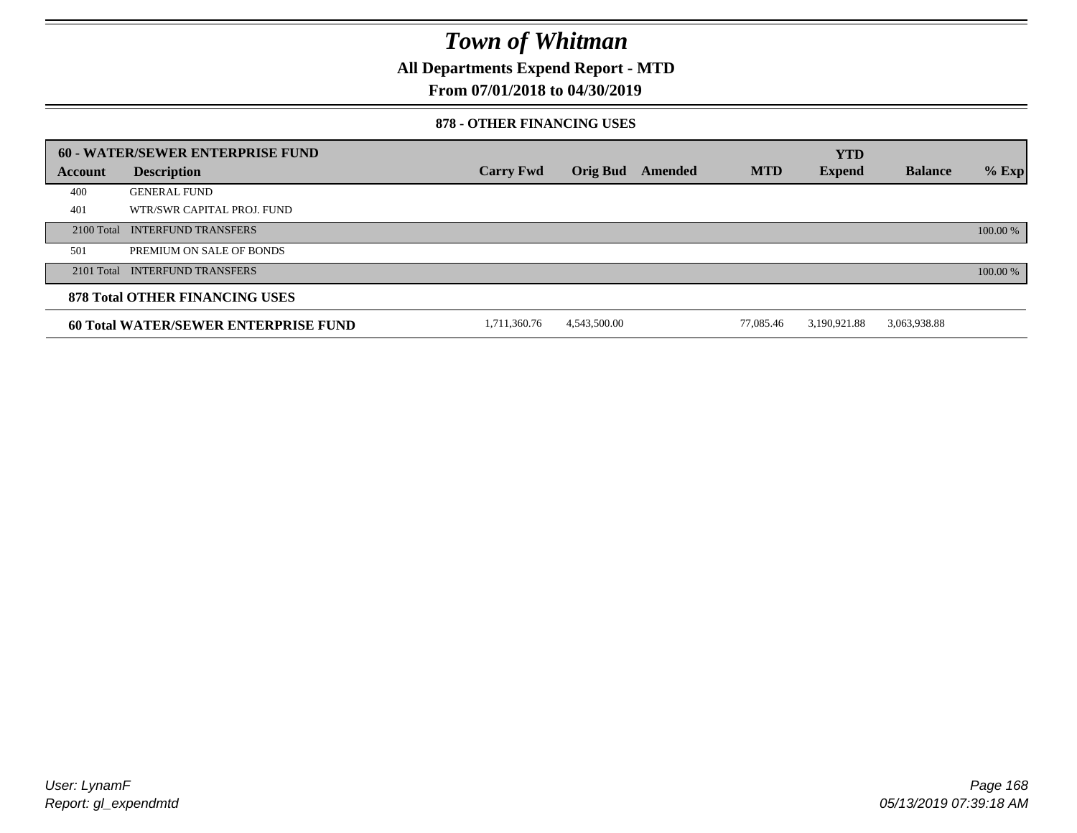**All Departments Expend Report - MTD**

### **From 07/01/2018 to 04/30/2019**

#### **878 - OTHER FINANCING USES**

|         | 60 - WATER/SEWER ENTERPRISE FUND            |                  |                 |         |            | <b>YTD</b>    |                |          |
|---------|---------------------------------------------|------------------|-----------------|---------|------------|---------------|----------------|----------|
| Account | <b>Description</b>                          | <b>Carry Fwd</b> | <b>Orig Bud</b> | Amended | <b>MTD</b> | <b>Expend</b> | <b>Balance</b> | $%$ Exp  |
| 400     | <b>GENERAL FUND</b>                         |                  |                 |         |            |               |                |          |
| 401     | WTR/SWR CAPITAL PROJ. FUND                  |                  |                 |         |            |               |                |          |
|         | 2100 Total INTERFUND TRANSFERS              |                  |                 |         |            |               |                | 100.00 % |
| 501     | PREMIUM ON SALE OF BONDS                    |                  |                 |         |            |               |                |          |
|         | 2101 Total INTERFUND TRANSFERS              |                  |                 |         |            |               |                | 100.00 % |
|         | <b>878 Total OTHER FINANCING USES</b>       |                  |                 |         |            |               |                |          |
|         | <b>60 Total WATER/SEWER ENTERPRISE FUND</b> | 1.711.360.76     | 4.543.500.00    |         | 77.085.46  | 3.190.921.88  | 3,063,938.88   |          |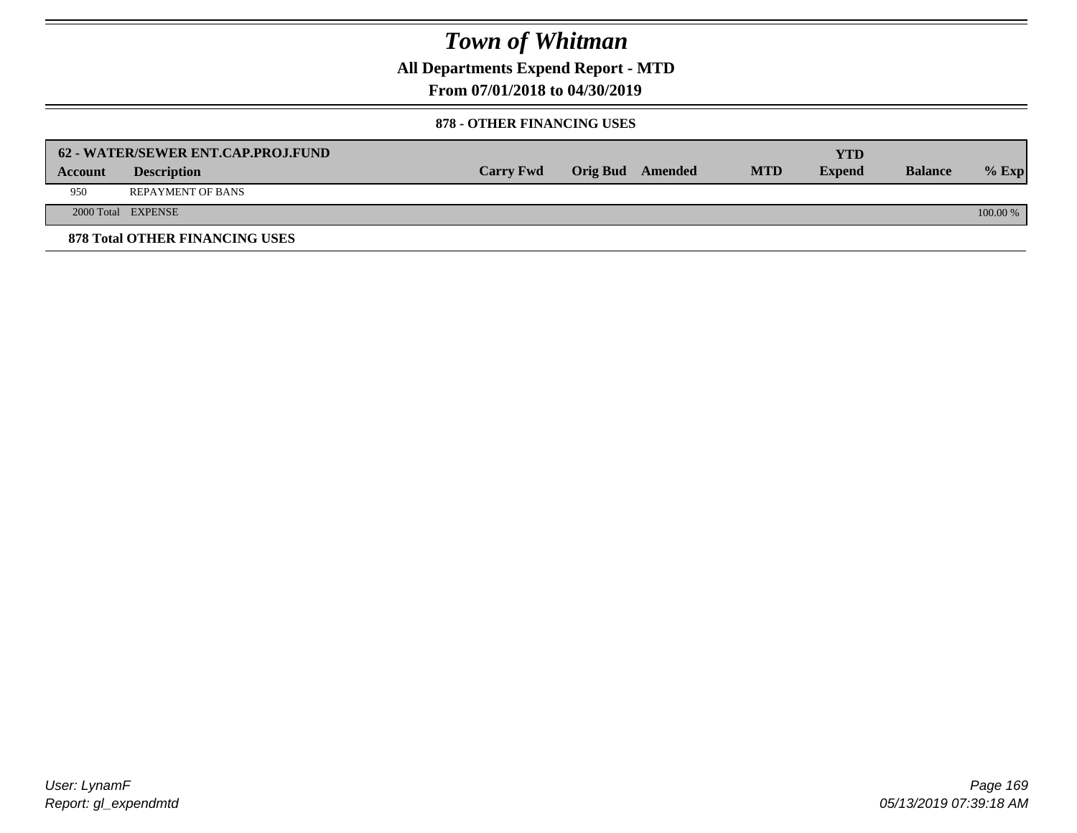**All Departments Expend Report - MTD**

**From 07/01/2018 to 04/30/2019**

#### **878 - OTHER FINANCING USES**

|                | 62 - WATER/SEWER ENT.CAP.PROJ.FUND    |                  |                  |            | YTD           |                |            |
|----------------|---------------------------------------|------------------|------------------|------------|---------------|----------------|------------|
| <b>Account</b> | <b>Description</b>                    | <b>Carry Fwd</b> | Orig Bud Amended | <b>MTD</b> | <b>Expend</b> | <b>Balance</b> | $%$ Exp    |
| 950            | <b>REPAYMENT OF BANS</b>              |                  |                  |            |               |                |            |
|                | 2000 Total EXPENSE                    |                  |                  |            |               |                | $100.00\%$ |
|                | <b>878 Total OTHER FINANCING USES</b> |                  |                  |            |               |                |            |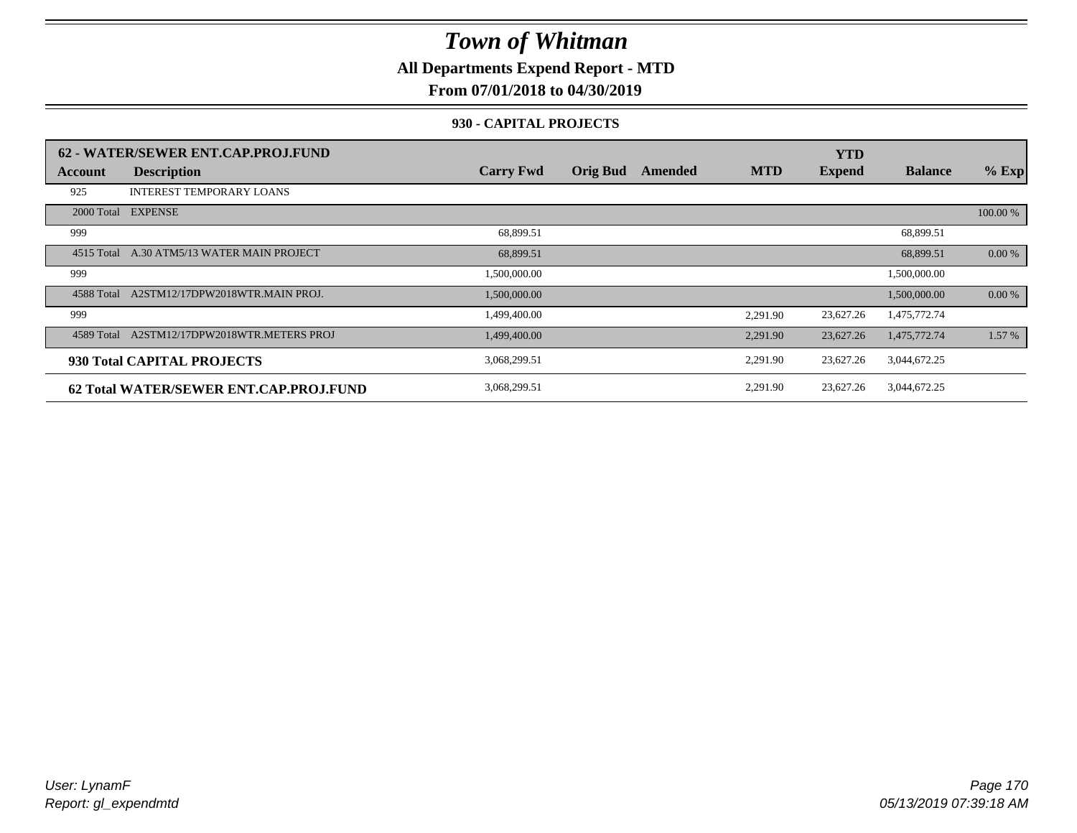**All Departments Expend Report - MTD**

### **From 07/01/2018 to 04/30/2019**

#### **930 - CAPITAL PROJECTS**

|            | 62 - WATER/SEWER ENT.CAP.PROJ.FUND     |                  |                 |         |            | <b>YTD</b>    |                |          |
|------------|----------------------------------------|------------------|-----------------|---------|------------|---------------|----------------|----------|
| Account    | <b>Description</b>                     | <b>Carry Fwd</b> | <b>Orig Bud</b> | Amended | <b>MTD</b> | <b>Expend</b> | <b>Balance</b> | $%$ Exp  |
| 925        | <b>INTEREST TEMPORARY LOANS</b>        |                  |                 |         |            |               |                |          |
|            | 2000 Total EXPENSE                     |                  |                 |         |            |               |                | 100.00 % |
| 999        |                                        | 68,899.51        |                 |         |            |               | 68,899.51      |          |
| 4515 Total | A.30 ATM5/13 WATER MAIN PROJECT        | 68,899.51        |                 |         |            |               | 68,899.51      | 0.00 %   |
| 999        |                                        | 1,500,000.00     |                 |         |            |               | 1,500,000.00   |          |
| 4588 Total | A2STM12/17DPW2018WTR.MAIN PROJ.        | 1,500,000.00     |                 |         |            |               | 1,500,000.00   | 0.00 %   |
| 999        |                                        | 1,499,400.00     |                 |         | 2,291.90   | 23,627.26     | 1,475,772.74   |          |
| 4589 Total | A2STM12/17DPW2018WTR.METERS PROJ       | 1,499,400.00     |                 |         | 2,291.90   | 23,627.26     | 1,475,772.74   | 1.57 %   |
|            | 930 Total CAPITAL PROJECTS             | 3,068,299.51     |                 |         | 2,291.90   | 23,627.26     | 3,044,672.25   |          |
|            | 62 Total WATER/SEWER ENT.CAP.PROJ.FUND | 3,068,299.51     |                 |         | 2,291.90   | 23,627.26     | 3,044,672.25   |          |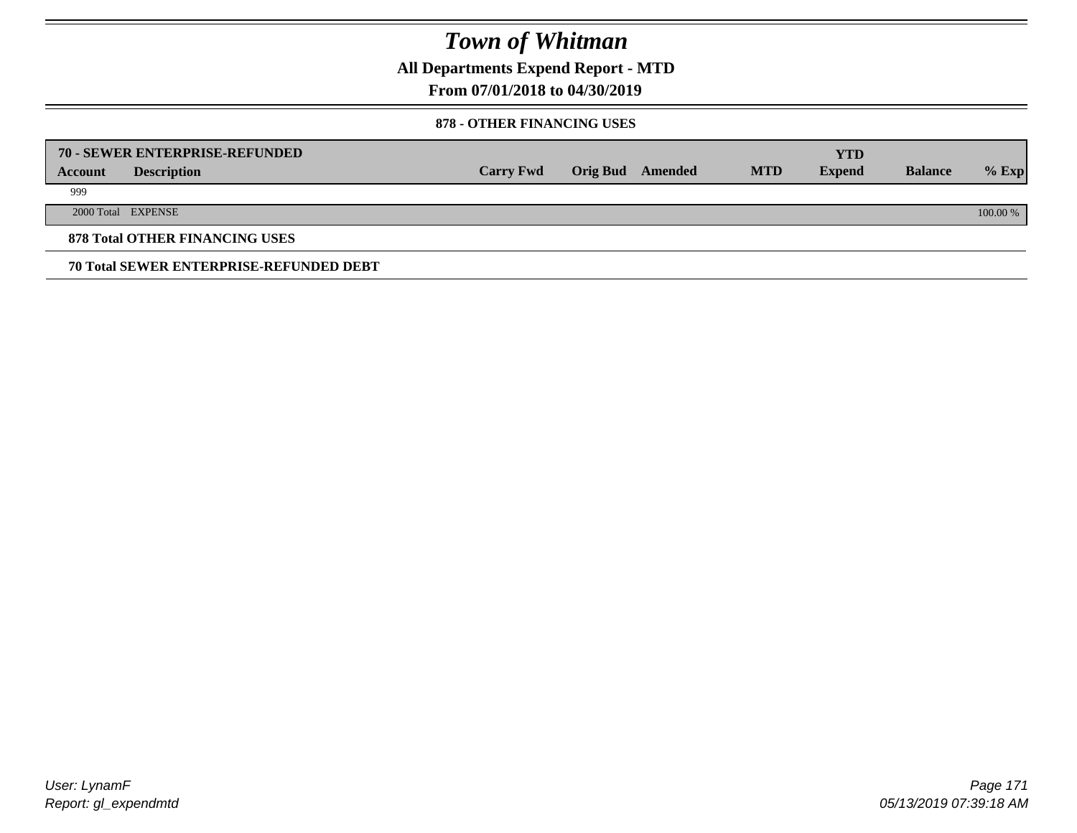**All Departments Expend Report - MTD**

### **From 07/01/2018 to 04/30/2019**

#### **878 - OTHER FINANCING USES**

|         | 70 - SEWER ENTERPRISE-REFUNDED                 |                  |                 |         |            | <b>YTD</b>    |                |          |
|---------|------------------------------------------------|------------------|-----------------|---------|------------|---------------|----------------|----------|
| Account | <b>Description</b>                             | <b>Carry Fwd</b> | <b>Orig Bud</b> | Amended | <b>MTD</b> | <b>Expend</b> | <b>Balance</b> | $%$ Exp  |
| 999     |                                                |                  |                 |         |            |               |                |          |
|         | 2000 Total EXPENSE                             |                  |                 |         |            |               |                | 100.00 % |
|         | <b>878 Total OTHER FINANCING USES</b>          |                  |                 |         |            |               |                |          |
|         | <b>70 Total SEWER ENTERPRISE-REFUNDED DEBT</b> |                  |                 |         |            |               |                |          |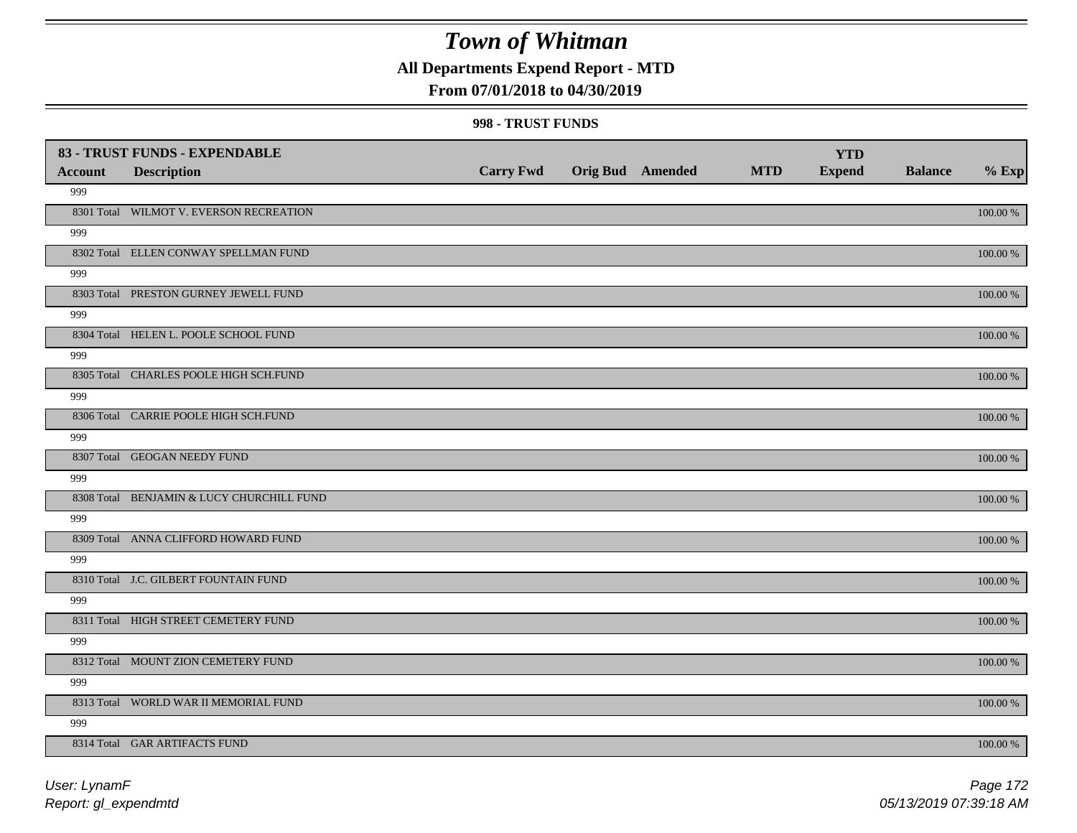**All Departments Expend Report - MTD**

### **From 07/01/2018 to 04/30/2019**

| <b>Account</b> | 83 - TRUST FUNDS - EXPENDABLE<br><b>Description</b> | <b>Carry Fwd</b> | <b>Orig Bud</b> Amended | <b>MTD</b> | <b>YTD</b><br><b>Expend</b> | <b>Balance</b> | $%$ Exp     |
|----------------|-----------------------------------------------------|------------------|-------------------------|------------|-----------------------------|----------------|-------------|
| 999            |                                                     |                  |                         |            |                             |                |             |
|                | 8301 Total WILMOT V. EVERSON RECREATION             |                  |                         |            |                             |                | 100.00 %    |
| 999            |                                                     |                  |                         |            |                             |                |             |
|                | 8302 Total ELLEN CONWAY SPELLMAN FUND               |                  |                         |            |                             |                | 100.00 %    |
| 999            |                                                     |                  |                         |            |                             |                |             |
|                | 8303 Total PRESTON GURNEY JEWELL FUND               |                  |                         |            |                             |                | 100.00 %    |
| 999            |                                                     |                  |                         |            |                             |                |             |
|                | 8304 Total HELEN L. POOLE SCHOOL FUND               |                  |                         |            |                             |                | 100.00 %    |
| 999            |                                                     |                  |                         |            |                             |                |             |
|                | 8305 Total CHARLES POOLE HIGH SCH.FUND              |                  |                         |            |                             |                | 100.00 %    |
| 999            |                                                     |                  |                         |            |                             |                |             |
|                | 8306 Total CARRIE POOLE HIGH SCH.FUND               |                  |                         |            |                             |                | 100.00 %    |
| 999            |                                                     |                  |                         |            |                             |                |             |
|                | 8307 Total GEOGAN NEEDY FUND                        |                  |                         |            |                             |                | 100.00 %    |
| 999            |                                                     |                  |                         |            |                             |                |             |
|                | 8308 Total BENJAMIN & LUCY CHURCHILL FUND           |                  |                         |            |                             |                | 100.00 %    |
| 999            | 8309 Total ANNA CLIFFORD HOWARD FUND                |                  |                         |            |                             |                |             |
| 999            |                                                     |                  |                         |            |                             |                | 100.00 %    |
|                | 8310 Total J.C. GILBERT FOUNTAIN FUND               |                  |                         |            |                             |                | $100.00~\%$ |
| 999            |                                                     |                  |                         |            |                             |                |             |
|                | 8311 Total HIGH STREET CEMETERY FUND                |                  |                         |            |                             |                | $100.00~\%$ |
| 999            |                                                     |                  |                         |            |                             |                |             |
|                | 8312 Total MOUNT ZION CEMETERY FUND                 |                  |                         |            |                             |                | 100.00 %    |
| 999            |                                                     |                  |                         |            |                             |                |             |
|                | 8313 Total WORLD WAR II MEMORIAL FUND               |                  |                         |            |                             |                | 100.00 %    |
| 999            |                                                     |                  |                         |            |                             |                |             |
|                | 8314 Total GAR ARTIFACTS FUND                       |                  |                         |            |                             |                | 100.00 %    |
|                |                                                     |                  |                         |            |                             |                |             |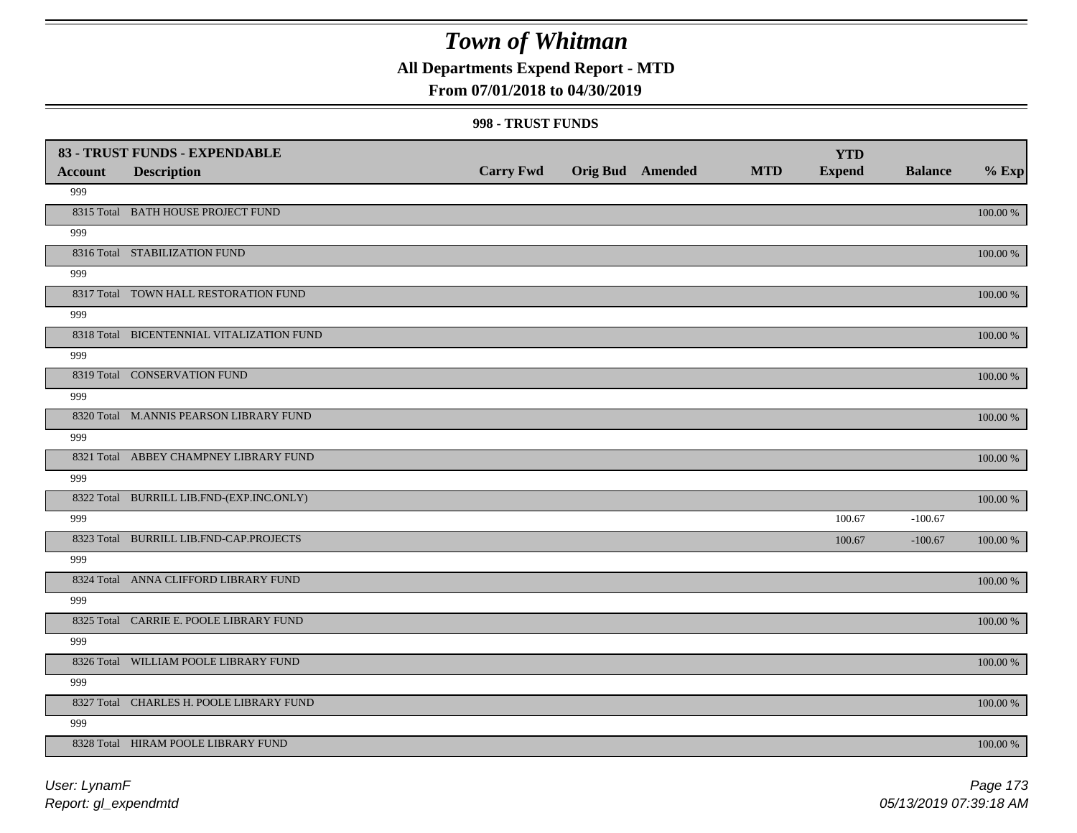**All Departments Expend Report - MTD**

### **From 07/01/2018 to 04/30/2019**

| <b>Account</b> | 83 - TRUST FUNDS - EXPENDABLE<br><b>Description</b> | <b>Carry Fwd</b> | <b>Orig Bud</b> Amended | <b>MTD</b> | <b>YTD</b><br><b>Expend</b> | <b>Balance</b> | $%$ Exp     |
|----------------|-----------------------------------------------------|------------------|-------------------------|------------|-----------------------------|----------------|-------------|
| 999            |                                                     |                  |                         |            |                             |                |             |
|                | 8315 Total BATH HOUSE PROJECT FUND                  |                  |                         |            |                             |                | $100.00~\%$ |
| 999            |                                                     |                  |                         |            |                             |                |             |
|                | 8316 Total STABILIZATION FUND                       |                  |                         |            |                             |                | 100.00 %    |
| 999            |                                                     |                  |                         |            |                             |                |             |
|                | 8317 Total TOWN HALL RESTORATION FUND               |                  |                         |            |                             |                | 100.00 %    |
| 999            |                                                     |                  |                         |            |                             |                |             |
|                | 8318 Total BICENTENNIAL VITALIZATION FUND           |                  |                         |            |                             |                | 100.00 %    |
| 999            |                                                     |                  |                         |            |                             |                |             |
|                | 8319 Total CONSERVATION FUND                        |                  |                         |            |                             |                | 100.00 %    |
| 999            |                                                     |                  |                         |            |                             |                |             |
|                | 8320 Total M.ANNIS PEARSON LIBRARY FUND             |                  |                         |            |                             |                | 100.00 %    |
| 999            |                                                     |                  |                         |            |                             |                |             |
|                | 8321 Total ABBEY CHAMPNEY LIBRARY FUND              |                  |                         |            |                             |                | 100.00 %    |
| 999            |                                                     |                  |                         |            |                             |                |             |
| 999            | 8322 Total BURRILL LIB.FND-(EXP.INC.ONLY)           |                  |                         |            | 100.67                      | $-100.67$      | 100.00 %    |
|                | 8323 Total BURRILL LIB.FND-CAP.PROJECTS             |                  |                         |            | 100.67                      | $-100.67$      | $100.00~\%$ |
| 999            |                                                     |                  |                         |            |                             |                |             |
|                | 8324 Total ANNA CLIFFORD LIBRARY FUND               |                  |                         |            |                             |                | 100.00 %    |
| 999            |                                                     |                  |                         |            |                             |                |             |
|                | 8325 Total CARRIE E. POOLE LIBRARY FUND             |                  |                         |            |                             |                | 100.00 %    |
| 999            |                                                     |                  |                         |            |                             |                |             |
|                | 8326 Total WILLIAM POOLE LIBRARY FUND               |                  |                         |            |                             |                | 100.00 %    |
| 999            |                                                     |                  |                         |            |                             |                |             |
|                | 8327 Total CHARLES H. POOLE LIBRARY FUND            |                  |                         |            |                             |                | $100.00~\%$ |
| 999            |                                                     |                  |                         |            |                             |                |             |
|                | 8328 Total HIRAM POOLE LIBRARY FUND                 |                  |                         |            |                             |                | 100.00 %    |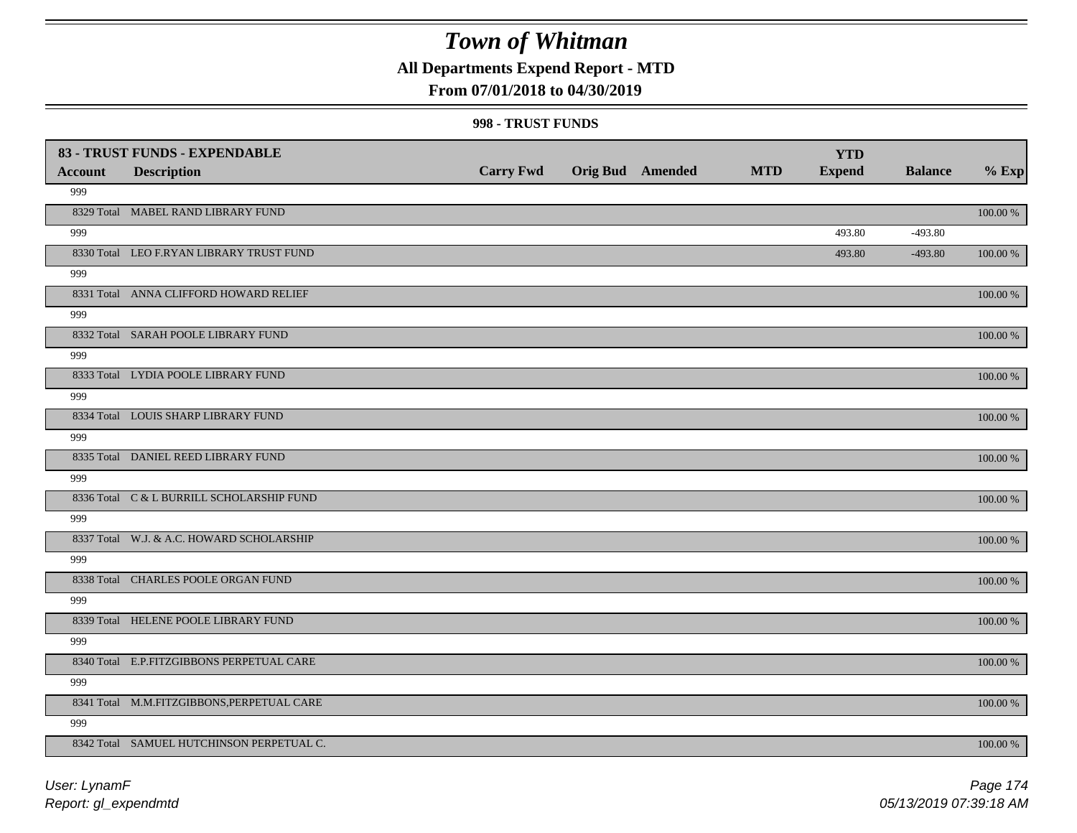**All Departments Expend Report - MTD**

### **From 07/01/2018 to 04/30/2019**

| <b>Account</b> | 83 - TRUST FUNDS - EXPENDABLE<br><b>Description</b> | <b>Carry Fwd</b> | <b>Orig Bud</b> Amended | <b>MTD</b> | <b>YTD</b><br><b>Expend</b> | <b>Balance</b> | $%$ Exp     |
|----------------|-----------------------------------------------------|------------------|-------------------------|------------|-----------------------------|----------------|-------------|
| 999            |                                                     |                  |                         |            |                             |                |             |
|                | 8329 Total MABEL RAND LIBRARY FUND                  |                  |                         |            |                             |                | 100.00 %    |
| 999            |                                                     |                  |                         |            | 493.80                      | $-493.80$      |             |
|                | 8330 Total LEO F.RYAN LIBRARY TRUST FUND            |                  |                         |            | 493.80                      | $-493.80$      | $100.00~\%$ |
| 999            |                                                     |                  |                         |            |                             |                |             |
|                | 8331 Total ANNA CLIFFORD HOWARD RELIEF              |                  |                         |            |                             |                | $100.00~\%$ |
| 999            |                                                     |                  |                         |            |                             |                |             |
|                | 8332 Total SARAH POOLE LIBRARY FUND                 |                  |                         |            |                             |                | 100.00 %    |
| 999            |                                                     |                  |                         |            |                             |                |             |
|                | 8333 Total LYDIA POOLE LIBRARY FUND                 |                  |                         |            |                             |                | 100.00 %    |
| 999            |                                                     |                  |                         |            |                             |                |             |
|                | 8334 Total LOUIS SHARP LIBRARY FUND                 |                  |                         |            |                             |                | 100.00 %    |
| 999            |                                                     |                  |                         |            |                             |                |             |
|                | 8335 Total DANIEL REED LIBRARY FUND                 |                  |                         |            |                             |                | 100.00 %    |
| 999            |                                                     |                  |                         |            |                             |                |             |
|                | 8336 Total C & L BURRILL SCHOLARSHIP FUND           |                  |                         |            |                             |                | $100.00~\%$ |
| 999            |                                                     |                  |                         |            |                             |                |             |
|                | 8337 Total W.J. & A.C. HOWARD SCHOLARSHIP           |                  |                         |            |                             |                | $100.00~\%$ |
| 999            |                                                     |                  |                         |            |                             |                |             |
|                | 8338 Total CHARLES POOLE ORGAN FUND                 |                  |                         |            |                             |                | $100.00~\%$ |
| 999            |                                                     |                  |                         |            |                             |                |             |
|                | 8339 Total HELENE POOLE LIBRARY FUND                |                  |                         |            |                             |                | $100.00~\%$ |
| 999            |                                                     |                  |                         |            |                             |                |             |
|                | 8340 Total E.P.FITZGIBBONS PERPETUAL CARE           |                  |                         |            |                             |                | $100.00~\%$ |
| 999            |                                                     |                  |                         |            |                             |                |             |
|                | 8341 Total M.M.FITZGIBBONS, PERPETUAL CARE          |                  |                         |            |                             |                | 100.00 %    |
| 999            |                                                     |                  |                         |            |                             |                |             |
|                | 8342 Total SAMUEL HUTCHINSON PERPETUAL C.           |                  |                         |            |                             |                | 100.00 %    |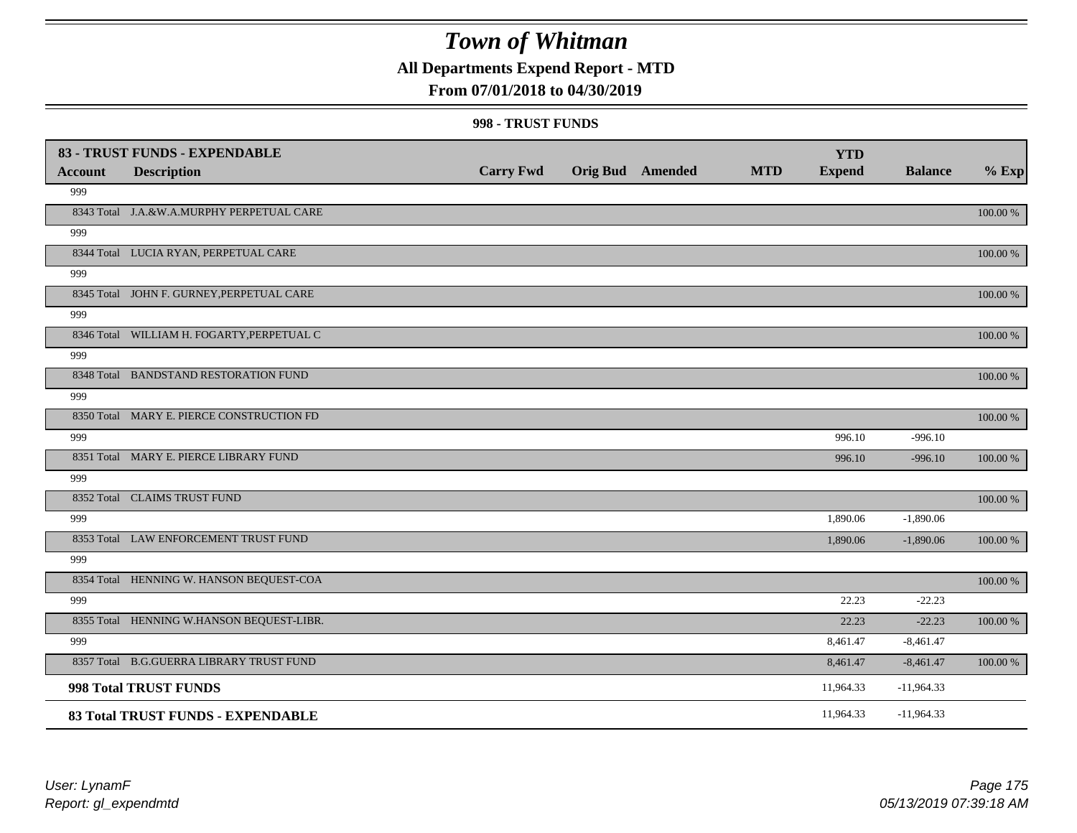**All Departments Expend Report - MTD**

### **From 07/01/2018 to 04/30/2019**

|                | 83 - TRUST FUNDS - EXPENDABLE              |                  |                         |            | <b>YTD</b>    |                |            |
|----------------|--------------------------------------------|------------------|-------------------------|------------|---------------|----------------|------------|
| <b>Account</b> | <b>Description</b>                         | <b>Carry Fwd</b> | <b>Orig Bud</b> Amended | <b>MTD</b> | <b>Expend</b> | <b>Balance</b> | $%$ Exp    |
| 999            |                                            |                  |                         |            |               |                |            |
|                | 8343 Total J.A.&W.A.MURPHY PERPETUAL CARE  |                  |                         |            |               |                | 100.00 %   |
| 999            |                                            |                  |                         |            |               |                |            |
|                | 8344 Total LUCIA RYAN, PERPETUAL CARE      |                  |                         |            |               |                | 100.00 %   |
| 999            |                                            |                  |                         |            |               |                |            |
|                | 8345 Total JOHN F. GURNEY, PERPETUAL CARE  |                  |                         |            |               |                | 100.00 %   |
| 999            |                                            |                  |                         |            |               |                |            |
|                | 8346 Total WILLIAM H. FOGARTY, PERPETUAL C |                  |                         |            |               |                | 100.00 %   |
| 999            |                                            |                  |                         |            |               |                |            |
|                | 8348 Total BANDSTAND RESTORATION FUND      |                  |                         |            |               |                | 100.00 %   |
| 999            |                                            |                  |                         |            |               |                |            |
|                | 8350 Total MARY E. PIERCE CONSTRUCTION FD  |                  |                         |            |               |                | $100.00\%$ |
| 999            |                                            |                  |                         |            | 996.10        | $-996.10$      |            |
|                | 8351 Total MARY E. PIERCE LIBRARY FUND     |                  |                         |            | 996.10        | $-996.10$      | 100.00 %   |
| 999            |                                            |                  |                         |            |               |                |            |
|                | 8352 Total CLAIMS TRUST FUND               |                  |                         |            |               |                | 100.00 %   |
| 999            |                                            |                  |                         |            | 1,890.06      | $-1,890.06$    |            |
|                | 8353 Total LAW ENFORCEMENT TRUST FUND      |                  |                         |            | 1,890.06      | $-1,890.06$    | 100.00 %   |
| 999            |                                            |                  |                         |            |               |                |            |
|                | 8354 Total HENNING W. HANSON BEQUEST-COA   |                  |                         |            |               |                | 100.00 %   |
| 999            |                                            |                  |                         |            | 22.23         | $-22.23$       |            |
|                | 8355 Total HENNING W.HANSON BEQUEST-LIBR.  |                  |                         |            | 22.23         | $-22.23$       | 100.00 %   |
| 999            |                                            |                  |                         |            | 8,461.47      | $-8,461.47$    |            |
|                | 8357 Total B.G.GUERRA LIBRARY TRUST FUND   |                  |                         |            | 8,461.47      | $-8,461.47$    | 100.00 %   |
|                | 998 Total TRUST FUNDS                      |                  |                         |            | 11,964.33     | $-11,964.33$   |            |
|                | 83 Total TRUST FUNDS - EXPENDABLE          |                  |                         |            | 11,964.33     | $-11,964.33$   |            |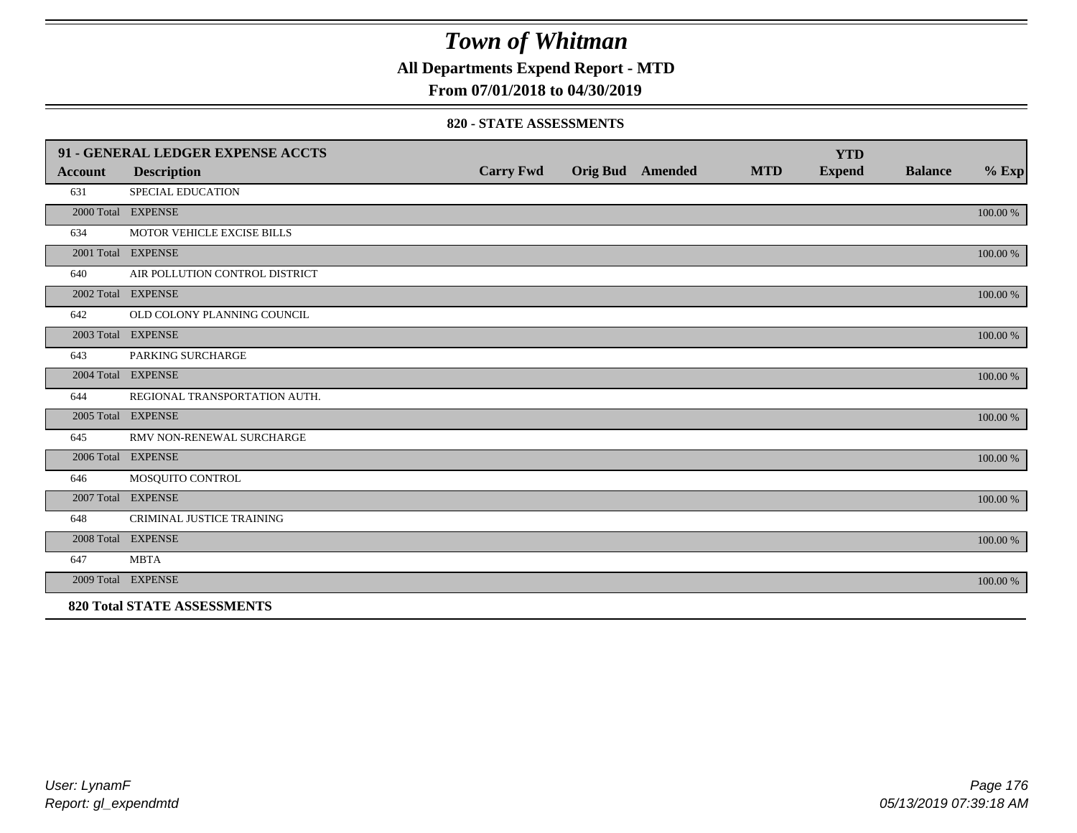**All Departments Expend Report - MTD**

### **From 07/01/2018 to 04/30/2019**

#### **820 - STATE ASSESSMENTS**

|                | 91 - GENERAL LEDGER EXPENSE ACCTS  |                  |                         |            | <b>YTD</b>    |                |          |
|----------------|------------------------------------|------------------|-------------------------|------------|---------------|----------------|----------|
| <b>Account</b> | <b>Description</b>                 | <b>Carry Fwd</b> | <b>Orig Bud</b> Amended | <b>MTD</b> | <b>Expend</b> | <b>Balance</b> | $\%$ Exp |
| 631            | <b>SPECIAL EDUCATION</b>           |                  |                         |            |               |                |          |
|                | 2000 Total EXPENSE                 |                  |                         |            |               |                | 100.00 % |
| 634            | MOTOR VEHICLE EXCISE BILLS         |                  |                         |            |               |                |          |
|                | 2001 Total EXPENSE                 |                  |                         |            |               |                | 100.00 % |
| 640            | AIR POLLUTION CONTROL DISTRICT     |                  |                         |            |               |                |          |
|                | 2002 Total EXPENSE                 |                  |                         |            |               |                | 100.00 % |
| 642            | OLD COLONY PLANNING COUNCIL        |                  |                         |            |               |                |          |
|                | 2003 Total EXPENSE                 |                  |                         |            |               |                | 100.00 % |
| 643            | PARKING SURCHARGE                  |                  |                         |            |               |                |          |
|                | 2004 Total EXPENSE                 |                  |                         |            |               |                | 100.00 % |
| 644            | REGIONAL TRANSPORTATION AUTH.      |                  |                         |            |               |                |          |
|                | 2005 Total EXPENSE                 |                  |                         |            |               |                | 100.00 % |
| 645            | RMV NON-RENEWAL SURCHARGE          |                  |                         |            |               |                |          |
|                | 2006 Total EXPENSE                 |                  |                         |            |               |                | 100.00 % |
| 646            | MOSQUITO CONTROL                   |                  |                         |            |               |                |          |
|                | 2007 Total EXPENSE                 |                  |                         |            |               |                | 100.00 % |
| 648            | CRIMINAL JUSTICE TRAINING          |                  |                         |            |               |                |          |
|                | 2008 Total EXPENSE                 |                  |                         |            |               |                | 100.00 % |
| 647            | <b>MBTA</b>                        |                  |                         |            |               |                |          |
|                | 2009 Total EXPENSE                 |                  |                         |            |               |                | 100.00 % |
|                | <b>820 Total STATE ASSESSMENTS</b> |                  |                         |            |               |                |          |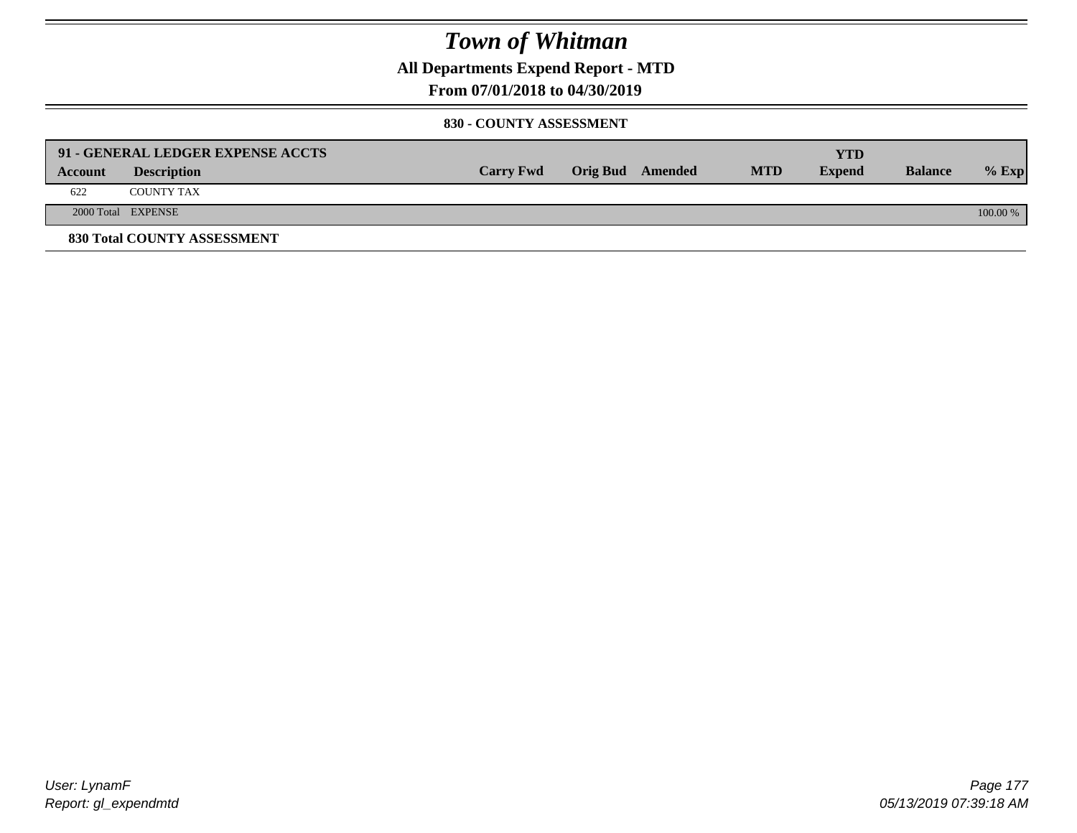**All Departments Expend Report - MTD**

### **From 07/01/2018 to 04/30/2019**

#### **830 - COUNTY ASSESSMENT**

|         | 91 - GENERAL LEDGER EXPENSE ACCTS |                  |                  |            | YTD           |                |            |
|---------|-----------------------------------|------------------|------------------|------------|---------------|----------------|------------|
| Account | <b>Description</b>                | <b>Carry Fwd</b> | Orig Bud Amended | <b>MTD</b> | <b>Expend</b> | <b>Balance</b> | $%$ Exp    |
| 622     | <b>COUNTY TAX</b>                 |                  |                  |            |               |                |            |
|         | 2000 Total EXPENSE                |                  |                  |            |               |                | $100.00\%$ |
|         | 830 Total COUNTY ASSESSMENT       |                  |                  |            |               |                |            |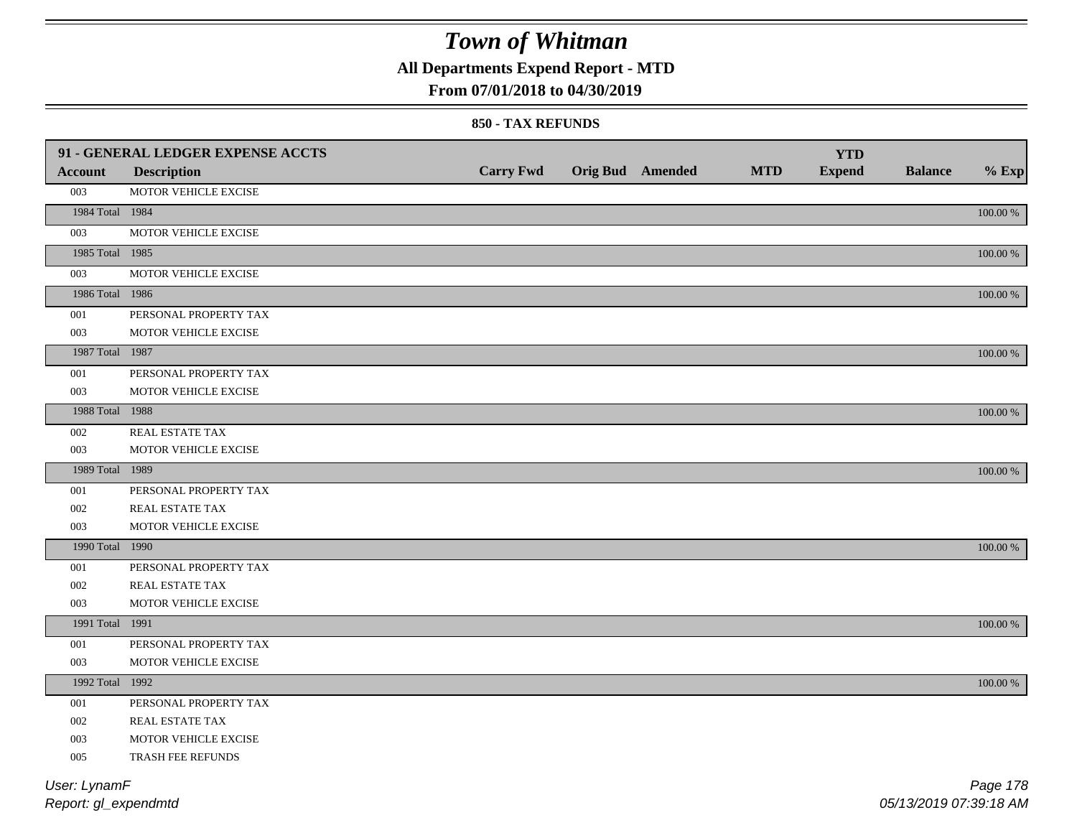**All Departments Expend Report - MTD**

### **From 07/01/2018 to 04/30/2019**

#### **850 - TAX REFUNDS**

|                 | 91 - GENERAL LEDGER EXPENSE ACCTS |                  |                         |            | <b>YTD</b>    |                |             |
|-----------------|-----------------------------------|------------------|-------------------------|------------|---------------|----------------|-------------|
| <b>Account</b>  | <b>Description</b>                | <b>Carry Fwd</b> | <b>Orig Bud Amended</b> | <b>MTD</b> | <b>Expend</b> | <b>Balance</b> | $%$ Exp     |
| 003             | MOTOR VEHICLE EXCISE              |                  |                         |            |               |                |             |
| 1984 Total 1984 |                                   |                  |                         |            |               |                | $100.00~\%$ |
| 003             | MOTOR VEHICLE EXCISE              |                  |                         |            |               |                |             |
| 1985 Total 1985 |                                   |                  |                         |            |               |                | 100.00 %    |
| 003             | MOTOR VEHICLE EXCISE              |                  |                         |            |               |                |             |
| 1986 Total 1986 |                                   |                  |                         |            |               |                | $100.00~\%$ |
| 001             | PERSONAL PROPERTY TAX             |                  |                         |            |               |                |             |
| 003             | MOTOR VEHICLE EXCISE              |                  |                         |            |               |                |             |
| 1987 Total 1987 |                                   |                  |                         |            |               |                | $100.00~\%$ |
| 001             | PERSONAL PROPERTY TAX             |                  |                         |            |               |                |             |
| 003             | MOTOR VEHICLE EXCISE              |                  |                         |            |               |                |             |
| 1988 Total 1988 |                                   |                  |                         |            |               |                | 100.00 %    |
| 002             | REAL ESTATE TAX                   |                  |                         |            |               |                |             |
| 003             | MOTOR VEHICLE EXCISE              |                  |                         |            |               |                |             |
| 1989 Total 1989 |                                   |                  |                         |            |               |                | 100.00 %    |
| 001             | PERSONAL PROPERTY TAX             |                  |                         |            |               |                |             |
| 002             | REAL ESTATE TAX                   |                  |                         |            |               |                |             |
| 003             | MOTOR VEHICLE EXCISE              |                  |                         |            |               |                |             |
| 1990 Total 1990 |                                   |                  |                         |            |               |                | 100.00 %    |
| 001             | PERSONAL PROPERTY TAX             |                  |                         |            |               |                |             |
| 002             | REAL ESTATE TAX                   |                  |                         |            |               |                |             |
| 003             | MOTOR VEHICLE EXCISE              |                  |                         |            |               |                |             |
| 1991 Total 1991 |                                   |                  |                         |            |               |                | 100.00 %    |
| 001             | PERSONAL PROPERTY TAX             |                  |                         |            |               |                |             |
| 003             | MOTOR VEHICLE EXCISE              |                  |                         |            |               |                |             |
| 1992 Total 1992 |                                   |                  |                         |            |               |                | 100.00 %    |
| 001             | PERSONAL PROPERTY TAX             |                  |                         |            |               |                |             |
| 002             | REAL ESTATE TAX                   |                  |                         |            |               |                |             |
| 003             | MOTOR VEHICLE EXCISE              |                  |                         |            |               |                |             |
| 005             | TRASH FEE REFUNDS                 |                  |                         |            |               |                |             |
| User: LynamF    |                                   |                  |                         |            |               |                | Page 178    |

*Report: gl\_expendmtd*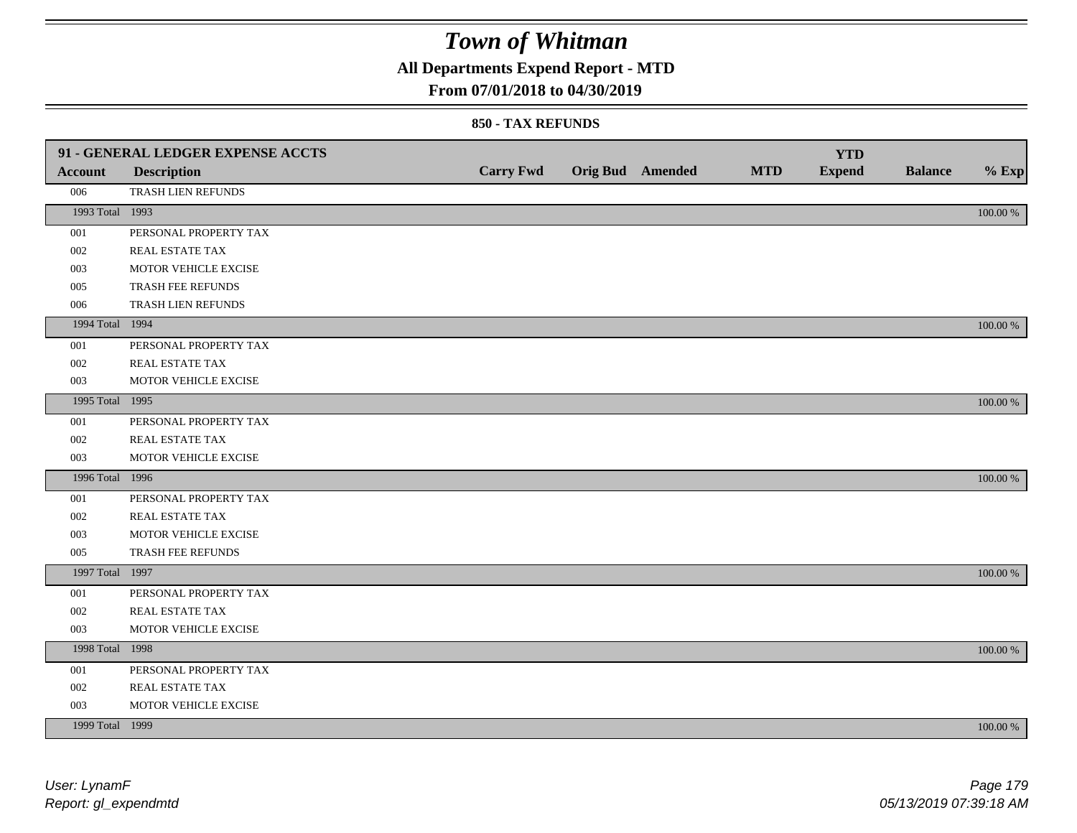**All Departments Expend Report - MTD**

### **From 07/01/2018 to 04/30/2019**

#### **850 - TAX REFUNDS**

|                 | 91 - GENERAL LEDGER EXPENSE ACCTS |                  |                  |            | <b>YTD</b>    |                |             |
|-----------------|-----------------------------------|------------------|------------------|------------|---------------|----------------|-------------|
| <b>Account</b>  | <b>Description</b>                | <b>Carry Fwd</b> | Orig Bud Amended | <b>MTD</b> | <b>Expend</b> | <b>Balance</b> | $%$ Exp     |
| 006             | TRASH LIEN REFUNDS                |                  |                  |            |               |                |             |
| 1993 Total 1993 |                                   |                  |                  |            |               |                | $100.00~\%$ |
| 001             | PERSONAL PROPERTY TAX             |                  |                  |            |               |                |             |
| 002             | REAL ESTATE TAX                   |                  |                  |            |               |                |             |
| 003             | MOTOR VEHICLE EXCISE              |                  |                  |            |               |                |             |
| 005             | TRASH FEE REFUNDS                 |                  |                  |            |               |                |             |
| 006             | TRASH LIEN REFUNDS                |                  |                  |            |               |                |             |
| 1994 Total 1994 |                                   |                  |                  |            |               |                | 100.00 %    |
| 001             | PERSONAL PROPERTY TAX             |                  |                  |            |               |                |             |
| 002             | REAL ESTATE TAX                   |                  |                  |            |               |                |             |
| 003             | MOTOR VEHICLE EXCISE              |                  |                  |            |               |                |             |
| 1995 Total 1995 |                                   |                  |                  |            |               |                | 100.00 %    |
| 001             | PERSONAL PROPERTY TAX             |                  |                  |            |               |                |             |
| 002             | REAL ESTATE TAX                   |                  |                  |            |               |                |             |
| 003             | MOTOR VEHICLE EXCISE              |                  |                  |            |               |                |             |
| 1996 Total 1996 |                                   |                  |                  |            |               |                | 100.00 %    |
| 001             | PERSONAL PROPERTY TAX             |                  |                  |            |               |                |             |
| 002             | REAL ESTATE TAX                   |                  |                  |            |               |                |             |
| 003             | MOTOR VEHICLE EXCISE              |                  |                  |            |               |                |             |
| 005             | TRASH FEE REFUNDS                 |                  |                  |            |               |                |             |
| 1997 Total 1997 |                                   |                  |                  |            |               |                | 100.00 %    |
| 001             | PERSONAL PROPERTY TAX             |                  |                  |            |               |                |             |
| 002             | REAL ESTATE TAX                   |                  |                  |            |               |                |             |
| 003             | MOTOR VEHICLE EXCISE              |                  |                  |            |               |                |             |
| 1998 Total 1998 |                                   |                  |                  |            |               |                | 100.00 %    |
| 001             | PERSONAL PROPERTY TAX             |                  |                  |            |               |                |             |
| 002             | REAL ESTATE TAX                   |                  |                  |            |               |                |             |
| 003             | MOTOR VEHICLE EXCISE              |                  |                  |            |               |                |             |
| 1999 Total 1999 |                                   |                  |                  |            |               |                | 100.00 %    |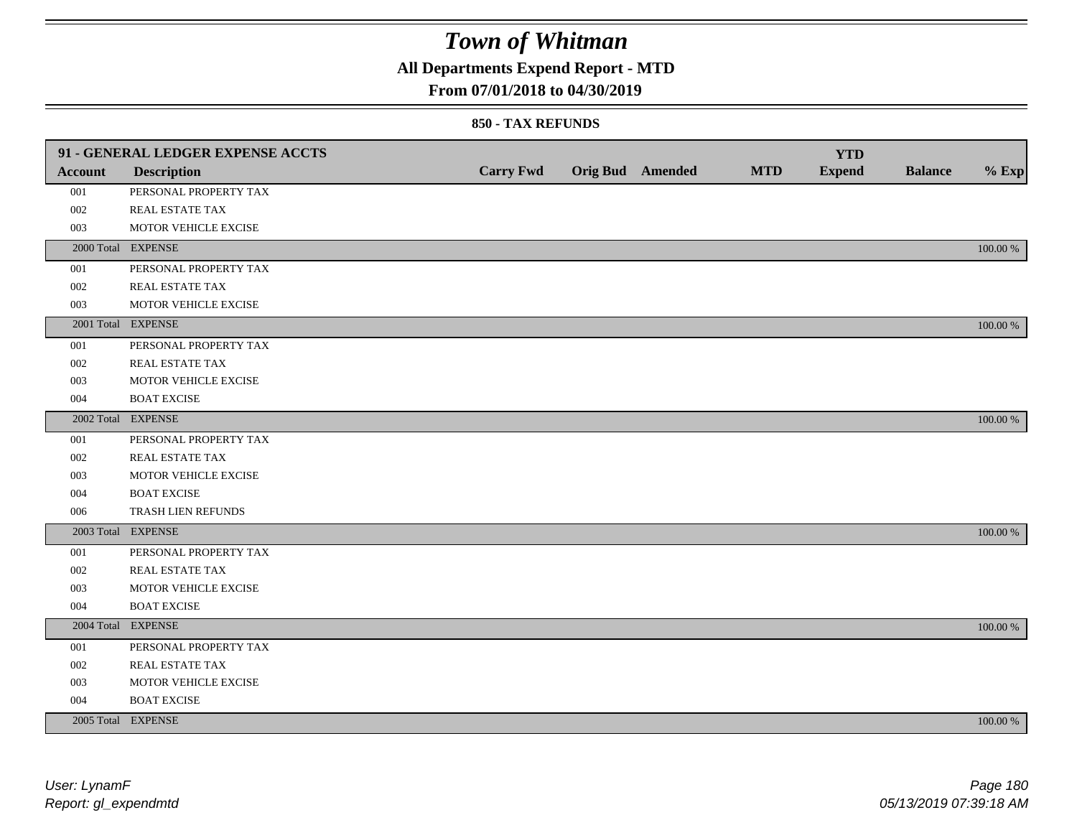### **All Departments Expend Report - MTD**

### **From 07/01/2018 to 04/30/2019**

#### **850 - TAX REFUNDS**

|                | 91 - GENERAL LEDGER EXPENSE ACCTS |                  |                         |            | <b>YTD</b>    |                |             |
|----------------|-----------------------------------|------------------|-------------------------|------------|---------------|----------------|-------------|
| <b>Account</b> | <b>Description</b>                | <b>Carry Fwd</b> | <b>Orig Bud Amended</b> | <b>MTD</b> | <b>Expend</b> | <b>Balance</b> | $%$ Exp     |
| 001            | PERSONAL PROPERTY TAX             |                  |                         |            |               |                |             |
| 002            | REAL ESTATE TAX                   |                  |                         |            |               |                |             |
| 003            | MOTOR VEHICLE EXCISE              |                  |                         |            |               |                |             |
|                | 2000 Total EXPENSE                |                  |                         |            |               |                | 100.00 %    |
| 001            | PERSONAL PROPERTY TAX             |                  |                         |            |               |                |             |
| 002            | REAL ESTATE TAX                   |                  |                         |            |               |                |             |
| 003            | MOTOR VEHICLE EXCISE              |                  |                         |            |               |                |             |
|                | 2001 Total EXPENSE                |                  |                         |            |               |                | 100.00 %    |
| 001            | PERSONAL PROPERTY TAX             |                  |                         |            |               |                |             |
| 002            | REAL ESTATE TAX                   |                  |                         |            |               |                |             |
| 003            | MOTOR VEHICLE EXCISE              |                  |                         |            |               |                |             |
| 004            | <b>BOAT EXCISE</b>                |                  |                         |            |               |                |             |
|                | 2002 Total EXPENSE                |                  |                         |            |               |                | 100.00 %    |
| 001            | PERSONAL PROPERTY TAX             |                  |                         |            |               |                |             |
| 002            | REAL ESTATE TAX                   |                  |                         |            |               |                |             |
| 003            | MOTOR VEHICLE EXCISE              |                  |                         |            |               |                |             |
| 004            | <b>BOAT EXCISE</b>                |                  |                         |            |               |                |             |
| 006            | TRASH LIEN REFUNDS                |                  |                         |            |               |                |             |
|                | 2003 Total EXPENSE                |                  |                         |            |               |                | 100.00 %    |
| 001            | PERSONAL PROPERTY TAX             |                  |                         |            |               |                |             |
| 002            | REAL ESTATE TAX                   |                  |                         |            |               |                |             |
| 003            | MOTOR VEHICLE EXCISE              |                  |                         |            |               |                |             |
| 004            | <b>BOAT EXCISE</b>                |                  |                         |            |               |                |             |
|                | 2004 Total EXPENSE                |                  |                         |            |               |                | 100.00 %    |
| 001            | PERSONAL PROPERTY TAX             |                  |                         |            |               |                |             |
| 002            | REAL ESTATE TAX                   |                  |                         |            |               |                |             |
| 003            | MOTOR VEHICLE EXCISE              |                  |                         |            |               |                |             |
| 004            | <b>BOAT EXCISE</b>                |                  |                         |            |               |                |             |
|                | 2005 Total EXPENSE                |                  |                         |            |               |                | $100.00~\%$ |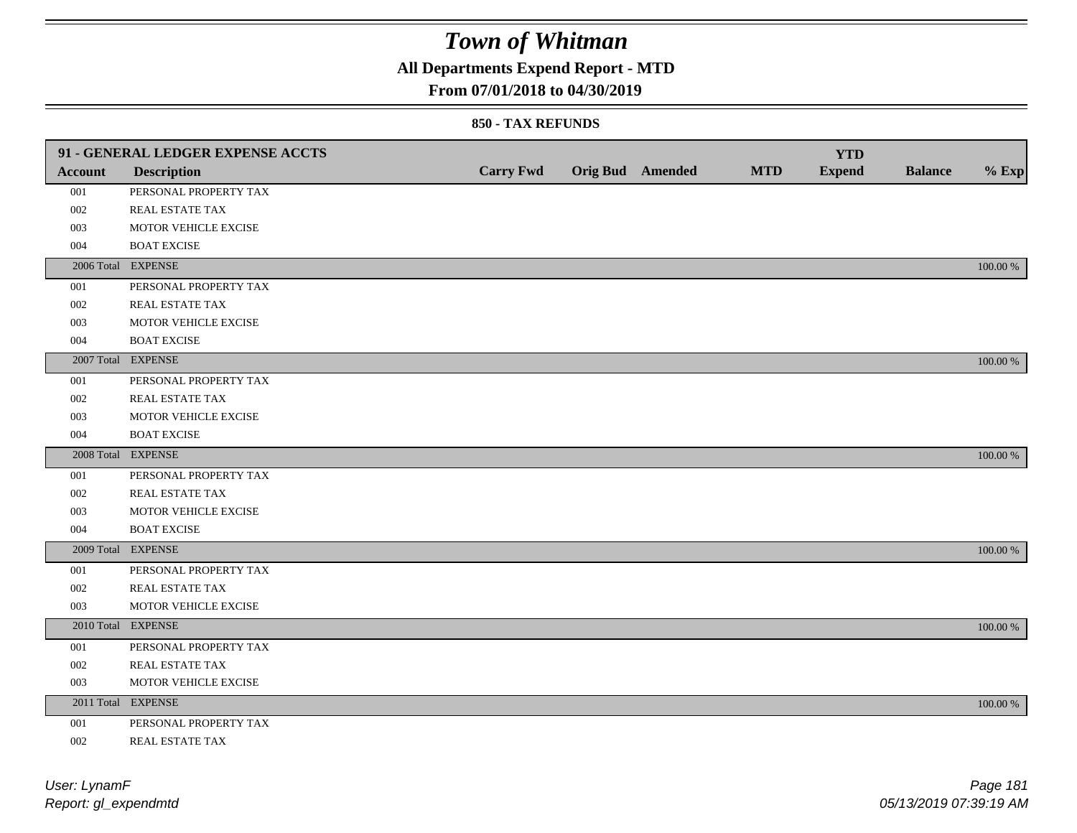## **All Departments Expend Report - MTD**

### **From 07/01/2018 to 04/30/2019**

#### **850 - TAX REFUNDS**

|         | 91 - GENERAL LEDGER EXPENSE ACCTS |                  |                         |            | <b>YTD</b>    |                |             |
|---------|-----------------------------------|------------------|-------------------------|------------|---------------|----------------|-------------|
| Account | <b>Description</b>                | <b>Carry Fwd</b> | <b>Orig Bud</b> Amended | <b>MTD</b> | <b>Expend</b> | <b>Balance</b> | $%$ Exp     |
| 001     | PERSONAL PROPERTY TAX             |                  |                         |            |               |                |             |
| 002     | REAL ESTATE TAX                   |                  |                         |            |               |                |             |
| 003     | MOTOR VEHICLE EXCISE              |                  |                         |            |               |                |             |
| 004     | <b>BOAT EXCISE</b>                |                  |                         |            |               |                |             |
|         | 2006 Total EXPENSE                |                  |                         |            |               |                | 100.00 %    |
| 001     | PERSONAL PROPERTY TAX             |                  |                         |            |               |                |             |
| 002     | REAL ESTATE TAX                   |                  |                         |            |               |                |             |
| 003     | MOTOR VEHICLE EXCISE              |                  |                         |            |               |                |             |
| 004     | <b>BOAT EXCISE</b>                |                  |                         |            |               |                |             |
|         | 2007 Total EXPENSE                |                  |                         |            |               |                | 100.00 %    |
| 001     | PERSONAL PROPERTY TAX             |                  |                         |            |               |                |             |
| 002     | REAL ESTATE TAX                   |                  |                         |            |               |                |             |
| 003     | MOTOR VEHICLE EXCISE              |                  |                         |            |               |                |             |
| 004     | <b>BOAT EXCISE</b>                |                  |                         |            |               |                |             |
|         | 2008 Total EXPENSE                |                  |                         |            |               |                | 100.00 %    |
| 001     | PERSONAL PROPERTY TAX             |                  |                         |            |               |                |             |
| 002     | <b>REAL ESTATE TAX</b>            |                  |                         |            |               |                |             |
| 003     | MOTOR VEHICLE EXCISE              |                  |                         |            |               |                |             |
| 004     | <b>BOAT EXCISE</b>                |                  |                         |            |               |                |             |
|         | 2009 Total EXPENSE                |                  |                         |            |               |                | 100.00 %    |
| 001     | PERSONAL PROPERTY TAX             |                  |                         |            |               |                |             |
| 002     | REAL ESTATE TAX                   |                  |                         |            |               |                |             |
| 003     | MOTOR VEHICLE EXCISE              |                  |                         |            |               |                |             |
|         | 2010 Total EXPENSE                |                  |                         |            |               |                | 100.00 %    |
| 001     | PERSONAL PROPERTY TAX             |                  |                         |            |               |                |             |
| 002     | REAL ESTATE TAX                   |                  |                         |            |               |                |             |
| 003     | MOTOR VEHICLE EXCISE              |                  |                         |            |               |                |             |
|         | 2011 Total EXPENSE                |                  |                         |            |               |                | $100.00~\%$ |
| 001     | PERSONAL PROPERTY TAX             |                  |                         |            |               |                |             |
| 002     | REAL ESTATE TAX                   |                  |                         |            |               |                |             |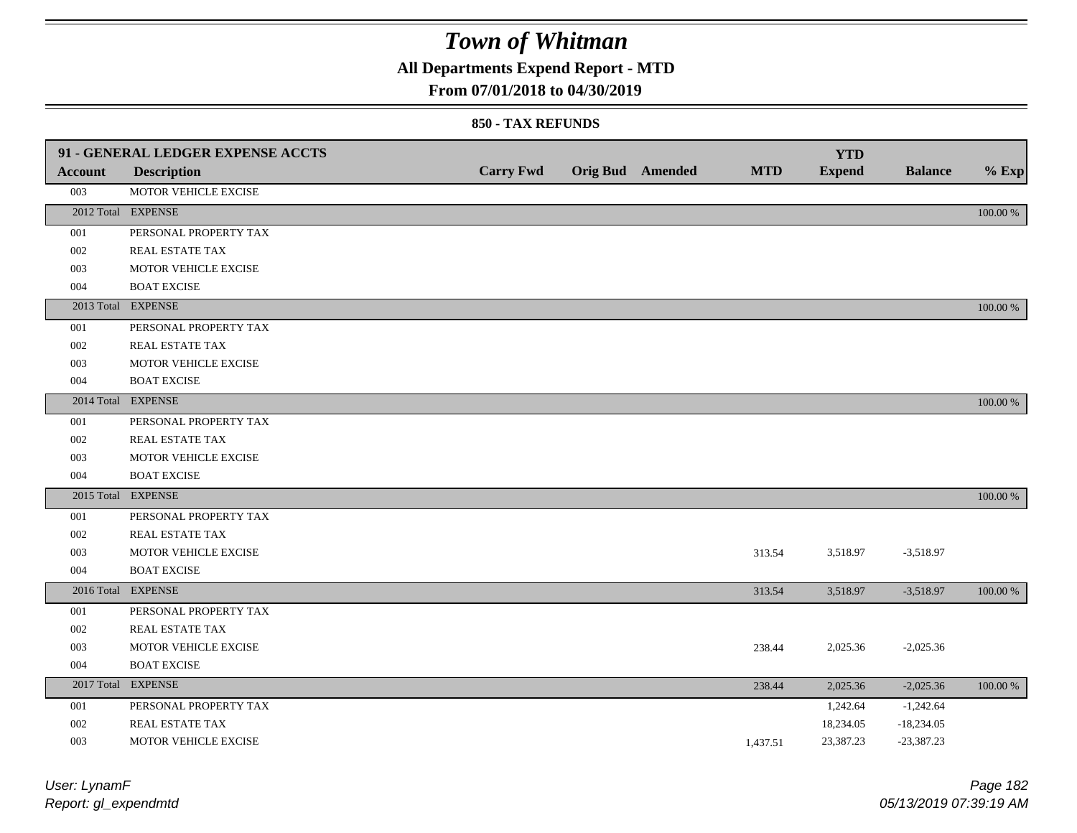## **All Departments Expend Report - MTD**

### **From 07/01/2018 to 04/30/2019**

#### **850 - TAX REFUNDS**

| Account | 91 - GENERAL LEDGER EXPENSE ACCTS<br><b>Description</b> | <b>Carry Fwd</b> | <b>Orig Bud</b> Amended | <b>MTD</b> | <b>YTD</b><br><b>Expend</b> | <b>Balance</b> | $%$ Exp  |
|---------|---------------------------------------------------------|------------------|-------------------------|------------|-----------------------------|----------------|----------|
| 003     | MOTOR VEHICLE EXCISE                                    |                  |                         |            |                             |                |          |
|         | 2012 Total EXPENSE                                      |                  |                         |            |                             |                | 100.00 % |
| 001     | PERSONAL PROPERTY TAX                                   |                  |                         |            |                             |                |          |
| 002     | REAL ESTATE TAX                                         |                  |                         |            |                             |                |          |
| 003     | MOTOR VEHICLE EXCISE                                    |                  |                         |            |                             |                |          |
|         | <b>BOAT EXCISE</b>                                      |                  |                         |            |                             |                |          |
| 004     |                                                         |                  |                         |            |                             |                |          |
|         | 2013 Total EXPENSE                                      |                  |                         |            |                             |                | 100.00 % |
| 001     | PERSONAL PROPERTY TAX                                   |                  |                         |            |                             |                |          |
| 002     | REAL ESTATE TAX                                         |                  |                         |            |                             |                |          |
| 003     | MOTOR VEHICLE EXCISE                                    |                  |                         |            |                             |                |          |
| 004     | <b>BOAT EXCISE</b>                                      |                  |                         |            |                             |                |          |
|         | 2014 Total EXPENSE                                      |                  |                         |            |                             |                | 100.00 % |
| 001     | PERSONAL PROPERTY TAX                                   |                  |                         |            |                             |                |          |
| 002     | REAL ESTATE TAX                                         |                  |                         |            |                             |                |          |
| 003     | MOTOR VEHICLE EXCISE                                    |                  |                         |            |                             |                |          |
| 004     | <b>BOAT EXCISE</b>                                      |                  |                         |            |                             |                |          |
|         | 2015 Total EXPENSE                                      |                  |                         |            |                             |                | 100.00 % |
| 001     | PERSONAL PROPERTY TAX                                   |                  |                         |            |                             |                |          |
| 002     | REAL ESTATE TAX                                         |                  |                         |            |                             |                |          |
| 003     | MOTOR VEHICLE EXCISE                                    |                  |                         | 313.54     | 3,518.97                    | $-3,518.97$    |          |
| 004     | <b>BOAT EXCISE</b>                                      |                  |                         |            |                             |                |          |
|         | 2016 Total EXPENSE                                      |                  |                         | 313.54     | 3,518.97                    | $-3,518.97$    | 100.00 % |
| 001     | PERSONAL PROPERTY TAX                                   |                  |                         |            |                             |                |          |
| 002     | REAL ESTATE TAX                                         |                  |                         |            |                             |                |          |
| 003     | MOTOR VEHICLE EXCISE                                    |                  |                         | 238.44     | 2,025.36                    | $-2,025.36$    |          |
| 004     | <b>BOAT EXCISE</b>                                      |                  |                         |            |                             |                |          |
|         | 2017 Total EXPENSE                                      |                  |                         | 238.44     | 2,025.36                    | $-2,025.36$    | 100.00 % |
| 001     | PERSONAL PROPERTY TAX                                   |                  |                         |            | 1,242.64                    | $-1,242.64$    |          |
| 002     | REAL ESTATE TAX                                         |                  |                         |            | 18,234.05                   | $-18,234.05$   |          |
| 003     | MOTOR VEHICLE EXCISE                                    |                  |                         | 1.437.51   | 23,387.23                   | $-23,387.23$   |          |

| User: LynamF         |
|----------------------|
| Report: gl_expendmtd |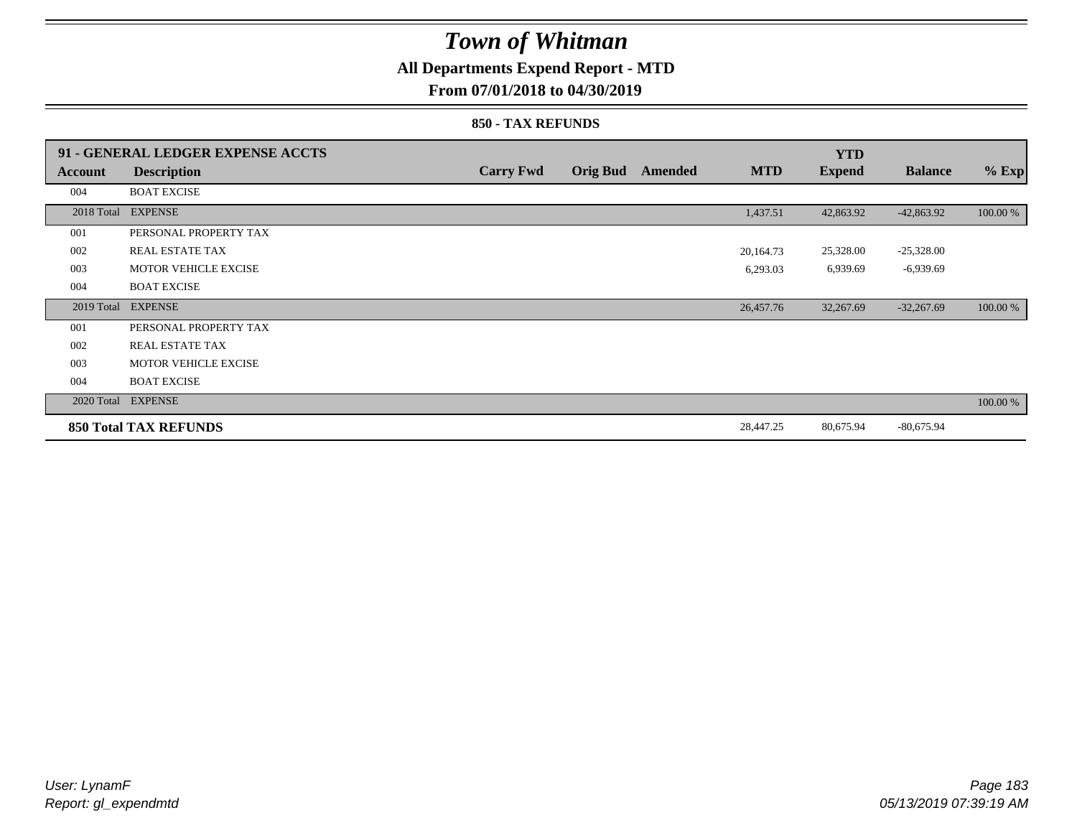### **All Departments Expend Report - MTD**

### **From 07/01/2018 to 04/30/2019**

#### **850 - TAX REFUNDS**

|            | 91 - GENERAL LEDGER EXPENSE ACCTS |                  |                 |                |            | <b>YTD</b>    |                |          |
|------------|-----------------------------------|------------------|-----------------|----------------|------------|---------------|----------------|----------|
| Account    | <b>Description</b>                | <b>Carry Fwd</b> | <b>Orig Bud</b> | <b>Amended</b> | <b>MTD</b> | <b>Expend</b> | <b>Balance</b> | $%$ Exp  |
| 004        | <b>BOAT EXCISE</b>                |                  |                 |                |            |               |                |          |
| 2018 Total | <b>EXPENSE</b>                    |                  |                 |                | 1,437.51   | 42,863.92     | $-42,863.92$   | 100.00 % |
| 001        | PERSONAL PROPERTY TAX             |                  |                 |                |            |               |                |          |
| 002        | REAL ESTATE TAX                   |                  |                 |                | 20,164.73  | 25,328.00     | $-25,328.00$   |          |
| 003        | <b>MOTOR VEHICLE EXCISE</b>       |                  |                 |                | 6,293.03   | 6,939.69      | $-6,939.69$    |          |
| 004        | <b>BOAT EXCISE</b>                |                  |                 |                |            |               |                |          |
|            | 2019 Total EXPENSE                |                  |                 |                | 26,457.76  | 32,267.69     | $-32,267.69$   | 100.00 % |
| 001        | PERSONAL PROPERTY TAX             |                  |                 |                |            |               |                |          |
| 002        | <b>REAL ESTATE TAX</b>            |                  |                 |                |            |               |                |          |
| 003        | <b>MOTOR VEHICLE EXCISE</b>       |                  |                 |                |            |               |                |          |
| 004        | <b>BOAT EXCISE</b>                |                  |                 |                |            |               |                |          |
|            | 2020 Total EXPENSE                |                  |                 |                |            |               |                | 100.00 % |
|            | <b>850 Total TAX REFUNDS</b>      |                  |                 |                | 28,447.25  | 80,675.94     | $-80,675.94$   |          |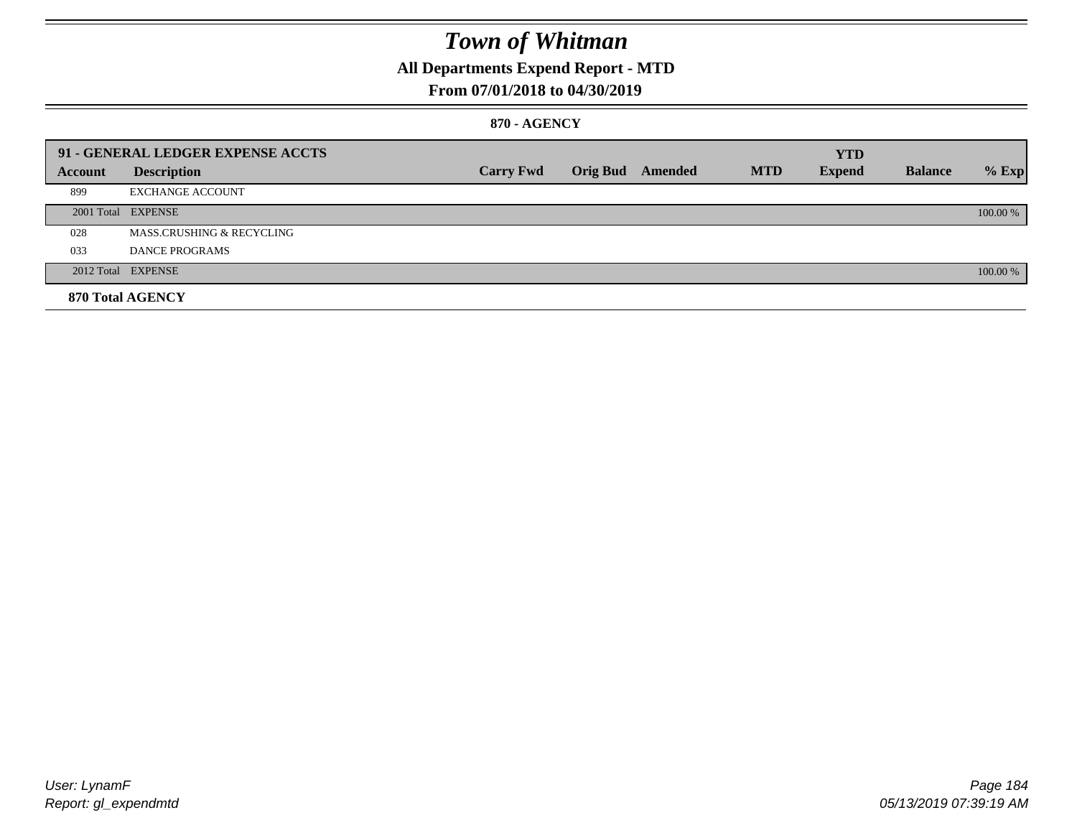## **All Departments Expend Report - MTD**

### **From 07/01/2018 to 04/30/2019**

#### **870 - AGENCY**

|         | 91 - GENERAL LEDGER EXPENSE ACCTS |                  |                         |            | <b>YTD</b>    |                |          |
|---------|-----------------------------------|------------------|-------------------------|------------|---------------|----------------|----------|
| Account | <b>Description</b>                | <b>Carry Fwd</b> | <b>Orig Bud</b> Amended | <b>MTD</b> | <b>Expend</b> | <b>Balance</b> | $%$ Exp  |
| 899     | <b>EXCHANGE ACCOUNT</b>           |                  |                         |            |               |                |          |
|         | 2001 Total EXPENSE                |                  |                         |            |               |                | 100.00 % |
| 028     | MASS.CRUSHING & RECYCLING         |                  |                         |            |               |                |          |
| 033     | <b>DANCE PROGRAMS</b>             |                  |                         |            |               |                |          |
|         | 2012 Total EXPENSE                |                  |                         |            |               |                | 100.00 % |
|         | 870 Total AGENCY                  |                  |                         |            |               |                |          |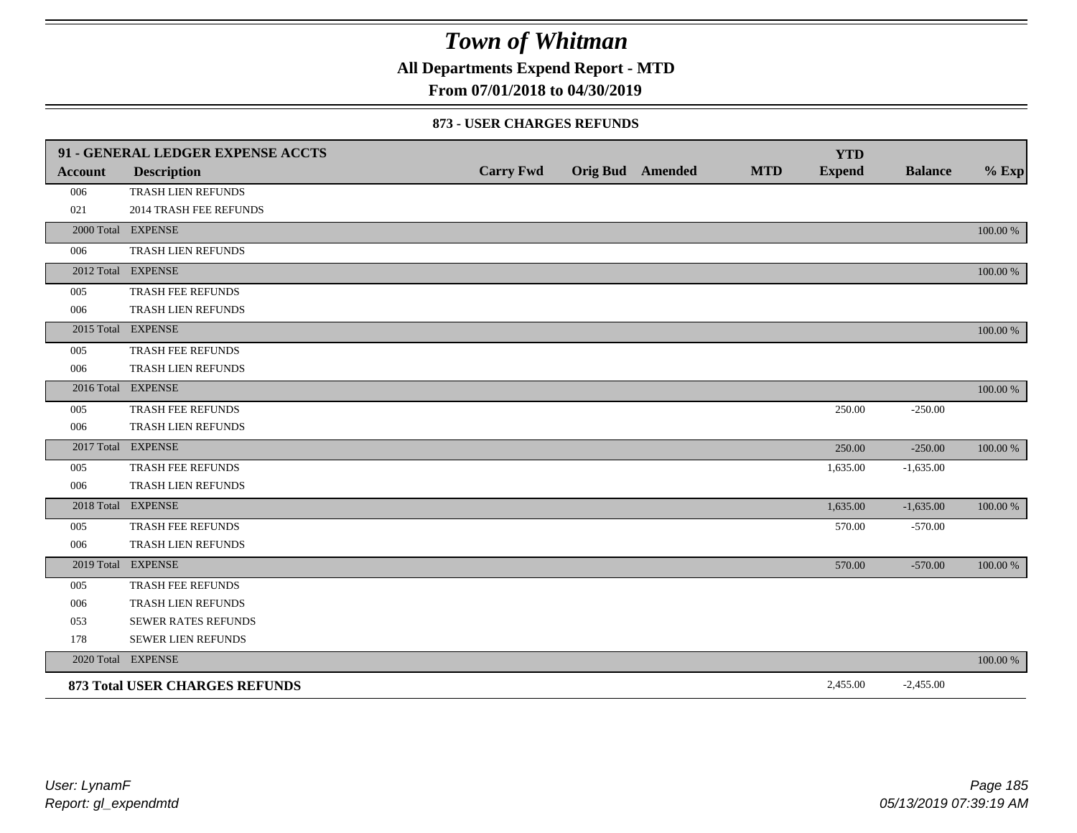**All Departments Expend Report - MTD**

### **From 07/01/2018 to 04/30/2019**

#### **873 - USER CHARGES REFUNDS**

|                | 91 - GENERAL LEDGER EXPENSE ACCTS     |                  |                         |            | <b>YTD</b>    |                |             |
|----------------|---------------------------------------|------------------|-------------------------|------------|---------------|----------------|-------------|
| <b>Account</b> | <b>Description</b>                    | <b>Carry Fwd</b> | <b>Orig Bud</b> Amended | <b>MTD</b> | <b>Expend</b> | <b>Balance</b> | $%$ Exp     |
| 006            | TRASH LIEN REFUNDS                    |                  |                         |            |               |                |             |
| 021            | 2014 TRASH FEE REFUNDS                |                  |                         |            |               |                |             |
|                | 2000 Total EXPENSE                    |                  |                         |            |               |                | 100.00 %    |
| 006            | TRASH LIEN REFUNDS                    |                  |                         |            |               |                |             |
|                | 2012 Total EXPENSE                    |                  |                         |            |               |                | 100.00 %    |
| 005            | TRASH FEE REFUNDS                     |                  |                         |            |               |                |             |
| 006            | TRASH LIEN REFUNDS                    |                  |                         |            |               |                |             |
|                | 2015 Total EXPENSE                    |                  |                         |            |               |                | $100.00~\%$ |
| 005            | TRASH FEE REFUNDS                     |                  |                         |            |               |                |             |
| 006            | TRASH LIEN REFUNDS                    |                  |                         |            |               |                |             |
|                | 2016 Total EXPENSE                    |                  |                         |            |               |                | 100.00 %    |
| 005            | <b>TRASH FEE REFUNDS</b>              |                  |                         |            | 250.00        | $-250.00$      |             |
| 006            | TRASH LIEN REFUNDS                    |                  |                         |            |               |                |             |
|                | 2017 Total EXPENSE                    |                  |                         |            | 250.00        | $-250.00$      | 100.00 %    |
| 005            | TRASH FEE REFUNDS                     |                  |                         |            | 1,635.00      | $-1,635.00$    |             |
| 006            | TRASH LIEN REFUNDS                    |                  |                         |            |               |                |             |
|                | 2018 Total EXPENSE                    |                  |                         |            | 1,635.00      | $-1,635.00$    | $100.00~\%$ |
| 005            | TRASH FEE REFUNDS                     |                  |                         |            | 570.00        | $-570.00$      |             |
| 006            | TRASH LIEN REFUNDS                    |                  |                         |            |               |                |             |
|                | 2019 Total EXPENSE                    |                  |                         |            | 570.00        | $-570.00$      | 100.00 %    |
| 005            | TRASH FEE REFUNDS                     |                  |                         |            |               |                |             |
| 006            | TRASH LIEN REFUNDS                    |                  |                         |            |               |                |             |
| 053            | <b>SEWER RATES REFUNDS</b>            |                  |                         |            |               |                |             |
| 178            | SEWER LIEN REFUNDS                    |                  |                         |            |               |                |             |
|                | 2020 Total EXPENSE                    |                  |                         |            |               |                | 100.00 %    |
|                | <b>873 Total USER CHARGES REFUNDS</b> |                  |                         |            | 2,455.00      | $-2,455.00$    |             |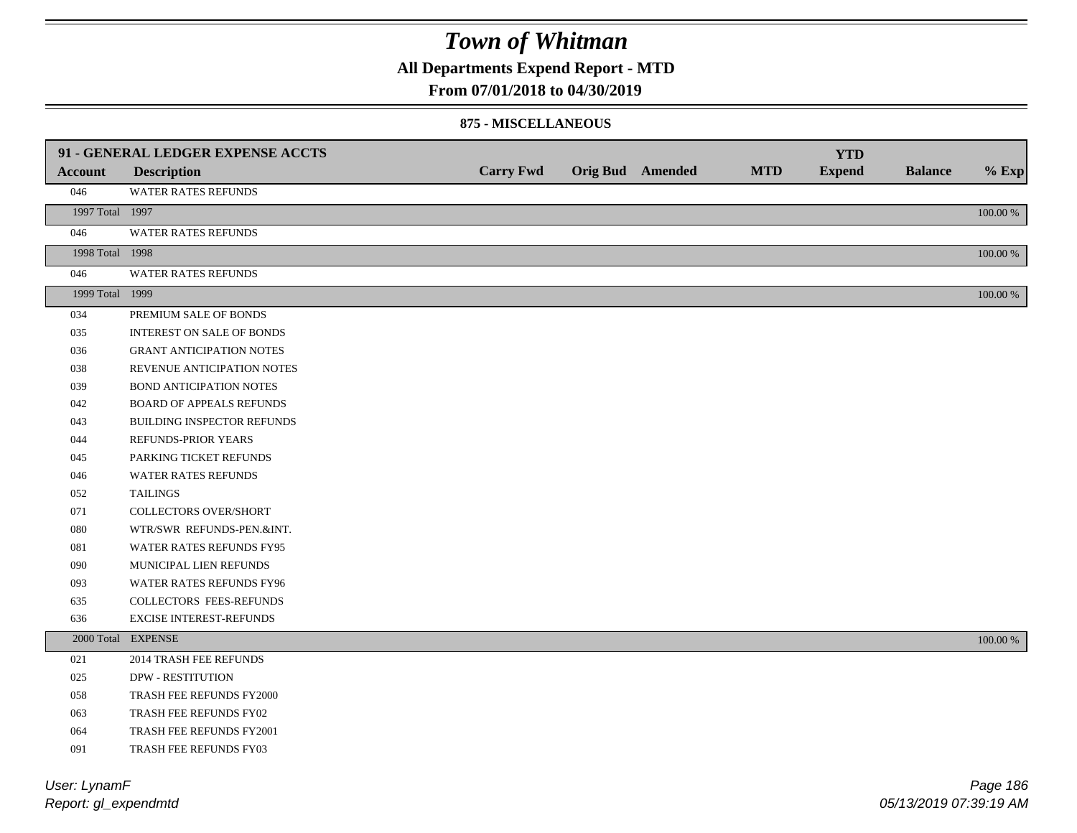**All Departments Expend Report - MTD**

### **From 07/01/2018 to 04/30/2019**

#### **875 - MISCELLANEOUS**

|                 | 91 - GENERAL LEDGER EXPENSE ACCTS |                  |                         |            | <b>YTD</b>    |                |             |
|-----------------|-----------------------------------|------------------|-------------------------|------------|---------------|----------------|-------------|
| <b>Account</b>  | <b>Description</b>                | <b>Carry Fwd</b> | <b>Orig Bud</b> Amended | <b>MTD</b> | <b>Expend</b> | <b>Balance</b> | $%$ Exp     |
| 046             | WATER RATES REFUNDS               |                  |                         |            |               |                |             |
| 1997 Total 1997 |                                   |                  |                         |            |               |                | $100.00~\%$ |
| 046             | <b>WATER RATES REFUNDS</b>        |                  |                         |            |               |                |             |
| 1998 Total 1998 |                                   |                  |                         |            |               |                | 100.00 %    |
| 046             | WATER RATES REFUNDS               |                  |                         |            |               |                |             |
| 1999 Total 1999 |                                   |                  |                         |            |               |                | $100.00~\%$ |
| 034             | PREMIUM SALE OF BONDS             |                  |                         |            |               |                |             |
| 035             | <b>INTEREST ON SALE OF BONDS</b>  |                  |                         |            |               |                |             |
| 036             | <b>GRANT ANTICIPATION NOTES</b>   |                  |                         |            |               |                |             |
| 038             | REVENUE ANTICIPATION NOTES        |                  |                         |            |               |                |             |
| 039             | <b>BOND ANTICIPATION NOTES</b>    |                  |                         |            |               |                |             |
| 042             | <b>BOARD OF APPEALS REFUNDS</b>   |                  |                         |            |               |                |             |
| 043             | BUILDING INSPECTOR REFUNDS        |                  |                         |            |               |                |             |
| 044             | REFUNDS-PRIOR YEARS               |                  |                         |            |               |                |             |
| 045             | PARKING TICKET REFUNDS            |                  |                         |            |               |                |             |
| 046             | WATER RATES REFUNDS               |                  |                         |            |               |                |             |
| 052             | <b>TAILINGS</b>                   |                  |                         |            |               |                |             |
| 071             | <b>COLLECTORS OVER/SHORT</b>      |                  |                         |            |               |                |             |
| 080             | WTR/SWR REFUNDS-PEN.&INT.         |                  |                         |            |               |                |             |
| 081             | WATER RATES REFUNDS FY95          |                  |                         |            |               |                |             |
| 090             | MUNICIPAL LIEN REFUNDS            |                  |                         |            |               |                |             |
| 093             | WATER RATES REFUNDS FY96          |                  |                         |            |               |                |             |
| 635             | COLLECTORS FEES-REFUNDS           |                  |                         |            |               |                |             |
| 636             | <b>EXCISE INTEREST-REFUNDS</b>    |                  |                         |            |               |                |             |
|                 | 2000 Total EXPENSE                |                  |                         |            |               |                | 100.00 %    |
| 021             | 2014 TRASH FEE REFUNDS            |                  |                         |            |               |                |             |
| 025             | <b>DPW - RESTITUTION</b>          |                  |                         |            |               |                |             |
| 058             | TRASH FEE REFUNDS FY2000          |                  |                         |            |               |                |             |
| 063             | TRASH FEE REFUNDS FY02            |                  |                         |            |               |                |             |
| 064             | TRASH FEE REFUNDS FY2001          |                  |                         |            |               |                |             |
| 091             | TRASH FEE REFUNDS FY03            |                  |                         |            |               |                |             |

*Report: gl\_expendmtd User: LynamF*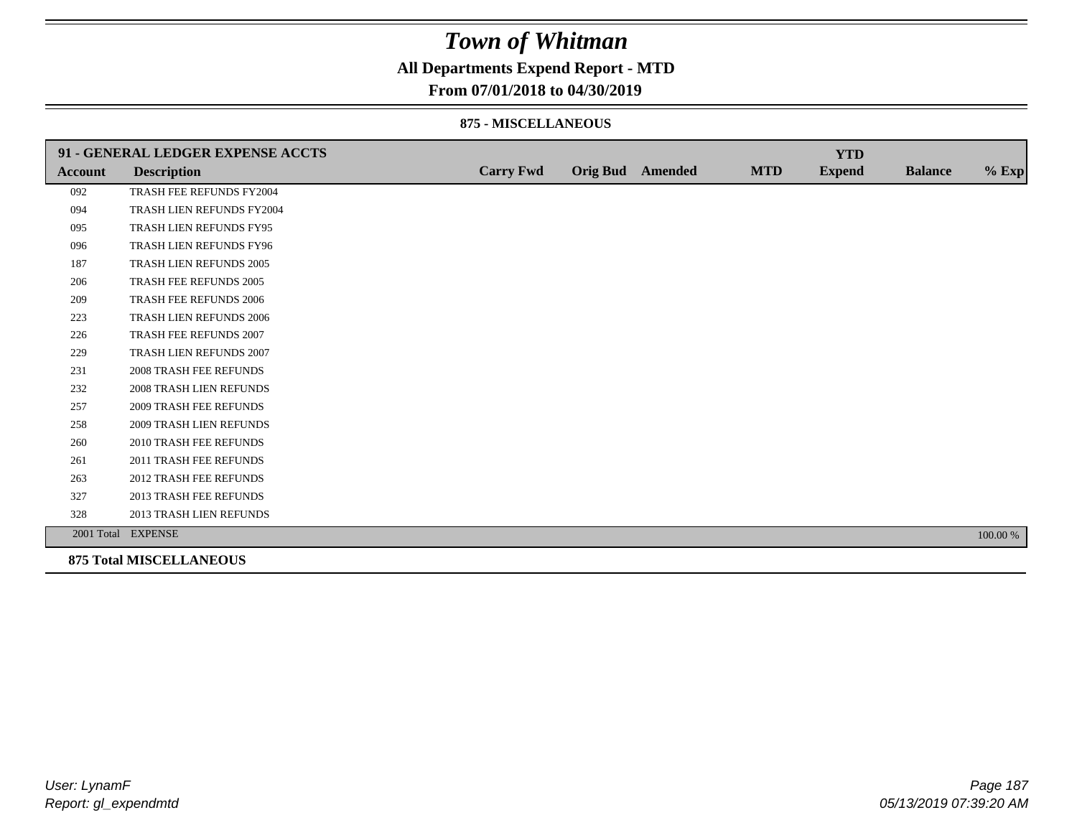### **All Departments Expend Report - MTD**

### **From 07/01/2018 to 04/30/2019**

#### **875 - MISCELLANEOUS**

|                | 91 - GENERAL LEDGER EXPENSE ACCTS |                  |                         |            | <b>YTD</b>    |                |          |
|----------------|-----------------------------------|------------------|-------------------------|------------|---------------|----------------|----------|
| <b>Account</b> | <b>Description</b>                | <b>Carry Fwd</b> | <b>Orig Bud</b> Amended | <b>MTD</b> | <b>Expend</b> | <b>Balance</b> | $%$ Exp  |
| 092            | TRASH FEE REFUNDS FY2004          |                  |                         |            |               |                |          |
| 094            | TRASH LIEN REFUNDS FY2004         |                  |                         |            |               |                |          |
| 095            | TRASH LIEN REFUNDS FY95           |                  |                         |            |               |                |          |
| 096            | TRASH LIEN REFUNDS FY96           |                  |                         |            |               |                |          |
| 187            | TRASH LIEN REFUNDS 2005           |                  |                         |            |               |                |          |
| 206            | <b>TRASH FEE REFUNDS 2005</b>     |                  |                         |            |               |                |          |
| 209            | <b>TRASH FEE REFUNDS 2006</b>     |                  |                         |            |               |                |          |
| 223            | TRASH LIEN REFUNDS 2006           |                  |                         |            |               |                |          |
| 226            | TRASH FEE REFUNDS 2007            |                  |                         |            |               |                |          |
| 229            | TRASH LIEN REFUNDS 2007           |                  |                         |            |               |                |          |
| 231            | <b>2008 TRASH FEE REFUNDS</b>     |                  |                         |            |               |                |          |
| 232            | 2008 TRASH LIEN REFUNDS           |                  |                         |            |               |                |          |
| 257            | <b>2009 TRASH FEE REFUNDS</b>     |                  |                         |            |               |                |          |
| 258            | 2009 TRASH LIEN REFUNDS           |                  |                         |            |               |                |          |
| 260            | <b>2010 TRASH FEE REFUNDS</b>     |                  |                         |            |               |                |          |
| 261            | 2011 TRASH FEE REFUNDS            |                  |                         |            |               |                |          |
| 263            | <b>2012 TRASH FEE REFUNDS</b>     |                  |                         |            |               |                |          |
| 327            | 2013 TRASH FEE REFUNDS            |                  |                         |            |               |                |          |
| 328            | 2013 TRASH LIEN REFUNDS           |                  |                         |            |               |                |          |
|                | 2001 Total EXPENSE                |                  |                         |            |               |                | 100.00 % |
|                | <b>875 Total MISCELLANEOUS</b>    |                  |                         |            |               |                |          |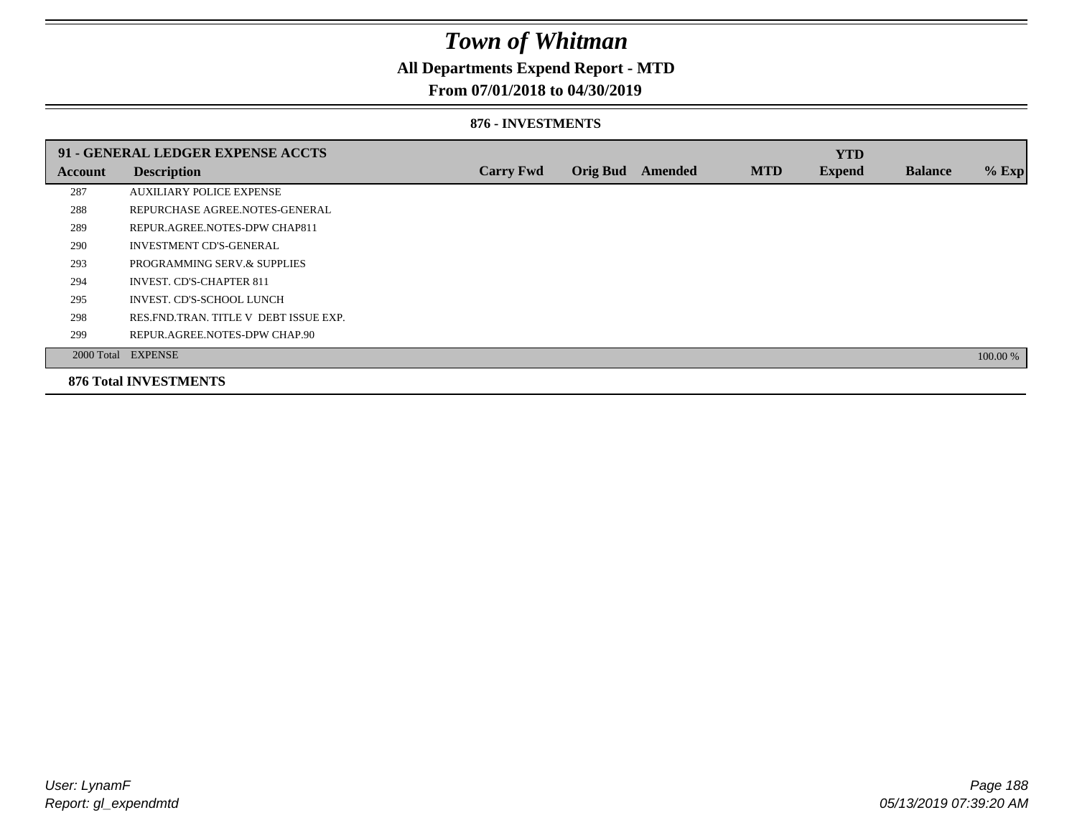### **All Departments Expend Report - MTD**

### **From 07/01/2018 to 04/30/2019**

#### **876 - INVESTMENTS**

|         | 91 - GENERAL LEDGER EXPENSE ACCTS       |                  |                 |                |            | <b>YTD</b>    |                |          |
|---------|-----------------------------------------|------------------|-----------------|----------------|------------|---------------|----------------|----------|
| Account | <b>Description</b>                      | <b>Carry Fwd</b> | <b>Orig Bud</b> | <b>Amended</b> | <b>MTD</b> | <b>Expend</b> | <b>Balance</b> | $%$ Exp  |
| 287     | <b>AUXILIARY POLICE EXPENSE</b>         |                  |                 |                |            |               |                |          |
| 288     | REPURCHASE AGREE.NOTES-GENERAL          |                  |                 |                |            |               |                |          |
| 289     | REPUR.AGREE.NOTES-DPW CHAP811           |                  |                 |                |            |               |                |          |
| 290     | <b>INVESTMENT CD'S-GENERAL</b>          |                  |                 |                |            |               |                |          |
| 293     | PROGRAMMING SERV.& SUPPLIES             |                  |                 |                |            |               |                |          |
| 294     | <b>INVEST. CD'S-CHAPTER 811</b>         |                  |                 |                |            |               |                |          |
| 295     | INVEST. CD'S-SCHOOL LUNCH               |                  |                 |                |            |               |                |          |
| 298     | RES. FND. TRAN. TITLE V DEBT ISSUE EXP. |                  |                 |                |            |               |                |          |
| 299     | REPUR.AGREE.NOTES-DPW CHAP.90           |                  |                 |                |            |               |                |          |
|         | 2000 Total EXPENSE                      |                  |                 |                |            |               |                | 100.00 % |
|         | <b>876 Total INVESTMENTS</b>            |                  |                 |                |            |               |                |          |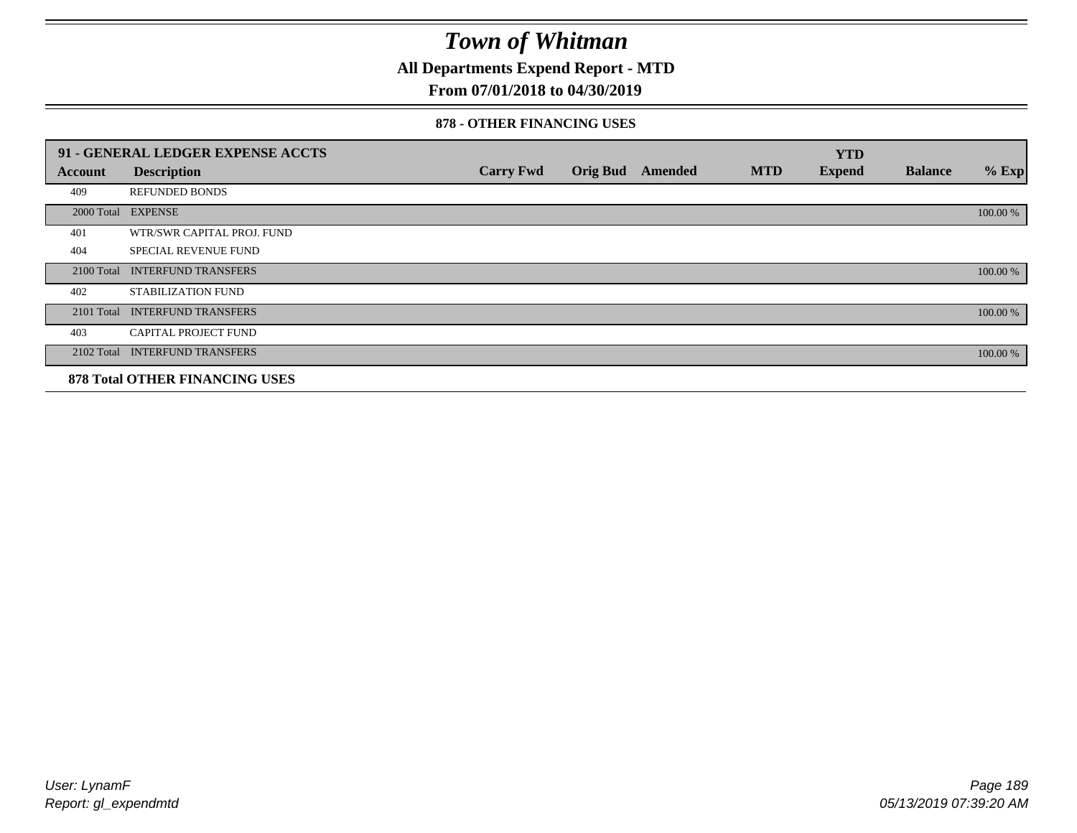**All Departments Expend Report - MTD**

### **From 07/01/2018 to 04/30/2019**

#### **878 - OTHER FINANCING USES**

|                | 91 - GENERAL LEDGER EXPENSE ACCTS     |                  |                 |         |            | <b>YTD</b>    |                |          |
|----------------|---------------------------------------|------------------|-----------------|---------|------------|---------------|----------------|----------|
| <b>Account</b> | <b>Description</b>                    | <b>Carry Fwd</b> | <b>Orig Bud</b> | Amended | <b>MTD</b> | <b>Expend</b> | <b>Balance</b> | $%$ Exp  |
| 409            | <b>REFUNDED BONDS</b>                 |                  |                 |         |            |               |                |          |
| 2000 Total     | <b>EXPENSE</b>                        |                  |                 |         |            |               |                | 100.00 % |
| 401            | WTR/SWR CAPITAL PROJ. FUND            |                  |                 |         |            |               |                |          |
| 404            | <b>SPECIAL REVENUE FUND</b>           |                  |                 |         |            |               |                |          |
| 2100 Total     | <b>INTERFUND TRANSFERS</b>            |                  |                 |         |            |               |                | 100.00 % |
| 402            | STABILIZATION FUND                    |                  |                 |         |            |               |                |          |
| 2101 Total     | <b>INTERFUND TRANSFERS</b>            |                  |                 |         |            |               |                | 100.00 % |
| 403            | <b>CAPITAL PROJECT FUND</b>           |                  |                 |         |            |               |                |          |
|                | 2102 Total INTERFUND TRANSFERS        |                  |                 |         |            |               |                | 100.00 % |
|                | <b>878 Total OTHER FINANCING USES</b> |                  |                 |         |            |               |                |          |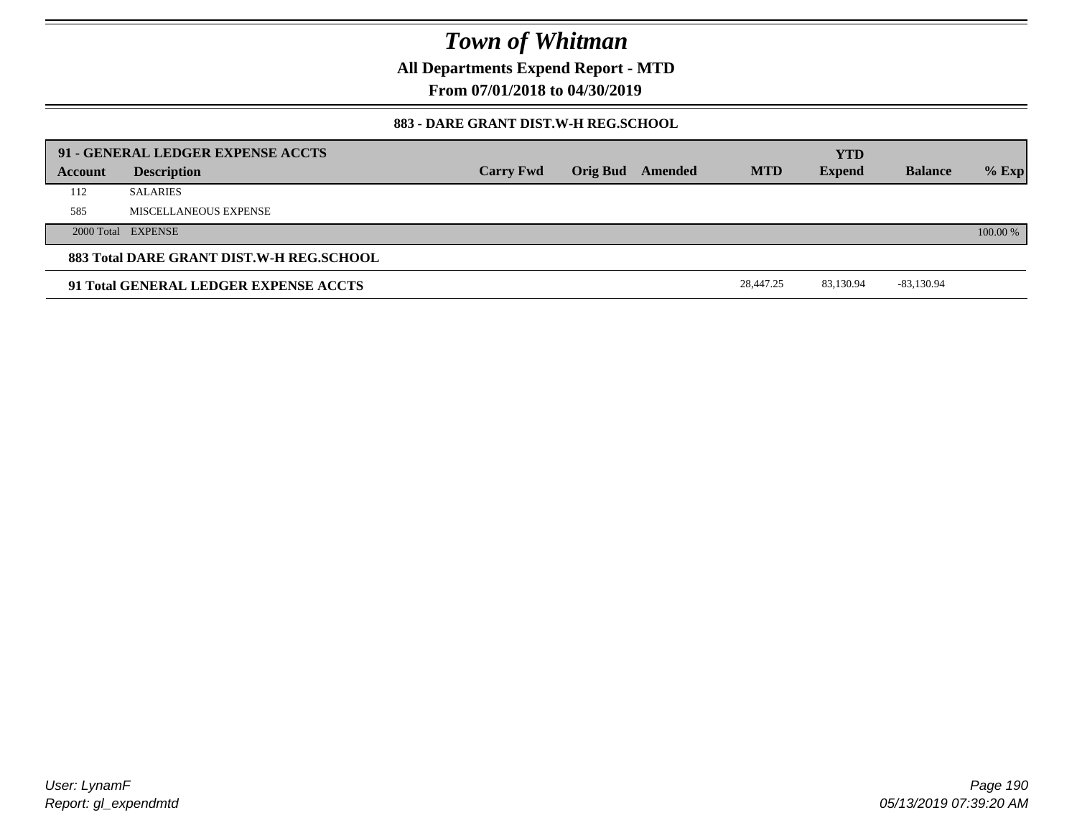**All Departments Expend Report - MTD**

**From 07/01/2018 to 04/30/2019**

### **883 - DARE GRANT DIST.W-H REG.SCHOOL**

|         | 91 - GENERAL LEDGER EXPENSE ACCTS        |                  |                         |            |                             |                |          |
|---------|------------------------------------------|------------------|-------------------------|------------|-----------------------------|----------------|----------|
| Account | <b>Description</b>                       | <b>Carry Fwd</b> | <b>Orig Bud Amended</b> | <b>MTD</b> | <b>YTD</b><br><b>Expend</b> | <b>Balance</b> | $%$ Exp  |
| 112     | <b>SALARIES</b>                          |                  |                         |            |                             |                |          |
| 585     | MISCELLANEOUS EXPENSE                    |                  |                         |            |                             |                |          |
|         | 2000 Total EXPENSE                       |                  |                         |            |                             |                | 100.00 % |
|         | 883 Total DARE GRANT DIST.W-H REG.SCHOOL |                  |                         |            |                             |                |          |
|         | 91 Total GENERAL LEDGER EXPENSE ACCTS    |                  |                         | 28,447.25  | 83.130.94                   | -83,130.94     |          |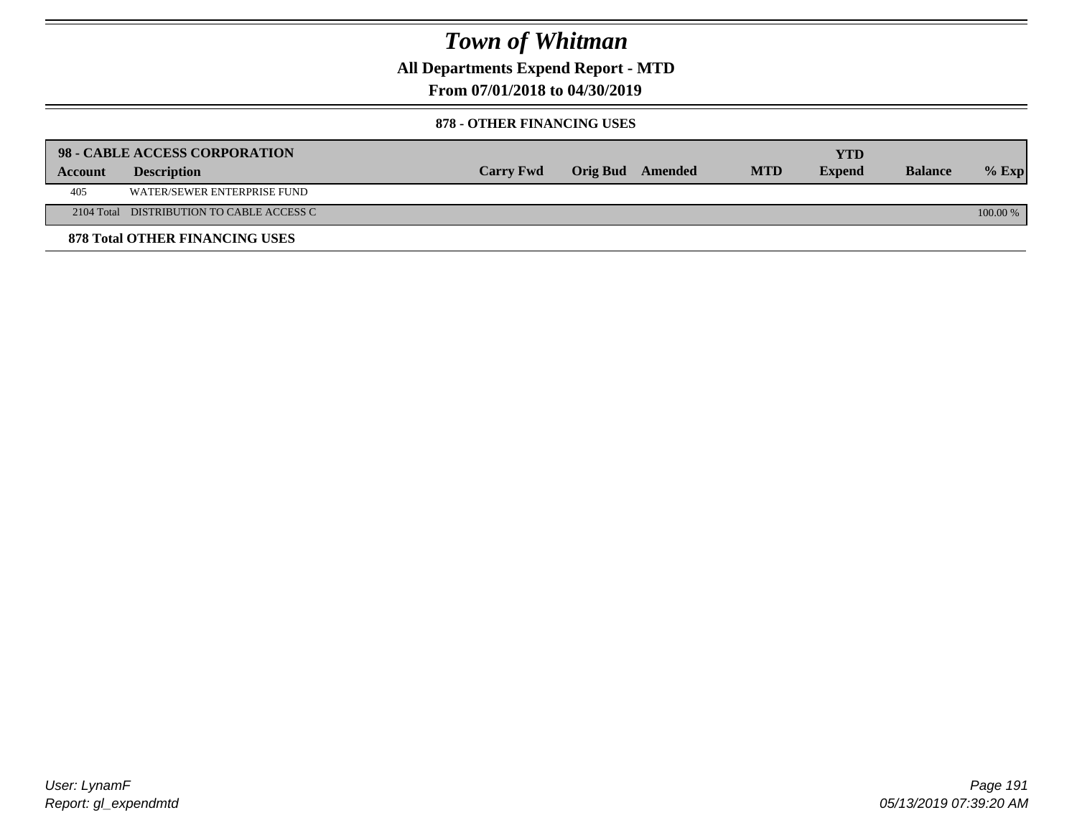**All Departments Expend Report - MTD**

**From 07/01/2018 to 04/30/2019**

#### **878 - OTHER FINANCING USES**

|         | 98 - CABLE ACCESS CORPORATION             |                  |                  |            | YTD           |                |            |
|---------|-------------------------------------------|------------------|------------------|------------|---------------|----------------|------------|
| Account | <b>Description</b>                        | <b>Carry Fwd</b> | Orig Bud Amended | <b>MTD</b> | <b>Expend</b> | <b>Balance</b> | $%$ Exp    |
| 405     | WATER/SEWER ENTERPRISE FUND               |                  |                  |            |               |                |            |
|         | 2104 Total DISTRIBUTION TO CABLE ACCESS C |                  |                  |            |               |                | $100.00\%$ |
|         | <b>878 Total OTHER FINANCING USES</b>     |                  |                  |            |               |                |            |